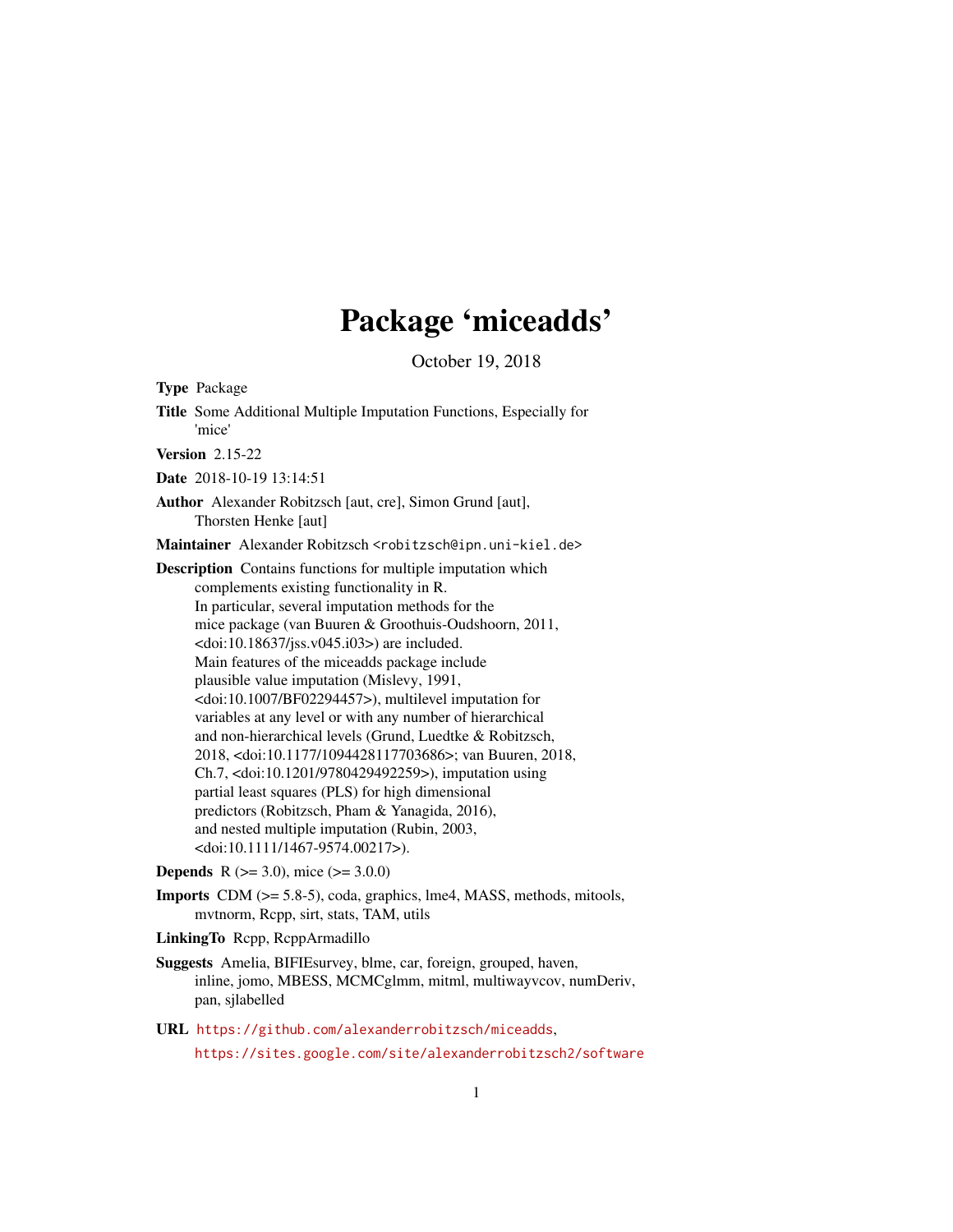# Package 'miceadds'

October 19, 2018

<span id="page-0-0"></span>Type Package

Title Some Additional Multiple Imputation Functions, Especially for 'mice'

Version 2.15-22

Date 2018-10-19 13:14:51

Author Alexander Robitzsch [aut, cre], Simon Grund [aut], Thorsten Henke [aut]

Maintainer Alexander Robitzsch <robitzsch@ipn.uni-kiel.de>

Description Contains functions for multiple imputation which complements existing functionality in R. In particular, several imputation methods for the mice package (van Buuren & Groothuis-Oudshoorn, 2011, <doi:10.18637/jss.v045.i03>) are included. Main features of the miceadds package include plausible value imputation (Mislevy, 1991, <doi:10.1007/BF02294457>), multilevel imputation for variables at any level or with any number of hierarchical and non-hierarchical levels (Grund, Luedtke & Robitzsch, 2018, <doi:10.1177/1094428117703686>; van Buuren, 2018, Ch.7, <doi:10.1201/9780429492259>), imputation using partial least squares (PLS) for high dimensional predictors (Robitzsch, Pham & Yanagida, 2016), and nested multiple imputation (Rubin, 2003, <doi:10.1111/1467-9574.00217>).

**Depends** R ( $>= 3.0$ ), mice ( $>= 3.0.0$ )

Imports CDM (>= 5.8-5), coda, graphics, lme4, MASS, methods, mitools, mvtnorm, Rcpp, sirt, stats, TAM, utils

LinkingTo Rcpp, RcppArmadillo

- Suggests Amelia, BIFIEsurvey, blme, car, foreign, grouped, haven, inline, jomo, MBESS, MCMCglmm, mitml, multiwayvcov, numDeriv, pan, sjlabelled
- URL <https://github.com/alexanderrobitzsch/miceadds>, <https://sites.google.com/site/alexanderrobitzsch2/software>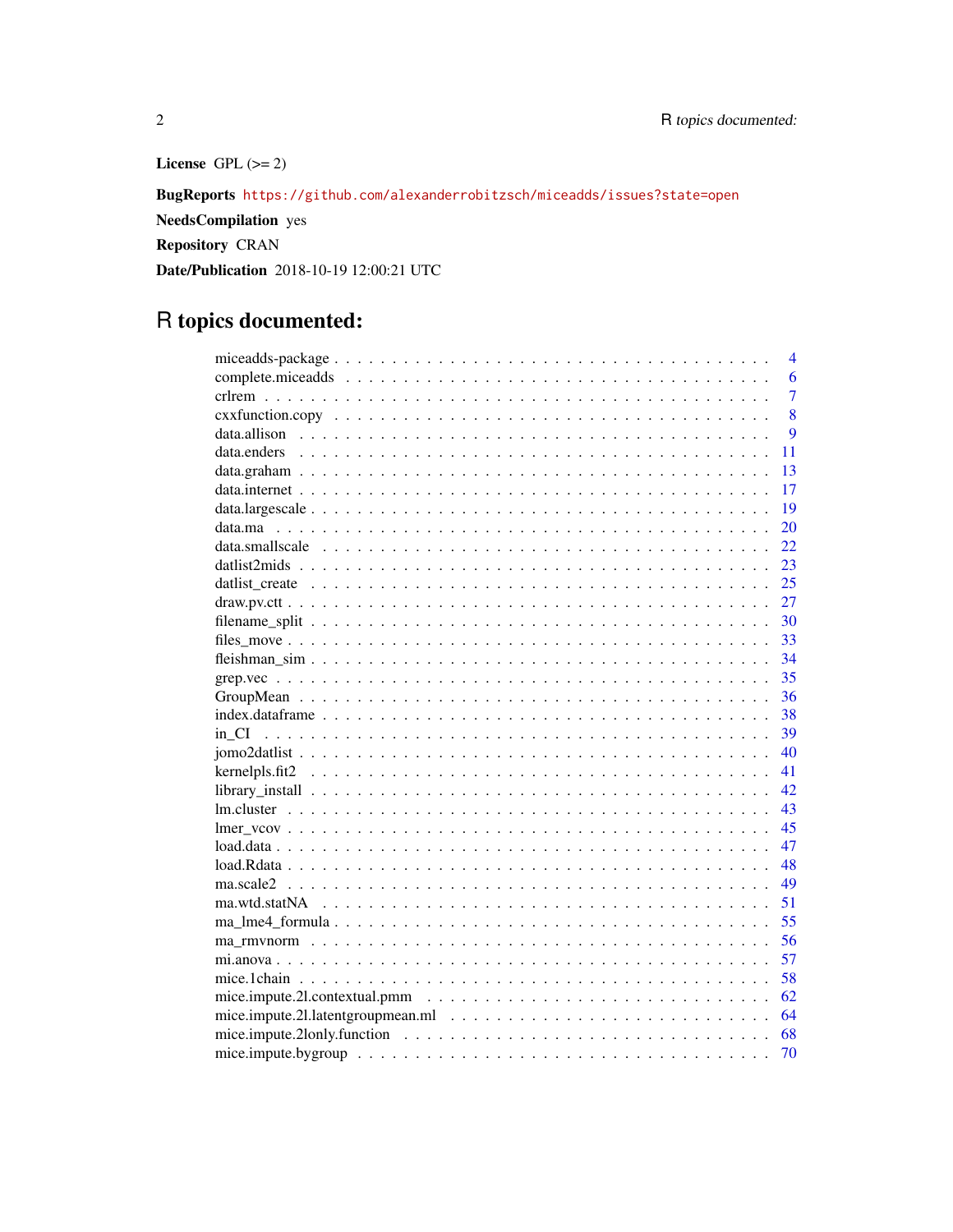License GPL  $(>= 2)$ 

BugReports <https://github.com/alexanderrobitzsch/miceadds/issues?state=open>

NeedsCompilation yes

Repository CRAN

Date/Publication 2018-10-19 12:00:21 UTC

# R topics documented:

|    | $\overline{4}$ |
|----|----------------|
|    | 6              |
|    | $\overline{7}$ |
|    | 8              |
|    | $\overline{Q}$ |
|    | 11             |
|    | 13             |
|    | 17             |
|    | 19             |
|    | 20             |
|    | 22             |
|    | 23             |
|    | 25             |
|    | 27             |
|    | 30             |
|    | 33             |
|    | 34             |
|    | 35             |
|    | 36             |
|    | 38             |
|    | 39             |
|    | 40             |
| 41 |                |
| 42 |                |
|    | 43             |
|    | 45             |
|    | 47             |
|    | 48             |
|    | 49             |
|    | 51             |
|    | 55             |
|    | 56             |
|    | 57             |
|    | 58             |
|    | 62             |
|    | 64             |
|    | 68             |
|    | 70             |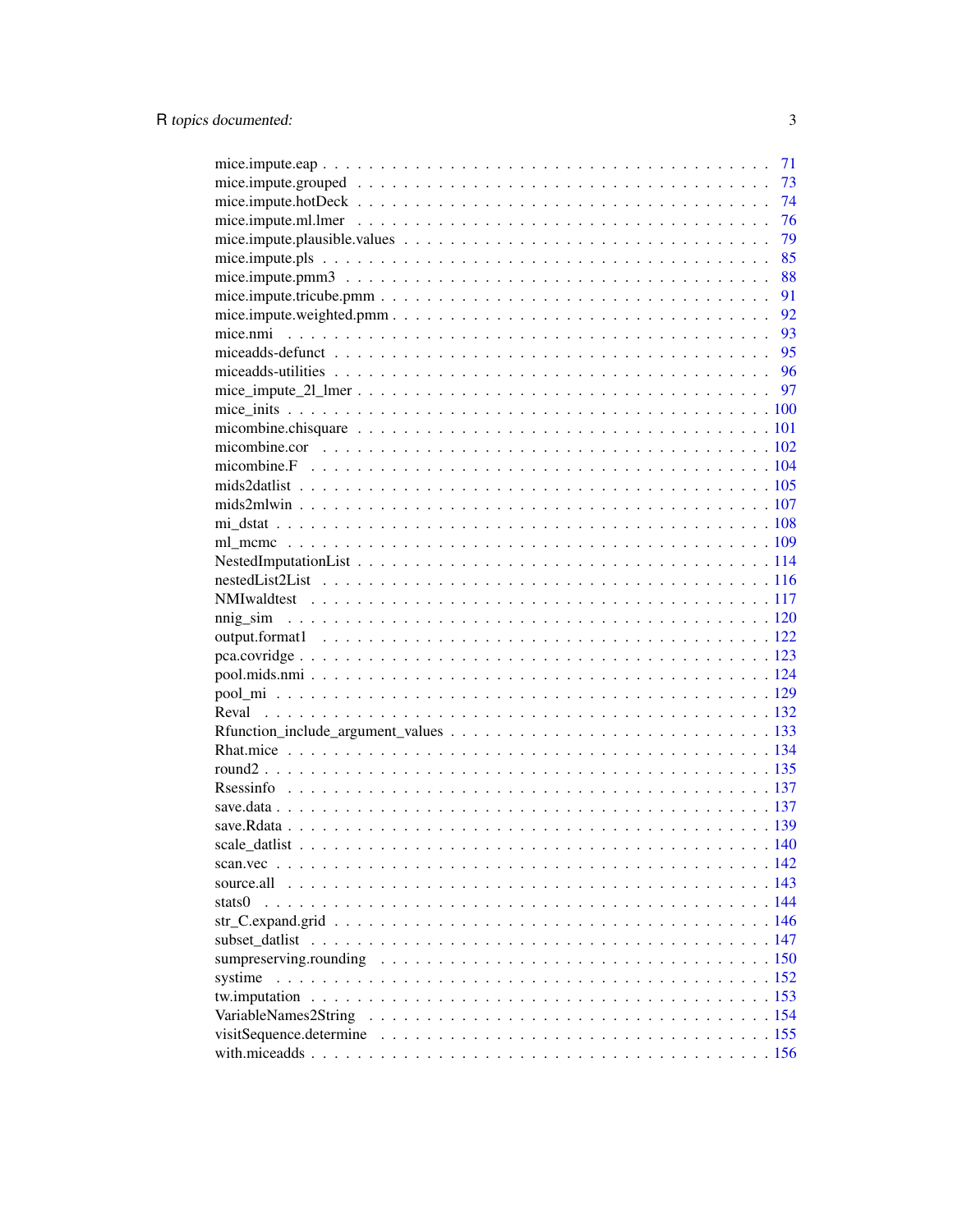|                                                                                                         | 71 |
|---------------------------------------------------------------------------------------------------------|----|
|                                                                                                         | 73 |
|                                                                                                         | 74 |
|                                                                                                         | 76 |
|                                                                                                         | 79 |
|                                                                                                         | 85 |
| mice.impute.pmm $3 \ldots \ldots \ldots \ldots \ldots \ldots \ldots \ldots \ldots \ldots \ldots \ldots$ | 88 |
|                                                                                                         | 91 |
|                                                                                                         | 92 |
|                                                                                                         |    |
|                                                                                                         |    |
|                                                                                                         |    |
|                                                                                                         |    |
|                                                                                                         |    |
|                                                                                                         |    |
|                                                                                                         |    |
|                                                                                                         |    |
|                                                                                                         |    |
|                                                                                                         |    |
|                                                                                                         |    |
|                                                                                                         |    |
|                                                                                                         |    |
|                                                                                                         |    |
|                                                                                                         |    |
|                                                                                                         |    |
|                                                                                                         |    |
|                                                                                                         |    |
|                                                                                                         |    |
|                                                                                                         |    |
|                                                                                                         |    |
|                                                                                                         |    |
|                                                                                                         |    |
|                                                                                                         |    |
|                                                                                                         |    |
|                                                                                                         |    |
|                                                                                                         |    |
|                                                                                                         |    |
|                                                                                                         |    |
|                                                                                                         |    |
| stats0                                                                                                  |    |
|                                                                                                         |    |
|                                                                                                         |    |
|                                                                                                         |    |
| systime                                                                                                 |    |
|                                                                                                         |    |
|                                                                                                         |    |
|                                                                                                         |    |
|                                                                                                         |    |

 $\overline{3}$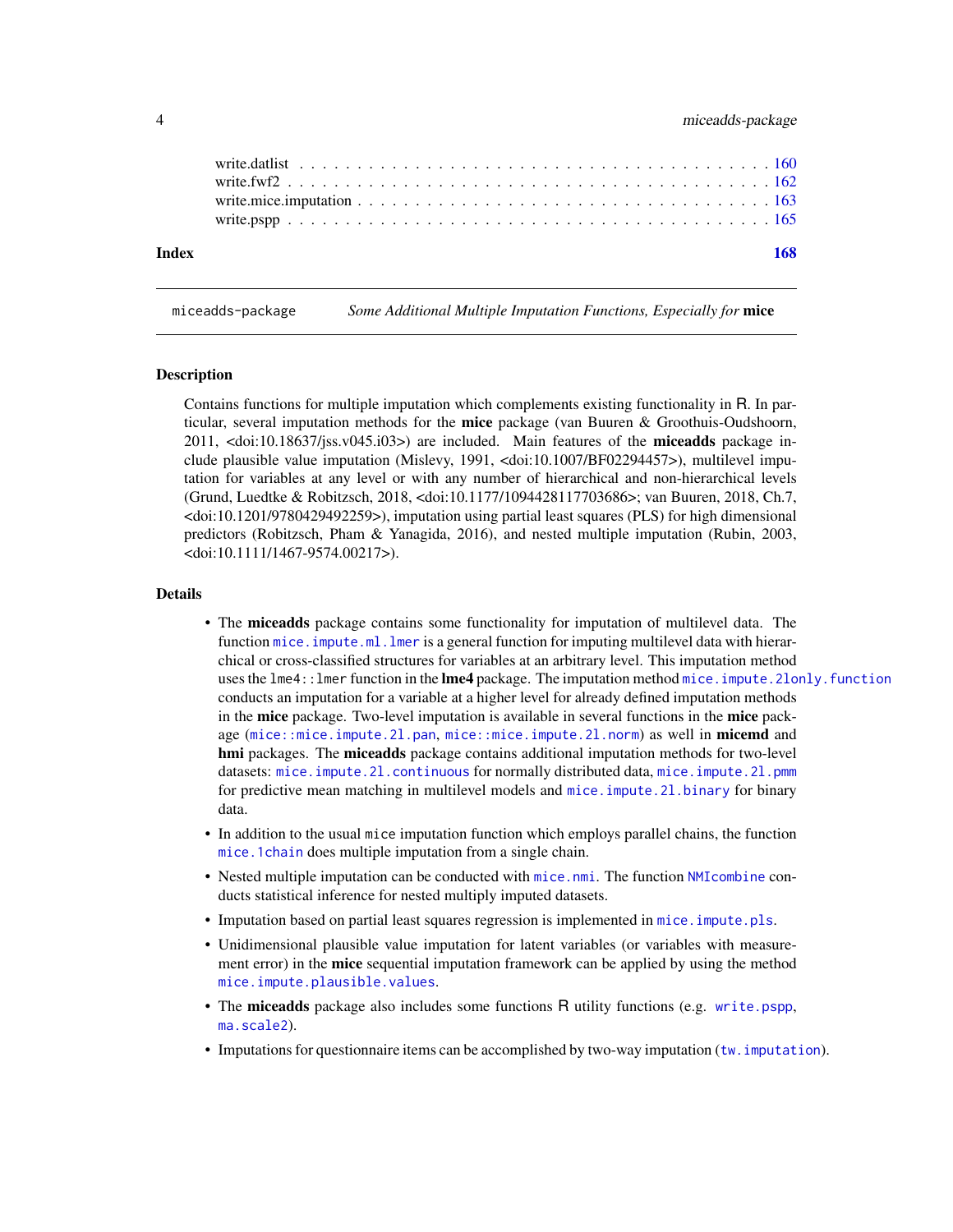<span id="page-3-0"></span>

| Index |  |  |  |  |  |  |  |  |  |  |  |  |  |  |  |  | 168 |
|-------|--|--|--|--|--|--|--|--|--|--|--|--|--|--|--|--|-----|
|       |  |  |  |  |  |  |  |  |  |  |  |  |  |  |  |  |     |
|       |  |  |  |  |  |  |  |  |  |  |  |  |  |  |  |  |     |
|       |  |  |  |  |  |  |  |  |  |  |  |  |  |  |  |  |     |

miceadds-package *Some Additional Multiple Imputation Functions, Especially for* mice

# Description

Contains functions for multiple imputation which complements existing functionality in R. In particular, several imputation methods for the mice package (van Buuren & Groothuis-Oudshoorn, 2011,  $\langle \text{doi:10.18637/jss.v045.i03>}\rangle$  are included. Main features of the **miceadds** package include plausible value imputation (Mislevy, 1991, <doi:10.1007/BF02294457>), multilevel imputation for variables at any level or with any number of hierarchical and non-hierarchical levels (Grund, Luedtke & Robitzsch, 2018, <doi:10.1177/1094428117703686>; van Buuren, 2018, Ch.7, <doi:10.1201/9780429492259>), imputation using partial least squares (PLS) for high dimensional predictors (Robitzsch, Pham & Yanagida, 2016), and nested multiple imputation (Rubin, 2003, <doi:10.1111/1467-9574.00217>).

#### Details

- The miceadds package contains some functionality for imputation of multilevel data. The function mice. impute.ml. lmer is a general function for imputing multilevel data with hierarchical or cross-classified structures for variables at an arbitrary level. This imputation method uses the lme4:: lmer function in the lme4 package. The imputation method mice. impute. 2lonly. function conducts an imputation for a variable at a higher level for already defined imputation methods in the mice package. Two-level imputation is available in several functions in the mice package ([mice::mice.impute.2l.pan](#page-0-0), [mice::mice.impute.2l.norm](#page-0-0)) as well in **micemd** and hmi packages. The miceadds package contains additional imputation methods for two-level datasets: mice.impute.21.continuous for normally distributed data, mice.impute.21.pmm for predictive mean matching in multilevel models and [mice.impute.2l.binary](#page-96-1) for binary data.
- In addition to the usual mice imputation function which employs parallel chains, the function [mice.1chain](#page-57-1) does multiple imputation from a single chain.
- Nested multiple imputation can be conducted with [mice.nmi](#page-92-1). The function [NMIcombine](#page-123-1) conducts statistical inference for nested multiply imputed datasets.
- Imputation based on partial least squares regression is implemented in [mice.impute.pls](#page-84-1).
- Unidimensional plausible value imputation for latent variables (or variables with measurement error) in the **mice** sequential imputation framework can be applied by using the method [mice.impute.plausible.values](#page-78-1).
- The miceadds package also includes some functions R utility functions (e.g. [write.pspp](#page-164-1), [ma.scale2](#page-48-1)).
- Imputations for questionnaire items can be accomplished by two-way imputation (tw. imputation).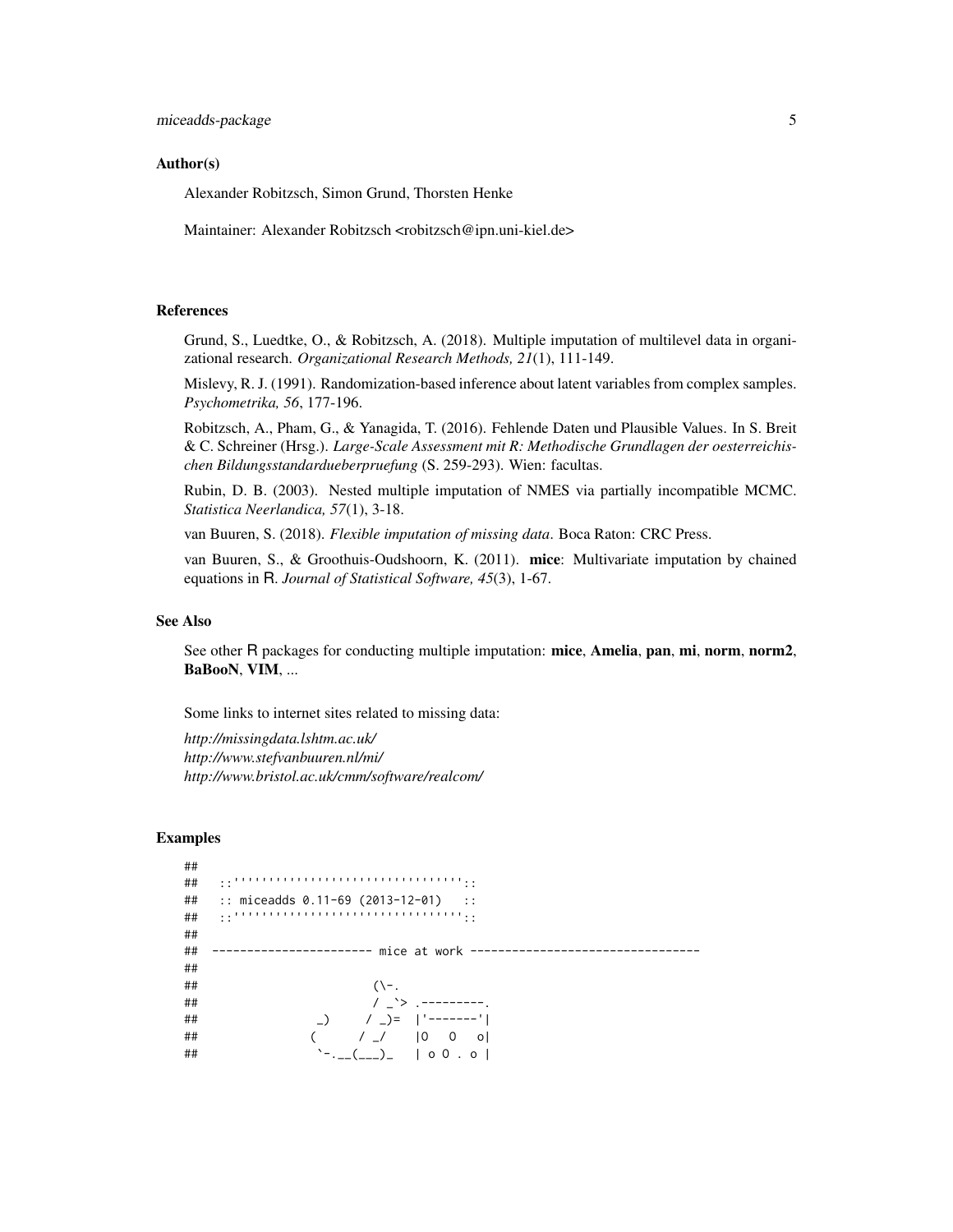# Author(s)

Alexander Robitzsch, Simon Grund, Thorsten Henke

Maintainer: Alexander Robitzsch <robitzsch@ipn.uni-kiel.de>

# References

Grund, S., Luedtke, O., & Robitzsch, A. (2018). Multiple imputation of multilevel data in organizational research. *Organizational Research Methods, 21*(1), 111-149.

Mislevy, R. J. (1991). Randomization-based inference about latent variables from complex samples. *Psychometrika, 56*, 177-196.

Robitzsch, A., Pham, G., & Yanagida, T. (2016). Fehlende Daten und Plausible Values. In S. Breit & C. Schreiner (Hrsg.). *Large-Scale Assessment mit R: Methodische Grundlagen der oesterreichischen Bildungsstandardueberpruefung* (S. 259-293). Wien: facultas.

Rubin, D. B. (2003). Nested multiple imputation of NMES via partially incompatible MCMC. *Statistica Neerlandica, 57*(1), 3-18.

van Buuren, S. (2018). *Flexible imputation of missing data*. Boca Raton: CRC Press.

van Buuren, S., & Groothuis-Oudshoorn, K. (2011). mice: Multivariate imputation by chained equations in R. *Journal of Statistical Software, 45*(3), 1-67.

#### See Also

See other R packages for conducting multiple imputation: mice, Amelia, pan, mi, norm, norm2, BaBooN, VIM, ...

Some links to internet sites related to missing data:

*http://missingdata.lshtm.ac.uk/ http://www.stefvanbuuren.nl/mi/ http://www.bristol.ac.uk/cmm/software/realcom/*

# Examples

| ## |                                                                                                                             |
|----|-----------------------------------------------------------------------------------------------------------------------------|
| ## |                                                                                                                             |
| ## | :: miceadds 0.11-69 (2013-12-01)<br>$\sim$ 11                                                                               |
| ## |                                                                                                                             |
| ## |                                                                                                                             |
| ## |                                                                                                                             |
| ## |                                                                                                                             |
| ## | $(\neg$ -.                                                                                                                  |
| ## | / $\rightarrow$ .---------.                                                                                                 |
| ## | $\begin{bmatrix} 1 & 0 \\ 0 & -1 \end{bmatrix} = \begin{bmatrix} 1 & -1 & -1 & -1 \\ 0 & 1 & 1 \end{bmatrix}$               |
| ## | $($ $/$ $/$ $ 0$ 0 o $ $                                                                                                    |
| ## | $\left[\begin{array}{cc} -1 & -1 \\ -1 & -1 \end{array}\right]$ $\left[\begin{array}{cc} 0 & 0 \\ 0 & 0 \end{array}\right]$ |
|    |                                                                                                                             |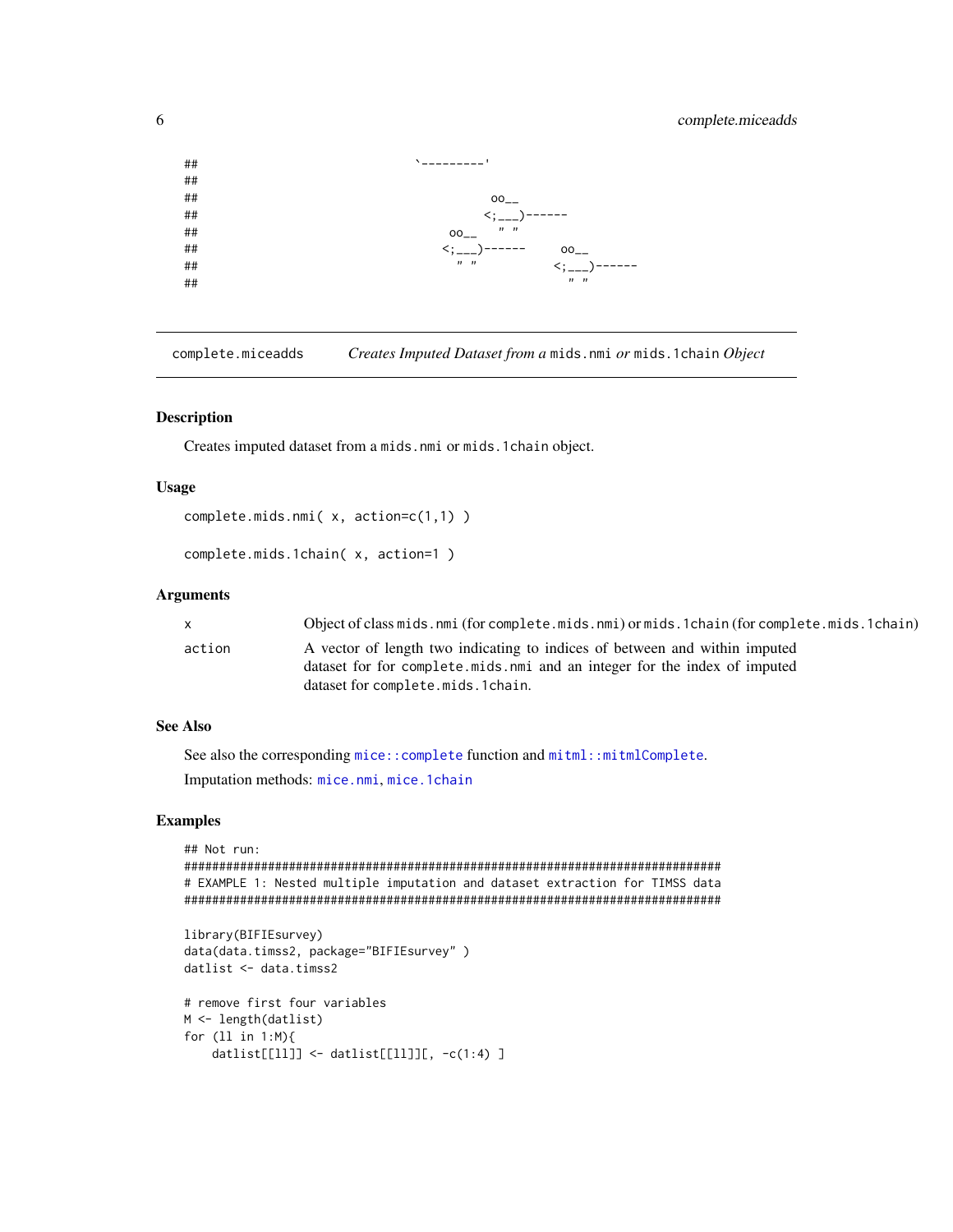# complete.miceadds

<span id="page-5-0"></span>

complete.miceadds Creates Imputed Dataset from a mids.nmi or mids.1chain Object

#### **Description**

Creates imputed dataset from a mids.nmi or mids.1chain object.

#### **Usage**

```
complete.mids.nmi(x, action=c(1,1))
```

```
complete.mids.1chain(x, action=1)
```
#### **Arguments**

| X      | Object of class mids.nmi (for complete.mids.nmi) or mids.1chain (for complete.mids.1chain) |
|--------|--------------------------------------------------------------------------------------------|
| action | A vector of length two indicating to indices of between and within imputed                 |
|        | dataset for for complete mids nmi and an integer for the index of imputed                  |
|        | dataset for complete.mids.1chain.                                                          |

# **See Also**

See also the corresponding mice:: complete function and mitml:: mitmlComplete. Imputation methods: mice.nmi, mice.1chain

# **Examples**

```
## Not run:
# EXAMPLE 1: Nested multiple imputation and dataset extraction for TIMSS data
library(BIFIEsurvey)
data(data.timss2, package="BIFIEsurvey")
datlist <- data.timss2
# remove first four variables
M <- length(datlist)
for (11 in 1:M){
  datlist[[ll]] <- datlist[[ll]][, -c(1:4) ]
```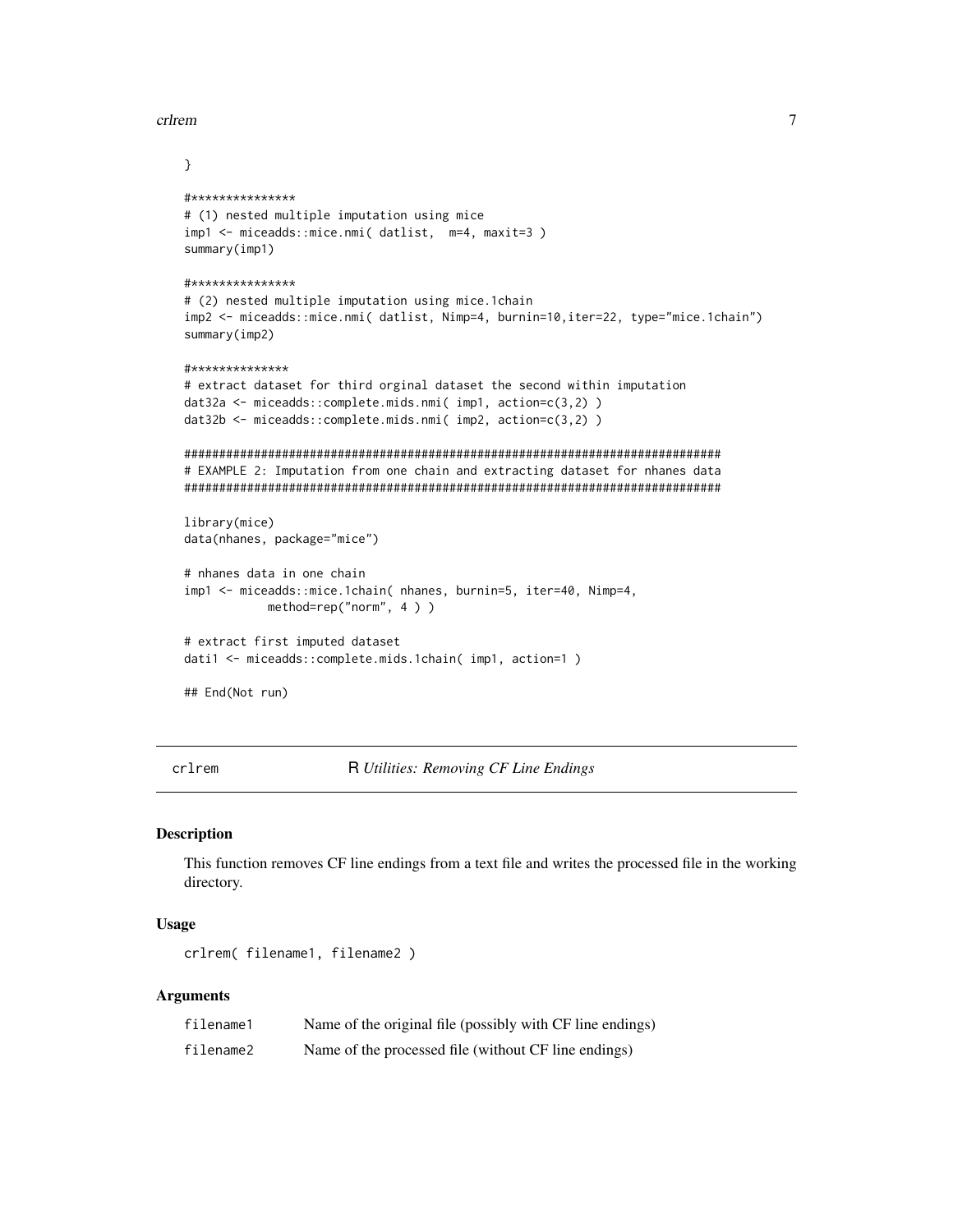<span id="page-6-0"></span>crlrem

```
\mathcal{E}#***************
# (1) nested multiple imputation using mice
imp1 <- miceadds::mice.nmi( datlist, m=4, maxit=3)
summary(imp1)#***************
# (2) nested multiple imputation using mice.1chain
imp2 <- miceadds::mice.nmi( datlist, Nimp=4, burnin=10,iter=22, type="mice.1chain")
summary(imp2)
#**************
# extract dataset for third orginal dataset the second within imputation
dat32a <- miceadds::complete.mids.nmi( imp1, action=c(3,2))
dat32b <- miceadds::complete.mids.nmi( imp2, action=c(3,2))
# EXAMPLE 2: Imputation from one chain and extracting dataset for nhanes data
library(mice)
data(nhanes, package="mice")
# nhanes data in one chain
imp1 <- miceadds::mice.1chain( nhanes, burnin=5, iter=40, Nimp=4,
          method=rep("norm", 4))
# extract first imputed dataset
dati1 <- miceadds::complete.mids.1chain( imp1, action=1 )
## End(Not run)
```
crlrem

R Utilities: Removing CF Line Endings

#### **Description**

This function removes CF line endings from a text file and writes the processed file in the working directory.

#### **Usage**

crlrem(filename1,filename2)

#### **Arguments**

| filename1 | Name of the original file (possibly with CF line endings) |
|-----------|-----------------------------------------------------------|
| filename2 | Name of the processed file (without CF line endings)      |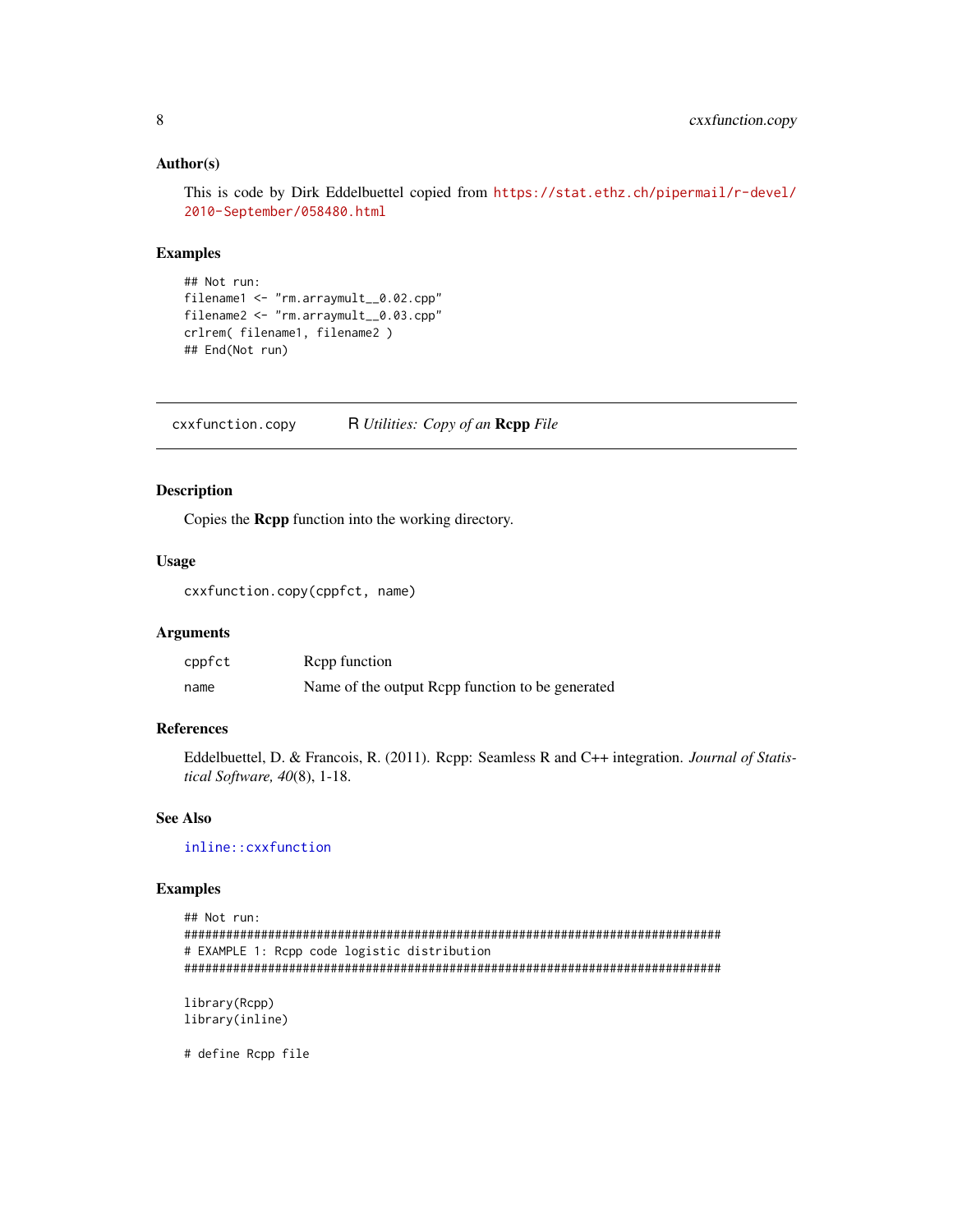#### <span id="page-7-0"></span>Author(s)

This is code by Dirk Eddelbuettel copied from [https://stat.ethz.ch/pipermail/r-devel/](https://stat.ethz.ch/pipermail/r-devel/2010-September/058480.html) [2010-September/058480.html](https://stat.ethz.ch/pipermail/r-devel/2010-September/058480.html)

### Examples

```
## Not run:
filename1 <- "rm.arraymult__0.02.cpp"
filename2 <- "rm.arraymult__0.03.cpp"
crlrem( filename1, filename2 )
## End(Not run)
```
cxxfunction.copy R *Utilities: Copy of an* Rcpp *File*

# Description

Copies the Rcpp function into the working directory.

# Usage

cxxfunction.copy(cppfct, name)

# Arguments

| cppfct | Repp function                                    |
|--------|--------------------------------------------------|
| name   | Name of the output Rcpp function to be generated |

# References

Eddelbuettel, D. & Francois, R. (2011). Rcpp: Seamless R and C++ integration. *Journal of Statistical Software, 40*(8), 1-18.

# See Also

[inline::cxxfunction](#page-0-0)

# Examples

```
## Not run:
#############################################################################
# EXAMPLE 1: Rcpp code logistic distribution
#############################################################################
library(Rcpp)
```
library(inline)

# define Rcpp file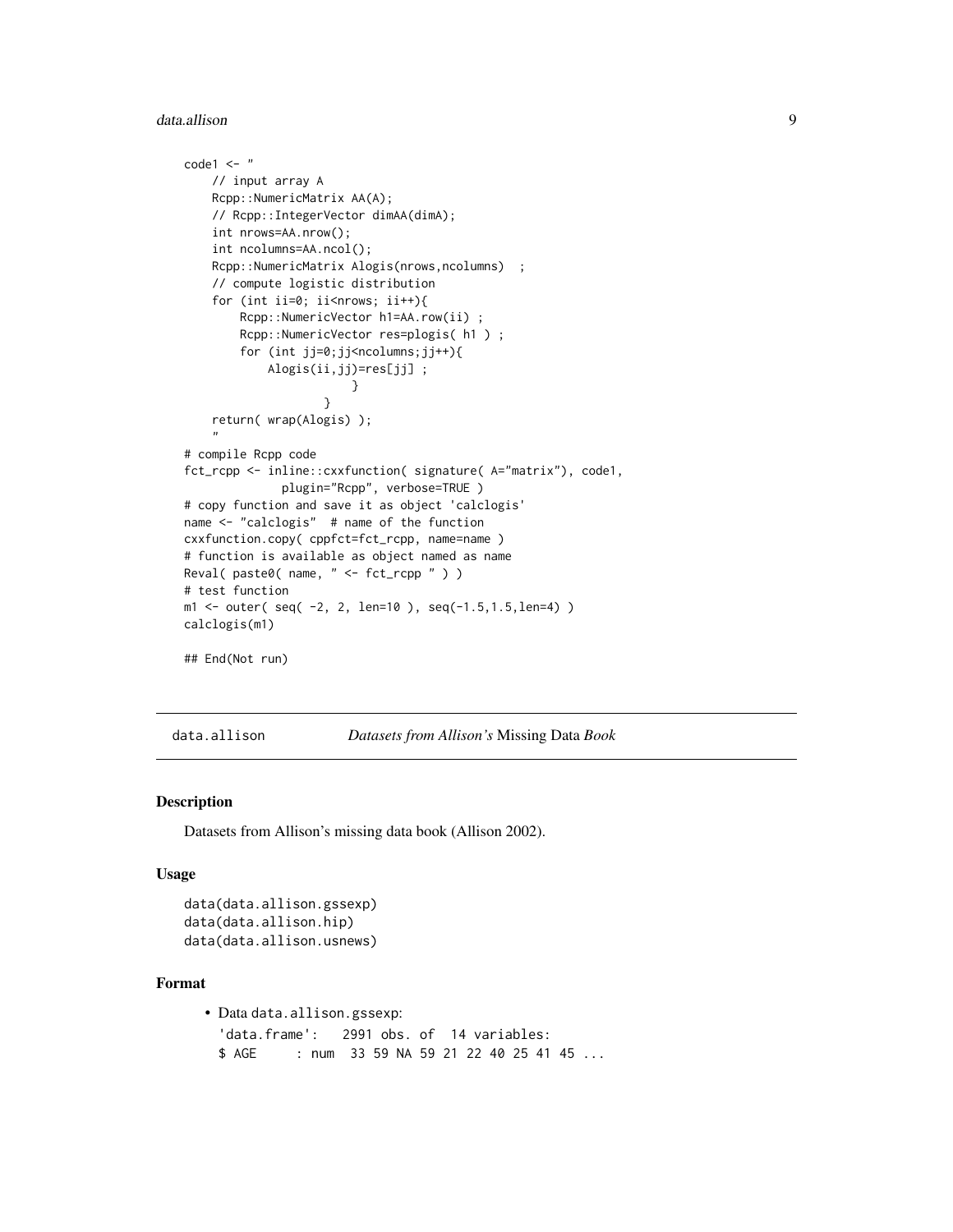#### <span id="page-8-0"></span>data.allison 9

```
code1 < - "
   // input array A
   Rcpp::NumericMatrix AA(A);
    // Rcpp::IntegerVector dimAA(dimA);
    int nrows=AA.nrow();
    int ncolumns=AA.ncol();
    Rcpp::NumericMatrix Alogis(nrows,ncolumns) ;
    // compute logistic distribution
    for (int ii=0; ii<nrows; ii++){
        Rcpp::NumericVector h1=AA.row(ii) ;
        Rcpp::NumericVector res=plogis( h1 ) ;
        for (int jj=0;jj<ncolumns;jj++){
            Alogis(ii,jj)=res[jj] ;
                        }
                    }
    return( wrap(Alogis) );
    "
# compile Rcpp code
fct_rcpp <- inline::cxxfunction( signature( A="matrix"), code1,
              plugin="Rcpp", verbose=TRUE )
# copy function and save it as object 'calclogis'
name <- "calclogis" # name of the function
cxxfunction.copy( cppfct=fct_rcpp, name=name )
# function is available as object named as name
Reval( paste0( name, " <- fct_rcpp " ) )
# test function
ml \le outer( seq( -2, 2, len=10 ), seq(-1.5,1.5,len=4) )
calclogis(m1)
## End(Not run)
```
data.allison *Datasets from Allison's* Missing Data *Book*

#### Description

Datasets from Allison's missing data book (Allison 2002).

#### Usage

```
data(data.allison.gssexp)
data(data.allison.hip)
data(data.allison.usnews)
```
# Format

```
• Data data.allison.gssexp:
  'data.frame': 2991 obs. of 14 variables:
 $ AGE : num 33 59 NA 59 21 22 40 25 41 45 ...
```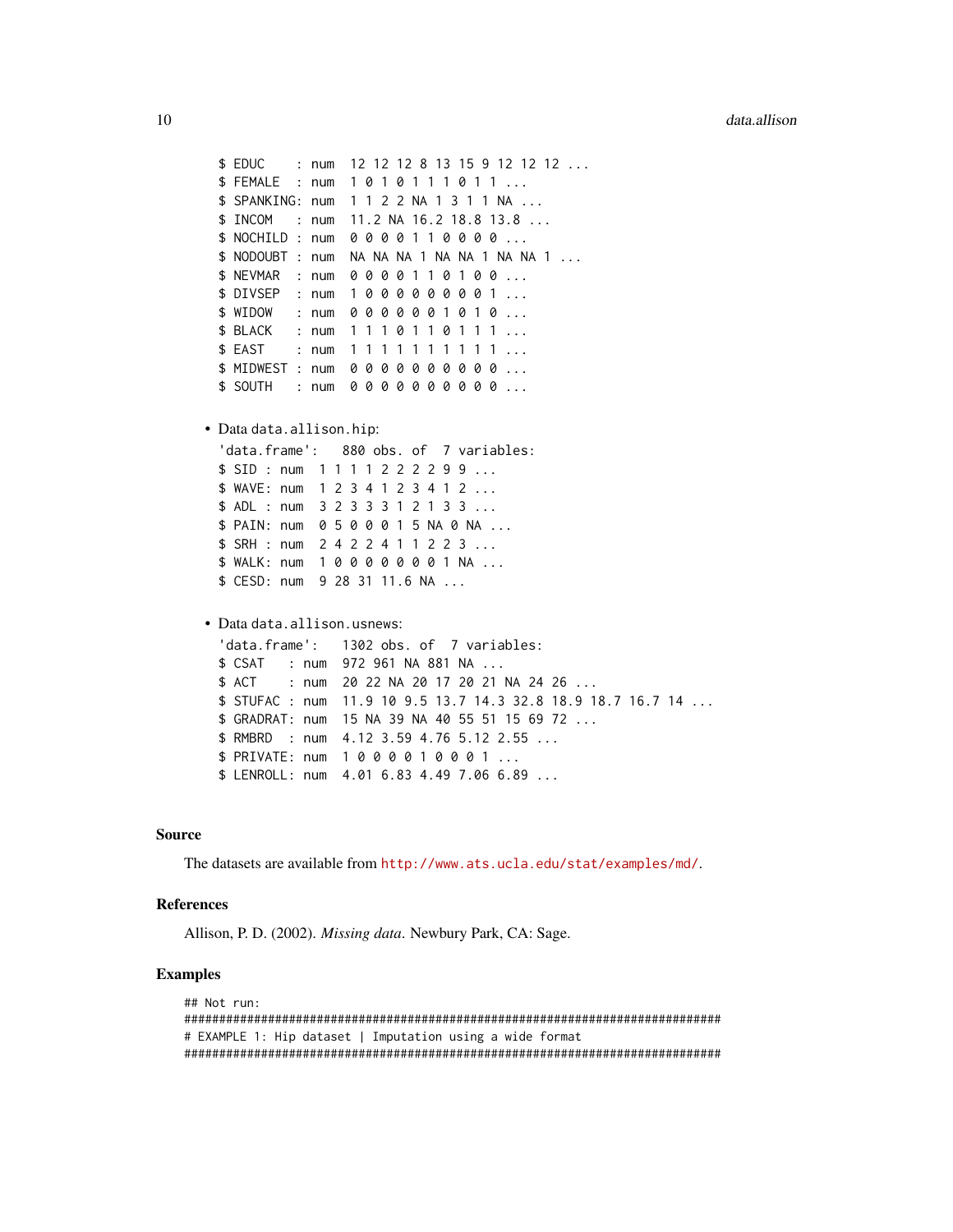```
$ EDUC : num  12 12 12 8 13 15 9 12 12 12 ...
 $ FEMALE : num 1 0 1 0 1 1 1 0 1 1 ...
 $ SPANKING: num 1 1 2 2 NA 1 3 1 1 NA ...
 $ INCOM : num 11.2 NA 16.2 18.8 13.8 ...
 $ NOCHILD : num 0 0 0 0 1 1 0 0 0 0 ...
 $ NODOUBT : num NA NA NA 1 NA NA 1 NA NA 1 ...
 $ NEVMAR : num 0 0 0 0 1 1 0 1 0 0 ...
 $ DIVSEP : num 1 0 0 0 0 0 0 0 0 1 ...
 $ WIDOW : num 0 0 0 0 0 0 1 0 1 0 ...
 $ BLACK : num  1 1 1 0 1 1 0 1 1 1 ...
 $ EAST : num 1 1 1 1 1 1 1 1 1 1 ...
 $ MIDWEST : num 0 0 0 0 0 0 0 0 0 0 ...
 $ SOUTH : num 0 0 0 0 0 0 0 0 0 0 ...
• Data data.allison.hip:
 'data.frame': 880 obs. of 7 variables:
 $ SID : num 1 1 1 1 2 2 2 2 9 9 ...
 $ WAVE: num 1 2 3 4 1 2 3 4 1 2 ...
 $ ADL : num 3 2 3 3 3 1 2 1 3 3 ...
 $ PAIN: num 0 5 0 0 0 1 5 NA 0 NA ...
 $ SRH : num 2 4 2 2 4 1 1 2 2 3 ...
 $ WALK: num 1 0 0 0 0 0 0 0 1 NA ...
 $ CESD: num 9 28 31 11.6 NA ...
• Data data.allison.usnews:
  'data.frame': 1302 obs. of 7 variables:
 $ CSAT : num 972 961 NA 881 NA ...
 $ ACT : num  20 22 NA  20 17 20 21 NA  24  26 ...
 $ STUFAC : num 11.9 10 9.5 13.7 14.3 32.8 18.9 18.7 16.7 14 ...
 $ GRADRAT: num 15 NA 39 NA 40 55 51 15 69 72 ...
 $ RMBRD : num 4.12 3.59 4.76 5.12 2.55 ...
 $ PRIVATE: num 1 0 0 0 0 1 0 0 0 1 ...
 $ LENROLL: num 4.01 6.83 4.49 7.06 6.89 ...
```
# Source

The datasets are available from <http://www.ats.ucla.edu/stat/examples/md/>.

# References

Allison, P. D. (2002). *Missing data*. Newbury Park, CA: Sage.

# Examples

```
## Not run:
#############################################################################
# EXAMPLE 1: Hip dataset | Imputation using a wide format
#############################################################################
```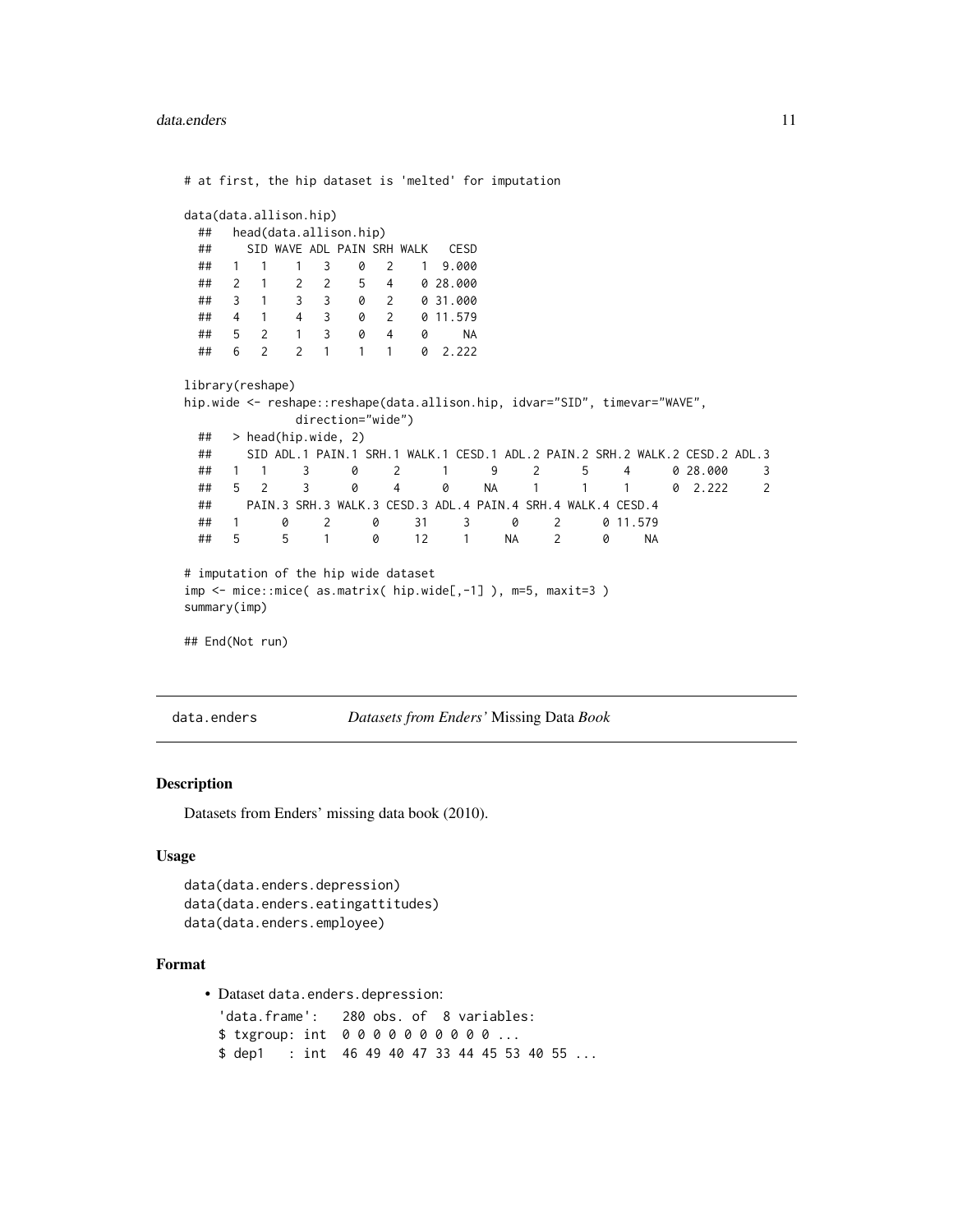<span id="page-10-0"></span># at first, the hip dataset is 'melted' for imputation data(data.allison.hip) ## head(data.allison.hip) ## SID WAVE ADL PAIN SRH WALK CESD ## 1 1 1 3 0 2 1 9.000 ## 2 1 2 2 5 4 0 28.000 ## 3 1 3 3 0 2 0 31.000 ## 4 1 4 3 0 2 0 11.579 ## 5 2 1 3 0 4 0 NA ## 6 2 2 1 1 1 0 2.222 library(reshape) hip.wide <- reshape::reshape(data.allison.hip, idvar="SID", timevar="WAVE", direction="wide") ## > head(hip.wide, 2) ## SID ADL.1 PAIN.1 SRH.1 WALK.1 CESD.1 ADL.2 PAIN.2 SRH.2 WALK.2 CESD.2 ADL.3 ## 1 1 3 0 2 1 9 2 5 4 0 28.000 3 ## 5 2 3 0 4 0 NA 1 1 1 0 2.222 2 ## PAIN.3 SRH.3 WALK.3 CESD.3 ADL.4 PAIN.4 SRH.4 WALK.4 CESD.4 ## 1 0 2 0 31 3 0 2 0 11.579 ## 5 5 1 0 12 1 NA 2 0 NA # imputation of the hip wide dataset imp <- mice::mice( as.matrix( hip.wide[,-1] ), m=5, maxit=3 ) summary(imp) ## End(Not run)

data.enders *Datasets from Enders'* Missing Data *Book*

# Description

Datasets from Enders' missing data book (2010).

# Usage

```
data(data.enders.depression)
data(data.enders.eatingattitudes)
data(data.enders.employee)
```
#### Format

• Dataset data.enders.depression:

'data.frame': 280 obs. of 8 variables: \$ txgroup: int 0 0 0 0 0 0 0 0 0 0 ... \$ dep1 : int 46 49 40 47 33 44 45 53 40 55 ...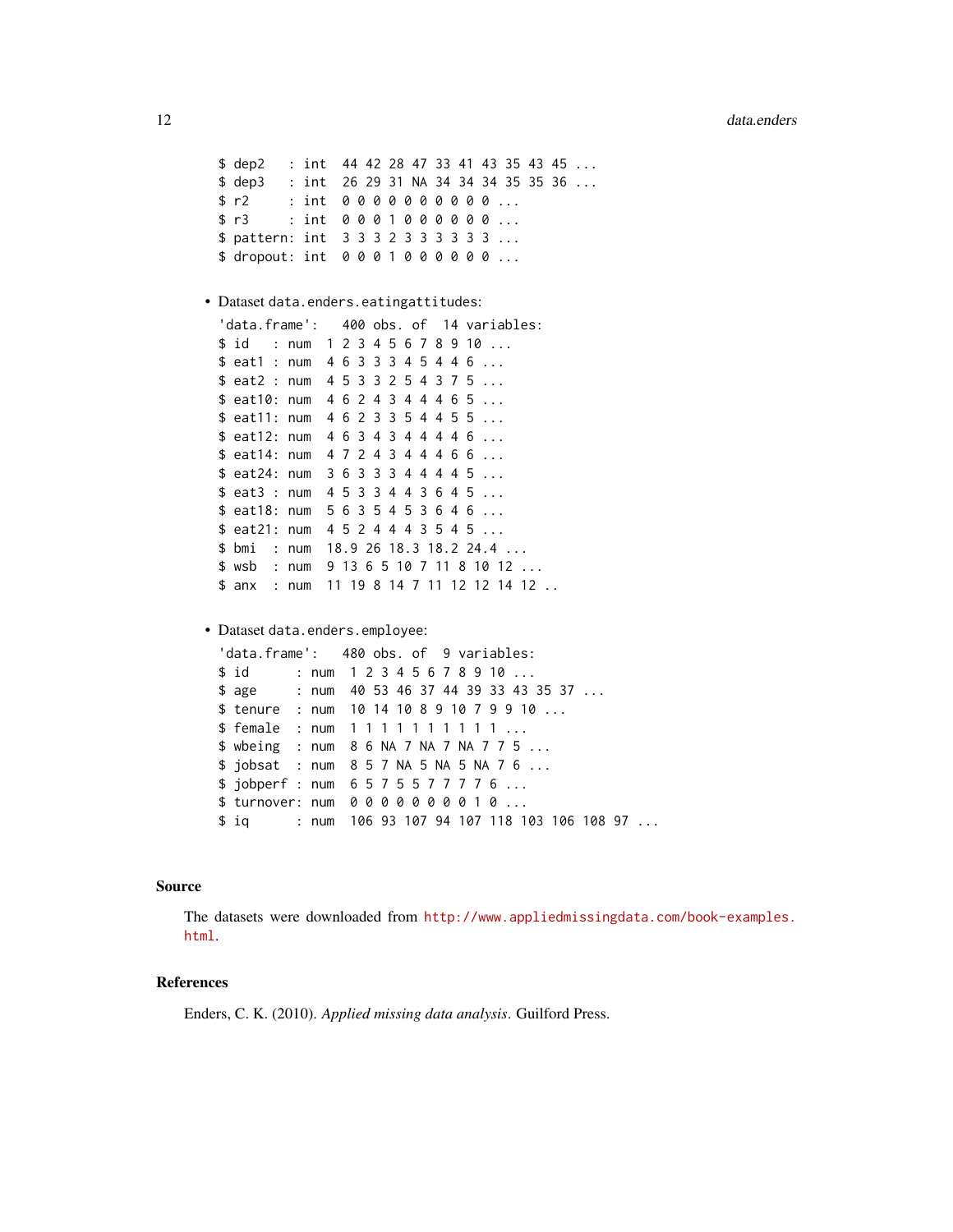```
$ dep2 : int 44 42 28 47 33 41 43 35 43 45 ...
$ dep3 : int 26 29 31 NA 34 34 34 35 35 36 ...
$ r2 : int 0 0 0 0 0 0 0 0 0 0 ...
$ r3 : int 0 0 0 1 0 0 0 0 0 0 ...
$ pattern: int 3 3 3 2 3 3 3 3 3 3 ...
$ dropout: int 0 0 0 1 0 0 0 0 0 0 ...
```
#### • Dataset data.enders.eatingattitudes:

```
'data.frame': 400 obs. of 14 variables:
$ id : num 1 2 3 4 5 6 7 8 9 10 ...
$ eat1 : num   4   6   3   3   3   4   5   4   4   6 ...
$ eat2 : num 4 5 3 3 2 5 4 3 7 5 ...
$ eat10: num  4  6  2  4  3  4  4  4  6  5 ...
$ eat11: num   4   6   2   3   3   5   4   4   5   5   ...
$ eat12: num   4  6  3  4  3  4  4  4  4  6 ...
$ eat14: num   4  7  2  4  3  4  4  4  6  6 ...
$ eat24: num 3 6 3 3 3 4 4 4 4 5 ...
$ eat3 : num  4  5  3  3  4  4  3  6  4  5 ...
$ eat18: num 5 6 3 5 4 5 3 6 4 6 ...
$ eat21: num   4  5  2  4  4  4  3  5  4  5 ...
$ bmi : num 18.9 26 18.3 18.2 24.4 ...
$ wsb : num 9 13 6 5 10 7 11 8 10 12 ...
$ anx : num 11 19 8 14 7 11 12 12 14 12 ..
```
# • Dataset data.enders.employee:

|  |  | 'data.frame': 480 obs. of 9 variables:           |
|--|--|--------------------------------------------------|
|  |  |                                                  |
|  |  | \$ age : num 40 53 46 37 44 39 33 43 35 37       |
|  |  | \$ tenure : num 10 14 10 8 9 10 7 9 9 10         |
|  |  | \$ female : num 111111111                        |
|  |  | \$ wbeing : num 8 6 NA 7 NA 7 NA 7 7 5           |
|  |  | \$ jobsat : num 8 5 7 NA 5 NA 5 NA 7 6           |
|  |  |                                                  |
|  |  |                                                  |
|  |  | \$ iq : num 106 93 107 94 107 118 103 106 108 97 |

#### Source

The datasets were downloaded from [http://www.appliedmissingdata.com/book-examples.](http://www.appliedmissingdata.com/book-examples.html) [html](http://www.appliedmissingdata.com/book-examples.html).

# References

Enders, C. K. (2010). *Applied missing data analysis*. Guilford Press.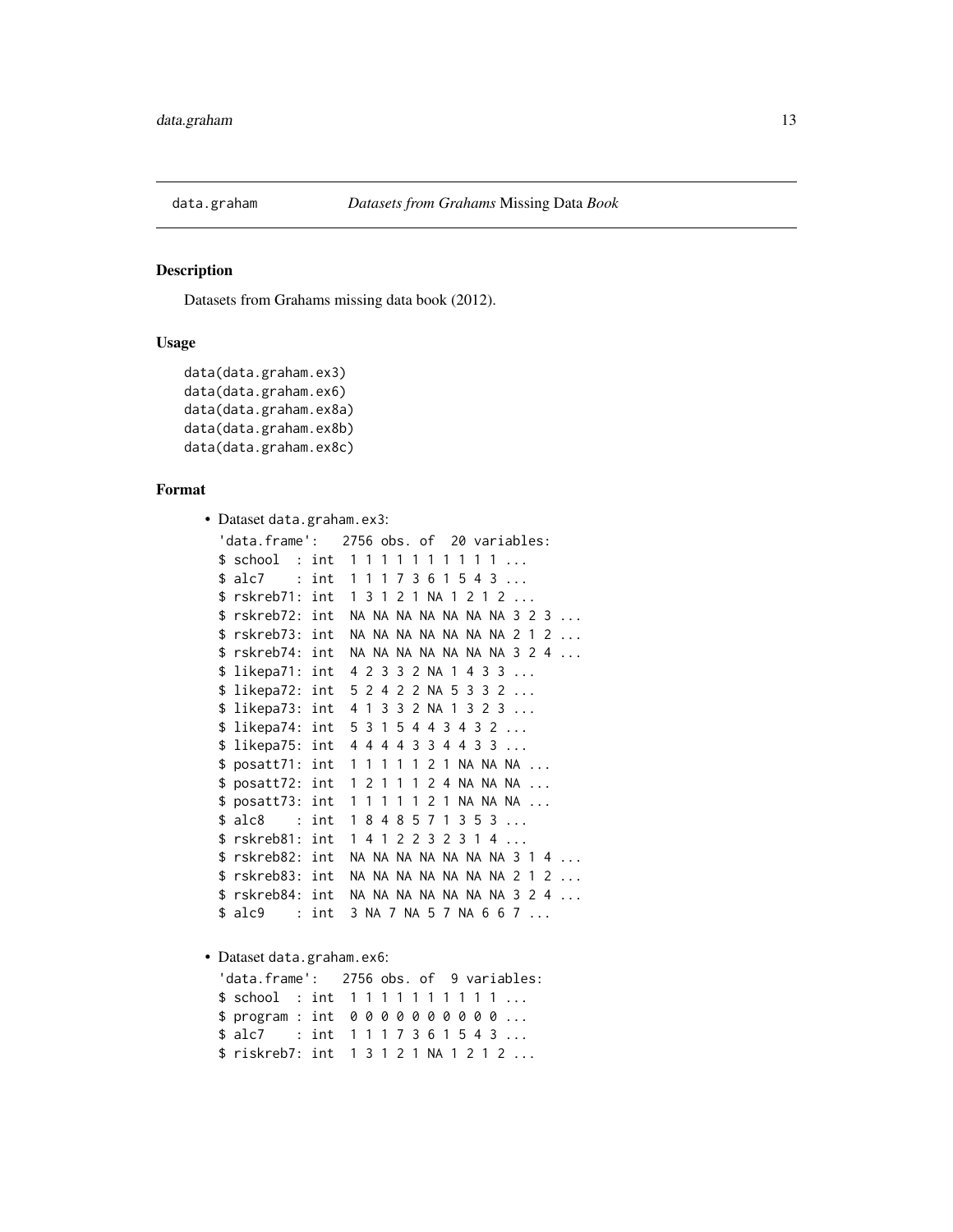<span id="page-12-0"></span>

#### Description

Datasets from Grahams missing data book (2012).

# Usage

```
data(data.graham.ex3)
data(data.graham.ex6)
data(data.graham.ex8a)
data(data.graham.ex8b)
data(data.graham.ex8c)
```
# Format

```
• Dataset data.graham.ex3:
 'data.frame': 2756 obs. of 20 variables:
 $ school: int 1 1 1 1 1 1 1 1 1 1 ...
 $ alc7 : int 1 1 1 7 3 6 1 5 4 3 ...
 $ rskreb71: int 1 3 1 2 1 NA 1 2 1 2 ...
 $ rskreb72: int NA NA NA NA NA NA NA 3 2 3 ...
 $ rskreb73: int NA NA NA NA NA NA NA 2 1 2 ...
 $ rskreb74: int NA NA NA NA NA NA NA 3 2 4 ...
 $ likepa71: int 4 2 3 3 2 NA 1 4 3 3 ...
 $ likepa72: int 5 2 4 2 2 NA 5 3 3 2 ...
 $ likepa73: int 4 1 3 3 2 NA 1 3 2 3 ...
 $ likepa74: int 5 3 1 5 4 4 3 4 3 2 ...
 $ likepa75: int 4 4 4 4 3 3 4 4 3 3 ...
 $ posatt71: int 1 1 1 1 1 2 1 NA NA NA ...
 $ posatt72: int 1 2 1 1 1 2 4 NA NA NA ...
 $ posatt73: int 1 1 1 1 1 2 1 NA NA NA ...
 $ alc8 : int 1 8 4 8 5 7 1 3 5 3 ...
 $ rskreb81: int 1 4 1 2 2 3 2 3 1 4 ...
 $ rskreb82: int NA NA NA NA NA NA NA 3 1 4 ...
 $ rskreb83: int NA NA NA NA NA NA NA 2 1 2 ...
 $ rskreb84: int NA NA NA NA NA NA NA 3 2 4 ...
 $ alc9 : int 3 NA 7 NA 5 7 NA 6 6 7 ...
• Dataset data.graham.ex6:
 'data.frame': 2756 obs. of 9 variables:
 $ school : int 1 1 1 1 1 1 1 1 1 1 ...
 $ program : int 0 0 0 0 0 0 0 0 0 0 ...
 $ alc7 : int 1 1 1 7 3 6 1 5 4 3 ...
```
\$ riskreb7: int 1 3 1 2 1 NA 1 2 1 2 ...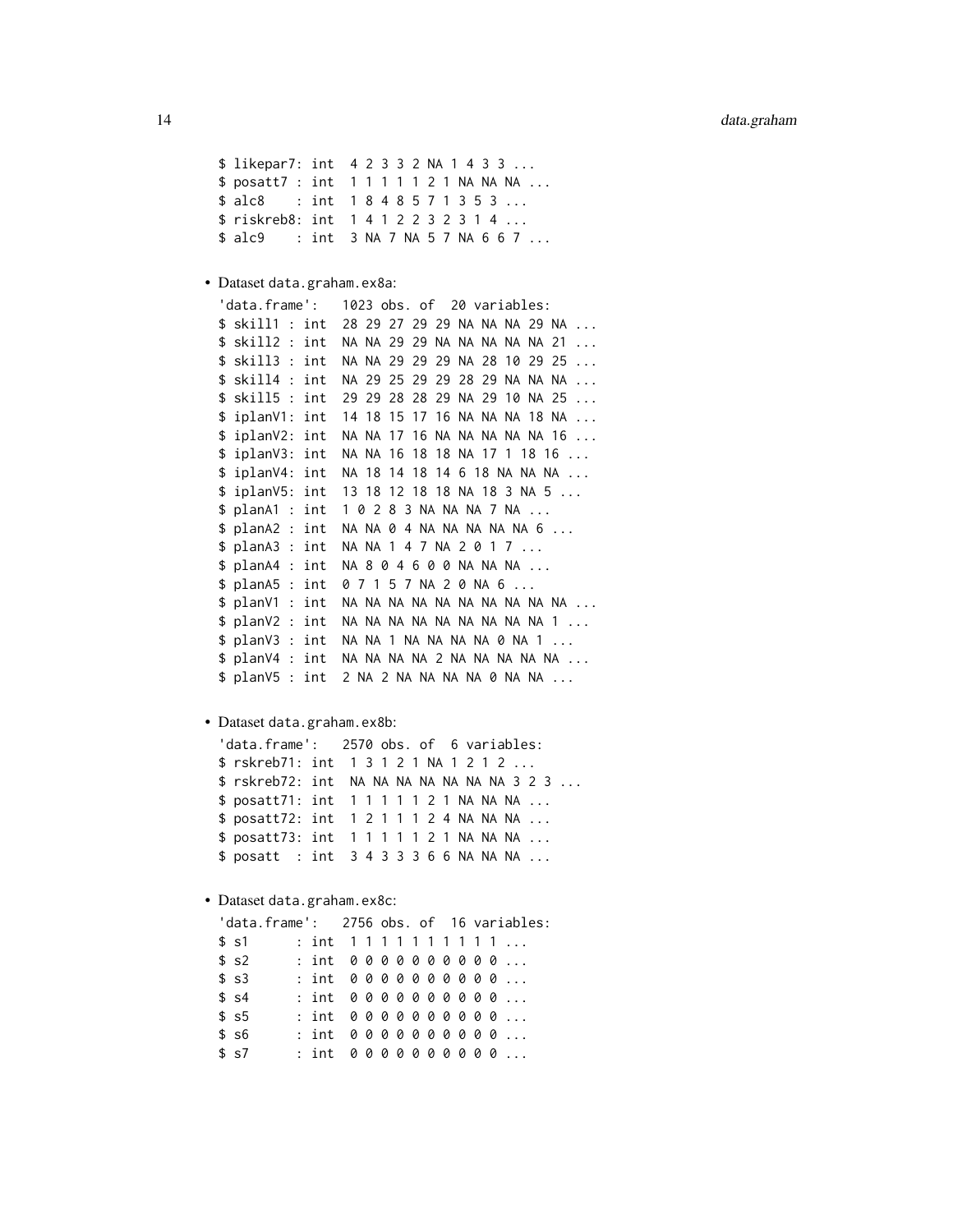```
$ likepar7: int 4 2 3 3 2 NA 1 4 3 3 ...
$ posatt7 : int 1 1 1 1 1 2 1 NA NA NA ...
$ alc8 : int 1 8 4 8 5 7 1 3 5 3 ...
$ riskreb8: int 1 4 1 2 2 3 2 3 1 4 ...
$ alc9 : int 3 NA 7 NA 5 7 NA 6 6 7 ...
```
• Dataset data.graham.ex8a:

```
'data.frame': 1023 obs. of 20 variables:
$ skill1 : int 28 29 27 29 29 NA NA NA 29 NA ...
$ skill2 : int NA NA 29 29 NA NA NA NA NA 21 ...
$ skill3 : int NA NA 29 29 29 NA 28 10 29 25 ...
$ skill4 : int NA 29 25 29 29 28 29 NA NA NA ...
$ skill5 : int 29 29 28 28 29 NA 29 10 NA 25 ...
$ iplanV1: int 14 18 15 17 16 NA NA NA 18 NA ...
$ iplanV2: int NA NA 17 16 NA NA NA NA NA 16 ...
$ iplanV3: int NA NA 16 18 18 NA 17 1 18 16 ...
$ iplanV4: int NA 18 14 18 14 6 18 NA NA NA ...
$ iplanV5: int 13 18 12 18 18 NA 18 3 NA 5 ...
$ planA1 : int 1 0 2 8 3 NA NA NA 7 NA ...
$ planA2 : int NA NA 0 4 NA NA NA NA NA 6 ...
$ planA3 : int NA NA 1 4 7 NA 2 0 1 7 ...
$ planA4 : int NA 8 0 4 6 0 0 NA NA NA ...
$ planA5 : int 0 7 1 5 7 NA 2 0 NA 6 ...
$ planV1 : int NA NA NA NA NA NA NA NA NA NA ...
$ planV2 : int NA NA NA NA NA NA NA NA NA 1 ...
$ planV3 : int NA NA 1 NA NA NA NA 0 NA 1 ...
$ planV4 : int NA NA NA NA 2 NA NA NA NA NA ...
$ planV5 : int 2 NA 2 NA NA NA NA 0 NA NA ...
```
• Dataset data.graham.ex8b:

```
'data.frame': 2570 obs. of 6 variables:
$ rskreb71: int 1 3 1 2 1 NA 1 2 1 2 ...
$ rskreb72: int NA NA NA NA NA NA NA 3 2 3 ...
$ posatt71: int 1 1 1 1 1 2 1 NA NA NA ...
$ posatt72: int 1 2 1 1 1 2 4 NA NA NA ...
$ posatt73: int 1 1 1 1 1 2 1 NA NA NA ...
$ posatt : int 3 4 3 3 3 6 6 NA NA NA ...
```
• Dataset data.graham.ex8c:

| 'data.frame': 2756 obs. of 16 variables: |                    |  |  |  |  |  |  |
|------------------------------------------|--------------------|--|--|--|--|--|--|
| \$ s1                                    | : int $111111111$  |  |  |  |  |  |  |
| \$ s2                                    | $:$ int 0000000000 |  |  |  |  |  |  |
| \$~s3                                    | $:$ int 0000000000 |  |  |  |  |  |  |
| \$s4                                     | $:$ int 0000000000 |  |  |  |  |  |  |
| \$~s5                                    | $:$ int 0000000000 |  |  |  |  |  |  |
| \$ s6                                    | $:$ int 0000000000 |  |  |  |  |  |  |
| \$~s7                                    | $:$ int 0000000000 |  |  |  |  |  |  |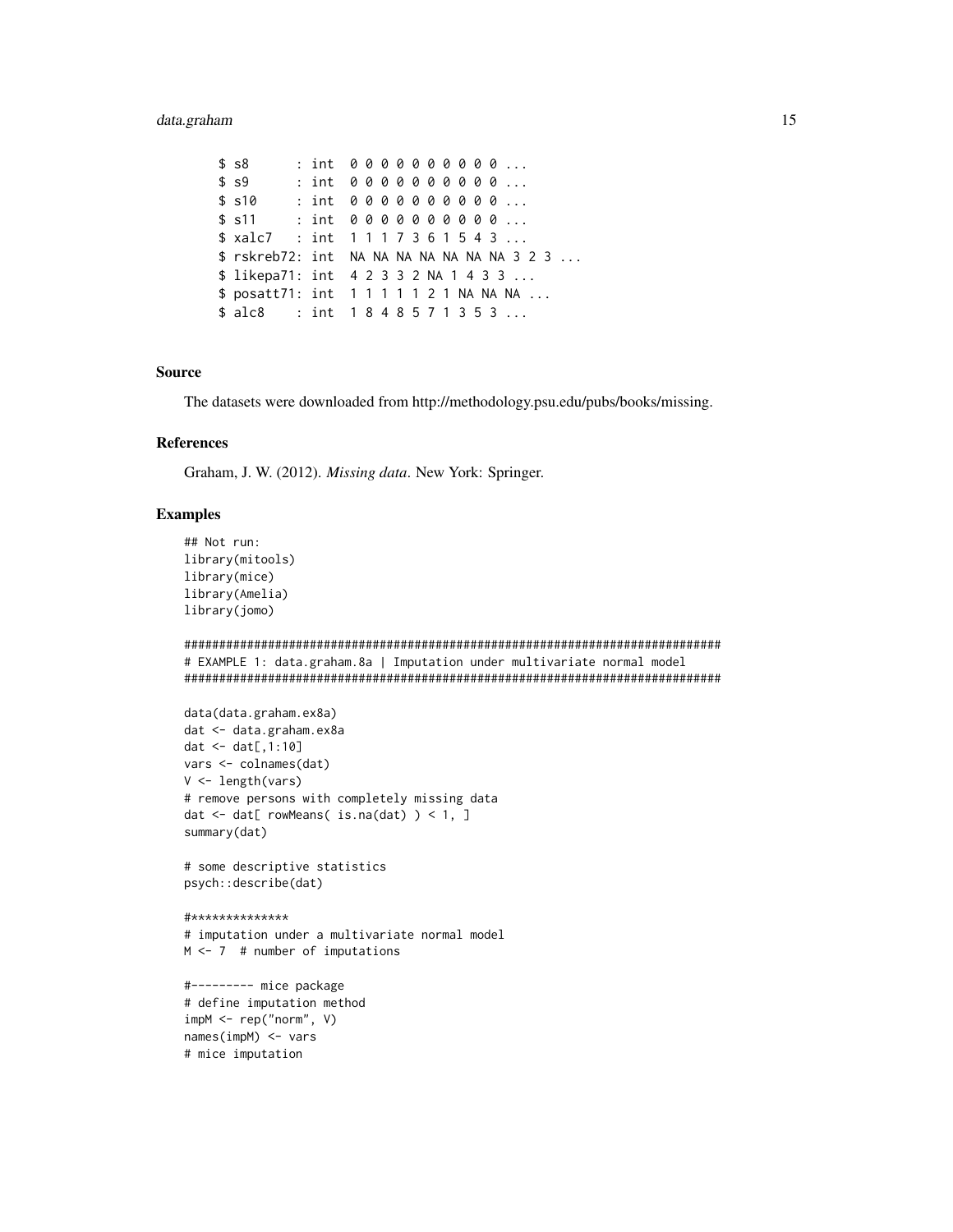# data.graham

```
$s8: int 0000000000...
      : int 0000000000...
$S: int 0000000000...
$sl0$s11: int 0000000000...
$ xalc7 : int 1117361543 ...
$ rskreb72: int NA NA NA NA NA NA NA 3 2 3 ...
$ likepa71: int 4 2 3 3 2 NA 1 4 3 3 ...
$ posatt71: int 1 1 1 1 1 2 1 NA NA NA ...
$alc8 : int 1848571353...
```
#### **Source**

The datasets were downloaded from http://methodology.psu.edu/pubs/books/missing.

#### **References**

Graham, J. W. (2012). Missing data. New York: Springer.

# **Examples**

```
## Not run:
library(mitools)
library(mice)
library(Amelia)
library(jomo)
# EXAMPLE 1: data.graham.8a | Imputation under multivariate normal model
data(data.graham.ex8a)
dat <- data.graham.ex8a
dat < - dat[, 1:10]vars <- colnames(dat)
V \leftarrow length(vars)
# remove persons with completely missing data
dat <- dat[ rowMeans( is.na(dat) ) < 1, ]
summary(dat)
# some descriptive statistics
psych::describe(dat)
#**************
# imputation under a multivariate normal model
M \le -7 # number of imputations
#--------- mice package
# define imputation method
impM < - rep('norm", V)names(impM) <- vars
# mice imputation
```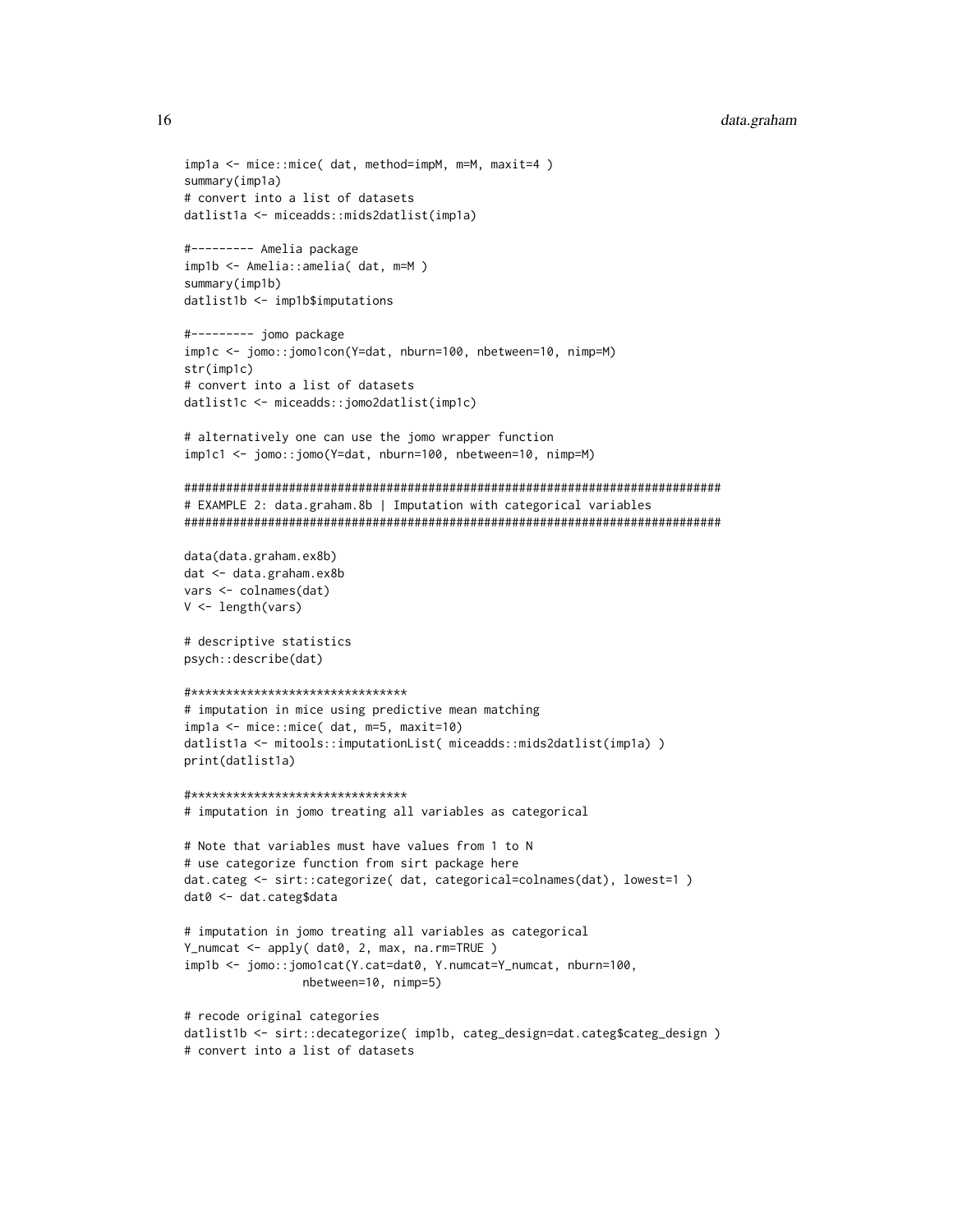```
data.graham
```

```
impla <- mice::mice( dat, method=impM, m=M, maxit=4)
summary(impla)
# convert into a list of datasets
datlist1a <- miceadds::mids2datlist(imp1a)
#--------- Amelia package
imp1b <- Amelia::amelia(dat, m=M)
summary(imp1b)
datlist1b <- imp1b$imputations
#--------- jomo package
imp1c <- jomo::jomo1con(Y=dat, nburn=100, nbetween=10, nimp=M)
str(imp1c)# convert into a list of datasets
datlist1c <- miceadds::jomo2datlist(imp1c)
# alternatively one can use the jomo wrapper function
imp1c1 <- jomo::jomo(Y=dat, nburn=100, nbetween=10, nimp=M)
# EXAMPLE 2: data.graham.8b | Imputation with categorical variables
data(data.graham.ex8b)
dat <- data.graham.ex8b
vars <- colnames(dat)
V \leftarrow \text{length}(vars)# descriptive statistics
psych::describe(dat)
#********************************
# imputation in mice using predictive mean matching
imp1a \leq mice::mice( dat, m=5, maxit=10)datlist1a <- mitools::imputationList( miceadds::mids2datlist(imp1a) )
print(datlist1a)
#*******************************
# imputation in jomo treating all variables as categorical
# Note that variables must have values from 1 to N
# use categorize function from sirt package here
dat.categ <- sirt::categorize( dat, categorical=colnames(dat), lowest=1 )
dat0 <- dat.categ$data
# imputation in jomo treating all variables as categorical
Y_numcat <- apply( dat0, 2, max, na.rm=TRUE )
imp1b <- jomo::jomo1cat(Y.cat=dat0, Y.numcat=Y_numcat, nburn=100,
               nbetween=10, nimp=5)
# recode original categories
datlist1b <- sirt::decategorize( imp1b, categ_design=dat.categ$categ_design)
# convert into a list of datasets
```
16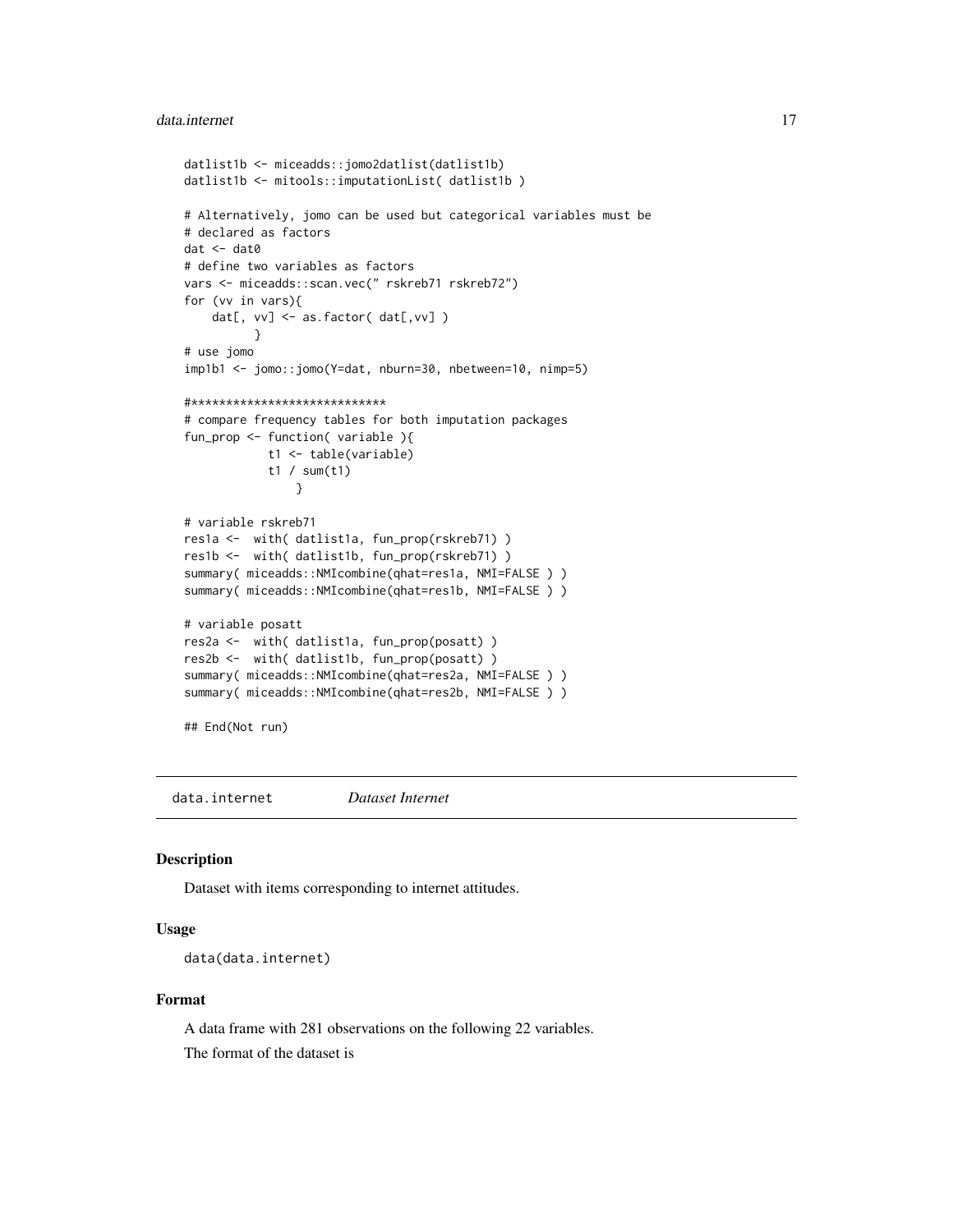#### <span id="page-16-0"></span>data.internet 17

```
datlist1b <- miceadds::jomo2datlist(datlist1b)
datlist1b <- mitools::imputationList( datlist1b )
# Alternatively, jomo can be used but categorical variables must be
# declared as factors
dat <- dat0
# define two variables as factors
vars <- miceadds::scan.vec(" rskreb71 rskreb72")
for (vv in vars){
    dat[, vv] <- as.factor( dat[, vv] )
          }
# use jomo
imp1b1 <- jomo::jomo(Y=dat, nburn=30, nbetween=10, nimp=5)
#****************************
# compare frequency tables for both imputation packages
fun_prop <- function( variable ){
            t1 <- table(variable)
            t1 / sum(t1)
                }
# variable rskreb71
res1a <- with( datlist1a, fun_prop(rskreb71) )
res1b <- with( datlist1b, fun_prop(rskreb71) )
summary( miceadds::NMIcombine(qhat=res1a, NMI=FALSE ) )
summary( miceadds::NMIcombine(qhat=res1b, NMI=FALSE ) )
# variable posatt
res2a <- with( datlist1a, fun_prop(posatt) )
res2b <- with( datlist1b, fun_prop(posatt) )
summary( miceadds::NMIcombine(qhat=res2a, NMI=FALSE ) )
summary( miceadds::NMIcombine(qhat=res2b, NMI=FALSE ) )
## End(Not run)
```
data.internet *Dataset Internet*

#### Description

Dataset with items corresponding to internet attitudes.

# Usage

```
data(data.internet)
```
# Format

A data frame with 281 observations on the following 22 variables. The format of the dataset is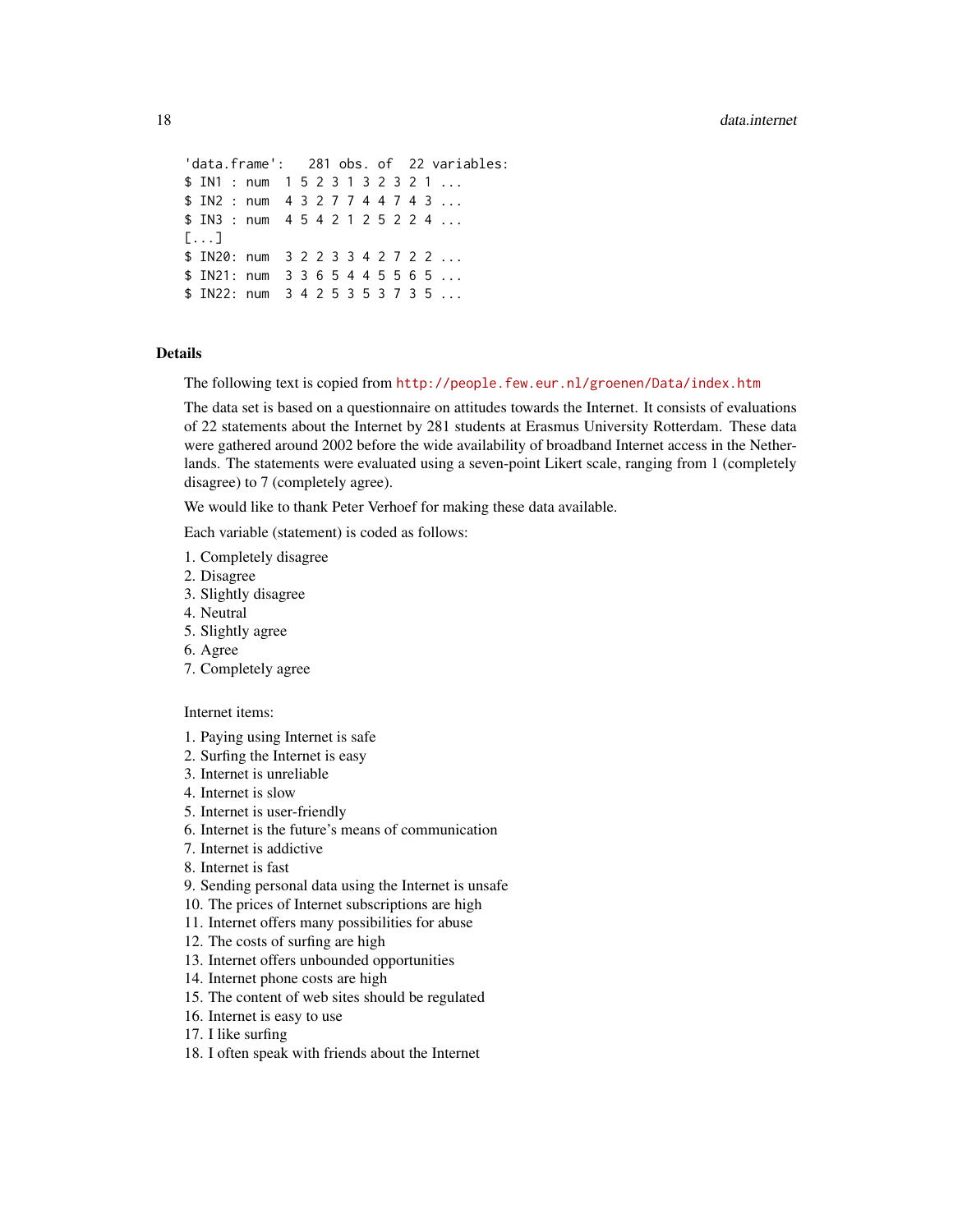```
'data.frame': 281 obs. of 22 variables:
$ IN1 : num 1 5 2 3 1 3 2 3 2 1 ...
$ IN2 : num   4  3  2  7  7  4  4  7  4  3 ...
$ IN3 : num   4  5  4  2  1  2  5  2  2  4 ...
[...]
$ IN20: num 3 2 2 3 3 4 2 7 2 2 ...
$ IN21: num 3 3 6 5 4 4 5 5 6 5 ...
$ IN22: num 3 4 2 5 3 5 3 7 3 5 ...
```
# Details

The following text is copied from <http://people.few.eur.nl/groenen/Data/index.htm>

The data set is based on a questionnaire on attitudes towards the Internet. It consists of evaluations of 22 statements about the Internet by 281 students at Erasmus University Rotterdam. These data were gathered around 2002 before the wide availability of broadband Internet access in the Netherlands. The statements were evaluated using a seven-point Likert scale, ranging from 1 (completely disagree) to 7 (completely agree).

We would like to thank Peter Verhoef for making these data available.

Each variable (statement) is coded as follows:

- 1. Completely disagree
- 2. Disagree
- 3. Slightly disagree
- 4. Neutral
- 5. Slightly agree
- 6. Agree
- 7. Completely agree

# Internet items:

- 1. Paying using Internet is safe
- 2. Surfing the Internet is easy
- 3. Internet is unreliable
- 4. Internet is slow
- 5. Internet is user-friendly
- 6. Internet is the future's means of communication
- 7. Internet is addictive
- 8. Internet is fast
- 9. Sending personal data using the Internet is unsafe
- 10. The prices of Internet subscriptions are high
- 11. Internet offers many possibilities for abuse
- 12. The costs of surfing are high
- 13. Internet offers unbounded opportunities
- 14. Internet phone costs are high
- 15. The content of web sites should be regulated
- 16. Internet is easy to use
- 17. I like surfing
- 18. I often speak with friends about the Internet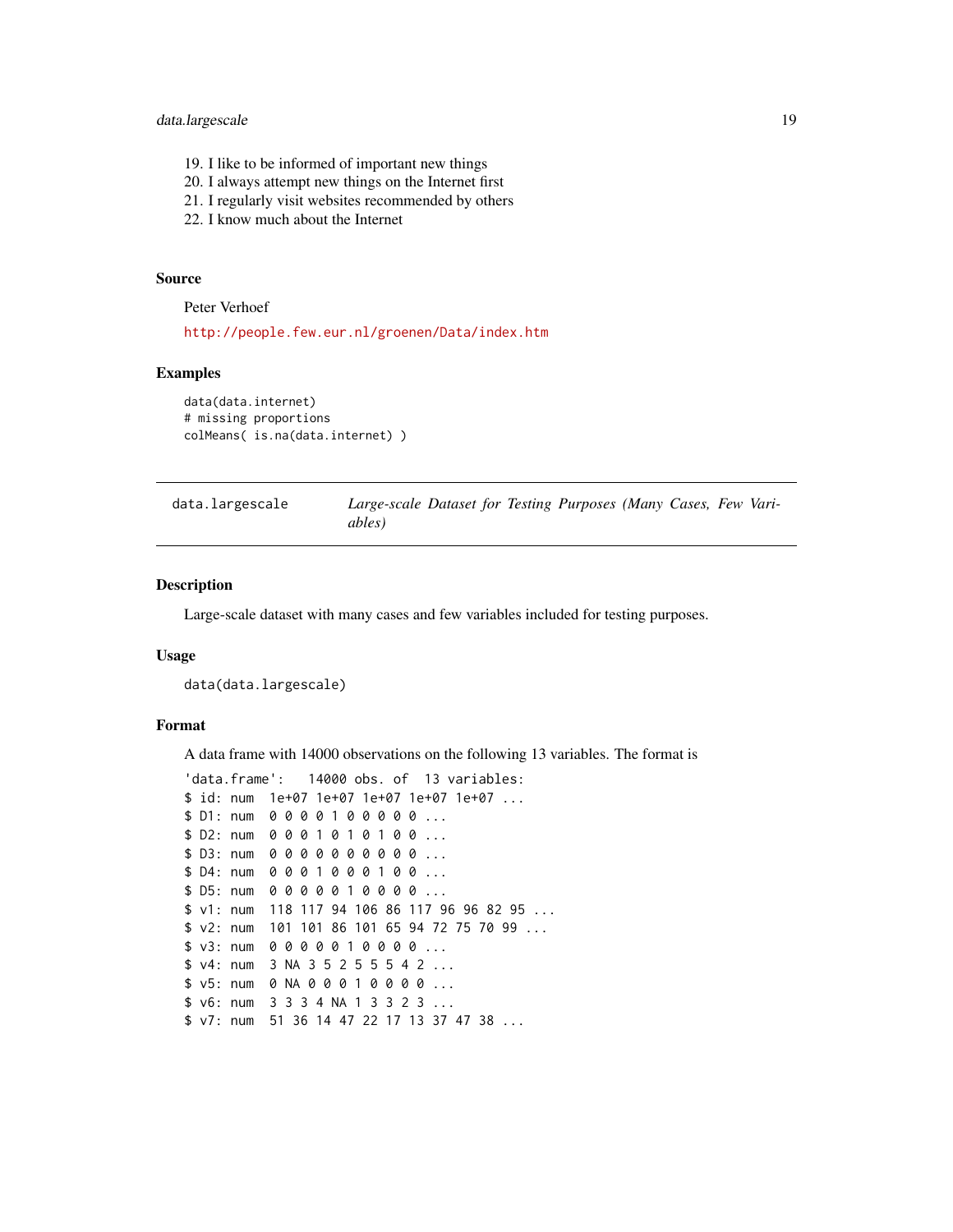# <span id="page-18-0"></span>data.largescale 19

- 19. I like to be informed of important new things
- 20. I always attempt new things on the Internet first
- 21. I regularly visit websites recommended by others
- 22. I know much about the Internet

#### Source

Peter Verhoef

<http://people.few.eur.nl/groenen/Data/index.htm>

#### Examples

```
data(data.internet)
# missing proportions
colMeans( is.na(data.internet) )
```

| data.largescale | Large-scale Dataset for Testing Purposes (Many Cases, Few Vari- |  |  |  |  |
|-----------------|-----------------------------------------------------------------|--|--|--|--|
|                 | ables)                                                          |  |  |  |  |

# Description

Large-scale dataset with many cases and few variables included for testing purposes.

#### Usage

```
data(data.largescale)
```
#### Format

A data frame with 14000 observations on the following 13 variables. The format is

```
'data.frame': 14000 obs. of 13 variables:
$ id: num 1e+07 1e+07 1e+07 1e+07 1e+07 ...
$ D1: num 0 0 0 0 1 0 0 0 0 0 ...
$ D2: num 0 0 0 1 0 1 0 1 0 0 ...
$ D3: num 0 0 0 0 0 0 0 0 0 0 ...
$ D4: num 0 0 0 1 0 0 0 1 0 0 ...
$ D5: num 0 0 0 0 0 1 0 0 0 0 ...
$ v1: num 118 117 94 106 86 117 96 96 82 95 ...
$ v2: num 101 101 86 101 65 94 72 75 70 99 ...
$ v3: num 0 0 0 0 0 1 0 0 0 0 ...
$ v4: num 3 NA 3 5 2 5 5 5 4 2 ...
$ v5: num 0 NA 0 0 0 1 0 0 0 0 ...
$ v6: num 3 3 3 4 NA 1 3 3 2 3 ...
$ v7: num 51 36 14 47 22 17 13 37 47 38 ...
```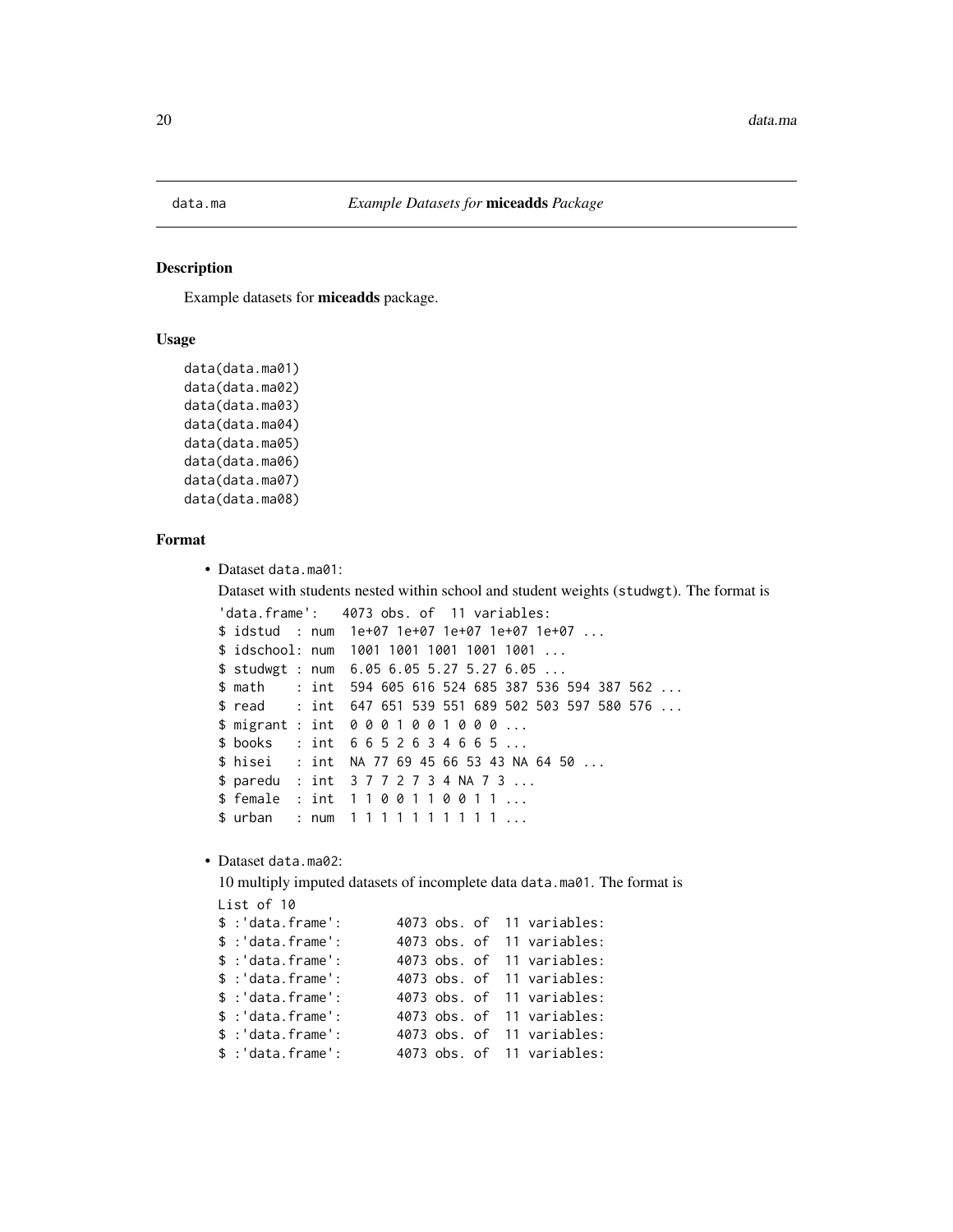<span id="page-19-0"></span>data.ma

#### **Description**

Example datasets for miceadds package.

#### **Usage**

```
data(data.ma01)
data(data.ma02)
data(data.ma03)
data(data.ma04)
data(data.ma05)
data(data.ma06)
data(data.ma07)
data(data.ma08)
```
# Format

```
• Dataset data.ma01:
```
Dataset with students nested within school and student weights (studwgt). The format is

```
'data.frame':
              4073 obs. of 11 variables:
$ idstud : num 1e+07 1e+07 1e+07 1e+07 1e+07 ...
$ idschool: num 1001 1001 1001 1001 1001 ...
$ studwgt : num 6.05 6.05 5.27 5.27 6.05 ...
$ math
        : int 594 605 616 524 685 387 536 594 387 562 ...
        : int 647 651 539 551 689 502 503 597 580 576 ...
$ read
$ migrant : int 0001001000 ...
$ books : int 6652634665...
        : int NA 77 69 45 66 53 43 NA 64 50 ...
$ hisei
$ paredu : int 3 7 7 2 7 3 4 NA 7 3 ...
$ female : int 1100110011...
$ urban
        : num 1111111111...
```
• Dataset data.ma02:

10 multiply imputed datasets of incomplete data data.ma01. The format is

```
List of 10
$ : 'data-frame':4073 obs. of 11 variables:
$ : 'data-frame':4073 obs. of 11 variables:
$ : 'data-frame':4073 obs. of 11 variables:
$ : 'data frame':4073 obs. of 11 variables:
$ : 'data-frame':4073 obs. of 11 variables:
$ : 'data-frame':4073 obs. of 11 variables:
$ : 'data-frame':4073 obs. of 11 variables:
$ : 'data-frame':4073 obs. of 11 variables:
```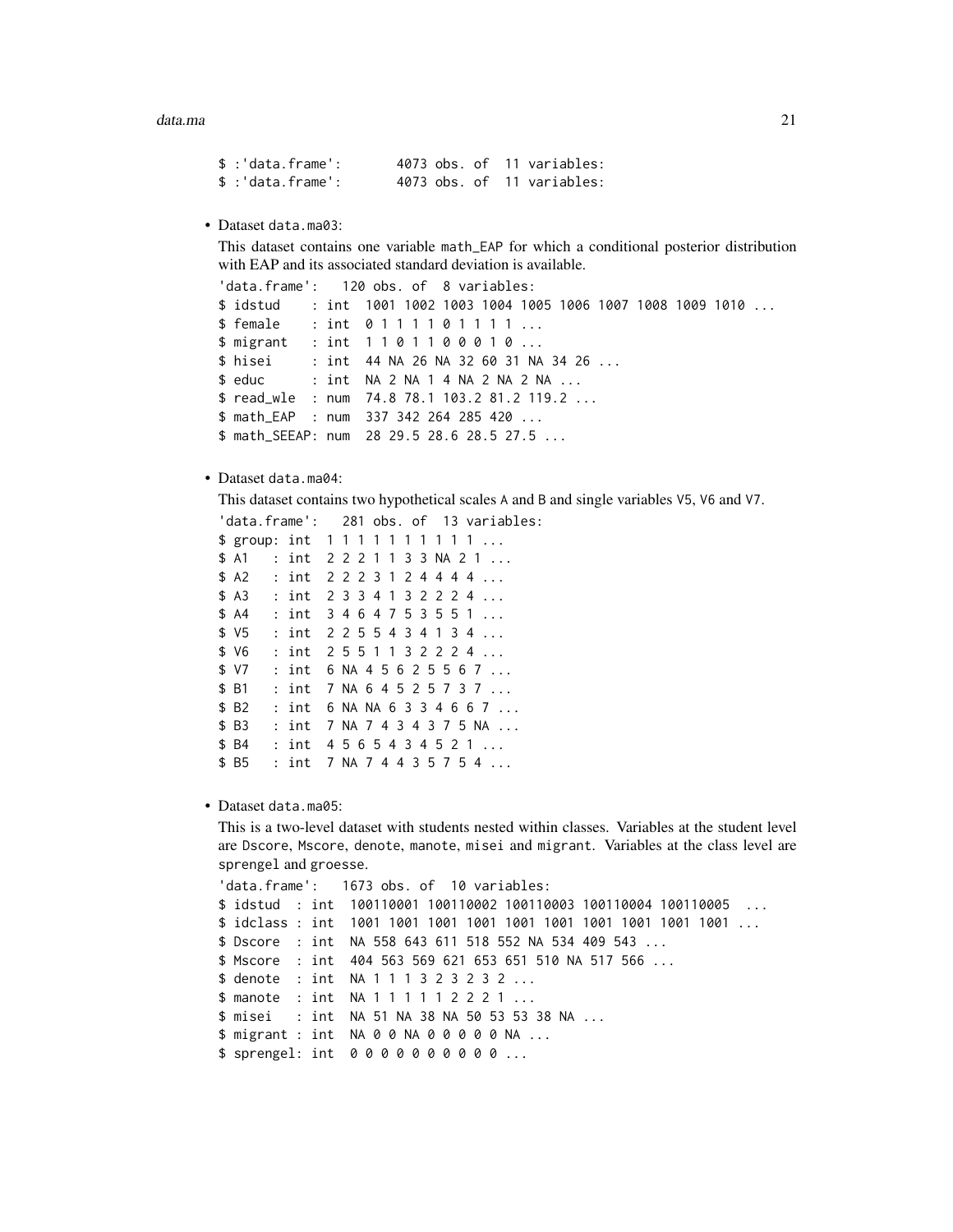| \$ :'data.frame':  |  |  | 4073 obs. of 11 variables: |
|--------------------|--|--|----------------------------|
| $$$ :'data.frame': |  |  | 4073 obs. of 11 variables: |

• Dataset data.ma03:

This dataset contains one variable math\_EAP for which a conditional posterior distribution with EAP and its associated standard deviation is available.

```
120 obs. of 8 variables:
'data.frame':
$ idstud
        : int 1001 1002 1003 1004 1005 1006 1007 1008 1009 1010 ...
$ female
          : int 0111101111...
$ migrant : int 1101100010 ...
$ hisei
          : int 44 NA 26 NA 32 60 31 NA 34 26 ...
$ educ
          : int NA 2 NA 1 4 NA 2 NA 2 NA ...
$ read_wle : num 74.8 78.1 103.2 81.2 119.2 ...
$ math_EAP : num 337 342 264 285 420 ...
$ math_SEEAP: num 28 29.5 28.6 28.5 27.5 ...
```
• Dataset data.ma04:

This dataset contains two hypothetical scales A and B and single variables V5, V6 and V7.

```
'data.frame': 281 obs. of 13 variables:
$ group: int 1111111111...
$A1: int 2 2 2 1 1 3 3 NA 2 1 \dots$A2: int 2223124444...$A3: int 2334132224...$AA: int 3464753551 ...
     : int 2255434134 ...
$V5$ V6
    : int 2551132224...$ V7
     : int 6 NA 4 5 6 2 5 5 6 7 ...
$B1: int 7 NA 6 4 5 2 5 7 3 7 ...
    : int 6 NA NA 6 3 3 4 6 6 7 ...
SB2SB3: int 7 NA 7 4 3 4 3 7 5 NA ...
$B4: int 4565434521...$B5: int 7 NA 7 4 4 3 5 7 5 4 ...
```
• Dataset data.ma05:

This is a two-level dataset with students nested within classes. Variables at the student level are Dscore, Mscore, denote, manote, misei and migrant. Variables at the class level are sprengel and groesse.

```
'data.frame':
            1673 obs. of 10 variables:
$ idstud : int 100110001 100110002 100110003 100110004 100110005 ...
$ Dscore : int NA 558 643 611 518 552 NA 534 409 543 ...
$ Mscore : int 404 563 569 621 653 651 510 NA 517 566 ...
$ denote : int NA 1 1 1 3 2 3 2 3 2 ...
$ manote : int NA 1 1 1 1 1 2 2 2 1 ...
$ misei : int NA 51 NA 38 NA 50 53 53 38 NA ...
$ migrant : int NA 0 0 NA 0 0 0 0 0 NA ...
$ sprengel: int 0000000000...
```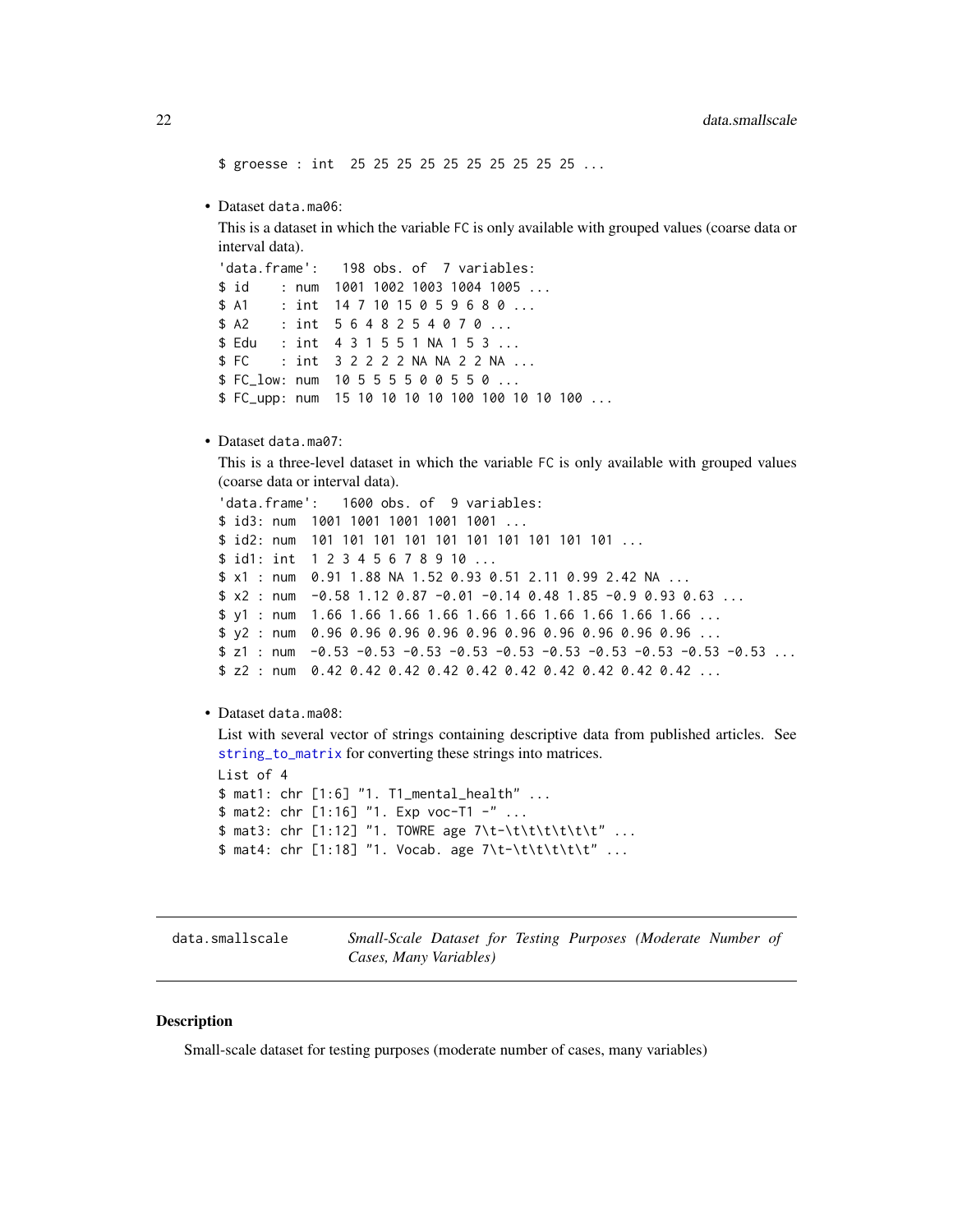<span id="page-21-0"></span>\$ groesse : int 25 25 25 25 25 25 25 25 25 25 ...

• Dataset data.ma06:

This is a dataset in which the variable FC is only available with grouped values (coarse data or interval data).

'data.frame': 198 obs. of 7 variables:  $$id$  $:$  num 1001 1002 1003 1004 1005 ...  $$A1$ : int 14 7 10 15 0 5 9 6 8 0 ...  $$A2$ : int  $5648254070...$ \$ Edu : int 4 3 1 5 5 1 NA 1 5 3 ...  $$FC$ : int 3 2 2 2 2 NA NA 2 2 NA ... \$ FC\_low: num 10 5 5 5 5 0 0 5 5 0 ... \$ FC\_upp: num 15 10 10 10 10 100 100 10 10 100 ...

• Dataset data.ma07:

This is a three-level dataset in which the variable FC is only available with grouped values (coarse data or interval data).

```
'data.frame':
          1600 obs. of 9 variables:
$ id3: num 1001 1001 1001 1001 1001 ...
$ id1: int 1 2 3 4 5 6 7 8 9 10 ...
$ x1 : num 0.91 1.88 NA 1.52 0.93 0.51 2.11 0.99 2.42 NA ...
$ x2 : num -0.58 1.12 0.87 -0.01 -0.14 0.48 1.85 -0.9 0.93 0.63 ...
$ z1 : num -0.53 -0.53 -0.53 -0.53 -0.53 -0.53 -0.53 -0.53 -0.53 -0.53 ...
$ z2 : num 0.42 0.42 0.42 0.42 0.42 0.42 0.42 0.42 0.42 0.42 0.42 \dots
```
#### • Dataset data.ma08:

List with several vector of strings containing descriptive data from published articles. See string\_to\_matrix for converting these strings into matrices.

```
List of 4
$ mat1: chr [1:6] "1. T1_mental_health" ...
$ mat2: chr [1:16] "1. Exp voc-T1 -" ...
$ mat3: chr [1:12] "1. TOWRE age 7\t-\t\t\t\t\t\t" ...
$ mat4: chr [1:18] "1. Vocab. age 7\t-\t\t\t\t\t" ...
```
data.smallscale

Small-Scale Dataset for Testing Purposes (Moderate Number of Cases, Many Variables)

# **Description**

Small-scale dataset for testing purposes (moderate number of cases, many variables)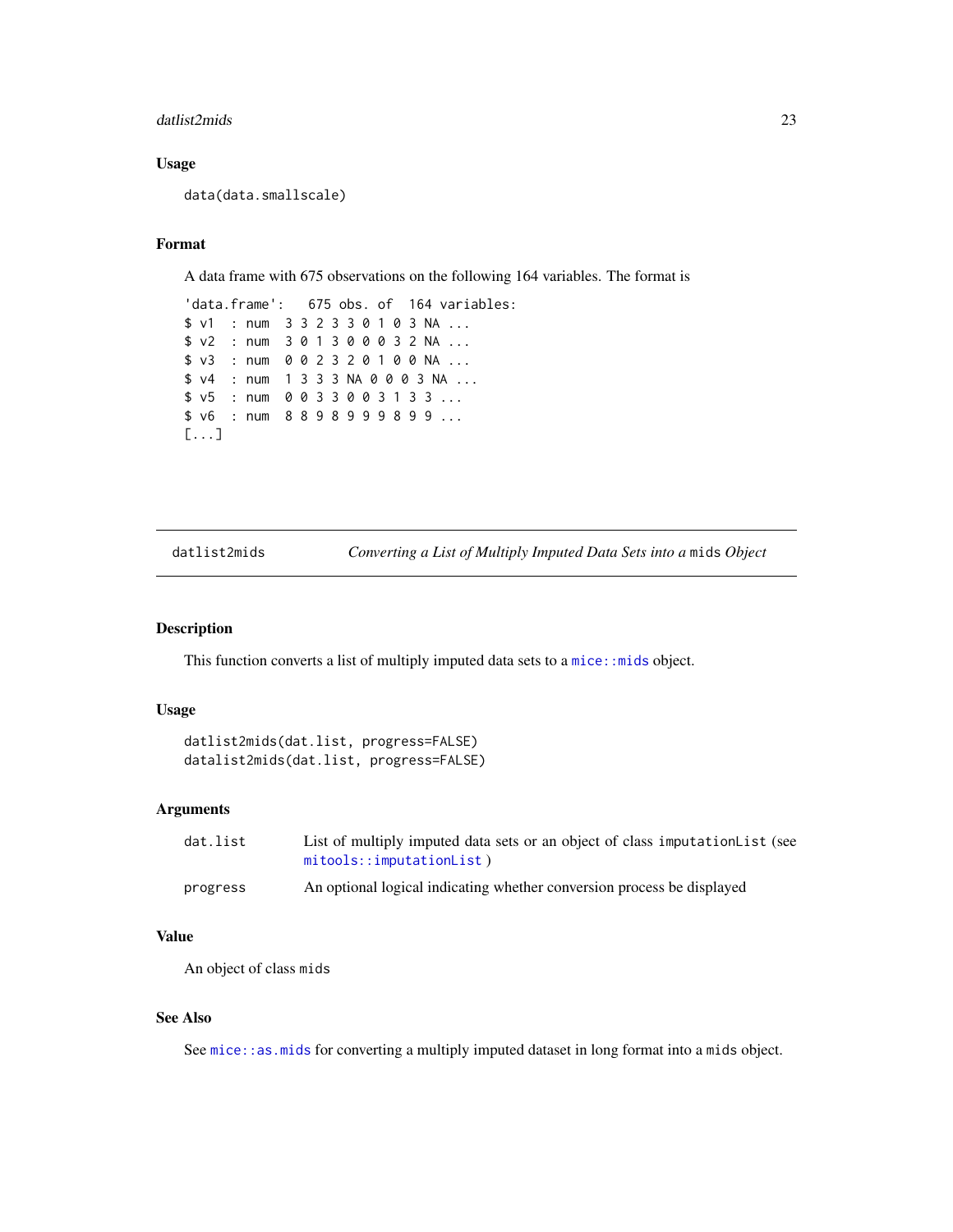#### <span id="page-22-0"></span>datlist2mids 23

# Usage

data(data.smallscale)

# Format

A data frame with 675 observations on the following 164 variables. The format is

'data.frame': 675 obs. of 164 variables: \$ v1 : num 3 3 2 3 3 0 1 0 3 NA ... \$ v2 : num 3 0 1 3 0 0 0 3 2 NA ... \$ v3 : num 0 0 2 3 2 0 1 0 0 NA ... \$ v4 : num 1 3 3 3 NA 0 0 0 3 NA ... \$ v5 : num 0 0 3 3 0 0 3 1 3 3 ... \$ v6 : num 8 8 9 8 9 9 9 8 9 9 ... [...]

datlist2mids *Converting a List of Multiply Imputed Data Sets into a* mids *Object*

#### Description

This function converts a list of multiply imputed data sets to a  $mice$ : mids object.

#### Usage

```
datlist2mids(dat.list, progress=FALSE)
datalist2mids(dat.list, progress=FALSE)
```
# Arguments

| dat.list | List of multiply imputed data sets or an object of class imputation List (see<br>mitools::imputationList) |
|----------|-----------------------------------------------------------------------------------------------------------|
| progress | An optional logical indicating whether conversion process be displayed                                    |

#### Value

An object of class mids

# See Also

See [mice::as.mids](#page-0-0) for converting a multiply imputed dataset in long format into a mids object.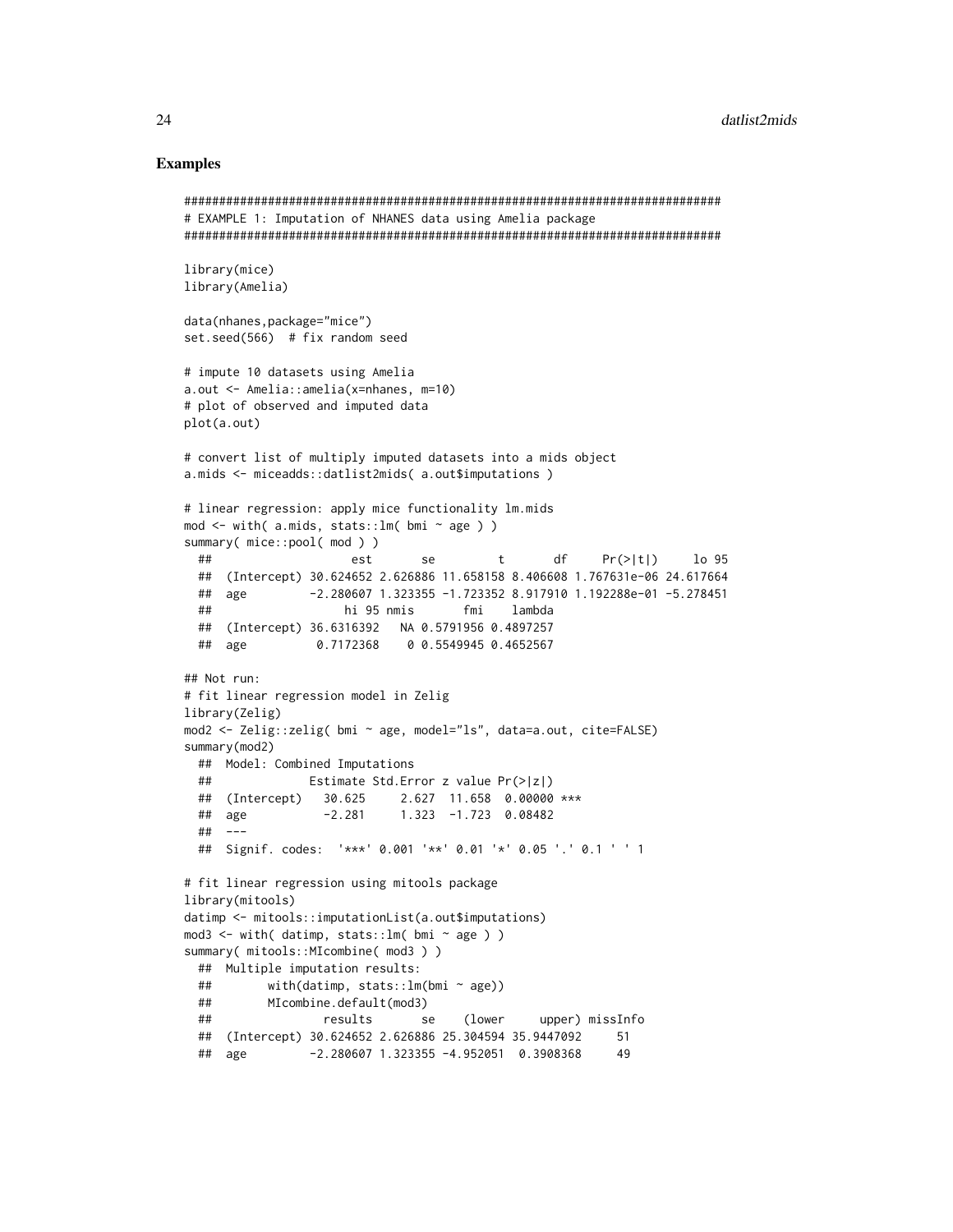# **Examples**

```
# EXAMPLE 1: Imputation of NHANES data using Amelia package
library(mice)
library(Amelia)
data(nhanes, package="mice")
set.seed(566) # fix random seed
# impute 10 datasets using Amelia
a.out \leq - Amelia::amelia(x=nhanes, m=10)# plot of observed and imputed data
plot(a.out)# convert list of multiply imputed datasets into a mids object
a.mids <- miceadds::datlist2mids( a.out$imputations )
# linear regression: apply mice functionality lm.mids
mod <- with( a.mids, stats::lm( bmi ~ age ) )
summary( mice::pool( mod ) )
 \# \#se
                                      tdfPr(> |t|)lo 95
                    est
 ## (Intercept) 30.624652 2.626886 11.658158 8.406608 1.767631e-06 24.617664
 ## age
               -2.280607 1.323355 -1.723352 8.917910 1.192288e-01 -5.278451
 ##hi 95 nmis
                                  fmi
                                       lambda
 ## (Intercept) 36.6316392 NA 0.5791956 0.4897257
 ## age
                ## Not run:
# fit linear regression model in Zelig
library(Zelig)
mod2 <- Zelig::zelig( bmi ~ age, model="ls", data=a.out, cite=FALSE)
summary(mod2)
 ## Model: Combined Imputations
 ##Estimate Std. Error z value Pr(>|z|)
 ## (Intercept) 30.625 2.627 11.658 0.00000 ***
 ## age
                 -2.2811.323 -1.723 0.08482
 ## ---## Signif. codes: '***' 0.001 '**' 0.01 '*' 0.05 '.' 0.1 ' ' 1
# fit linear regression using mitools package
library(mitools)
datimp <- mitools::imputationList(a.out$imputations)
mod3 <- with( datimp, stats::lm( bmi ~ age ) )
summary( mitools::MIcombine( mod3 ) )
 ## Multiple imputation results:
          with(datimp, stats:: lm(bmi ~ age))
 ####MIcombine.default(mod3)
 ##results
                                            upper) missInfo
                            se
                                   (lower
 ## (Intercept) 30.624652 2.626886 25.304594 35.9447092
                                                      51## age
               -2.280607 1.323355 -4.952051 0.3908368
                                                      49
```
24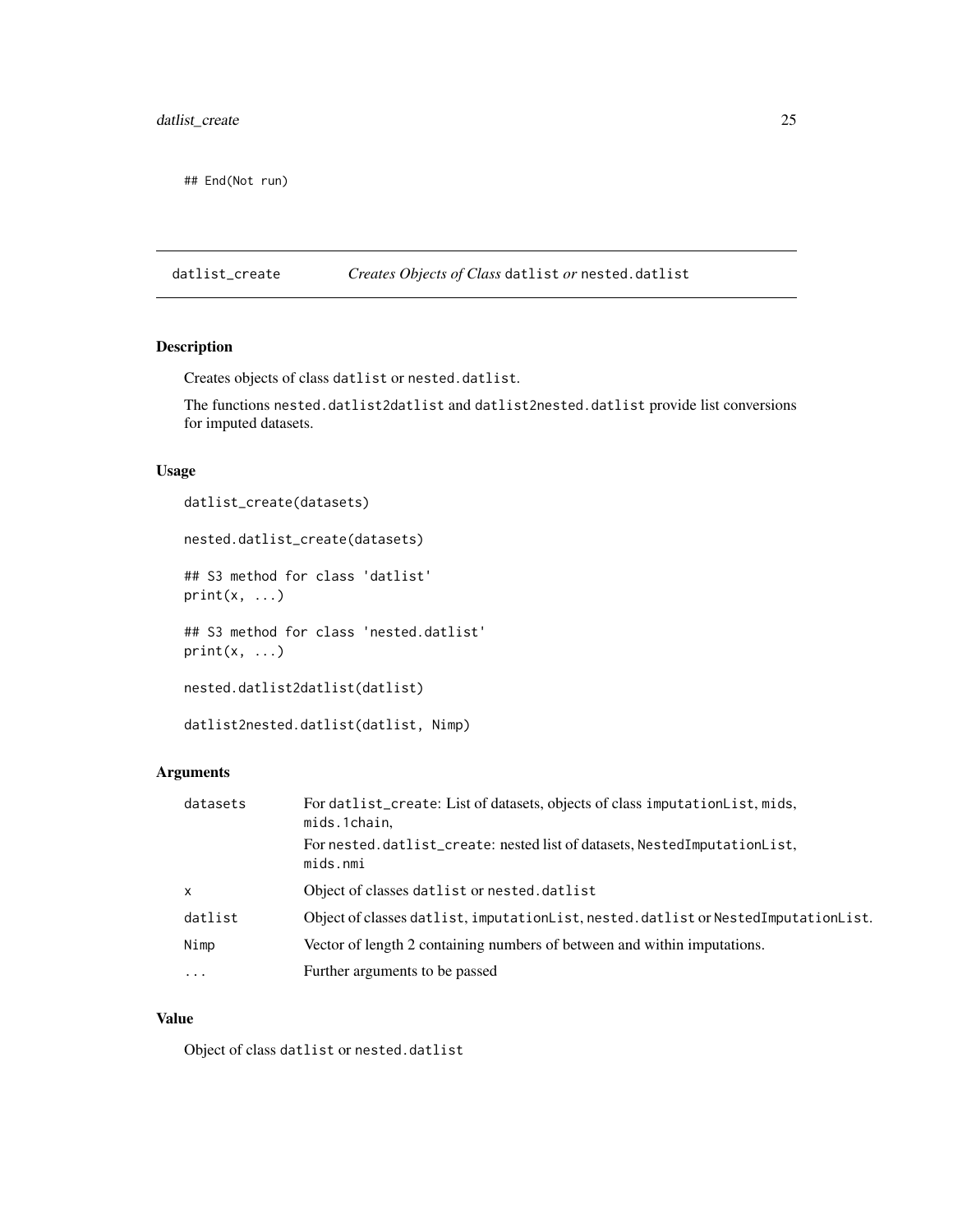<span id="page-24-0"></span>## End(Not run)

datlist\_create *Creates Objects of Class* datlist *or* nested.datlist

# Description

Creates objects of class datlist or nested.datlist.

The functions nested.datlist2datlist and datlist2nested.datlist provide list conversions for imputed datasets.

# Usage

datlist\_create(datasets)

nested.datlist\_create(datasets)

## S3 method for class 'datlist'  $print(x, \ldots)$ 

## S3 method for class 'nested.datlist'  $print(x, \ldots)$ 

nested.datlist2datlist(datlist)

datlist2nested.datlist(datlist, Nimp)

# Arguments

| datasets     | For datlist_create: List of datasets, objects of class imputationList, mids,<br>mids.1chain, |
|--------------|----------------------------------------------------------------------------------------------|
|              | For nested.datlist_create: nested list of datasets, NestedImputationList,<br>mids.nmi        |
| $\mathsf{x}$ | Object of classes datlist or nested.datlist                                                  |
| datlist      | Object of classes datlist, imputation List, nested. datlist or Nested Imputation List.       |
| Nimp         | Vector of length 2 containing numbers of between and within imputations.                     |
| $\ddotsc$    | Further arguments to be passed                                                               |
|              |                                                                                              |

# Value

Object of class datlist or nested.datlist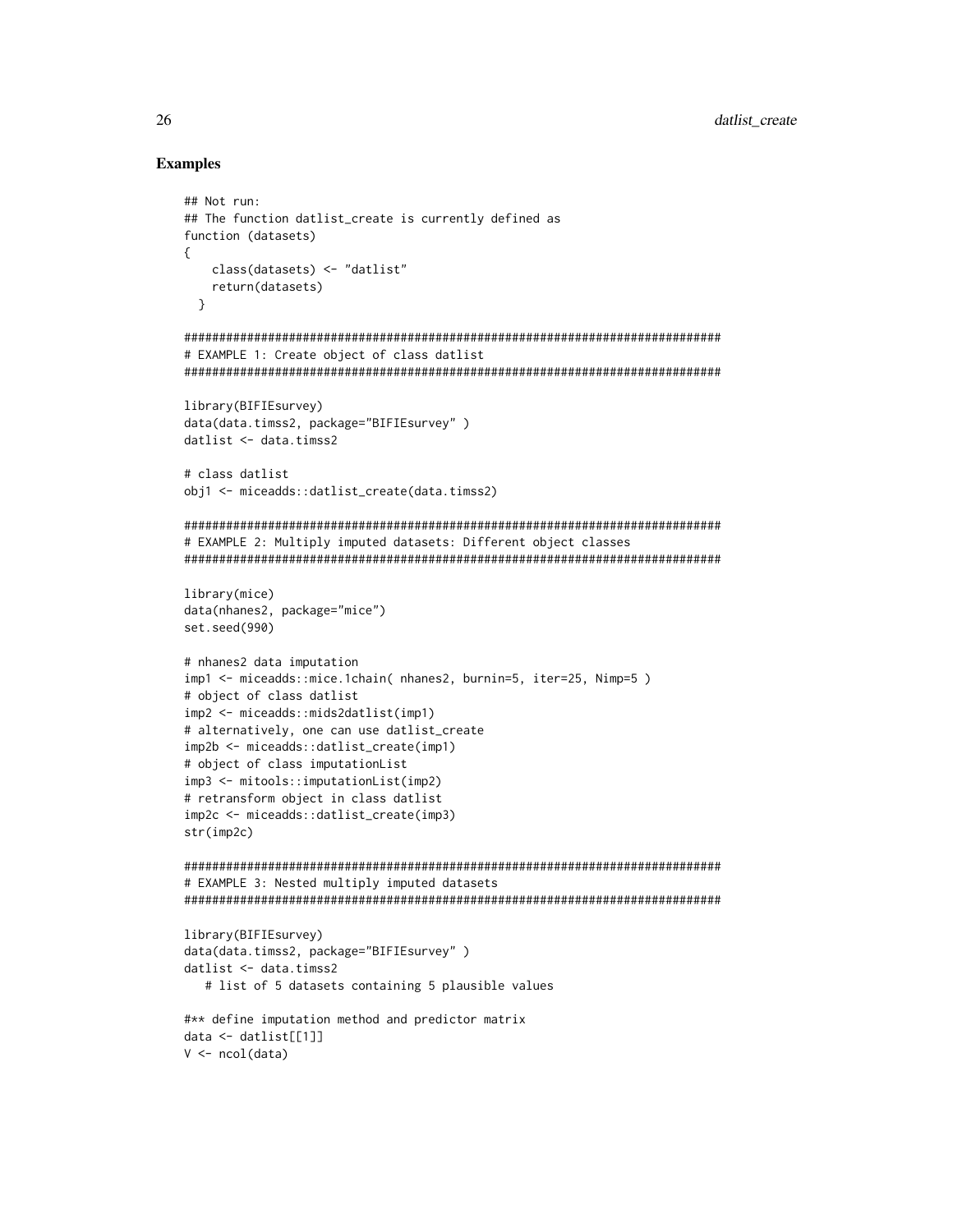# **Examples**

```
## Not run:
## The function datlist_create is currently defined as
function (datasets)
   class(datasets) <- "datlist"
  return(datasets)
 \mathcal{L}# EXAMPLE 1: Create object of class datlist
library(BIFIEsurvey)
data(data.timss2, package="BIFIEsurvey")
datlist < - data.time2# class datlist
obj1 <- miceadds::datlist_create(data.timss2)
# EXAMPLE 2: Multiply imputed datasets: Different object classes
library(mice)
data(nhanes2, package="mice")
set.seed(990)
# nhanes2 data imputation
imp1 <- miceadds::mice.1chain( nhanes2, burnin=5, iter=25, Nimp=5)
# object of class datlist
imp2 <- miceadds::mids2datlist(imp1)
# alternatively, one can use datlist_create
imp2b <- miceadds::datlist_create(imp1)
# object of class imputationList
imp3 <- mitools::imputationList(imp2)
# retransform object in class datlist
imp2c <- miceadds::datlist_create(imp3)
str(imp2c)# EXAMPLE 3: Nested multiply imputed datasets
library(BIFIEsurvey)
data(data.timss2, package="BIFIEsurvey")
datlist <- data.timss2
  # list of 5 datasets containing 5 plausible values
#** define imputation method and predictor matrix
data \leftarrow dattist[[1]]V \leftarrow \text{ncol}(data)
```
26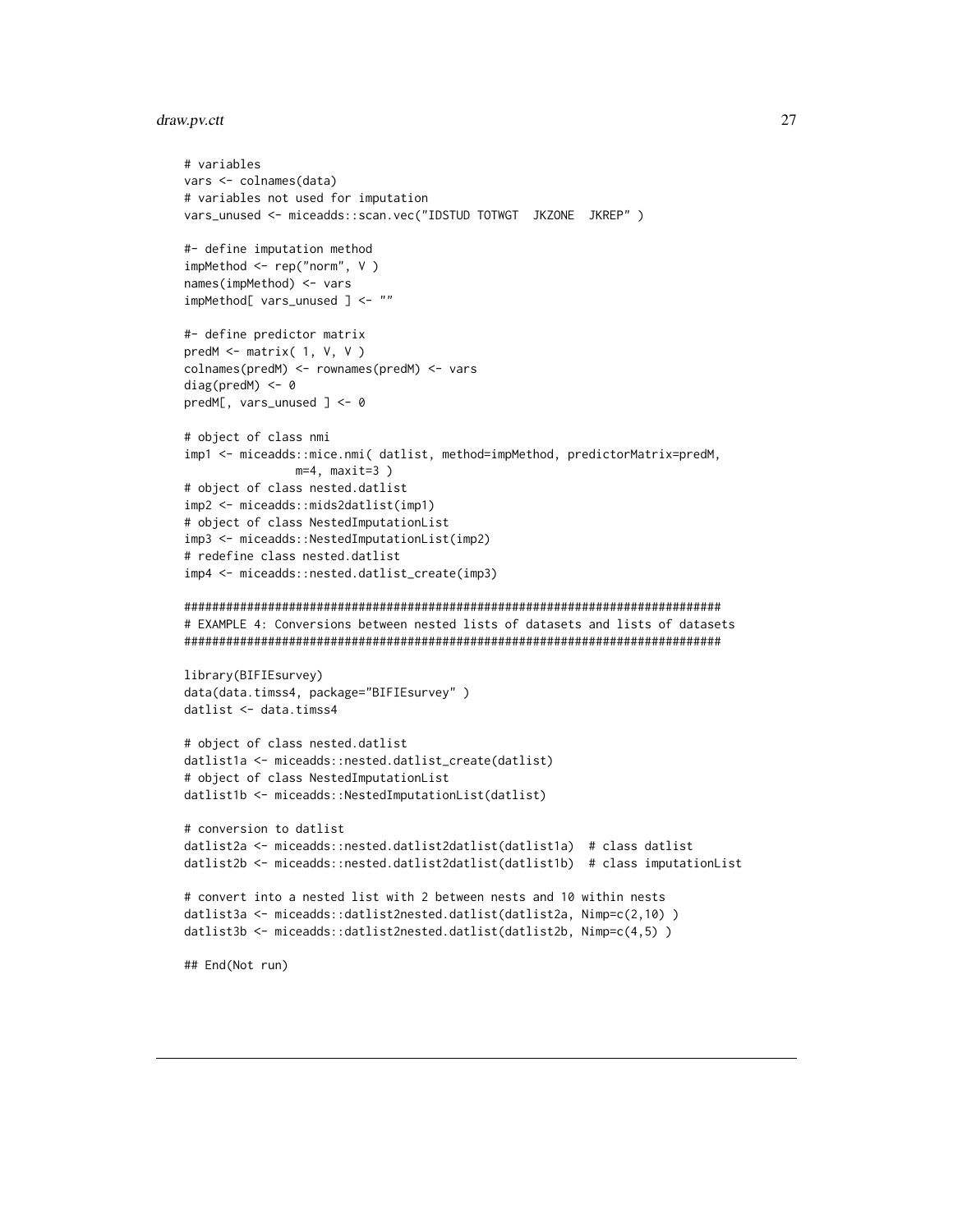### <span id="page-26-0"></span>draw.pv.ctt

```
# variables
vars <- colnames(data)
# variables not used for imputation
vars_unused <- miceadds::scan.vec("IDSTUD TOTWGT JKZONE JKREP")
#- define imputation method
impMethod \leftarrow rep("norm", V)names(impMethod) <- vars
impMethod[ vars_unused ] <- ""
#- define predictor matrix
predM \leq matrix( 1, V, V)
colnames(predM) <- rownames(predM) <- vars
diag(predM) < -0predM[, vars_unused ] <- 0
# object of class nmi
imp1 <- miceadds::mice.nmi( datlist, method=impMethod, predictorMatrix=predM,
              m=4, maxit=3)
# object of class nested.datlist
imp2 <- miceadds::mids2datlist(imp1)
# object of class NestedImputationList
imp3 <- miceadds::NestedImputationList(imp2)
# redefine class nested.datlist
imp4 <- miceadds::nested.datlist_create(imp3)
# EXAMPLE 4: Conversions between nested lists of datasets and lists of datasets
library(BIFIEsurvey)
data(data.timss4, package="BIFIEsurvey")
datlist <- data.timss4
# object of class nested.datlist
datlist1a <- miceadds::nested.datlist_create(datlist)
# object of class NestedImputationList
datlist1b <- miceadds::NestedImputationList(datlist)
# conversion to datlist
datlist2a <- miceadds::nested.datlist2datlist(datlist1a) # class datlist
datlist2b <- miceadds::nested.datlist2datlist(datlist1b) # class imputationList
# convert into a nested list with 2 between nests and 10 within nests
datlist3a <- miceadds::datlist2nested.datlist(datlist2a, Nimp=c(2,10))
datlist3b <- miceadds::datlist2nested.datlist(datlist2b, Nimp=c(4,5))
## End(Not run)
```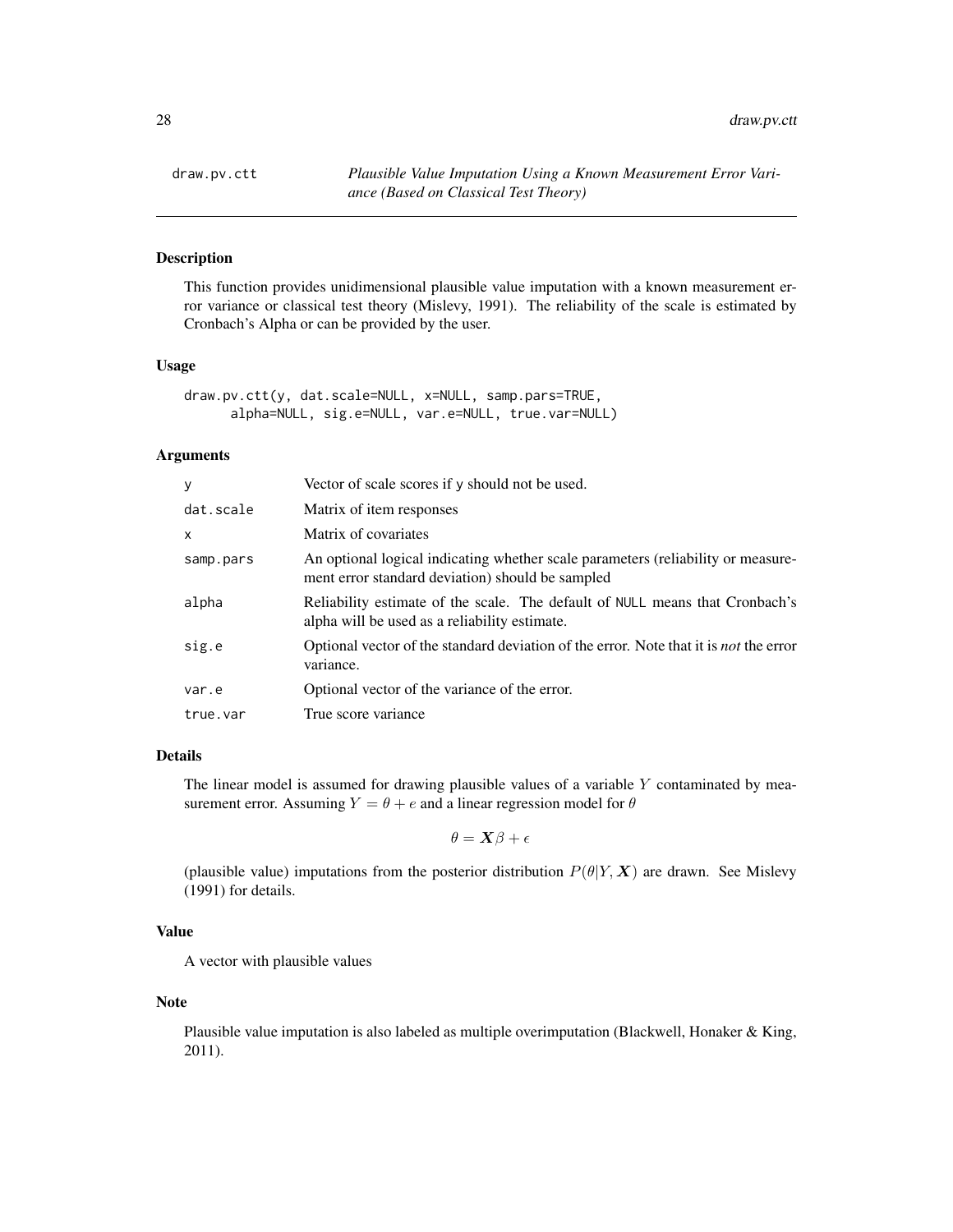# Description

This function provides unidimensional plausible value imputation with a known measurement error variance or classical test theory (Mislevy, 1991). The reliability of the scale is estimated by Cronbach's Alpha or can be provided by the user.

# Usage

```
draw.pv.ctt(y, dat.scale=NULL, x=NULL, samp.pars=TRUE,
     alpha=NULL, sig.e=NULL, var.e=NULL, true.var=NULL)
```
# Arguments

| y         | Vector of scale scores if y should not be used.                                                                                      |
|-----------|--------------------------------------------------------------------------------------------------------------------------------------|
| dat.scale | Matrix of item responses                                                                                                             |
| X         | Matrix of covariates                                                                                                                 |
| samp.pars | An optional logical indicating whether scale parameters (reliability or measure-<br>ment error standard deviation) should be sampled |
| alpha     | Reliability estimate of the scale. The default of NULL means that Cronbach's<br>alpha will be used as a reliability estimate.        |
| sig.e     | Optional vector of the standard deviation of the error. Note that it is <i>not</i> the error<br>variance.                            |
| var.e     | Optional vector of the variance of the error.                                                                                        |
| true.var  | True score variance                                                                                                                  |

# Details

The linear model is assumed for drawing plausible values of a variable  $Y$  contaminated by measurement error. Assuming  $Y = \theta + e$  and a linear regression model for  $\theta$ 

$$
\theta = \bm{X}\beta + \epsilon
$$

(plausible value) imputations from the posterior distribution  $P(\theta|Y, X)$  are drawn. See Mislevy (1991) for details.

# Value

A vector with plausible values

### Note

Plausible value imputation is also labeled as multiple overimputation (Blackwell, Honaker & King, 2011).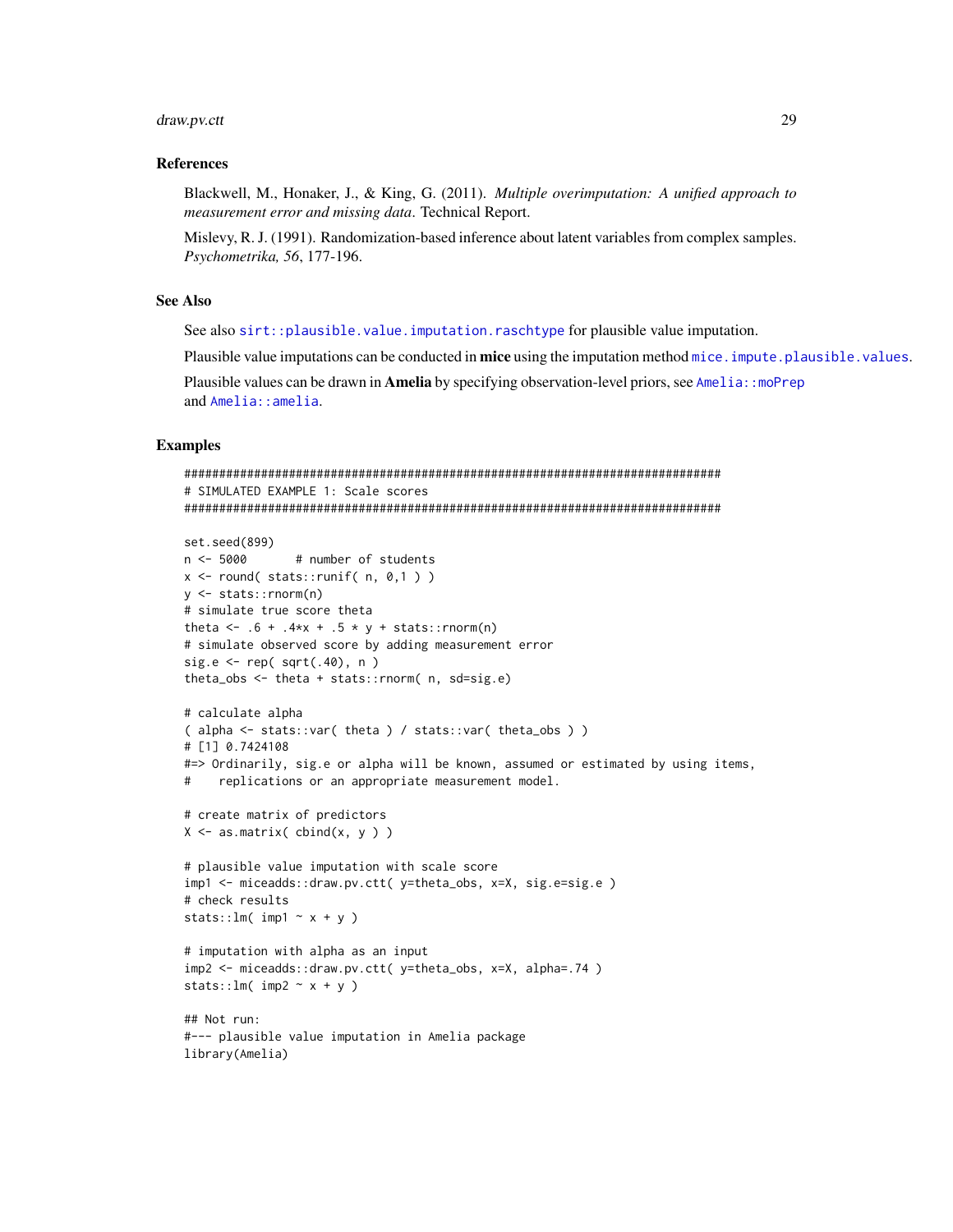#### draw.pv.ctt

#### **References**

Blackwell, M., Honaker, J., & King, G. (2011). Multiple overimputation: A unified approach to measurement error and missing data. Technical Report.

Mislevy, R. J. (1991). Randomization-based inference about latent variables from complex samples. Psychometrika, 56, 177-196.

# **See Also**

See also sirt::plausible.value.imputation.raschtype for plausible value imputation.

Plausible value imputations can be conducted in mice using the imputation method mice. impute. plausible. values.

Plausible values can be drawn in **Amelia** by specifying observation-level priors, see Amelia: : moPrep and Amelia: : amelia.

# **Examples**

```
# SIMULATED EXAMPLE 1: Scale scores
set.seed(899)
n < -5000# number of students
x \le round(stats::runif(n, 0,1))
y \le - stats:: rnorm(n)
# simulate true score theta
theta <- .6 + .4*x + .5 * y + stats::rnorm(n)
# simulate observed score by adding measurement error
sig.e \leq rep( sqrt(.40), n)
theta_obs <- theta + stats::rnorm( n, sd=sig.e)# calculate alpha
(alpha <- stats::var(theta) / stats::var(theta_obs))
# [1] 0.7424108
#=> Ordinarily, sig.e or alpha will be known, assumed or estimated by using items,
    replications or an appropriate measurement model.
## create matrix of predictors
X \leftarrow as.matrix( cbind(x, y ) )
# plausible value imputation with scale score
imp1 <- miceadds::draw.pv.ctt( y=theta_obs, x=X, sig.e=sig.e)
# check results
stats::lm(impl \sim x + y)# imputation with alpha as an input
imp2 <- miceadds::draw.pv.ctt( y=theta_obs, x=X, alpha=.74 )
stats::lm(imp2 ~ x + y)## Not run:
#--- plausible value imputation in Amelia package
library(Amelia)
```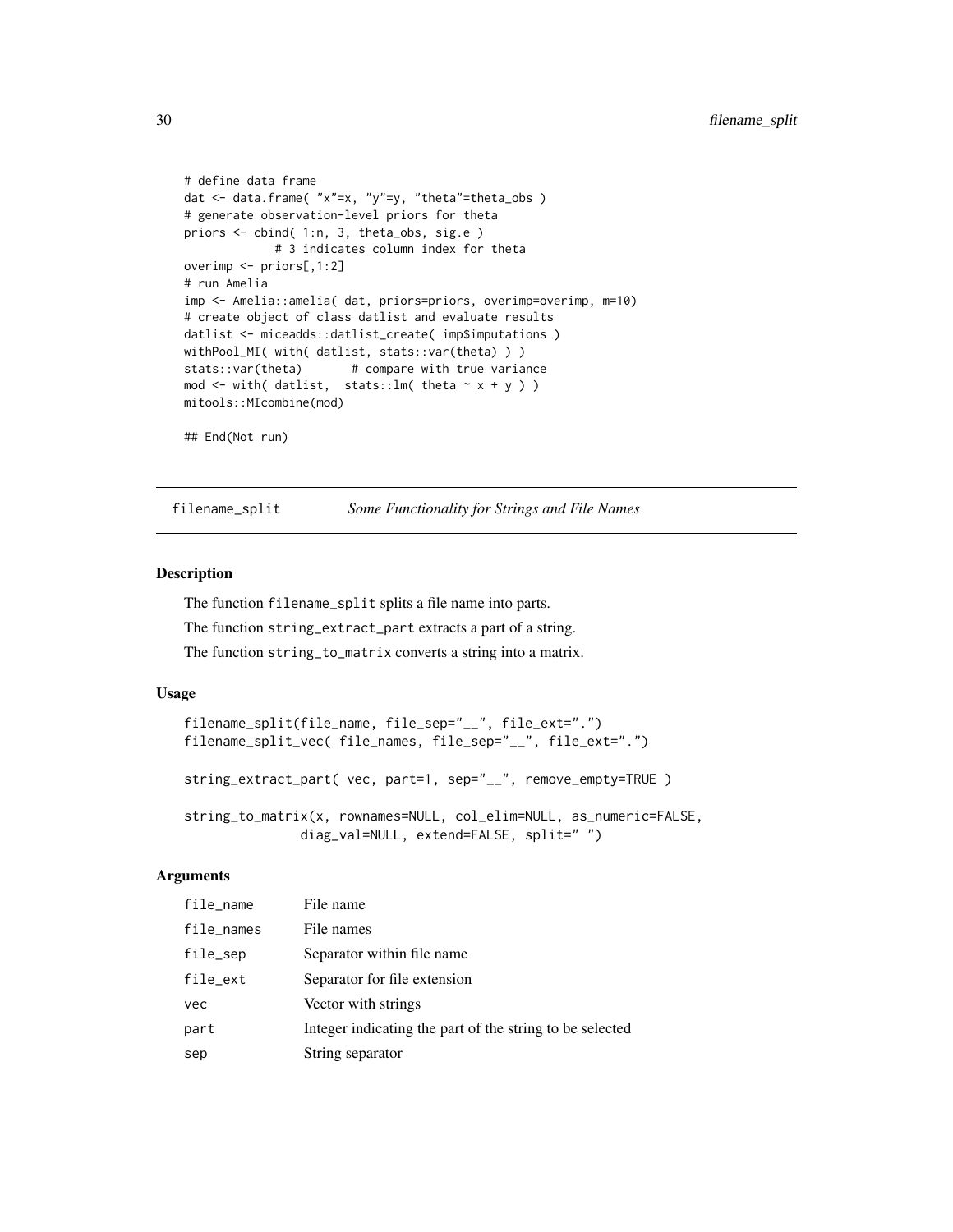```
# define data frame
dat <- data.frame( "x"=x, "y"=y, "theta"=theta_obs )
# generate observation-level priors for theta
priors <- cbind( 1:n, 3, theta_obs, sig.e )
            # 3 indicates column index for theta
overimp <- priors[,1:2]
# run Amelia
imp <- Amelia::amelia( dat, priors=priors, overimp=overimp, m=10)
# create object of class datlist and evaluate results
datlist <- miceadds::datlist_create( imp$imputations )
withPool_MI( with( datlist, stats::var(theta) ) )
stats::var(theta) # compare with true variance
mod <- with( datlist, stats::lm( theta \sim x + y ) )
mitools::MIcombine(mod)
## End(Not run)
```
<span id="page-29-2"></span>filename\_split *Some Functionality for Strings and File Names*

# <span id="page-29-1"></span>Description

The function filename\_split splits a file name into parts.

The function string\_extract\_part extracts a part of a string.

The function string\_to\_matrix converts a string into a matrix.

# Usage

```
filename_split(file_name, file_sep="__", file_ext=".")
filename_split_vec( file_names, file_sep="__", file_ext=".")
string_extract_part( vec, part=1, sep="__", remove_empty=TRUE )
string_to_matrix(x, rownames=NULL, col_elim=NULL, as_numeric=FALSE,
              diag_val=NULL, extend=FALSE, split=" ")
```
# Arguments

| file_name  | File name                                                |
|------------|----------------------------------------------------------|
| file_names | File names                                               |
| file_sep   | Separator within file name                               |
| file_ext   | Separator for file extension                             |
| vec        | Vector with strings                                      |
| part       | Integer indicating the part of the string to be selected |
| sep        | String separator                                         |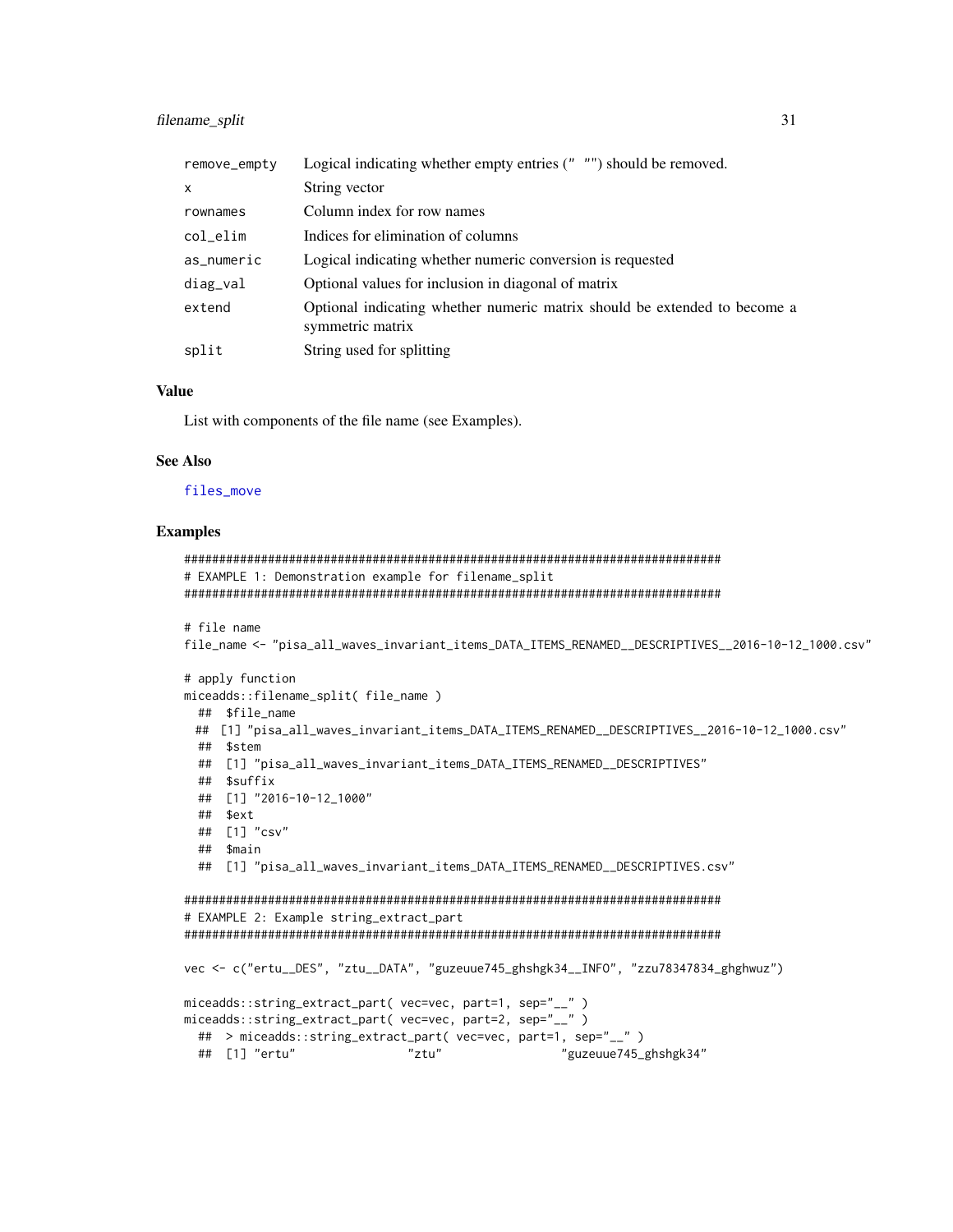#### filename\_split

| remove_empty | Logical indicating whether empty entries $($ " $)$ "") should be removed.                     |
|--------------|-----------------------------------------------------------------------------------------------|
| $\mathsf{x}$ | String vector                                                                                 |
| rownames     | Column index for row names                                                                    |
| col_elim     | Indices for elimination of columns                                                            |
| as_numeric   | Logical indicating whether numeric conversion is requested                                    |
| diag_val     | Optional values for inclusion in diagonal of matrix                                           |
| extend       | Optional indicating whether numeric matrix should be extended to become a<br>symmetric matrix |
| split        | String used for splitting                                                                     |

# **Value**

List with components of the file name (see Examples).

#### **See Also**

#### files\_move

#### **Examples**

```
# EXAMPLE 1: Demonstration example for filename_split
# file name
file_name <- "pisa_all_waves_invariant_items_DATA_ITEMS_RENAMED__DESCRIPTIVES__2016-10-12_1000.csv"
# apply function
miceadds::filename_split(file_name)
 ## $file_name
 ## [1] "pisa_all_waves_invariant_items_DATA_ITEMS_RENAMED__DESCRIPTIVES__2016-10-12_1000.csv"
 ## $stem
 ## [1] "pisa_all_waves_invariant_items_DATA_ITEMS_RENAMED__DESCRIPTIVES"
 ## $suffix
 ## [1] "2016-10-12_1000"
 ## $ext
 ## [1] "csv"
 ## $main
 ## [1] "pisa_all_waves_invariant_items_DATA_ITEMS_RENAMED__DESCRIPTIVES.csv"
# EXAMPLE 2: Example string_extract_part
vec <- c("ertu__DES", "ztu__DATA", "guzeuue745_ghshgk34__INFO", "zzu78347834_ghghwuz")
miceadds::string_extract_part( vec=vec, part=1, sep="__" )
miceadds::string_extract_part( vec=vec, part=2, sep="__" )
 ## > miceadds::string_extract_part( vec=vec, part=1, sep="__" )
 ## [1] "ertu"
                       "ztu"
                                       "guzeuue745_ghshgk34"
```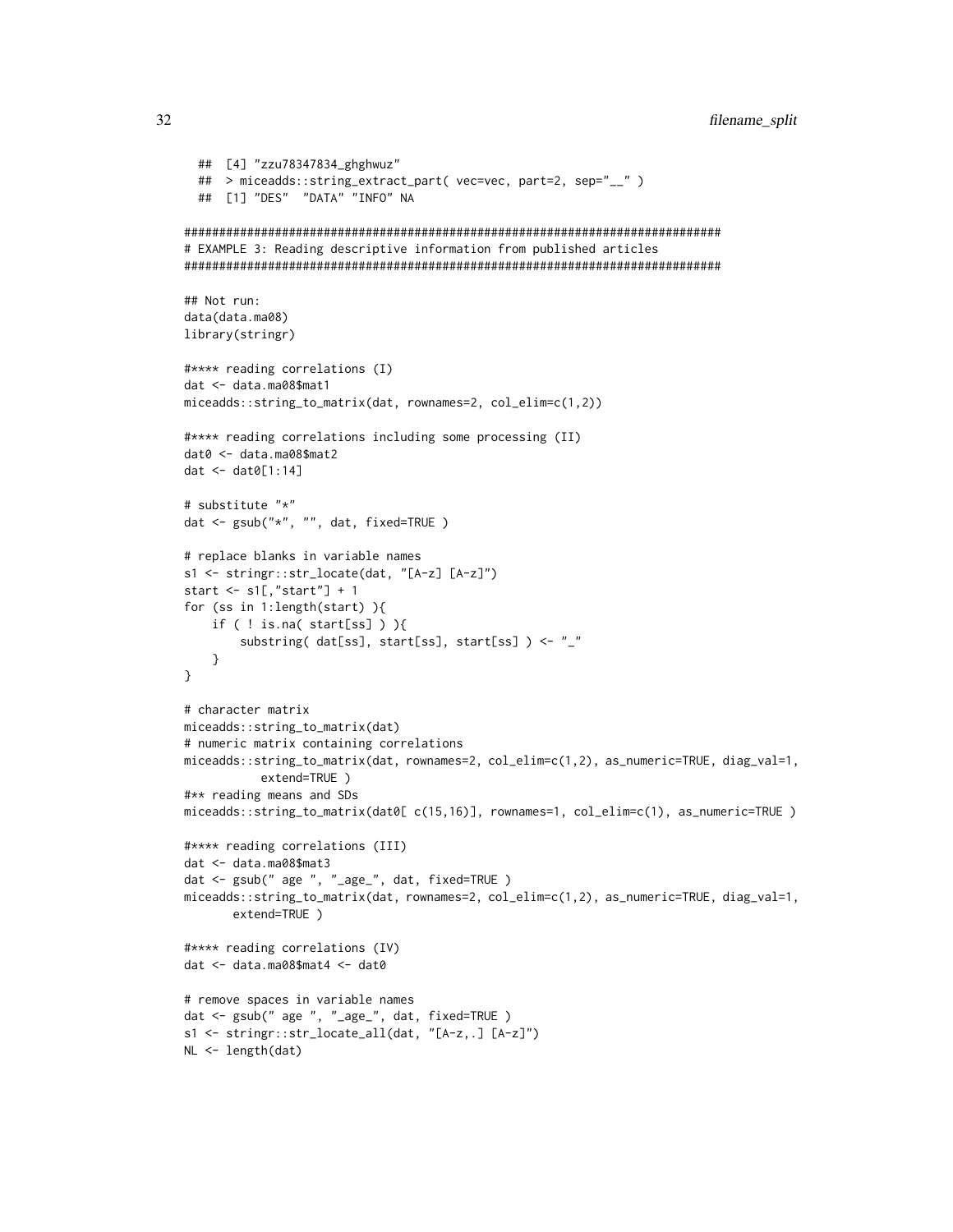```
## [4] "zzu78347834_ghghwuz"
 ## > miceadds::string_extract_part( vec=vec, part=2, sep="__" )
 ## [1] "DES" "DATA" "INFO" NA
# EXAMPLE 3: Reading descriptive information from published articles
## Not run:
data(data.ma08)
library(stringr)
#**** reading correlations (I)
dat <- data.ma08$mat1
miceadds::string_to_matrix(dat, rownames=2, col_elim=c(1,2))
#**** reading correlations including some processing (II)
dat0 <- data.ma08$mat2
dat \leq dat\theta[1:14]
# substitute "*"
dat <- gsub("*", "", dat, fixed=TRUE)
# replace blanks in variable names
s1 <- stringr::str_locate(dat, "[A-z] [A-z]")
start \leq s1[,"start"] + 1
for (ss in 1:length(start) ){
   if ( ! is.na( start[ss] ) ){
       substring(dat[ss], start[ss], start[ss]) <- "_"
   \mathcal{Y}\mathcal{E}# character matrix
miceadds::string_to_matrix(dat)
# numeric matrix containing correlations
miceadds::string_to_matrix(dat, rownames=2, col_elim=c(1,2), as_numeric=TRUE, diag_val=1,
          extend=TRUE)
#** reading means and SDs
miceadds::string_to_matrix(dat0[ c(15,16)], rownames=1, col_elim=c(1), as_numeric=TRUE )
#**** reading correlations (III)
dat <- data.ma08$mat3
dat <- gsub(" age ", "_age_", dat, fixed=TRUE)
miceadds::string_to_matrix(dat, rownames=2, col_elim=c(1,2), as_numeric=TRUE, diag_val=1,
      extend=TRUE)
#**** reading correlations (IV)
dat <- data.ma08$mat4 <- dat0
# remove spaces in variable names
dat <- gsub(" age ", "_age_", dat, fixed=TRUE)
s1 <- stringr::str_locate_all(dat, "[A-z,.] [A-z]")
NL \leftarrow length(data)
```
32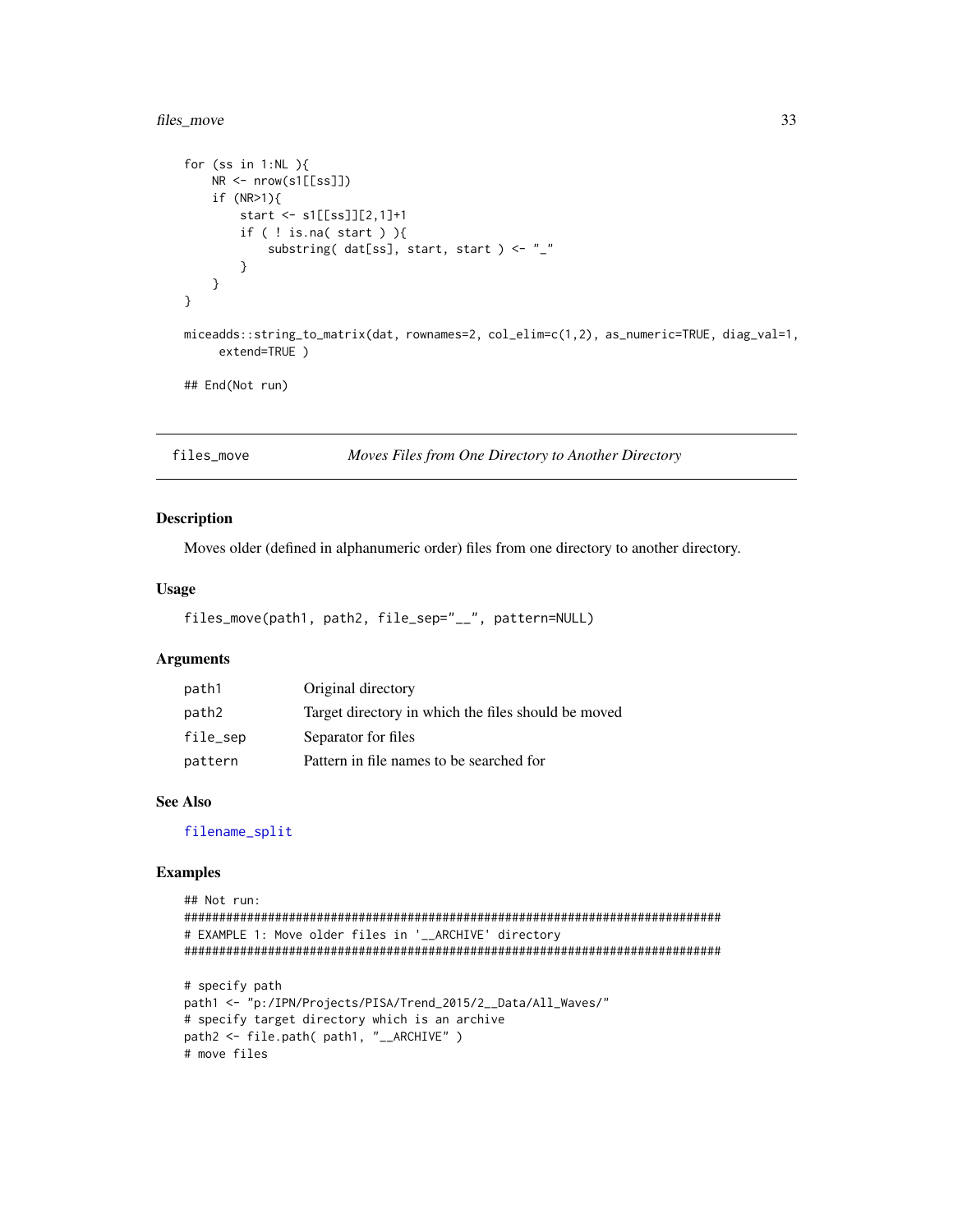# <span id="page-32-0"></span>files\_move

```
for (ss in 1:NL ){
    NR \leftarrow \text{now}(s1[[ss]])if (NR>1){
         start <- s1[[ss]][2,1]+1if ( ! is.na( start ) \}substring( dat[ss], start, start ) <- "_"
         \mathcal{Y}\mathcal Y\mathcal{E}miceadds::string_to_matrix(dat, rownames=2, col_elim=c(1,2), as_numeric=TRUE, diag_val=1,
      extend=TRUE)
## End(Not run)
```
<span id="page-32-1"></span>files\_move

```
Moves Files from One Directory to Another Directory
```
# **Description**

Moves older (defined in alphanumeric order) files from one directory to another directory.

# **Usage**

```
files_move(path1, path2, file_sep="__", pattern=NULL)
```
# **Arguments**

| path1    | Original directory                                  |
|----------|-----------------------------------------------------|
| path2    | Target directory in which the files should be moved |
| file_sep | Separator for files                                 |
| pattern  | Pattern in file names to be searched for            |

# **See Also**

filename\_split

# **Examples**

```
## Not run:
# EXAMPLE 1: Move older files in '__ARCHIVE' directory
# specify path
path1 <- "p:/IPN/Projects/PISA/Trend_2015/2__Data/All_Waves/"
# specify target directory which is an archive
path2 <- file.path( path1, "__ARCHIVE" )
# move files
```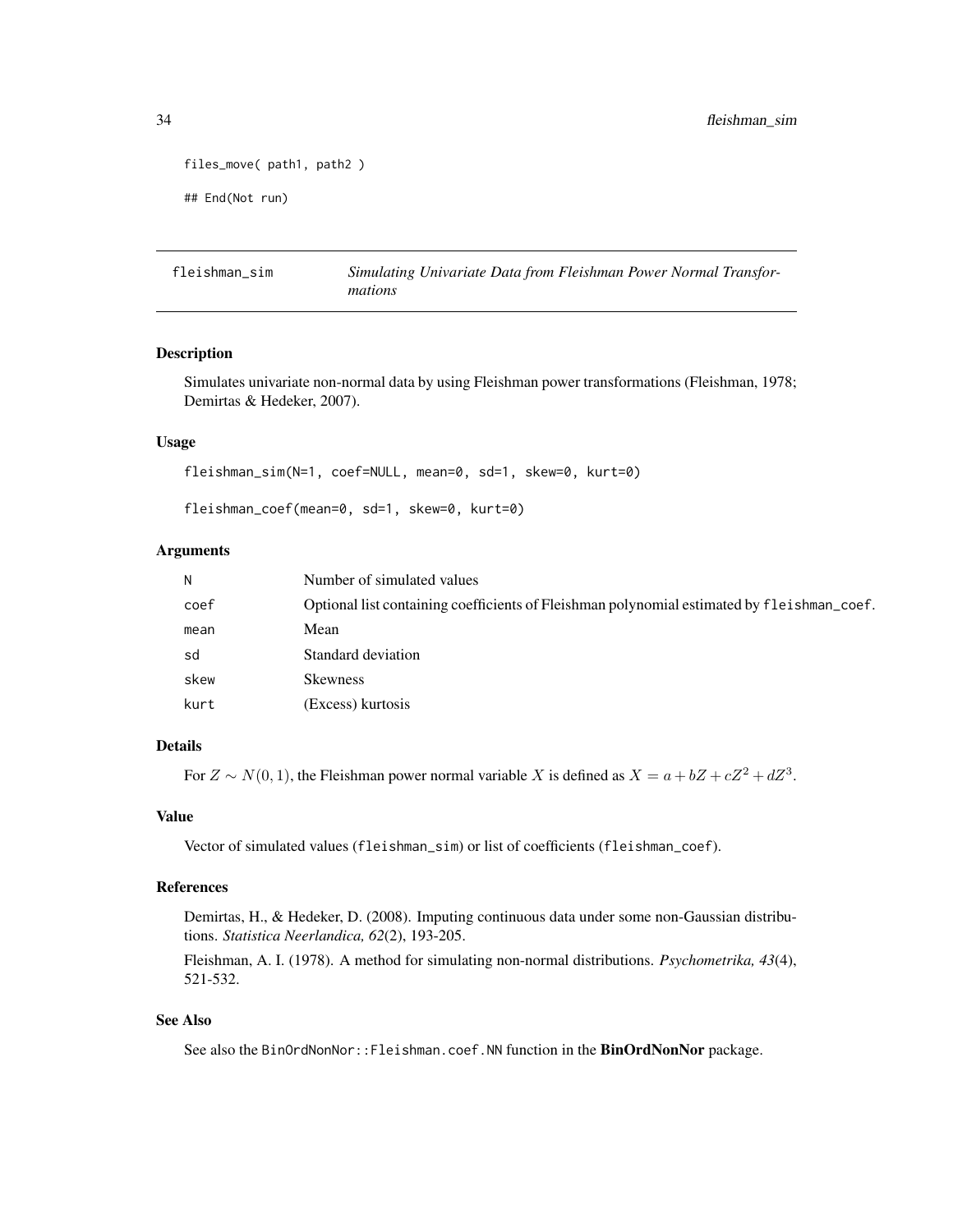```
files_move( path1, path2 )
## End(Not run)
```
fleishman\_sim *Simulating Univariate Data from Fleishman Power Normal Transformations*

# Description

Simulates univariate non-normal data by using Fleishman power transformations (Fleishman, 1978; Demirtas & Hedeker, 2007).

# Usage

```
fleishman_sim(N=1, coef=NULL, mean=0, sd=1, skew=0, kurt=0)
```
fleishman\_coef(mean=0, sd=1, skew=0, kurt=0)

### Arguments

| N    | Number of simulated values                                                                 |
|------|--------------------------------------------------------------------------------------------|
| coef | Optional list containing coefficients of Fleishman polynomial estimated by fleishman_coef. |
| mean | Mean                                                                                       |
| sd   | Standard deviation                                                                         |
| skew | <b>Skewness</b>                                                                            |
| kurt | (Excess) kurtosis                                                                          |

#### Details

For  $Z \sim N(0, 1)$ , the Fleishman power normal variable X is defined as  $X = a + bZ + cZ^2 + dZ^3$ .

#### Value

Vector of simulated values (fleishman\_sim) or list of coefficients (fleishman\_coef).

#### References

Demirtas, H., & Hedeker, D. (2008). Imputing continuous data under some non-Gaussian distributions. *Statistica Neerlandica, 62*(2), 193-205.

Fleishman, A. I. (1978). A method for simulating non-normal distributions. *Psychometrika, 43*(4), 521-532.

# See Also

See also the BinOrdNonNor::Fleishman.coef.NN function in the BinOrdNonNor package.

<span id="page-33-0"></span>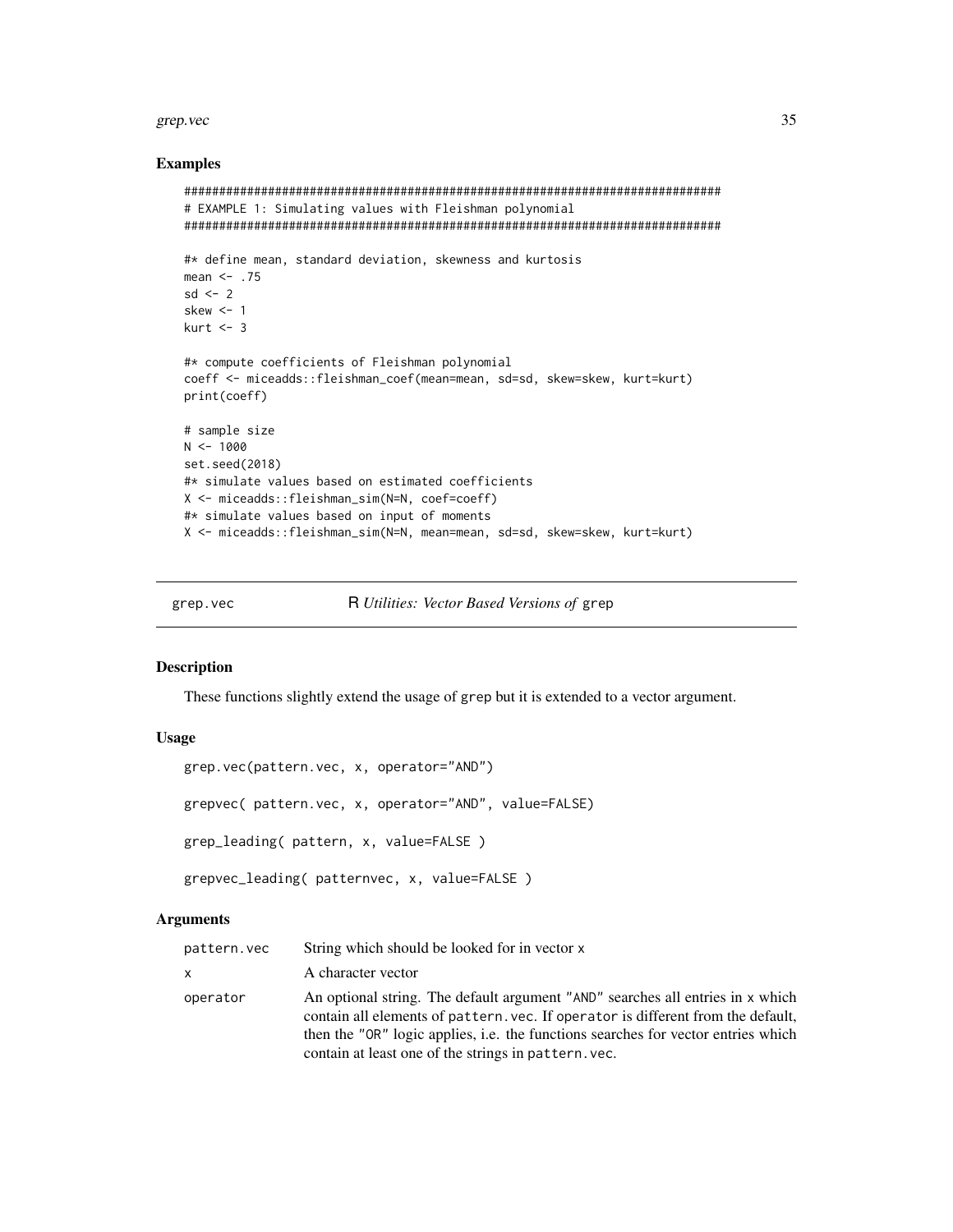#### <span id="page-34-0"></span>grep.vec 35

# Examples

```
#############################################################################
# EXAMPLE 1: Simulating values with Fleishman polynomial
#############################################################################
#* define mean, standard deviation, skewness and kurtosis
mean <- .75
sd < -2skew <-1kurt <-3#* compute coefficients of Fleishman polynomial
coeff <- miceadds::fleishman_coef(mean=mean, sd=sd, skew=skew, kurt=kurt)
print(coeff)
# sample size
N < - 1000set.seed(2018)
#* simulate values based on estimated coefficients
X <- miceadds::fleishman_sim(N=N, coef=coeff)
#* simulate values based on input of moments
X <- miceadds::fleishman_sim(N=N, mean=mean, sd=sd, skew=skew, kurt=kurt)
```
grep.vec R *Utilities: Vector Based Versions of* grep

# Description

These functions slightly extend the usage of grep but it is extended to a vector argument.

# Usage

```
grep.vec(pattern.vec, x, operator="AND")
grepvec( pattern.vec, x, operator="AND", value=FALSE)
```
grep\_leading( pattern, x, value=FALSE )

grepvec\_leading( patternvec, x, value=FALSE )

#### Arguments

| pattern.vec | String which should be looked for in vector x                                                                                                                                                                                                                                                                          |
|-------------|------------------------------------------------------------------------------------------------------------------------------------------------------------------------------------------------------------------------------------------------------------------------------------------------------------------------|
| x           | A character vector                                                                                                                                                                                                                                                                                                     |
| operator    | An optional string. The default argument "AND" searches all entries in x which<br>contain all elements of pattern, vec. If operator is different from the default,<br>then the "OR" logic applies, <i>i.e.</i> the functions searches for vector entries which<br>contain at least one of the strings in pattern. vec. |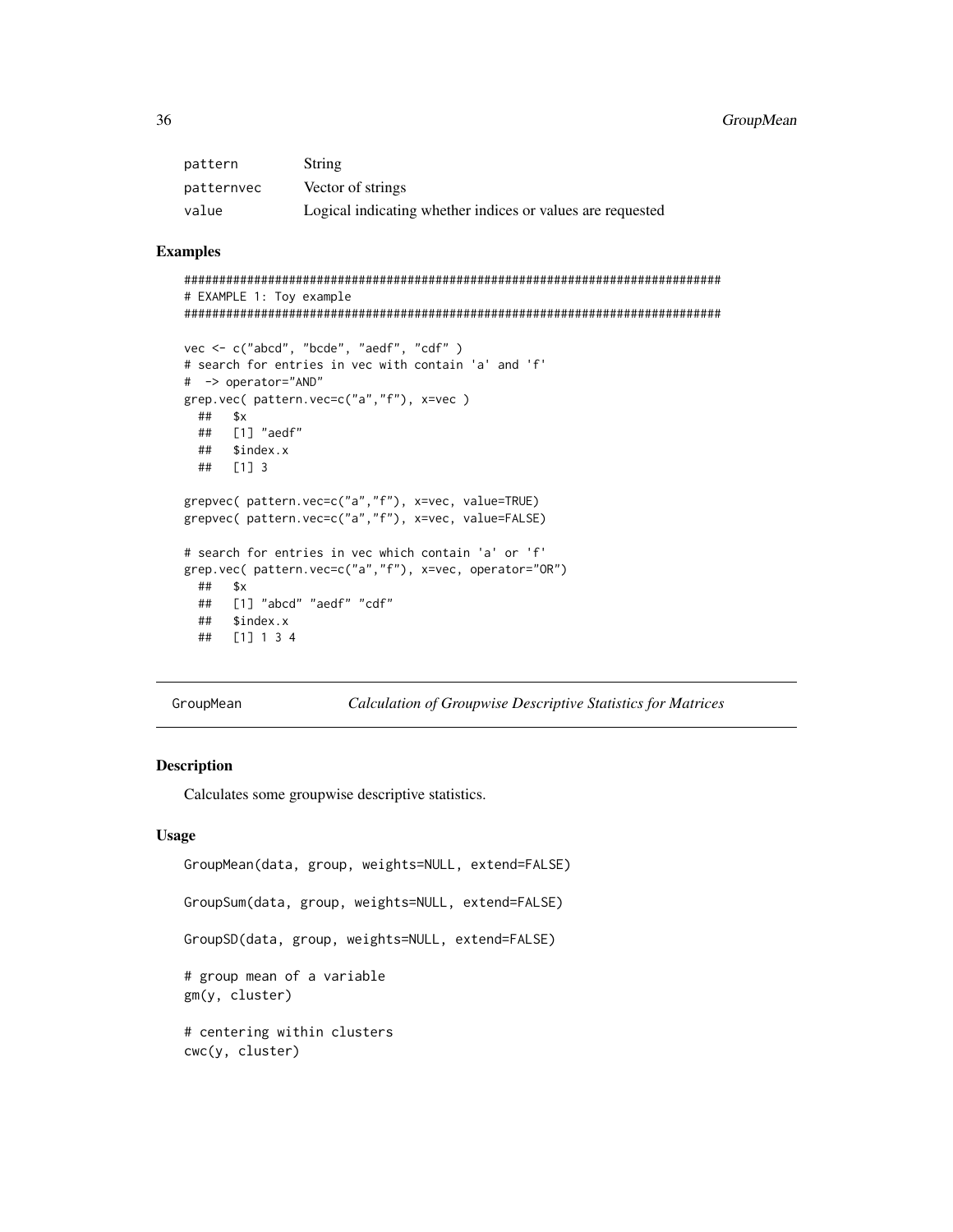# <span id="page-35-0"></span>36 GroupMean

| pattern    | <b>String</b>                                              |
|------------|------------------------------------------------------------|
| patternvec | Vector of strings                                          |
| value      | Logical indicating whether indices or values are requested |

# Examples

```
#############################################################################
# EXAMPLE 1: Toy example
```

```
#############################################################################
```

```
vec <- c("abcd", "bcde", "aedf", "cdf" )
# search for entries in vec with contain 'a' and 'f'
# -> operator="AND"
grep.vec( pattern.vec=c("a","f"), x=vec )
 ## $x
 ## [1] "aedf"
 ## $index.x
 ## [1] 3
grepvec( pattern.vec=c("a","f"), x=vec, value=TRUE)
grepvec( pattern.vec=c("a","f"), x=vec, value=FALSE)
# search for entries in vec which contain 'a' or 'f'
grep.vec( pattern.vec=c("a","f"), x=vec, operator="OR")
 ## $x
 ## [1] "abcd" "aedf" "cdf"
 ## $index.x
 ## [1] 1 3 4
```
GroupMean *Calculation of Groupwise Descriptive Statistics for Matrices*

# Description

Calculates some groupwise descriptive statistics.

#### Usage

```
GroupMean(data, group, weights=NULL, extend=FALSE)
GroupSum(data, group, weights=NULL, extend=FALSE)
GroupSD(data, group, weights=NULL, extend=FALSE)
# group mean of a variable
gm(y, cluster)
# centering within clusters
cwc(y, cluster)
```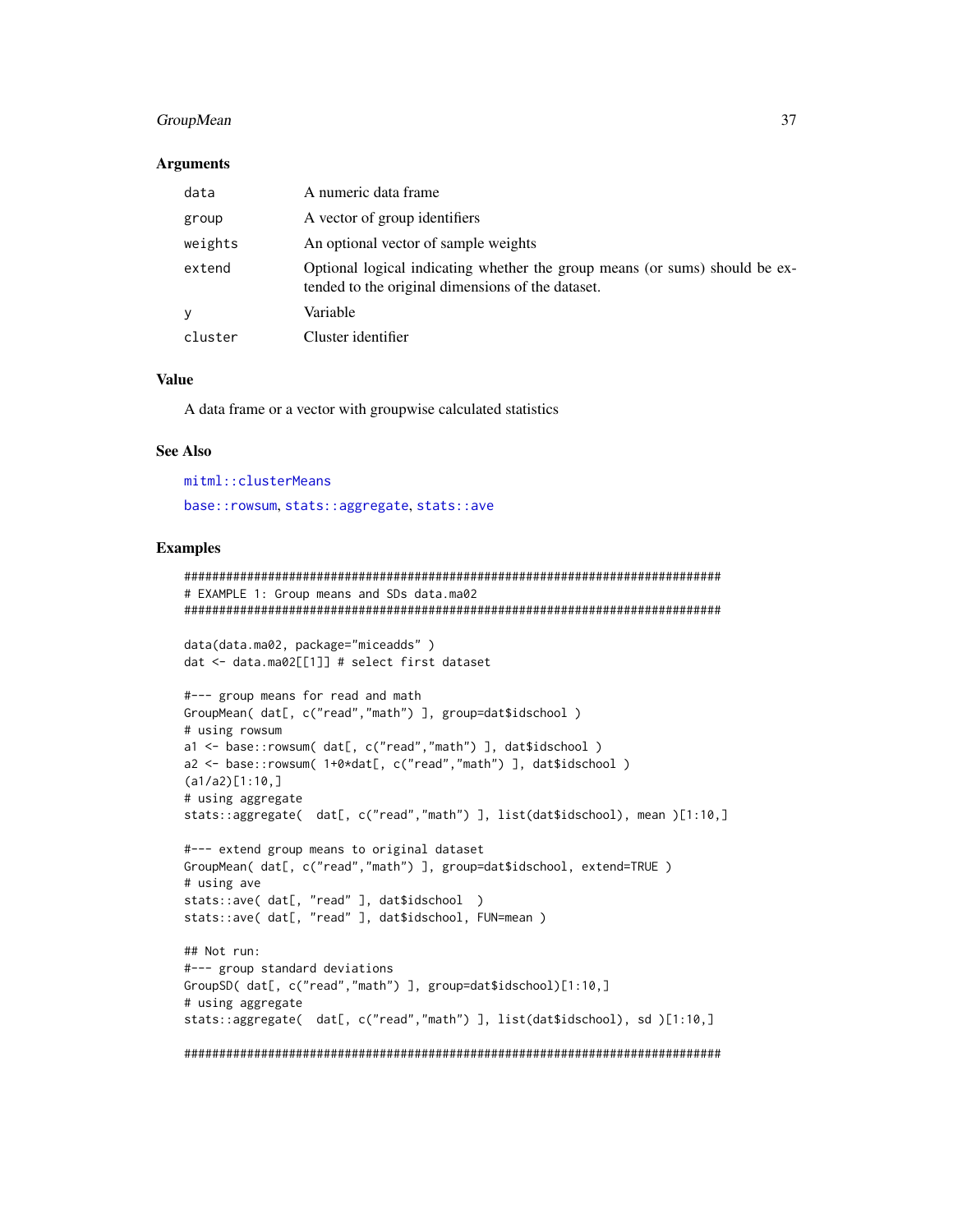# GroupMean 37

#### **Arguments**

| data    | A numeric data frame                                                                                                             |
|---------|----------------------------------------------------------------------------------------------------------------------------------|
| group   | A vector of group identifiers                                                                                                    |
| weights | An optional vector of sample weights                                                                                             |
| extend  | Optional logical indicating whether the group means (or sums) should be ex-<br>tended to the original dimensions of the dataset. |
| У       | Variable                                                                                                                         |
| cluster | Cluster identifier                                                                                                               |

## Value

A data frame or a vector with groupwise calculated statistics

#### See Also

[mitml::clusterMeans](#page-0-0) [base::rowsum](#page-0-0), [stats::aggregate](#page-0-0), [stats::ave](#page-0-0)

```
#############################################################################
# EXAMPLE 1: Group means and SDs data.ma02
#############################################################################
data(data.ma02, package="miceadds" )
dat <- data.ma02[[1]] # select first dataset
#--- group means for read and math
GroupMean( dat[, c("read","math") ], group=dat$idschool )
# using rowsum
a1 <- base::rowsum( dat[, c("read","math") ], dat$idschool )
a2 <- base::rowsum( 1+0*dat[, c("read","math") ], dat$idschool )
(a1/a2)[1:10,]
# using aggregate
stats::aggregate( dat[, c("read","math") ], list(dat$idschool), mean )[1:10,]
#--- extend group means to original dataset
GroupMean( dat[, c("read","math") ], group=dat$idschool, extend=TRUE )
# using ave
stats::ave( dat[, "read" ], dat$idschool )
stats::ave( dat[, "read" ], dat$idschool, FUN=mean )
## Not run:
#--- group standard deviations
GroupSD( dat[, c("read","math") ], group=dat$idschool)[1:10,]
# using aggregate
stats::aggregate( dat[, c("read","math") ], list(dat$idschool), sd )[1:10,]
#############################################################################
```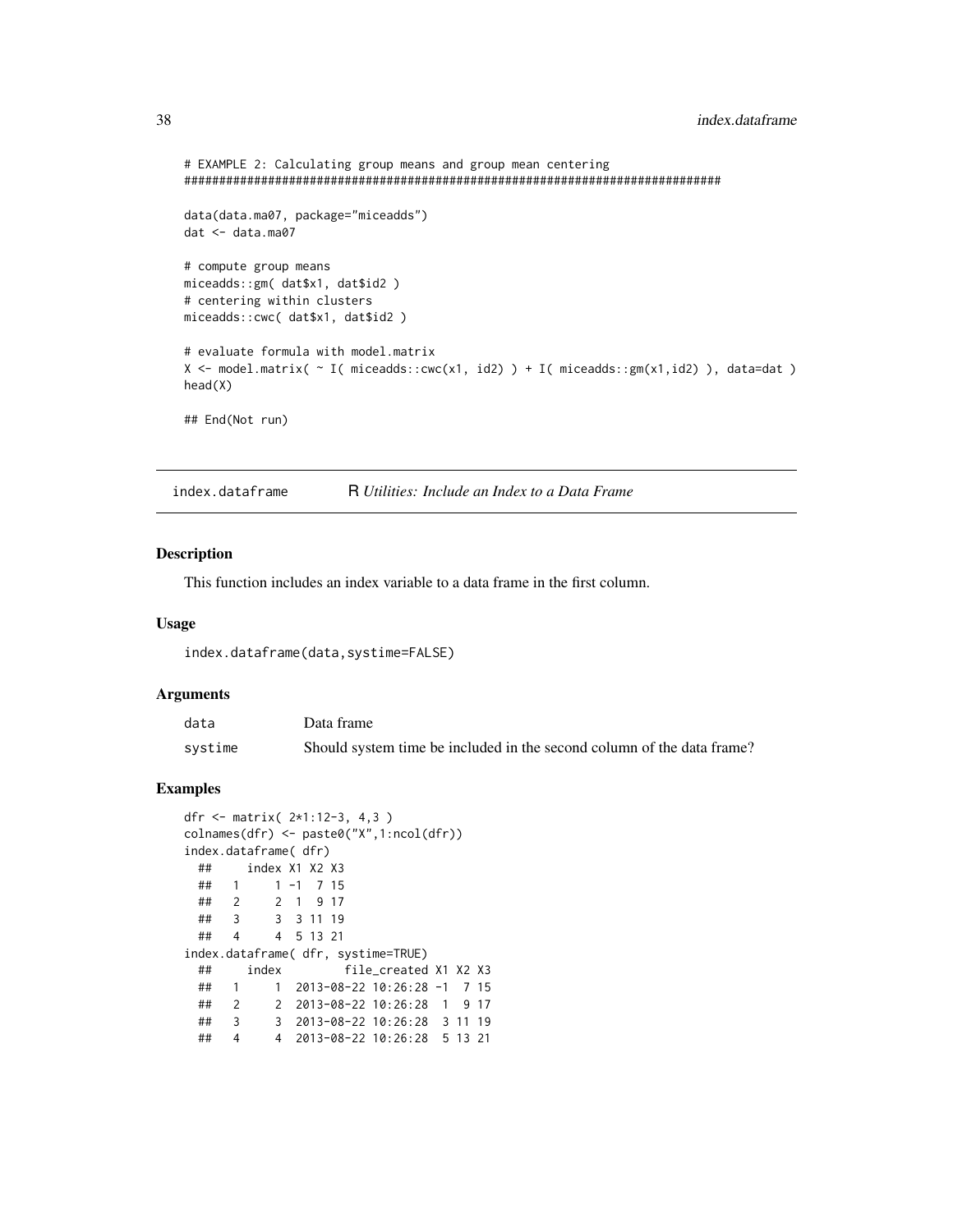```
# EXAMPLE 2: Calculating group means and group mean centering
#############################################################################
data(data.ma07, package="miceadds")
dat <- data.ma07
# compute group means
miceadds::gm( dat$x1, dat$id2 )
# centering within clusters
miceadds::cwc( dat$x1, dat$id2 )
# evaluate formula with model.matrix
X \leq model.matrix( \sim I( miceadds::cwc(x1, id2) ) + I( miceadds::gm(x1,id2) ), data=dat )
head(X)
## End(Not run)
```
index.dataframe R *Utilities: Include an Index to a Data Frame*

#### Description

This function includes an index variable to a data frame in the first column.

#### Usage

index.dataframe(data,systime=FALSE)

#### Arguments

| data    | Data frame                                                             |
|---------|------------------------------------------------------------------------|
| systime | Should system time be included in the second column of the data frame? |

```
dfr <- matrix( 2*1:12-3, 4,3 )
colnames(dfr) <- paste0("X",1:ncol(dfr))
index.dataframe( dfr)
 ## index X1 X2 X3
 ## 1 1 -1 7 15
 ## 2 2 1 9 17
 ## 3 3 3 11 19
 ## 4 4 5 13 21
index.dataframe( dfr, systime=TRUE)
 ## index file_created X1 X2 X3
 ## 1 1 2013-08-22 10:26:28 -1 7 15
 ## 2 2 2013-08-22 10:26:28 1 9 17
 ## 3 3 2013-08-22 10:26:28 3 11 19
 ## 4 4 2013-08-22 10:26:28 5 13 21
```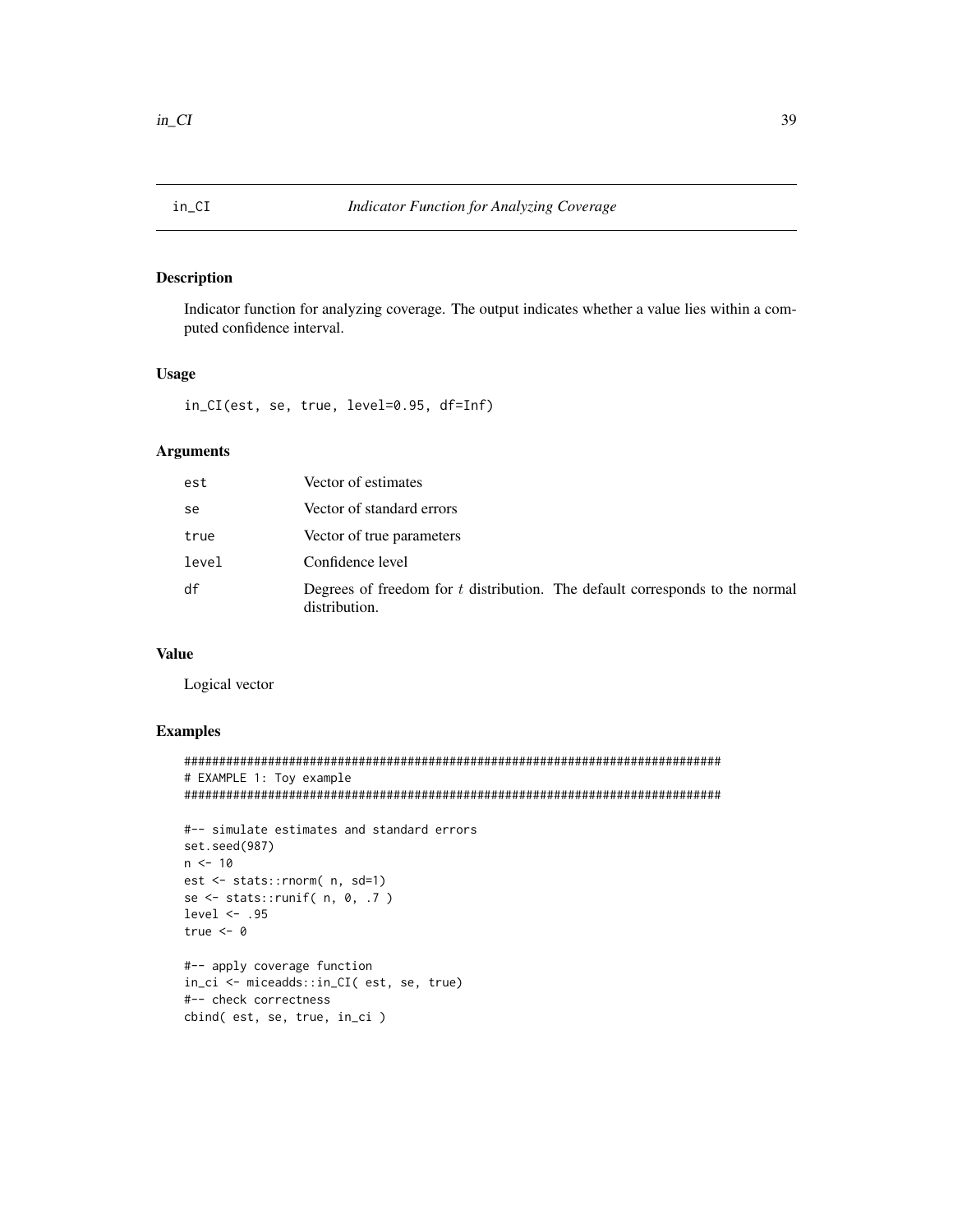$\verb"in_CIL$ 

# **Description**

Indicator function for analyzing coverage. The output indicates whether a value lies within a computed confidence interval.

## **Usage**

in\_CI(est, se, true, level=0.95, df=Inf)

## **Arguments**

| est   | Vector of estimates                                                                             |
|-------|-------------------------------------------------------------------------------------------------|
| se    | Vector of standard errors                                                                       |
| true  | Vector of true parameters                                                                       |
| level | Confidence level                                                                                |
| df    | Degrees of freedom for $t$ distribution. The default corresponds to the normal<br>distribution. |

# **Value**

Logical vector

```
# EXAMPLE 1: Toy example
```

```
#-- simulate estimates and standard errors
set.seed(987)
n \le -10est <- stats::rnorm( n, sd=1)
se <- stats::runif(n, \theta, .7)
level \leq .95
true <-0#-- apply coverage function
in_ci <- miceadds::in_CI( est, se, true)
```

```
#-- check correctness
cbind(est, se, true, in_ci)
```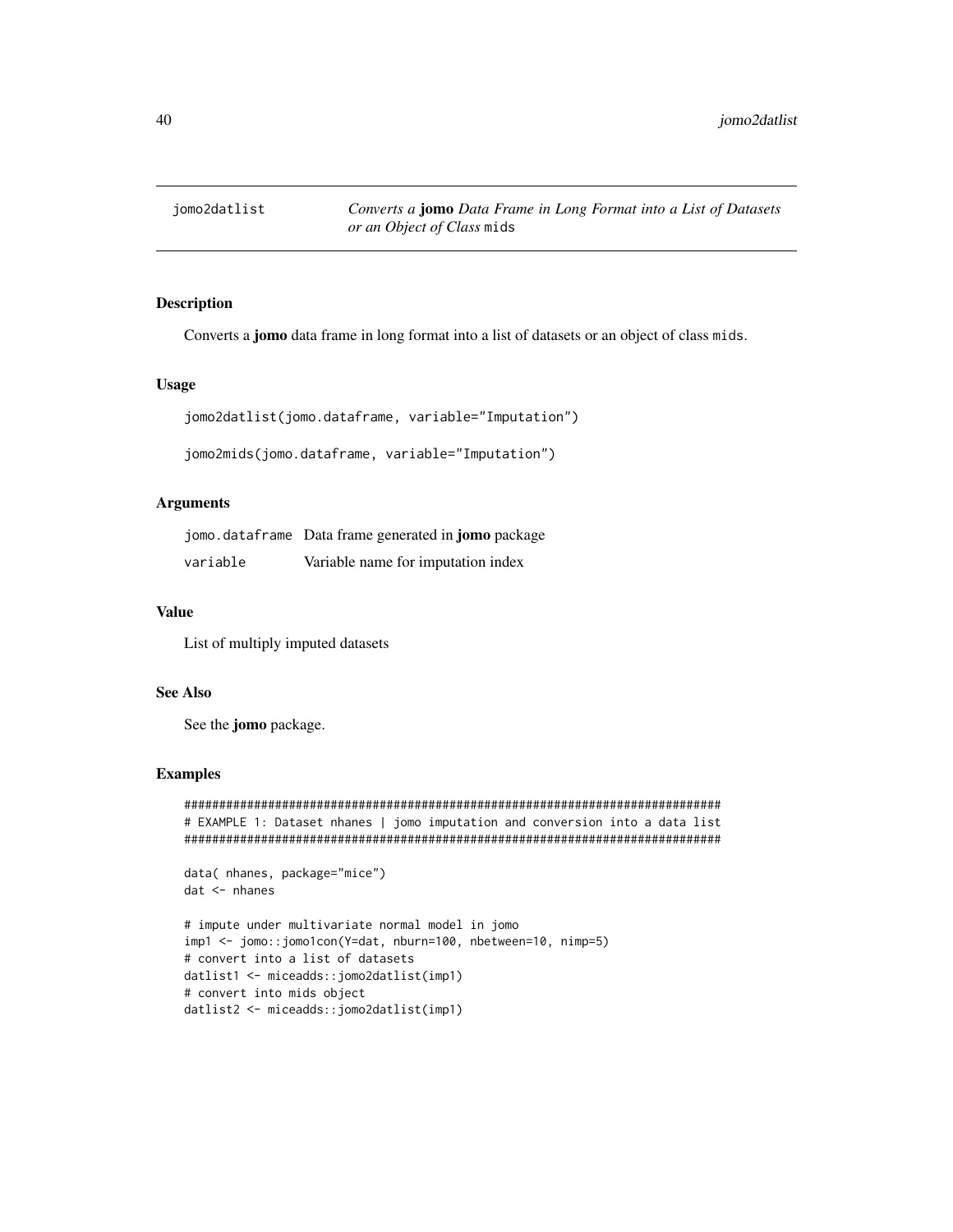jomo2datlist

# **Description**

Converts a jomo data frame in long format into a list of datasets or an object of class mids.

## **Usage**

```
jomo2datlist(jomo.dataframe, variable="Imputation")
```

```
jomo2mids(jomo.dataframe, variable="Imputation")
```
## **Arguments**

|          | jomo.dataframe Data frame generated in <b>jomo</b> package |
|----------|------------------------------------------------------------|
| variable | Variable name for imputation index                         |

#### **Value**

List of multiply imputed datasets

# **See Also**

See the jomo package.

#### **Examples**

```
# EXAMPLE 1: Dataset nhanes | jomo imputation and conversion into a data list
data( nhanes, package="mice")
dat <- nhanes
# impute under multivariate normal model in jomo
imp1 <- jomo::jomo1con(Y=dat, nburn=100, nbetween=10, nimp=5)
# convert into a list of datasets
datlist1 <- miceadds::jomo2datlist(imp1)
```
# convert into mids object

```
datlist2 <- miceadds::jomo2datlist(imp1)
```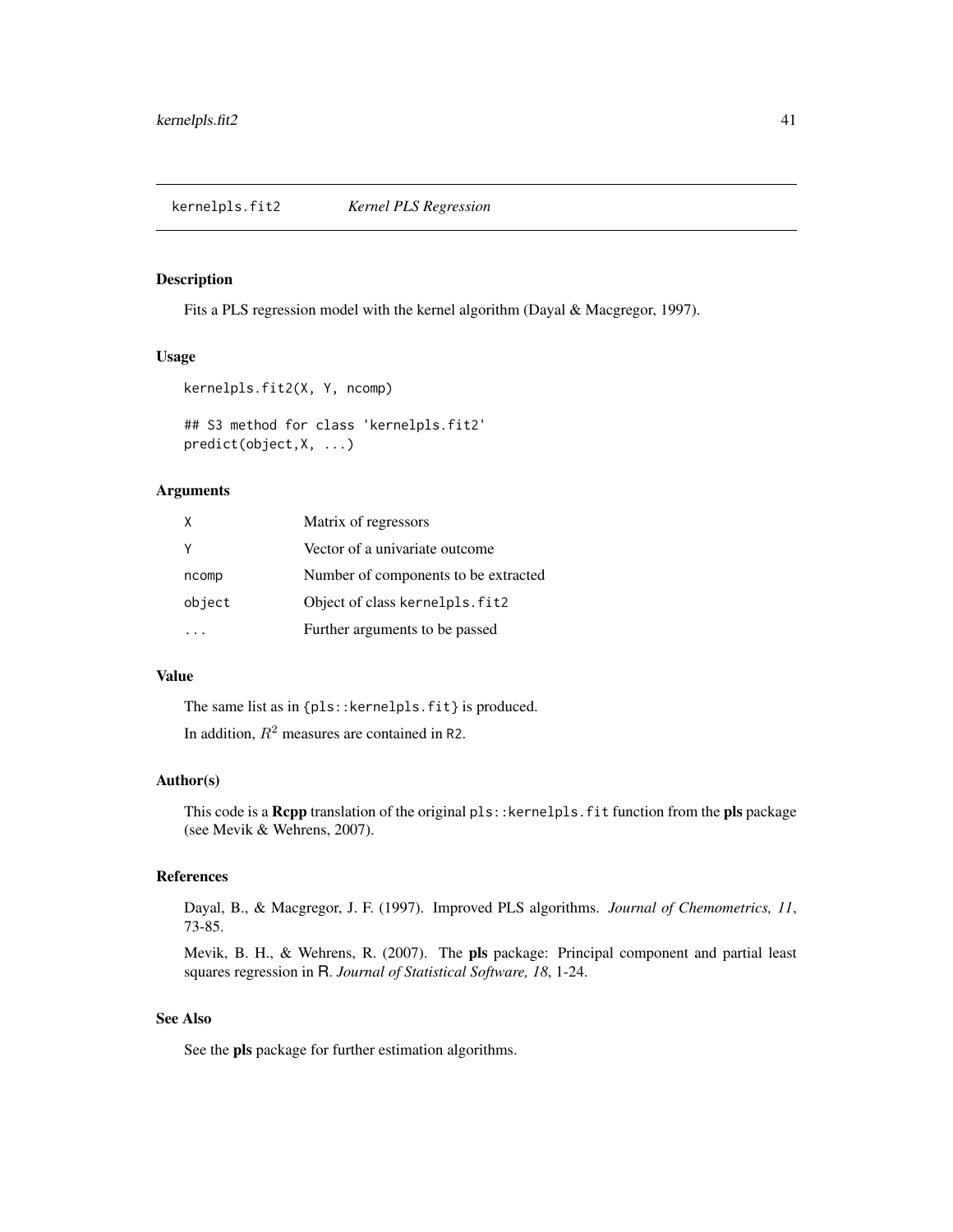#### Description

Fits a PLS regression model with the kernel algorithm (Dayal & Macgregor, 1997).

## Usage

```
kernelpls.fit2(X, Y, ncomp)
## S3 method for class 'kernelpls.fit2'
predict(object,X, ...)
```
# Arguments

| X      | Matrix of regressors                 |
|--------|--------------------------------------|
| Y      | Vector of a univariate outcome       |
| ncomp  | Number of components to be extracted |
| object | Object of class kernelpls. fit2      |
|        | Further arguments to be passed       |

# Value

The same list as in {pls::kernelpls.fit} is produced.

In addition,  $R^2$  measures are contained in R2.

## Author(s)

This code is a Rcpp translation of the original pls:: kernelpls.fit function from the pls package (see Mevik & Wehrens, 2007).

#### References

Dayal, B., & Macgregor, J. F. (1997). Improved PLS algorithms. *Journal of Chemometrics, 11*, 73-85.

Mevik, B. H., & Wehrens, R. (2007). The pls package: Principal component and partial least squares regression in R. *Journal of Statistical Software, 18*, 1-24.

# See Also

See the pls package for further estimation algorithms.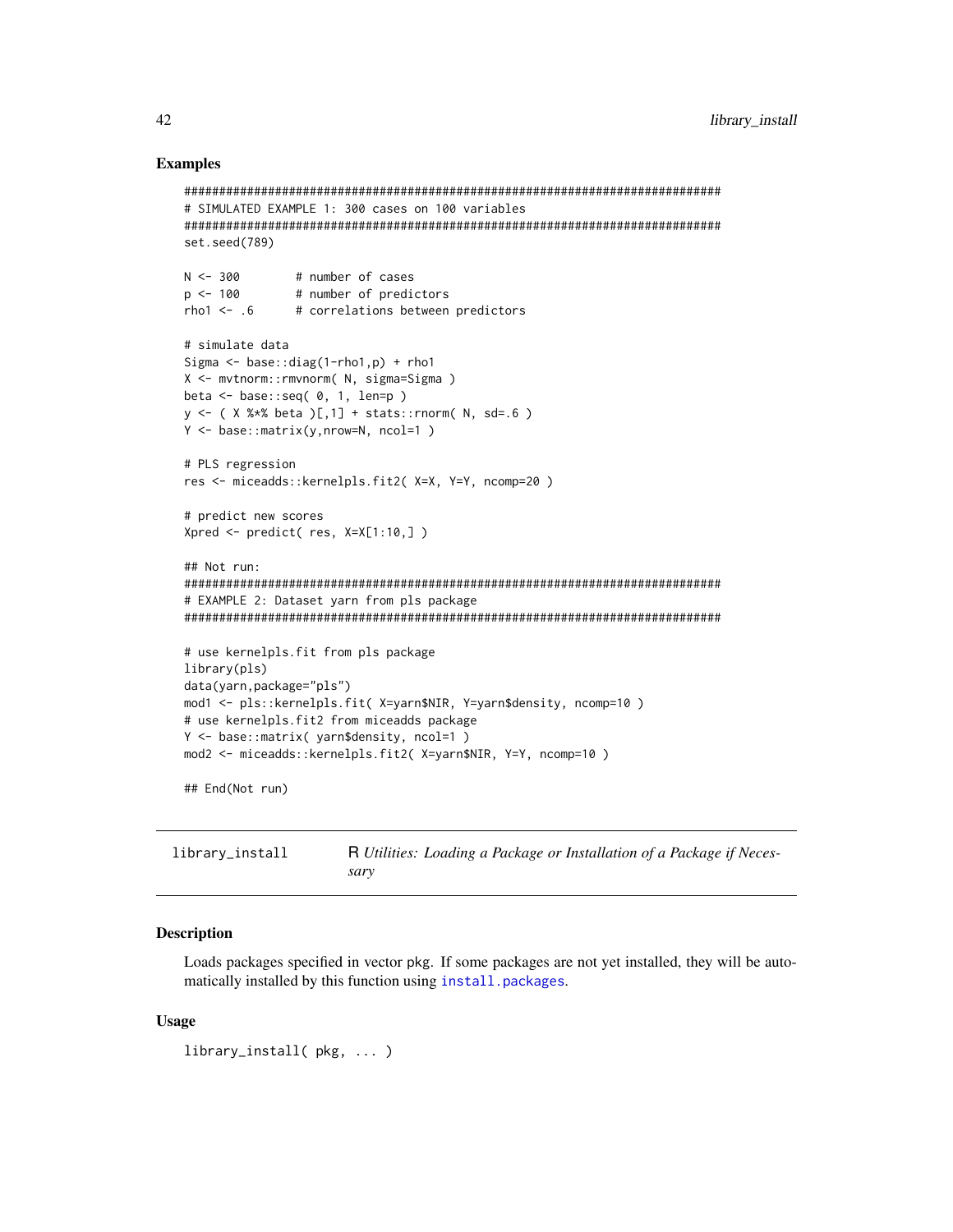## **Examples**

```
# SIMULATED EXAMPLE 1: 300 cases on 100 variables
set.seed(789)
N < -300# number of cases
p \le -100# number of predictors
rho1 \le -0.6# correlations between predictors
# simulate data
Sigma \leq base::diag(1-rho1,p) + rho1
X <- mvtnorm::rmvnorm( N, sigma=Sigma )
beta \leq base::seq( \theta, 1, len=p )
y \leftarrow (X %* % beta )[,1] + stats::rnorm( N, sd=.6 )Y \leq - base:: matrix(y, nrow=N, ncol=1)
# PLS regression
res <- miceadds::kernelpls.fit2( X=X, Y=Y, ncomp=20 )
# predict new scores
Xpred <- predict( res, X=X[1:10,])
## Not run:
# EXAMPLE 2: Dataset yarn from pls package
# use kernelpls.fit from pls package
library(pls)
data(yarn, package="pls")
mod1 <- pls::kernelpls.fit( X=yarn$NIR, Y=yarn$density, ncomp=10 )
# use kernelpls.fit2 from miceadds package
Y <- base::matrix( yarn$density, ncol=1)
mod2 <- miceadds::kernelpls.fit2( X=yarn$NIR, Y=Y, ncomp=10 )
## End(Not run)
```
library\_install R Utilities: Loading a Package or Installation of a Package if Necessary

# **Description**

Loads packages specified in vector pkg. If some packages are not yet installed, they will be automatically installed by this function using install.packages.

#### **Usage**

library\_install(pkg, ...)

42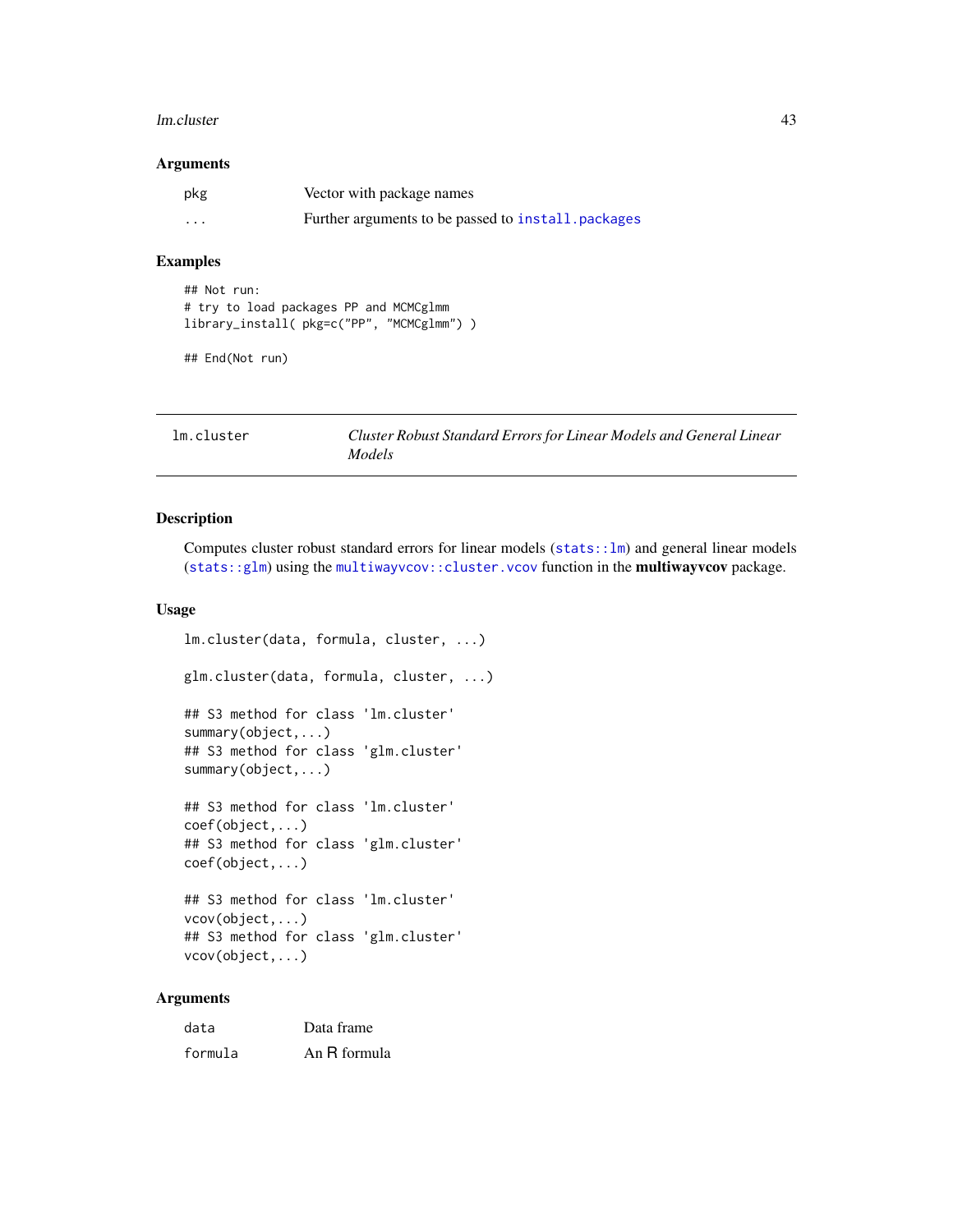#### lm.cluster 43

#### Arguments

| pkg                     | Vector with package names                           |
|-------------------------|-----------------------------------------------------|
| $\cdot$ $\cdot$ $\cdot$ | Further arguments to be passed to install, packages |

#### Examples

```
## Not run:
# try to load packages PP and MCMCglmm
library_install( pkg=c("PP", "MCMCglmm") )
```
## End(Not run)

lm.cluster *Cluster Robust Standard Errors for Linear Models and General Linear Models*

# Description

Computes cluster robust standard errors for linear models ([stats::lm](#page-0-0)) and general linear models ([stats::glm](#page-0-0)) using the [multiwayvcov::cluster.vcov](#page-0-0) function in the multiwayvcov package.

# Usage

```
lm.cluster(data, formula, cluster, ...)
glm.cluster(data, formula, cluster, ...)
## S3 method for class 'lm.cluster'
summary(object,...)
## S3 method for class 'glm.cluster'
summary(object,...)
## S3 method for class 'lm.cluster'
coef(object,...)
## S3 method for class 'glm.cluster'
coef(object,...)
## S3 method for class 'lm.cluster'
vcov(object,...)
## S3 method for class 'glm.cluster'
vcov(object,...)
```
# Arguments

| data    | Data frame   |
|---------|--------------|
| formula | An R formula |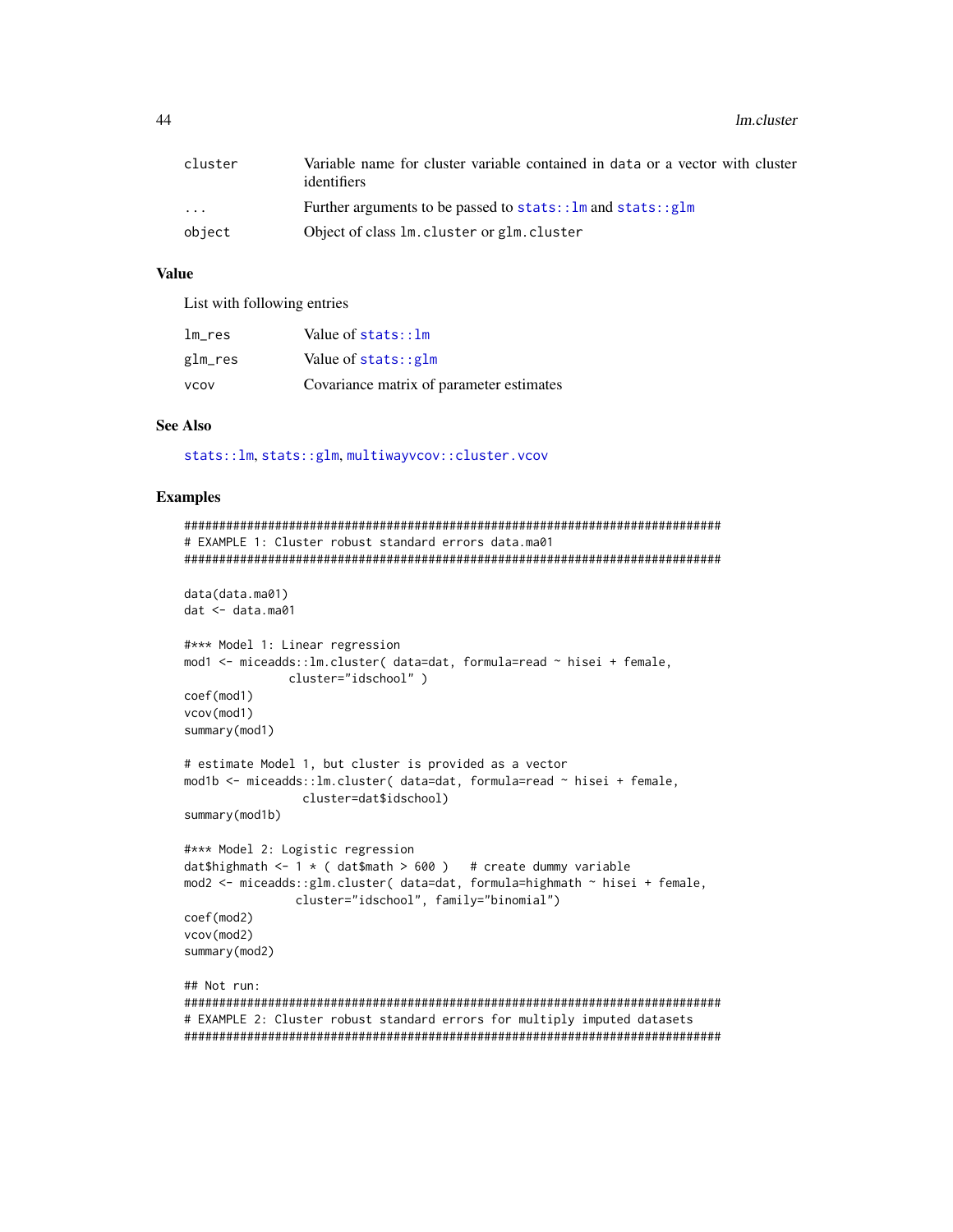44 lm.cluster and the set of the set of the set of the set of the set of the set of the set of the set of the set of the set of the set of the set of the set of the set of the set of the set of the set of the set of the se

| cluster                 | Variable name for cluster variable contained in data or a vector with cluster<br>identifiers |
|-------------------------|----------------------------------------------------------------------------------------------|
| $\cdot$ $\cdot$ $\cdot$ | Further arguments to be passed to $stats::lm$ and $stats::glm$                               |
| object                  | Object of class 1m. cluster or glm. cluster                                                  |

# Value

List with following entries

| lm res      | Value of $stats:$ : $lm$                 |
|-------------|------------------------------------------|
| glm_res     | Value of $stats::glm$                    |
| <b>VCOV</b> | Covariance matrix of parameter estimates |

# See Also

[stats::lm](#page-0-0), [stats::glm](#page-0-0), [multiwayvcov::cluster.vcov](#page-0-0)

```
#############################################################################
# EXAMPLE 1: Cluster robust standard errors data.ma01
#############################################################################
data(data.ma01)
dat <- data.ma01
#*** Model 1: Linear regression
mod1 <- miceadds::lm.cluster( data=dat, formula=read ~ hisei + female,
               cluster="idschool" )
coef(mod1)
vcov(mod1)
summary(mod1)
# estimate Model 1, but cluster is provided as a vector
mod1b <- miceadds::lm.cluster( data=dat, formula=read ~ hisei + female,
                 cluster=dat$idschool)
summary(mod1b)
#*** Model 2: Logistic regression
dat$highmath <- 1 \star ( dat$math > 600 ) # create dummy variable
mod2 <- miceadds::glm.cluster( data=dat, formula=highmath ~ hisei + female,
                cluster="idschool", family="binomial")
coef(mod2)
vcov(mod2)
summary(mod2)
## Not run:
#############################################################################
# EXAMPLE 2: Cluster robust standard errors for multiply imputed datasets
#############################################################################
```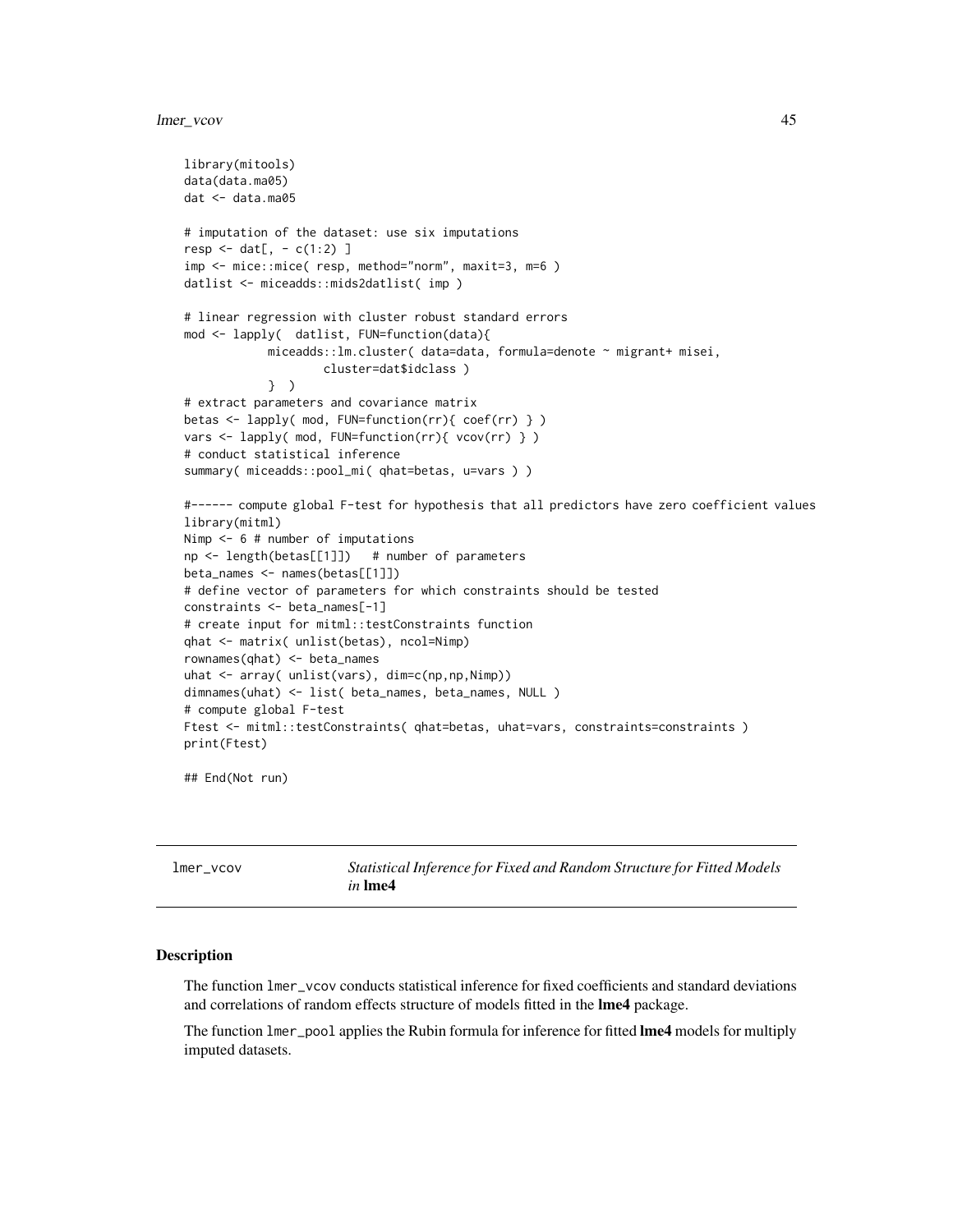# lmer\_vcov 45

```
library(mitools)
data(data.ma05)
dat <- data.ma05
# imputation of the dataset: use six imputations
resp < - \text{dat}[ , - c(1:2) ]imp <- mice::mice( resp, method="norm", maxit=3, m=6 )
datlist <- miceadds::mids2datlist( imp )
# linear regression with cluster robust standard errors
mod <- lapply( datlist, FUN=function(data){
            miceadds::lm.cluster( data=data, formula=denote ~ migrant+ misei,
                    cluster=dat$idclass )
            } )
# extract parameters and covariance matrix
betas <- lapply( mod, FUN=function(rr){ coef(rr) } )
vars <- lapply( mod, FUN=function(rr){ vcov(rr) } )
# conduct statistical inference
summary( miceadds::pool_mi( qhat=betas, u=vars ) )
#------ compute global F-test for hypothesis that all predictors have zero coefficient values
library(mitml)
Nimp <- 6 # number of imputations
np <- length(betas[[1]]) # number of parameters
beta_names <- names(betas[[1]])
# define vector of parameters for which constraints should be tested
constraints <- beta_names[-1]
# create input for mitml::testConstraints function
qhat <- matrix( unlist(betas), ncol=Nimp)
rownames(qhat) <- beta_names
uhat <- array( unlist(vars), dim=c(np,np,Nimp))
dimnames(uhat) <- list( beta_names, beta_names, NULL )
# compute global F-test
Ftest <- mitml::testConstraints( qhat=betas, uhat=vars, constraints=constraints )
print(Ftest)
```
## End(Not run)

| lmer_vcov | Statistical Inference for Fixed and Random Structure for Fitted Models |
|-----------|------------------------------------------------------------------------|
|           | <i>in</i> Ime4                                                         |

## Description

The function lmer\_vcov conducts statistical inference for fixed coefficients and standard deviations and correlations of random effects structure of models fitted in the lme4 package.

The function lmer\_pool applies the Rubin formula for inference for fitted lme4 models for multiply imputed datasets.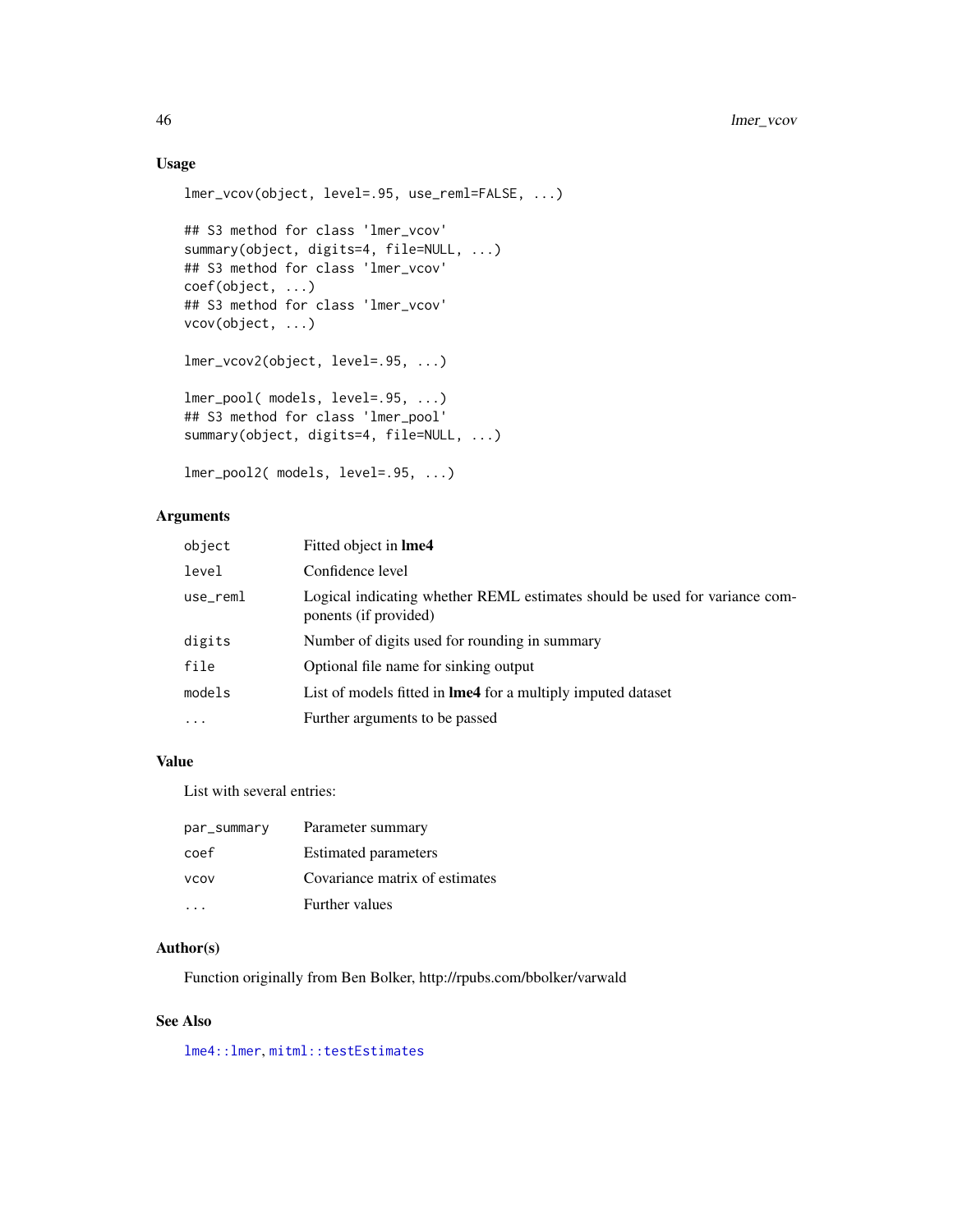# Usage

```
lmer_vcov(object, level=.95, use_reml=FALSE, ...)
## S3 method for class 'lmer_vcov'
summary(object, digits=4, file=NULL, ...)
## S3 method for class 'lmer_vcov'
coef(object, ...)
## S3 method for class 'lmer_vcov'
vcov(object, ...)
lmer_vcov2(object, level=.95, ...)
lmer_pool( models, level=.95, ...)
## S3 method for class 'lmer_pool'
summary(object, digits=4, file=NULL, ...)
```

```
lmer_pool2( models, level=.95, ...)
```
# Arguments

| object    | Fitted object in <b>Ime4</b>                                                                        |
|-----------|-----------------------------------------------------------------------------------------------------|
| level     | Confidence level                                                                                    |
| use_reml  | Logical indicating whether REML estimates should be used for variance com-<br>ponents (if provided) |
| digits    | Number of digits used for rounding in summary                                                       |
| file      | Optional file name for sinking output                                                               |
| models    | List of models fitted in <b>lme4</b> for a multiply imputed dataset                                 |
| $\ddotsc$ | Further arguments to be passed                                                                      |

# Value

List with several entries:

| par_summary | Parameter summary              |
|-------------|--------------------------------|
| coef        | <b>Estimated parameters</b>    |
| <b>VCOV</b> | Covariance matrix of estimates |
|             | Further values                 |

# Author(s)

Function originally from Ben Bolker, http://rpubs.com/bbolker/varwald

#### See Also

[lme4::lmer](#page-0-0), [mitml::testEstimates](#page-0-0)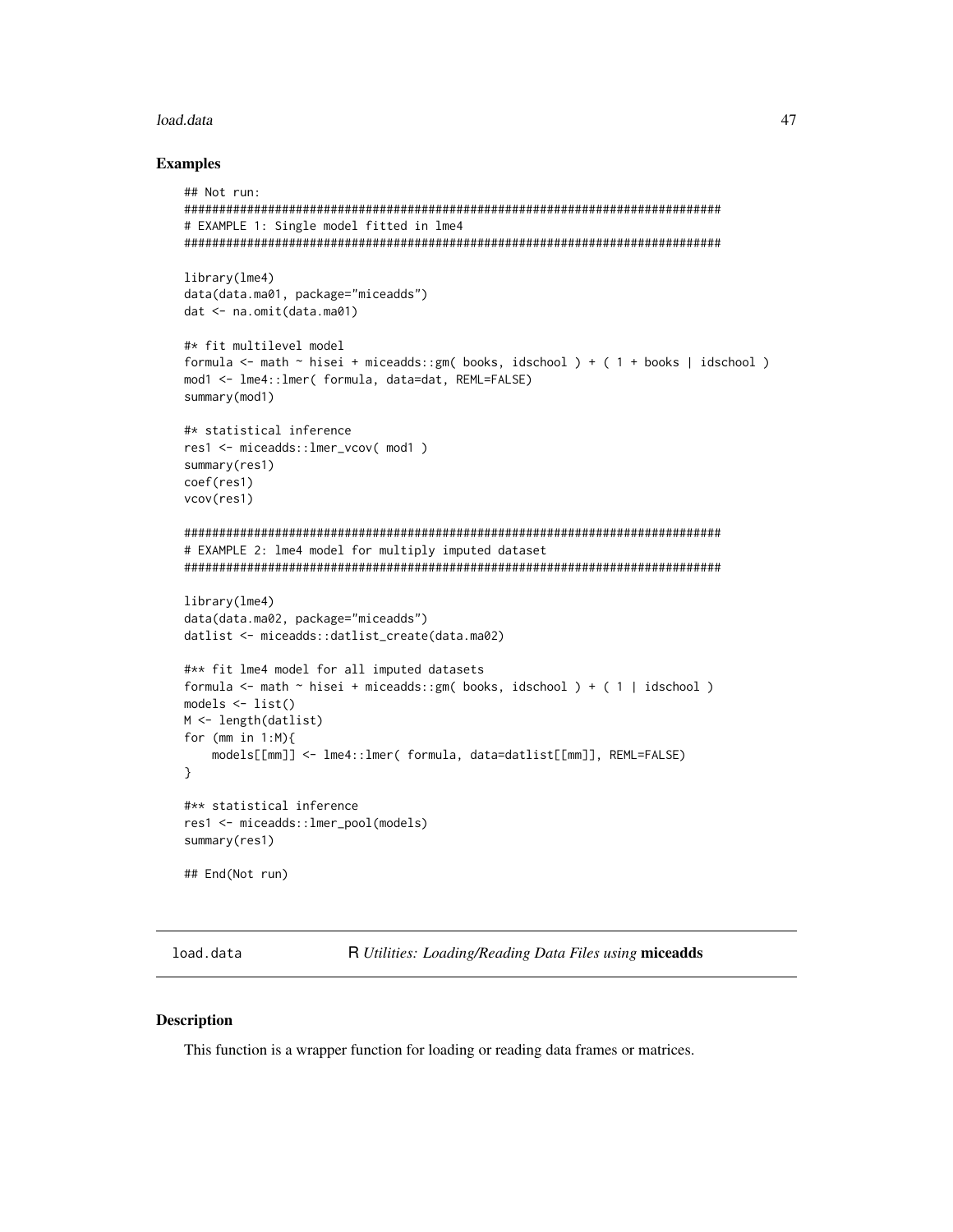# load.data

#### **Examples**

```
## Not run:
# EXAMPLE 1: Single model fitted in lme4
library(lme4)
data(data.ma01, package="miceadds")
dat <- na.omit(data.ma01)
#* fit multilevel model
formula <- math ~ hisei + miceadds::gm( books, idschool ) + ( 1 + books | idschool )
mod1 <- lme4::lmer( formula, data=dat, REML=FALSE)
summary(mod1)
#* statistical inference
res1 <- miceadds::1mer_vcov( mod1)
summary(res1)
coef(res1)
vcov(res1)
# EXAMPLE 2: lme4 model for multiply imputed dataset
library(lme4)
data(data.ma02, package="miceadds")
datlist <- miceadds::datlist_create(data.ma02)
#** fit lme4 model for all imputed datasets
formula <- math \sim hisei + miceadds::gm( books, idschool ) + ( 1 | idschool )
models \leftarrow list()
M \leftarrow length(datlist)
for (mm in 1:M){
   models[[mm]] <- lme4::lmer( formula, data=datlist[[mm]], REML=FALSE)
λ
#** statistical inference
res1 <- miceadds::lmer_pool(models)
summary(res1)
## End(Not run)
```
load.data

R Utilities: Loading/Reading Data Files using miceadds

#### **Description**

This function is a wrapper function for loading or reading data frames or matrices.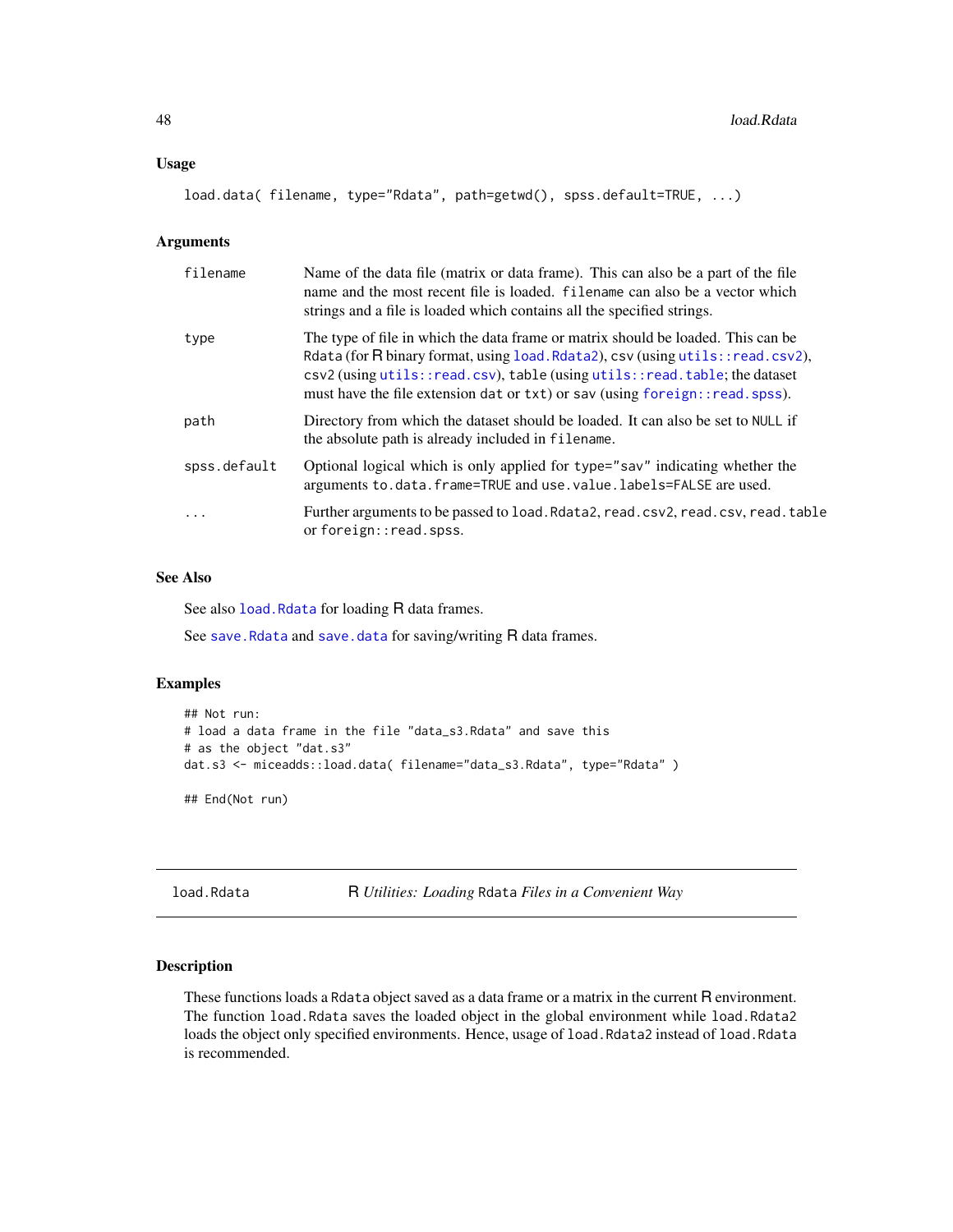#### Usage

```
load.data( filename, type="Rdata", path=getwd(), spss.default=TRUE, ...)
```
#### Arguments

| filename     | Name of the data file (matrix or data frame). This can also be a part of the file<br>name and the most recent file is loaded. Filename can also be a vector which<br>strings and a file is loaded which contains all the specified strings.                                                                                                  |
|--------------|----------------------------------------------------------------------------------------------------------------------------------------------------------------------------------------------------------------------------------------------------------------------------------------------------------------------------------------------|
| type         | The type of file in which the data frame or matrix should be loaded. This can be<br>Rdata (for $\overline{R}$ binary format, using load. Rdata2), csv (using utils:: read.csv2),<br>csv2 (using utils::read.csv), table (using utils::read.table; the dataset<br>must have the file extension dat or txt) or sav (using foreign::read.spss). |
| path         | Directory from which the dataset should be loaded. It can also be set to NULL if<br>the absolute path is already included in filename.                                                                                                                                                                                                       |
| spss.default | Optional logical which is only applied for type="sav" indicating whether the<br>arguments to.data.frame=TRUE and use.value.labels=FALSE are used.                                                                                                                                                                                            |
| $\ddots$     | Further arguments to be passed to load. Rdata2, read. csv2, read. csv, read. table<br>or foreign:: read.spss.                                                                                                                                                                                                                                |

## See Also

See also [load.Rdata](#page-47-1) for loading R data frames.

See save. Rdata and save. data for saving/writing R data frames.

# Examples

```
## Not run:
# load a data frame in the file "data_s3.Rdata" and save this
# as the object "dat.s3"
dat.s3 <- miceadds::load.data( filename="data_s3.Rdata", type="Rdata" )
```
## End(Not run)

<span id="page-47-1"></span>load.Rdata R *Utilities: Loading* Rdata *Files in a Convenient Way*

# <span id="page-47-0"></span>Description

These functions loads a Rdata object saved as a data frame or a matrix in the current R environment. The function load.Rdata saves the loaded object in the global environment while load.Rdata2 loads the object only specified environments. Hence, usage of load.Rdata2 instead of load.Rdata is recommended.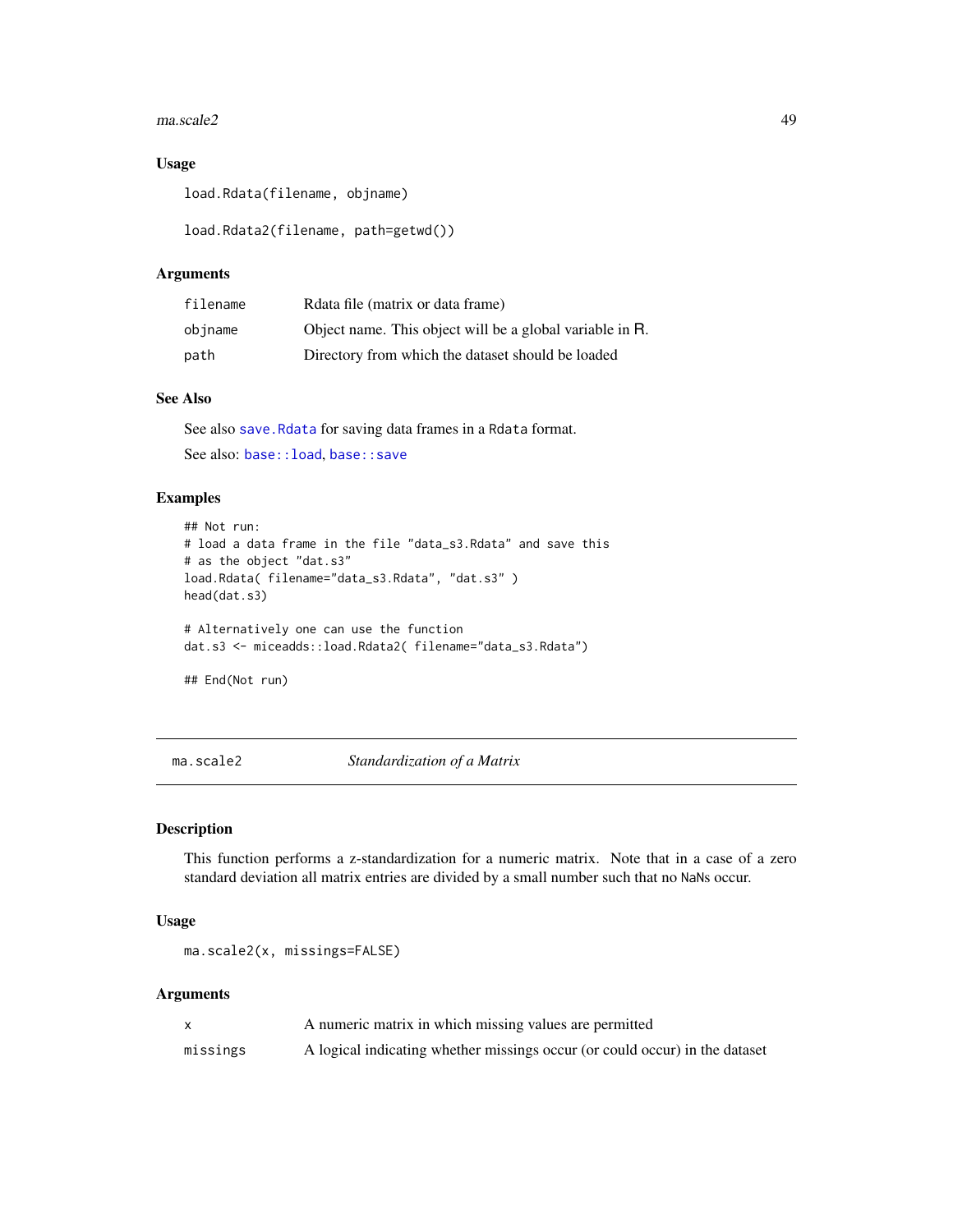#### $maxscale2$  49

# Usage

load.Rdata(filename, objname)

load.Rdata2(filename, path=getwd())

# Arguments

| filename | Relata file (matrix or data frame)                       |
|----------|----------------------------------------------------------|
| objname  | Object name. This object will be a global variable in R. |
| path     | Directory from which the dataset should be loaded        |

## See Also

See also [save.Rdata](#page-138-0) for saving data frames in a Rdata format. See also: [base::load](#page-0-0), [base::save](#page-0-0)

# Examples

```
## Not run:
# load a data frame in the file "data_s3.Rdata" and save this
# as the object "dat.s3"
load.Rdata( filename="data_s3.Rdata", "dat.s3" )
head(dat.s3)
# Alternatively one can use the function
dat.s3 <- miceadds::load.Rdata2( filename="data_s3.Rdata")
## End(Not run)
```
ma.scale2 *Standardization of a Matrix*

# Description

This function performs a z-standardization for a numeric matrix. Note that in a case of a zero standard deviation all matrix entries are divided by a small number such that no NaNs occur.

#### Usage

```
ma.scale2(x, missings=FALSE)
```
# Arguments

|          | A numeric matrix in which missing values are permitted                      |
|----------|-----------------------------------------------------------------------------|
| missings | A logical indicating whether missings occur (or could occur) in the dataset |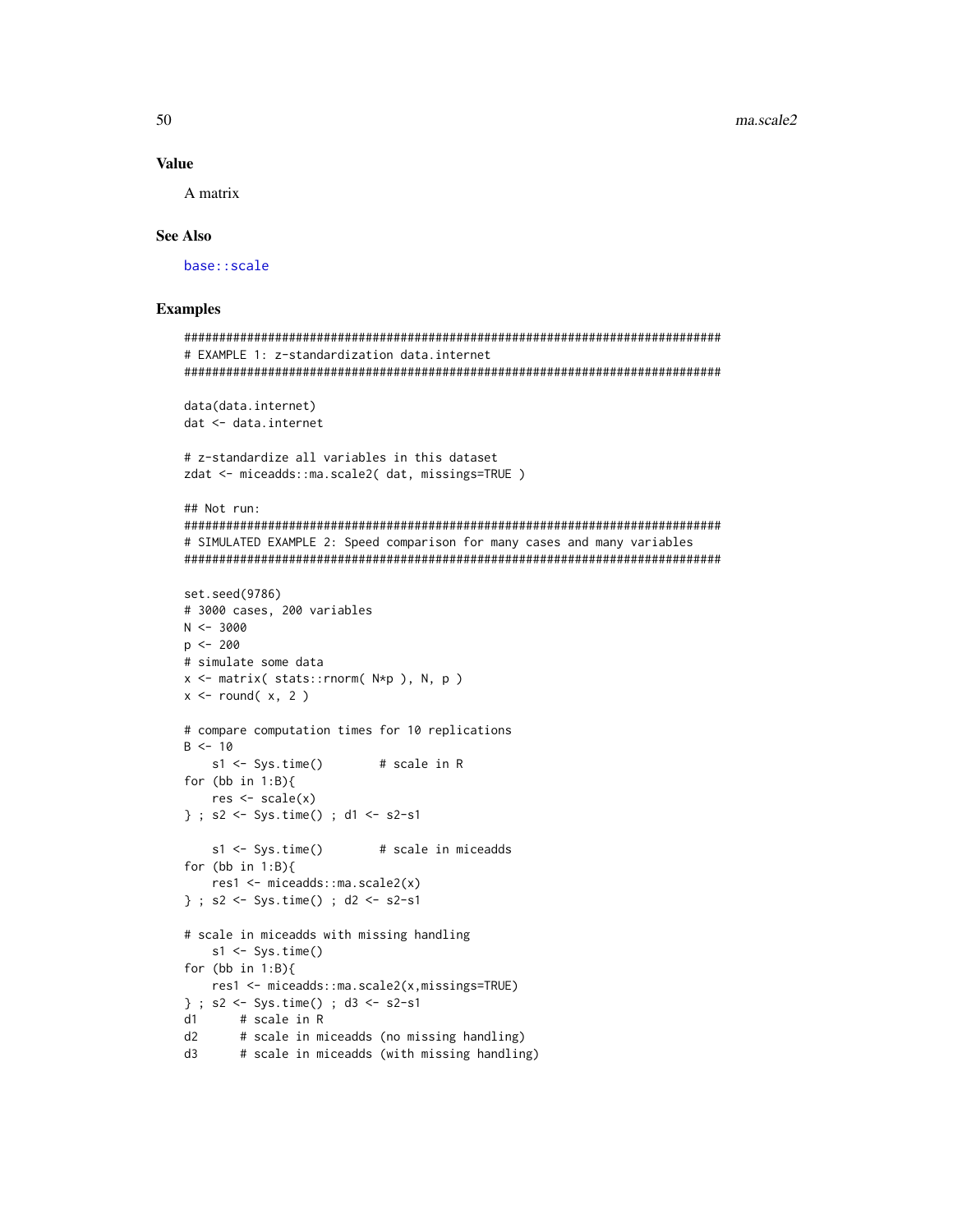## **Value**

A matrix

## **See Also**

base::scale

# **Examples**

```
# EXAMPLE 1: z-standardization data.internet
data(data.internet)
dat <- data.internet
# z-standardize all variables in this dataset
zdat <- miceadds::ma.scale2(dat, missings=TRUE)
## Not run:
# SIMULATED EXAMPLE 2: Speed comparison for many cases and many variables
set.seed(9786)
# 3000 cases, 200 variables
N < -3000p \le -200# simulate some data
x \le matrix( stats:: rnorm(N*p), N, p)
x \le round(x, 2)
# compare computation times for 10 replications
B < -10s1 \leftarrow Sys.time()# scale in R
for (bb in 1:B)res \leftarrow scale(x)} ; s2 <- Sys.time() ; d1 <- s2-s1
   s1 \leftarrow Sys.time()# scale in miceadds
for (bb in 1:B){
   res1 <- miceadds::ma.scale2(x)
} ; s2 <- Sys.time() ; d2 <- s2-s1
# scale in miceadds with missing handling
   s1 \leftarrow Sys.time()for (bb in 1:B){
   res1 <- miceadds::ma.scale2(x,missings=TRUE)
} ; s2 <- Sys.time() ; d3 <- s2-s1
     # scale in R
d1d2# scale in miceadds (no missing handling)
      # scale in miceadds (with missing handling)
\mathsf{c}_\mathsf{b}
```
50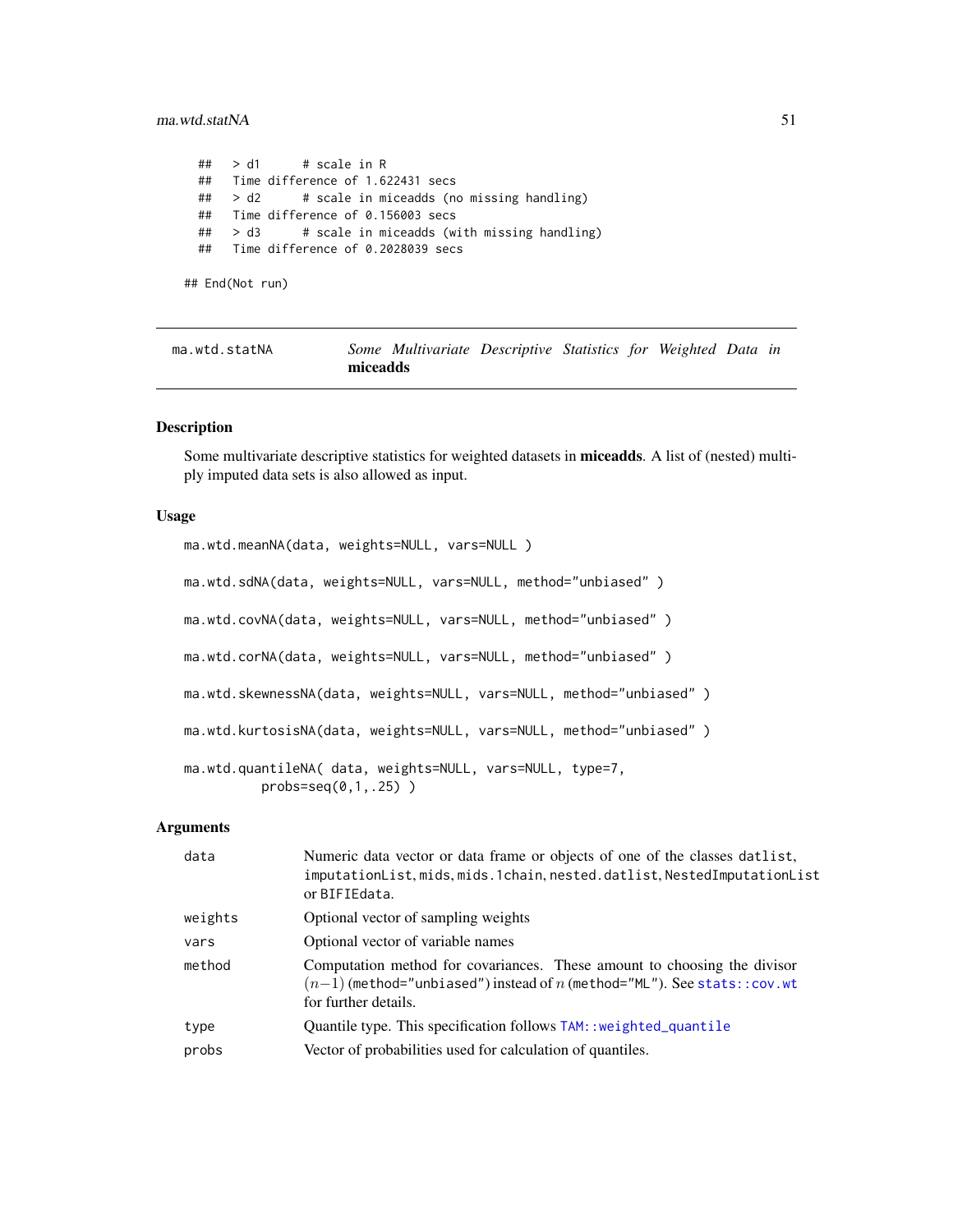## ma.wtd.statNA 51

```
## > d1 # scale in R
## Time difference of 1.622431 secs
## > d2 # scale in miceadds (no missing handling)
## Time difference of 0.156003 secs
## > d3 # scale in miceadds (with missing handling)
## Time difference of 0.2028039 secs
```
## End(Not run)

| ma.wtd.statNA |          | Some Multivariate Descriptive Statistics for Weighted Data in |  |  |  |
|---------------|----------|---------------------------------------------------------------|--|--|--|
|               | miceadds |                                                               |  |  |  |

# Description

Some multivariate descriptive statistics for weighted datasets in miceadds. A list of (nested) multiply imputed data sets is also allowed as input.

#### Usage

```
ma.wtd.meanNA(data, weights=NULL, vars=NULL )
ma.wtd.sdNA(data, weights=NULL, vars=NULL, method="unbiased")
ma.wtd.covNA(data, weights=NULL, vars=NULL, method="unbiased")
ma.wtd.corNA(data, weights=NULL, vars=NULL, method="unbiased")
ma.wtd.skewnessNA(data, weights=NULL, vars=NULL, method="unbiased" )
ma.wtd.kurtosisNA(data, weights=NULL, vars=NULL, method="unbiased")
ma.wtd.quantileNA( data, weights=NULL, vars=NULL, type=7,
         probs=seq(0,1,.25) )
```
#### Arguments

| data    | Numeric data vector or data frame or objects of one of the classes datlist,<br>imputationList, mids, mids.1chain, nested.datlist, NestedImputationList<br>or BIFIEdata.        |
|---------|--------------------------------------------------------------------------------------------------------------------------------------------------------------------------------|
| weights | Optional vector of sampling weights                                                                                                                                            |
| vars    | Optional vector of variable names                                                                                                                                              |
| method  | Computation method for covariances. These amount to choosing the divisor<br>$(n-1)$ (method="unbiased") instead of n (method="ML"). See stats:: cov.wt<br>for further details. |
| type    | Quantile type. This specification follows TAM:: weighted_quantile                                                                                                              |
| probs   | Vector of probabilities used for calculation of quantiles.                                                                                                                     |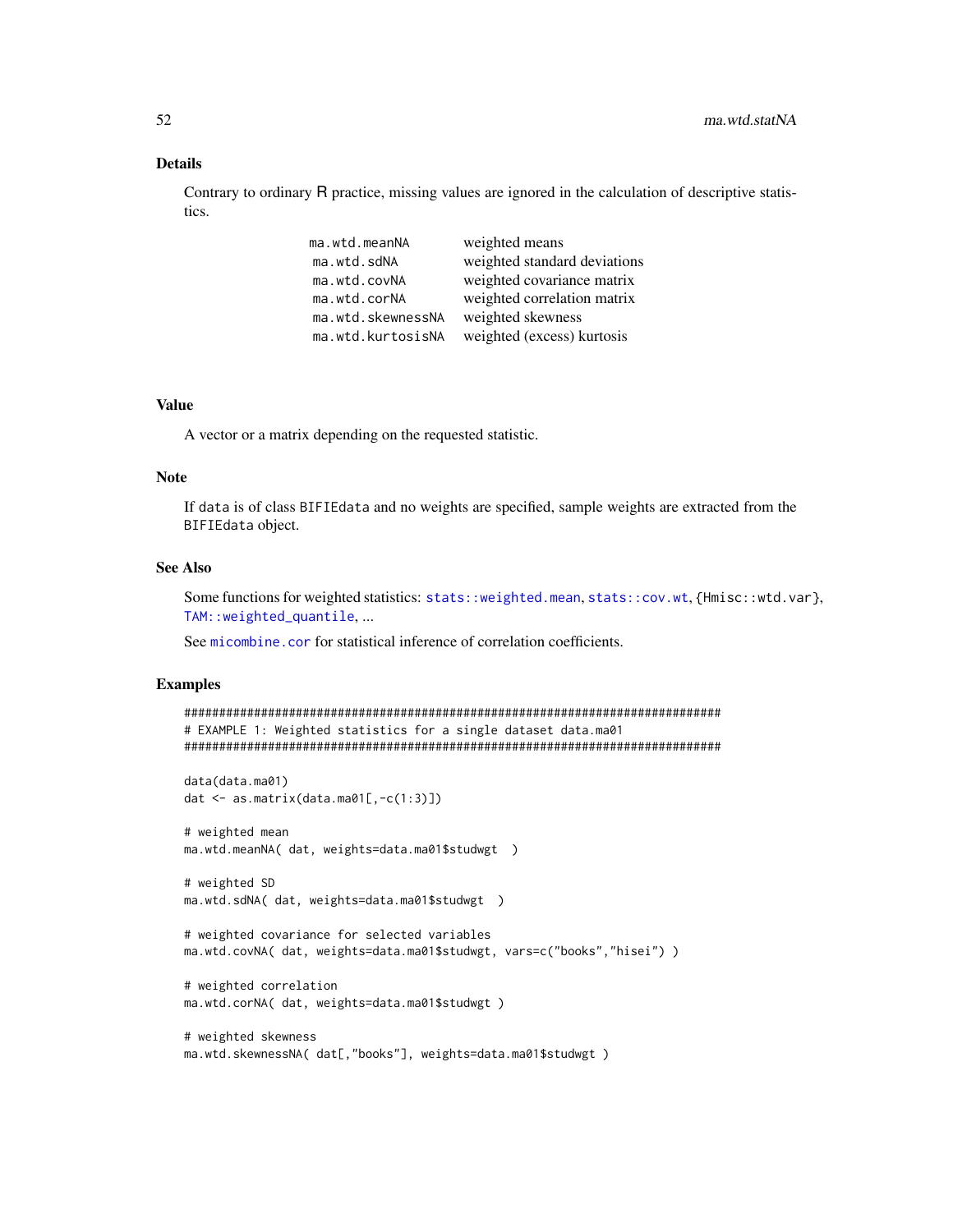## Details

Contrary to ordinary R practice, missing values are ignored in the calculation of descriptive statistics.

| ma.wtd.meanNA     | weighted means               |
|-------------------|------------------------------|
| ma.wtd.sdNA       | weighted standard deviations |
| ma.wtd.covNA      | weighted covariance matrix   |
| ma.wtd.corNA      | weighted correlation matrix  |
| ma.wtd.skewnessNA | weighted skewness            |
| ma.wtd.kurtosisNA | weighted (excess) kurtosis   |

## Value

A vector or a matrix depending on the requested statistic.

#### Note

If data is of class BIFIEdata and no weights are specified, sample weights are extracted from the BIFIEdata object.

## See Also

Some functions for weighted statistics: [stats::weighted.mean](#page-0-0), [stats::cov.wt](#page-0-0), {Hmisc::wtd.var}, [TAM::weighted\\_quantile](#page-0-0), ...

See [micombine.cor](#page-101-0) for statistical inference of correlation coefficients.

```
#############################################################################
# EXAMPLE 1: Weighted statistics for a single dataset data.ma01
#############################################################################
data(data.ma01)
dat <- as.matrix(data.ma01[,-c(1:3)])
# weighted mean
ma.wtd.meanNA( dat, weights=data.ma01$studwgt )
# weighted SD
ma.wtd.sdNA( dat, weights=data.ma01$studwgt )
# weighted covariance for selected variables
ma.wtd.covNA( dat, weights=data.ma01$studwgt, vars=c("books","hisei") )
# weighted correlation
ma.wtd.corNA( dat, weights=data.ma01$studwgt )
# weighted skewness
ma.wtd.skewnessNA( dat[,"books"], weights=data.ma01$studwgt )
```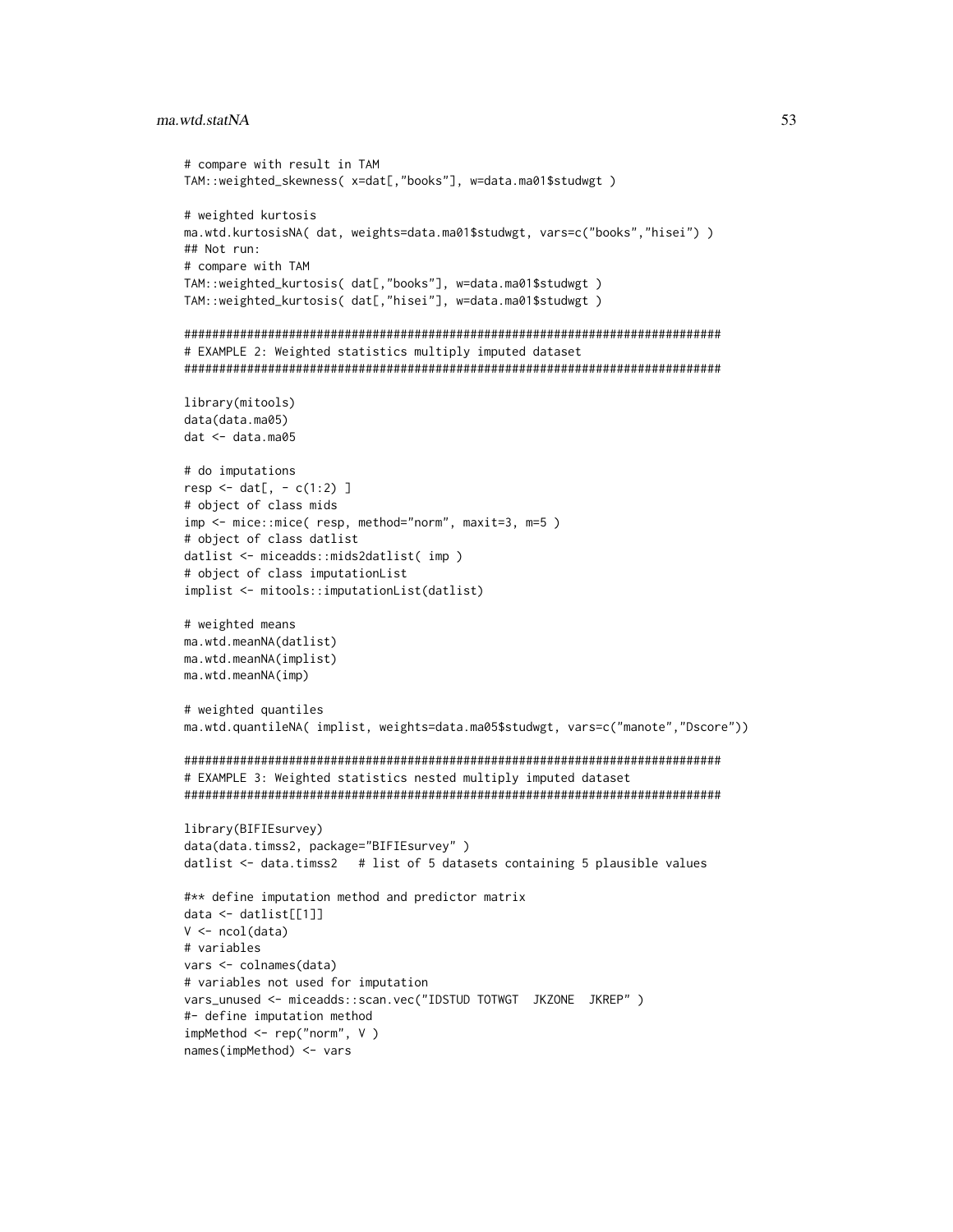#### ma.wtd.statNA

```
# compare with result in TAM
TAM::weighted_skewness( x=dat[,"books"], w=data.ma01$studwgt )
# weighted kurtosis
ma.wtd.kurtosisNA( dat, weights=data.ma01$studwgt, vars=c("books","hisei") )
## Not run:
# compare with TAM
TAM::weighted_kurtosis( dat[,"books"], w=data.ma01$studwgt)
TAM::weighted_kurtosis(dat[,"hisei"], w=data.ma01$studwgt)
# EXAMPLE 2: Weighted statistics multiply imputed dataset
library(mitools)
data(data.ma05)
dat < - data.mac05# do imputations
resp < - \text{dat}[ , - c(1:2) ]# object of class mids
imp <- mice::mice( resp, method="norm", maxit=3, m=5)
# object of class datlist
datlist <- miceadds::mids2datlist( imp )
# object of class imputationList
implist <- mitools::imputationList(datlist)
# weighted means
ma.wtd.meanNA(datlist)
ma.wtd.meanNA(implist)
ma.wtd.meanNA(imp)
# weighted quantiles
ma.wtd.quantileNA( implist, weights=data.ma05$studwgt, vars=c("manote","Dscore"))
# EXAMPLE 3: Weighted statistics nested multiply imputed dataset
library(BIFIEsurvey)
data(data.timss2, package="BIFIEsurvey")
datlist <- data.timss2 # list of 5 datasets containing 5 plausible values
#** define imputation method and predictor matrix
data \leftarrow dattist[[1]]V \leftarrow \text{ncol}(data)# variables
vars <- colnames(data)
# variables not used for imputation
vars_unused <- miceadds::scan.vec("IDSTUD TOTWGT JKZONE JKREP")
#- define imputation method
impMethod \leftarrow rep("norm", V)names(impMethod) <- vars
```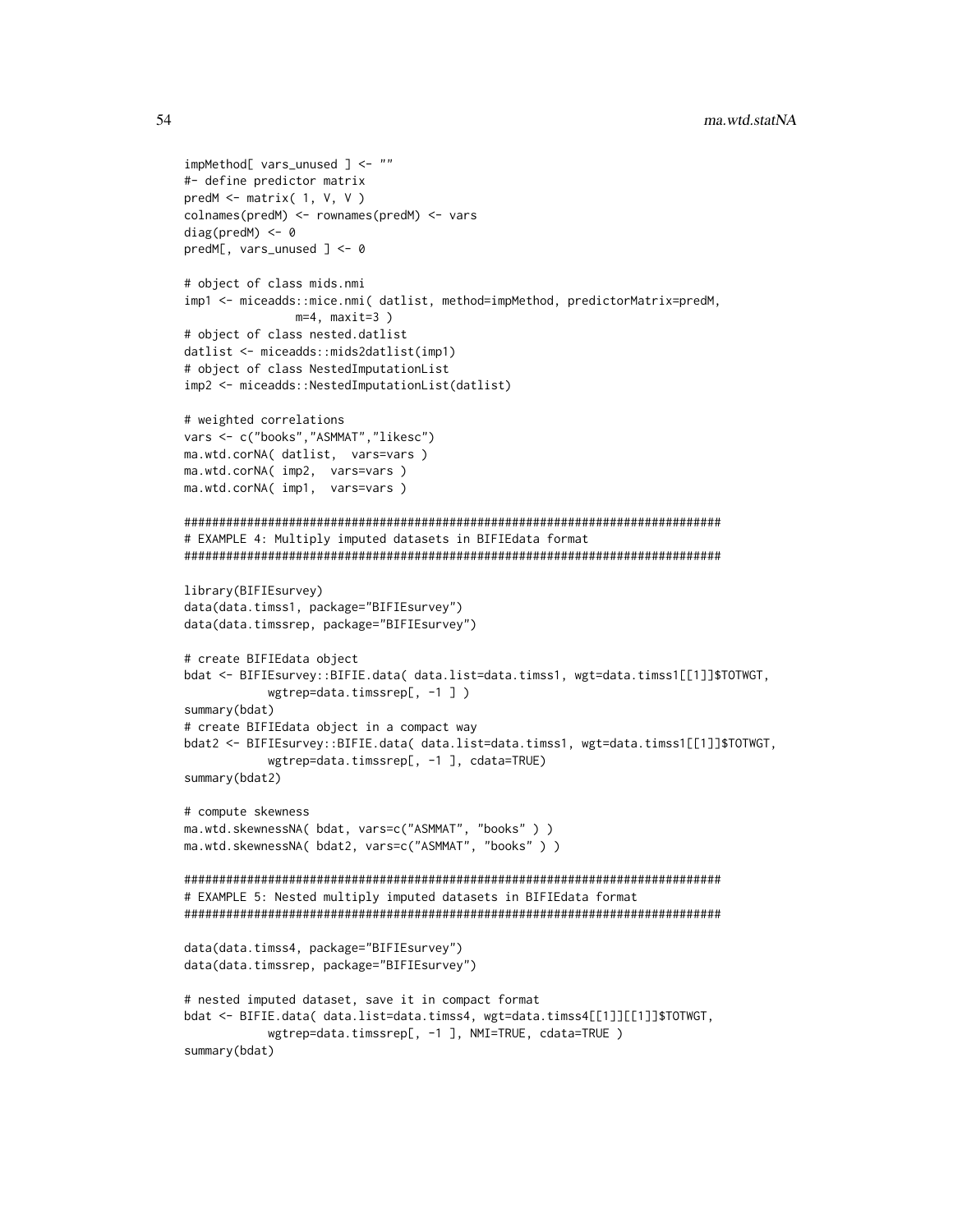```
impMethod[ vars_unused ] <- ""
#- define predictor matrix
predM \leq matrix( 1, V, V )
colnames(predM) <- rownames(predM) <- vars
diag(predM) < -0predM[, vars_unused ] <- 0
# object of class mids.nmi
imp1 <- miceadds::mice.nmi( datlist, method=impMethod, predictorMatrix=predM,
             m=4, maxit=3)
# object of class nested.datlist
datlist <- miceadds::mids2datlist(imp1)
# object of class NestedImputationList
imp2 <- miceadds::NestedImputationList(datlist)
# weighted correlations
vars <- c("books","ASMMAT","likesc")
ma.wtd.corNA( datlist, vars=vars )
ma.wtd.corNA( imp2, vars=vars )
ma.wtd.corNA( imp1, vars=vars )
# EXAMPLE 4: Multiply imputed datasets in BIFIEdata format
library(BIFIEsurvey)
data(data.timss1, package="BIFIEsurvey")
data(data.timssrep, package="BIFIEsurvey")
# create BIFIEdata object
bdat <- BIFIEsurvey::BIFIE.data( data.list=data.timss1, wgt=data.timss1[[1]]$TOTWGT,
          wgtrep=data.timssrep[, -1 ])
summary(bdat)
# create BIFIEdata object in a compact way
bdat2 <- BIFIEsurvey::BIFIE.data( data.list=data.timss1, wgt=data.timss1[[1]]$TOTWGT,
          wgtrep=data.timssrep[, -1 ], cdata=TRUE)
summary(bdat2)
# compute skewness
ma.wtd.skewnessNA( bdat, vars=c("ASMMAT", "books" ) )
ma.wtd.skewnessNA( bdat2, vars=c("ASMMAT", "books" ) )
# EXAMPLE 5: Nested multiply imputed datasets in BIFIEdata format
data(data.timss4, package="BIFIEsurvey")
data(data.timssrep, package="BIFIEsurvey")
# nested imputed dataset, save it in compact format
bdat <- BIFIE.data( data.list=data.timss4, wgt=data.timss4[[1]][[1]]$TOTWGT,
          wgtrep=data.timssrep[, -1 ], NMI=TRUE, cdata=TRUE )
summary(bdat)
```
54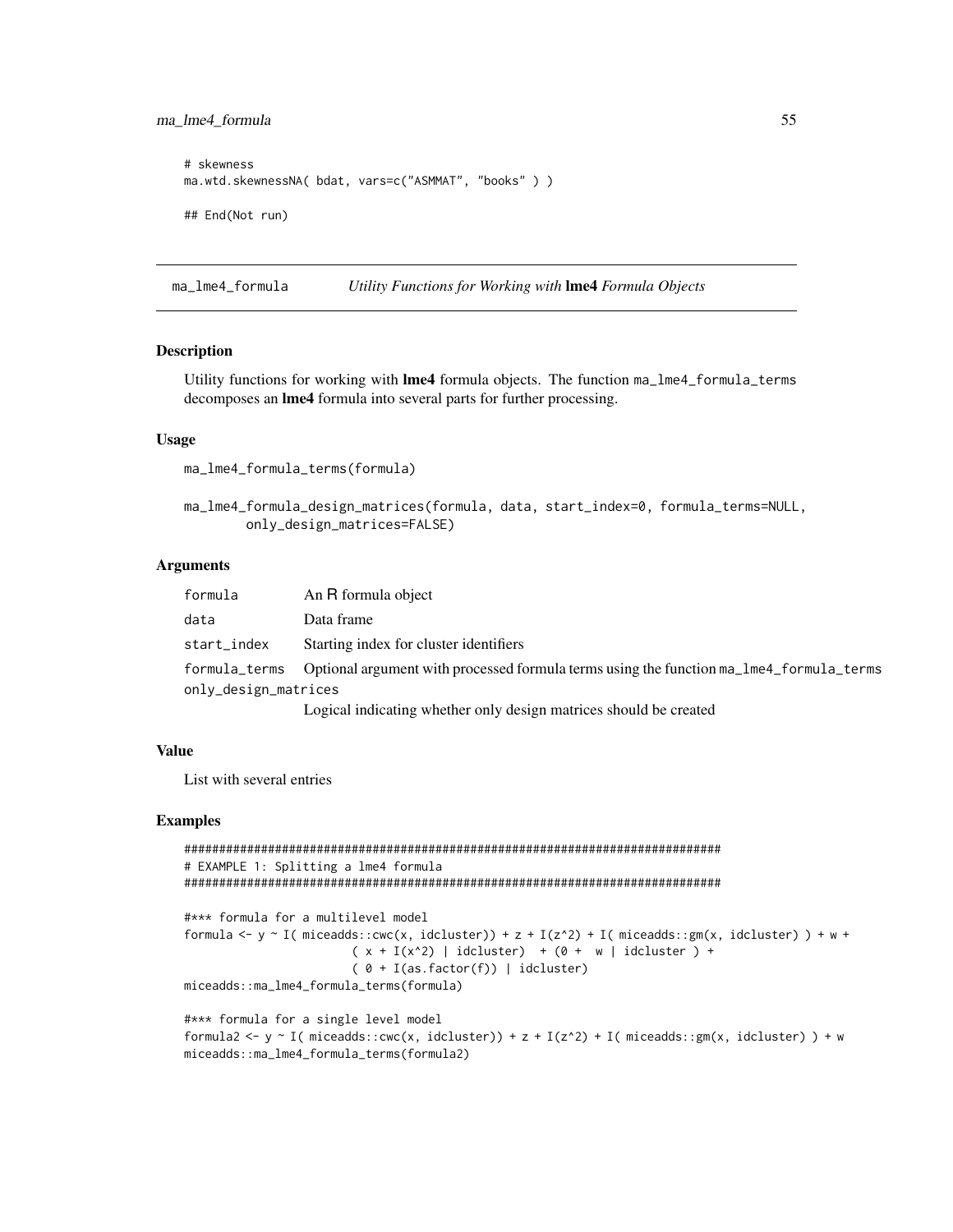## ma\_lme4\_formula

```
# skewness
ma.wtd.skewnessNA( bdat, vars=c("ASMMAT", "books" ) )
## End(Not run)
```
ma\_lme4\_formula Utility Functions for Working with Ime4 Formula Objects

# **Description**

Utility functions for working with **Ime4** formula objects. The function ma\_lme4\_formula\_terms decomposes an Ime4 formula into several parts for further processing.

#### **Usage**

```
ma_lme4_formula_terms(formula)
```
ma\_lme4\_formula\_design\_matrices(formula, data, start\_index=0, formula\_terms=NULL, only\_design\_matrices=FALSE)

## **Arguments**

| formula              | An R formula object                                                                                   |
|----------------------|-------------------------------------------------------------------------------------------------------|
| data                 | Data frame                                                                                            |
| start_index          | Starting index for cluster identifiers                                                                |
|                      | formula_terms Optional argument with processed formula terms using the function ma_lme4_formula_terms |
| only_design_matrices |                                                                                                       |
|                      | Logical indicating whether only design matrices should be created                                     |

Logical indicating whether only design matrices should be created

#### **Value**

List with several entries

```
# EXAMPLE 1: Splitting a lme4 formula
```

```
#*** formula for a multilevel model
formula <- y ~ I(miceadds::cwc(x, idcluster)) + z + I(z^2) + I(miceadds::gm(x, idcluster)) + w +
                       (x + I(x^2) | ideluster) + (0 + w | ideluster) +(0 + I(as.factor(f)) | idcluster)miceadds::ma_lme4_formula_terms(formula)
```

```
#*** formula for a single level model
formula2 <- y ~ I( miceadds::cwc(x, idcluster)) + z + I(z^2) + I( miceadds::gm(x, idcluster) ) + w
miceadds::ma_lme4_formula_terms(formula2)
```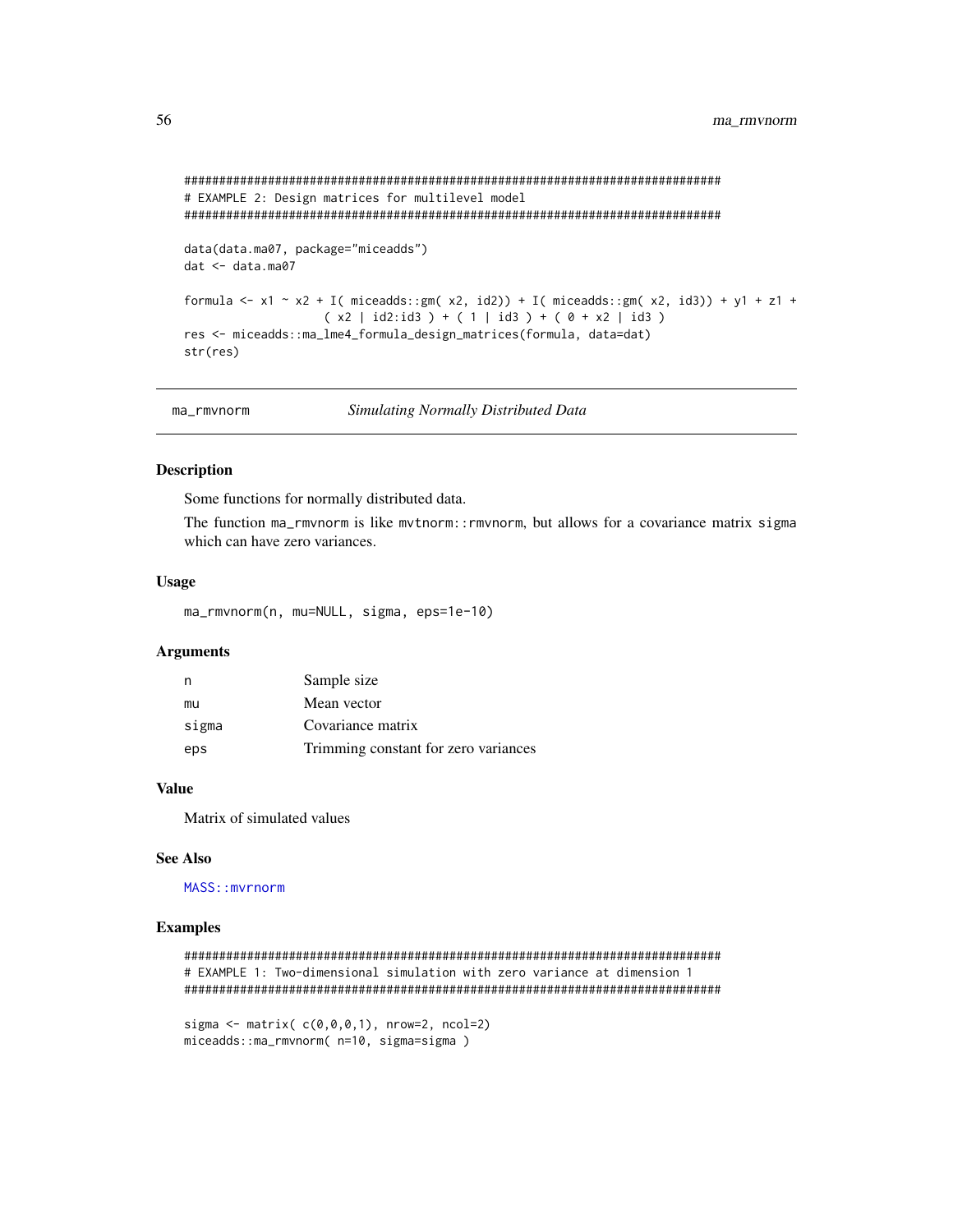```
# EXAMPLE 2: Design matrices for multilevel model
data(data.ma07, package="miceadds")
dat < - data.max07formula <- x1 ~ x2 + I( miceadds::gm( x2, id2)) + I( miceadds::gm( x2, id3)) + y1 + z1 +
             (x2 | id2:id3) + (1 | id3) + (0 + x2 | id3)res <- miceadds::ma_lme4_formula_design_matrices(formula, data=dat)
str(res)
```

| ma rmvnorm | Simulating Normally Distributed Data |
|------------|--------------------------------------|
|            |                                      |

# **Description**

Some functions for normally distributed data.

The function ma\_rmvnorm is like mvtnorm::rmvnorm, but allows for a covariance matrix sigma which can have zero variances.

#### **Usage**

ma\_rmvnorm(n, mu=NULL, sigma, eps=1e-10)

#### **Arguments**

| n     | Sample size                          |
|-------|--------------------------------------|
| mu    | Mean vector                          |
| sigma | Covariance matrix                    |
| eps   | Trimming constant for zero variances |

## **Value**

Matrix of simulated values

#### **See Also**

MASS::mvrnorm

```
# EXAMPLE 1: Two-dimensional simulation with zero variance at dimension 1
sigma <- matrix(c(\emptyset, \emptyset, \emptyset, 1), nrow=2, ncol=2)
miceadds::ma_rmvnorm( n=10, sigma=sigma )
```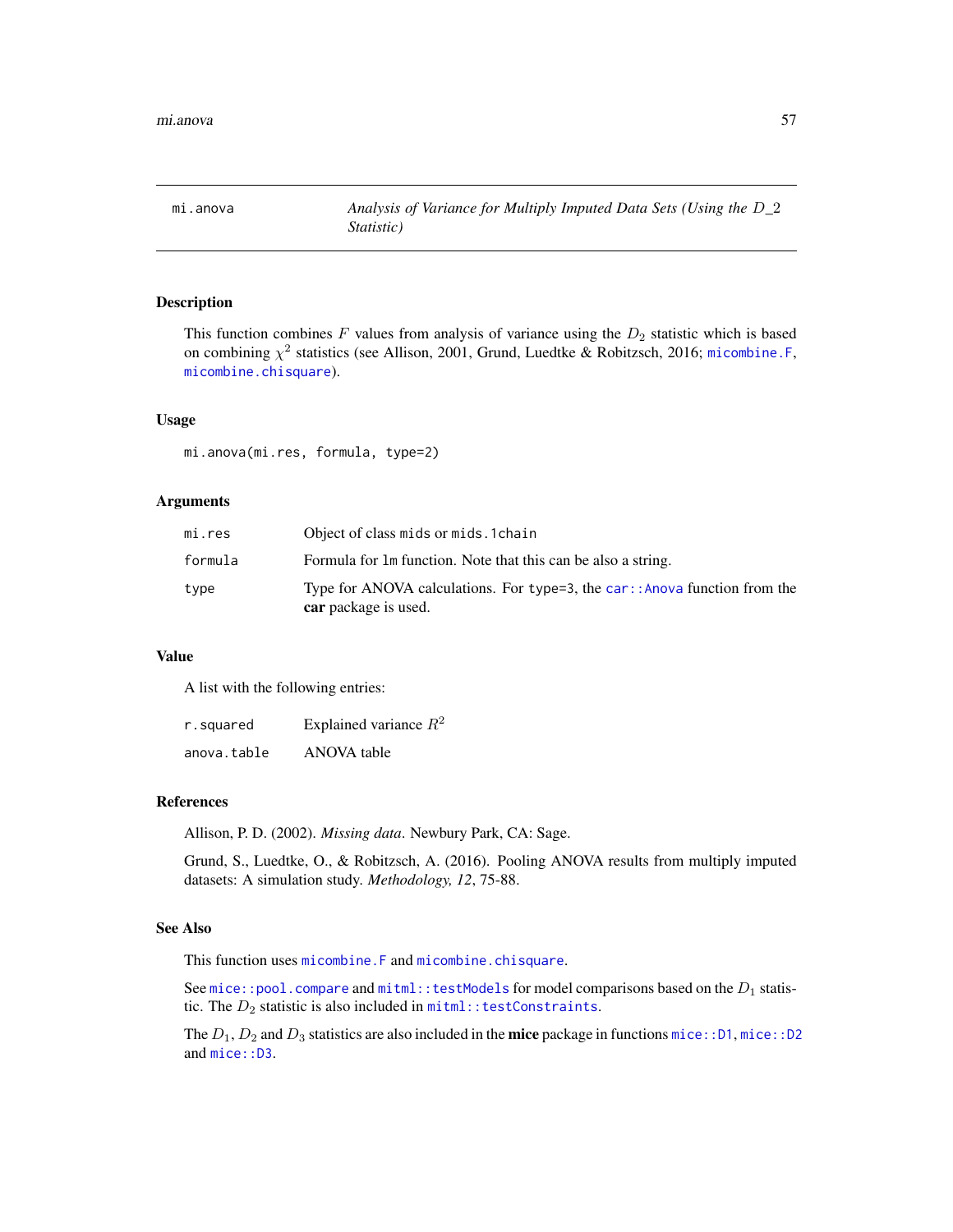## Description

This function combines  $F$  values from analysis of variance using the  $D_2$  statistic which is based on combining  $\chi^2$  statistics (see Allison, 2001, Grund, Luedtke & Robitzsch, 2016; micombine. F, [micombine.chisquare](#page-100-0)).

## Usage

mi.anova(mi.res, formula, type=2)

## Arguments

| mi.res  | Object of class mids or mids. 1 chain                                                              |
|---------|----------------------------------------------------------------------------------------------------|
| formula | Formula for 1m function. Note that this can be also a string.                                      |
| type    | Type for ANOVA calculations. For type=3, the car:: Anova function from the<br>car package is used. |

## Value

A list with the following entries:

| r.squared   | Explained variance $R^2$ |
|-------------|--------------------------|
| anova.table | ANOVA table              |

#### References

Allison, P. D. (2002). *Missing data*. Newbury Park, CA: Sage.

Grund, S., Luedtke, O., & Robitzsch, A. (2016). Pooling ANOVA results from multiply imputed datasets: A simulation study. *Methodology, 12*, 75-88.

#### See Also

This function uses [micombine.F](#page-103-0) and [micombine.chisquare](#page-100-0).

See [mice::pool.compare](#page-0-0) and [mitml::testModels](#page-0-0) for model comparisons based on the  $D_1$  statistic. The  $D_2$  statistic is also included in  $min$ ::testConstraints.

The  $D_1, D_2$  and  $D_3$  statistics are also included in the **mice** package in functions [mice::D1](#page-0-0), [mice::D2](#page-0-0) and mice:: D3.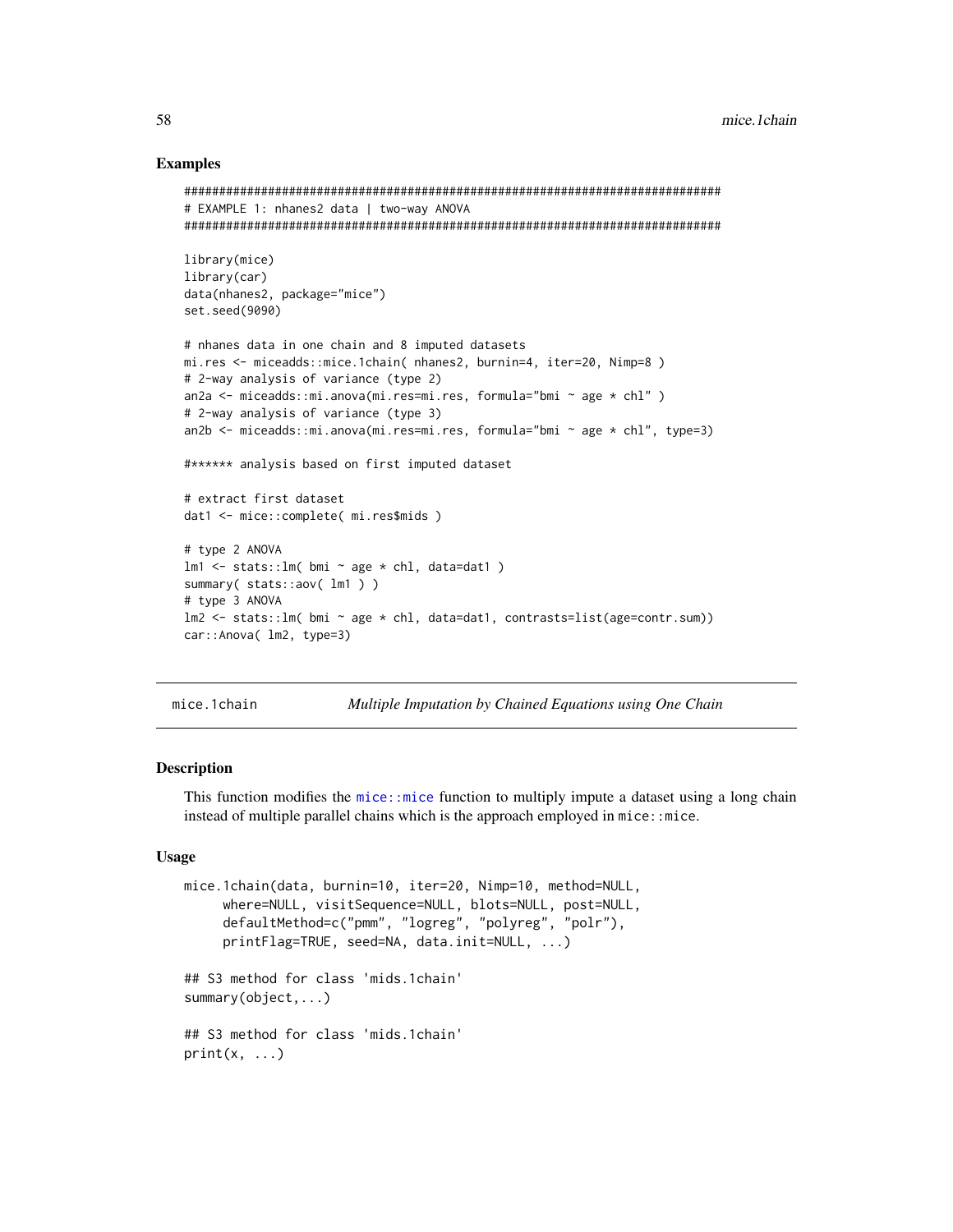## **Examples**

```
# EXAMPLE 1: nhanes2 data | two-way ANOVA
library(mice)
library(car)
data(nhanes2, package="mice")
set.seed(9090)
# nhanes data in one chain and 8 imputed datasets
mi.res <- miceadds::mice.1chain( nhanes2, burnin=4, iter=20, Nimp=8)
# 2-way analysis of variance (type 2)
an2a <- miceadds::mi.anova(mi.res=mi.res, formula="bmi ~ age * chl")
# 2-way analysis of variance (type 3)
an2b <- miceadds::mi.anova(mi.res=mi.res, formula="bmi \sim age \star chl", type=3)
#****** analysis based on first imputed dataset
# extract first dataset
dat1 <- mice::complete( mi.res$mids )
# type 2 ANOVA
lm1 \le - stats:: lm( bmi \sim age * chl, data=dat1 )
summary(stats::aov(lm1))
# type 3 ANOVA
lm2 \leq -\text{stats} : lm(\text{bmi} \sim age * ch1, data=dat1, contrast=list(age=contr.sum))car:: Anova( lm2, type=3)
```

```
mice.1chain
```
Multiple Imputation by Chained Equations using One Chain

# **Description**

This function modifies the mice: : mice function to multiply impute a dataset using a long chain instead of multiple parallel chains which is the approach employed in mice: : mice.

## **Usage**

```
mice.1chain(data, burnin=10, iter=20, Nimp=10, method=NULL,
     where=NULL, visitSequence=NULL, blots=NULL, post=NULL,
     defaultMethod=c("pmm", "logreg", "polyreg", "polr"),
     printFlag=TRUE, seed=NA, data.init=NULL, ...)
## S3 method for class 'mids.1chain'
summary(object...)## S3 method for class 'mids.1chain'
print(x, ...)
```
58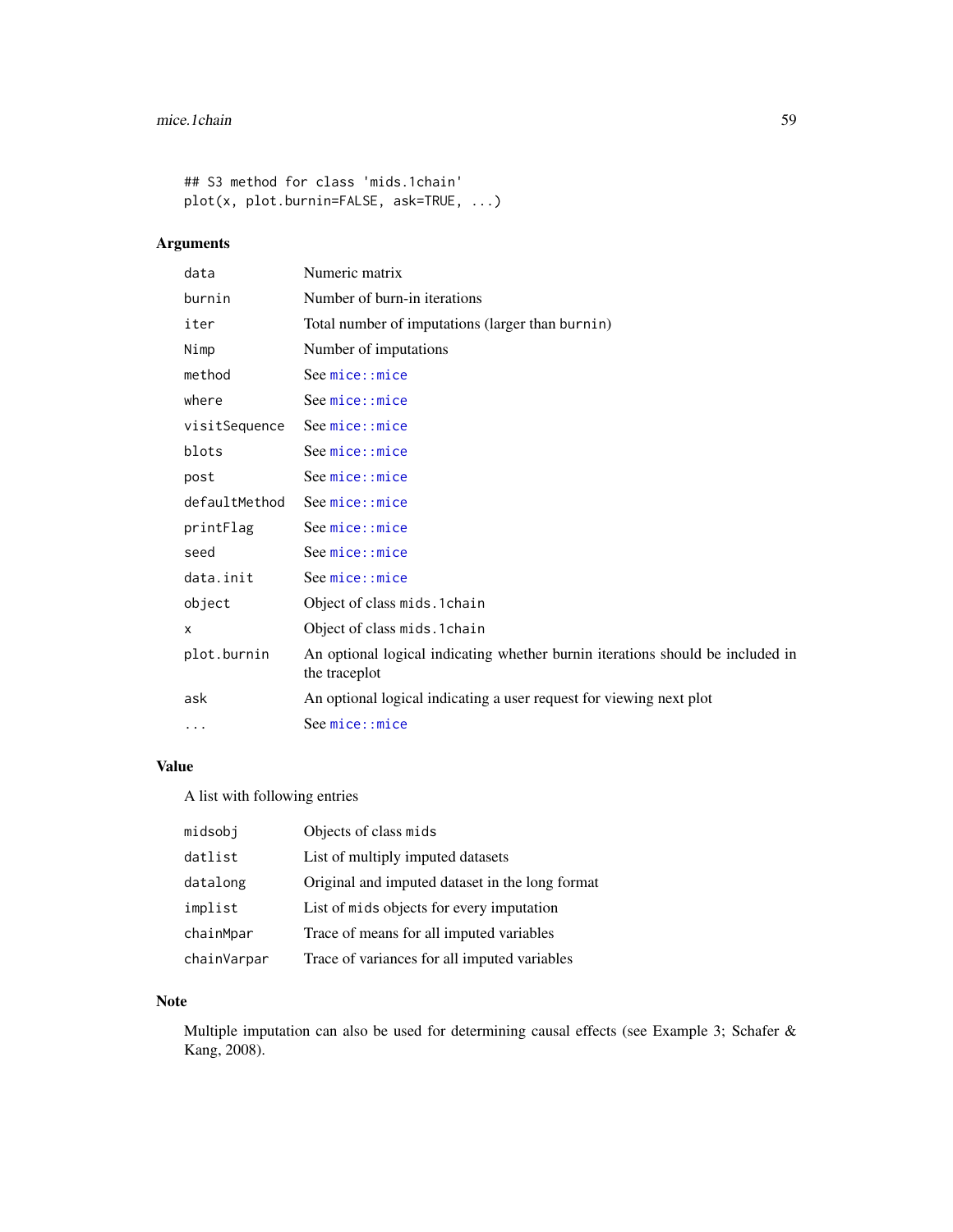```
## S3 method for class 'mids.1chain'
plot(x, plot.burnin=FALSE, ask=TRUE, ...)
```
# Arguments

| data          | Numeric matrix                                                                                  |
|---------------|-------------------------------------------------------------------------------------------------|
| burnin        | Number of burn-in iterations                                                                    |
| iter          | Total number of imputations (larger than burnin)                                                |
| Nimp          | Number of imputations                                                                           |
| method        | See mice::mice                                                                                  |
| where         | See mice::mice                                                                                  |
| visitSequence | See mice:: mice                                                                                 |
| blots         | See mice::mice                                                                                  |
| post          | See mice::mice                                                                                  |
| defaultMethod | See mice:: mice                                                                                 |
| printFlag     | See mice::mice                                                                                  |
| seed          | See mice::mice                                                                                  |
| data.init     | See mice::mice                                                                                  |
| object        | Object of class mids. 1 chain                                                                   |
| X             | Object of class mids. 1 chain                                                                   |
| plot.burnin   | An optional logical indicating whether burnin iterations should be included in<br>the traceplot |
| ask           | An optional logical indicating a user request for viewing next plot                             |
| .             | See mice: mice                                                                                  |

# Value

A list with following entries

| midsobj     | Objects of class mids                           |
|-------------|-------------------------------------------------|
| datlist     | List of multiply imputed datasets               |
| datalong    | Original and imputed dataset in the long format |
| implist     | List of mids objects for every imputation       |
| chainMpar   | Trace of means for all imputed variables        |
| chainVarpar | Trace of variances for all imputed variables    |

# Note

Multiple imputation can also be used for determining causal effects (see Example 3; Schafer & Kang, 2008).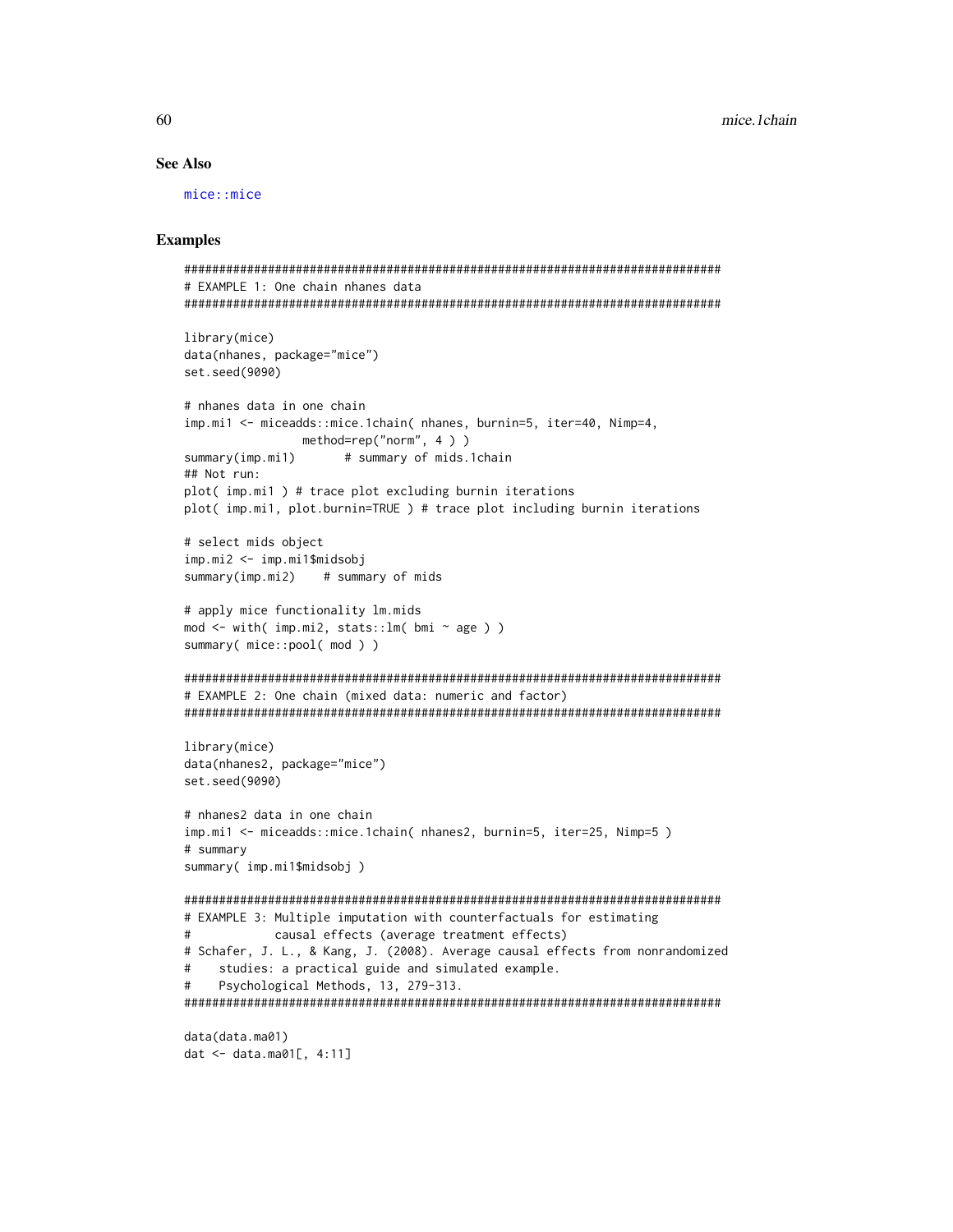## **See Also**

 $mice:$ :  $mice$ 

```
# EXAMPLE 1: One chain nhanes data
library(mice)
data(nhanes, package="mice")
set.seed(9090)
# nhanes data in one chain
imp.mil <- miceadds::mice.1chain( nhanes, burnin=5, iter=40, Nimp=4,
           method=rep("norm", 4))
               # summary of mids.1chain
summary(imp.mil)
## Not run:
plot( imp.mi1) # trace plot excluding burnin iterations
plot( imp.mi1, plot.burnin=TRUE ) # trace plot including burnin iterations
# select mids object
imp.mi2 <- imp.mi1$midsobj
summary(imp.mi2)# summary of mids
# apply mice functionality lm.mids
mod \le with( imp.mi2, stats:: lm( bmi \sim age ) )
summary(mice::pool(mod))
# EXAMPLE 2: One chain (mixed data: numeric and factor)
library(mice)
data(nhanes2, package="mice")
set.seed(9090)
# nhanes2 data in one chain
imp.mi1 <- miceadds::mice.1chain( nhanes2, burnin=5, iter=25, Nimp=5)
# summary
summary( imp.mi1$midsobj)
# EXAMPLE 3: Multiple imputation with counterfactuals for estimating
#causal effects (average treatment effects)
# Schafer, J. L., & Kang, J. (2008). Average causal effects from nonrandomized
#studies: a practical guide and simulated example.
   Psychological Methods, 13, 279-313.
#data(data.ma01)
dat <- data.ma01[, 4:11]
```

```
60
```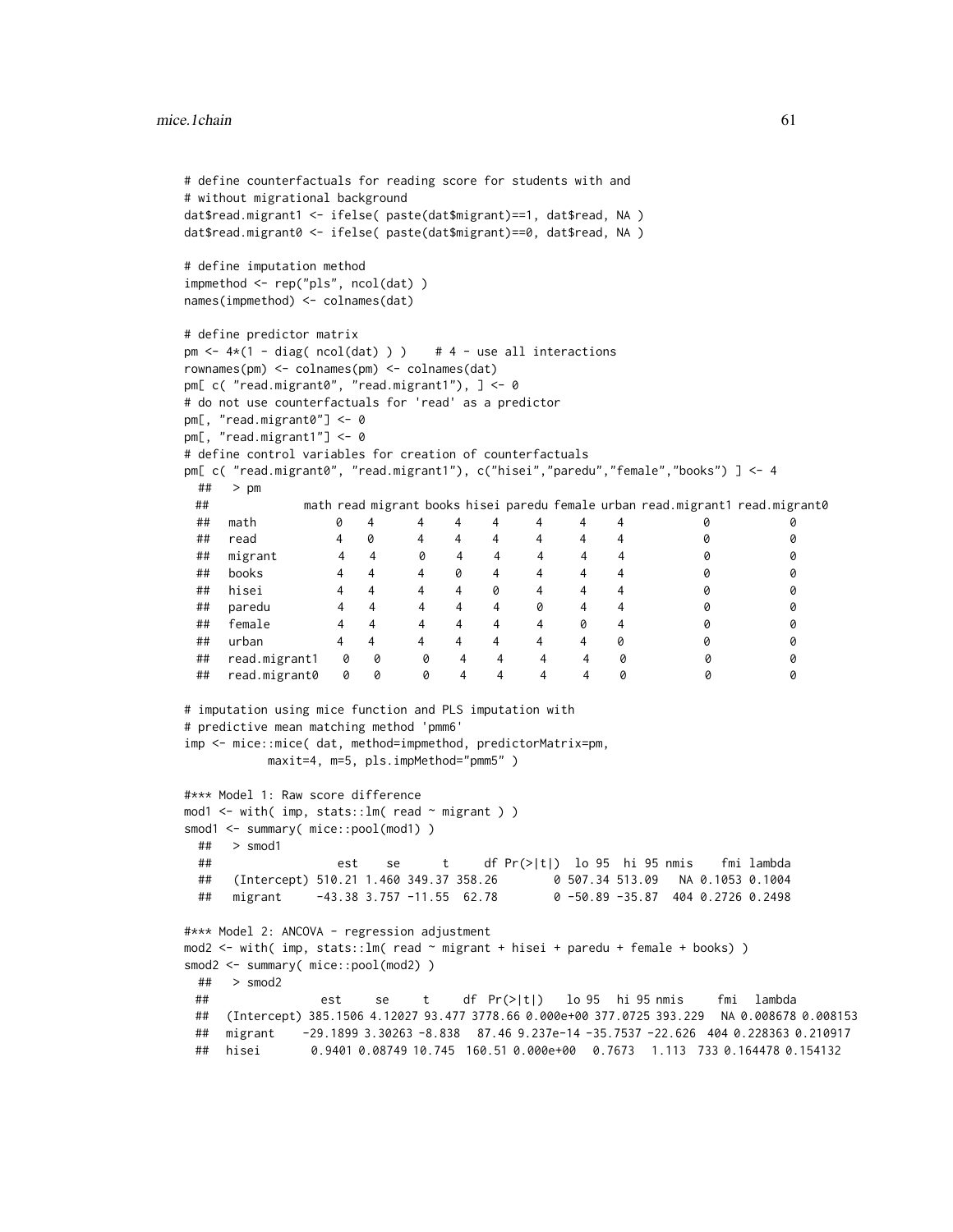```
# define counterfactuals for reading score for students with and
# without migrational background
dat$read.migrant1 <- ifelse( paste(dat$migrant)==1, dat$read, NA )
dat$read.migrant0 <- ifelse( paste(dat$migrant)==0, dat$read, NA )
# define imputation method
impmethod <- rep("pls", ncol(dat) )
names(impmethod) <- colnames(dat)
# define predictor matrix
pm \leftarrow 4*(1 - diag( ncol(dat) ) ) # 4 - use all interactions
rownames(pm) <- colnames(pm) <- colnames(dat)
pm[ c( "read.migrant0", "read.migrant1"), ] <- 0
# do not use counterfactuals for 'read' as a predictor
pm[, "read.migrant0"] <- 0
pm[, "read.migrant1"] <- 0
# define control variables for creation of counterfactuals
pm[ c( "read.migrant0", "read.migrant1"), c("hisei","paredu","female","books") ] <- 4
 ## > pm
 ## math read migrant books hisei paredu female urban read.migrant1 read.migrant0
 ## math 0 4 4 4 4 4 4 4 0 0
 ## read 4 0 4 4 4 4 4 4 0 0
 ## migrant 4 4 0 4 4 4 4 4 0 0
 ## books 4 4 4 0 4 4 4 4 0 0
 ## hisei 4 4 4 4 0 4 4 4 0 0
 ## paredu 4 4 4 4 4 0 4 4 0 0
 ## female 4 4 4 4 4 4 0 4 0 0
 ## urban 4 4 4 4 4 4 4 0 0 0
 ## read.migrant1 0 0 0 4 4 4 4 0 0 0
 ## read.migrant0 0 0 0 4 4 4 4 0 0 0
# imputation using mice function and PLS imputation with
# predictive mean matching method 'pmm6'
imp <- mice::mice( dat, method=impmethod, predictorMatrix=pm,
         maxit=4, m=5, pls.impMethod="pmm5")
#*** Model 1: Raw score difference
mod1 <- with( imp, stats::lm( read ~ migrant ) )
smod1 <- summary( mice::pool(mod1) )
 ## > smod1
 ## est se t df Pr(>|t|) lo 95 hi 95 nmis fmi lambda
 ## (Intercept) 510.21 1.460 349.37 358.26 0 507.34 513.09 NA 0.1053 0.1004
 ## migrant -43.38 3.757 -11.55 62.78 0 -50.89 -35.87 404 0.2726 0.2498
#*** Model 2: ANCOVA - regression adjustment
mod2 <- with( imp, stats::lm( read ~ migrant + hisei + paredu + female + books))
smod2 <- summary( mice::pool(mod2) )
 ## > smod2
 ## est se t df Pr(>|t|) lo 95 hi 95 nmis fmi lambda
 ## (Intercept) 385.1506 4.12027 93.477 3778.66 0.000e+00 377.0725 393.229 NA 0.008678 0.008153
 ## migrant -29.1899 3.30263 -8.838 87.46 9.237e-14 -35.7537 -22.626 404 0.228363 0.210917
 ## hisei 0.9401 0.08749 10.745 160.51 0.000e+00 0.7673 1.113 733 0.164478 0.154132
```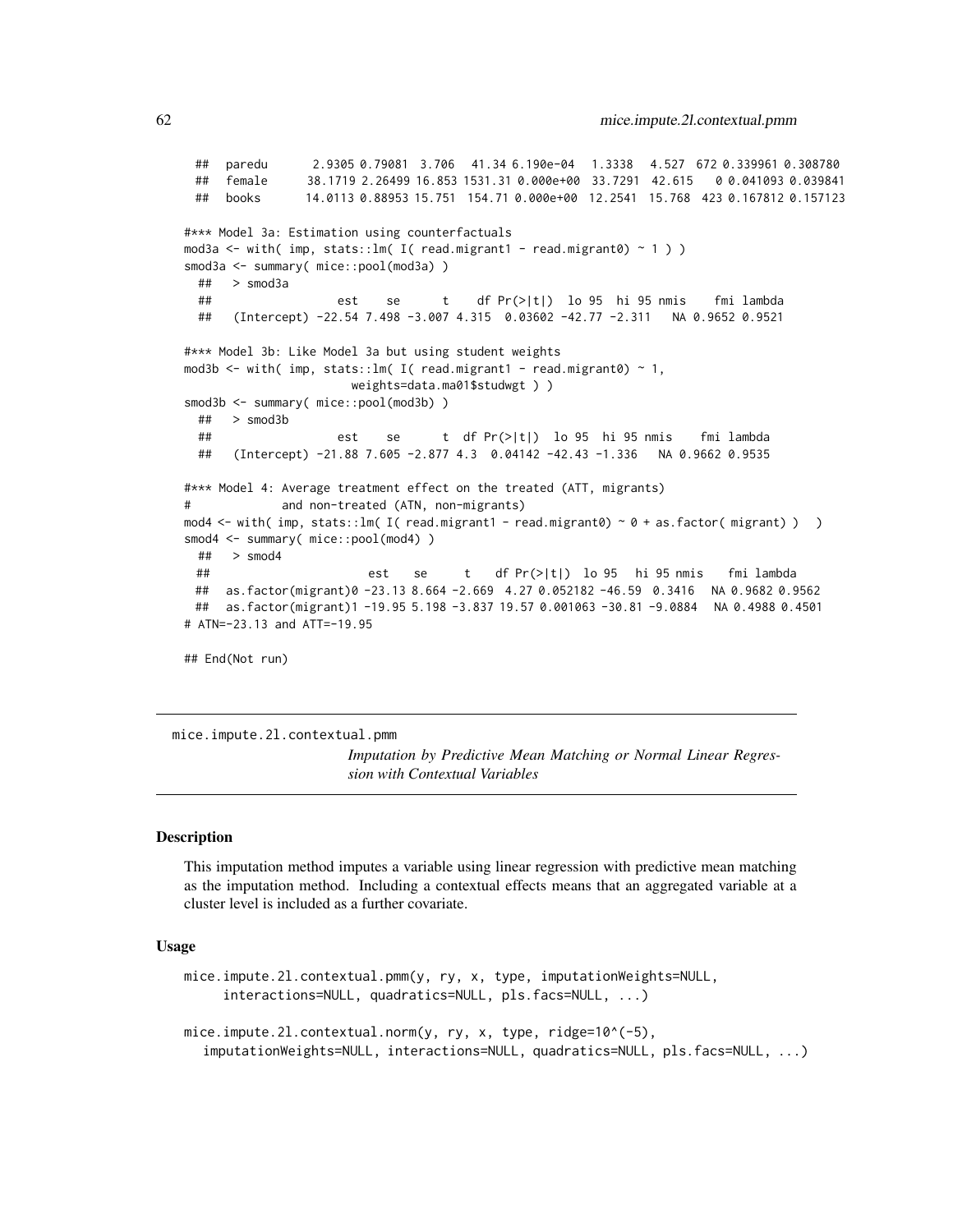```
## paredu 2.9305 0.79081 3.706 41.34 6.190e-04 1.3338 4.527 672 0.339961 0.308780
 ## female 38.1719 2.26499 16.853 1531.31 0.000e+00 33.7291 42.615 0 0.041093 0.039841
 ## books 14.0113 0.88953 15.751 154.71 0.000e+00 12.2541 15.768 423 0.167812 0.157123
#*** Model 3a: Estimation using counterfactuals
mod3a \le with( imp, stats::lm( I( read.migrant1 - read.migrant0) \sim 1) )
smod3a <- summary( mice::pool(mod3a) )
 ## > smod3a
 ## est se t df Pr(>|t|) lo 95 hi 95 nmis fmi lambda
 ## (Intercept) -22.54 7.498 -3.007 4.315 0.03602 -42.77 -2.311 NA 0.9652 0.9521
#*** Model 3b: Like Model 3a but using student weights
mod3b <- with( imp, stats::lm( I( read.migrant1 - read.migrant0) ~ 1,
                     weights=data.ma01$studwgt ) )
smod3b <- summary( mice::pool(mod3b))
 ## > smod3b
 ## est se t df Pr(>|t|) lo 95 hi 95 nmis fmi lambda
 ## (Intercept) -21.88 7.605 -2.877 4.3 0.04142 -42.43 -1.336 NA 0.9662 0.9535
#*** Model 4: Average treatment effect on the treated (ATT, migrants)
# and non-treated (ATN, non-migrants)
mod4 <- with( imp, stats::lm( I( read.migrant1 - read.migrant0) ~ 0 + as.factor( migrant) ) )
smod4 <- summary( mice::pool(mod4) )
 ## > smod4
 ## est se t df Pr(>|t|) lo 95 hi 95 nmis fmi lambda
 ## as.factor(migrant)0 -23.13 8.664 -2.669 4.27 0.052182 -46.59 0.3416 NA 0.9682 0.9562
 ## as.factor(migrant)1 -19.95 5.198 -3.837 19.57 0.001063 -30.81 -9.0884 NA 0.4988 0.4501
# ATN=-23.13 and ATT=-19.95
## End(Not run)
```
mice.impute.2l.contextual.pmm

*Imputation by Predictive Mean Matching or Normal Linear Regression with Contextual Variables*

#### Description

This imputation method imputes a variable using linear regression with predictive mean matching as the imputation method. Including a contextual effects means that an aggregated variable at a cluster level is included as a further covariate.

## Usage

mice.impute.2l.contextual.pmm(y, ry, x, type, imputationWeights=NULL, interactions=NULL, quadratics=NULL, pls.facs=NULL, ...)

mice.impute.2l.contextual.norm(y, ry, x, type, ridge=10^(-5), imputationWeights=NULL, interactions=NULL, quadratics=NULL, pls.facs=NULL, ...)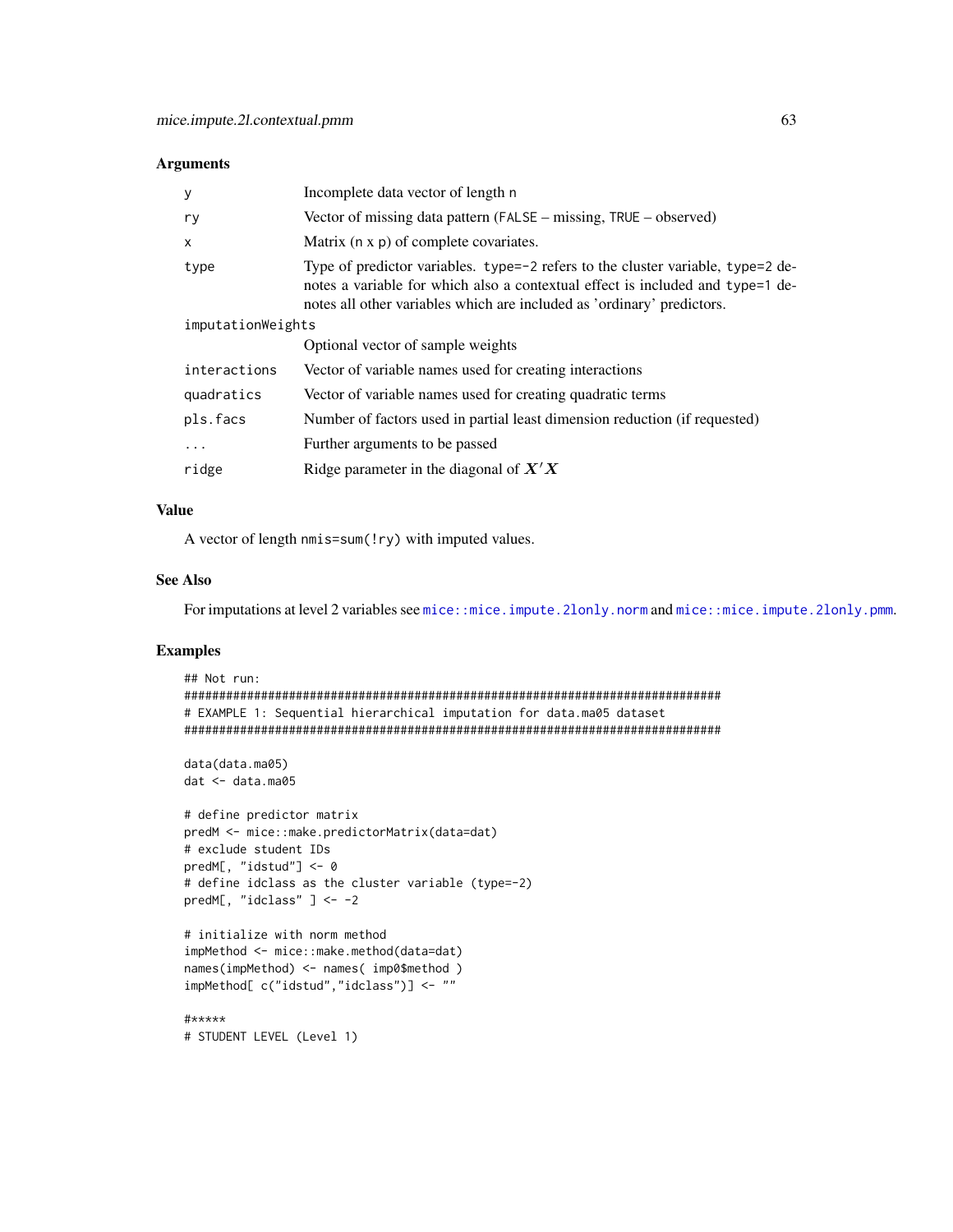## Arguments

| y                 | Incomplete data vector of length n                                                                                                                                                                                                          |
|-------------------|---------------------------------------------------------------------------------------------------------------------------------------------------------------------------------------------------------------------------------------------|
| ry                | Vector of missing data pattern (FALSE – missing, TRUE – observed)                                                                                                                                                                           |
| X                 | Matrix (n x p) of complete covariates.                                                                                                                                                                                                      |
| type              | Type of predictor variables. type=-2 refers to the cluster variable, type=2 de-<br>notes a variable for which also a contextual effect is included and type=1 de-<br>notes all other variables which are included as 'ordinary' predictors. |
| imputationWeights |                                                                                                                                                                                                                                             |
|                   | Optional vector of sample weights                                                                                                                                                                                                           |
| interactions      | Vector of variable names used for creating interactions                                                                                                                                                                                     |
| quadratics        | Vector of variable names used for creating quadratic terms                                                                                                                                                                                  |
| pls.facs          | Number of factors used in partial least dimension reduction (if requested)                                                                                                                                                                  |
| $\ddotsc$         | Further arguments to be passed                                                                                                                                                                                                              |
| ridge             | Ridge parameter in the diagonal of $X'X$                                                                                                                                                                                                    |

# Value

A vector of length nmis=sum(!ry) with imputed values.

# See Also

For imputations at level 2 variables see [mice::mice.impute.2lonly.norm](#page-0-0) and [mice::mice.impute.2lonly.pmm](#page-0-0).

```
## Not run:
#############################################################################
# EXAMPLE 1: Sequential hierarchical imputation for data.ma05 dataset
#############################################################################
data(data.ma05)
dat <- data.ma05
# define predictor matrix
predM <- mice::make.predictorMatrix(data=dat)
# exclude student IDs
predM[, "idstud"] <- 0
# define idclass as the cluster variable (type=-2)
predM[, "idclass" ] <- -2
# initialize with norm method
impMethod <- mice::make.method(data=dat)
names(impMethod) <- names( imp0$method )
impMethod[ c("idstud","idclass")] <- ""
#*****
# STUDENT LEVEL (Level 1)
```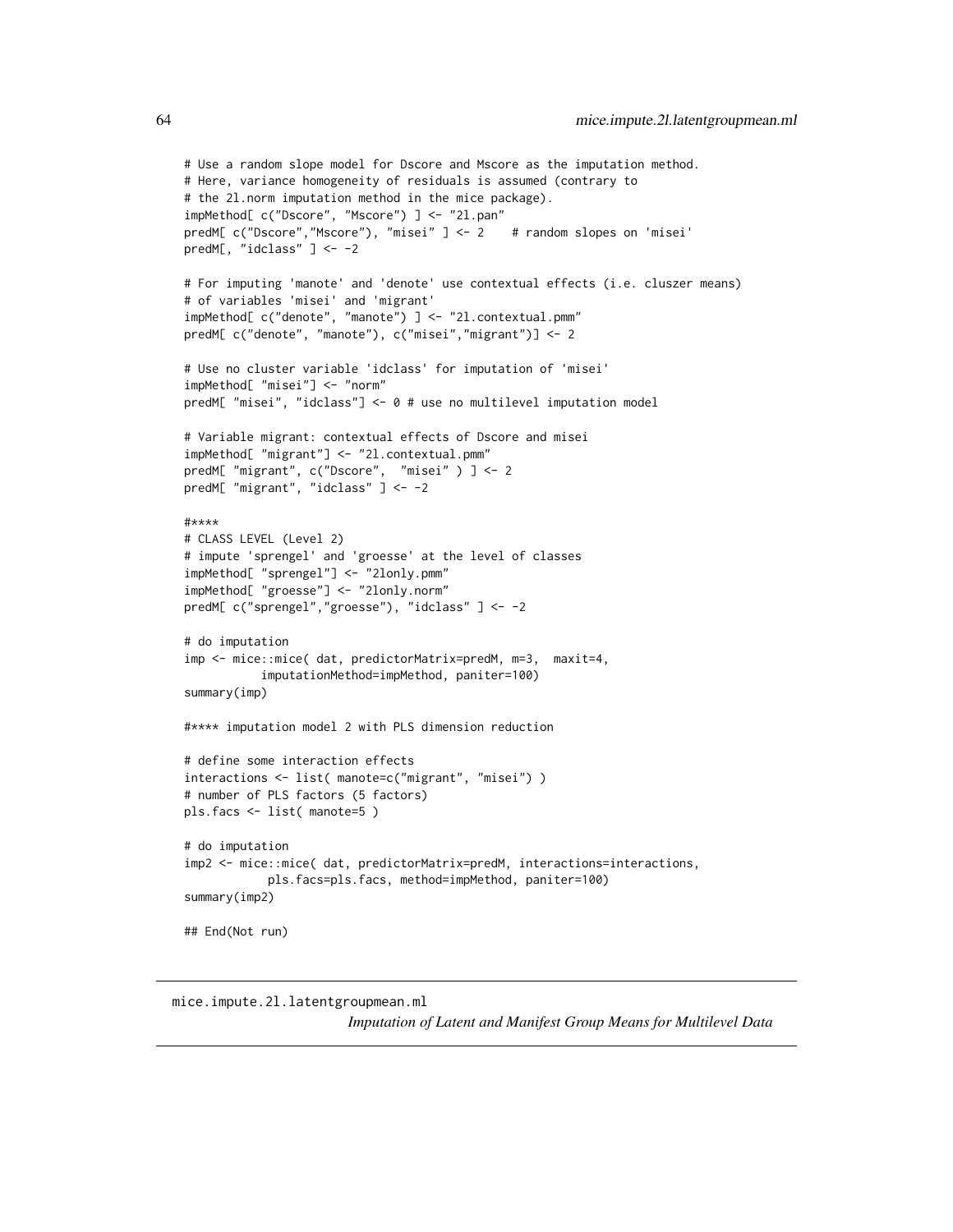```
# Use a random slope model for Dscore and Mscore as the imputation method.
# Here, variance homogeneity of residuals is assumed (contrary to
# the 2l.norm imputation method in the mice package).
impMethod[ c("Dscore", "Mscore") ] <- "2l.pan"
predM[ c("Dscore","Mscore"), "misei" ] <- 2 # random slopes on 'misei'
predM[, "idclass" ] <- -2
# For imputing 'manote' and 'denote' use contextual effects (i.e. cluszer means)
# of variables 'misei' and 'migrant'
impMethod[ c("denote", "manote") ] <- "2l.contextual.pmm"
predM[ c("denote", "manote"), c("misei","migrant")] <- 2
# Use no cluster variable 'idclass' for imputation of 'misei'
impMethod[ "misei"] <- "norm"
predM[ "misei", "idclass"] <- 0 # use no multilevel imputation model
# Variable migrant: contextual effects of Dscore and misei
impMethod[ "migrant"] <- "2l.contextual.pmm"
predM[ "migrant", c("Dscore", "misei" ) ] <- 2
predM[ "migrant", "idclass" ] <- -2
#****
# CLASS LEVEL (Level 2)
# impute 'sprengel' and 'groesse' at the level of classes
impMethod[ "sprengel"] <- "2lonly.pmm"
impMethod[ "groesse"] <- "2lonly.norm"
predM[ c("sprengel","groesse"), "idclass" ] <- -2
# do imputation
imp <- mice::mice( dat, predictorMatrix=predM, m=3, maxit=4,
           imputationMethod=impMethod, paniter=100)
summary(imp)
#**** imputation model 2 with PLS dimension reduction
# define some interaction effects
interactions <- list( manote=c("migrant", "misei") )
# number of PLS factors (5 factors)
pls.facs <- list( manote=5 )
# do imputation
imp2 <- mice::mice( dat, predictorMatrix=predM, interactions=interactions,
            pls.facs=pls.facs, method=impMethod, paniter=100)
summary(imp2)
## End(Not run)
```
mice.impute.2l.latentgroupmean.ml *Imputation of Latent and Manifest Group Means for Multilevel Data*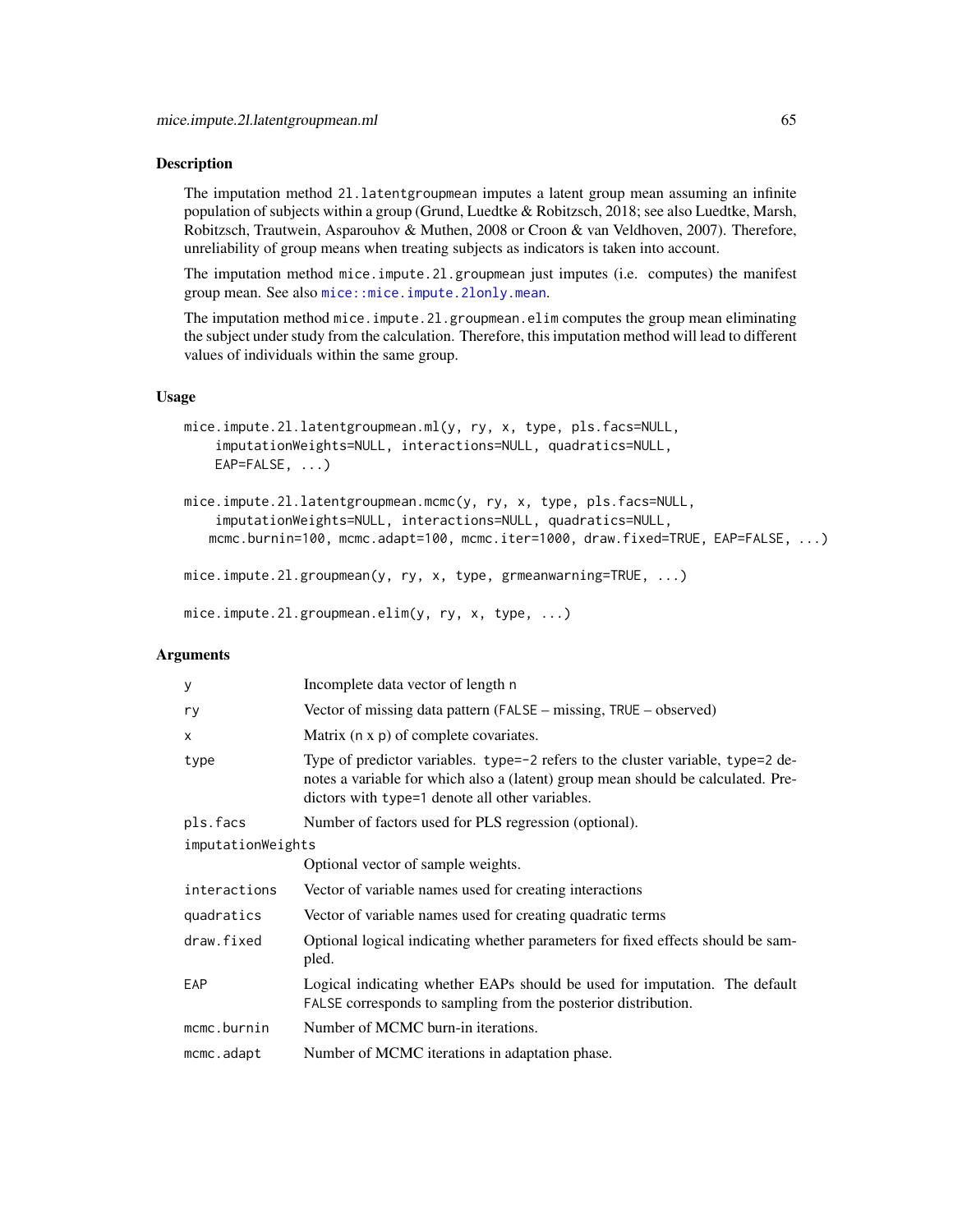#### Description

The imputation method 2l.latentgroupmean imputes a latent group mean assuming an infinite population of subjects within a group (Grund, Luedtke & Robitzsch, 2018; see also Luedtke, Marsh, Robitzsch, Trautwein, Asparouhov & Muthen, 2008 or Croon & van Veldhoven, 2007). Therefore, unreliability of group means when treating subjects as indicators is taken into account.

The imputation method mice.impute.2l.groupmean just imputes (i.e. computes) the manifest group mean. See also [mice::mice.impute.2lonly.mean](#page-0-0).

The imputation method mice.impute.21.groupmean.elim computes the group mean eliminating the subject under study from the calculation. Therefore, this imputation method will lead to different values of individuals within the same group.

#### Usage

```
mice.impute.2l.latentgroupmean.ml(y, ry, x, type, pls.facs=NULL,
    imputationWeights=NULL, interactions=NULL, quadratics=NULL,
   EAP=FALSE, ...)
```

```
mice.impute.2l.latentgroupmean.mcmc(y, ry, x, type, pls.facs=NULL,
    imputationWeights=NULL, interactions=NULL, quadratics=NULL,
   mcmc.burnin=100, mcmc.adapt=100, mcmc.iter=1000, draw.fixed=TRUE, EAP=FALSE, ...)
```

```
mice.impute.2l.groupmean(y, ry, x, type, grmeanwarning=TRUE, ...)
```
mice.impute.2l.groupmean.elim(y, ry, x, type, ...)

## Arguments

| у                 | Incomplete data vector of length n                                                                                                                                                                                           |
|-------------------|------------------------------------------------------------------------------------------------------------------------------------------------------------------------------------------------------------------------------|
| ry                | Vector of missing data pattern (FALSE – missing, TRUE – observed)                                                                                                                                                            |
| x                 | Matrix (n x p) of complete covariates.                                                                                                                                                                                       |
| type              | Type of predictor variables. type= $-2$ refers to the cluster variable, type= $2$ de-<br>notes a variable for which also a (latent) group mean should be calculated. Pre-<br>dictors with type=1 denote all other variables. |
| pls.facs          | Number of factors used for PLS regression (optional).                                                                                                                                                                        |
| imputationWeights |                                                                                                                                                                                                                              |
|                   | Optional vector of sample weights.                                                                                                                                                                                           |
| interactions      | Vector of variable names used for creating interactions                                                                                                                                                                      |
| quadratics        | Vector of variable names used for creating quadratic terms                                                                                                                                                                   |
| draw.fixed        | Optional logical indicating whether parameters for fixed effects should be sam-<br>pled.                                                                                                                                     |
| EAP               | Logical indicating whether EAPs should be used for imputation. The default<br>FALSE corresponds to sampling from the posterior distribution.                                                                                 |
| mcmc.burnin       | Number of MCMC burn-in iterations.                                                                                                                                                                                           |
| mcmc.adapt        | Number of MCMC iterations in adaptation phase.                                                                                                                                                                               |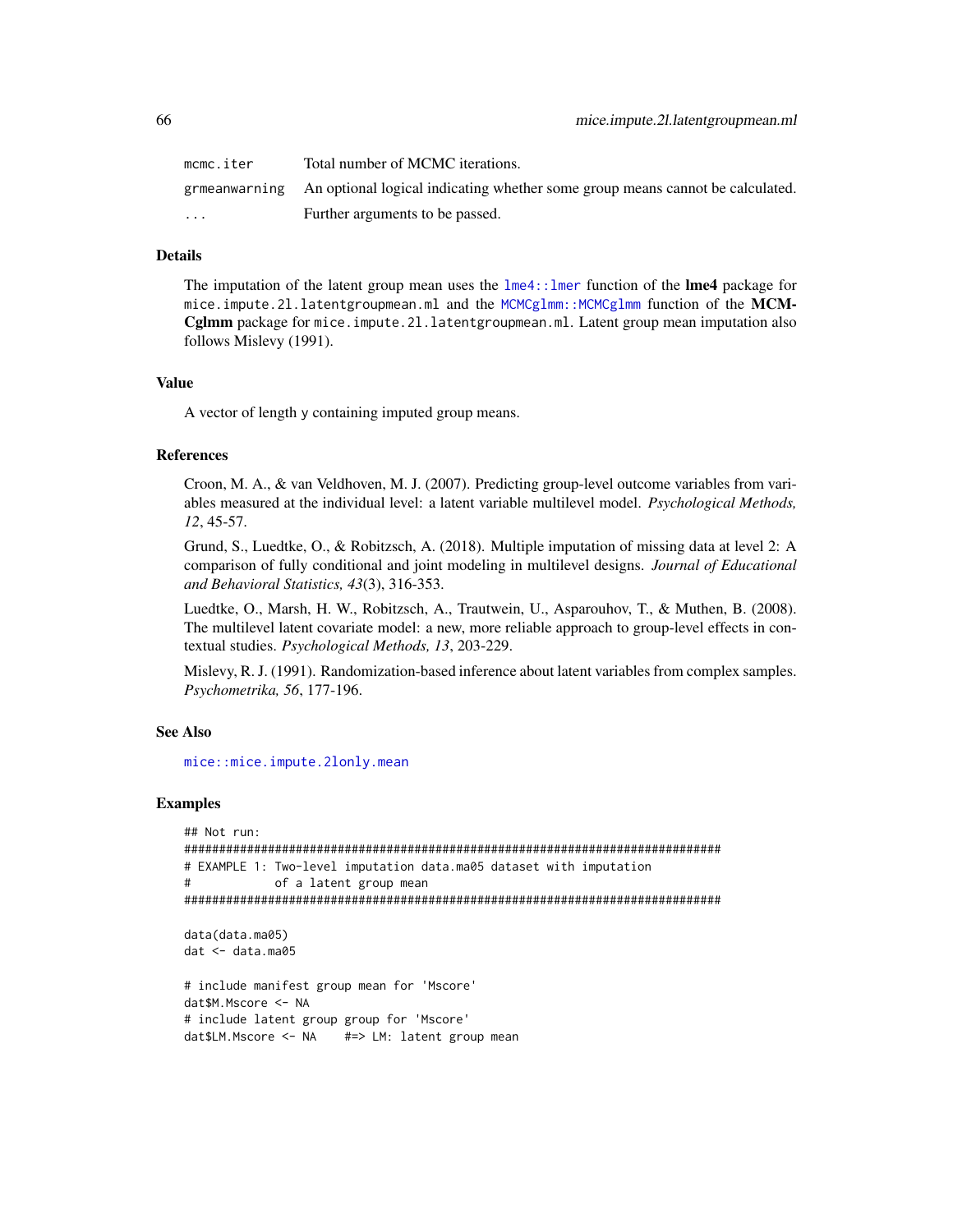| mcmc.iter               | Total number of MCMC iterations.                                                            |
|-------------------------|---------------------------------------------------------------------------------------------|
|                         | grmeanwarning An optional logical indicating whether some group means cannot be calculated. |
| $\cdot$ $\cdot$ $\cdot$ | Further arguments to be passed.                                                             |

# Details

The imputation of the latent group mean uses the  $l$ me4:: $l$ mer function of the **lme4** package for mice.impute.2l.latentgroupmean.ml and the [MCMCglmm::MCMCglmm](#page-0-0) function of the MCM-Cglmm package for mice.impute.2l.latentgroupmean.ml. Latent group mean imputation also follows Mislevy (1991).

## Value

A vector of length y containing imputed group means.

## References

Croon, M. A., & van Veldhoven, M. J. (2007). Predicting group-level outcome variables from variables measured at the individual level: a latent variable multilevel model. *Psychological Methods, 12*, 45-57.

Grund, S., Luedtke, O., & Robitzsch, A. (2018). Multiple imputation of missing data at level 2: A comparison of fully conditional and joint modeling in multilevel designs. *Journal of Educational and Behavioral Statistics, 43*(3), 316-353.

Luedtke, O., Marsh, H. W., Robitzsch, A., Trautwein, U., Asparouhov, T., & Muthen, B. (2008). The multilevel latent covariate model: a new, more reliable approach to group-level effects in contextual studies. *Psychological Methods, 13*, 203-229.

Mislevy, R. J. (1991). Randomization-based inference about latent variables from complex samples. *Psychometrika, 56*, 177-196.

#### See Also

[mice::mice.impute.2lonly.mean](#page-0-0)

```
## Not run:
#############################################################################
# EXAMPLE 1: Two-level imputation data.ma05 dataset with imputation
# of a latent group mean
#############################################################################
data(data.ma05)
dat <- data.ma05
# include manifest group mean for 'Mscore'
dat$M.Mscore <- NA
# include latent group group for 'Mscore'
dat$LM.Mscore <- NA #=> LM: latent group mean
```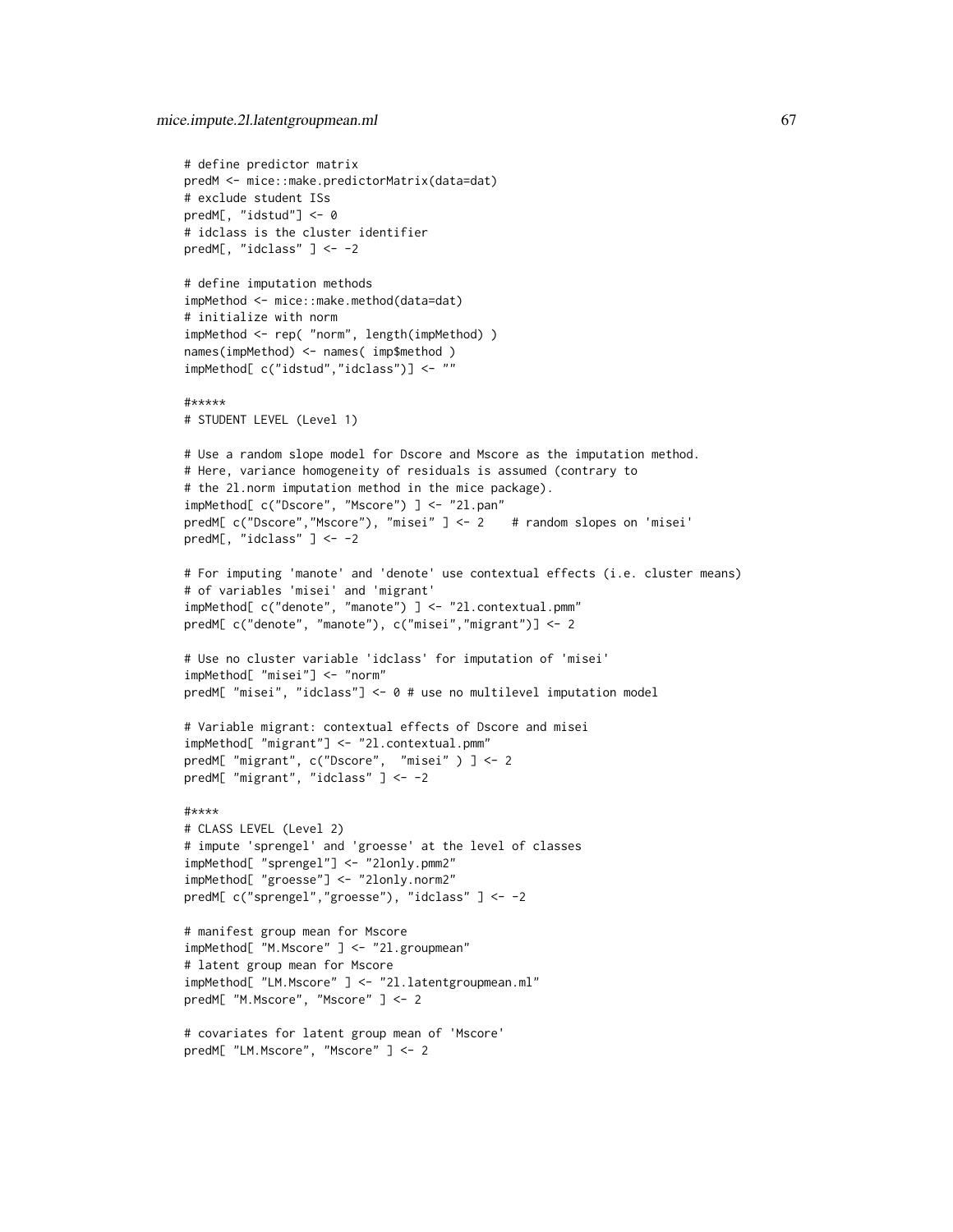```
# define predictor matrix
predM <- mice::make.predictorMatrix(data=dat)
# exclude student ISs
predM[, "idstud"] <- 0
# idclass is the cluster identifier
predM[, "idclass" ] <- -2
# define imputation methods
impMethod <- mice::make.method(data=dat)
# initialize with norm
impMethod <- rep( "norm", length(impMethod) )
names(impMethod) <- names( imp$method )
impMethod[ c("idstud","idclass")] <- ""
#*****
# STUDENT LEVEL (Level 1)
# Use a random slope model for Dscore and Mscore as the imputation method.
# Here, variance homogeneity of residuals is assumed (contrary to
# the 2l.norm imputation method in the mice package).
impMethod[ c("Dscore", "Mscore") ] <- "2l.pan"
predM[ c("Dscore","Mscore"), "misei" ] <- 2 # random slopes on 'misei'
predM[, "idclass" ] <- -2
# For imputing 'manote' and 'denote' use contextual effects (i.e. cluster means)
# of variables 'misei' and 'migrant'
impMethod[ c("denote", "manote") ] <- "2l.contextual.pmm"
predM[ c("denote", "manote"), c("misei","migrant")] <- 2
# Use no cluster variable 'idclass' for imputation of 'misei'
impMethod[ "misei"] <- "norm"
predM[ "misei", "idclass"] <- 0 # use no multilevel imputation model
# Variable migrant: contextual effects of Dscore and misei
impMethod[ "migrant"] <- "2l.contextual.pmm"
predM[ "migrant", c("Dscore", "misei" ) ] <- 2
predM[ "migrant", "idclass" ] <- -2
#****
# CLASS LEVEL (Level 2)
# impute 'sprengel' and 'groesse' at the level of classes
impMethod[ "sprengel"] <- "2lonly.pmm2"
impMethod[ "groesse"] <- "2lonly.norm2"
predM[ c("sprengel","groesse"), "idclass" ] <- -2
# manifest group mean for Mscore
impMethod[ "M.Mscore" ] <- "2l.groupmean"
# latent group mean for Mscore
impMethod[ "LM.Mscore" ] <- "2l.latentgroupmean.ml"
predM[ "M.Mscore", "Mscore" ] <- 2
# covariates for latent group mean of 'Mscore'
predM[ "LM.Mscore", "Mscore" ] <- 2
```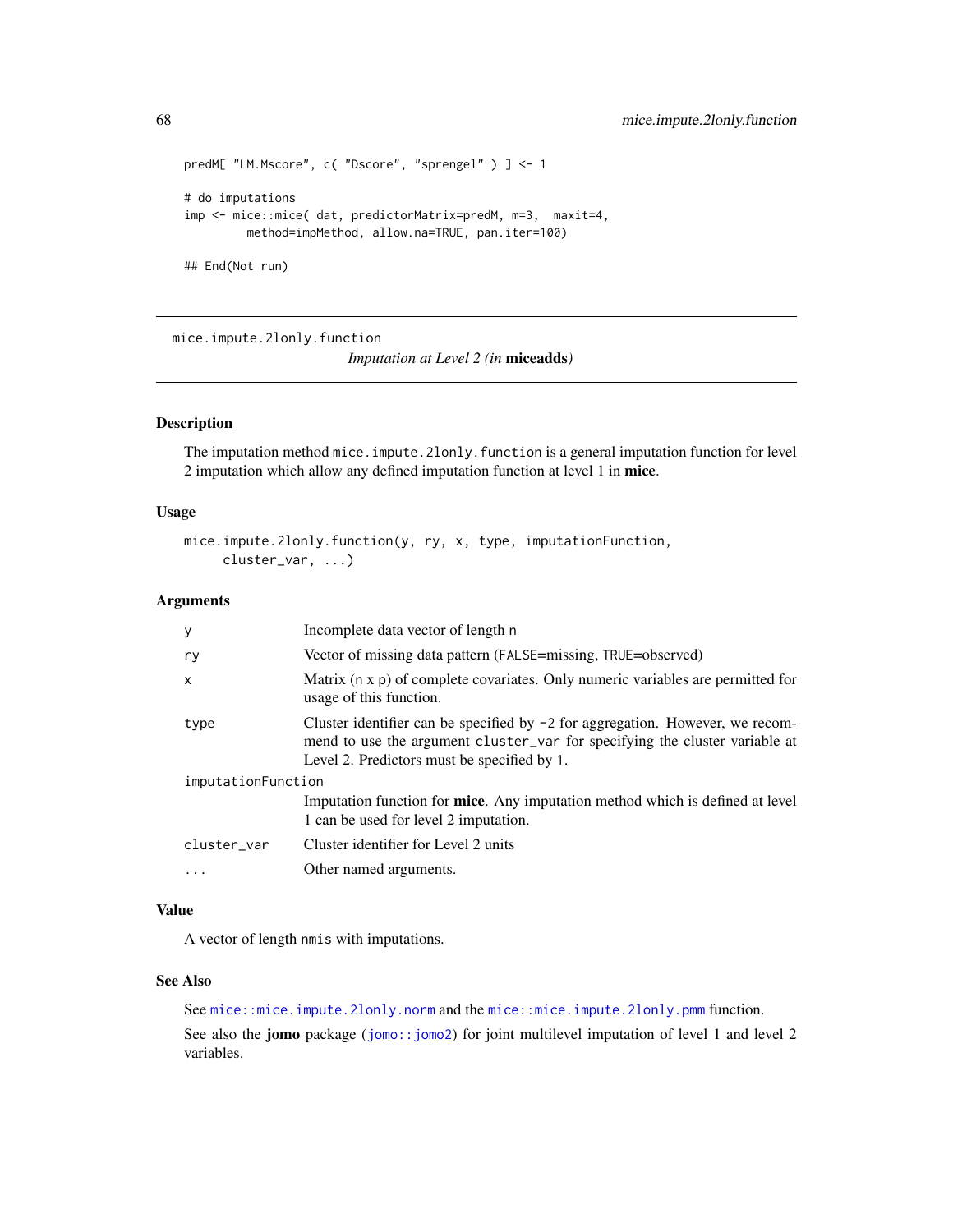```
predM[ "LM.Mscore", c( "Dscore", "sprengel" ) ] <- 1
# do imputations
imp <- mice::mice( dat, predictorMatrix=predM, m=3, maxit=4,
        method=impMethod, allow.na=TRUE, pan.iter=100)
## End(Not run)
```
mice.impute.2lonly.function

*Imputation at Level 2 (in* miceadds*)*

## Description

The imputation method mice.impute.2lonly.function is a general imputation function for level 2 imputation which allow any defined imputation function at level 1 in mice.

# Usage

```
mice.impute.2lonly.function(y, ry, x, type, imputationFunction,
     cluster_var, ...)
```
# Arguments

| У                  | Incomplete data vector of length n                                                                                                                                                                            |
|--------------------|---------------------------------------------------------------------------------------------------------------------------------------------------------------------------------------------------------------|
| ry                 | Vector of missing data pattern (FALSE=missing, TRUE=observed)                                                                                                                                                 |
| $\mathsf{x}$       | Matrix (n x p) of complete covariates. Only numeric variables are permitted for<br>usage of this function.                                                                                                    |
| type               | Cluster identifier can be specified by $-2$ for aggregation. However, we recom-<br>mend to use the argument cluster_var for specifying the cluster variable at<br>Level 2. Predictors must be specified by 1. |
| imputationFunction |                                                                                                                                                                                                               |
|                    | Imputation function for <b>mice</b> . Any imputation method which is defined at level<br>1 can be used for level 2 imputation.                                                                                |
| cluster var        | Cluster identifier for Level 2 units                                                                                                                                                                          |
| $\ddotsc$          | Other named arguments.                                                                                                                                                                                        |

## Value

A vector of length nmis with imputations.

#### See Also

See [mice::mice.impute.2lonly.norm](#page-0-0) and the [mice::mice.impute.2lonly.pmm](#page-0-0) function.

See also the jomo package ([jomo::jomo2](#page-0-0)) for joint multilevel imputation of level 1 and level 2 variables.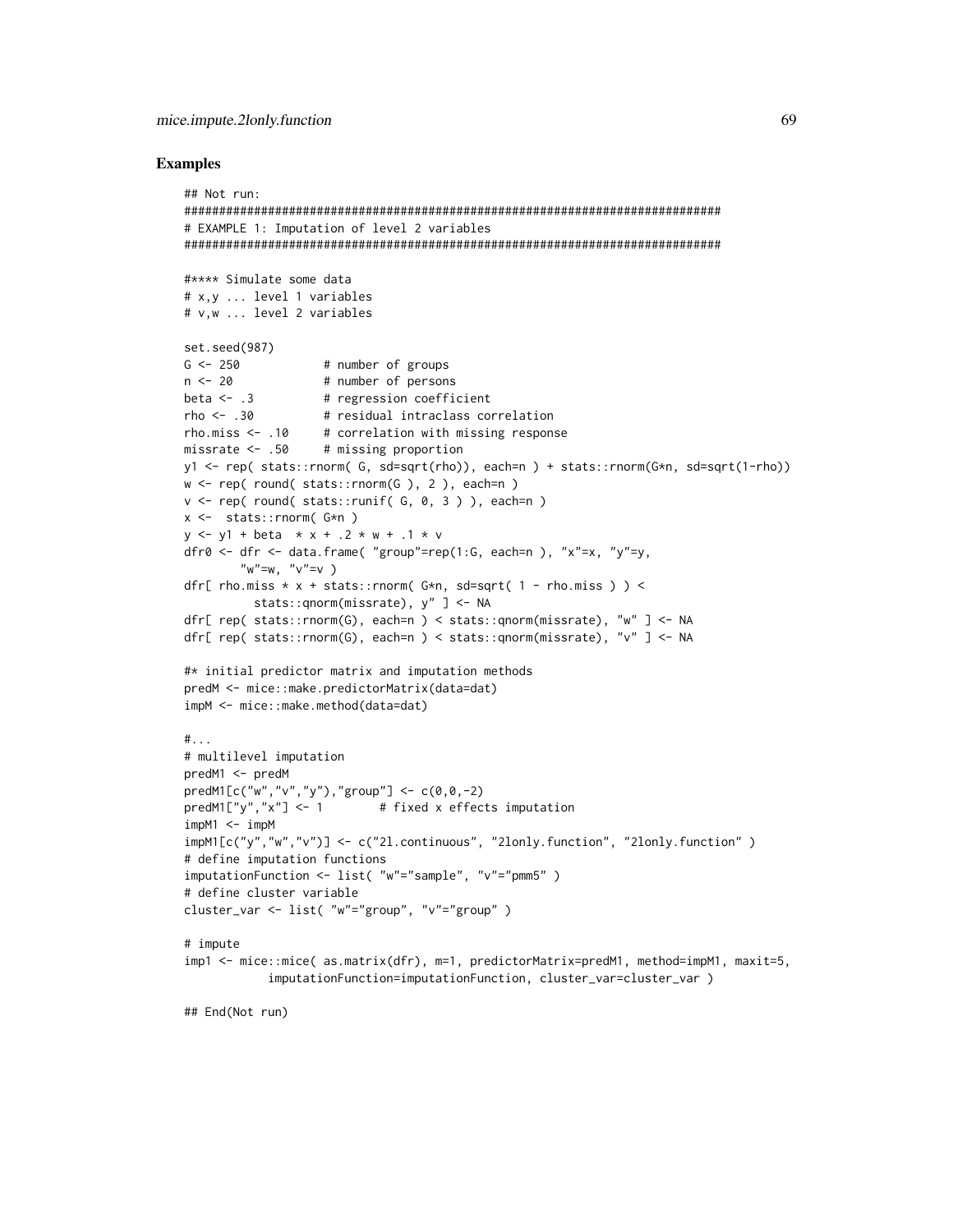#### **Examples**

```
## Not run:
# EXAMPLE 1: Imputation of level 2 variables
#**** Simulate some data
# x.v ... level 1 variables
# v.w ... level 2 variables
set.seed(987)
                # number of groups
G \le -250n < -20# number of persons
beta \leq -13# regression coefficient
rho < -0.30# residual intraclass correlation
rho.miss \leq -10 # correlation with missing response
missrate \leq .50
                # missing proportion
y1 <- rep( stats::rnorm( G, sd=sqrt(rho)), each=n ) + stats::rnorm(G*n, sd=sqrt(1-rho))
w \leq rep(\text{round}(\text{stats::rnorm}(G), 2), \text{each=n})v \leq -rep( round(stats::runif(G, 0, 3)), each=n)
x \leftarrow stats:: rnorm(G*n)
y \le -y1 + \text{beta} \times x + .2 \times w + .1 \times vdfr0 <- dfr <- data.frame( "group"=rep(1:G, each=n), "x"=x, "y"=y,
       "w''=w, "v''=v)
dfr[ rho.miss * x + stats::rnorm(G*n, sd=sqrt( 1 - rho.miss ) ) <
         stats::gnorm(missrate), y" ] <- NA
dfr[ rep( stats::rnorm(G), each=n ) < stats::gnorm(missrate), "w" ] <- NA
dfr[ rep( stats::rnorm(G), each=n ) < stats::gnorm(missrate), "v" ] <- NA
#* initial predictor matrix and imputation methods
predM <- mice::make.predictorMatrix(data=dat)
impM <- mice::make.method(data=dat)
\#...
# multilevel imputation
predM1 <- predM
predM1[c("w", "v", "y"), "group"] < - c(0, 0, -2)predM1["y", "x"] \leq -1# fixed x effects imputation
impM1 < - impMimpM1[c("y","w","v")] <- c("21.continuous", "2lonly.function", "2lonly.function")
# define imputation functions
imputationFunction <- list( "w"="sample", "v"="pmm5")
# define cluster variable
cluster_var <- list( "w"="group", "v"="group")
# impute
imp1 <- mice::mice( as.matrix(dfr), m=1, predictorMatrix=predM1, method=impM1, maxit=5,
           imputationFunction=imputationFunction, cluster_var=cluster_var)
```
## End(Not run)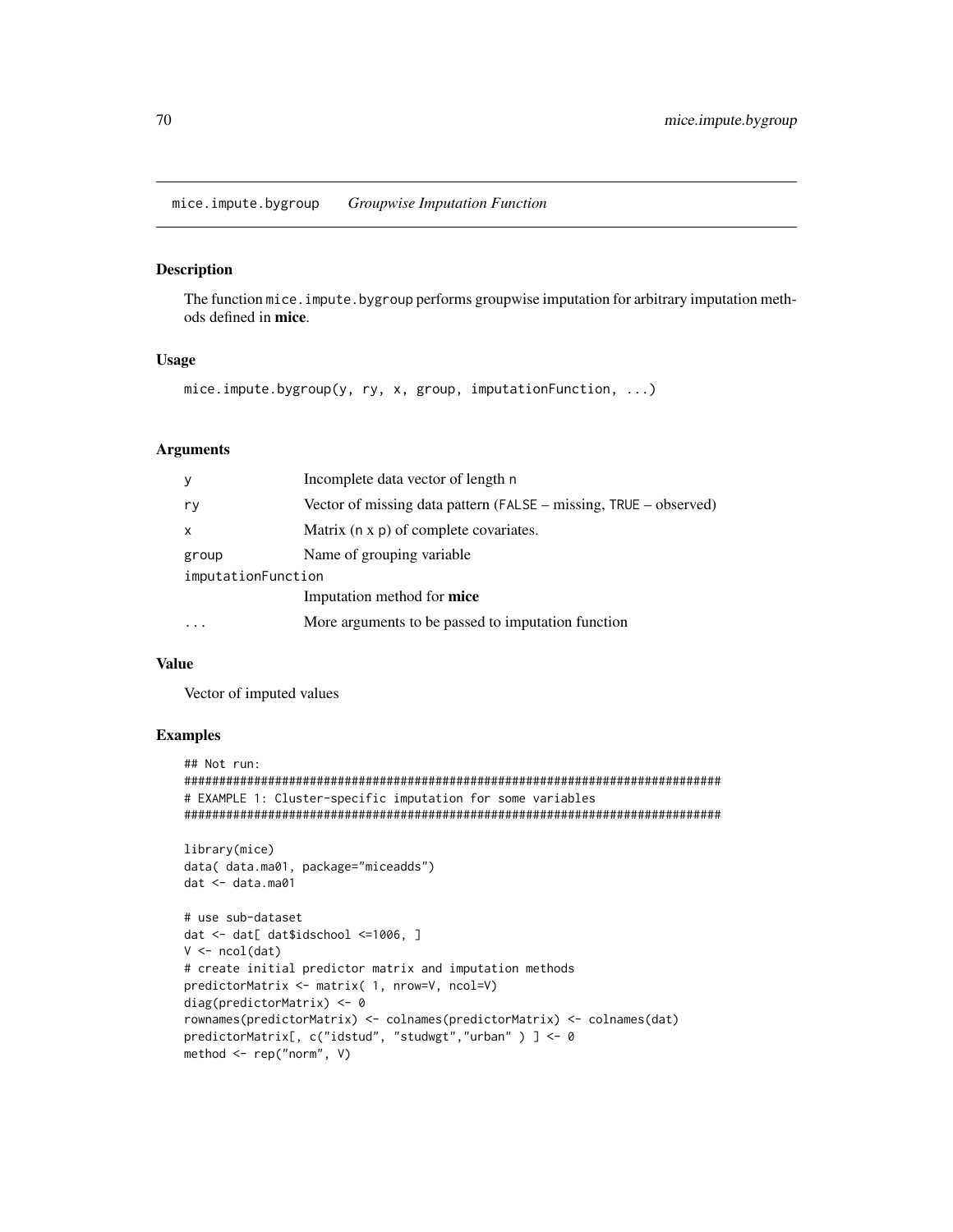mice.impute.bygroup Groupwise Imputation Function

#### **Description**

The function mice. impute. by group performs groupwise imputation for arbitrary imputation methods defined in mice.

# **Usage**

```
mice.impute.bygroup(y, ry, x, group, imputationFunction, ...)
```
## **Arguments**

| y                  | Incomplete data vector of length n                                |
|--------------------|-------------------------------------------------------------------|
| r y                | Vector of missing data pattern (FALSE – missing, TRUE – observed) |
| $\mathsf{x}$       | Matrix (n x p) of complete covariates.                            |
| group              | Name of grouping variable.                                        |
| imputationFunction |                                                                   |
|                    | Imputation method for <b>mice</b>                                 |
|                    | More arguments to be passed to imputation function                |
|                    |                                                                   |

## **Value**

Vector of imputed values

```
## Not run:
# EXAMPLE 1: Cluster-specific imputation for some variables
```

```
library(mice)
data( data.ma01, package="miceadds")
dat <- data.ma01
```

```
# use sub-dataset
dat <- dat[ dat$idschool <= 1006, ]
V \leftarrow \text{ncol}(\text{dat})# create initial predictor matrix and imputation methods
predictorMatrix <- matrix( 1, nrow=V, ncol=V)
diag(predictorMatrix) <- 0
rownames(predictorMatrix) <- colnames(predictorMatrix) <- colnames(dat)
predictorMatrix[, c("idstud", "studwgt","urban" ) ] <- 0
method \leq rep("norm", V)
```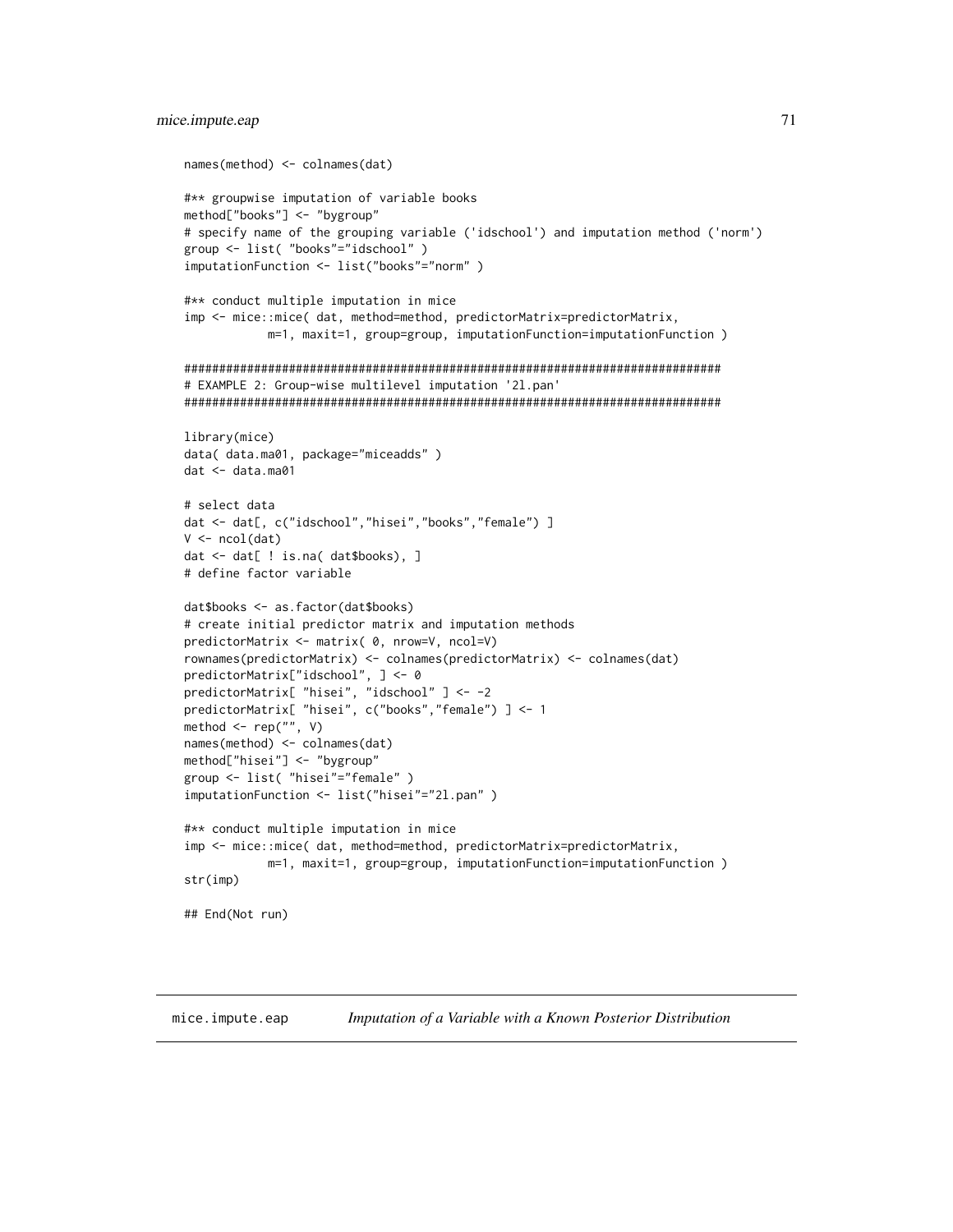```
names(method) <- colnames(dat)
#** groupwise imputation of variable books
method["books"] <- "bygroup"
# specify name of the grouping variable ('idschool') and imputation method ('norm')
group <- list( "books"="idschool")
imputationFunction <- list("books"="norm")
#** conduct multiple imputation in mice
imp <- mice::mice( dat, method=method, predictorMatrix=predictorMatrix,
           m=1, maxit=1, group=group, imputationFunction=imputationFunction )
# EXAMPLE 2: Group-wise multilevel imputation '2l.pan'
library(mice)
data( data.ma01, package="miceadds" )
dat < - data.max01# select data
dat <- dat[, c("idschool","hisei","books","female") ]
V \leftarrow \text{ncol}(\text{dat})dat <- dat[ ! is.na( dat$books), ]
# define factor variable
dat$books <- as.factor(dat$books)
# create initial predictor matrix and imputation methods
predictorMatrix <- matrix( 0, nrow=V, ncol=V)
rownames(predictorMatrix) <- colnames(predictorMatrix) <- colnames(dat)
predictorMatrix["idschool", ] <- 0
predictorMatrix[ "hisei", "idschool" ] <- -2
predictorMatrix[ "hisei", c("books","female") ] <- 1
method \leq rep("", V)
names(method) <- colnames(dat)
method["hisei"] <- "bygroup"
group <- list( "hisei"="female" )
imputationFunction <- list("hisei"="2l.pan")
#** conduct multiple imputation in mice
imp <- mice::mice( dat, method=method, predictorMatrix=predictorMatrix,
           m=1, maxit=1, group=group, imputationFunction=imputationFunction )
str(imp)## End(Not run)
```
mice.impute.eap Imputation of a Variable with a Known Posterior Distribution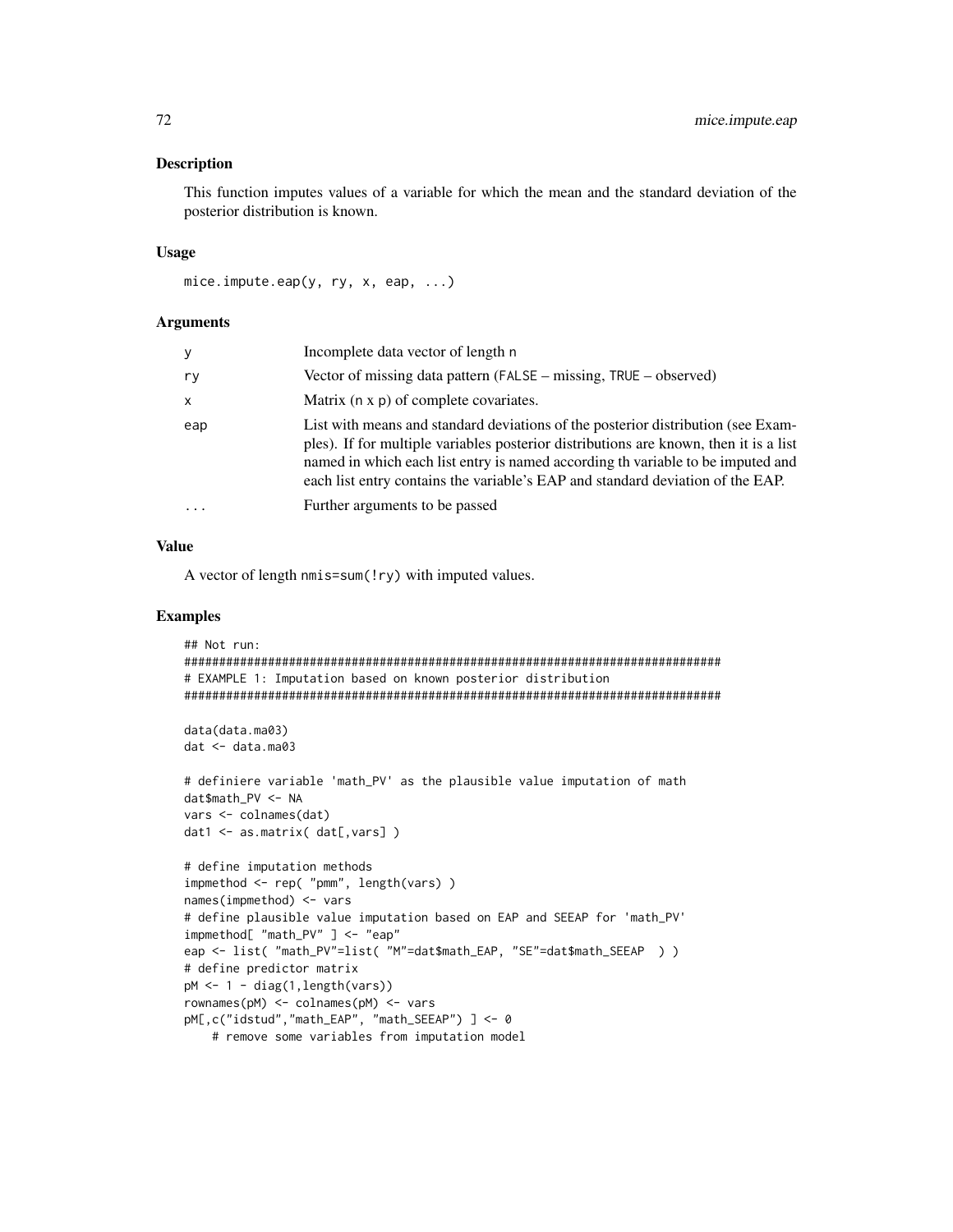## **Description**

This function imputes values of a variable for which the mean and the standard deviation of the posterior distribution is known.

#### **Usage**

```
mice.impute.eap(y, ry, x, eap, \ldots)
```
#### **Arguments**

| у   | Incomplete data vector of length n                                                                                                                                                                                                                                                                                                             |
|-----|------------------------------------------------------------------------------------------------------------------------------------------------------------------------------------------------------------------------------------------------------------------------------------------------------------------------------------------------|
| ry  | Vector of missing data pattern (FALSE – missing, TRUE – observed)                                                                                                                                                                                                                                                                              |
| x   | Matrix $(n \times p)$ of complete covariates.                                                                                                                                                                                                                                                                                                  |
| eap | List with means and standard deviations of the posterior distribution (see Exam-<br>ples). If for multiple variables posterior distributions are known, then it is a list<br>named in which each list entry is named according th variable to be imputed and<br>each list entry contains the variable's EAP and standard deviation of the EAP. |
| .   | Further arguments to be passed                                                                                                                                                                                                                                                                                                                 |
|     |                                                                                                                                                                                                                                                                                                                                                |

## **Value**

A vector of length nmis=sum(!ry) with imputed values.

```
## Not run:
# EXAMPLE 1: Imputation based on known posterior distribution
data(data.ma03)
dat < - data.mac03# definiere variable 'math_PV' as the plausible value imputation of math
dat$math_PV <- NA
vars <- colnames(dat)
dat1 \leftarrow as_matrix(dat[,vars])# define imputation methods
impmethod <- rep( "pmm", length(vars) )
names(imprethod) <- vars
# define plausible value imputation based on EAP and SEEAP for 'math_PV'
impmethod[ "math_PV" ] <- "eap"
eap <- list( "math_PV"=list( "M"=dat$math_EAP, "SE"=dat$math_SEEAP ) )
# define predictor matrix
pM \leftarrow 1 - diag(1, length(vars))rownames(pM) <- colnames(pM) <- vars
pM[,c("idstud","math_EAP", "math_SEEAP") ] <- 0
   # remove some variables from imputation model
```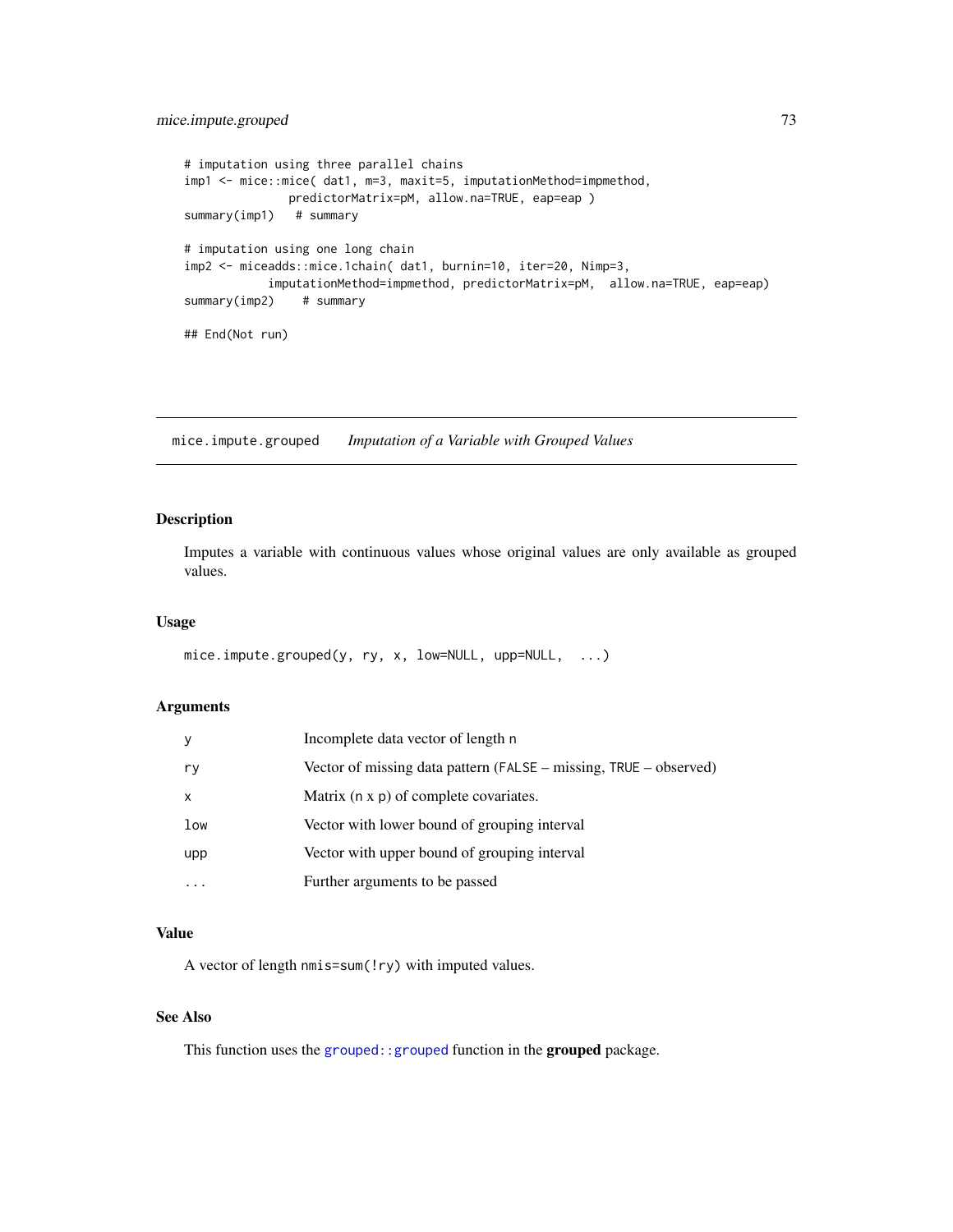```
# imputation using three parallel chains
imp1 <- mice::mice( dat1, m=3, maxit=5, imputationMethod=impmethod,
              predictorMatrix=pM, allow.na=TRUE, eap=eap )
summary(imp1) # summary
# imputation using one long chain
imp2 <- miceadds::mice.1chain( dat1, burnin=10, iter=20, Nimp=3,
           imputationMethod=impmethod, predictorMatrix=pM, allow.na=TRUE, eap=eap)
summary(imp2) # summary
## End(Not run)
```
mice.impute.grouped *Imputation of a Variable with Grouped Values*

# Description

Imputes a variable with continuous values whose original values are only available as grouped values.

## Usage

```
mice.impute.grouped(y, ry, x, low=NULL, upp=NULL, ...)
```
#### Arguments

| У   | Incomplete data vector of length n                                |
|-----|-------------------------------------------------------------------|
| ry  | Vector of missing data pattern (FALSE – missing, TRUE – observed) |
| X   | Matrix (n x p) of complete covariates.                            |
| low | Vector with lower bound of grouping interval                      |
| upp | Vector with upper bound of grouping interval                      |
|     | Further arguments to be passed                                    |

# Value

A vector of length nmis=sum(!ry) with imputed values.

# See Also

This function uses the [grouped::grouped](#page-0-0) function in the grouped package.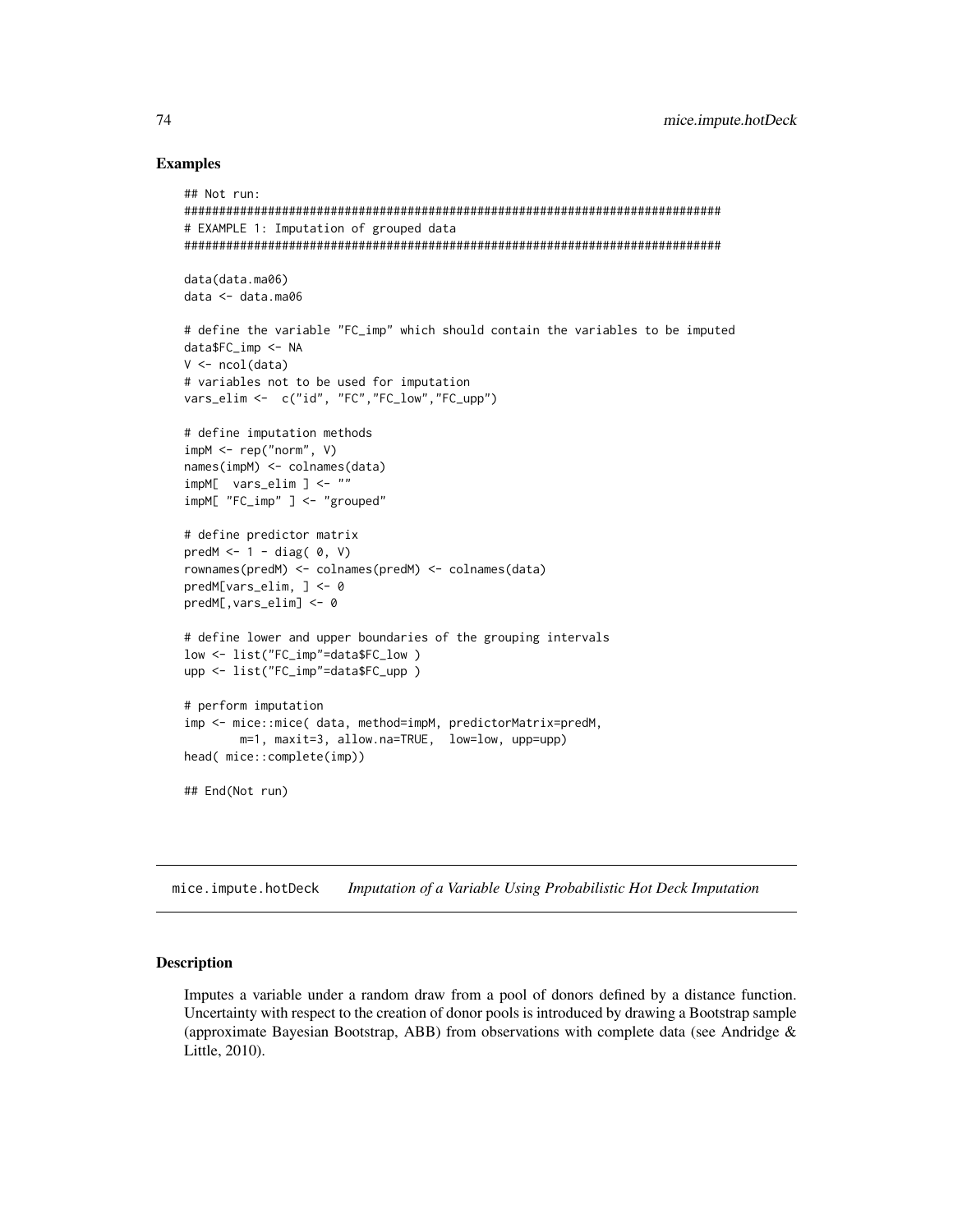## **Examples**

```
## Not run:
# EXAMPLE 1: Imputation of grouped data
data(data.ma06)
data < - data.mac06# define the variable "FC_imp" which should contain the variables to be imputed
data$FC_imp <- NA
V \leftarrow \text{ncol}(data)# variables not to be used for imputation
vars_elim <- c("id", "FC","FC_low","FC_upp")
# define imputation methods
impM < - rep("norm", V)names(impM) <- colnames(data)
impM[ vars_elim ] <- ""
impM[ "FC_imp" ] <- "grouped"
# define predictor matrix
predM <-1 - diag(0, V)rownames(predM) <- colnames(predM) <- colnames(data)
predM[vars\_elim, ] \leftarrow 0predM[, vars\_elim] < -0# define lower and upper boundaries of the grouping intervals
low <- list("FC_imp"=data$FC_low)
upp <- list("FC_imp"=data$FC_upp)
# perform imputation
imp <- mice::mice( data, method=impM, predictorMatrix=predM,
      m=1, maxit=3, allow.na=TRUE, low=low, upp=upp)
head( mice::complete(imp))
## End(Not run)
```
mice.impute.hotDeck Imputation of a Variable Using Probabilistic Hot Deck Imputation

## **Description**

Imputes a variable under a random draw from a pool of donors defined by a distance function. Uncertainty with respect to the creation of donor pools is introduced by drawing a Bootstrap sample (approximate Bayesian Bootstrap, ABB) from observations with complete data (see Andridge  $\&$ Little, 2010).

74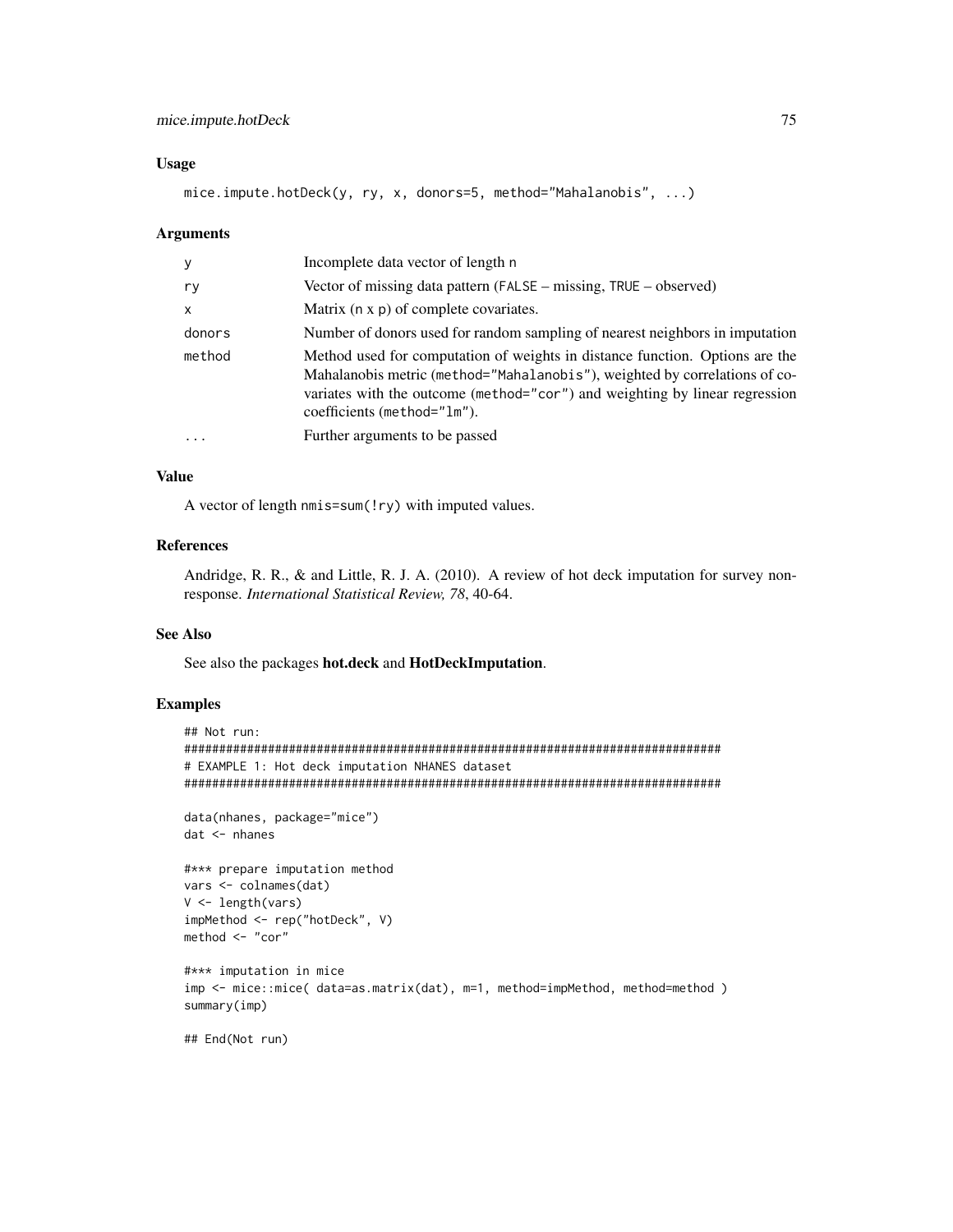# mice.impute.hotDeck

## **Usage**

mice.impute.hotDeck(y, ry, x, donors=5, method="Mahalanobis", ...)

#### **Arguments**

| У            | Incomplete data vector of length n                                                                                                                                                                                                                                       |
|--------------|--------------------------------------------------------------------------------------------------------------------------------------------------------------------------------------------------------------------------------------------------------------------------|
| ry           | Vector of missing data pattern (FALSE – missing, TRUE – observed)                                                                                                                                                                                                        |
| $\mathsf{x}$ | Matrix (n x p) of complete covariates.                                                                                                                                                                                                                                   |
| donors       | Number of donors used for random sampling of nearest neighbors in imputation                                                                                                                                                                                             |
| method       | Method used for computation of weights in distance function. Options are the<br>Mahalanobis metric (method="Mahalanobis"), weighted by correlations of co-<br>variates with the outcome (method="cor") and weighting by linear regression<br>coefficients (method="1m"). |
| $\cdot$      | Further arguments to be passed                                                                                                                                                                                                                                           |

#### **Value**

A vector of length nmis=sum(!ry) with imputed values.

## **References**

Andridge, R. R., & and Little, R. J. A. (2010). A review of hot deck imputation for survey nonresponse. International Statistical Review, 78, 40-64.

# **See Also**

See also the packages hot.deck and HotDeckImputation.

```
## Not run:
# EXAMPLE 1: Hot deck imputation NHANES dataset
data(nhanes, package="mice")
dat <- nhanes
#*** prepare imputation method
vars <- colnames(dat)
V \leftarrow length(vars)
impMethod <- rep("hotDeck", V)
method <- "cor"
#*** imputation in mice
imp <- mice::mice( data=as.matrix(dat), m=1, method=impMethod, method=method)
summary(imp)
## End(Not run)
```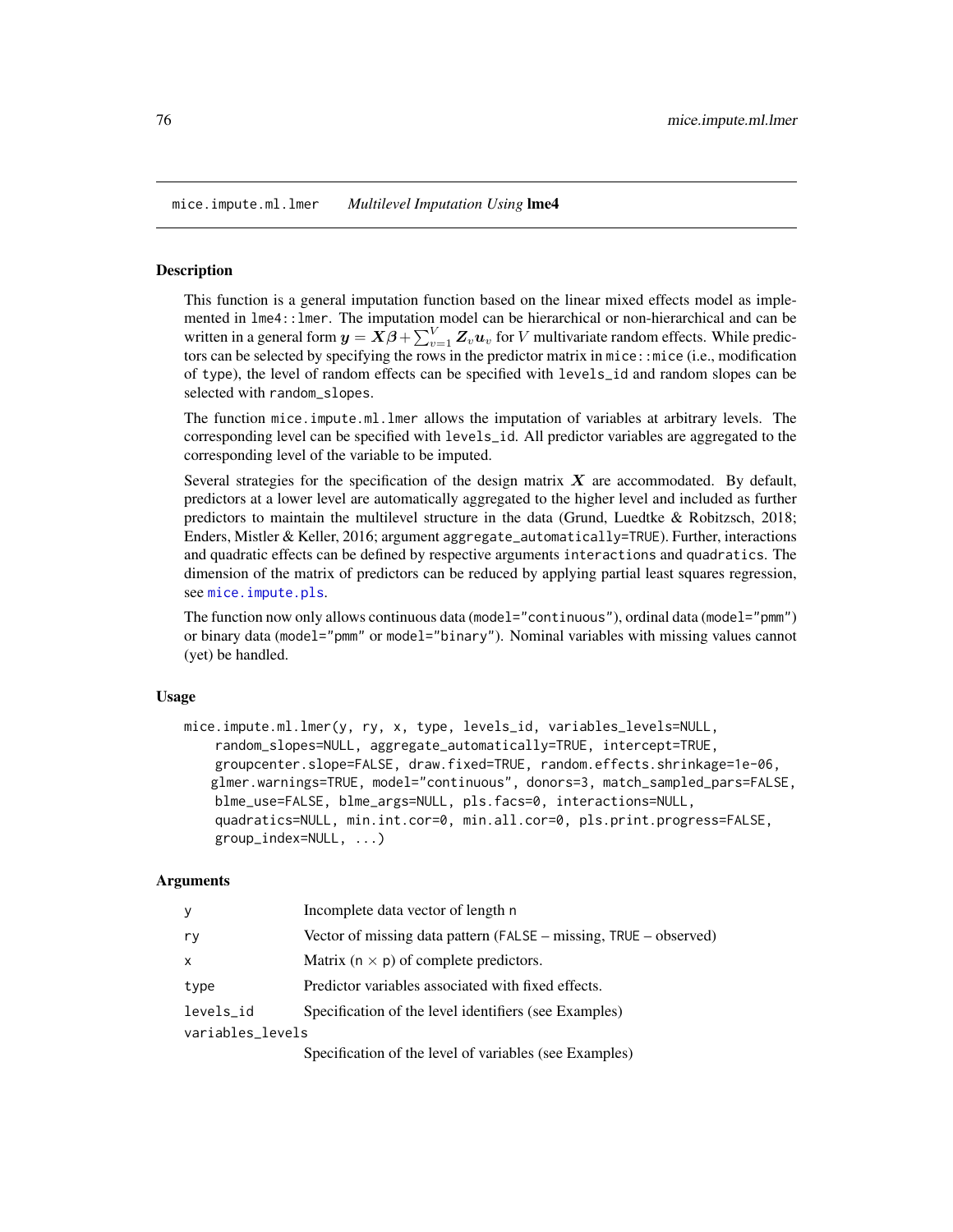<span id="page-75-0"></span>mice.impute.ml.lmer *Multilevel Imputation Using* lme4

#### **Description**

This function is a general imputation function based on the linear mixed effects model as implemented in lme4::lmer. The imputation model can be hierarchical or non-hierarchical and can be written in a general form  $y = \dot{X\beta} + \sum_{v=1}^{V} Z_v u_v$  for  $V$  multivariate random effects. While predictors can be selected by specifying the rows in the predictor matrix in mice::mice (i.e., modification of type), the level of random effects can be specified with levels\_id and random slopes can be selected with random\_slopes.

The function mice.impute.ml.lmer allows the imputation of variables at arbitrary levels. The corresponding level can be specified with levels\_id. All predictor variables are aggregated to the corresponding level of the variable to be imputed.

Several strategies for the specification of the design matrix  $X$  are accommodated. By default, predictors at a lower level are automatically aggregated to the higher level and included as further predictors to maintain the multilevel structure in the data (Grund, Luedtke & Robitzsch, 2018; Enders, Mistler & Keller, 2016; argument aggregate\_automatically=TRUE). Further, interactions and quadratic effects can be defined by respective arguments interactions and quadratics. The dimension of the matrix of predictors can be reduced by applying partial least squares regression, see [mice.impute.pls](#page-84-0).

The function now only allows continuous data (model="continuous"), ordinal data (model="pmm") or binary data (model="pmm" or model="binary"). Nominal variables with missing values cannot (yet) be handled.

#### Usage

mice.impute.ml.lmer(y, ry, x, type, levels\_id, variables\_levels=NULL, random\_slopes=NULL, aggregate\_automatically=TRUE, intercept=TRUE, groupcenter.slope=FALSE, draw.fixed=TRUE, random.effects.shrinkage=1e-06, glmer.warnings=TRUE, model="continuous", donors=3, match\_sampled\_pars=FALSE, blme\_use=FALSE, blme\_args=NULL, pls.facs=0, interactions=NULL, quadratics=NULL, min.int.cor=0, min.all.cor=0, pls.print.progress=FALSE, group\_index=NULL, ...)

#### Arguments

| У                | Incomplete data vector of length n                                                                                                                                                                                                                                                                                                                                                                    |
|------------------|-------------------------------------------------------------------------------------------------------------------------------------------------------------------------------------------------------------------------------------------------------------------------------------------------------------------------------------------------------------------------------------------------------|
| ry               | Vector of missing data pattern (FALSE $-$ missing, TRUE $-$ observed)                                                                                                                                                                                                                                                                                                                                 |
| $\times$         | Matrix ( $n \times p$ ) of complete predictors.                                                                                                                                                                                                                                                                                                                                                       |
| type             | Predictor variables associated with fixed effects.                                                                                                                                                                                                                                                                                                                                                    |
| levels_id        | Specification of the level identifiers (see Examples)                                                                                                                                                                                                                                                                                                                                                 |
| variables_levels |                                                                                                                                                                                                                                                                                                                                                                                                       |
|                  | $\mathcal{O}_{\mathcal{P}}$ , $\mathcal{O}_{\mathcal{P}}$ , $\mathcal{O}_{\mathcal{P}}$ , $\mathcal{O}_{\mathcal{P}}$ , $\mathcal{O}_{\mathcal{P}}$ , $\mathcal{O}_{\mathcal{P}}$ , $\mathcal{O}_{\mathcal{P}}$ , $\mathcal{O}_{\mathcal{P}}$ , $\mathcal{O}_{\mathcal{P}}$ , $\mathcal{O}_{\mathcal{P}}$ , $\mathcal{O}_{\mathcal{P}}$ , $\mathcal{O}_{\mathcal{P}}$ , $\mathcal{O}_{\mathcal{P}}$ , |

Specification of the level of variables (see Examples)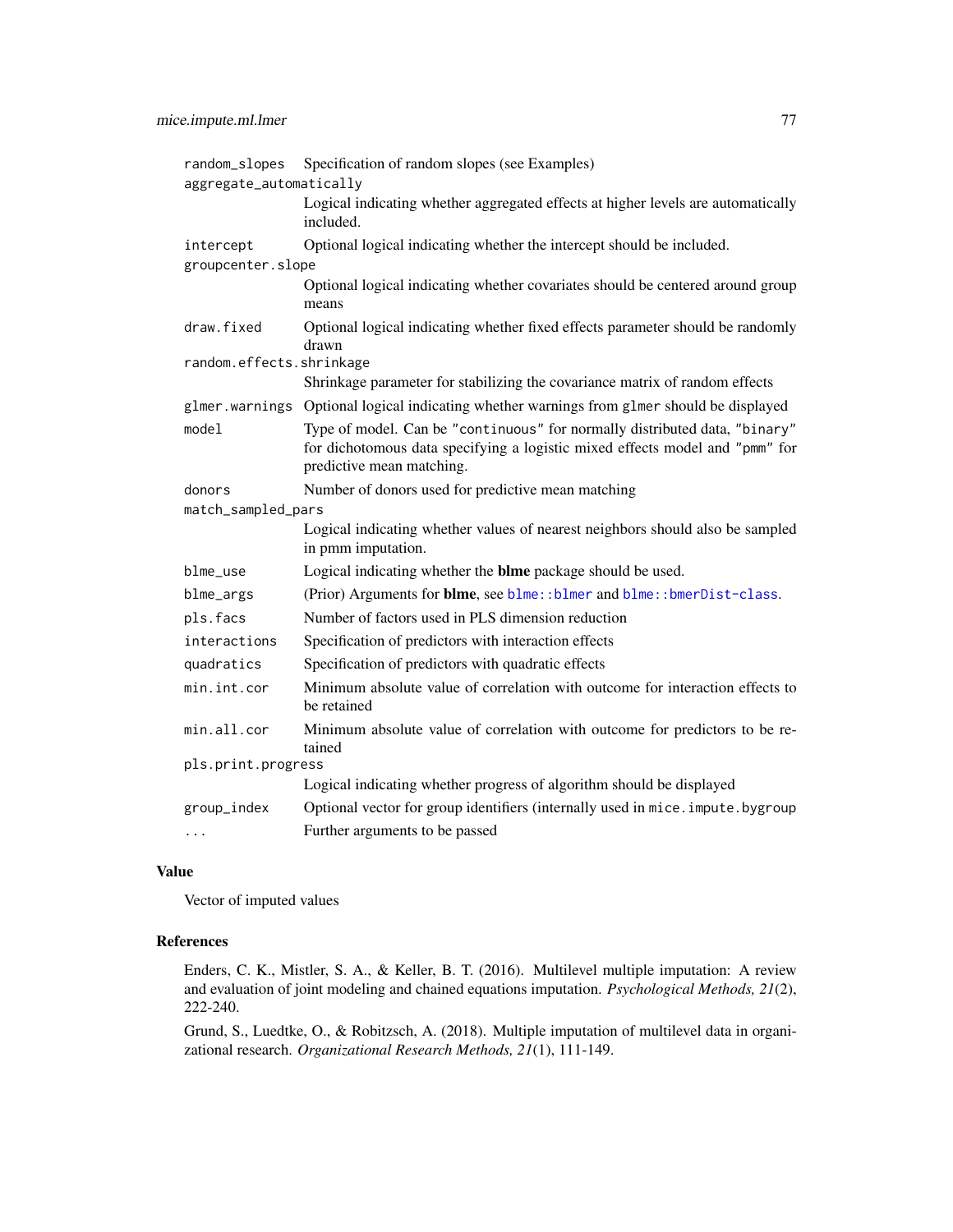| random_slopes            | Specification of random slopes (see Examples)                                                                                                                                           |
|--------------------------|-----------------------------------------------------------------------------------------------------------------------------------------------------------------------------------------|
| aggregate_automatically  |                                                                                                                                                                                         |
|                          | Logical indicating whether aggregated effects at higher levels are automatically<br>included.                                                                                           |
| intercept                | Optional logical indicating whether the intercept should be included.                                                                                                                   |
| groupcenter.slope        |                                                                                                                                                                                         |
|                          | Optional logical indicating whether covariates should be centered around group<br>means                                                                                                 |
| draw.fixed               | Optional logical indicating whether fixed effects parameter should be randomly<br>drawn                                                                                                 |
| random.effects.shrinkage |                                                                                                                                                                                         |
|                          | Shrinkage parameter for stabilizing the covariance matrix of random effects                                                                                                             |
|                          | glmer.warnings Optional logical indicating whether warnings from glmer should be displayed                                                                                              |
| model                    | Type of model. Can be "continuous" for normally distributed data, "binary"<br>for dichotomous data specifying a logistic mixed effects model and "pmm" for<br>predictive mean matching. |
| donors                   | Number of donors used for predictive mean matching                                                                                                                                      |
| match_sampled_pars       |                                                                                                                                                                                         |
|                          | Logical indicating whether values of nearest neighbors should also be sampled<br>in pmm imputation.                                                                                     |
| blme_use                 | Logical indicating whether the <b>blme</b> package should be used.                                                                                                                      |
| blme_args                | (Prior) Arguments for blme, see blme::blmer and blme::bmerDist-class.                                                                                                                   |
| pls.facs                 | Number of factors used in PLS dimension reduction                                                                                                                                       |
| interactions             | Specification of predictors with interaction effects                                                                                                                                    |
| quadratics               | Specification of predictors with quadratic effects                                                                                                                                      |
| min.int.cor              | Minimum absolute value of correlation with outcome for interaction effects to<br>be retained                                                                                            |
| min.all.cor              | Minimum absolute value of correlation with outcome for predictors to be re-<br>tained                                                                                                   |
| pls.print.progress       |                                                                                                                                                                                         |
|                          | Logical indicating whether progress of algorithm should be displayed                                                                                                                    |
| group_index              | Optional vector for group identifiers (internally used in mice. impute.bygroup                                                                                                          |
|                          | Further arguments to be passed                                                                                                                                                          |

## Value

Vector of imputed values

## References

Enders, C. K., Mistler, S. A., & Keller, B. T. (2016). Multilevel multiple imputation: A review and evaluation of joint modeling and chained equations imputation. *Psychological Methods, 21*(2), 222-240.

Grund, S., Luedtke, O., & Robitzsch, A. (2018). Multiple imputation of multilevel data in organizational research. *Organizational Research Methods, 21*(1), 111-149.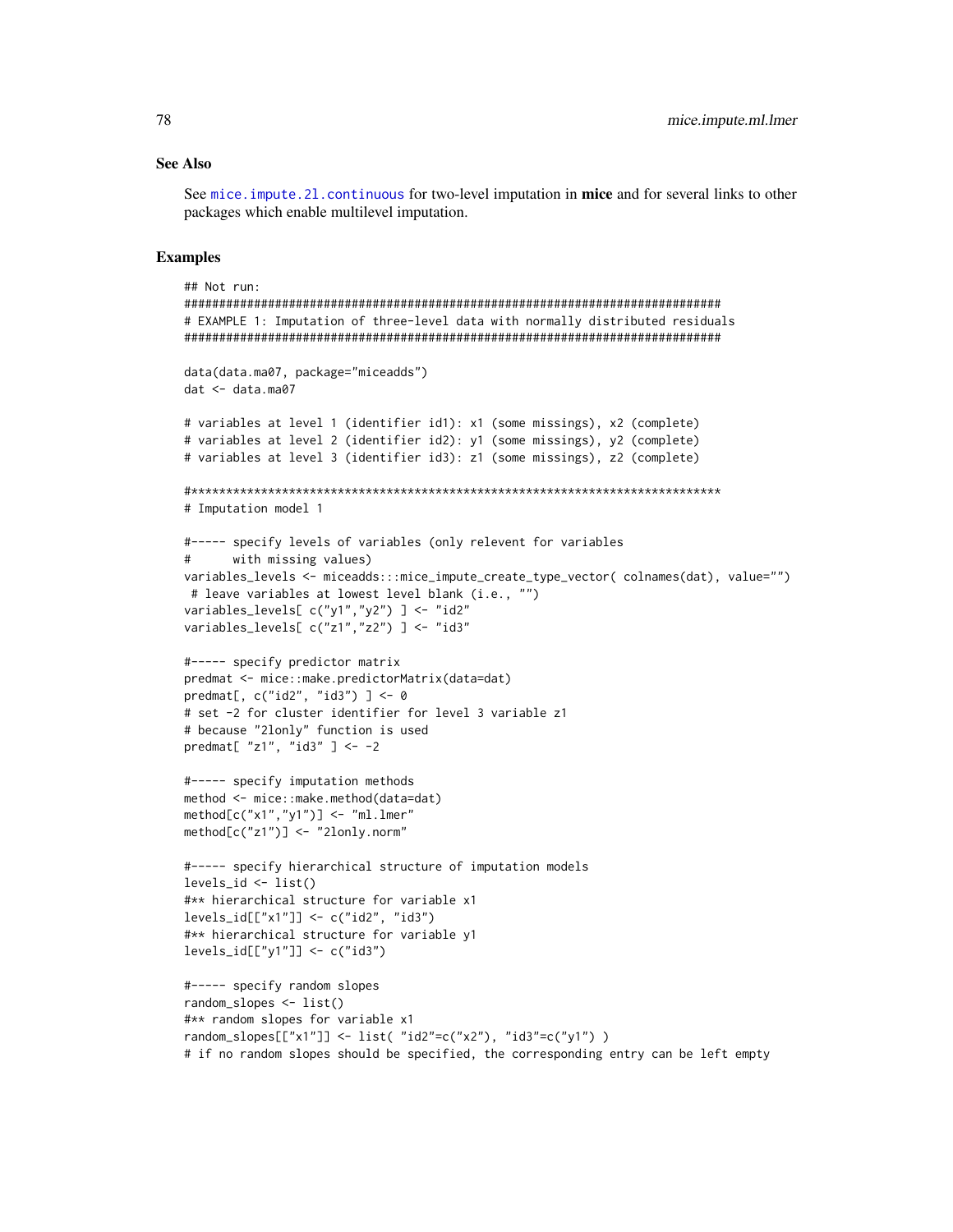## **See Also**

See mice. impute. 21. continuous for two-level imputation in mice and for several links to other packages which enable multilevel imputation.

#### **Examples**

```
## Not run:
# EXAMPLE 1: Imputation of three-level data with normally distributed residuals
data(data.ma07, package="miceadds")
dat < - data.mac07# variables at level 1 (identifier id1): x1 (some missings), x2 (complete)
# variables at level 2 (identifier id2): y1 (some missings), y2 (complete)
# variables at level 3 (identifier id3): z1 (some missings), z2 (complete)
# Imputation model 1
#----- specify levels of variables (only relevent for variables
#with missing values)
variables_levels <- miceadds:::mice_impute_create_type_vector( colnames(dat), value="")
# leave variables at lowest level blank (i.e., "")
variables_levels[c("y1", "y2")] <- "id2"
variables_levels[c("z1", "z2")] <- "id3"
#----- specify predictor matrix
predmat <- mice::make.predictorMatrix(data=dat)
predmat[, c("id2", "id3")] <- 0
# set -2 for cluster identifier for level 3 variable z1
# because "2lonly" function is used
predmat[ "z1", "id3"] <- -2
#----- specify imputation methods
method <- mice::make.method(data=dat)
method[c("x1", "y1")] < - "m1.1mer"method[c("z1")] < - "2lonly.norm"
#----- specify hierarchical structure of imputation models
levels_id \leftarrow list()#** hierarchical structure for variable x1
#** hierarchical structure for variable y1
levels_id[["y1"] <- c("id3")
#----- specify random slopes
random_slopes \leftarrow list()#** random slopes for variable x1
random_slopes[["x1"]] <- list( "id2"=c("x2"), "id3"=c("y1"))
# if no random slopes should be specified, the corresponding entry can be left empty
```
78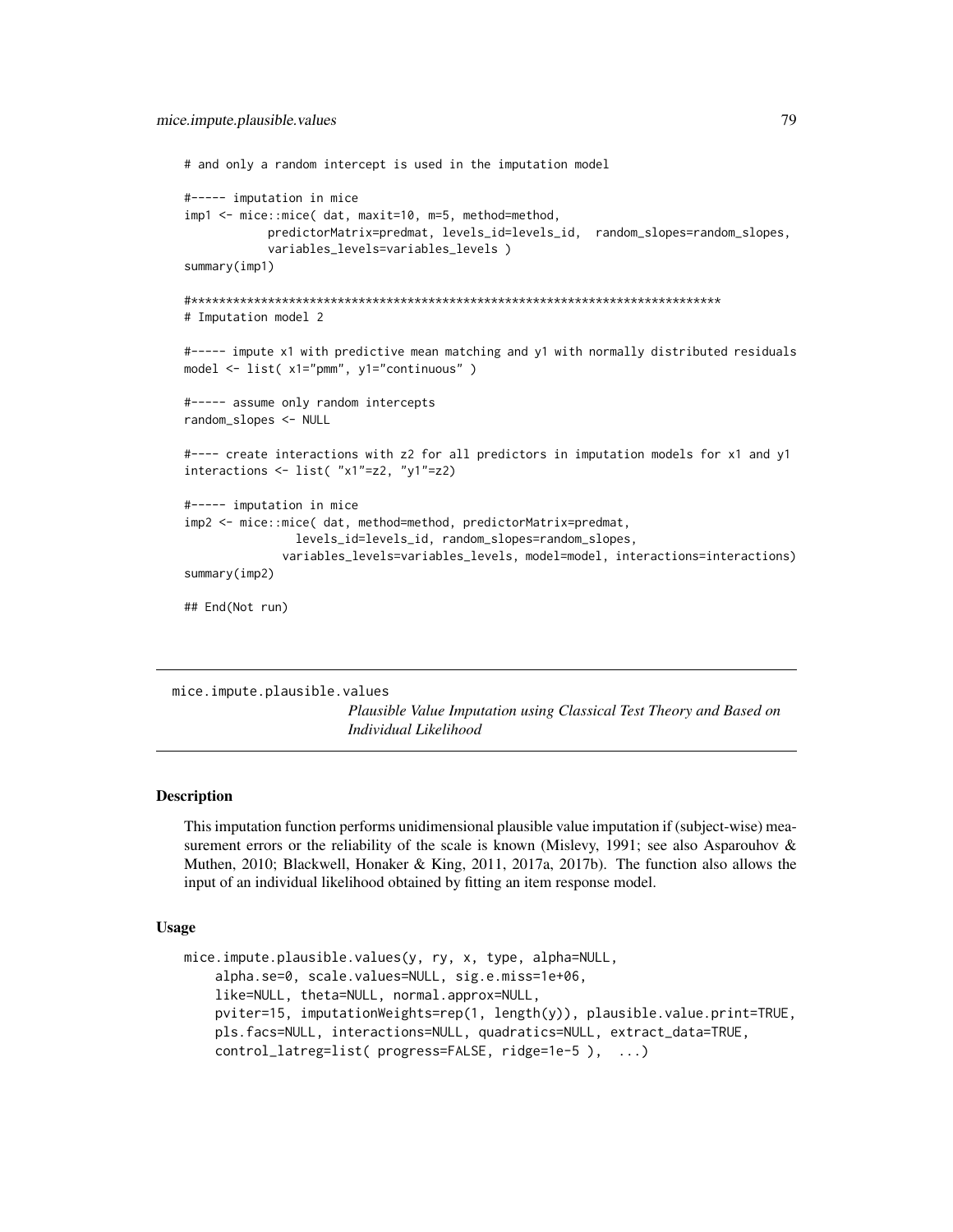```
# and only a random intercept is used in the imputation model
#----- imputation in mice
imp1 <- mice::mice( dat, maxit=10, m=5, method=method,
           predictorMatrix=predmat, levels_id=levels_id, random_slopes=random_slopes,
           variables_levels=variables_levels )
summary(imp1)
#****************************************************************************
# Imputation model 2
#----- impute x1 with predictive mean matching and y1 with normally distributed residuals
model <- list( x1="pmm", y1="continuous" )
#----- assume only random intercepts
random_slopes <- NULL
#---- create interactions with z2 for all predictors in imputation models for x1 and y1
interactions <- list( "x1"=z2, "y1"=z2)
#----- imputation in mice
imp2 <- mice::mice( dat, method=method, predictorMatrix=predmat,
                levels_id=levels_id, random_slopes=random_slopes,
              variables_levels=variables_levels, model=model, interactions=interactions)
summary(imp2)
## End(Not run)
```
<span id="page-78-0"></span>mice.impute.plausible.values

*Plausible Value Imputation using Classical Test Theory and Based on Individual Likelihood*

## Description

This imputation function performs unidimensional plausible value imputation if (subject-wise) measurement errors or the reliability of the scale is known (Mislevy, 1991; see also Asparouhov & Muthen, 2010; Blackwell, Honaker & King, 2011, 2017a, 2017b). The function also allows the input of an individual likelihood obtained by fitting an item response model.

#### Usage

```
mice.impute.plausible.values(y, ry, x, type, alpha=NULL,
    alpha.se=0, scale.values=NULL, sig.e.miss=1e+06,
   like=NULL, theta=NULL, normal.approx=NULL,
   pviter=15, imputationWeights=rep(1, length(y)), plausible.value.print=TRUE,
   pls.facs=NULL, interactions=NULL, quadratics=NULL, extract_data=TRUE,
    control_latreg=list( progress=FALSE, ridge=1e-5 ), ...)
```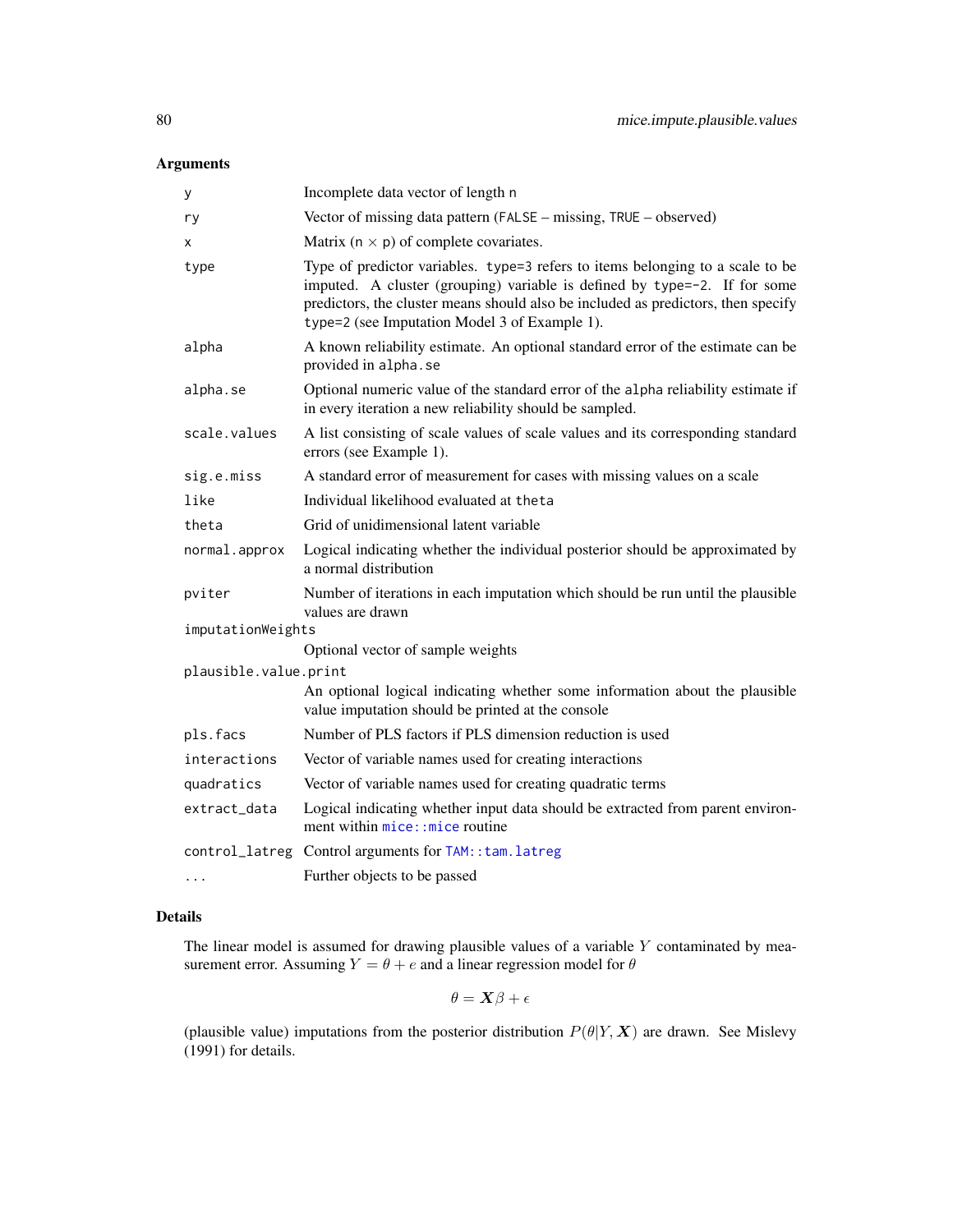# Arguments

| у                     | Incomplete data vector of length n                                                                                                                                                                                                                                                                |
|-----------------------|---------------------------------------------------------------------------------------------------------------------------------------------------------------------------------------------------------------------------------------------------------------------------------------------------|
| ry                    | Vector of missing data pattern (FALSE - missing, TRUE - observed)                                                                                                                                                                                                                                 |
| х                     | Matrix ( $n \times p$ ) of complete covariates.                                                                                                                                                                                                                                                   |
| type                  | Type of predictor variables. type=3 refers to items belonging to a scale to be<br>imputed. A cluster (grouping) variable is defined by type=-2. If for some<br>predictors, the cluster means should also be included as predictors, then specify<br>type=2 (see Imputation Model 3 of Example 1). |
| alpha                 | A known reliability estimate. An optional standard error of the estimate can be<br>provided in alpha.se                                                                                                                                                                                           |
| alpha.se              | Optional numeric value of the standard error of the alpha reliability estimate if<br>in every iteration a new reliability should be sampled.                                                                                                                                                      |
| scale.values          | A list consisting of scale values of scale values and its corresponding standard<br>errors (see Example 1).                                                                                                                                                                                       |
| sig.e.miss            | A standard error of measurement for cases with missing values on a scale                                                                                                                                                                                                                          |
| like                  | Individual likelihood evaluated at theta                                                                                                                                                                                                                                                          |
| theta                 | Grid of unidimensional latent variable                                                                                                                                                                                                                                                            |
| normal.approx         | Logical indicating whether the individual posterior should be approximated by<br>a normal distribution                                                                                                                                                                                            |
| pviter                | Number of iterations in each imputation which should be run until the plausible<br>values are drawn                                                                                                                                                                                               |
| imputationWeights     |                                                                                                                                                                                                                                                                                                   |
|                       | Optional vector of sample weights                                                                                                                                                                                                                                                                 |
| plausible.value.print | An optional logical indicating whether some information about the plausible<br>value imputation should be printed at the console                                                                                                                                                                  |
| pls.facs              | Number of PLS factors if PLS dimension reduction is used                                                                                                                                                                                                                                          |
| interactions          | Vector of variable names used for creating interactions                                                                                                                                                                                                                                           |
| quadratics            | Vector of variable names used for creating quadratic terms                                                                                                                                                                                                                                        |
| extract_data          | Logical indicating whether input data should be extracted from parent environ-<br>ment within mice: : mice routine                                                                                                                                                                                |
| control_latreg        | Control arguments for TAM:: tam. latreg                                                                                                                                                                                                                                                           |
| $\cdot$               | Further objects to be passed                                                                                                                                                                                                                                                                      |

# Details

The linear model is assumed for drawing plausible values of a variable  $Y$  contaminated by measurement error. Assuming  $Y = \theta + e$  and a linear regression model for  $\theta$ 

$$
\theta = \boldsymbol{X}\beta + \epsilon
$$

(plausible value) imputations from the posterior distribution  $P(\theta|Y, X)$  are drawn. See Mislevy (1991) for details.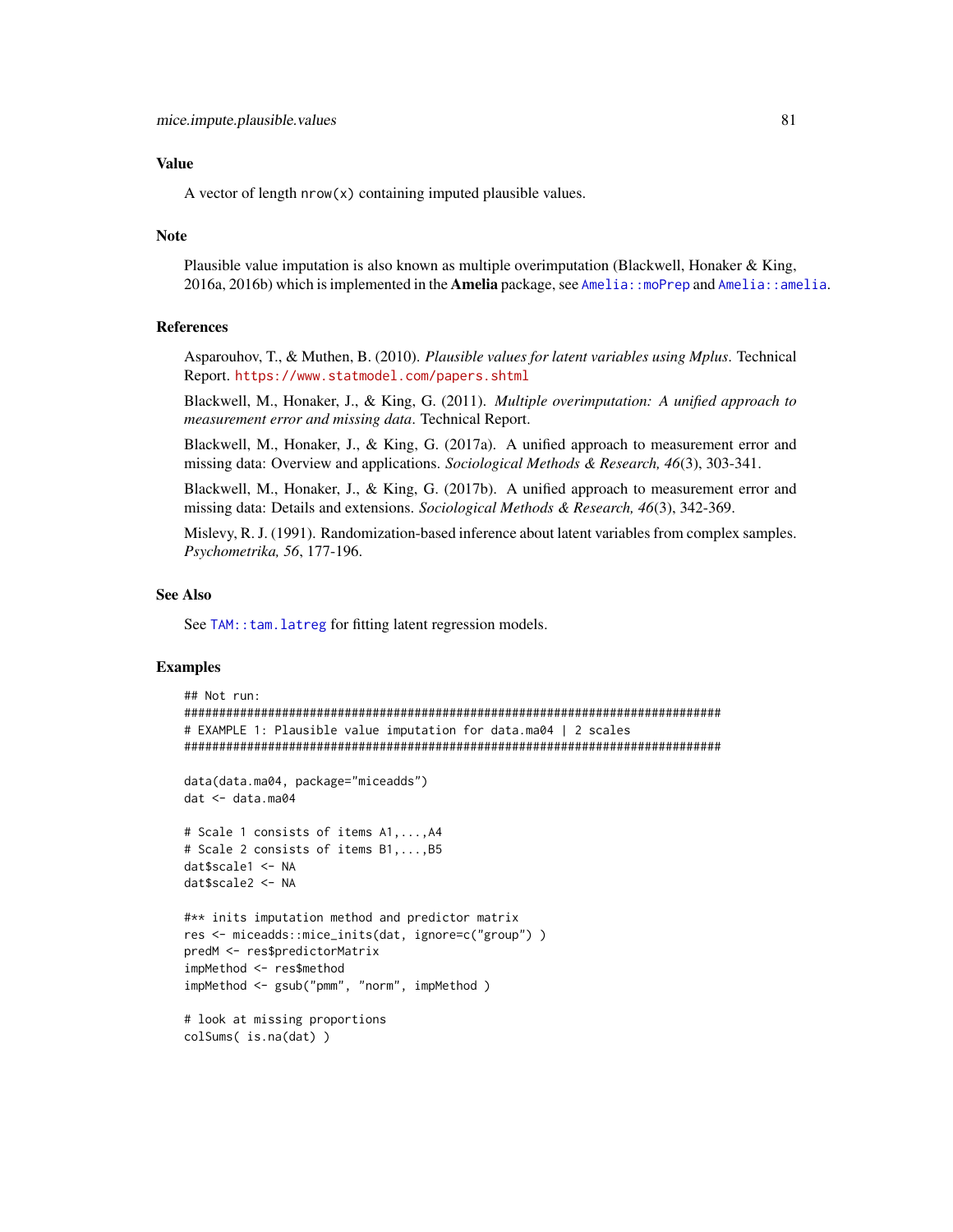# Value

A vector of length nrow(x) containing imputed plausible values.

#### Note

Plausible value imputation is also known as multiple overimputation (Blackwell, Honaker & King, 2016a, 2016b) which is implemented in the **Amelia** package, see [Amelia::moPrep](#page-0-0) and [Amelia::amelia](#page-0-0).

#### References

Asparouhov, T., & Muthen, B. (2010). *Plausible values for latent variables using Mplus*. Technical Report. <https://www.statmodel.com/papers.shtml>

Blackwell, M., Honaker, J., & King, G. (2011). *Multiple overimputation: A unified approach to measurement error and missing data*. Technical Report.

Blackwell, M., Honaker, J., & King, G. (2017a). A unified approach to measurement error and missing data: Overview and applications. *Sociological Methods & Research, 46*(3), 303-341.

Blackwell, M., Honaker, J., & King, G. (2017b). A unified approach to measurement error and missing data: Details and extensions. *Sociological Methods & Research, 46*(3), 342-369.

Mislevy, R. J. (1991). Randomization-based inference about latent variables from complex samples. *Psychometrika, 56*, 177-196.

#### See Also

See TAM:: tam. latreg for fitting latent regression models.

```
## Not run:
#############################################################################
# EXAMPLE 1: Plausible value imputation for data.ma04 | 2 scales
#############################################################################
data(data.ma04, package="miceadds")
dat <- data.ma04
# Scale 1 consists of items A1,...,A4
# Scale 2 consists of items B1,...,B5
dat$scale1 <- NA
dat$scale2 <- NA
#** inits imputation method and predictor matrix
res <- miceadds::mice_inits(dat, ignore=c("group") )
predM <- res$predictorMatrix
impMethod <- res$method
impMethod <- gsub("pmm", "norm", impMethod )
# look at missing proportions
colSums( is.na(dat) )
```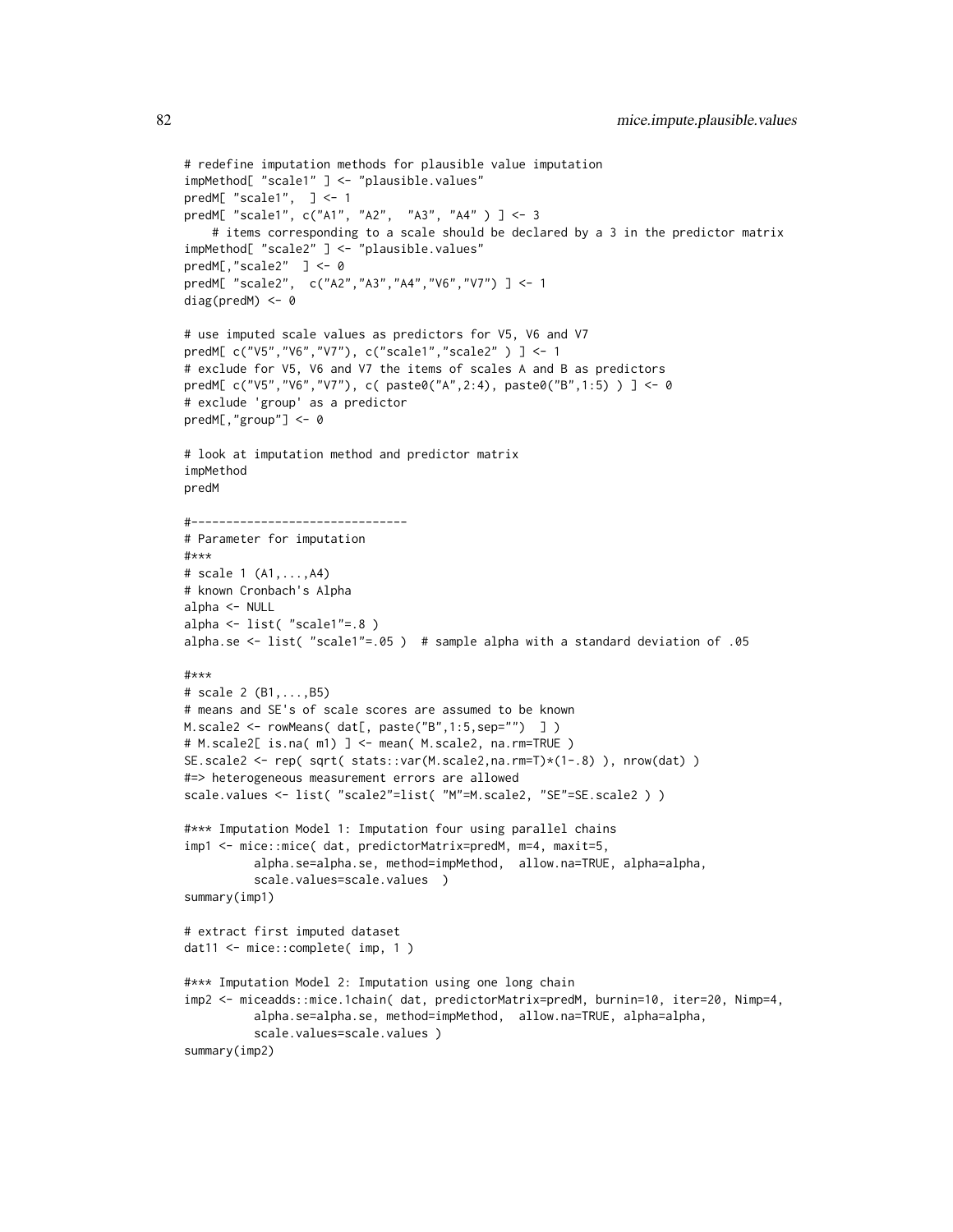```
# redefine imputation methods for plausible value imputation
impMethod[ "scale1" ] <- "plausible.values"
predM[ "scale1", ] <- 1
predM[ "scale1", c("A1", "A2", "A3", "A4" ) ] <- 3
    # items corresponding to a scale should be declared by a 3 in the predictor matrix
impMethod[ "scale2" ] <- "plausible.values"
predM[,"scale2" ] <- 0
predM[ "scale2", c("A2","A3","A4","V6","V7") ] <- 1
diag(predM) <- 0
# use imputed scale values as predictors for V5, V6 and V7
predM[ c("V5","V6","V7"), c("scale1","scale2" ) ] <- 1
# exclude for V5, V6 and V7 the items of scales A and B as predictors
predM[ c("V5","V6","V7"), c( paste0("A",2:4), paste0("B",1:5) ) ] <- 0
# exclude 'group' as a predictor
predM[,"group"] <- 0
# look at imputation method and predictor matrix
impMethod
predM
#-------------------------------
# Parameter for imputation
#***
# scale 1 (A1,...,A4)
# known Cronbach's Alpha
alpha <- NULL
alpha <- list( "scale1"=.8 )
alpha.se <- list( "scale1"=.05 ) # sample alpha with a standard deviation of .05
#***
# scale 2 (B1,...,B5)
# means and SE's of scale scores are assumed to be known
M.scale2 <- rowMeans( dat[, paste("B",1:5,sep="") ] )
# M.scale2[ is.na( m1) ] <- mean( M.scale2, na.rm=TRUE )
SE.scale2 <- rep( sqrt( stats::var(M.scale2,na.rm=T)*(1-.8) ), nrow(dat) )
#=> heterogeneous measurement errors are allowed
scale.values <- list( "scale2"=list( "M"=M.scale2, "SE"=SE.scale2 ) )
#*** Imputation Model 1: Imputation four using parallel chains
imp1 <- mice::mice( dat, predictorMatrix=predM, m=4, maxit=5,
          alpha.se=alpha.se, method=impMethod, allow.na=TRUE, alpha=alpha,
          scale.values=scale.values )
summary(imp1)
# extract first imputed dataset
dat11 <- mice::complete( imp, 1 )
#*** Imputation Model 2: Imputation using one long chain
imp2 <- miceadds::mice.1chain( dat, predictorMatrix=predM, burnin=10, iter=20, Nimp=4,
          alpha.se=alpha.se, method=impMethod, allow.na=TRUE, alpha=alpha,
          scale.values=scale.values )
summary(imp2)
```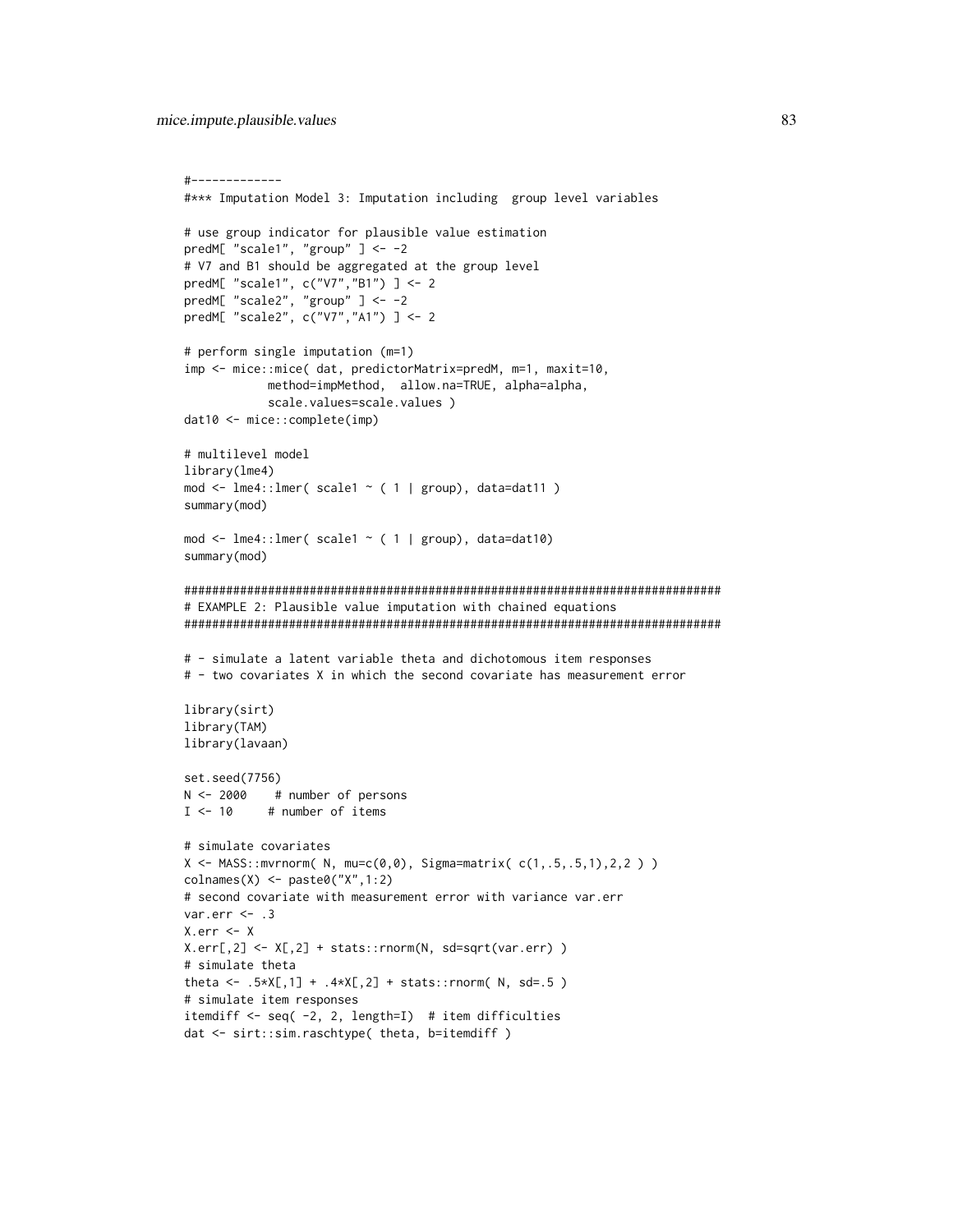```
#-------------
#*** Imputation Model 3: Imputation including group level variables
# use group indicator for plausible value estimation
predM[ "scale1", "group" ] <- -2
# V7 and B1 should be aggregated at the group level
predM[ "scale1", c("V7","B1") ] <- 2
predM[ "scale2", "group" ] <- -2
predM[ "scale2", c("V7","A1") ] <- 2
# perform single imputation (m=1)
imp <- mice::mice( dat, predictorMatrix=predM, m=1, maxit=10,
            method=impMethod, allow.na=TRUE, alpha=alpha,
            scale.values=scale.values )
dat10 <- mice::complete(imp)
# multilevel model
library(lme4)
mod \le lme4::lmer( scale1 \le (1 | group), data=dat11 )
summary(mod)
mod <- lme4::lmer( scale1 ~ ( 1 | group), data=dat10)
summary(mod)
#############################################################################
# EXAMPLE 2: Plausible value imputation with chained equations
#############################################################################
# - simulate a latent variable theta and dichotomous item responses
# - two covariates X in which the second covariate has measurement error
library(sirt)
library(TAM)
library(lavaan)
set.seed(7756)
N <- 2000 # number of persons
I < -10 # number of items
# simulate covariates
X \leq MASS: : mvrnorm( N, mu=c(0,0), Sigma=matrix(c(1,.5,.5,1),2,2) )colnames(X) <- paste0("X",1:2)
# second covariate with measurement error with variance var.err
var.err <- .3
X.err <- X
X.err[, 2] <- X[, 2] + stats::rnorm(N, sd=sqrt(var.err) )
# simulate theta
theta <- .5*X[,1] + .4*X[,2] + stats::rnorm( N, sd=.5 )
# simulate item responses
itemdiff <- seq( -2, 2, length=I) # item difficulties
dat <- sirt::sim.raschtype( theta, b=itemdiff )
```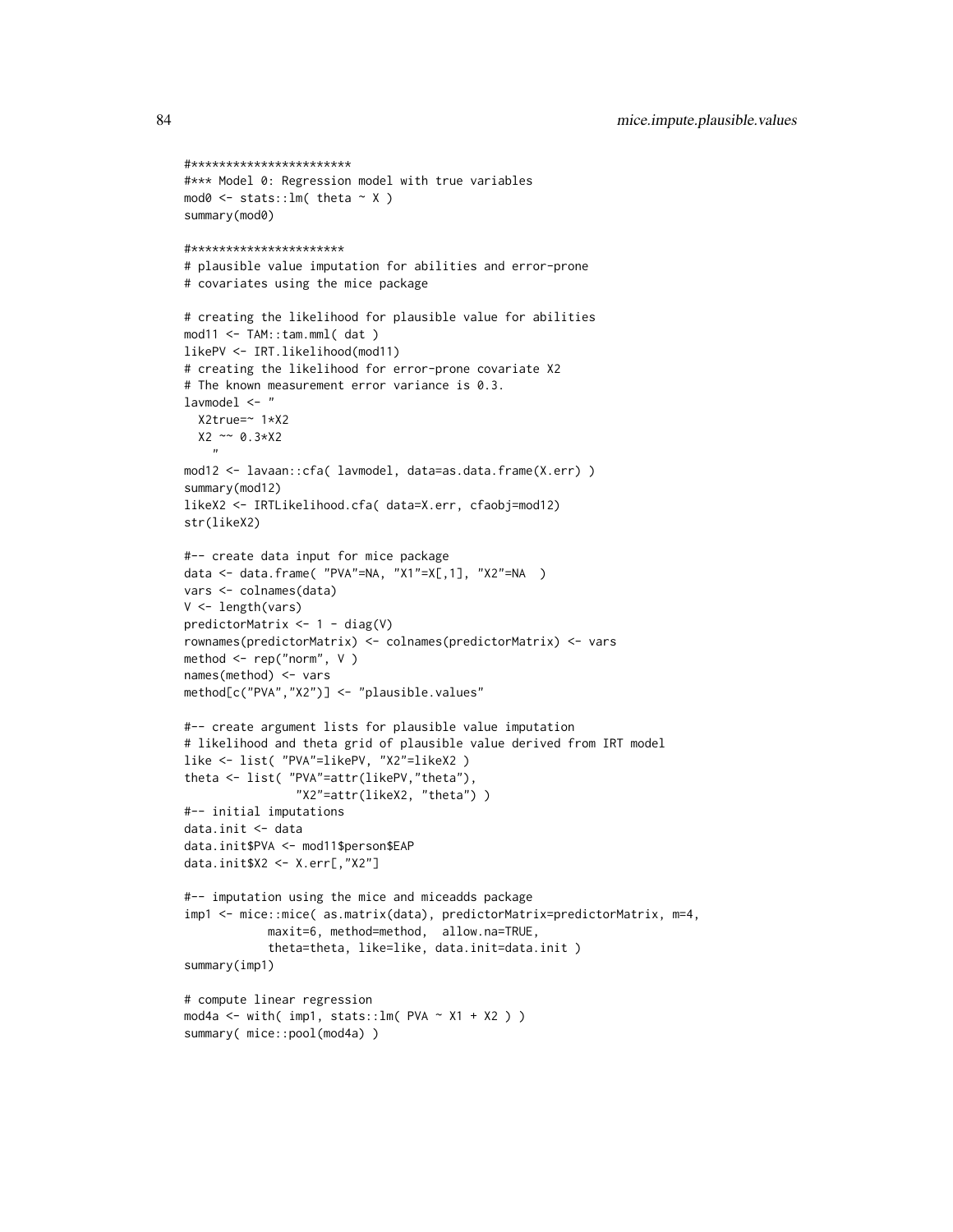```
#***********************
#*** Model 0: Regression model with true variables
mod0 \leq -stats::lm(theta \sim X)summary(mod0)
#**********************
# plausible value imputation for abilities and error-prone
# covariates using the mice package
# creating the likelihood for plausible value for abilities
mod11 <- TAM::tam.mml( dat )
likePV <- IRT.likelihood(mod11)
# creating the likelihood for error-prone covariate X2
# The known measurement error variance is 0.3.
lavmodel <- "
  X2true=~ 1*X2
  X2 ~~ 0.3*X2
    "
mod12 <- lavaan::cfa( lavmodel, data=as.data.frame(X.err) )
summary(mod12)
likeX2 <- IRTLikelihood.cfa( data=X.err, cfaobj=mod12)
str(likeX2)
#-- create data input for mice package
data <- data.frame( "PVA"=NA, "X1"=X[,1], "X2"=NA )
vars <- colnames(data)
V <- length(vars)
predictorMatrix <- 1 - diag(V)
rownames(predictorMatrix) <- colnames(predictorMatrix) <- vars
method <- rep("norm", V )
names(method) <- vars
method[c("PVA","X2")] <- "plausible.values"
#-- create argument lists for plausible value imputation
# likelihood and theta grid of plausible value derived from IRT model
like <- list( "PVA"=likePV, "X2"=likeX2 )
theta <- list( "PVA"=attr(likePV,"theta"),
                "X2"=attr(likeX2, "theta") )
#-- initial imputations
data.init <- data
data.init$PVA <- mod11$person$EAP
data.init$X2 <- X.err[,"X2"]
#-- imputation using the mice and miceadds package
imp1 <- mice::mice( as.matrix(data), predictorMatrix=predictorMatrix, m=4,
            maxit=6, method=method, allow.na=TRUE,
            theta=theta, like=like, data.init=data.init )
summary(imp1)
# compute linear regression
mod4a <- with(imp1, stats::lm(PVA \sim X1 + X2))
summary( mice::pool(mod4a) )
```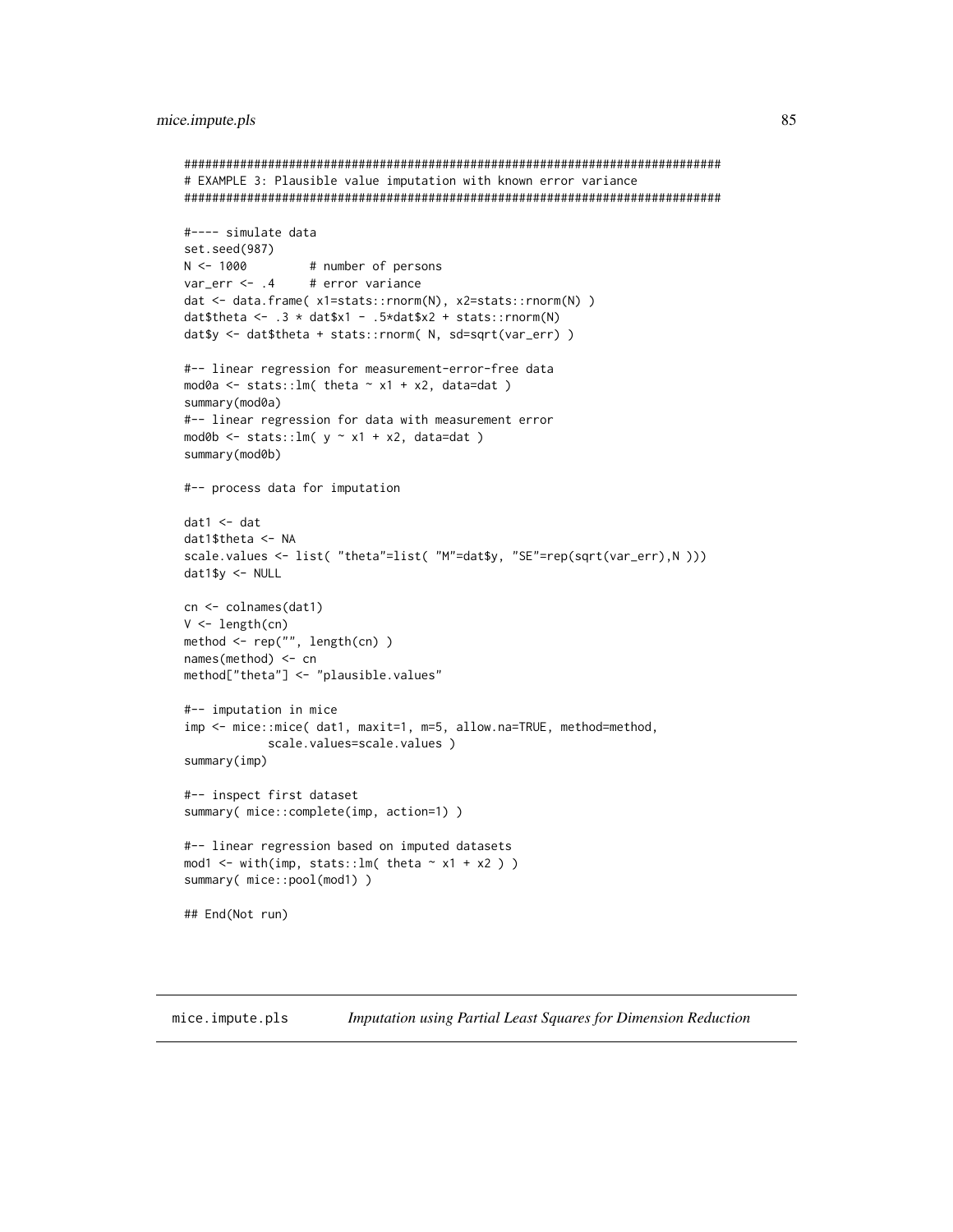#### mice.impute.pls

```
# EXAMPLE 3: Plausible value imputation with known error variance
#---- simulate data
set.seed(987)
N < -1000# number of persons
var_error < -0.4 # error variance
dat <- data.frame(x1=stats::rnorm(N), x2=stats::rnorm(N))
dat$theta <- .3 * dat$x1 - .5*dat$x2 + stats::rnorm(N)
dat$y <- dat$theta + stats::rnorm( N, sd=sqrt(var_err) )
#-- linear regression for measurement-error-free data
mod0a <- stats:: lm( theta \sim x1 + x2, data=dat )
summary(mod0a)
#-- linear regression for data with measurement error
mod0b <- stats:: lm( y \sim x1 + x2, data=dat )
summary(mod0b)
#-- process data for imputation
dat1 < - datdat1$theta <- NA
scale.values <- list( "theta"=list( "M"=dat$y, "SE"=rep(sqrt(var_err),N )))
dat1$y <- NULL
cn \leftarrow colnames(data1)V \leftarrow \text{length}(cn)method <- rep("", length(cn))
names(method) <- cn
method["theta"] <- "plausible.values"
#-- imputation in mice
imp <- mice::mice( dat1, maxit=1, m=5, allow.na=TRUE, method=method,
           scale.values=scale.values)
summary(imp)
#-- inspect first dataset
summary( mice::complete(imp, action=1) )
#-- linear regression based on imputed datasets
mod1 <- with(imp, stats::lm( theta \sim x1 + x2 ) )
summary( mice::pool(mod1) )
## End(Not run)
```
<span id="page-84-0"></span>mice.impute.pls Imputation using Partial Least Squares for Dimension Reduction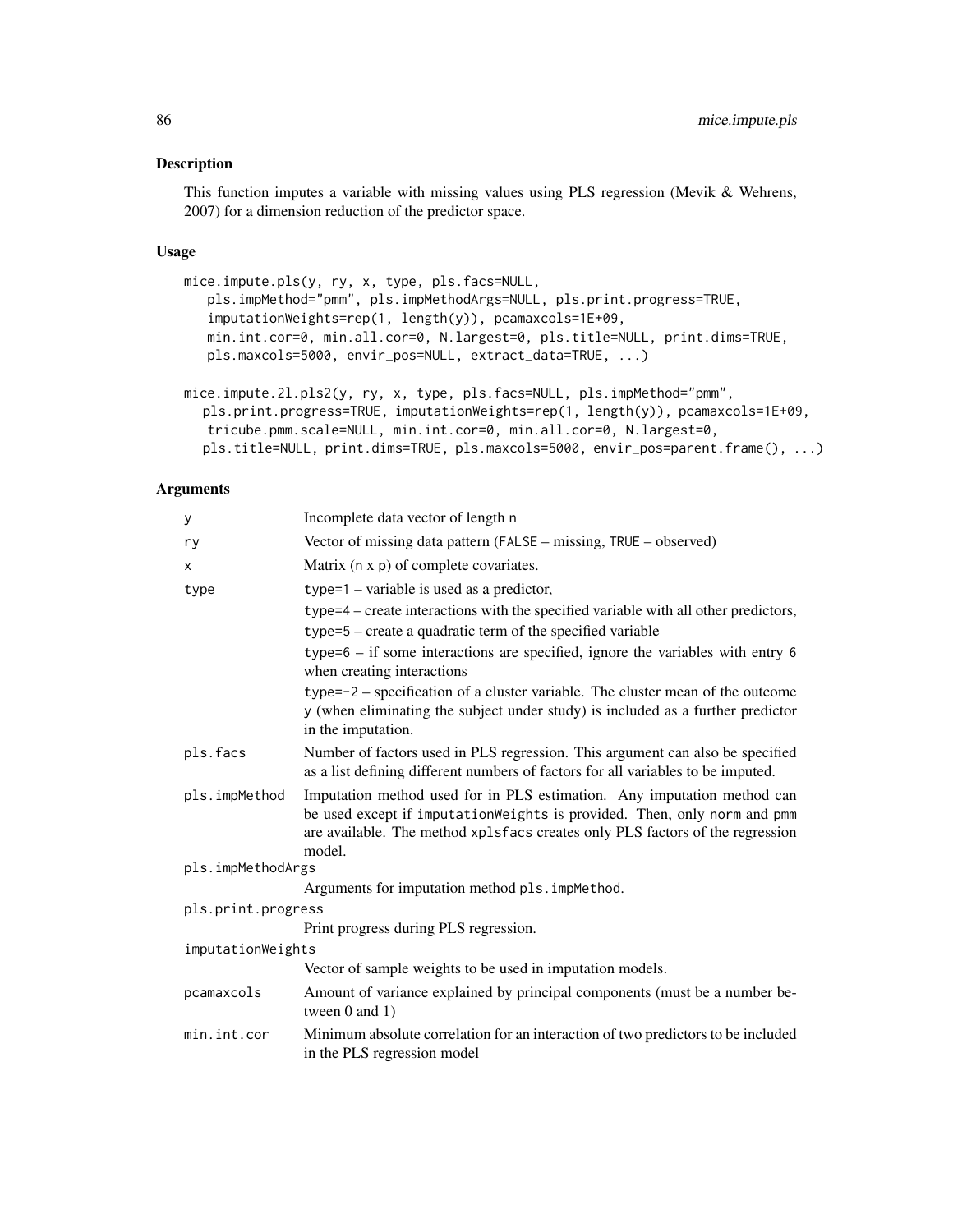#### Description

This function imputes a variable with missing values using PLS regression (Mevik & Wehrens, 2007) for a dimension reduction of the predictor space.

## Usage

```
mice.impute.pls(y, ry, x, type, pls.facs=NULL,
   pls.impMethod="pmm", pls.impMethodArgs=NULL, pls.print.progress=TRUE,
   imputationWeights=rep(1, length(y)), pcamaxcols=1E+09,
   min.int.cor=0, min.all.cor=0, N.largest=0, pls.title=NULL, print.dims=TRUE,
   pls.maxcols=5000, envir_pos=NULL, extract_data=TRUE, ...)
mice.impute.2l.pls2(y, ry, x, type, pls.facs=NULL, pls.impMethod="pmm",
  pls.print.progress=TRUE, imputationWeights=rep(1, length(y)), pcamaxcols=1E+09,
```

```
tricube.pmm.scale=NULL, min.int.cor=0, min.all.cor=0, N.largest=0,
pls.title=NULL, print.dims=TRUE, pls.maxcols=5000, envir_pos=parent.frame(), ...)
```
## Arguments

| У                  | Incomplete data vector of length n                                                                                                                                                                                                             |  |
|--------------------|------------------------------------------------------------------------------------------------------------------------------------------------------------------------------------------------------------------------------------------------|--|
| ry                 | Vector of missing data pattern (FALSE – missing, TRUE – observed)                                                                                                                                                                              |  |
| X                  | Matrix (n x p) of complete covariates.                                                                                                                                                                                                         |  |
| type               | $type=1$ – variable is used as a predictor,                                                                                                                                                                                                    |  |
|                    | type=4 – create interactions with the specified variable with all other predictors,                                                                                                                                                            |  |
|                    | type=5 – create a quadratic term of the specified variable                                                                                                                                                                                     |  |
|                    | $type=6 - if$ some interactions are specified, ignore the variables with entry 6<br>when creating interactions                                                                                                                                 |  |
|                    | type=-2 – specification of a cluster variable. The cluster mean of the outcome<br>y (when eliminating the subject under study) is included as a further predictor<br>in the imputation.                                                        |  |
| pls.facs           | Number of factors used in PLS regression. This argument can also be specified<br>as a list defining different numbers of factors for all variables to be imputed.                                                                              |  |
| pls.impMethod      | Imputation method used for in PLS estimation. Any imputation method can<br>be used except if imputationWeights is provided. Then, only norm and pmm<br>are available. The method xplsfacs creates only PLS factors of the regression<br>model. |  |
| pls.impMethodArgs  |                                                                                                                                                                                                                                                |  |
|                    | Arguments for imputation method pls. impMethod.                                                                                                                                                                                                |  |
| pls.print.progress |                                                                                                                                                                                                                                                |  |
|                    | Print progress during PLS regression.                                                                                                                                                                                                          |  |
| imputationWeights  |                                                                                                                                                                                                                                                |  |
|                    | Vector of sample weights to be used in imputation models.                                                                                                                                                                                      |  |
| pcamaxcols         | Amount of variance explained by principal components (must be a number be-<br>tween $0$ and $1)$                                                                                                                                               |  |
| min.int.cor        | Minimum absolute correlation for an interaction of two predictors to be included<br>in the PLS regression model                                                                                                                                |  |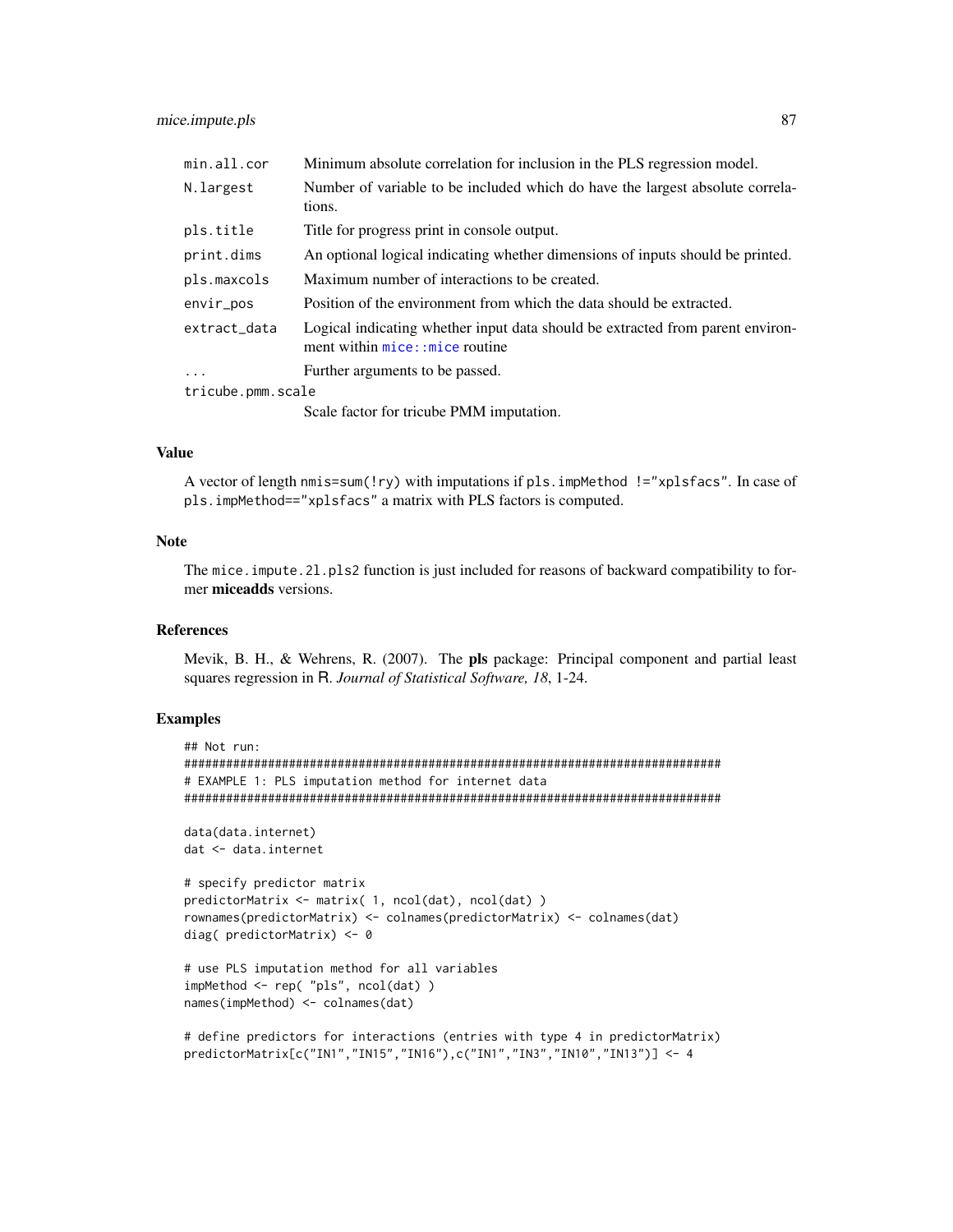| min.all.cor       | Minimum absolute correlation for inclusion in the PLS regression model.                                            |
|-------------------|--------------------------------------------------------------------------------------------------------------------|
| N.largest         | Number of variable to be included which do have the largest absolute correla-<br>tions.                            |
| pls.title         | Title for progress print in console output.                                                                        |
| print.dims        | An optional logical indicating whether dimensions of inputs should be printed.                                     |
| pls.maxcols       | Maximum number of interactions to be created.                                                                      |
| envir_pos         | Position of the environment from which the data should be extracted.                                               |
| extract_data      | Logical indicating whether input data should be extracted from parent environ-<br>ment within mice: : mice routine |
| $\cdot$           | Further arguments to be passed.                                                                                    |
| tricube.pmm.scale |                                                                                                                    |
|                   | Scale factor for tricube PMM imputation.                                                                           |

## Value

A vector of length nmis=sum(!ry) with imputations if pls.impMethod !="xplsfacs". In case of pls.impMethod=="xplsfacs" a matrix with PLS factors is computed.

# Note

The mice.impute.21.pls2 function is just included for reasons of backward compatibility to former miceadds versions.

#### **References**

Mevik, B. H., & Wehrens, R. (2007). The pls package: Principal component and partial least squares regression in R. *Journal of Statistical Software, 18*, 1-24.

```
## Not run:
#############################################################################
# EXAMPLE 1: PLS imputation method for internet data
#############################################################################
```

```
data(data.internet)
dat <- data.internet
```

```
# specify predictor matrix
predictorMatrix <- matrix( 1, ncol(dat), ncol(dat) )
rownames(predictorMatrix) <- colnames(predictorMatrix) <- colnames(dat)
diag( predictorMatrix) <- 0
```

```
# use PLS imputation method for all variables
impMethod <- rep( "pls", ncol(dat) )
names(impMethod) <- colnames(dat)
```

```
# define predictors for interactions (entries with type 4 in predictorMatrix)
predictorMatrix[c("IN1","IN15","IN16"),c("IN1","IN3","IN10","IN13")] <- 4
```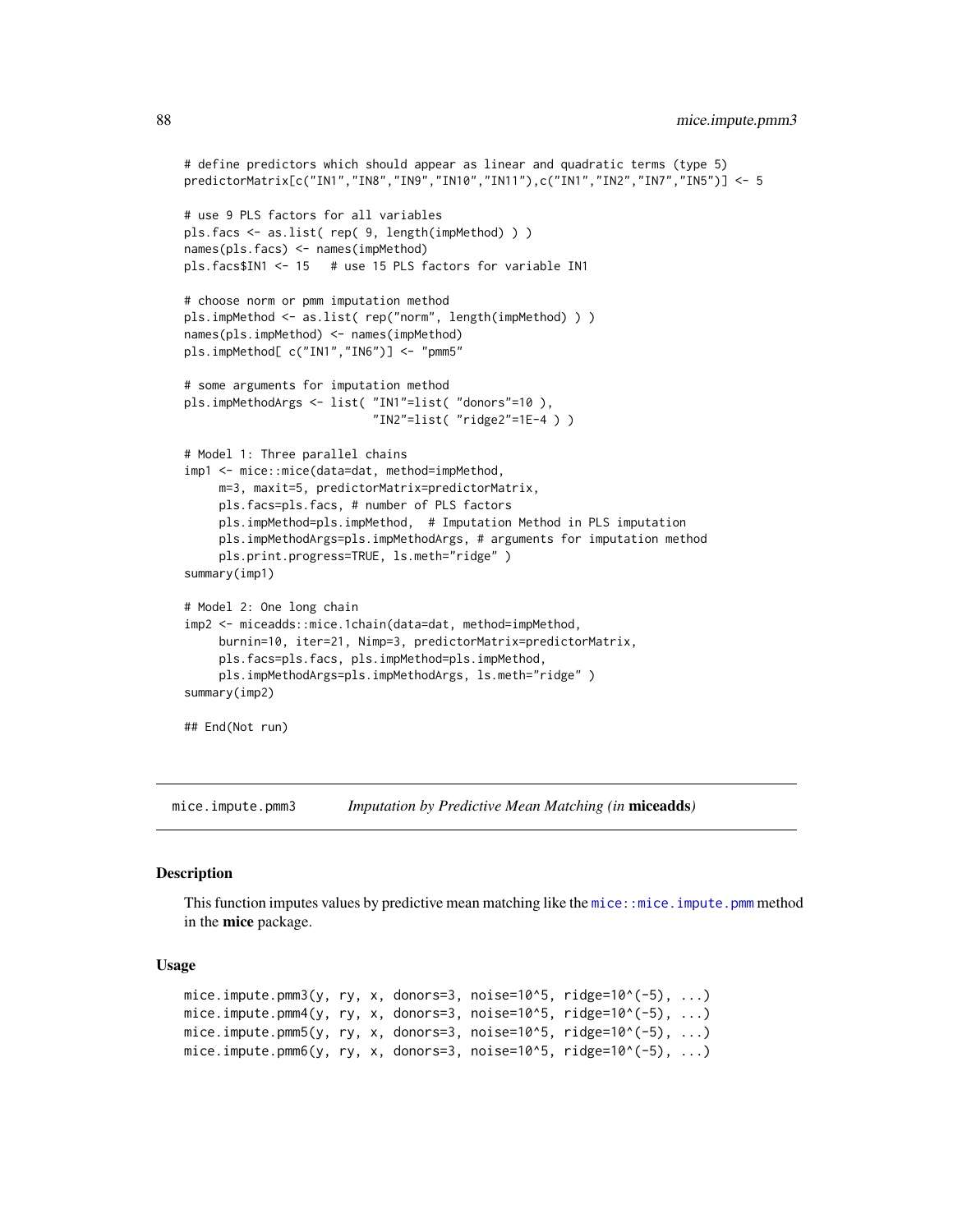```
# define predictors which should appear as linear and quadratic terms (type 5)
predictorMatrix[c("IN1","IN8","IN9","IN10","IN11"),c("IN1","IN2","IN7","IN5")] <- 5
# use 9 PLS factors for all variables
pls.facs <- as.list( rep( 9, length(impMethod) ) )
names(pls.facs) <- names(impMethod)
pls.facs$IN1 <- 15 # use 15 PLS factors for variable IN1
# choose norm or pmm imputation method
pls.impMethod <- as.list( rep("norm", length(impMethod) ) )
names(pls.impMethod) <- names(impMethod)
pls.impMethod[ c("IN1","IN6")] <- "pmm5"
# some arguments for imputation method
pls.impMethodArgs <- list( "IN1"=list( "donors"=10 ),
                           "IN2"=list( "ridge2"=1E-4 ) )
# Model 1: Three parallel chains
imp1 <- mice::mice(data=dat, method=impMethod,
     m=3, maxit=5, predictorMatrix=predictorMatrix,
     pls.facs=pls.facs, # number of PLS factors
     pls.impMethod=pls.impMethod, # Imputation Method in PLS imputation
     pls.impMethodArgs=pls.impMethodArgs, # arguments for imputation method
     pls.print.progress=TRUE, ls.meth="ridge" )
summary(imp1)
# Model 2: One long chain
imp2 <- miceadds::mice.1chain(data=dat, method=impMethod,
     burnin=10, iter=21, Nimp=3, predictorMatrix=predictorMatrix,
     pls.facs=pls.facs, pls.impMethod=pls.impMethod,
     pls.impMethodArgs=pls.impMethodArgs, ls.meth="ridge" )
summary(imp2)
## End(Not run)
```
mice.impute.pmm3 *Imputation by Predictive Mean Matching (in* miceadds*)*

#### Description

This function imputes values by predictive mean matching like the mice: : mice. impute. pmm method in the mice package.

#### Usage

```
mice.impute.pmm3(y, ry, x, donors=3, noise=10^5, ridge=10^(-5), ...)
mice.impute.pmm4(y, ry, x, donors=3, noise=10^5, ridge=10^(-5), \dots)
mice.impute.pmm5(y, ry, x, donors=3, noise=10^5, ridge=10^(-5), ...)
mice.impute.pmm6(y, ry, x, donors=3, noise=10^5, ridge=10^(-5), ...)
```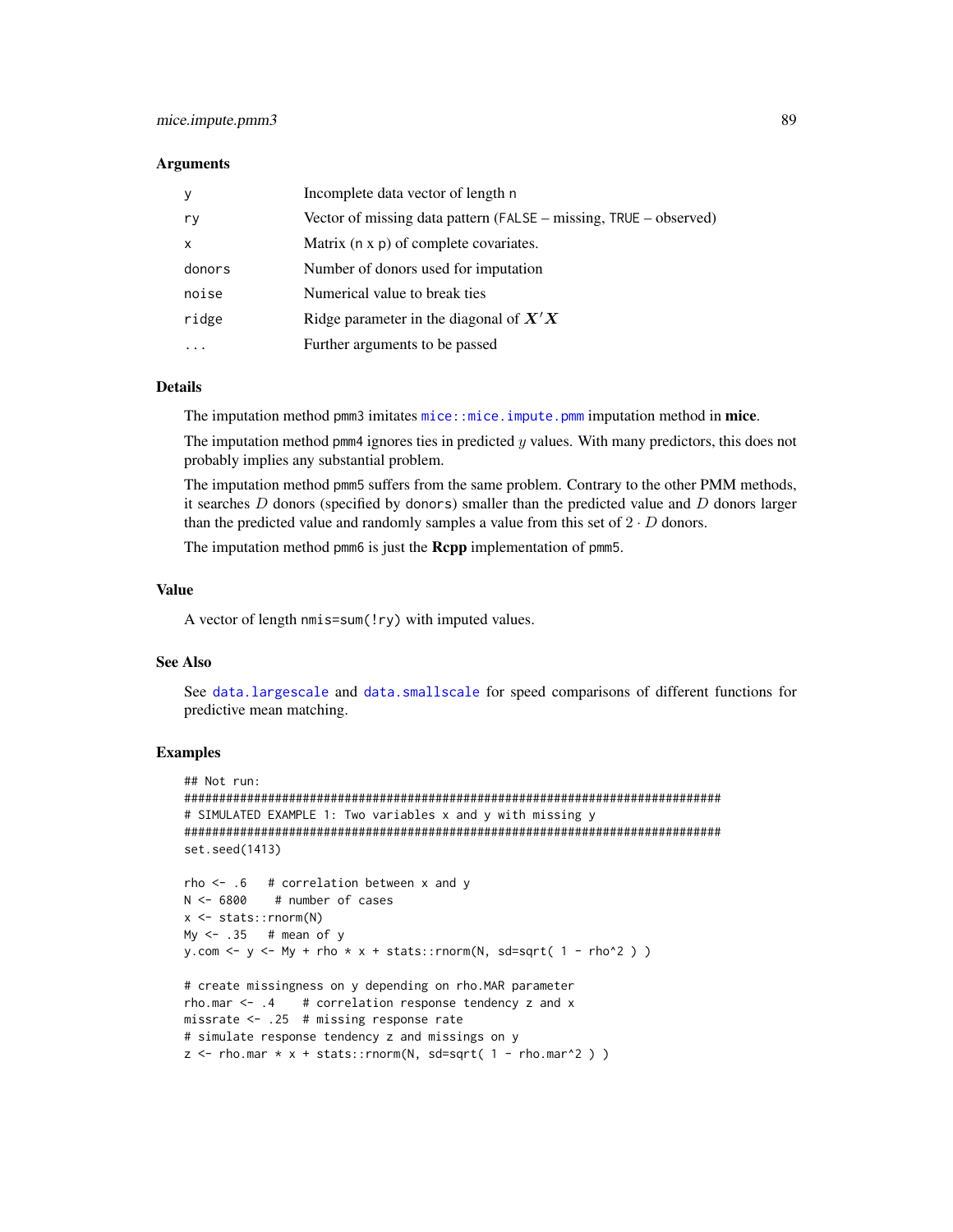#### Arguments

| <b>V</b>                  | Incomplete data vector of length n                                |
|---------------------------|-------------------------------------------------------------------|
| r y                       | Vector of missing data pattern (FALSE – missing, TRUE – observed) |
| $\boldsymbol{\mathsf{x}}$ | Matrix (n x p) of complete covariates.                            |
| donors                    | Number of donors used for imputation                              |
| noise                     | Numerical value to break ties                                     |
| ridge                     | Ridge parameter in the diagonal of $X'X$                          |
|                           | Further arguments to be passed                                    |

# Details

The imputation method pmm3 imitates [mice::mice.impute.pmm](#page-0-0) imputation method in mice.

The imputation method pmm4 ignores ties in predicted  $y$  values. With many predictors, this does not probably implies any substantial problem.

The imputation method pmm5 suffers from the same problem. Contrary to the other PMM methods, it searches  $D$  donors (specified by donors) smaller than the predicted value and  $D$  donors larger than the predicted value and randomly samples a value from this set of  $2 \cdot D$  donors.

The imputation method pmm6 is just the **Rcpp** implementation of pmm5.

## Value

A vector of length nmis=sum(!ry) with imputed values.

# See Also

See [data.largescale](#page-18-0) and [data.smallscale](#page-21-0) for speed comparisons of different functions for predictive mean matching.

```
## Not run:
#############################################################################
# SIMULATED EXAMPLE 1: Two variables x and y with missing y
#############################################################################
set.seed(1413)
rho <- .6 # correlation between x and y
N <- 6800 # number of cases
x <- stats::rnorm(N)
My <- .35 # mean of y
y.com <- y <- My + rho * x + stats::rnorm(N, sd=sqrt( 1 - rho^2 ) )
# create missingness on y depending on rho.MAR parameter
rho.mar \leq -1.4 # correlation response tendency z and x
missrate <- .25 # missing response rate
# simulate response tendency z and missings on y
z \le - rho.mar * x + stats::rnorm(N, sd=sqrt(1 - rho.max^2))
```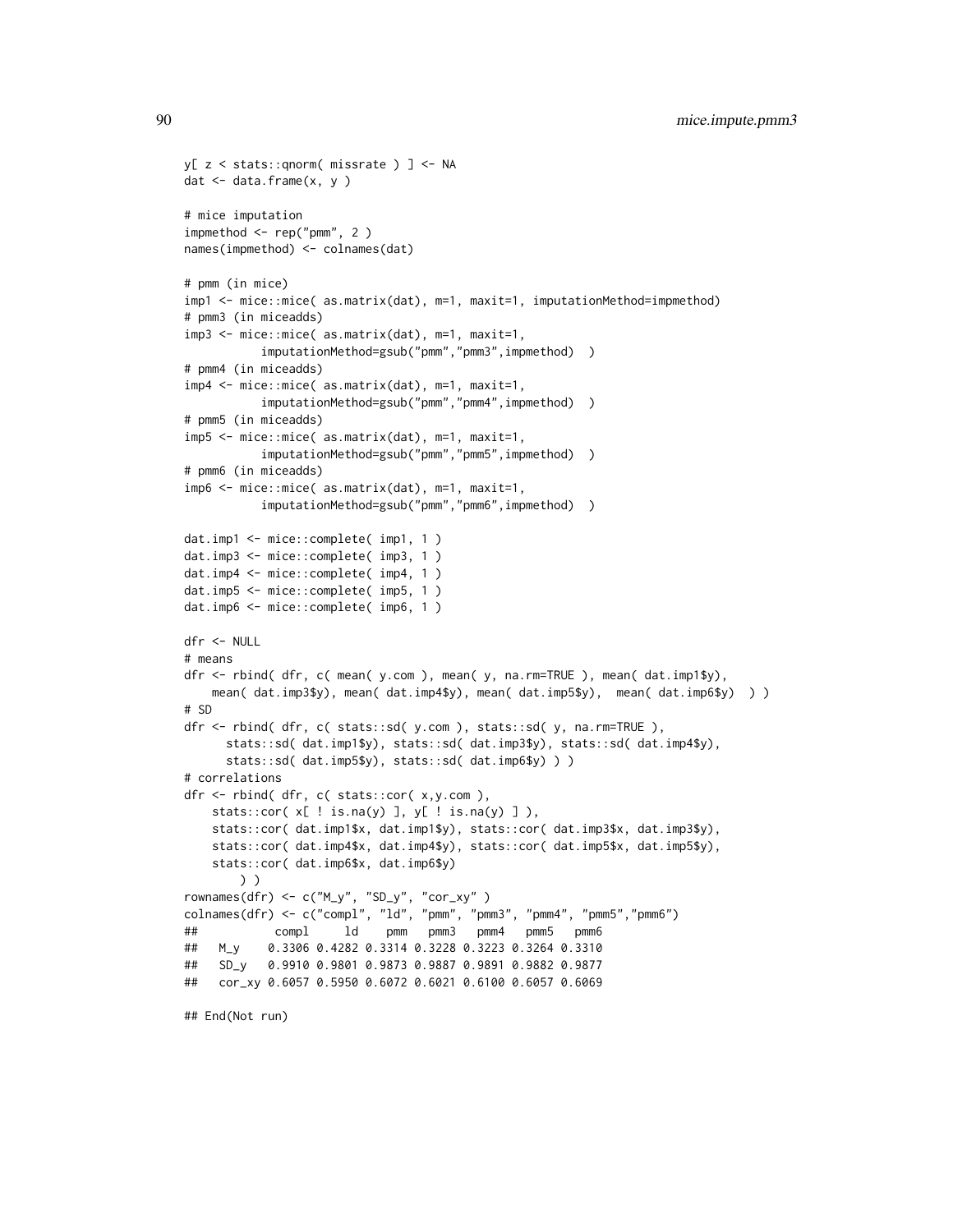```
y[ z < stats::qnorm( missrate ) ] <- NA
dat \leq data.frame(x, y)# mice imputation
impmethod <- rep("pmm", 2 )
names(impmethod) <- colnames(dat)
# pmm (in mice)
imp1 <- mice::mice( as.matrix(dat), m=1, maxit=1, imputationMethod=impmethod)
# pmm3 (in miceadds)
imp3 <- mice::mice( as.matrix(dat), m=1, maxit=1,
          imputationMethod=gsub("pmm","pmm3",impmethod))
# pmm4 (in miceadds)
imp4 <- mice::mice( as.matrix(dat), m=1, maxit=1,
          imputationMethod=gsub("pmm","pmm4",impmethod) )
# pmm5 (in miceadds)
imp5 <- mice::mice( as.matrix(dat), m=1, maxit=1,
          imputationMethod=gsub("pmm","pmm5",impmethod) )
# pmm6 (in miceadds)
imp6 <- mice::mice( as.matrix(dat), m=1, maxit=1,
          imputationMethod=gsub("pmm","pmm6",impmethod) )
dat.imp1 <- mice::complete( imp1, 1 )
dat.imp3 <- mice::complete( imp3, 1 )
dat.imp4 <- mice::complete( imp4, 1 )
dat.imp5 <- mice::complete( imp5, 1 )
dat.imp6 <- mice::complete( imp6, 1 )
dfr <- NULL
# means
dfr <- rbind( dfr, c( mean( y.com ), mean( y, na.rm=TRUE ), mean( dat.imp1$y),
   mean( dat.imp3$y), mean( dat.imp4$y), mean( dat.imp5$y), mean( dat.imp6$y) ) )
# SD
dfr <- rbind( dfr, c( stats::sd( y.com ), stats::sd( y, na.rm=TRUE ),
     stats::sd( dat.imp1$y), stats::sd( dat.imp3$y), stats::sd( dat.imp4$y),
     stats::sd( dat.imp5$y), stats::sd( dat.imp6$y) ) )
# correlations
dfr <- rbind( dfr, c( stats::cor( x,y.com ),
   stats::cor(x[ ! is.na(y) ], y[ ! is.na(y) ],stats::cor( dat.imp1$x, dat.imp1$y), stats::cor( dat.imp3$x, dat.imp3$y),
   stats::cor( dat.imp4$x, dat.imp4$y), stats::cor( dat.imp5$x, dat.imp5$y),
   stats::cor( dat.imp6$x, dat.imp6$y)
       ) )
rownames(dfr) <- c("M_y", "SD_y", "cor_xy" )
colnames(dfr) <- c("compl", "ld", "pmm", "pmm3", "pmm4", "pmm5","pmm6")
## compl ld pmm pmm3 pmm4 pmm5 pmm6
## M_y 0.3306 0.4282 0.3314 0.3228 0.3223 0.3264 0.3310
## SD_y 0.9910 0.9801 0.9873 0.9887 0.9891 0.9882 0.9877
## cor_xy 0.6057 0.5950 0.6072 0.6021 0.6100 0.6057 0.6069
## End(Not run)
```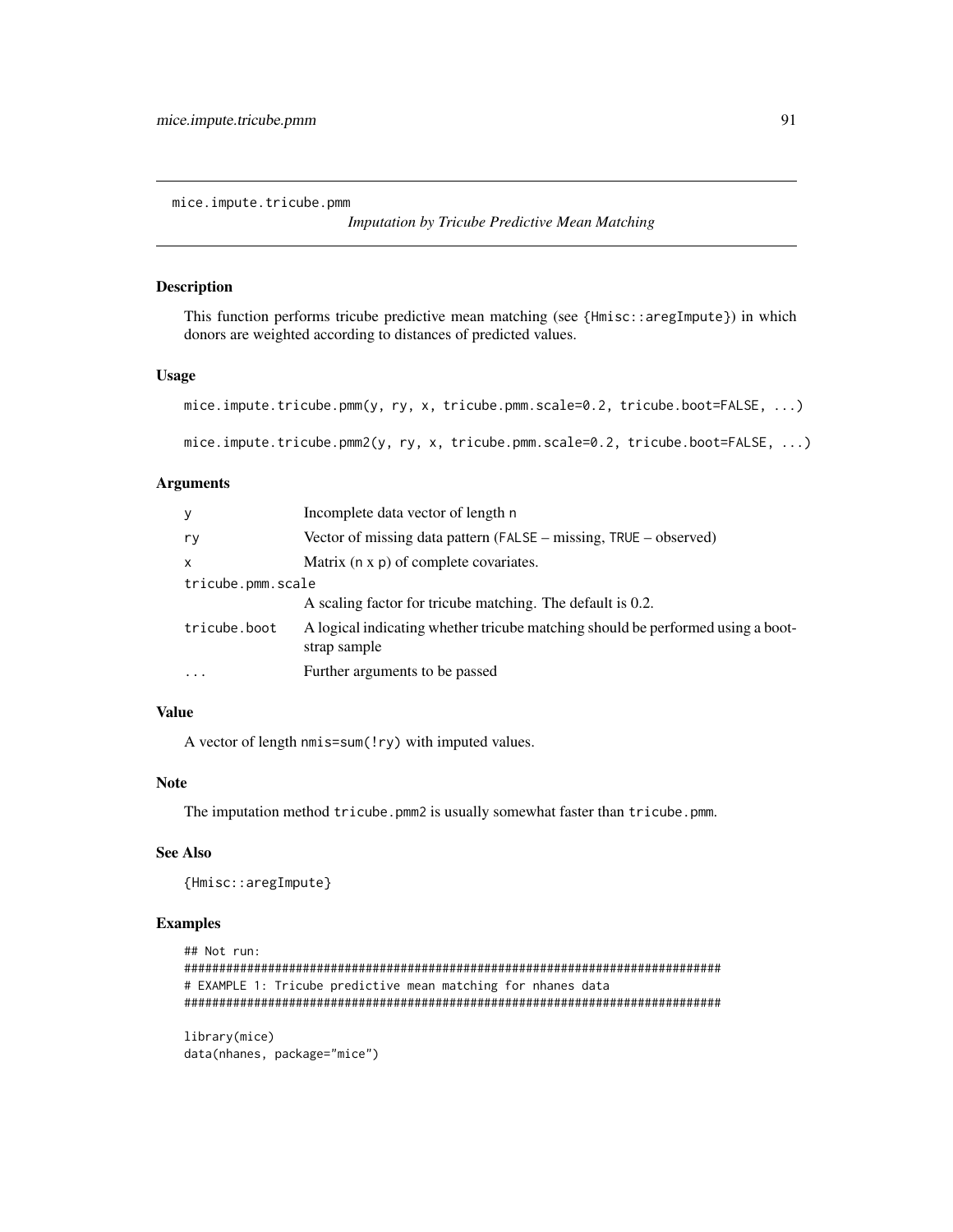mice.impute.tricube.pmm

```
Imputation by Tricube Predictive Mean Matching
```
#### Description

This function performs tricube predictive mean matching (see {Hmisc::aregImpute}) in which donors are weighted according to distances of predicted values.

# Usage

```
mice.impute.tricube.pmm(y, ry, x, tricube.pmm.scale=0.2, tricube.boot=FALSE, ...)
```
mice.impute.tricube.pmm2(y, ry, x, tricube.pmm.scale=0.2, tricube.boot=FALSE, ...)

#### Arguments

| У                 | Incomplete data vector of length n                                                              |  |
|-------------------|-------------------------------------------------------------------------------------------------|--|
| ry                | Vector of missing data pattern (FALSE – missing, TRUE – observed)                               |  |
| $\mathsf{x}$      | Matrix (n x p) of complete covariates.                                                          |  |
| tricube.pmm.scale |                                                                                                 |  |
|                   | A scaling factor for tricube matching. The default is 0.2.                                      |  |
| tricube.boot      | A logical indicating whether tricube matching should be performed using a boot-<br>strap sample |  |
| $\ddotsc$         | Further arguments to be passed                                                                  |  |

## Value

A vector of length nmis=sum(!ry) with imputed values.

# Note

The imputation method tricube.pmm2 is usually somewhat faster than tricube.pmm.

#### See Also

{Hmisc::aregImpute}

## Examples

```
## Not run:
#############################################################################
# EXAMPLE 1: Tricube predictive mean matching for nhanes data
#############################################################################
library(mice)
```
data(nhanes, package="mice")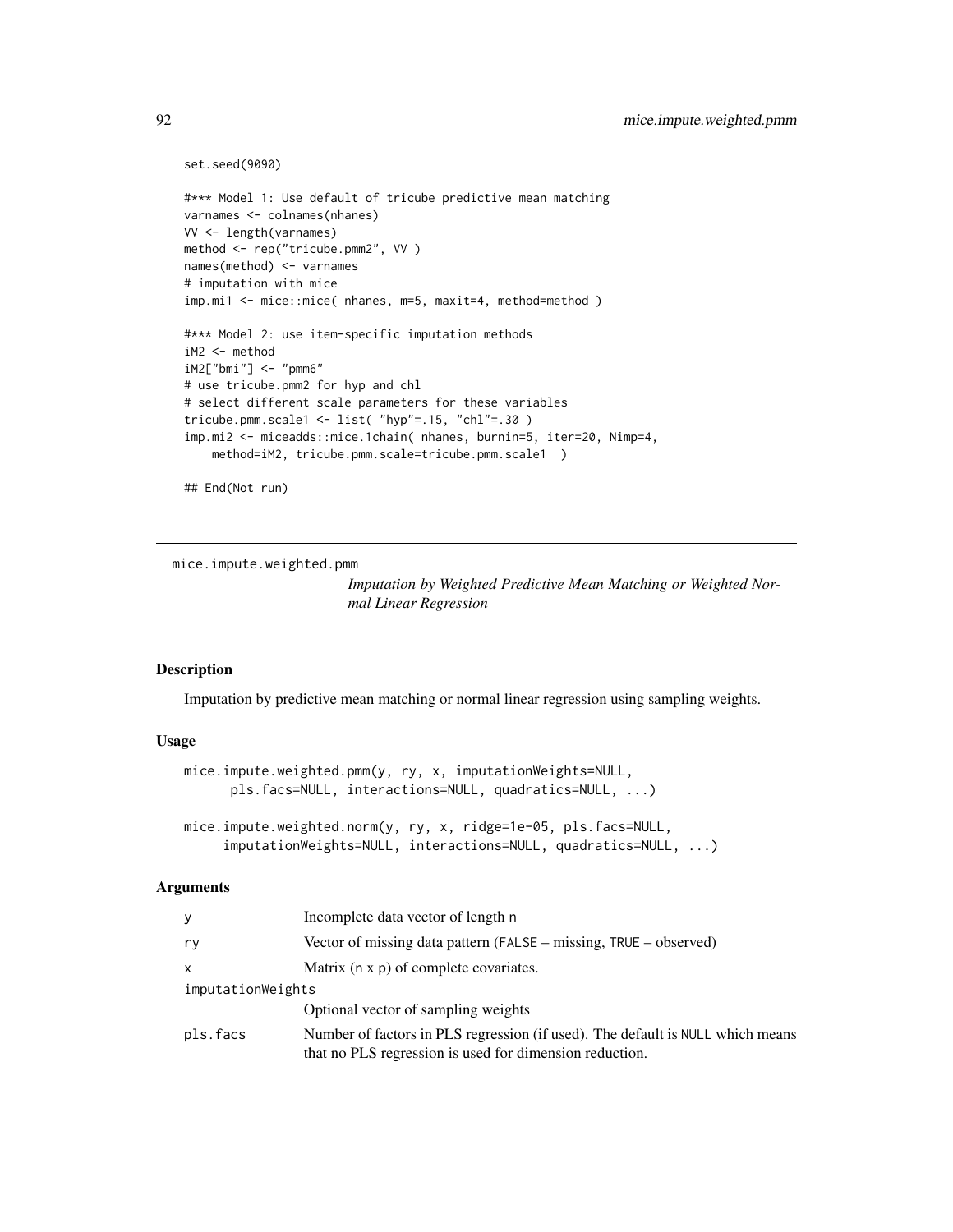```
set.seed(9090)
#*** Model 1: Use default of tricube predictive mean matching
varnames <- colnames(nhanes)
VV <- length(varnames)
method <- rep("tricube.pmm2", VV )
names(method) <- varnames
# imputation with mice
imp.mi1 <- mice::mice( nhanes, m=5, maxit=4, method=method )
#*** Model 2: use item-specific imputation methods
iM2 <- method
iM2["bmi"] <- "pmm6"
# use tricube.pmm2 for hyp and chl
# select different scale parameters for these variables
tricube.pmm.scale1 <- list( "hyp"=.15, "chl"=.30 )
imp.mi2 <- miceadds::mice.1chain( nhanes, burnin=5, iter=20, Nimp=4,
    method=iM2, tricube.pmm.scale=tricube.pmm.scale1 )
```
## End(Not run)

mice.impute.weighted.pmm

*Imputation by Weighted Predictive Mean Matching or Weighted Normal Linear Regression*

## Description

Imputation by predictive mean matching or normal linear regression using sampling weights.

#### Usage

```
mice.impute.weighted.pmm(y, ry, x, imputationWeights=NULL,
     pls.facs=NULL, interactions=NULL, quadratics=NULL, ...)
mice.impute.weighted.norm(y, ry, x, ridge=1e-05, pls.facs=NULL,
```
# imputationWeights=NULL, interactions=NULL, quadratics=NULL, ...)

#### Arguments

| у                 | Incomplete data vector of length n                                                                                                        |  |
|-------------------|-------------------------------------------------------------------------------------------------------------------------------------------|--|
| ry                | Vector of missing data pattern (FALSE – missing, TRUE – observed)                                                                         |  |
| x                 | Matrix (n x p) of complete covariates.                                                                                                    |  |
| imputationWeights |                                                                                                                                           |  |
|                   | Optional vector of sampling weights                                                                                                       |  |
| pls.facs          | Number of factors in PLS regression (if used). The default is NULL which means<br>that no PLS regression is used for dimension reduction. |  |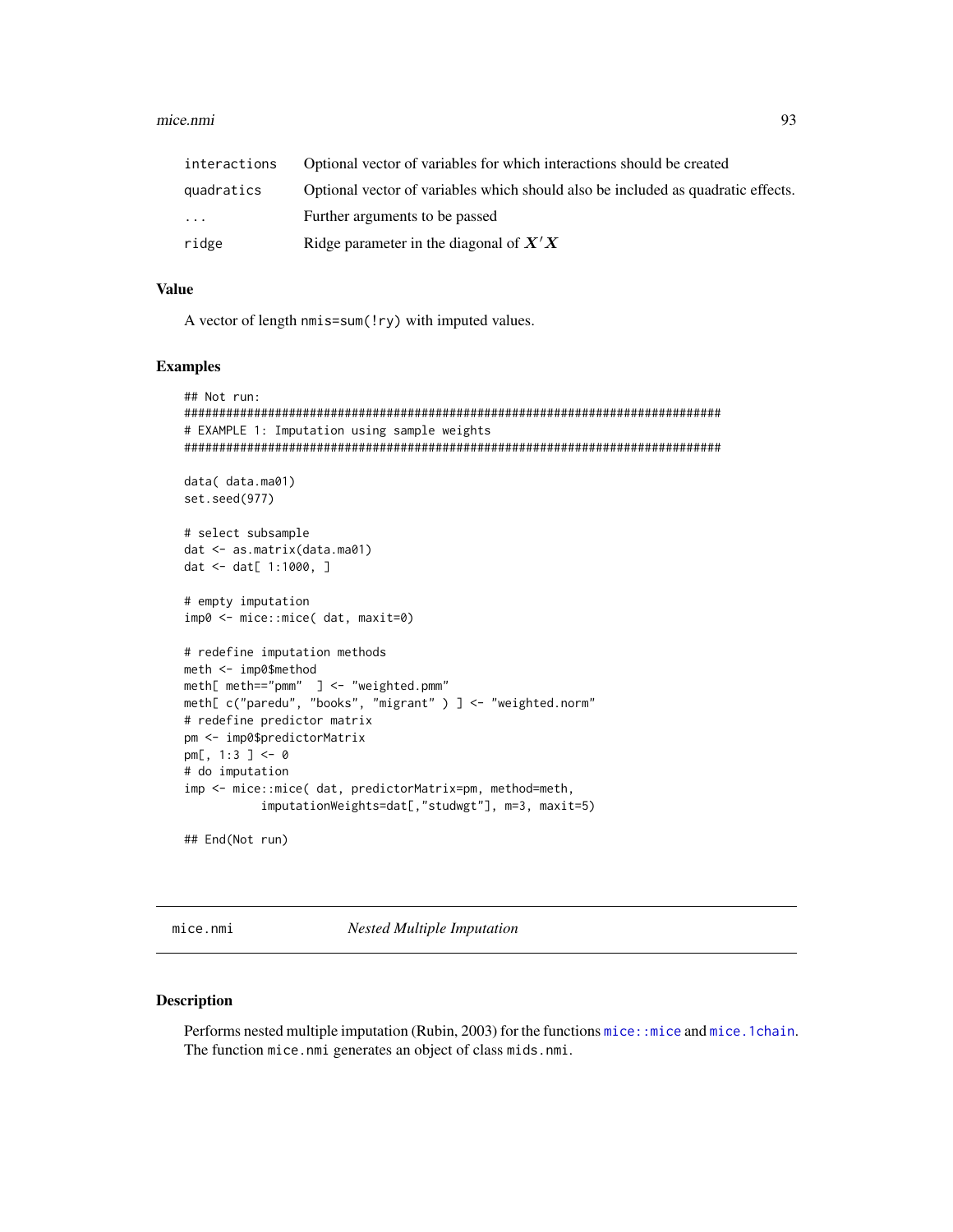# mice.nmi

| interactions | Optional vector of variables for which interactions should be created            |
|--------------|----------------------------------------------------------------------------------|
| quadratics   | Optional vector of variables which should also be included as quadratic effects. |
| $\ddots$     | Further arguments to be passed                                                   |
| ridge        | Ridge parameter in the diagonal of $X'X$                                         |

# **Value**

A vector of length nmis=sum(!ry) with imputed values.

# **Examples**

```
## Not run:
# EXAMPLE 1: Imputation using sample weights
data( data.ma01)
set.seed(977)
# select subsample
dat <- as.matrix(data.ma01)
dat <- dat[ 1:1000, ]
# empty imputation
imp0 <- mice::mice( dat, maxit=0)
# redefine imputation methods
meth <- imp0$method
meth[ meth=="pmm" ] <- "weighted.pmm"
meth[ c("paredu", "books", "migrant" ) ] <- "weighted.norm"
# redefine predictor matrix
pm <- imp0$predictorMatrix
pm[, 1:3 ] <- 0
# do imputation
imp <- mice::mice( dat, predictorMatrix=pm, method=meth,
        imputationWeights=dat[,"studwgt"], m=3, maxit=5)
## End(Not run)
```
mice.nmi

**Nested Multiple Imputation** 

# **Description**

Performs nested multiple imputation (Rubin, 2003) for the functions mice: : mice and mice. 1 chain. The function mice.nmi generates an object of class mids.nmi.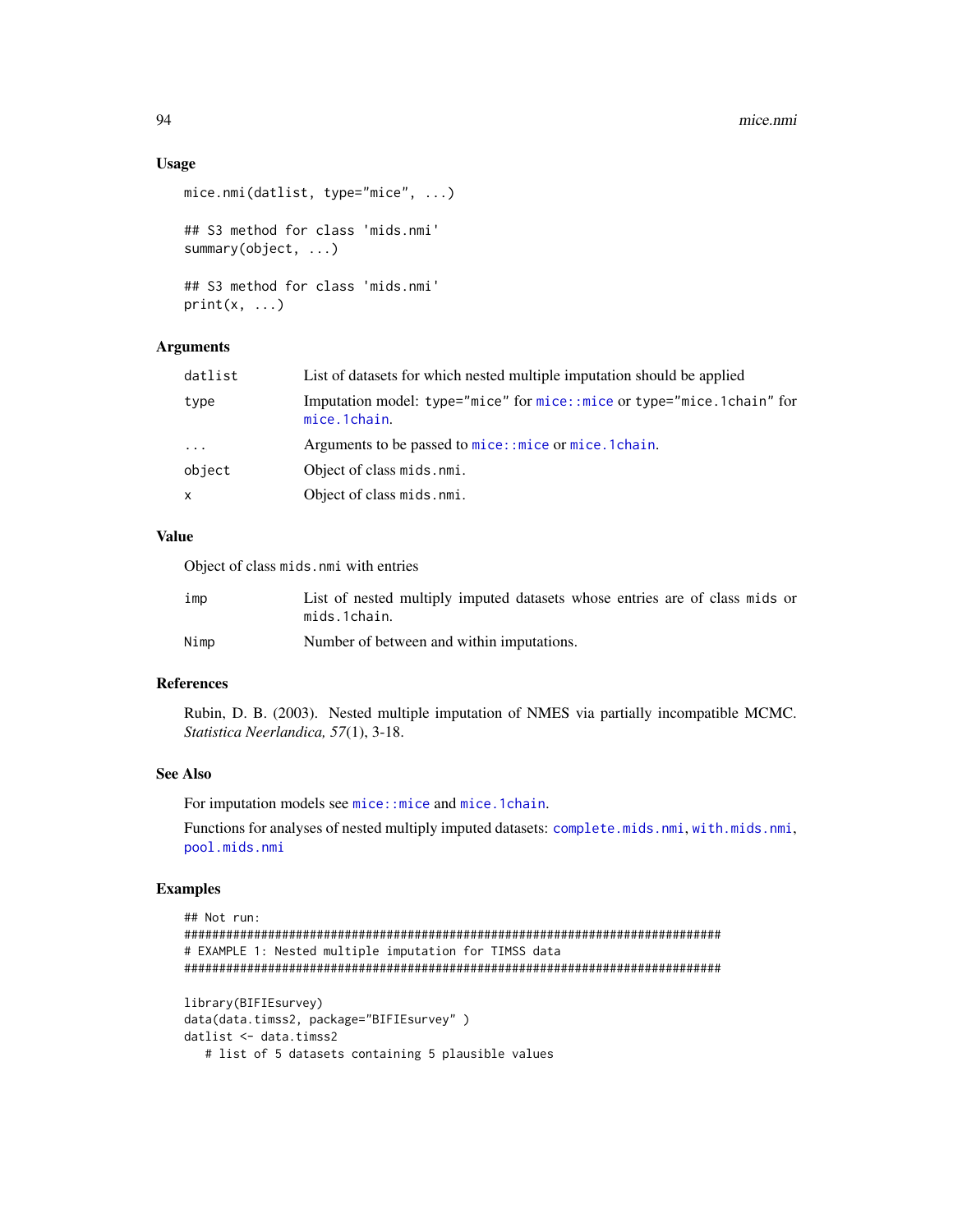## Usage

```
mice.nmi(datlist, type="mice", ...)
## S3 method for class 'mids.nmi'
summary(object, ...)
## S3 method for class 'mids.nmi'
print(x, \ldots)
```
# Arguments

| type<br>mice.1chain.<br>Arguments to be passed to mice:: mice or mice. 1 chain.<br>$\cdots$<br>object<br>Object of class mids.nmi.<br>Object of class mids.nmi.<br>x | datlist | List of datasets for which nested multiple imputation should be applied |
|----------------------------------------------------------------------------------------------------------------------------------------------------------------------|---------|-------------------------------------------------------------------------|
|                                                                                                                                                                      |         | Imputation model: type="mice" for mice::mice or type="mice.1chain" for  |
|                                                                                                                                                                      |         |                                                                         |
|                                                                                                                                                                      |         |                                                                         |
|                                                                                                                                                                      |         |                                                                         |

# Value

Object of class mids.nmi with entries

| ımp  | List of nested multiply imputed datasets whose entries are of class mids or<br>mids.1chain. |
|------|---------------------------------------------------------------------------------------------|
| Nimp | Number of between and within imputations.                                                   |

## References

Rubin, D. B. (2003). Nested multiple imputation of NMES via partially incompatible MCMC. *Statistica Neerlandica, 57*(1), 3-18.

#### See Also

For imputation models see [mice::mice](#page-0-0) and [mice.1chain](#page-57-0).

Functions for analyses of nested multiply imputed datasets: [complete.mids.nmi](#page-5-0), [with.mids.nmi](#page-155-0), [pool.mids.nmi](#page-123-0)

```
## Not run:
#############################################################################
# EXAMPLE 1: Nested multiple imputation for TIMSS data
#############################################################################
library(BIFIEsurvey)
data(data.timss2, package="BIFIEsurvey" )
datlist <- data.timss2
```

```
# list of 5 datasets containing 5 plausible values
```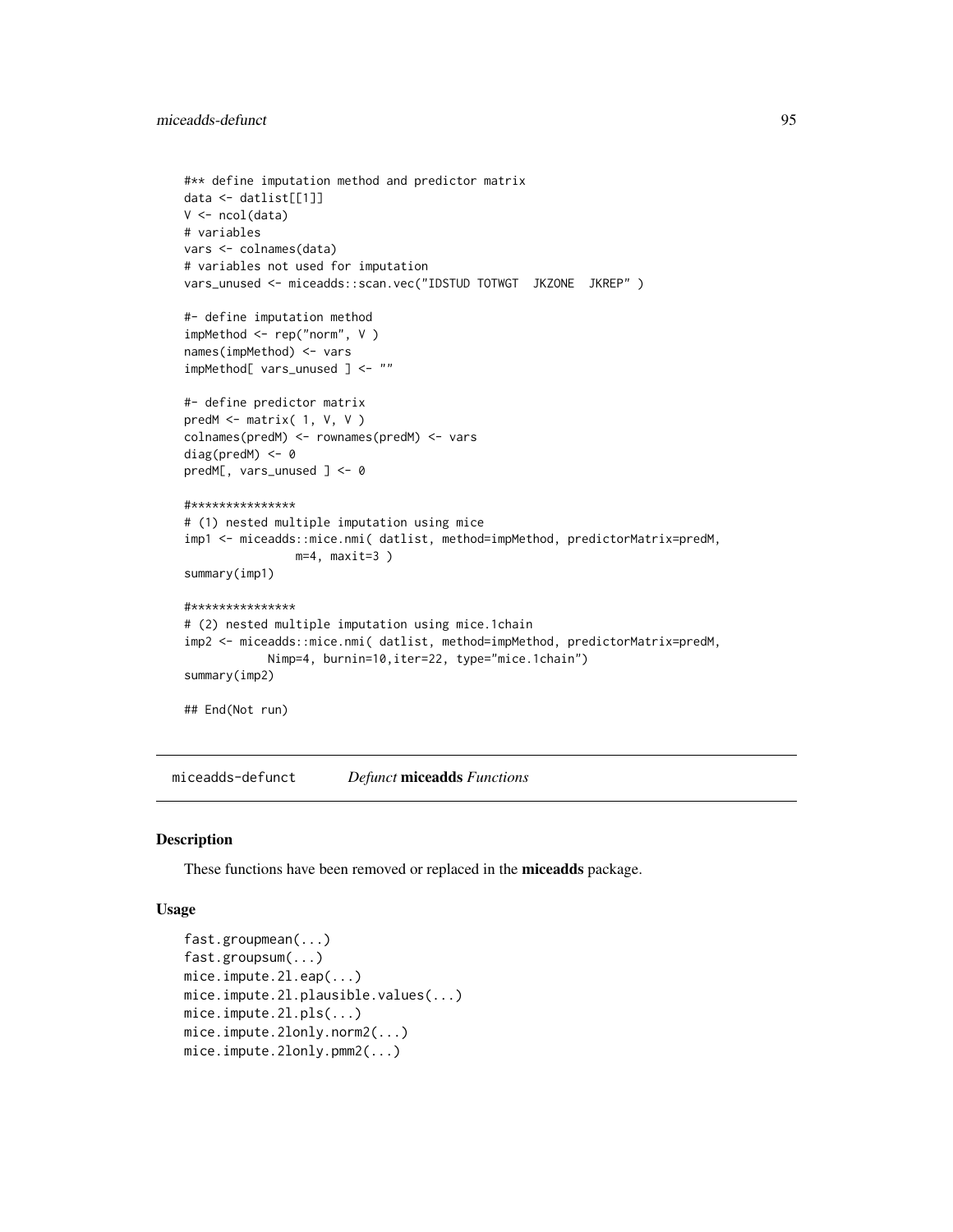```
#** define imputation method and predictor matrix
data <- datlist[[1]]
V \leftarrow \text{ncol}(data)# variables
vars <- colnames(data)
# variables not used for imputation
vars_unused <- miceadds::scan.vec("IDSTUD TOTWGT JKZONE JKREP" )
#- define imputation method
impMethod <- rep("norm", V )
names(impMethod) <- vars
impMethod[ vars_unused ] <- ""
#- define predictor matrix
predM <- matrix( 1, V, V )
colnames(predM) <- rownames(predM) <- vars
diag(predM) <- 0
predM[, vars_unused ] <- 0
#***************
# (1) nested multiple imputation using mice
imp1 <- miceadds::mice.nmi( datlist, method=impMethod, predictorMatrix=predM,
                m=4, maxit=3 )
summary(imp1)
#***************
# (2) nested multiple imputation using mice.1chain
imp2 <- miceadds::mice.nmi( datlist, method=impMethod, predictorMatrix=predM,
            Nimp=4, burnin=10,iter=22, type="mice.1chain")
summary(imp2)
## End(Not run)
```
miceadds-defunct *Defunct* miceadds *Functions*

#### Description

These functions have been removed or replaced in the miceadds package.

## Usage

```
fast.groupmean(...)
fast.groupsum(...)
mice.impute.2l.eap(...)
mice.impute.2l.plausible.values(...)
mice.impute.2l.pls(...)
mice.impute.2lonly.norm2(...)
mice.impute.2lonly.pmm2(...)
```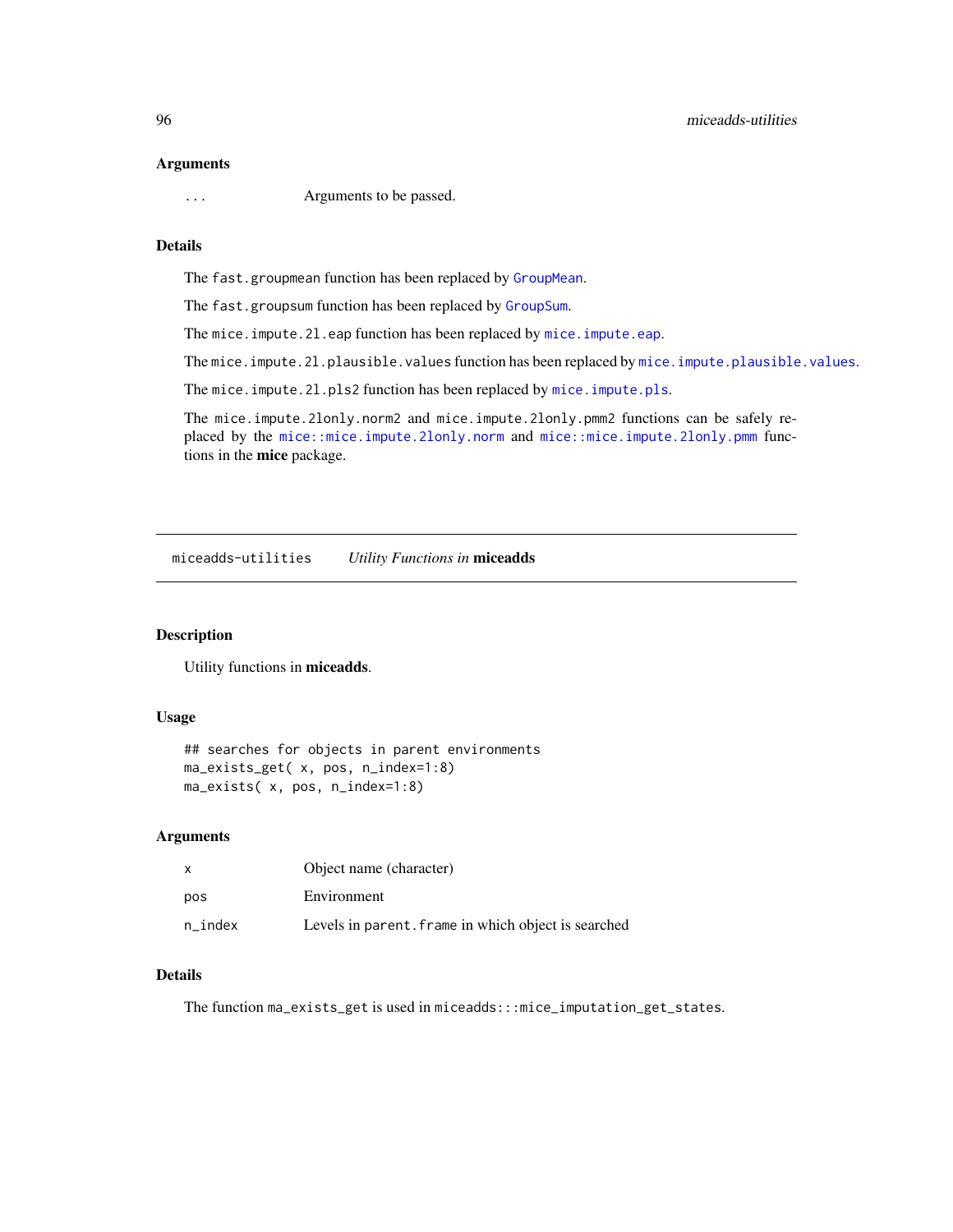#### Arguments

... Arguments to be passed.

# Details

The fast.groupmean function has been replaced by [GroupMean](#page-35-0).

The fast.groupsum function has been replaced by [GroupSum](#page-35-1).

The mice.impute.21.eap function has been replaced by [mice.impute.eap](#page-70-0).

The mice.impute.2l.plausible.values function has been replaced by [mice.impute.plausible.values](#page-78-0).

The mice.impute.21.pls2 function has been replaced by [mice.impute.pls](#page-84-0).

The mice.impute.2lonly.norm2 and mice.impute.2lonly.pmm2 functions can be safely replaced by the [mice::mice.impute.2lonly.norm](#page-0-0) and [mice::mice.impute.2lonly.pmm](#page-0-0) functions in the mice package.

miceadds-utilities *Utility Functions in* miceadds

# Description

Utility functions in miceadds.

# Usage

```
## searches for objects in parent environments
ma_exists_get( x, pos, n_index=1:8)
ma_exists( x, pos, n_index=1:8)
```
## Arguments

|         | Object name (character)                             |
|---------|-----------------------------------------------------|
| pos     | Environment                                         |
| n index | Levels in parent. frame in which object is searched |

# Details

The function ma\_exists\_get is used in miceadds:::mice\_imputation\_get\_states.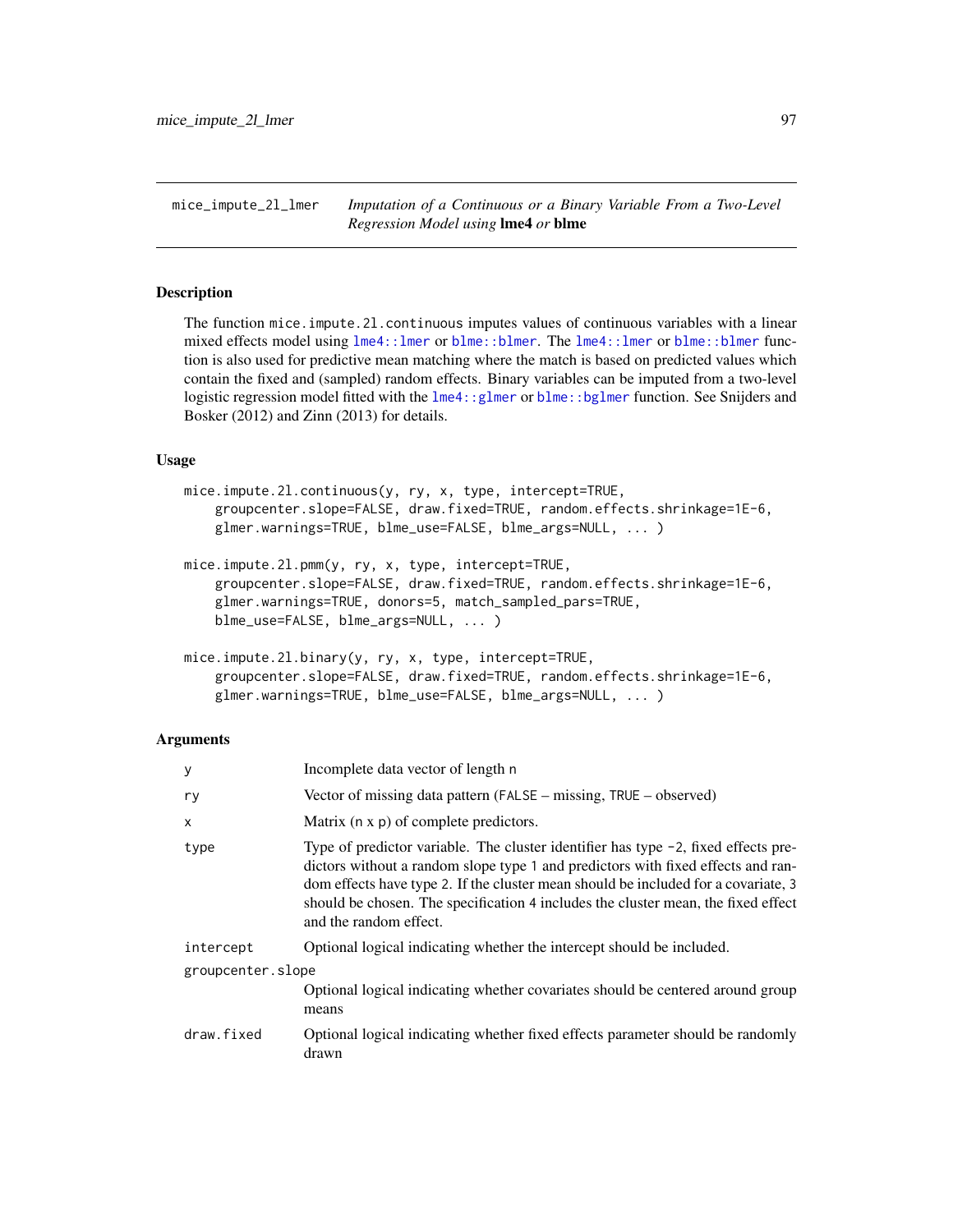mice\_impute\_2l\_lmer *Imputation of a Continuous or a Binary Variable From a Two-Level Regression Model using* lme4 *or* blme

# <span id="page-96-0"></span>**Description**

The function mice.impute.2l.continuous imputes values of continuous variables with a linear mixed effects model using [lme4::lmer](#page-0-0) or [blme::blmer](#page-0-0). The [lme4::lmer](#page-0-0) or [blme::blmer](#page-0-0) function is also used for predictive mean matching where the match is based on predicted values which contain the fixed and (sampled) random effects. Binary variables can be imputed from a two-level logistic regression model fitted with the lme4: : glmer or blme: : bglmer function. See Snijders and Bosker (2012) and Zinn (2013) for details.

#### Usage

```
mice.impute.2l.continuous(y, ry, x, type, intercept=TRUE,
    groupcenter.slope=FALSE, draw.fixed=TRUE, random.effects.shrinkage=1E-6,
   glmer.warnings=TRUE, blme_use=FALSE, blme_args=NULL, ... )
```

```
mice.impute.2l.pmm(y, ry, x, type, intercept=TRUE,
    groupcenter.slope=FALSE, draw.fixed=TRUE, random.effects.shrinkage=1E-6,
    glmer.warnings=TRUE, donors=5, match_sampled_pars=TRUE,
    blme_use=FALSE, blme_args=NULL, ... )
```

```
mice.impute.2l.binary(y, ry, x, type, intercept=TRUE,
   groupcenter.slope=FALSE, draw.fixed=TRUE, random.effects.shrinkage=1E-6,
   glmer.warnings=TRUE, blme_use=FALSE, blme_args=NULL, ... )
```
## Arguments

| У                 | Incomplete data vector of length n                                                                                                                                                                                                                                                                                                                                          |
|-------------------|-----------------------------------------------------------------------------------------------------------------------------------------------------------------------------------------------------------------------------------------------------------------------------------------------------------------------------------------------------------------------------|
| ry                | Vector of missing data pattern (FALSE – missing, TRUE – observed)                                                                                                                                                                                                                                                                                                           |
| $\mathsf{x}$      | Matrix (n x p) of complete predictors.                                                                                                                                                                                                                                                                                                                                      |
| type              | Type of predictor variable. The cluster identifier has type -2, fixed effects pre-<br>dictors without a random slope type 1 and predictors with fixed effects and ran-<br>dom effects have type 2. If the cluster mean should be included for a covariate, 3<br>should be chosen. The specification 4 includes the cluster mean, the fixed effect<br>and the random effect. |
| intercept         | Optional logical indicating whether the intercept should be included.                                                                                                                                                                                                                                                                                                       |
| groupcenter.slope |                                                                                                                                                                                                                                                                                                                                                                             |
|                   | Optional logical indicating whether covariates should be centered around group<br>means                                                                                                                                                                                                                                                                                     |
| draw.fixed        | Optional logical indicating whether fixed effects parameter should be randomly<br>drawn                                                                                                                                                                                                                                                                                     |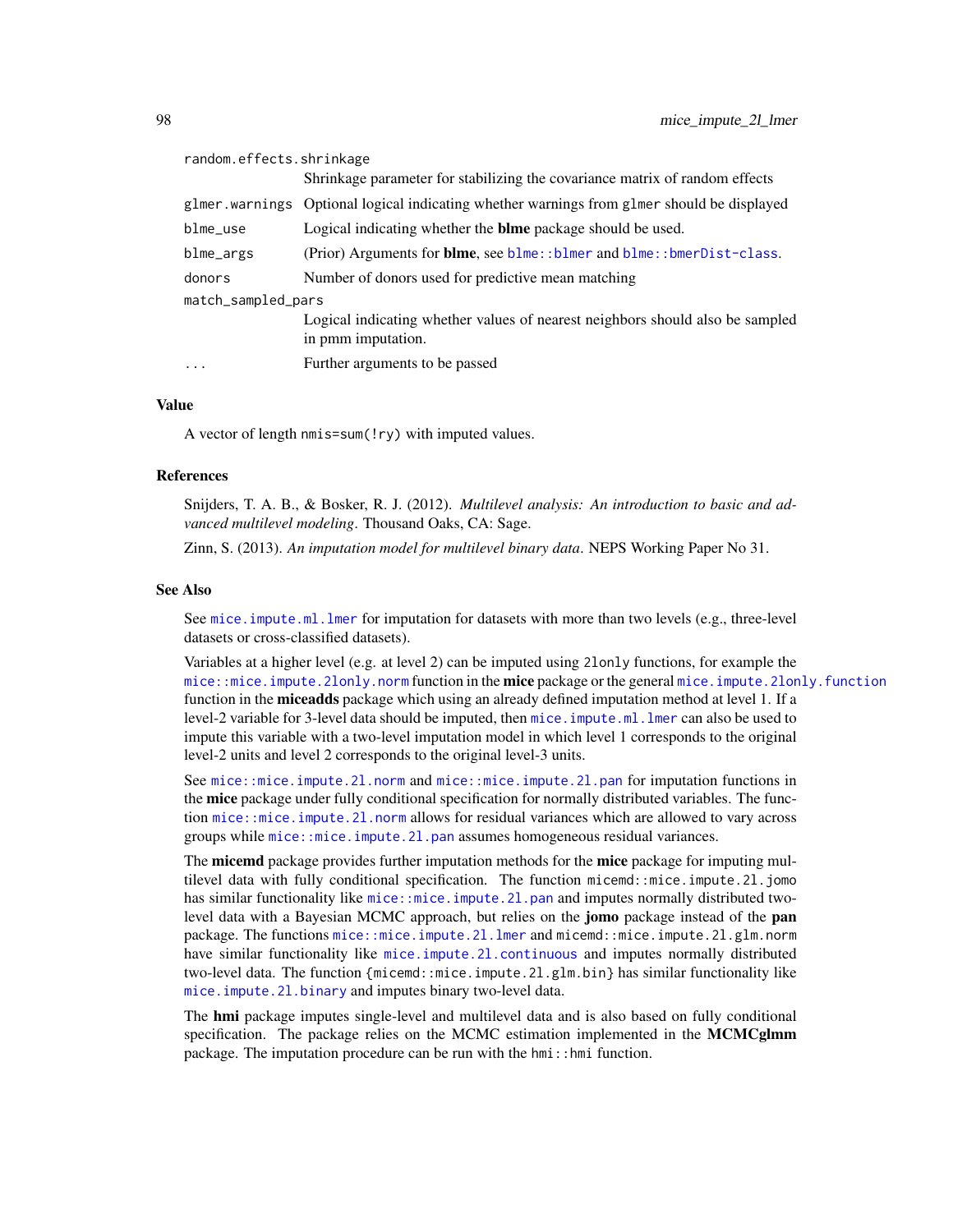| random.effects.shrinkage |                                                                                                     |
|--------------------------|-----------------------------------------------------------------------------------------------------|
|                          | Shrinkage parameter for stabilizing the covariance matrix of random effects                         |
|                          | glmer warnings Optional logical indicating whether warnings from glmer should be displayed          |
| $blme_$                  | Logical indicating whether the <b>blme</b> package should be used.                                  |
| blme_args                | (Prior) Arguments for <b>blme</b> , see $blme$ : $blmer$ and $blme$ : $bmerDist-class$ .            |
| donors                   | Number of donors used for predictive mean matching                                                  |
| match_sampled_pars       |                                                                                                     |
|                          | Logical indicating whether values of nearest neighbors should also be sampled<br>in pmm imputation. |
| .                        | Further arguments to be passed                                                                      |
|                          |                                                                                                     |

# Value

A vector of length nmis=sum(!ry) with imputed values.

#### References

Snijders, T. A. B., & Bosker, R. J. (2012). *Multilevel analysis: An introduction to basic and advanced multilevel modeling*. Thousand Oaks, CA: Sage.

Zinn, S. (2013). *An imputation model for multilevel binary data*. NEPS Working Paper No 31.

#### See Also

See [mice.impute.ml.lmer](#page-75-0) for imputation for datasets with more than two levels (e.g., three-level datasets or cross-classified datasets).

Variables at a higher level (e.g. at level 2) can be imputed using 2lonly functions, for example the [mice::mice.impute.2lonly.norm](#page-0-0) function in the **mice** package or the general [mice.impute.2lonly.function](#page-67-0) function in the miceadds package which using an already defined imputation method at level 1. If a level-2 variable for 3-level data should be imputed, then [mice.impute.ml.lmer](#page-75-0) can also be used to impute this variable with a two-level imputation model in which level 1 corresponds to the original level-2 units and level 2 corresponds to the original level-3 units.

See [mice::mice.impute.2l.norm](#page-0-0) and [mice::mice.impute.2l.pan](#page-0-0) for imputation functions in the mice package under fully conditional specification for normally distributed variables. The function [mice::mice.impute.2l.norm](#page-0-0) allows for residual variances which are allowed to vary across groups while mice:: mice.impute.21.pan assumes homogeneous residual variances.

The **micemd** package provides further imputation methods for the **mice** package for imputing multilevel data with fully conditional specification. The function micemd::mice.impute.2l.jomo has similar functionality like mice::mice.impute.21.pan and imputes normally distributed twolevel data with a Bayesian MCMC approach, but relies on the **jomo** package instead of the **pan** package. The functions [mice::mice.impute.2l.lmer](#page-0-0) and micemd::mice.impute.2l.glm.norm have similar functionality like mice.impute.21.continuous and imputes normally distributed two-level data. The function {micemd::mice.impute.2l.glm.bin} has similar functionality like [mice.impute.2l.binary](#page-96-0) and imputes binary two-level data.

The hmi package imputes single-level and multilevel data and is also based on fully conditional specification. The package relies on the MCMC estimation implemented in the MCMCglmm package. The imputation procedure can be run with the  $h$ mi:: hmi function.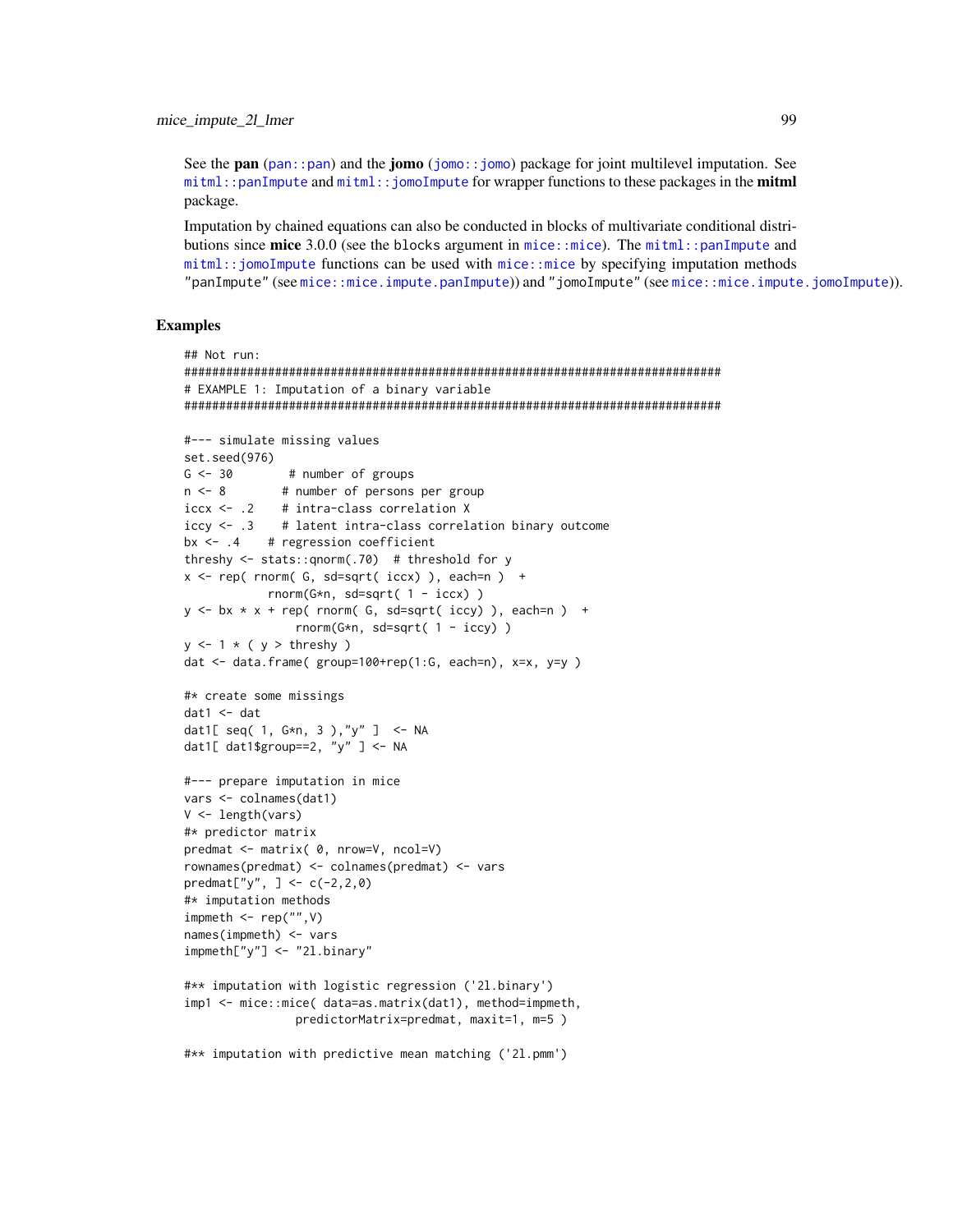See the pan (pan::pan) and the jomo (jomo::jomo) package for joint multilevel imputation. See  $m$ i tml::panImpute and  $m$ i tml:: jomoImpute for wrapper functions to these packages in the **mitml** package.

Imputation by chained equations can also be conducted in blocks of multivariate conditional distributions since mice 3.0.0 (see the blocks argument in  $mice$ :  $mice$ ). The  $mitm$ : panImpute and mitml::jomoImpute functions can be used with mice::mice by specifying imputation methods "panImpute" (see mice::mice.impute.panImpute)) and "jomoImpute" (see mice::mice.impute.jomoImpute)).

```
## Not run:
# EXAMPLE 1: Imputation of a binary variable
#--- simulate missing values
set.seed(976)
G \le -30# number of groups
           # number of persons per group
n \le -8iccx <- .2 # intra-class correlation X
iccy \leftarrow .3 # latent intra-class correlation binary outcome
bx \leftarrow .4
         # regression coefficient
threshy \le- stats::gnorm(.70) # threshold for y
x \leq -rep(\text{norm}(\text{G}, \text{sd=sqrt}(\text{iccx}), \text{each=n}) +rnorm(G*n, sd=sqrt(1 - iccx))y \le -bx \times x + rep( rnorm( G, sd=sqrt( iccy) ), each=n ) +rnorm(G*n, sd=sqrt( 1 - iccy) )
y \le -1 \times (y > threshy)dat <- data.frame( group=100+rep(1:G, each=n), x=x, y=y)
#* create some missings
dat1 < - datdat1[ seq( 1, G*n, 3 ),"y" ] <- NA
dat1[ dat1$group==2, "y" ] <- NA
#--- prepare imputation in mice
vars <- colnames(dat1)
V \leftarrow length(vars)
#* predictor matrix
predmat <- matrix( 0, nrow=V, ncol=V)
rownames(predmat) <- colnames(predmat) <- vars
predmat["y", ] \leftarrow c(-2,2,0)#* imputation methods
impmeth \leftarrow rep("", V)names(impmeth) < -varsimpmeth['y''] <- "21.binary"
#** imputation with logistic regression ('2l.binary')
imp1 <- mice::mice( data=as.matrix(dat1), method=impmeth,
               predictorMatrix=predmat, maxit=1, m=5)
#** imputation with predictive mean matching ('21.pmm')
```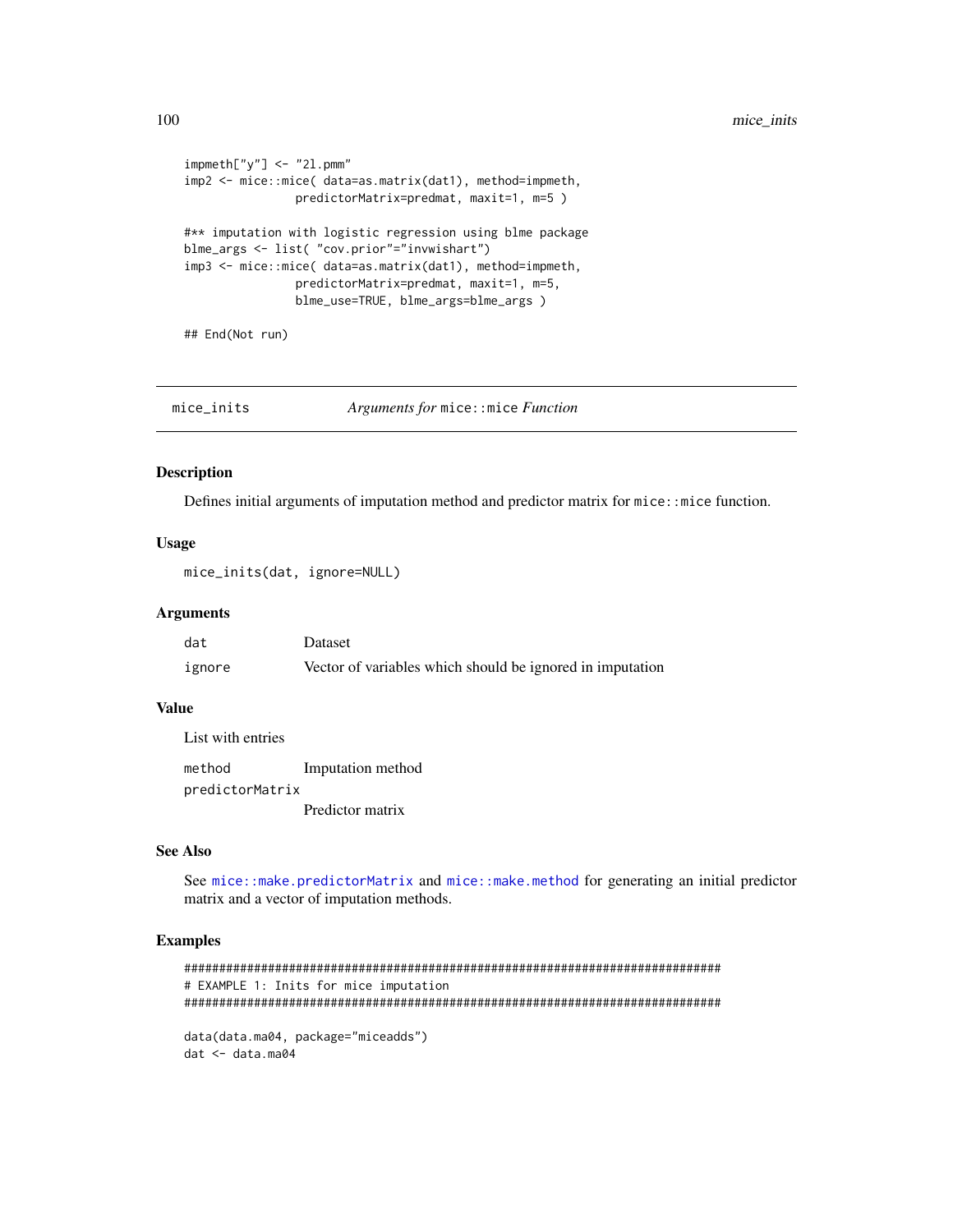```
impmeth['y''] <- "21.pmm"
imp2 <- mice::mice( data=as.matrix(dat1), method=impmeth,
                predictorMatrix=predmat, maxit=1, m=5)
#** imputation with logistic regression using blme package
blme_args <- list( "cov.prior"="invwishart")
imp3 <- mice::mice( data=as.matrix(dat1), method=impmeth,
                predictorMatrix=predmat, maxit=1, m=5,
                blme_use=TRUE, blme_args=blme_args )
```
## End(Not run)

| mice_inits | <i>Arguments for</i> mice::mice <i>Function</i> |
|------------|-------------------------------------------------|
|            |                                                 |

#### **Description**

Defines initial arguments of imputation method and predictor matrix for mice: : mice function.

## **Usage**

mice\_inits(dat, ignore=NULL)

#### **Arguments**

| dat    | Dataset                                                   |
|--------|-----------------------------------------------------------|
| ignore | Vector of variables which should be ignored in imputation |

## **Value**

List with entries

method Imputation method predictorMatrix Predictor matrix

#### **See Also**

See mice::make.predictorMatrix and mice::make.method for generating an initial predictor matrix and a vector of imputation methods.

```
# EXAMPLE 1: Inits for mice imputation
data(data.ma04, package="miceadds")
```

```
dat <- data.ma04
```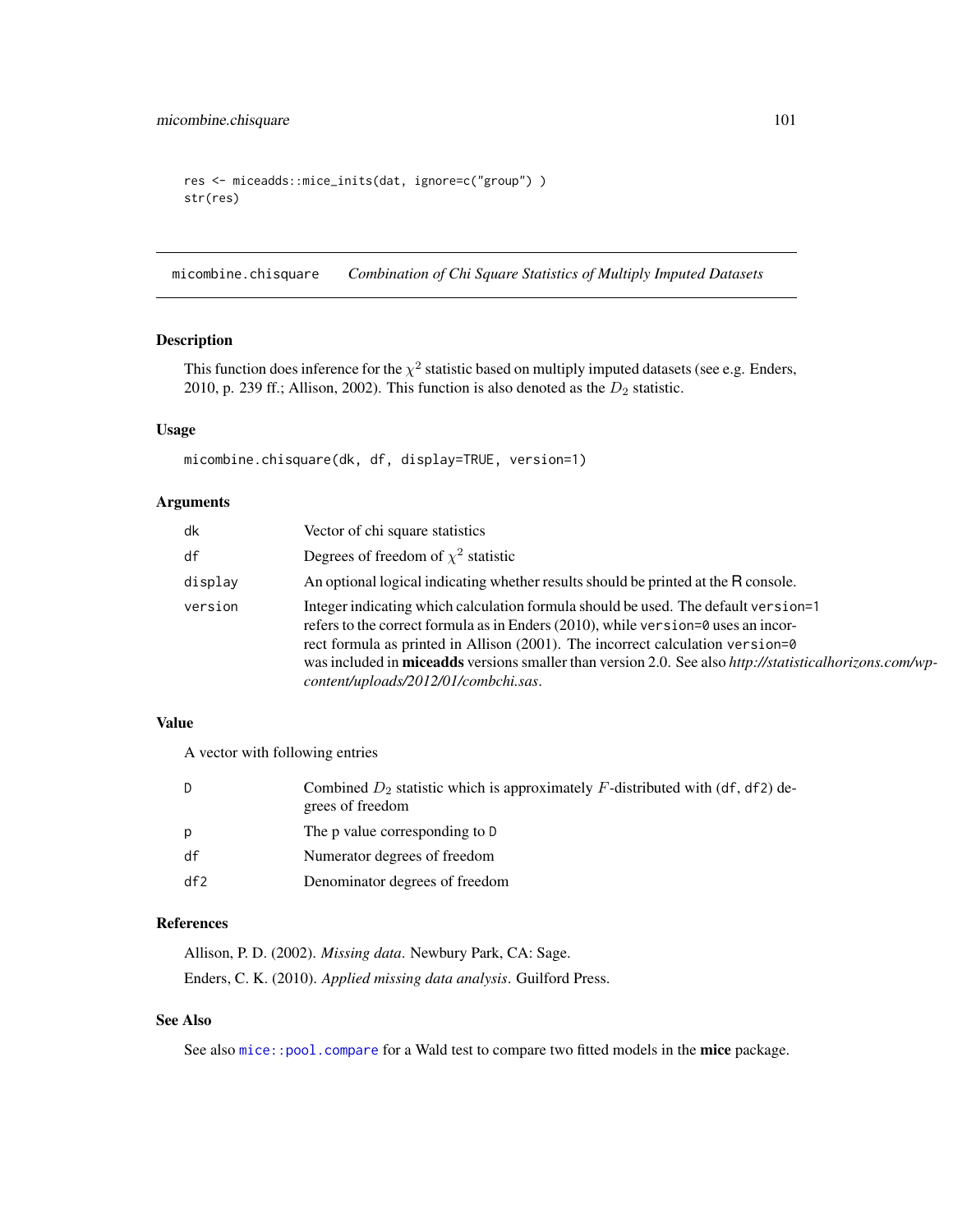```
res <- miceadds::mice_inits(dat, ignore=c("group") )
str(res)
```
<span id="page-100-0"></span>micombine.chisquare *Combination of Chi Square Statistics of Multiply Imputed Datasets*

## Description

This function does inference for the  $\chi^2$  statistic based on multiply imputed datasets (see e.g. Enders, 2010, p. 239 ff.; Allison, 2002). This function is also denoted as the  $D_2$  statistic.

## Usage

micombine.chisquare(dk, df, display=TRUE, version=1)

## Arguments

| dk      | Vector of chi square statistics                                                                                                                                                                                                                                                                                                                                                                                        |
|---------|------------------------------------------------------------------------------------------------------------------------------------------------------------------------------------------------------------------------------------------------------------------------------------------------------------------------------------------------------------------------------------------------------------------------|
| df      | Degrees of freedom of $\chi^2$ statistic                                                                                                                                                                                                                                                                                                                                                                               |
| display | An optional logical indicating whether results should be printed at the R console.                                                                                                                                                                                                                                                                                                                                     |
| version | Integer indicating which calculation formula should be used. The default version=1<br>refers to the correct formula as in Enders $(2010)$ , while version=0 uses an incor-<br>rect formula as printed in Allison (2001). The incorrect calculation version=0<br>was included in <b>miceadds</b> versions smaller than version 2.0. See also http://statisticalhorizons.com/wp-<br>content/uploads/2012/01/combchi.sas. |

## Value

A vector with following entries

| D   | Combined $D_2$ statistic which is approximately F-distributed with (df, df2) de-<br>grees of freedom |
|-----|------------------------------------------------------------------------------------------------------|
| p   | The p value corresponding to D                                                                       |
| df  | Numerator degrees of freedom                                                                         |
| df2 | Denominator degrees of freedom                                                                       |

# References

Allison, P. D. (2002). *Missing data*. Newbury Park, CA: Sage. Enders, C. K. (2010). *Applied missing data analysis*. Guilford Press.

# See Also

See also [mice::pool.compare](#page-0-0) for a Wald test to compare two fitted models in the mice package.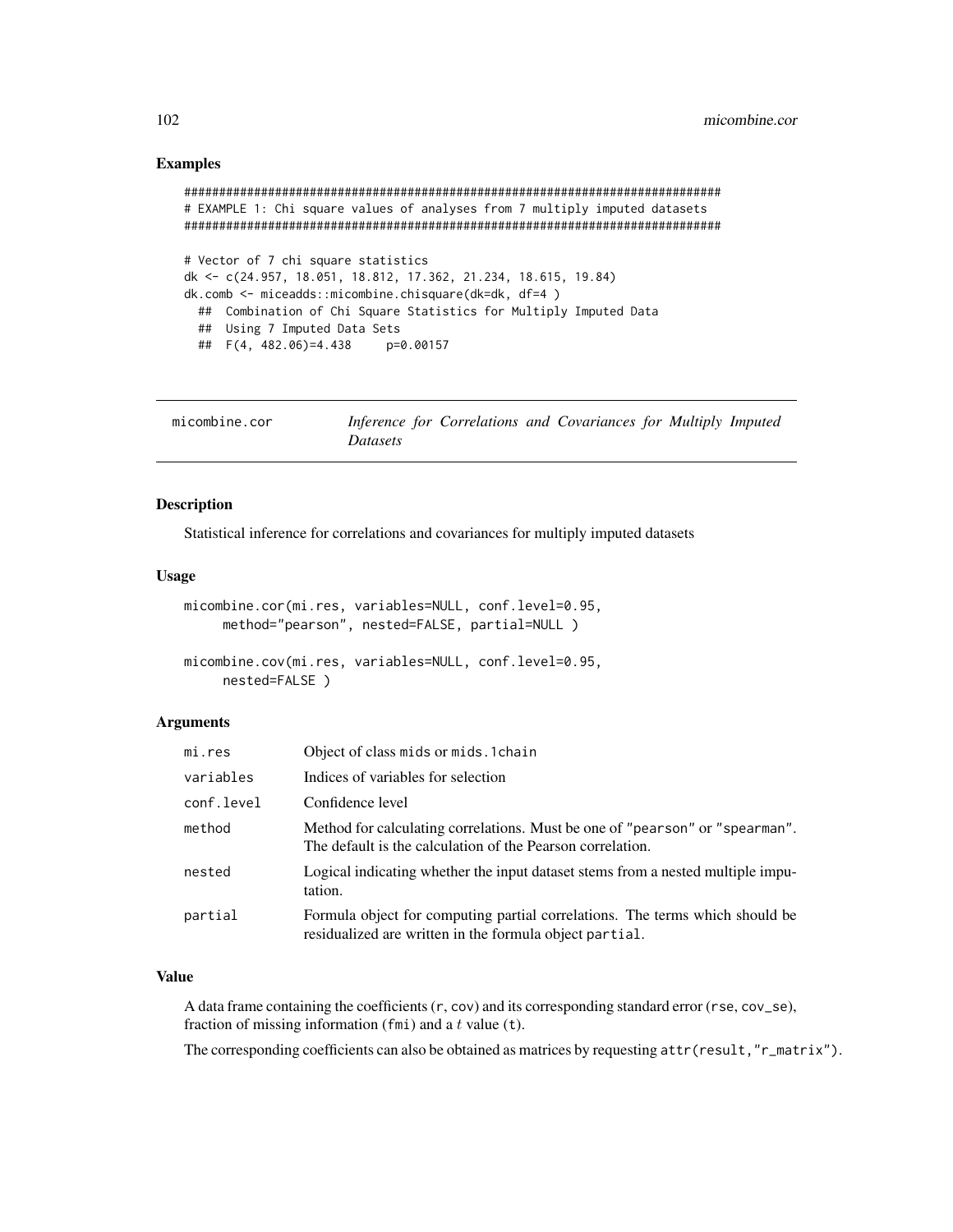## Examples

```
#############################################################################
# EXAMPLE 1: Chi square values of analyses from 7 multiply imputed datasets
#############################################################################
# Vector of 7 chi square statistics
dk <- c(24.957, 18.051, 18.812, 17.362, 21.234, 18.615, 19.84)
dk.comb <- miceadds::micombine.chisquare(dk=dk, df=4 )
 ## Combination of Chi Square Statistics for Multiply Imputed Data
 ## Using 7 Imputed Data Sets
 ## F(4, 482.06)=4.438 p=0.00157
```

| micombine.cor | Inference for Correlations and Covariances for Multiply Imputed |  |  |  |
|---------------|-----------------------------------------------------------------|--|--|--|
|               | <i>Datasets</i>                                                 |  |  |  |

# Description

Statistical inference for correlations and covariances for multiply imputed datasets

## Usage

```
micombine.cor(mi.res, variables=NULL, conf.level=0.95,
     method="pearson", nested=FALSE, partial=NULL )
micombine.cov(mi.res, variables=NULL, conf.level=0.95,
     nested=FALSE )
```
#### Arguments

| mi.res     | Object of class mids or mids. 1 chain                                                                                                      |
|------------|--------------------------------------------------------------------------------------------------------------------------------------------|
| variables  | Indices of variables for selection                                                                                                         |
| conf.level | Confidence level                                                                                                                           |
| method     | Method for calculating correlations. Must be one of "pearson" or "spearman".<br>The default is the calculation of the Pearson correlation. |
| nested     | Logical indicating whether the input dataset stems from a nested multiple impu-<br>tation.                                                 |
| partial    | Formula object for computing partial correlations. The terms which should be<br>residualized are written in the formula object partial.    |

# Value

A data frame containing the coefficients  $(r, cov)$  and its corresponding standard error  $(rse, cov_sse)$ , fraction of missing information (fmi) and a  $t$  value (t).

The corresponding coefficients can also be obtained as matrices by requesting attr(result,"r\_matrix").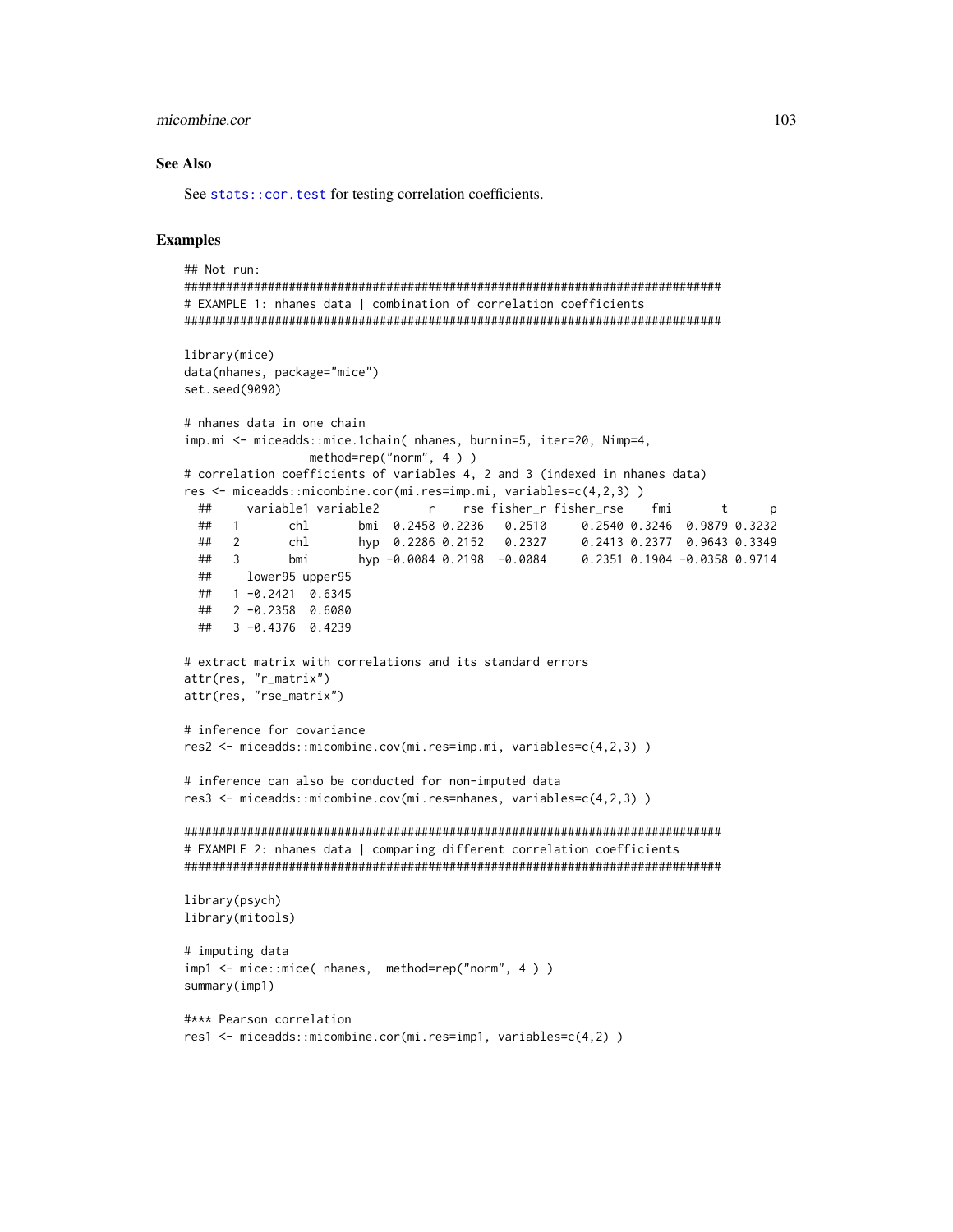#### micombine.cor

## **See Also**

See stats:: cor. test for testing correlation coefficients.

```
## Not run:
# EXAMPLE 1: nhanes data | combination of correlation coefficients
library(mice)
data(nhanes, package="mice")
set.seed(9090)
# nhanes data in one chain
imp.mi <- miceadds::mice.1chain( nhanes, burnin=5, iter=20, Nimp=4,
               method=rep("norm", 4))
# correlation coefficients of variables 4, 2 and 3 (indexed in nhanes data)
res <- miceadds::micombine.cor(mi.res=imp.mi, variables=c(4,2,3))
 ##variable1 variable2
                           r se fisher_r fisher_rse
                                                        fmi
                                                                  t
                                                                        \mathsf{p}## 1
                   bmi 0.2458 0.2236  0.2510  0.2540 0.3246  0.9879  0.3232
            chl
                    hyp 0.2286 0.2152 0.2327
 ##0.2413 0.2377 0.9643 0.3349
     \overline{2}chl
                    hyp    0.2286  0.2152      0.2327          0.2413  0.2377     0.9643  0.3349<br>hyp  −0.0084  0.2198   −0.0084          0.2351  0.1904  −0.0358  0.9714
 ##\overline{\mathbf{3}}bmi
 ##lower95 upper95
 ## 1 -0.2421 0.6345
 ## 2 -0.2358 0.6080
 ## 3 -0.4376 0.4239
# extract matrix with correlations and its standard errors
attr(res, "r_matrix")
attr(res, "rse_matrix")
# inference for covariance
res2 \leq miceadds: :micombine.cov(mi.res=imp.mi, variablese=c(4,2,3))# inference can also be conducted for non-imputed data
res3 <- miceadds::micombine.cov(mi.res=nhanes, variables=c(4,2,3))
# EXAMPLE 2: nhanes data | comparing different correlation coefficients
library(psych)
library(mitools)
# imputing data
imp1 <- mice::mice( nhanes, method=rep("norm", 4 ) )
summary(imp1)#*** Pearson correlation
res1 <- miceadds::micombine.cor(mi.res=imp1, variables=c(4,2))
```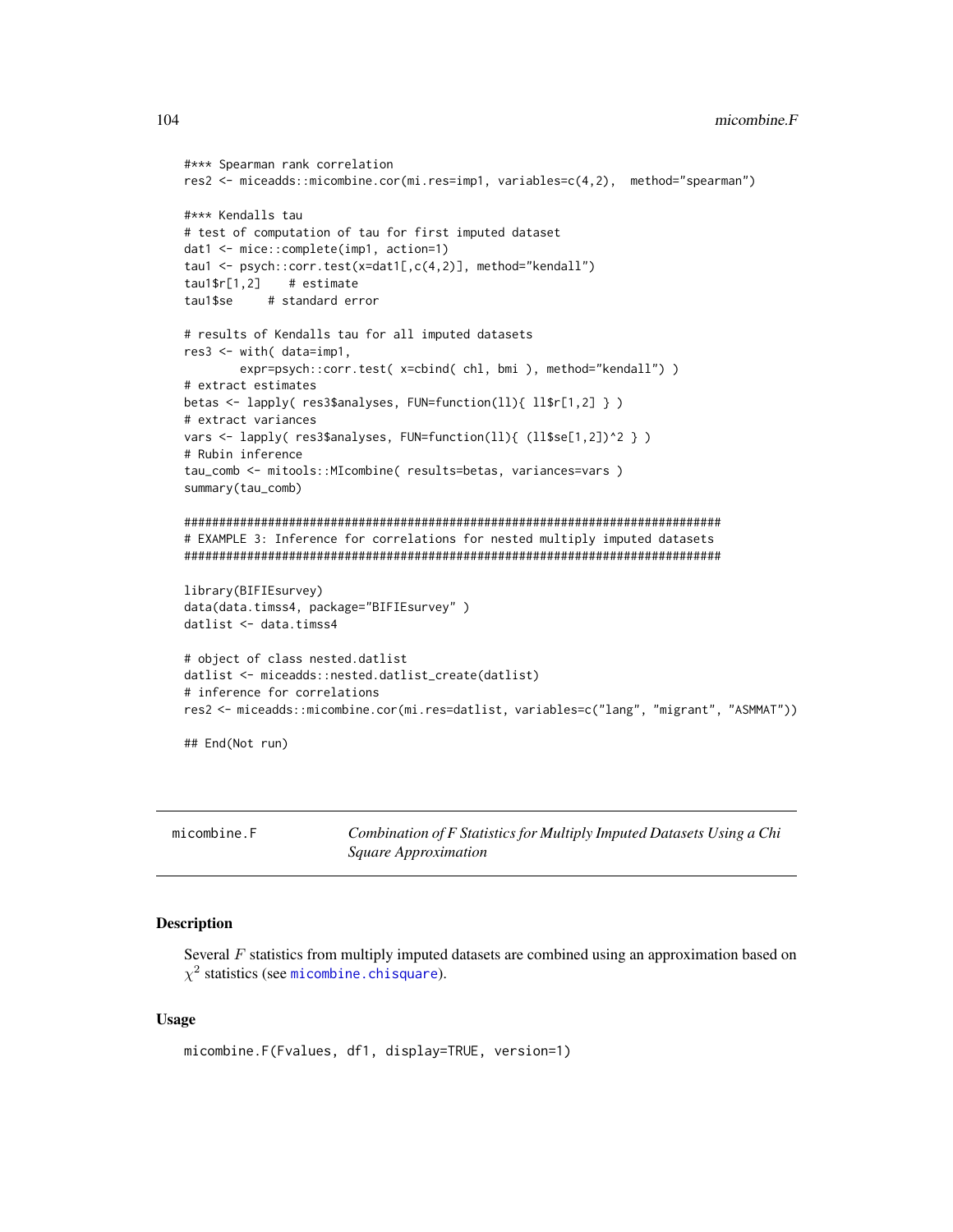```
#*** Spearman rank correlation
res2 <- miceadds::micombine.cor(mi.res=imp1, variables=c(4,2), method="spearman")
#*** Kendalls tau
# test of computation of tau for first imputed dataset
dat1 <- mice::complete(imp1, action=1)
tau1 <- psych::corr.test(x=dat1[,c(4,2)], method="kendall")
tau1$r[1,2]# estimate
          # standard error
tau1$se
# results of Kendalls tau for all imputed datasets
res3 <- with( data=imp1,
       expr=psych::corr.test( x=cbind( chl, bmi ), method="kendall") )
# extract estimates
betas <- lapply( res3$analyses, FUN=function(ll){ ll$r[1,2] } )
# extract variances
vars <- lapply( res3$analyses, FUN=function(ll){ (ll$se[1,2])^2 } )
# Rubin inference
tau_comb <- mitools::MIcombine( results=betas, variances=vars )
summary(tau_comb)
# EXAMPLE 3: Inference for correlations for nested multiply imputed datasets
library(BIFIEsurvey)
data(data.timss4, package="BIFIEsurvey")
datlist <- data.timss4
# object of class nested.datlist
datlist <- miceadds::nested.datlist_create(datlist)
# inference for correlations
res2 <- miceadds::micombine.cor(mi.res=datlist, variables=c("lang", "migrant", "ASMMAT"))
## End(Not run)
```

|  | micombine.F |
|--|-------------|
|  |             |
|  |             |
|  |             |

Combination of F Statistics for Multiply Imputed Datasets Using a Chi Square Approximation

## **Description**

Several  $F$  statistics from multiply imputed datasets are combined using an approximation based on  $\chi^2$  statistics (see micombine.chisquare).

#### **Usage**

```
micombine.F(Fvalues, df1, display=TRUE, version=1)
```
104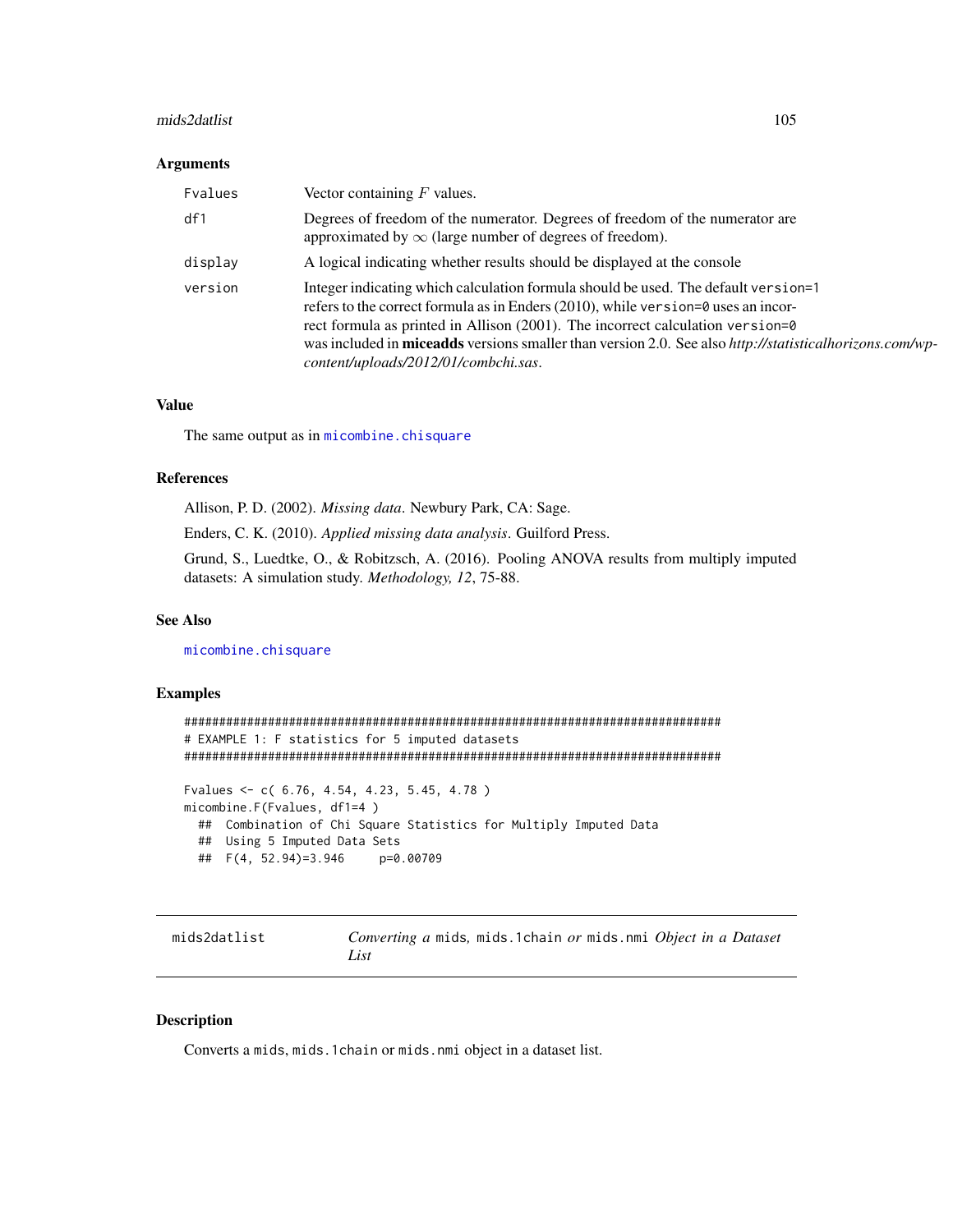#### mids2datlist 105

#### Arguments

| Fvalues | Vector containing $F$ values.                                                                                                                                                                                                                                                                                                                                                                                               |
|---------|-----------------------------------------------------------------------------------------------------------------------------------------------------------------------------------------------------------------------------------------------------------------------------------------------------------------------------------------------------------------------------------------------------------------------------|
| df1     | Degrees of freedom of the numerator. Degrees of freedom of the numerator are<br>approximated by $\infty$ (large number of degrees of freedom).                                                                                                                                                                                                                                                                              |
| display | A logical indicating whether results should be displayed at the console                                                                                                                                                                                                                                                                                                                                                     |
| version | Integer indicating which calculation formula should be used. The default version=1<br>refers to the correct formula as in Enders (2010), while version= $\theta$ uses an incor-<br>rect formula as printed in Allison (2001). The incorrect calculation version=0<br>was included in <b>miceadds</b> versions smaller than version 2.0. See also http://statisticalhorizons.com/wp-<br>content/uploads/2012/01/combchi.sas. |

# Value

The same output as in [micombine.chisquare](#page-100-0)

# References

Allison, P. D. (2002). *Missing data*. Newbury Park, CA: Sage.

Enders, C. K. (2010). *Applied missing data analysis*. Guilford Press.

Grund, S., Luedtke, O., & Robitzsch, A. (2016). Pooling ANOVA results from multiply imputed datasets: A simulation study. *Methodology, 12*, 75-88.

#### See Also

[micombine.chisquare](#page-100-0)

## Examples

```
#############################################################################
# EXAMPLE 1: F statistics for 5 imputed datasets
#############################################################################
Fvalues <- c( 6.76, 4.54, 4.23, 5.45, 4.78 )
micombine.F(Fvalues, df1=4 )
 ## Combination of Chi Square Statistics for Multiply Imputed Data
 ## Using 5 Imputed Data Sets
 ## F(4, 52.94)=3.946 p=0.00709
```
## mids2datlist *Converting a* mids*,* mids.1chain *or* mids.nmi *Object in a Dataset List*

## Description

Converts a mids, mids.1chain or mids.nmi object in a dataset list.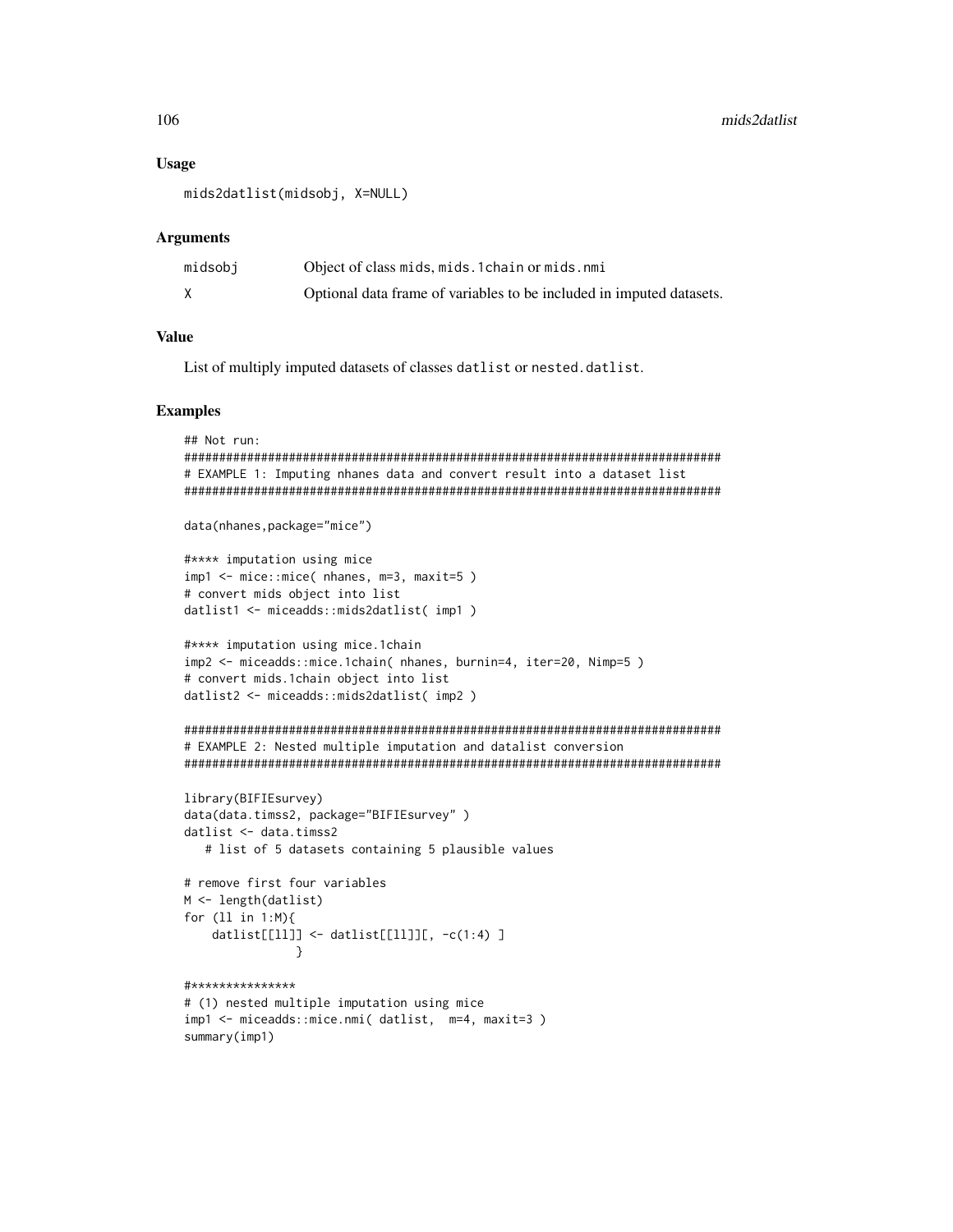#### **Usage**

```
mids2datlist(midsobj, X=NULL)
```
#### **Arguments**

| midsobj | Object of class mids, mids. 1 chain or mids. nmi                     |
|---------|----------------------------------------------------------------------|
|         | Optional data frame of variables to be included in imputed datasets. |

#### **Value**

List of multiply imputed datasets of classes datlist or nested.datlist.

## **Examples**

```
## Not run:
# EXAMPLE 1: Imputing nhanes data and convert result into a dataset list
data(nhanes, package="mice")
#**** imputation using mice
imp1 <- mice::mice( nhanes, m=3, maxit=5)
# convert mids object into list
datlist1 <- miceadds::mids2datlist( imp1)
#**** imputation using mice.1chain
imp2 <- miceadds::mice.1chain( nhanes, burnin=4, iter=20, Nimp=5)
# convert mids.1chain object into list
datlist2 <- miceadds::mids2datlist( imp2)
# EXAMPLE 2: Nested multiple imputation and datalist conversion
library(BIFIEsurvey)
data(data.timss2, package="BIFIEsurvey")
datlist <- data.timss2
  # list of 5 datasets containing 5 plausible values
# remove first four variables
M <- length(datlist)
for (11 in 1:M){
   datlist[[ll]] <- datlist[[ll]][, -c(1:4) ]
            \mathcal{E}#***************
# (1) nested multiple imputation using mice
imp1 <- miceadds::mice.nmi( datlist, m=4, maxit=3)
```
106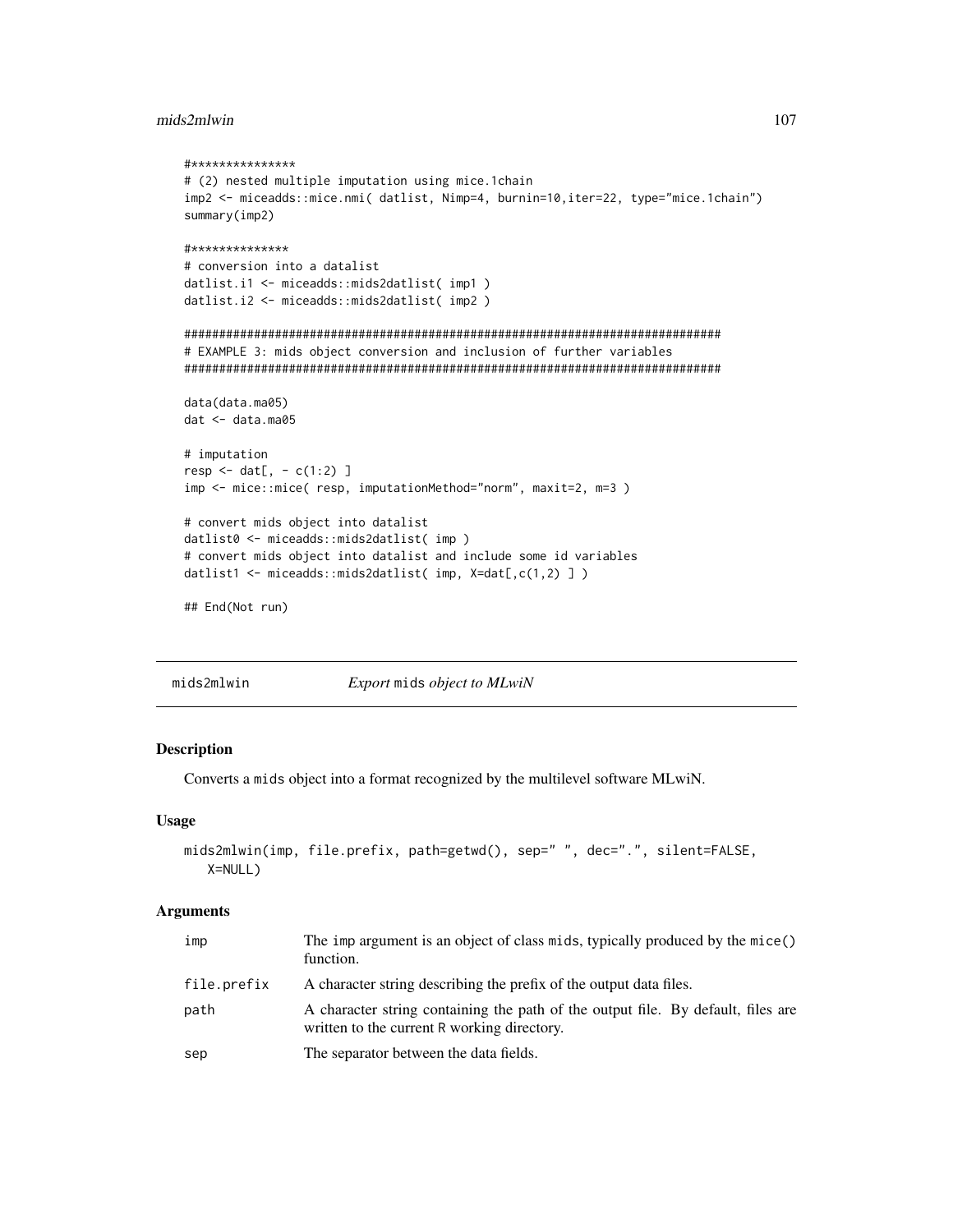## mids2mlwin

```
#***************
# (2) nested multiple imputation using mice.1chain
imp2 <- miceadds::mice.nmi( datlist, Nimp=4, burnin=10,iter=22, type="mice.1chain")
summary(imp2)
#**************
# conversion into a datalist
datlist.i1 <- miceadds::mids2datlist( imp1)
datlist.i2 <- miceadds::mids2datlist( imp2)
# EXAMPLE 3: mids object conversion and inclusion of further variables
data(data.ma05)
dat <- data.ma05
# imputation
resp < - \text{dat}[ , - c(1:2) ]imp <- mice::mice( resp, imputationMethod="norm", maxit=2, m=3)
# convert mids object into datalist
datlist0 <- miceadds::mids2datlist( imp )
# convert mids object into datalist and include some id variables
datlist1 <- miceadds::mids2datlist( imp, X=dat[,c(1,2) ])
## End(Not run)
```
mids2mlwin Export mids object to MLwiN

#### Description

Converts a mids object into a format recognized by the multilevel software MLwiN.

#### **Usage**

```
mids2mlwin(imp, file.prefix, path=getwd(), sep=" ", dec=".", silent=FALSE,
  X=NULL)
```
## **Arguments**

| imp         | The imp argument is an object of class mids, typically produced by the mice()<br>function.                                      |
|-------------|---------------------------------------------------------------------------------------------------------------------------------|
| file.prefix | A character string describing the prefix of the output data files.                                                              |
| path        | A character string containing the path of the output file. By default, files are<br>written to the current R working directory. |
| sep         | The separator between the data fields.                                                                                          |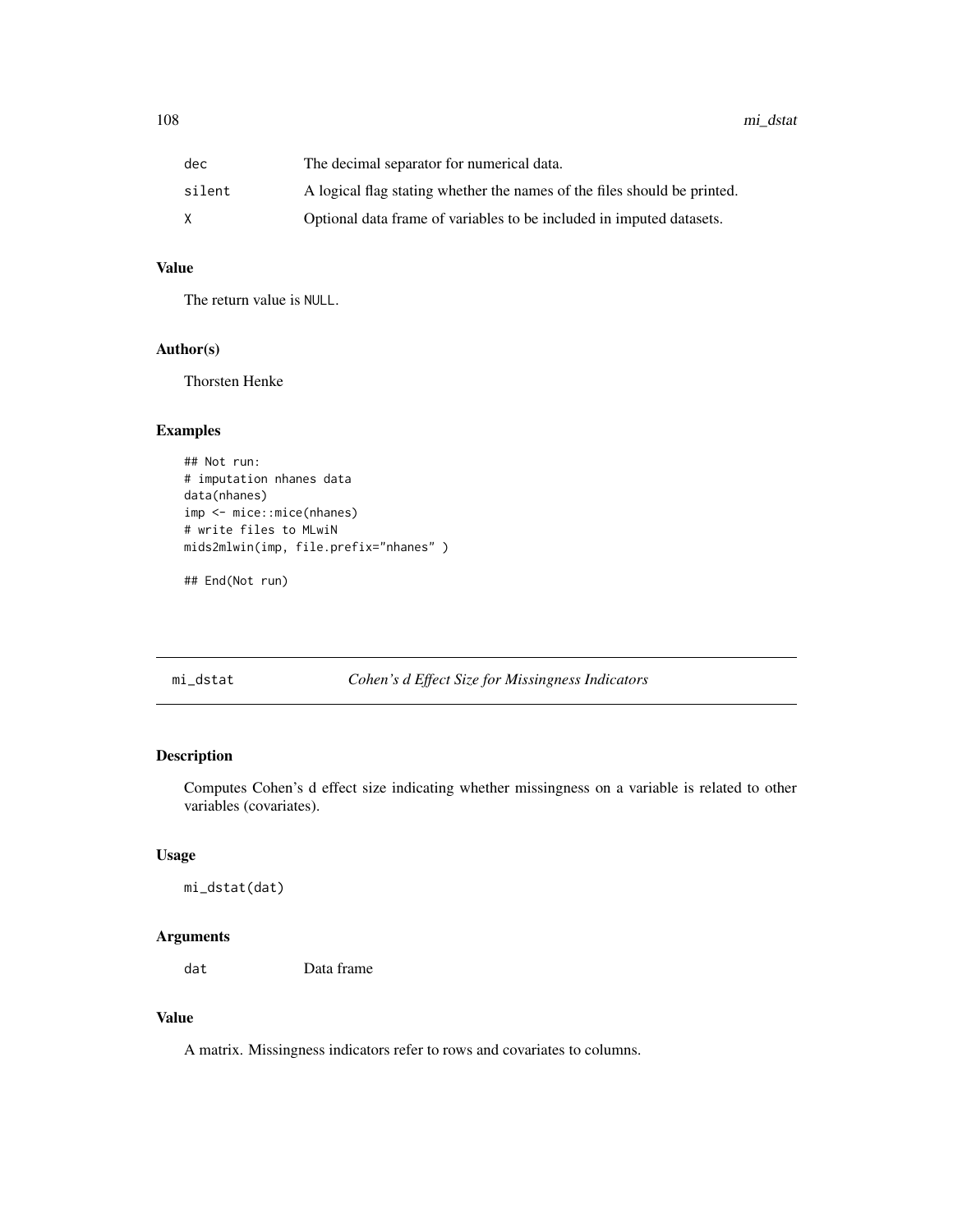| dec    | The decimal separator for numerical data.                                |
|--------|--------------------------------------------------------------------------|
| silent | A logical flag stating whether the names of the files should be printed. |
|        | Optional data frame of variables to be included in imputed datasets.     |

# Value

The return value is NULL.

# Author(s)

Thorsten Henke

# Examples

```
## Not run:
# imputation nhanes data
data(nhanes)
imp <- mice::mice(nhanes)
# write files to MLwiN
mids2mlwin(imp, file.prefix="nhanes" )
```
## End(Not run)

mi\_dstat *Cohen's d Effect Size for Missingness Indicators*

# Description

Computes Cohen's d effect size indicating whether missingness on a variable is related to other variables (covariates).

## Usage

```
mi_dstat(dat)
```
# Arguments

dat Data frame

# Value

A matrix. Missingness indicators refer to rows and covariates to columns.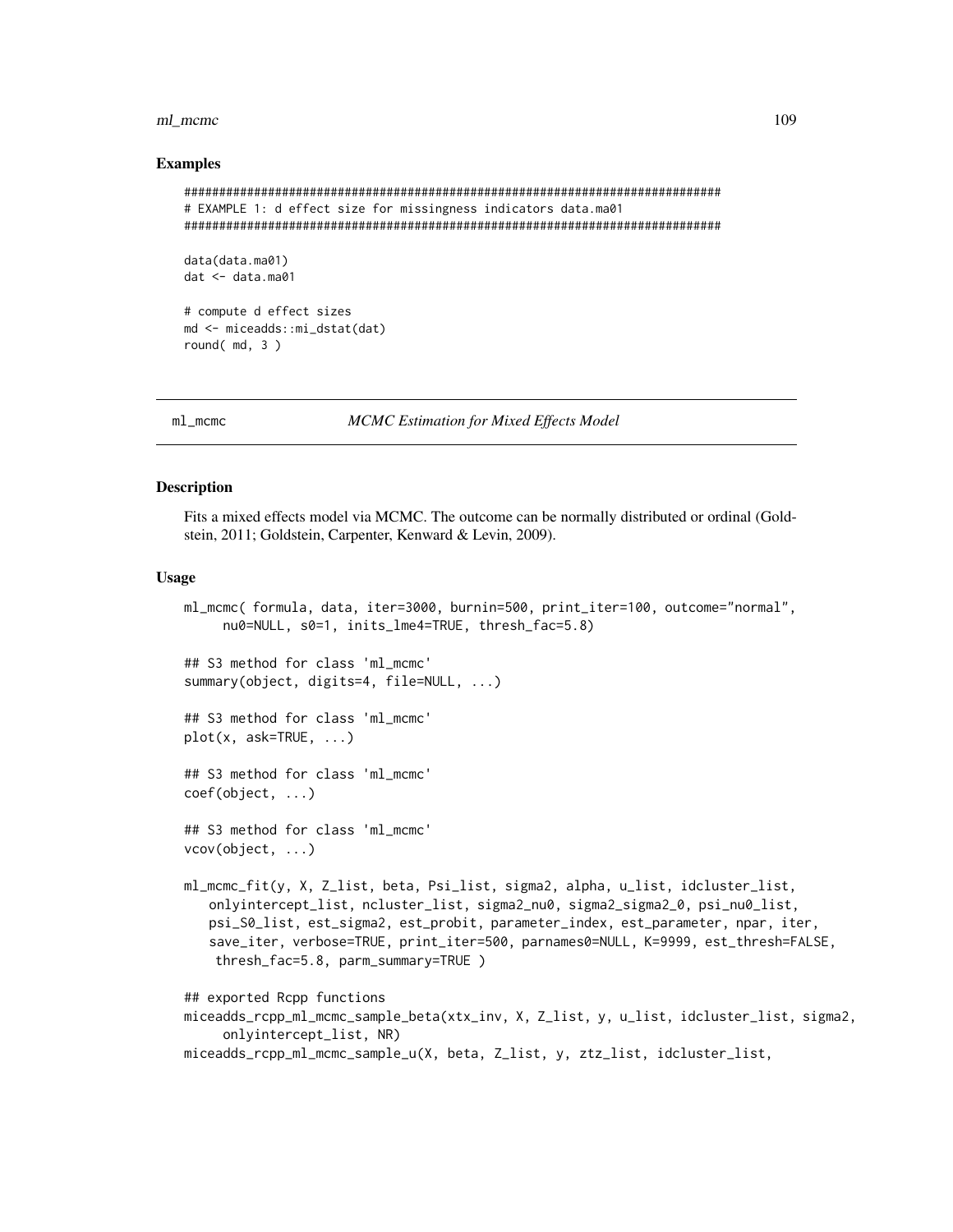#### ml\_mcmc

#### **Examples**

```
# EXAMPLE 1: d effect size for missingness indicators data.ma01
data(data.ma01)
dat < - data.mac01# compute d effect sizes
md <- miceadds::mi_dstat(dat)
round(md, 3)
```
 $ml$ \_mcmc

**MCMC** Estimation for Mixed Effects Model

#### **Description**

Fits a mixed effects model via MCMC. The outcome can be normally distributed or ordinal (Goldstein, 2011; Goldstein, Carpenter, Kenward & Levin, 2009).

ml\_mcmc(formula, data, iter=3000, burnin=500, print\_iter=100, outcome="normal",

#### **Usage**

```
nu0=NULL, s0=1, inits_lme4=TRUE, thresh_fac=5.8)
## S3 method for class 'ml mcmc'
summary(object, digits=4, file=NULL, ...)
## S3 method for class 'ml_mcmc'
plot(x, ask=True, ...)## S3 method for class 'ml_mcmc'
\text{coef}(\text{object}, \ldots)## S3 method for class 'ml_mcmc'
vcov(object, ...)ml_mcmc_fit(y, X, Z_list, beta, Psi_list, sigma2, alpha, u_list, idcluster_list,
   onlyintercept_list, ncluster_list, sigma2_nu0, sigma2_sigma2_0, psi_nu0_list,
   psi_S0_list, est_sigma2, est_probit, parameter_index, est_parameter, npar, iter,
   save_iter, verbose=TRUE, print_iter=500, parnames0=NULL, K=9999, est_thresh=FALSE,
    thresh_fac=5.8, parm_summary=TRUE)
## exported Rcpp functions
miceadds_rcpp_ml_mcmc_sample_beta(xtx_inv, X, Z_list, y, u_list, idcluster_list, sigma2,
     onlyintercept_list, NR)
miceadds_rcpp_ml_mcmc_sample_u(X, beta, Z_list, y, ztz_list, idcluster_list,
```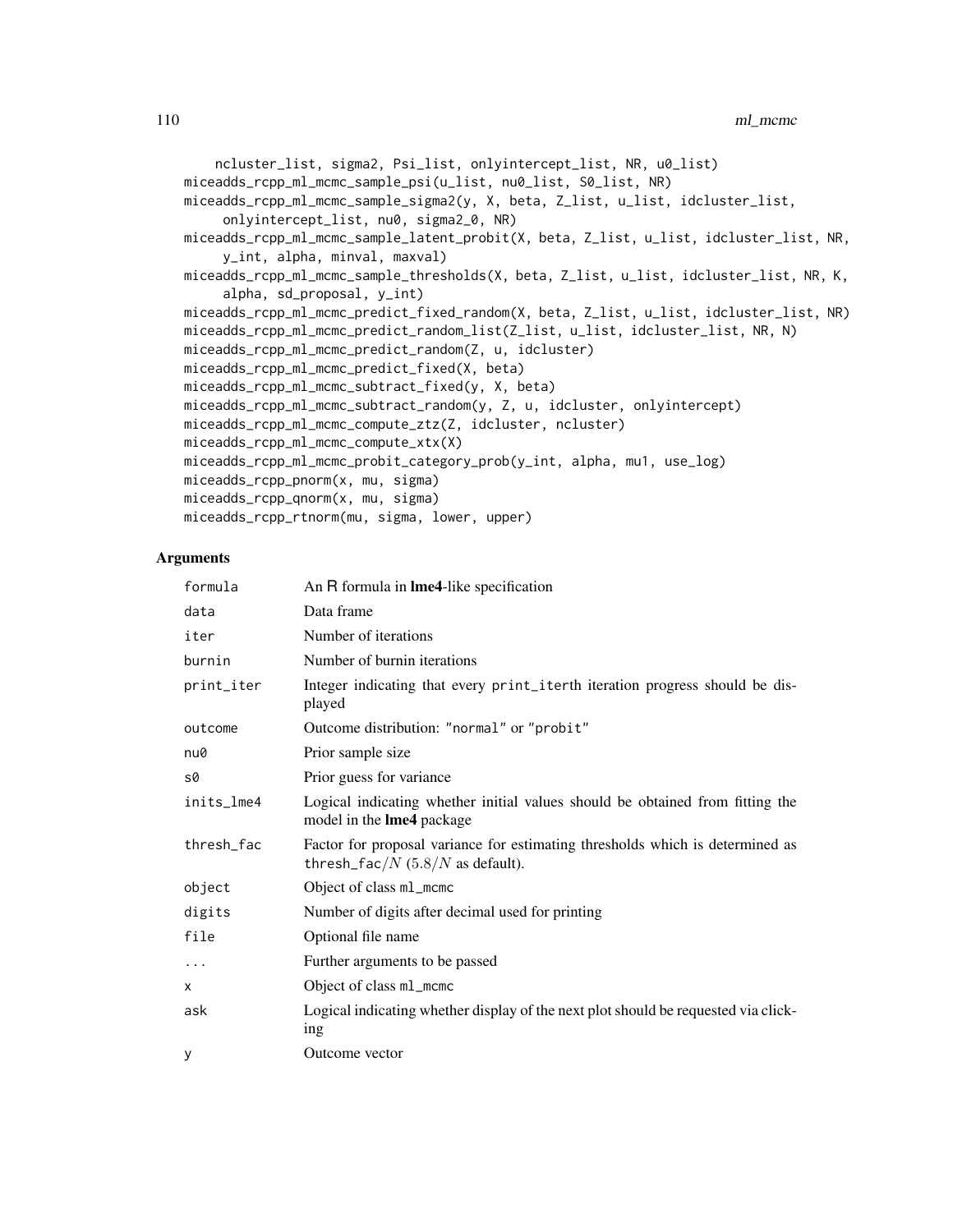```
ncluster_list, sigma2, Psi_list, onlyintercept_list, NR, u0_list)
miceadds_rcpp_ml_mcmc_sample_psi(u_list, nu0_list, S0_list, NR)
miceadds_rcpp_ml_mcmc_sample_sigma2(y, X, beta, Z_list, u_list, idcluster_list,
     onlyintercept_list, nu0, sigma2_0, NR)
miceadds_rcpp_ml_mcmc_sample_latent_probit(X, beta, Z_list, u_list, idcluster_list, NR,
     y_int, alpha, minval, maxval)
miceadds_rcpp_ml_mcmc_sample_thresholds(X, beta, Z_list, u_list, idcluster_list, NR, K,
     alpha, sd_proposal, y_int)
miceadds_rcpp_ml_mcmc_predict_fixed_random(X, beta, Z_list, u_list, idcluster_list, NR)
miceadds_rcpp_ml_mcmc_predict_random_list(Z_list, u_list, idcluster_list, NR, N)
miceadds_rcpp_ml_mcmc_predict_random(Z, u, idcluster)
miceadds_rcpp_ml_mcmc_predict_fixed(X, beta)
miceadds_rcpp_ml_mcmc_subtract_fixed(y, X, beta)
miceadds_rcpp_ml_mcmc_subtract_random(y, Z, u, idcluster, onlyintercept)
miceadds_rcpp_ml_mcmc_compute_ztz(Z, idcluster, ncluster)
miceadds_rcpp_ml_mcmc_compute_xtx(X)
miceadds_rcpp_ml_mcmc_probit_category_prob(y_int, alpha, mu1, use_log)
miceadds_rcpp_pnorm(x, mu, sigma)
miceadds_rcpp_qnorm(x, mu, sigma)
miceadds_rcpp_rtnorm(mu, sigma, lower, upper)
```
#### Arguments

| formula    | An R formula in Ime4-like specification                                                                                 |
|------------|-------------------------------------------------------------------------------------------------------------------------|
| data       | Data frame                                                                                                              |
| iter       | Number of iterations                                                                                                    |
| burnin     | Number of burnin iterations                                                                                             |
| print_iter | Integer indicating that every print_iterth iteration progress should be dis-<br>played                                  |
| outcome    | Outcome distribution: "normal" or "probit"                                                                              |
| nu0        | Prior sample size                                                                                                       |
| $s\theta$  | Prior guess for variance                                                                                                |
| inits_lme4 | Logical indicating whether initial values should be obtained from fitting the<br>model in the <b>lme4</b> package       |
| thresh_fac | Factor for proposal variance for estimating thresholds which is determined as<br>thresh_fac/ $N$ (5.8/ $N$ as default). |
| object     | Object of class m1_mcmc                                                                                                 |
| digits     | Number of digits after decimal used for printing                                                                        |
| file       | Optional file name                                                                                                      |
| $\ddots$   | Further arguments to be passed                                                                                          |
| x          | Object of class m1_mcmc                                                                                                 |
| ask        | Logical indicating whether display of the next plot should be requested via click-<br>ing                               |
| У          | Outcome vector                                                                                                          |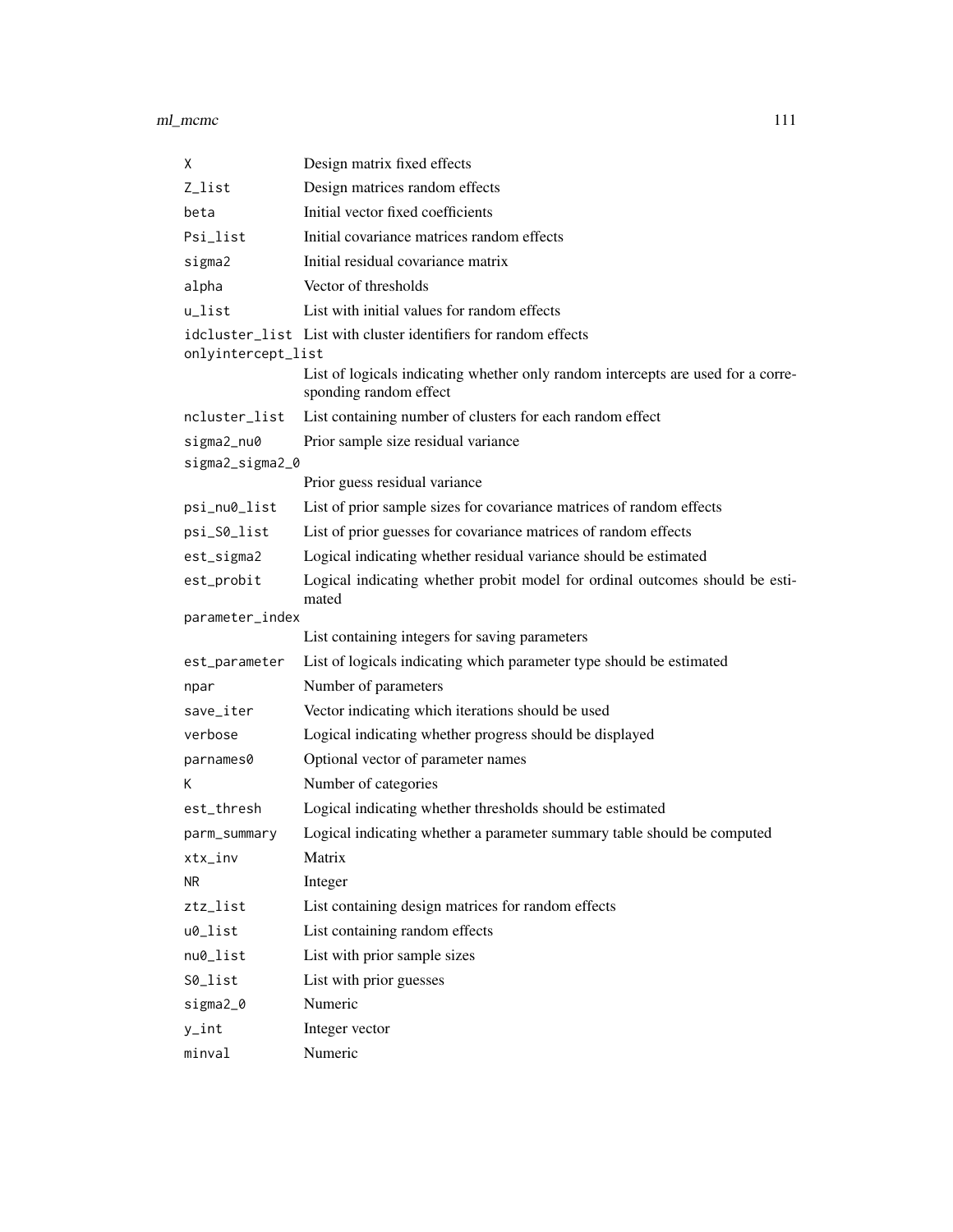#### ml\_mcmc 111

| X                  | Design matrix fixed effects                                                                                |
|--------------------|------------------------------------------------------------------------------------------------------------|
| Z_list             | Design matrices random effects                                                                             |
| beta               | Initial vector fixed coefficients                                                                          |
| Psi_list           | Initial covariance matrices random effects                                                                 |
| sigma2             | Initial residual covariance matrix                                                                         |
| alpha              | Vector of thresholds                                                                                       |
| u_list             | List with initial values for random effects                                                                |
| onlyintercept_list | idcluster_list List with cluster identifiers for random effects                                            |
|                    | List of logicals indicating whether only random intercepts are used for a corre-<br>sponding random effect |
| ncluster_list      | List containing number of clusters for each random effect                                                  |
| sigma2_nu0         | Prior sample size residual variance                                                                        |
| sigma2_sigma2_0    |                                                                                                            |
|                    | Prior guess residual variance                                                                              |
| psi_nu0_list       | List of prior sample sizes for covariance matrices of random effects                                       |
| psi_S0_list        | List of prior guesses for covariance matrices of random effects                                            |
| est_sigma2         | Logical indicating whether residual variance should be estimated                                           |
| est_probit         | Logical indicating whether probit model for ordinal outcomes should be esti-<br>mated                      |
| parameter_index    |                                                                                                            |
|                    | List containing integers for saving parameters                                                             |
| est_parameter      | List of logicals indicating which parameter type should be estimated                                       |
| npar               | Number of parameters                                                                                       |
| save_iter          | Vector indicating which iterations should be used                                                          |
| verbose            | Logical indicating whether progress should be displayed                                                    |
| parnames0          | Optional vector of parameter names                                                                         |
| К                  | Number of categories                                                                                       |
| est_thresh         | Logical indicating whether thresholds should be estimated                                                  |
| parm_summary       | Logical indicating whether a parameter summary table should be computed                                    |
| xtx_inv            | Matrix                                                                                                     |
| NR.                | Integer                                                                                                    |
| ztz_list           | List containing design matrices for random effects                                                         |
| u0_list            | List containing random effects                                                                             |
| nu0_list           | List with prior sample sizes                                                                               |
| S0_list            | List with prior guesses                                                                                    |
| sigma2_0           | Numeric                                                                                                    |
| $y$ _int           | Integer vector                                                                                             |
| minval             | Numeric                                                                                                    |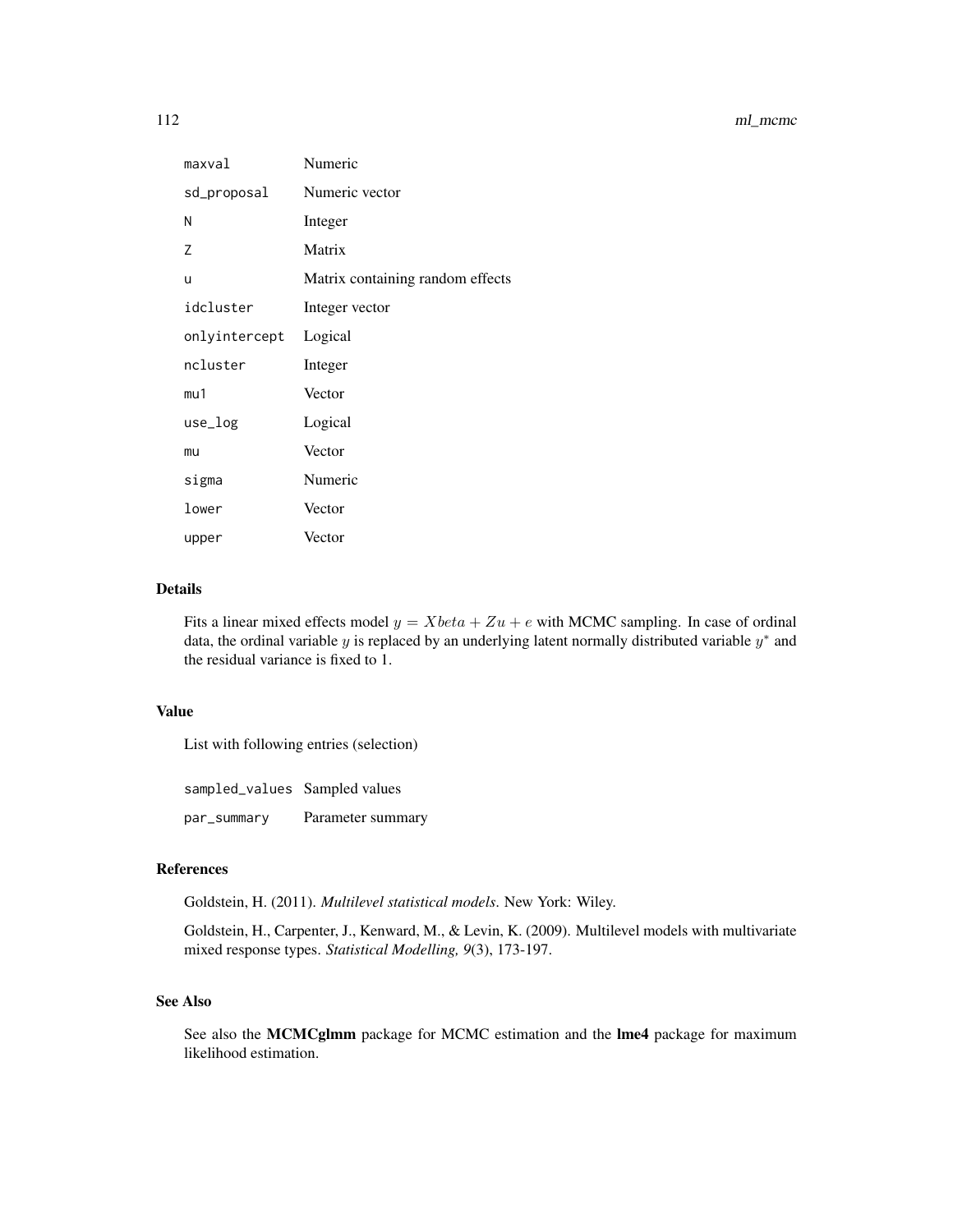| maxval        | Numeric                          |
|---------------|----------------------------------|
| sd_proposal   | Numeric vector                   |
| Ν             | Integer                          |
| Ζ             | Matrix                           |
| u             | Matrix containing random effects |
| idcluster     | Integer vector                   |
| onlyintercept | Logical                          |
| ncluster      | Integer                          |
| mu1           | Vector                           |
| use_log       | Logical                          |
| mu            | Vector                           |
| sigma         | Numeric                          |
| lower         | Vector                           |
| upper         | Vector                           |

## Details

Fits a linear mixed effects model  $y = Xbeta + Zu + e$  with MCMC sampling. In case of ordinal data, the ordinal variable  $y$  is replaced by an underlying latent normally distributed variable  $y^*$  and the residual variance is fixed to 1.

## Value

List with following entries (selection)

sampled\_values Sampled values par\_summary Parameter summary

## References

Goldstein, H. (2011). *Multilevel statistical models*. New York: Wiley.

Goldstein, H., Carpenter, J., Kenward, M., & Levin, K. (2009). Multilevel models with multivariate mixed response types. *Statistical Modelling, 9*(3), 173-197.

## See Also

See also the MCMCglmm package for MCMC estimation and the lme4 package for maximum likelihood estimation.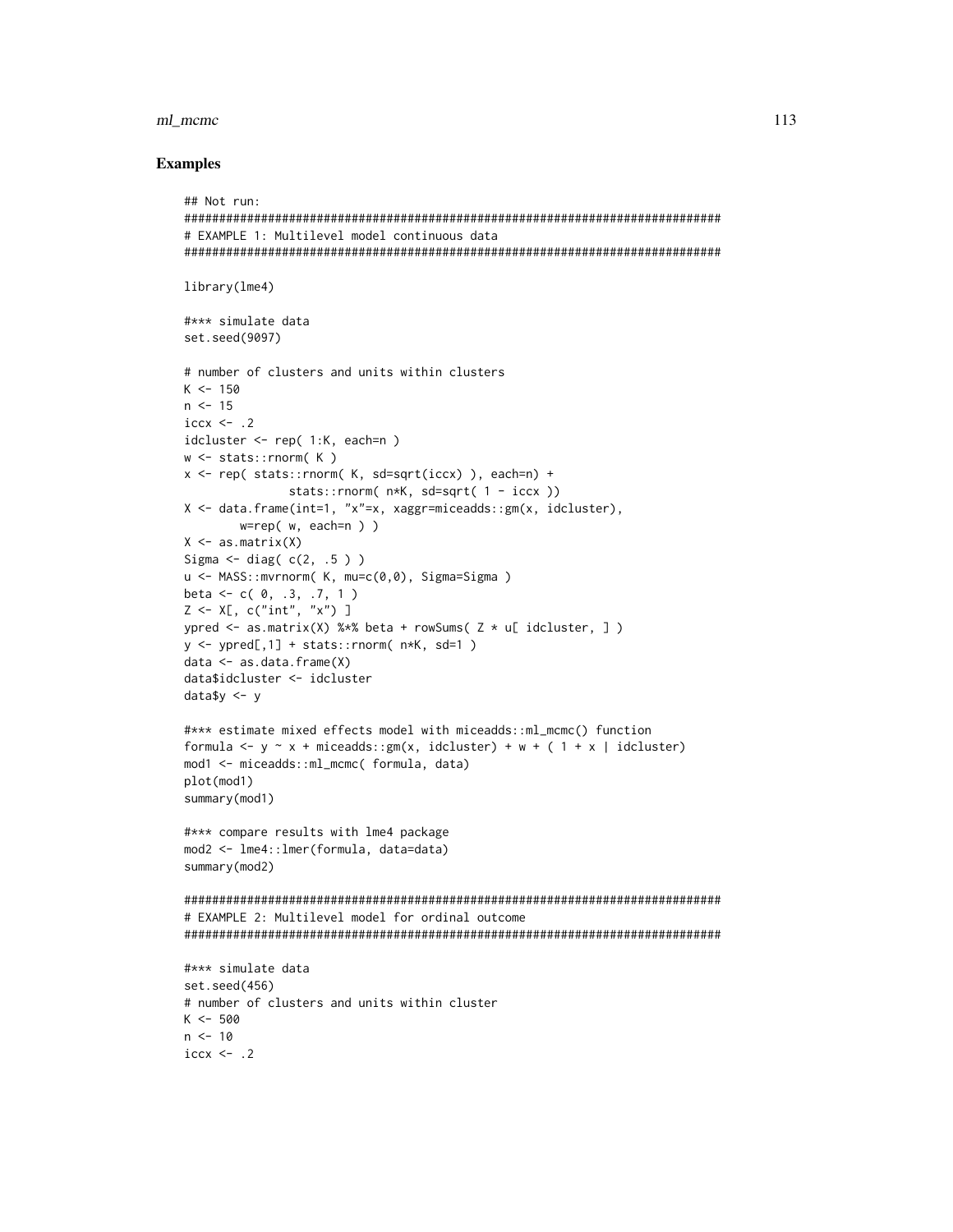#### ml mcmc

```
## Not run:
# EXAMPLE 1: Multilevel model continuous data
library(lme4)
#*** simulate data
set.seed(9097)
# number of clusters and units within clusters
K < -150n \le -15iccx \leftarrow .2idcluster \leq rep( 1:K, each=n )
w \leftarrow stats:: rnorm(K)
x \leq rep(\text{stats::rnorm}(\text{K}, \text{sd=sqrt}(\text{iccx})), each=n) +
             stats::rnorm( n*K, sd=sqrt( 1 - iccx ))
X \le data.frame(int=1, "x"=x, xaggr=miceadds::gm(x, idcluster),
      w = rep(w, each=n)X \leftarrow \text{as_matrix}(X)Sigma \le diag(c(2, .5))
u <- MASS::mvrnorm( K, mu=c(0,0), Sigma=Sigma )
beta <- c(0, .3, .7, 1)
Z \leq X[, C("int", "x")]
ypred <- as.matrix(X) %*% beta + rowSums(Z \times u[ idcluster, ])
y \le y y y wheel [0, 1] + stats:: rnorm(n*K, sd=1)
data \leftarrow as.data-frame(X)data$idcluster <- idcluster
data <- y#*** estimate mixed effects model with miceadds::ml_mcmc() function
formula <- y \sim x + miceadds::gm(x, idcluster) + w + (1 + x | idcluster)
mod1 <- miceadds::ml_mcmc( formula, data)
plot(mod1)
summary(mod1)
#*** compare results with lme4 package
mod2 <- lme4::lmer(formula, data=data)
summary(mod2)
# EXAMPLE 2: Multilevel model for ordinal outcome
#*** simulate data
set.seed(456)
# number of clusters and units within cluster
K < -500n < -10iccx \leftarrow .2
```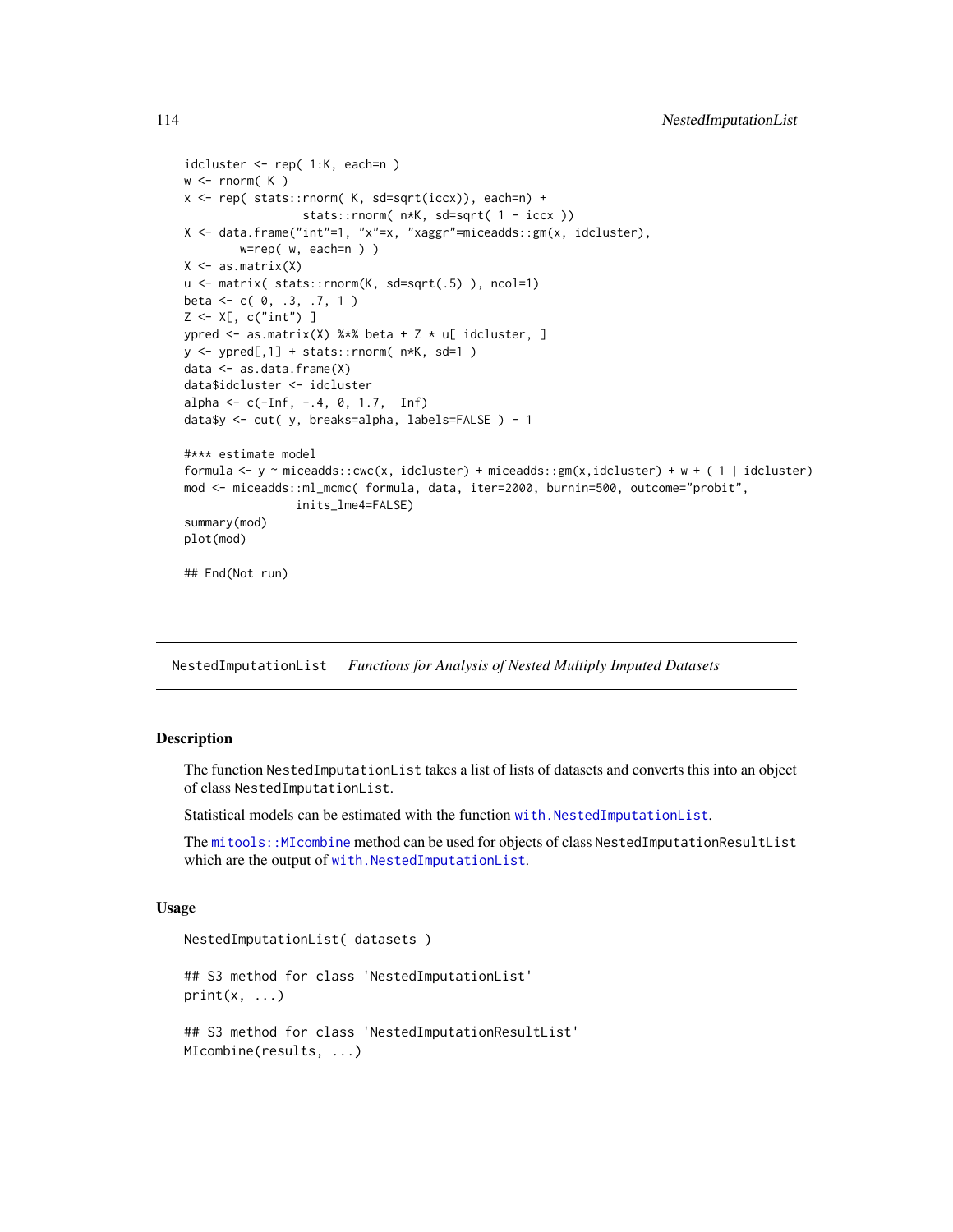```
idcluster <- rep( 1:K, each=n )
w \leftarrow \text{rnorm}(\ K)x <- rep( stats::rnorm( K, sd=sqrt(iccx)), each=n) +
                  stats::rnorm( n*K, sd=sqrt( 1 - iccx ))
X <- data.frame("int"=1, "x"=x, "xaggr"=miceadds::gm(x, idcluster),
        w=rep( w, each=n ) )
X \leftarrow as.matrix(X)u <- matrix( stats::rnorm(K, sd=sqrt(.5) ), ncol=1)
beta <- c( 0, .3, .7, 1 )
Z \leftarrow X[, C("int")]
ypred \leq as.matrix(X) %*% beta + Z * u[ idcluster, ]
y <- ypred[,1] + stats::rnorm( n*K, sd=1 )
data <- as.data.frame(X)
data$idcluster <- idcluster
alpha <- c(-Inf, -.4, 0, 1.7, Inf)
data$y <- cut( y, breaks=alpha, labels=FALSE ) - 1
#*** estimate model
formula <- y ~ miceadds::cwc(x, idcluster) + miceadds::gm(x, idcluster) + w + ( 1 | idcluster)
mod <- miceadds::ml_mcmc( formula, data, iter=2000, burnin=500, outcome="probit",
                inits_lme4=FALSE)
summary(mod)
plot(mod)
## End(Not run)
```
NestedImputationList *Functions for Analysis of Nested Multiply Imputed Datasets*

#### <span id="page-113-0"></span>**Description**

The function NestedImputationList takes a list of lists of datasets and converts this into an object of class NestedImputationList.

Statistical models can be estimated with the function [with.NestedImputationList](#page-155-0).

The [mitools::MIcombine](#page-0-0) method can be used for objects of class NestedImputationResultList which are the output of [with.NestedImputationList](#page-155-0).

#### Usage

```
NestedImputationList( datasets )
```
## S3 method for class 'NestedImputationList'  $print(x, \ldots)$ ## S3 method for class 'NestedImputationResultList'

MIcombine(results, ...)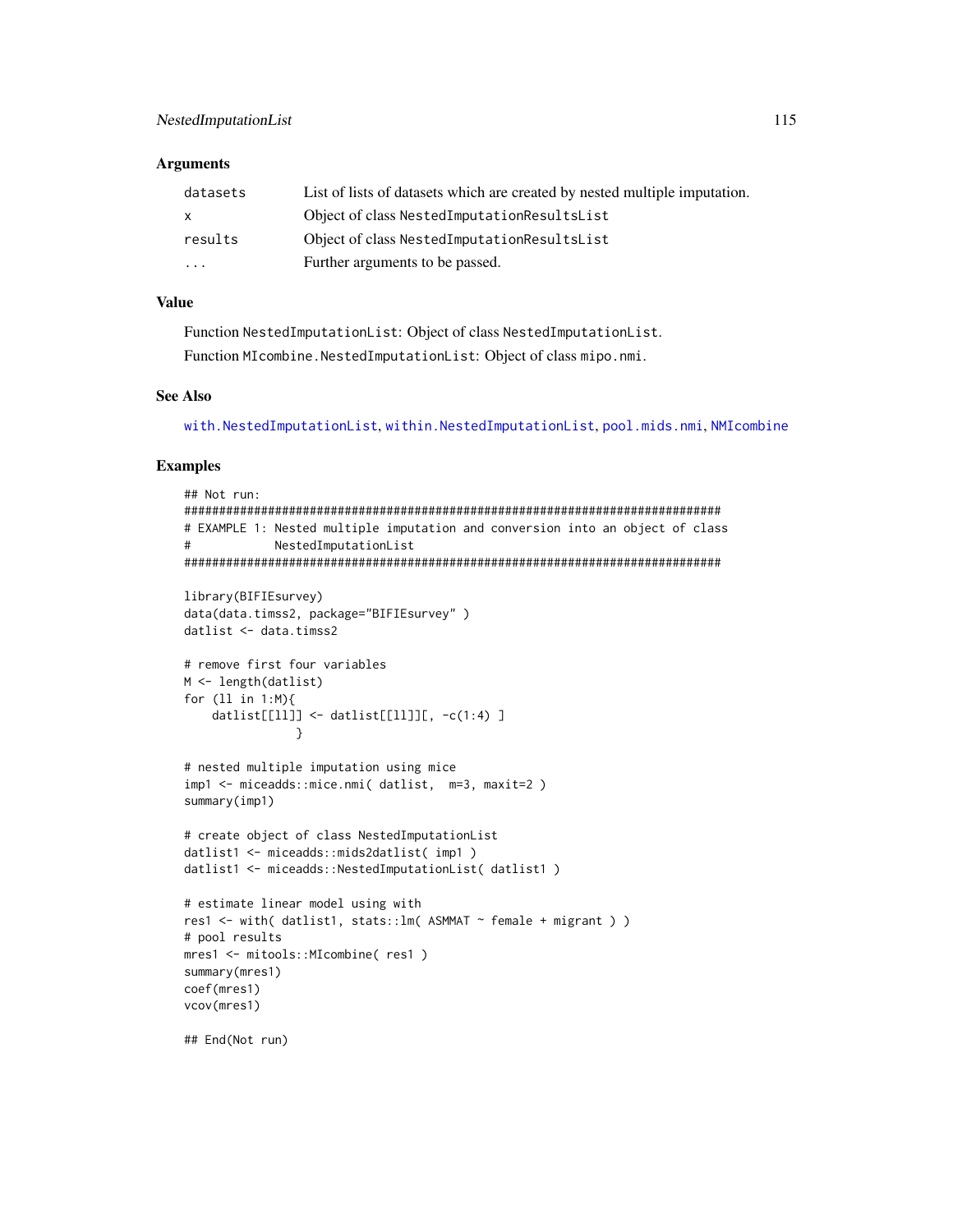#### **Arguments**

| datasets                | List of lists of datasets which are created by nested multiple imputation. |
|-------------------------|----------------------------------------------------------------------------|
| $\mathsf{X}$            | Object of class NestedImputationResultsList                                |
| results                 | Object of class NestedImputationResultsList                                |
| $\cdot$ $\cdot$ $\cdot$ | Further arguments to be passed.                                            |

## **Value**

Function NestedImputationList: Object of class NestedImputationList. Function MIcombine. NestedImputationList: Object of class mipo.nmi.

#### **See Also**

with.NestedImputationList,within.NestedImputationList,pool.mids.nmi,NMIcombine

#### **Examples**

```
## Not run:
# EXAMPLE 1: Nested multiple imputation and conversion into an object of class
#NestedImputationList
library(BIFIEsurvey)
data(data.timss2, package="BIFIEsurvey")
datlist <- data.timss2
# remove first four variables
M \leftarrow length(datlist)
for (11 in 1:M){
   datlist[[11]] <- datlist[[11]][, -c(1:4) ]
             \mathcal{L}# nested multiple imputation using mice
imp1 <- miceadds::mice.nmi( datlist, m=3, maxit=2)
summary(imp1)
# create object of class NestedImputationList
datlist1 <- miceadds::mids2datlist( imp1)
datlist1 <- miceadds::NestedImputationList( datlist1)
# estimate linear model using with
res1 <- with( datlist1, stats:: lm( ASMMAT ~ female + migrant ) )
# pool results
mres1 <- mitools::MIcombine( res1 )
summary(mres1)
coef(mres1)
vcov(mres1)
```
## End(Not run)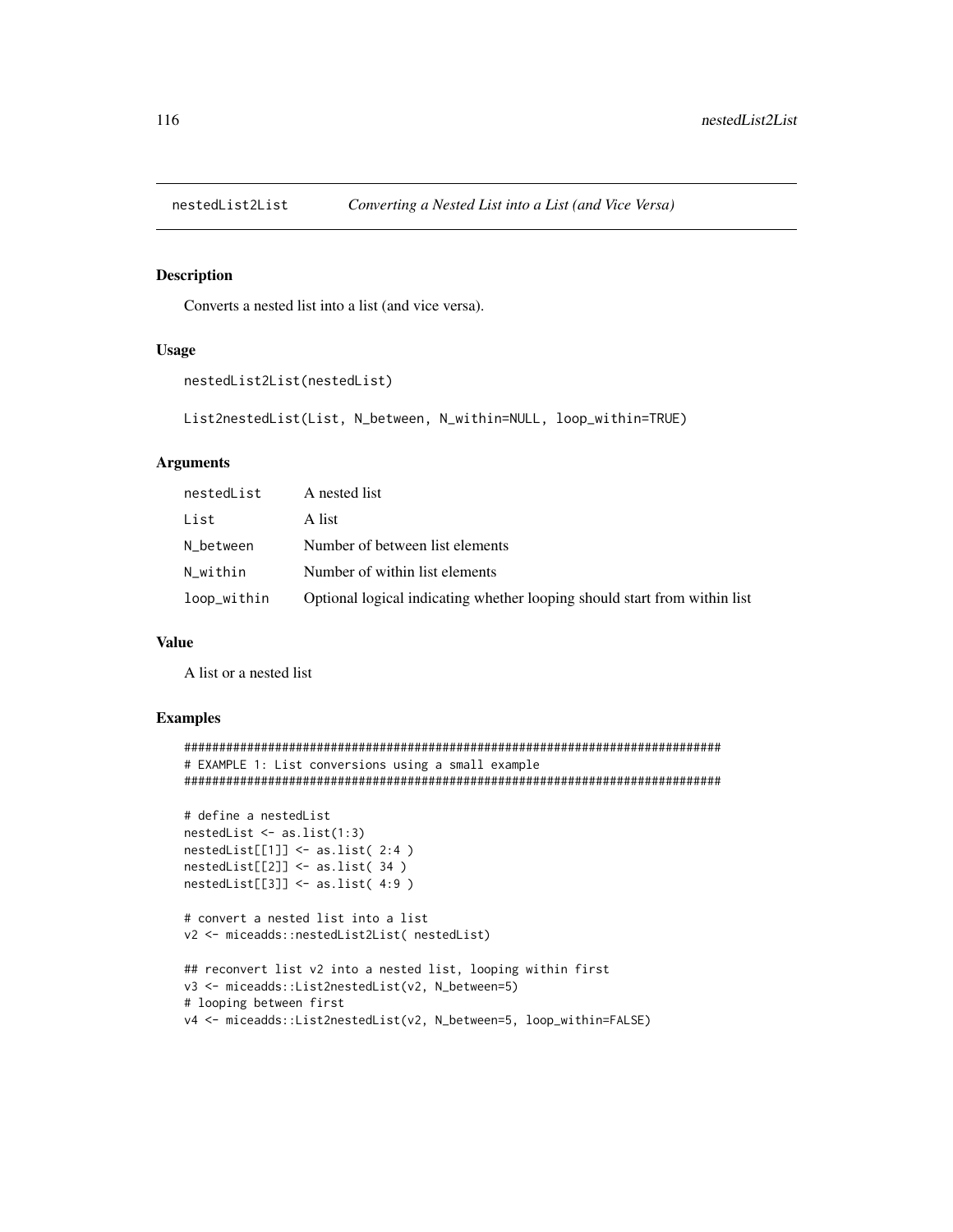## Description

Converts a nested list into a list (and vice versa).

## Usage

```
nestedList2List(nestedList)
```

```
List2nestedList(List, N_between, N_within=NULL, loop_within=TRUE)
```
### Arguments

| nestedList  | A nested list                                                             |
|-------------|---------------------------------------------------------------------------|
| List        | A list                                                                    |
| N between   | Number of between list elements                                           |
| N within    | Number of within list elements                                            |
| loop_within | Optional logical indicating whether looping should start from within list |

## Value

A list or a nested list

```
#############################################################################
# EXAMPLE 1: List conversions using a small example
#############################################################################
# define a nestedList
nestedList <- as.list(1:3)
nestedList[[1]] <- as.list( 2:4 )
nestedList[[2]] <- as.list( 34 )
nestedList[[3]] <- as.list( 4:9 )
# convert a nested list into a list
v2 <- miceadds::nestedList2List( nestedList)
## reconvert list v2 into a nested list, looping within first
v3 <- miceadds::List2nestedList(v2, N_between=5)
# looping between first
v4 <- miceadds::List2nestedList(v2, N_between=5, loop_within=FALSE)
```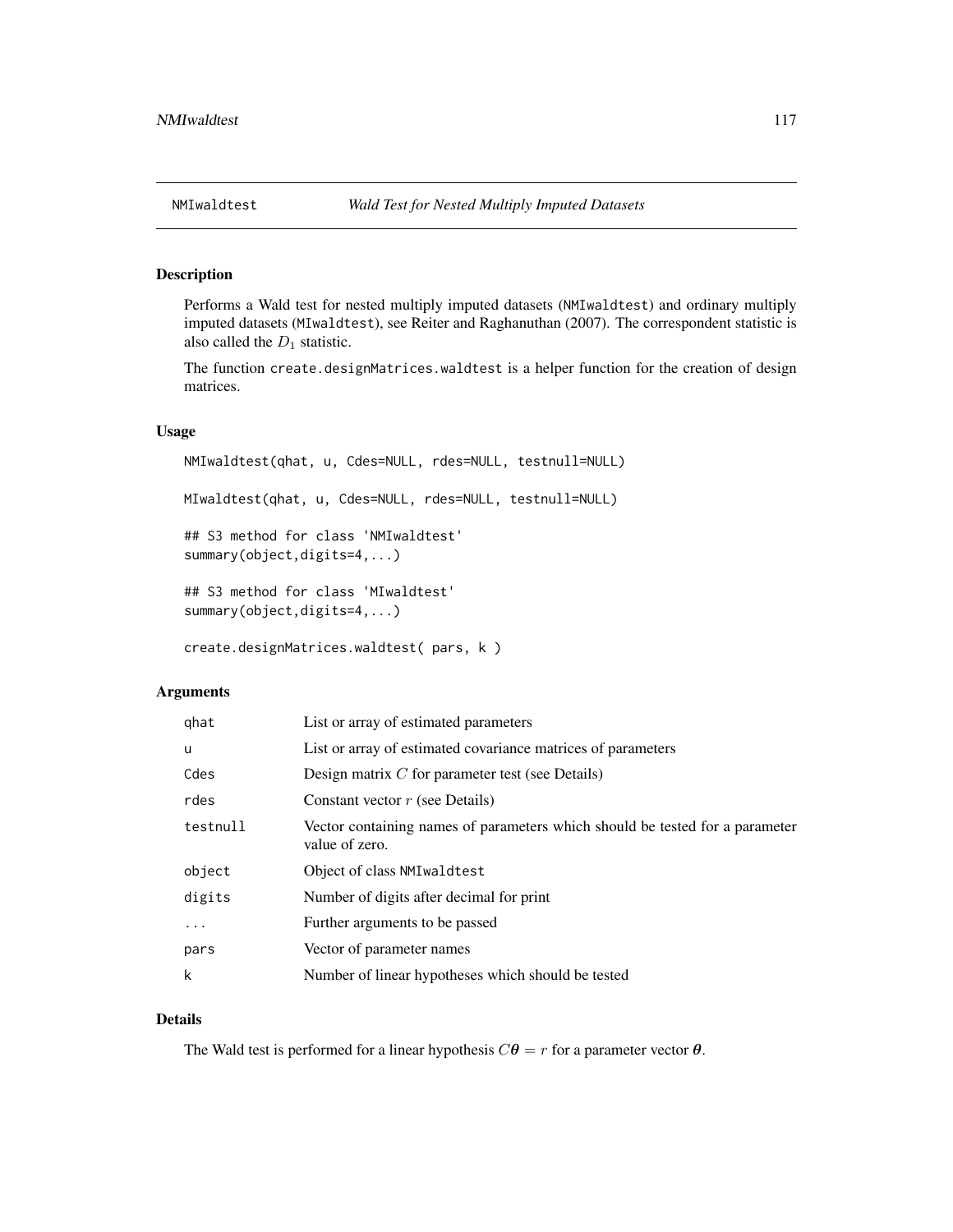## Description

Performs a Wald test for nested multiply imputed datasets (NMIwaldtest) and ordinary multiply imputed datasets (MIwaldtest), see Reiter and Raghanuthan (2007). The correspondent statistic is also called the  $D_1$  statistic.

The function create.designMatrices.waldtest is a helper function for the creation of design matrices.

#### Usage

NMIwaldtest(qhat, u, Cdes=NULL, rdes=NULL, testnull=NULL) MIwaldtest(qhat, u, Cdes=NULL, rdes=NULL, testnull=NULL) ## S3 method for class 'NMIwaldtest' summary(object,digits=4,...) ## S3 method for class 'MIwaldtest' summary(object,digits=4,...)

```
create.designMatrices.waldtest( pars, k )
```
## Arguments

| qhat     | List or array of estimated parameters                                                          |
|----------|------------------------------------------------------------------------------------------------|
| u        | List or array of estimated covariance matrices of parameters                                   |
| Cdes     | Design matrix $C$ for parameter test (see Details)                                             |
| rdes     | Constant vector $r$ (see Details)                                                              |
| testnull | Vector containing names of parameters which should be tested for a parameter<br>value of zero. |
| object   | Object of class NMI wald test                                                                  |
| digits   | Number of digits after decimal for print                                                       |
| $\cdots$ | Further arguments to be passed                                                                 |
| pars     | Vector of parameter names                                                                      |
| k        | Number of linear hypotheses which should be tested                                             |

## Details

The Wald test is performed for a linear hypothesis  $C\theta = r$  for a parameter vector  $\theta$ .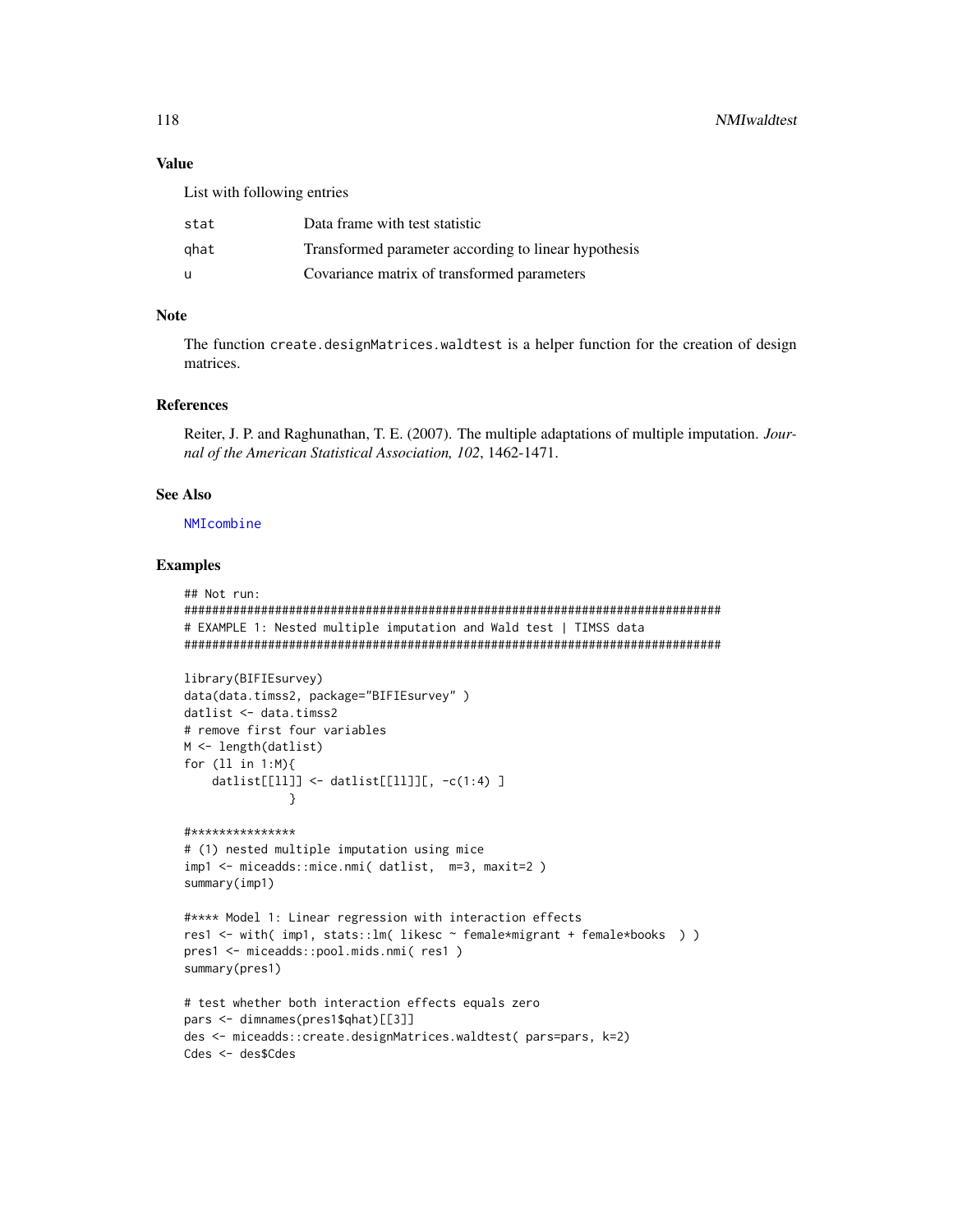## **Value**

List with following entries

| stat | Data frame with test statistic                       |
|------|------------------------------------------------------|
| ghat | Transformed parameter according to linear hypothesis |
| u    | Covariance matrix of transformed parameters          |

#### **Note**

The function create.designMatrices.waldtest is a helper function for the creation of design matrices.

## **References**

Reiter, J. P. and Raghunathan, T. E. (2007). The multiple adaptations of multiple imputation. Journal of the American Statistical Association, 102, 1462-1471.

#### **See Also**

NMIcombine

#### **Examples**

```
## Not run:
# EXAMPLE 1: Nested multiple imputation and Wald test | TIMSS data
library(BIFIEsurvey)
data(data.timss2, package="BIFIEsurvey")
datlist <- data.timss2
# remove first four variables
M \leftarrow length(datlist)
for (11 \text{ in } 1:M){
   datlist[[11]] <- datlist[[11]][, -c(1:4) ]
            \rightarrow#***************
# (1) nested multiple imputation using mice
imp1 <- miceadds::mice.nmi( datlist, m=3, maxit=2)
summary(imp1)#**** Model 1: Linear regression with interaction effects
res1 <- with( imp1, stats::lm( likesc ~ female*migrant + female*books ) )
pres1 <- miceadds::pool.mids.nmi( res1 )
summary(pres1)
# test whether both interaction effects equals zero
pars <- dimnames(pres1$qhat)[[3]]
des <- miceadds::create.designMatrices.waldtest( pars=pars, k=2)
Cdes <- des$Cdes
```
118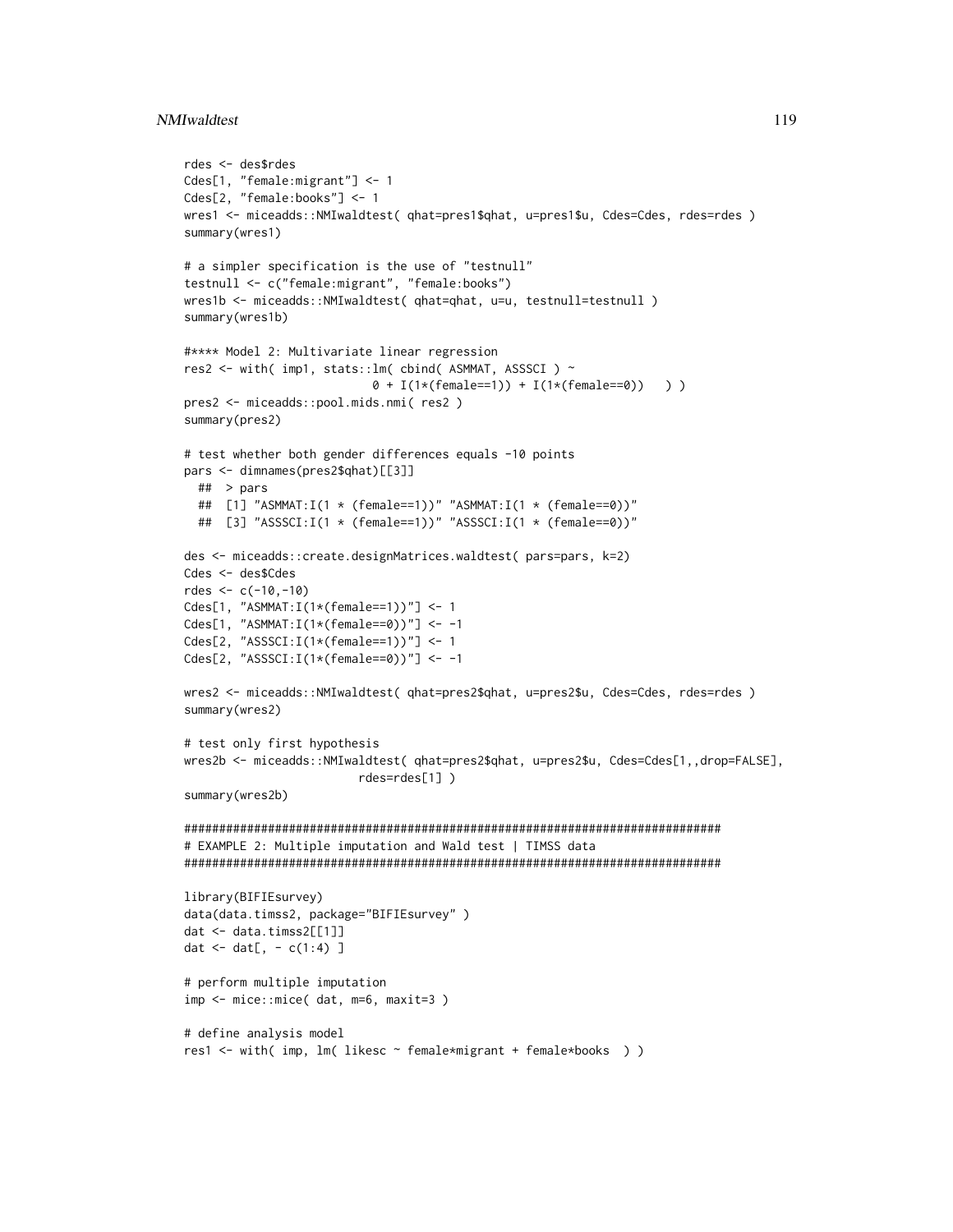#### NMIwaldtest 119

```
rdes <- des$rdes
Cdes[1, "female:migrant"] <- 1
Cdes[2, "female:books"] <- 1
wres1 <- miceadds::NMIwaldtest( qhat=pres1$qhat, u=pres1$u, Cdes=Cdes, rdes=rdes )
summary(wres1)
# a simpler specification is the use of "testnull"
testnull <- c("female:migrant", "female:books")
wres1b <- miceadds::NMIwaldtest( qhat=qhat, u=u, testnull=testnull )
summary(wres1b)
#**** Model 2: Multivariate linear regression
res2 <- with( imp1, stats::lm( cbind( ASMMAT, ASSSCI ) ~
                           0 + I(1*(female==1)) + I(1*(female==0)) ) )pres2 <- miceadds::pool.mids.nmi( res2 )
summary(pres2)
# test whether both gender differences equals -10 points
pars <- dimnames(pres2$qhat)[[3]]
  ## > pars
  ## [1] "ASMMAT:I(1 * (female==1))" "ASMMAT:I(1 * (female==0))"
  ## [3] "ASSSCI:I(1 * (female==1))" "ASSSCI:I(1 * (female==0))"
des <- miceadds::create.designMatrices.waldtest( pars=pars, k=2)
Cdes <- des$Cdes
rdes <-c(-10,-10)Cdes[1, "ASMMAT:I(1*(female==1))"] <- 1
Cdes[1, "ASMMAT:I(1*(female==0))"] <- -1
Cdes[2, "ASSSCI:I(1*(female==1))"] <- 1
Cdes[2, "ASSSCI:I(1*(female==0))"] <- -1
wres2 <- miceadds::NMIwaldtest( qhat=pres2$qhat, u=pres2$u, Cdes=Cdes, rdes=rdes )
summary(wres2)
# test only first hypothesis
wres2b <- miceadds::NMIwaldtest( qhat=pres2$qhat, u=pres2$u, Cdes=Cdes[1,,drop=FALSE],
                         rdes=rdes[1] )
summary(wres2b)
#############################################################################
# EXAMPLE 2: Multiple imputation and Wald test | TIMSS data
#############################################################################
library(BIFIEsurvey)
data(data.timss2, package="BIFIEsurvey" )
dat <- data.timss2[[1]]
dat <- dat[, - c(1:4) ]
# perform multiple imputation
imp <- mice::mice( dat, m=6, maxit=3 )
# define analysis model
res1 <- with( imp, lm( likesc ~ female*migrant + female*books ) )
```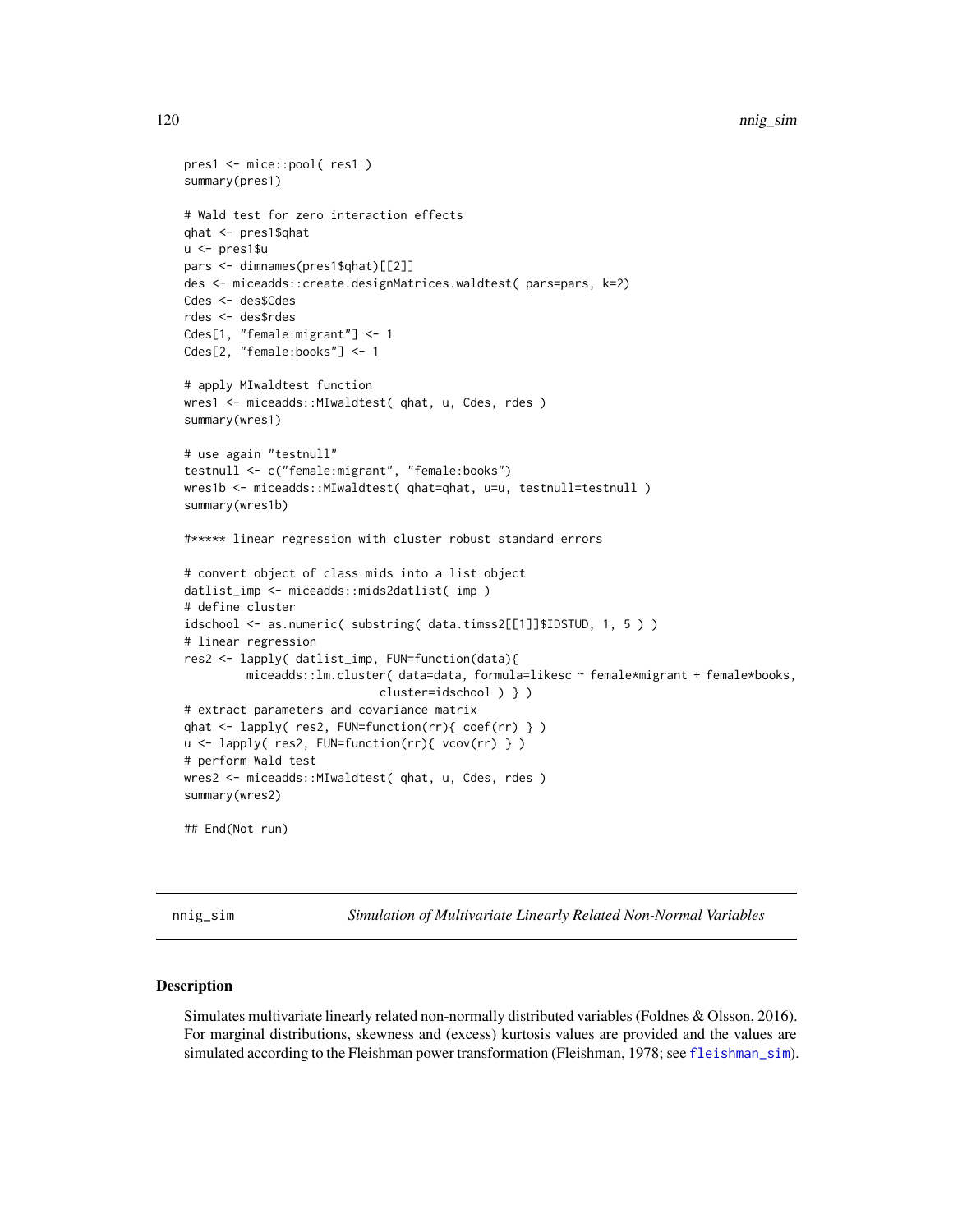```
pres1 <- mice::pool( res1 )
summary(pres1)
# Wald test for zero interaction effects
qhat <- pres1$qhat
u <- pres1$u
pars <- dimnames(pres1$qhat)[[2]]
des <- miceadds::create.designMatrices.waldtest( pars=pars, k=2)
Cdes <- des$Cdes
rdes <- des$rdes
Cdes[1, "female:migrant"] <- 1
Cdes[2, "female:books"] <- 1
# apply MIwaldtest function
wres1 <- miceadds::MIwaldtest( qhat, u, Cdes, rdes )
summary(wres1)
# use again "testnull"
testnull <- c("female:migrant", "female:books")
wres1b <- miceadds::MIwaldtest( qhat=qhat, u=u, testnull=testnull )
summary(wres1b)
#***** linear regression with cluster robust standard errors
# convert object of class mids into a list object
datlist_imp <- miceadds::mids2datlist( imp )
# define cluster
idschool <- as.numeric( substring( data.timss2[[1]]$IDSTUD, 1, 5 ) )
# linear regression
res2 <- lapply( datlist_imp, FUN=function(data){
        miceadds::lm.cluster( data=data, formula=likesc ~ female*migrant + female*books,
                            cluster=idschool ) } )
# extract parameters and covariance matrix
qhat <- lapply( res2, FUN=function(rr){ coef(rr) } )
u <- lapply( res2, FUN=function(rr){ vcov(rr) } )
# perform Wald test
wres2 <- miceadds::MIwaldtest( qhat, u, Cdes, rdes )
summary(wres2)
## End(Not run)
```
nnig\_sim *Simulation of Multivariate Linearly Related Non-Normal Variables*

#### **Description**

Simulates multivariate linearly related non-normally distributed variables (Foldnes & Olsson, 2016). For marginal distributions, skewness and (excess) kurtosis values are provided and the values are simulated according to the Fleishman power transformation (Fleishman, 1978; see [fleishman\\_sim](#page-33-0)).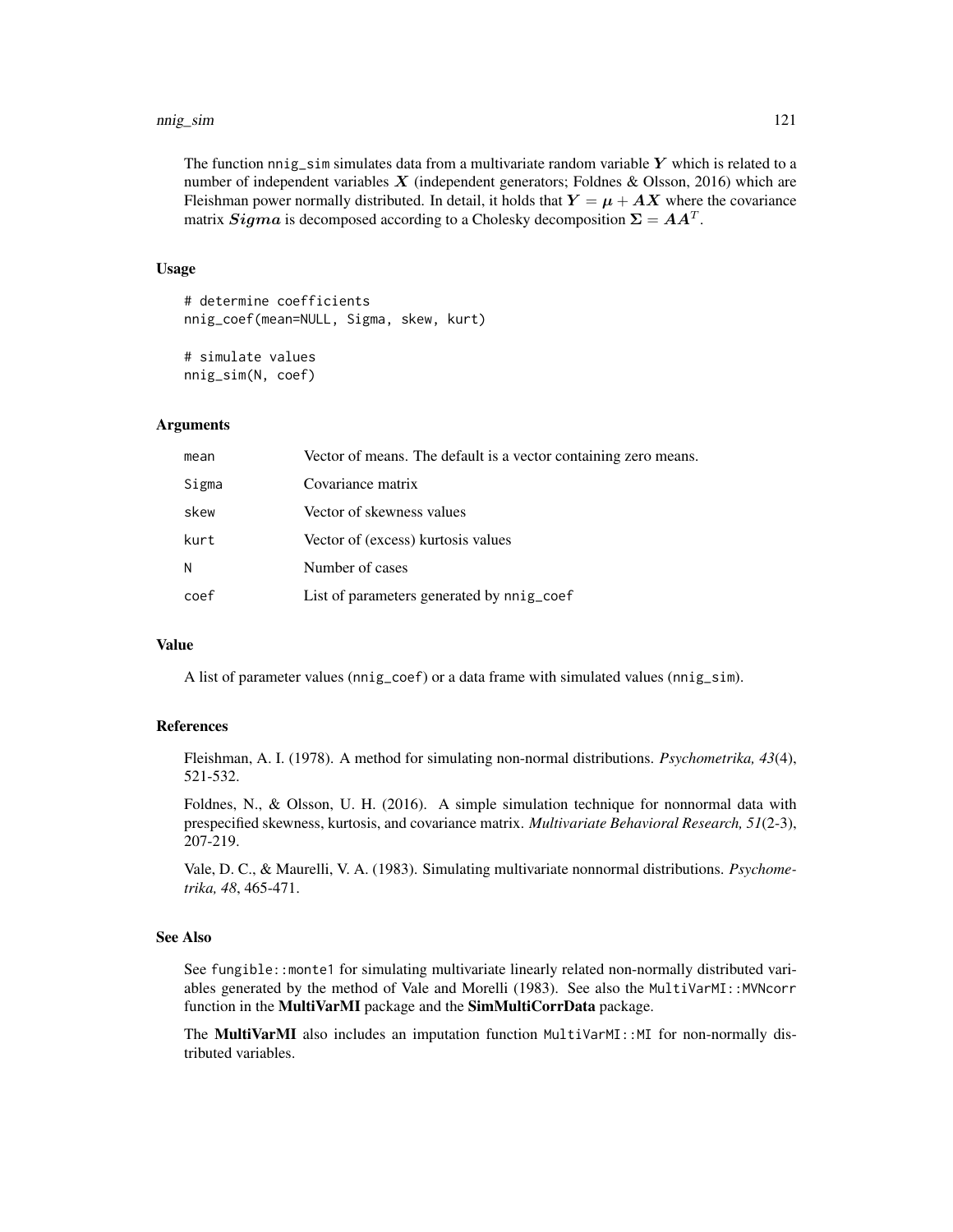The function nnig<sub>sim</sub> simulates data from a multivariate random variable Y which is related to a number of independent variables  $X$  (independent generators; Foldnes & Olsson, 2016) which are Fleishman power normally distributed. In detail, it holds that  $Y = \mu + AX$  where the covariance matrix  $Sigma$  is decomposed according to a Cholesky decomposition  $\Sigma = AA^T$ .

#### Usage

```
# determine coefficients
nnig_coef(mean=NULL, Sigma, skew, kurt)
```
# simulate values nnig\_sim(N, coef)

## Arguments

| mean  | Vector of means. The default is a vector containing zero means. |
|-------|-----------------------------------------------------------------|
| Sigma | Covariance matrix                                               |
| skew  | Vector of skewness values                                       |
| kurt  | Vector of (excess) kurtosis values                              |
| N     | Number of cases                                                 |
| coef  | List of parameters generated by nnig_coef                       |
|       |                                                                 |

#### Value

A list of parameter values (nnig\_coef) or a data frame with simulated values (nnig\_sim).

## References

Fleishman, A. I. (1978). A method for simulating non-normal distributions. *Psychometrika, 43*(4), 521-532.

Foldnes, N., & Olsson, U. H. (2016). A simple simulation technique for nonnormal data with prespecified skewness, kurtosis, and covariance matrix. *Multivariate Behavioral Research, 51*(2-3), 207-219.

Vale, D. C., & Maurelli, V. A. (1983). Simulating multivariate nonnormal distributions. *Psychometrika, 48*, 465-471.

#### See Also

See fungible::monte1 for simulating multivariate linearly related non-normally distributed variables generated by the method of Vale and Morelli (1983). See also the MultiVarMI::MVNcorr function in the MultiVarMI package and the SimMultiCorrData package.

The MultiVarMI also includes an imputation function MultiVarMI::MI for non-normally distributed variables.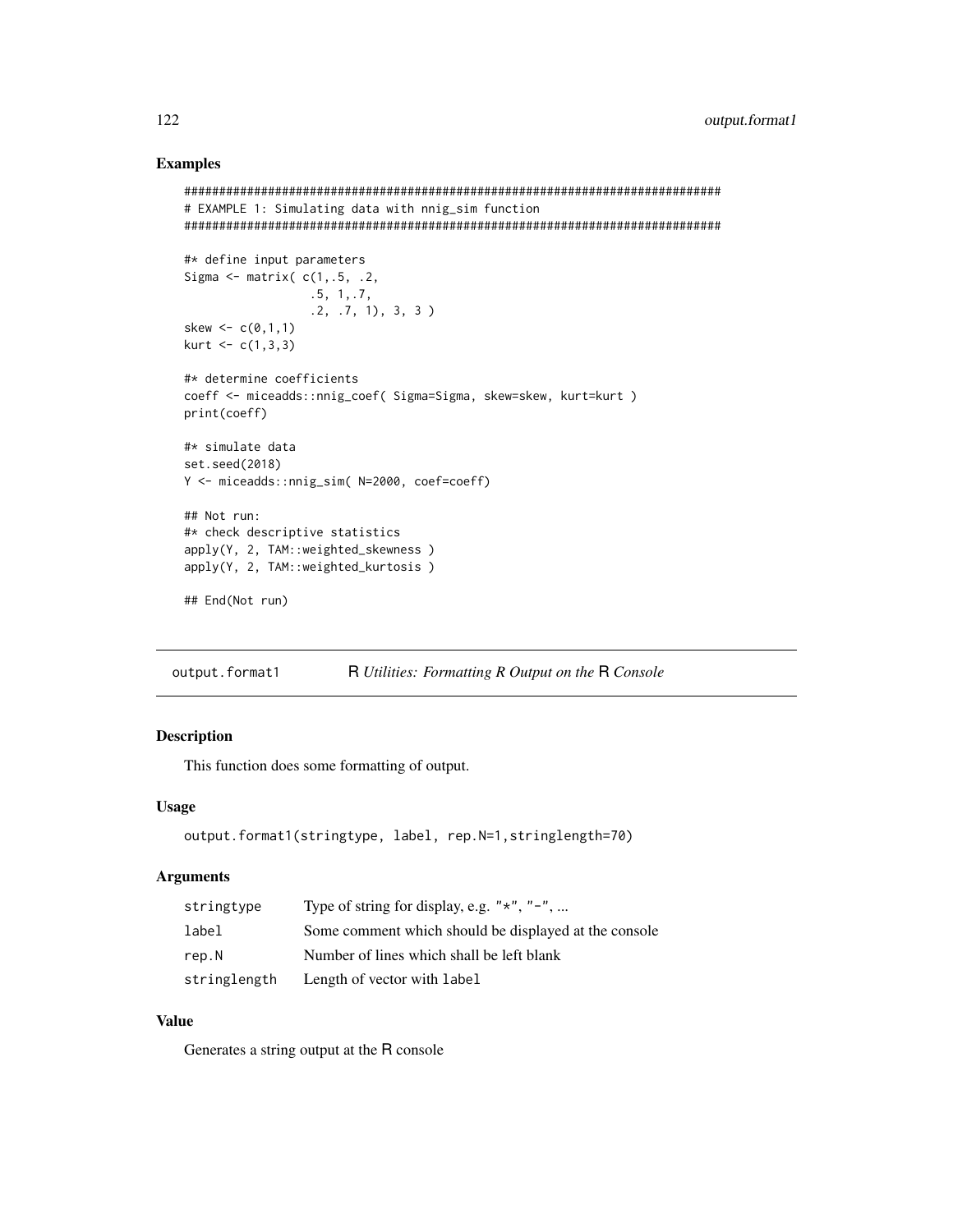## Examples

```
#############################################################################
# EXAMPLE 1: Simulating data with nnig_sim function
#############################################################################
#* define input parameters
Sigma \leq matrix(c(1, .5, .2, ).5, 1,.7,
                  .2, .7, 1), 3, 3 )
skew <-c(0,1,1)kurt < -c(1,3,3)#* determine coefficients
coeff <- miceadds::nnig_coef( Sigma=Sigma, skew=skew, kurt=kurt )
print(coeff)
#* simulate data
set.seed(2018)
Y <- miceadds::nnig_sim( N=2000, coef=coeff)
## Not run:
#* check descriptive statistics
apply(Y, 2, TAM::weighted_skewness )
apply(Y, 2, TAM::weighted_kurtosis )
## End(Not run)
```
output.format1 R *Utilities: Formatting R Output on the* R *Console*

## Description

This function does some formatting of output.

## Usage

```
output.format1(stringtype, label, rep.N=1,stringlength=70)
```
#### Arguments

| stringtype   | Type of string for display, e.g. " $*$ ", " $-$ ",    |
|--------------|-------------------------------------------------------|
| label        | Some comment which should be displayed at the console |
| rep.N        | Number of lines which shall be left blank             |
| stringlength | Length of vector with label                           |

## Value

Generates a string output at the R console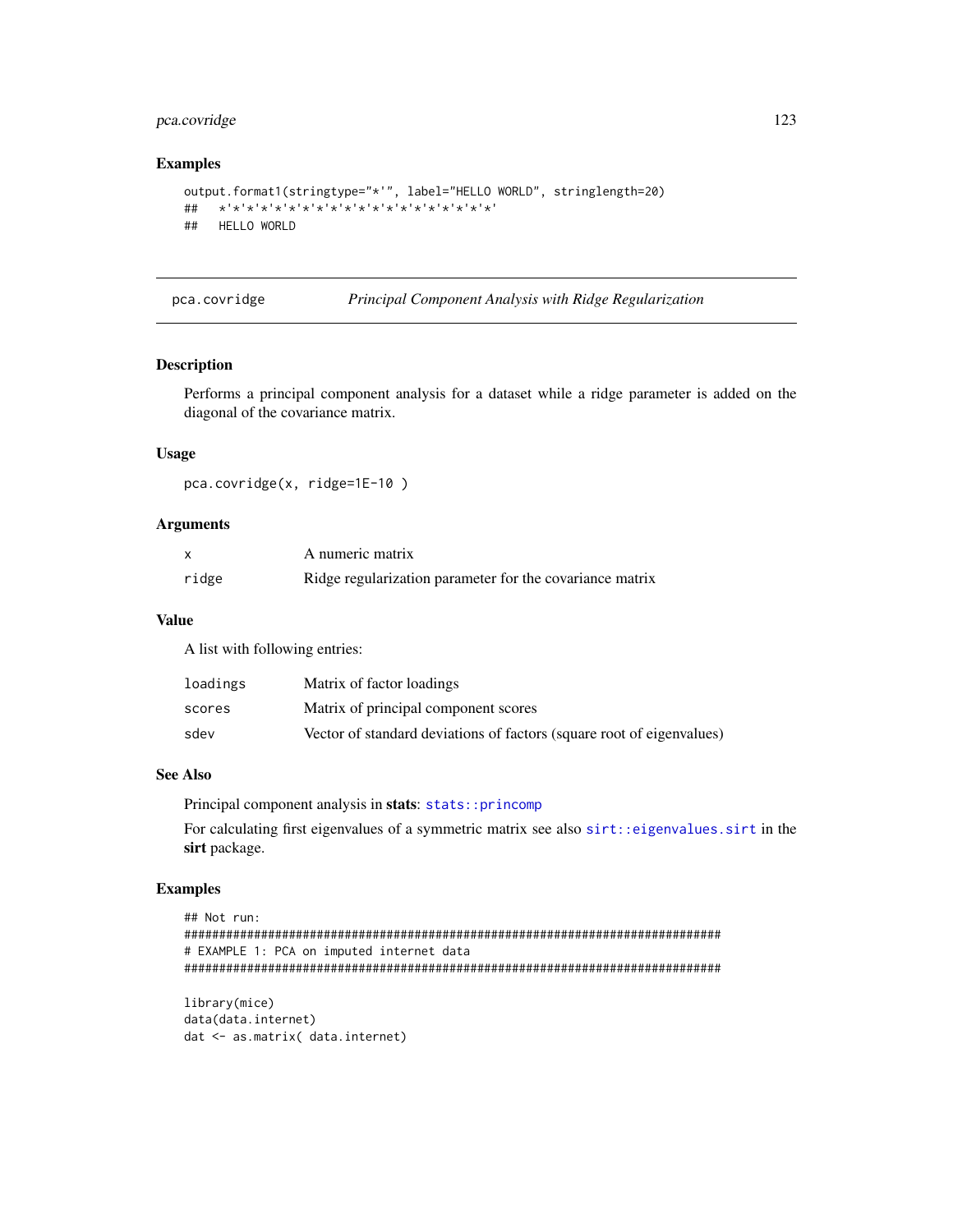## pca.covridge

## **Examples**

```
output.format1(stringtype="*'", label="HELLO WORLD", stringlength=20)
## HELLO WORLD
```
pca.covridge

Principal Component Analysis with Ridge Regularization

#### **Description**

Performs a principal component analysis for a dataset while a ridge parameter is added on the diagonal of the covariance matrix.

## **Usage**

pca.covridge(x, ridge=1E-10)

#### **Arguments**

|       | A numeric matrix                                         |
|-------|----------------------------------------------------------|
| ridge | Ridge regularization parameter for the covariance matrix |

#### **Value**

A list with following entries:

| loadings | Matrix of factor loadings                                             |
|----------|-----------------------------------------------------------------------|
| scores   | Matrix of principal component scores                                  |
| sdev     | Vector of standard deviations of factors (square root of eigenvalues) |

#### **See Also**

Principal component analysis in stats: stats:: princomp

For calculating first eigenvalues of a symmetric matrix see also sirt: : eigenvalues. sirt in the sirt package.

```
## Not run:
# EXAMPLE 1: PCA on imputed internet data
library(mice)
```

```
data(data.internet)
dat <- as.matrix( data.internet)
```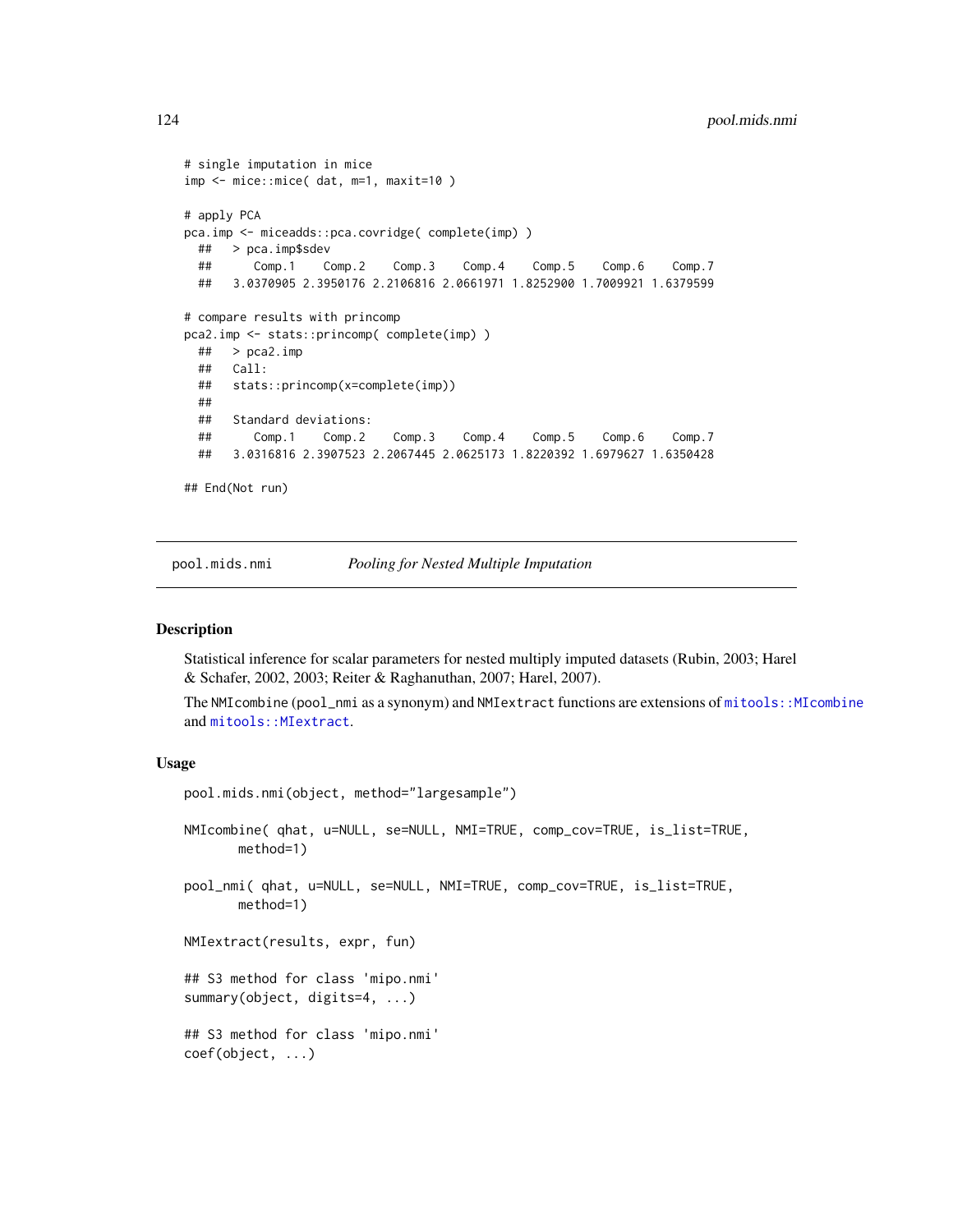```
# single imputation in mice
imp <- mice::mice( dat, m=1, maxit=10 )
# apply PCA
pca.imp <- miceadds::pca.covridge( complete(imp) )
 ## > pca.imp$sdev
 ## Comp.1 Comp.2 Comp.3 Comp.4 Comp.5 Comp.6 Comp.7
 ## 3.0370905 2.3950176 2.2106816 2.0661971 1.8252900 1.7009921 1.6379599
# compare results with princomp
pca2.imp <- stats::princomp( complete(imp) )
 ## > pca2.imp
 ## Call:
 ## stats::princomp(x=complete(imp))
 ##
 ## Standard deviations:
 ## Comp.1 Comp.2 Comp.3 Comp.4 Comp.5 Comp.6 Comp.7
 ## 3.0316816 2.3907523 2.2067445 2.0625173 1.8220392 1.6979627 1.6350428
## End(Not run)
```
<span id="page-123-0"></span>pool.mids.nmi *Pooling for Nested Multiple Imputation*

#### <span id="page-123-1"></span>**Description**

Statistical inference for scalar parameters for nested multiply imputed datasets (Rubin, 2003; Harel & Schafer, 2002, 2003; Reiter & Raghanuthan, 2007; Harel, 2007).

The NMIcombine (pool\_nmi as a synonym) and NMIextract functions are extensions of [mitools::MIcombine](#page-0-0) and mitools:: MIextract.

#### Usage

```
pool.mids.nmi(object, method="largesample")
NMIcombine( qhat, u=NULL, se=NULL, NMI=TRUE, comp_cov=TRUE, is_list=TRUE,
      method=1)
pool_nmi( qhat, u=NULL, se=NULL, NMI=TRUE, comp_cov=TRUE, is_list=TRUE,
       method=1)
NMIextract(results, expr, fun)
## S3 method for class 'mipo.nmi'
summary(object, digits=4, ...)
## S3 method for class 'mipo.nmi'
coef(object, ...)
```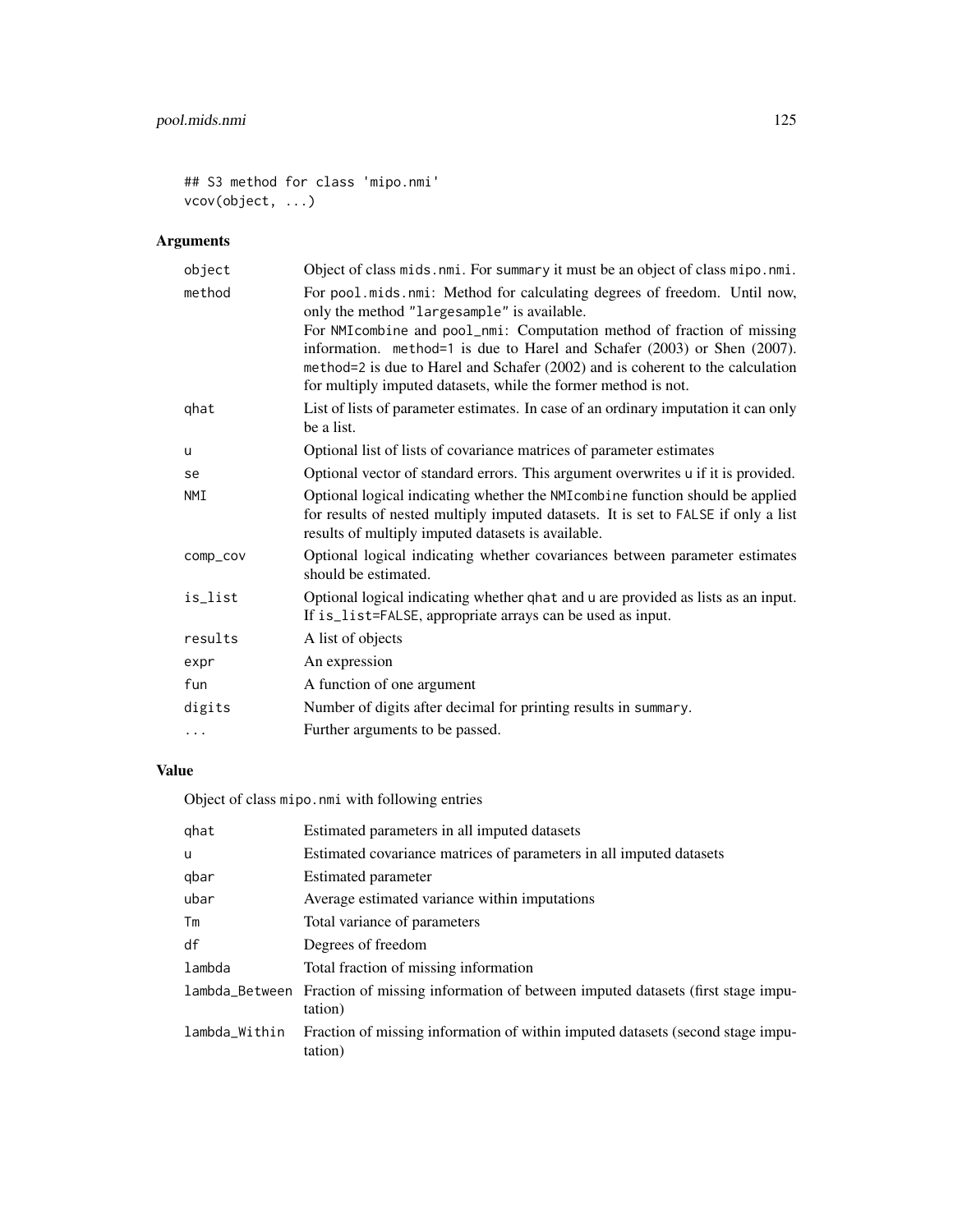```
## S3 method for class 'mipo.nmi'
vcov(object, ...)
```
# Arguments

| object   | Object of class mids. nmi. For summary it must be an object of class mipo. nmi.                                                                                                                                                                                                                                                                                                                                                    |
|----------|------------------------------------------------------------------------------------------------------------------------------------------------------------------------------------------------------------------------------------------------------------------------------------------------------------------------------------------------------------------------------------------------------------------------------------|
| method   | For pool.mids.nmi: Method for calculating degrees of freedom. Until now,<br>only the method "largesample" is available.<br>For NMI combine and pool_nmi: Computation method of fraction of missing<br>information. method=1 is due to Harel and Schafer (2003) or Shen (2007).<br>method=2 is due to Harel and Schafer (2002) and is coherent to the calculation<br>for multiply imputed datasets, while the former method is not. |
| qhat     | List of lists of parameter estimates. In case of an ordinary imputation it can only<br>be a list.                                                                                                                                                                                                                                                                                                                                  |
| u        | Optional list of lists of covariance matrices of parameter estimates                                                                                                                                                                                                                                                                                                                                                               |
| se       | Optional vector of standard errors. This argument overwrites u if it is provided.                                                                                                                                                                                                                                                                                                                                                  |
| NMI      | Optional logical indicating whether the NMI combine function should be applied<br>for results of nested multiply imputed datasets. It is set to FALSE if only a list<br>results of multiply imputed datasets is available.                                                                                                                                                                                                         |
| comp_cov | Optional logical indicating whether covariances between parameter estimates<br>should be estimated.                                                                                                                                                                                                                                                                                                                                |
| is_list  | Optional logical indicating whether qhat and u are provided as lists as an input.<br>If is_list=FALSE, appropriate arrays can be used as input.                                                                                                                                                                                                                                                                                    |
| results  | A list of objects                                                                                                                                                                                                                                                                                                                                                                                                                  |
| expr     | An expression                                                                                                                                                                                                                                                                                                                                                                                                                      |
| fun      | A function of one argument                                                                                                                                                                                                                                                                                                                                                                                                         |
| digits   | Number of digits after decimal for printing results in summary.                                                                                                                                                                                                                                                                                                                                                                    |
| $\cdots$ | Further arguments to be passed.                                                                                                                                                                                                                                                                                                                                                                                                    |

# Value

Object of class mipo.nmi with following entries

| qhat          | Estimated parameters in all imputed datasets                                                             |
|---------------|----------------------------------------------------------------------------------------------------------|
| u             | Estimated covariance matrices of parameters in all imputed datasets                                      |
| qbar          | Estimated parameter                                                                                      |
| ubar          | Average estimated variance within imputations                                                            |
| Tm            | Total variance of parameters                                                                             |
| df            | Degrees of freedom                                                                                       |
| lambda        | Total fraction of missing information                                                                    |
|               | lambda_Between Fraction of missing information of between imputed datasets (first stage impu-<br>tation) |
| lambda_Within | Fraction of missing information of within imputed datasets (second stage impu-<br>tation)                |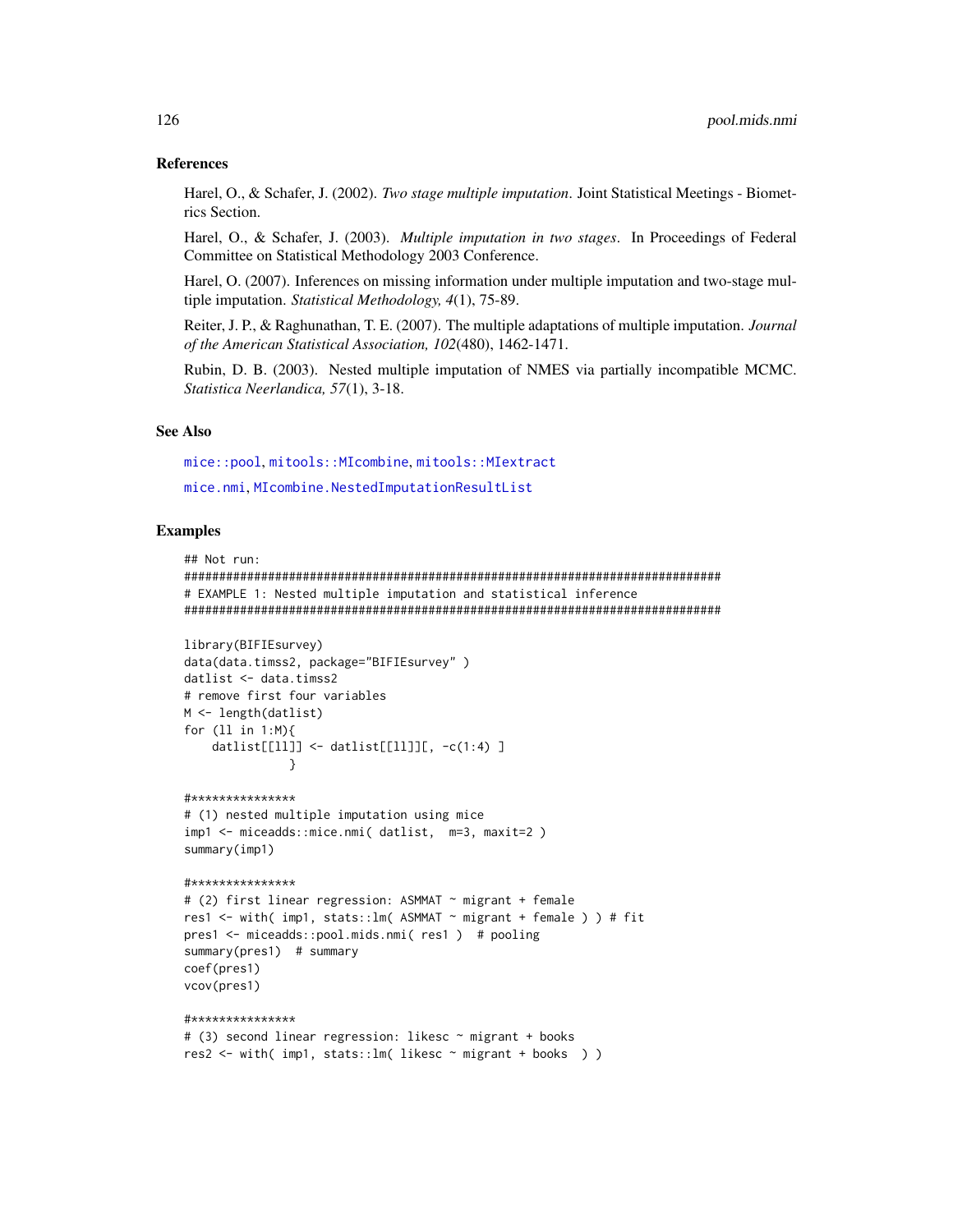#### **References**

Harel, O., & Schafer, J. (2002). Two stage multiple imputation. Joint Statistical Meetings - Biometrics Section.

Harel, O., & Schafer, J. (2003). Multiple imputation in two stages. In Proceedings of Federal Committee on Statistical Methodology 2003 Conference.

Harel, O. (2007). Inferences on missing information under multiple imputation and two-stage multiple imputation. Statistical Methodology, 4(1), 75-89.

Reiter, J. P., & Raghunathan, T. E. (2007). The multiple adaptations of multiple imputation. Journal of the American Statistical Association, 102(480), 1462-1471.

Rubin, D. B. (2003). Nested multiple imputation of NMES via partially incompatible MCMC. Statistica Neerlandica, 57(1), 3-18.

## **See Also**

mice::pool,mitools::MIcombine,mitools::MIextract mice.nmi, MIcombine.NestedImputationResultList

#### **Examples**

```
## Not run:
# EXAMPLE 1: Nested multiple imputation and statistical inference
library(BIFIEsurvey)
```

```
data(data.timss2, package="BIFIEsurvey")
datlist <- data.timss2
# remove first four variables
M \leftarrow length(datlist)
for (11 \text{ in } 1:M)datlist[[11]] <- datlist[[11]][, -c(1:4) ]
               \mathcal{E}#***************
# (1) nested multiple imputation using mice
imp1 <- miceadds::mice.nmi( datlist, m=3, maxit=2)
summary(imp1)#***************
# (2) first linear regression: ASMMAT ~ migrant + female
res1 <- with( imp1, stats:: lm( ASMMAT ~ migrant + female ) ) # fit
pres1 <- miceadds::pool.mids.nmi( res1 ) # pooling
summary(pres1) # summary
coef(pres1)
vcov(pres1)
#***************
# (3) second linear regression: likesc ~ migrant + books
```

```
res2 <- with( imp1, stats::lm( likesc ~ migrant + books ) )
```
## 126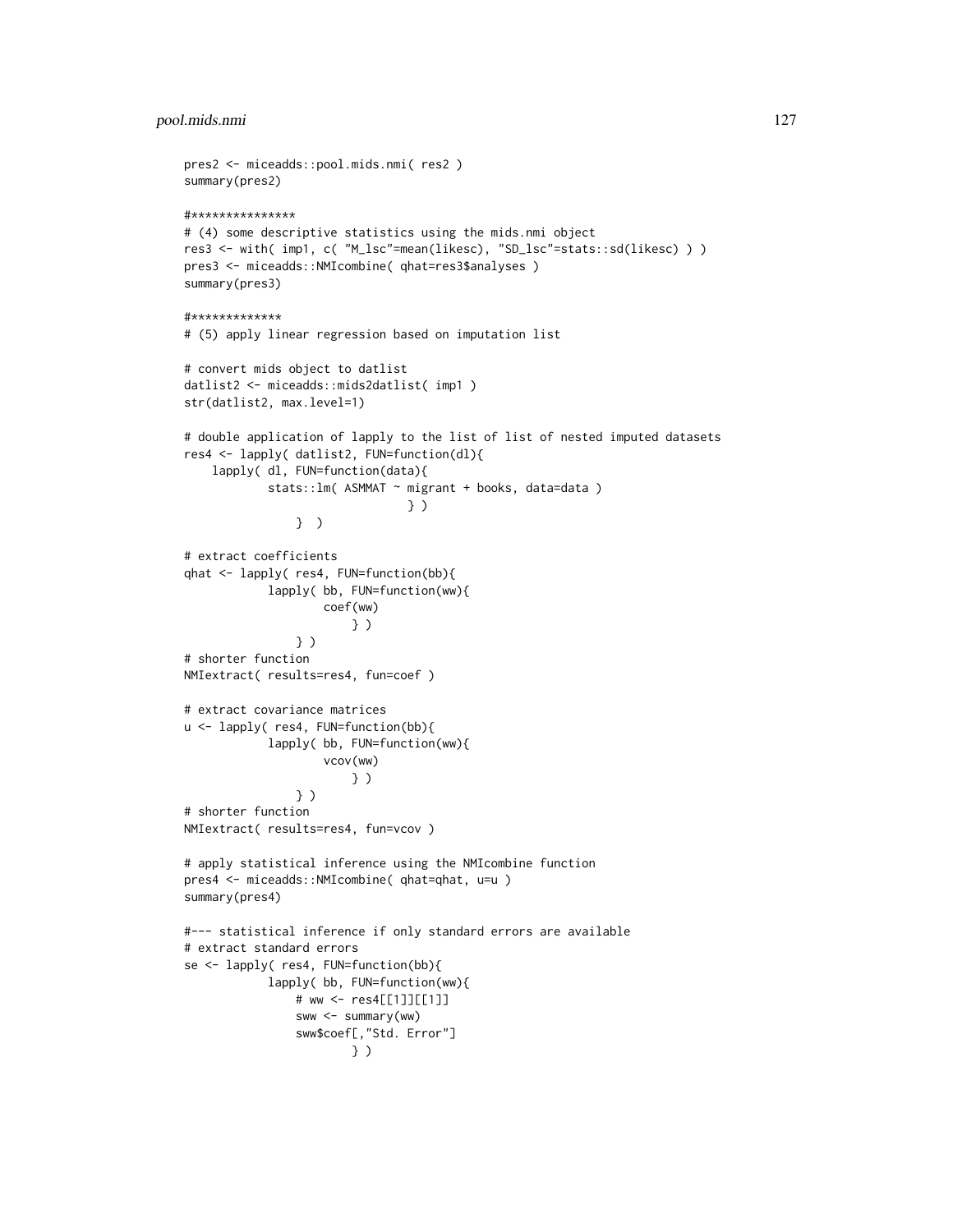## pool.mids.nmi 127

```
pres2 <- miceadds::pool.mids.nmi( res2 )
summary(pres2)
#***************
# (4) some descriptive statistics using the mids.nmi object
res3 <- with( imp1, c( "M_lsc"=mean(likesc), "SD_lsc"=stats::sd(likesc) ) )
pres3 <- miceadds::NMIcombine( qhat=res3$analyses )
summary(pres3)
#*************
# (5) apply linear regression based on imputation list
# convert mids object to datlist
datlist2 <- miceadds::mids2datlist( imp1 )
str(datlist2, max.level=1)
# double application of lapply to the list of list of nested imputed datasets
res4 <- lapply( datlist2, FUN=function(dl){
    lapply( dl, FUN=function(data){
            stats::lm( ASMMAT ~ migrant + books, data=data )
                                } )
                } )
# extract coefficients
qhat <- lapply( res4, FUN=function(bb){
            lapply( bb, FUN=function(ww){
                    coef(ww)
                        } )
                } )
# shorter function
NMIextract( results=res4, fun=coef )
# extract covariance matrices
u <- lapply( res4, FUN=function(bb){
            lapply( bb, FUN=function(ww){
                    vcov(ww)
                        } )
                } )
# shorter function
NMIextract( results=res4, fun=vcov )
# apply statistical inference using the NMIcombine function
pres4 <- miceadds::NMIcombine( qhat=qhat, u=u )
summary(pres4)
#--- statistical inference if only standard errors are available
# extract standard errors
se <- lapply( res4, FUN=function(bb){
            lapply( bb, FUN=function(ww){
                # ww <- res4[[1]][[1]]
                sww <- summary(ww)
                sww$coef[,"Std. Error"]
                        } )
```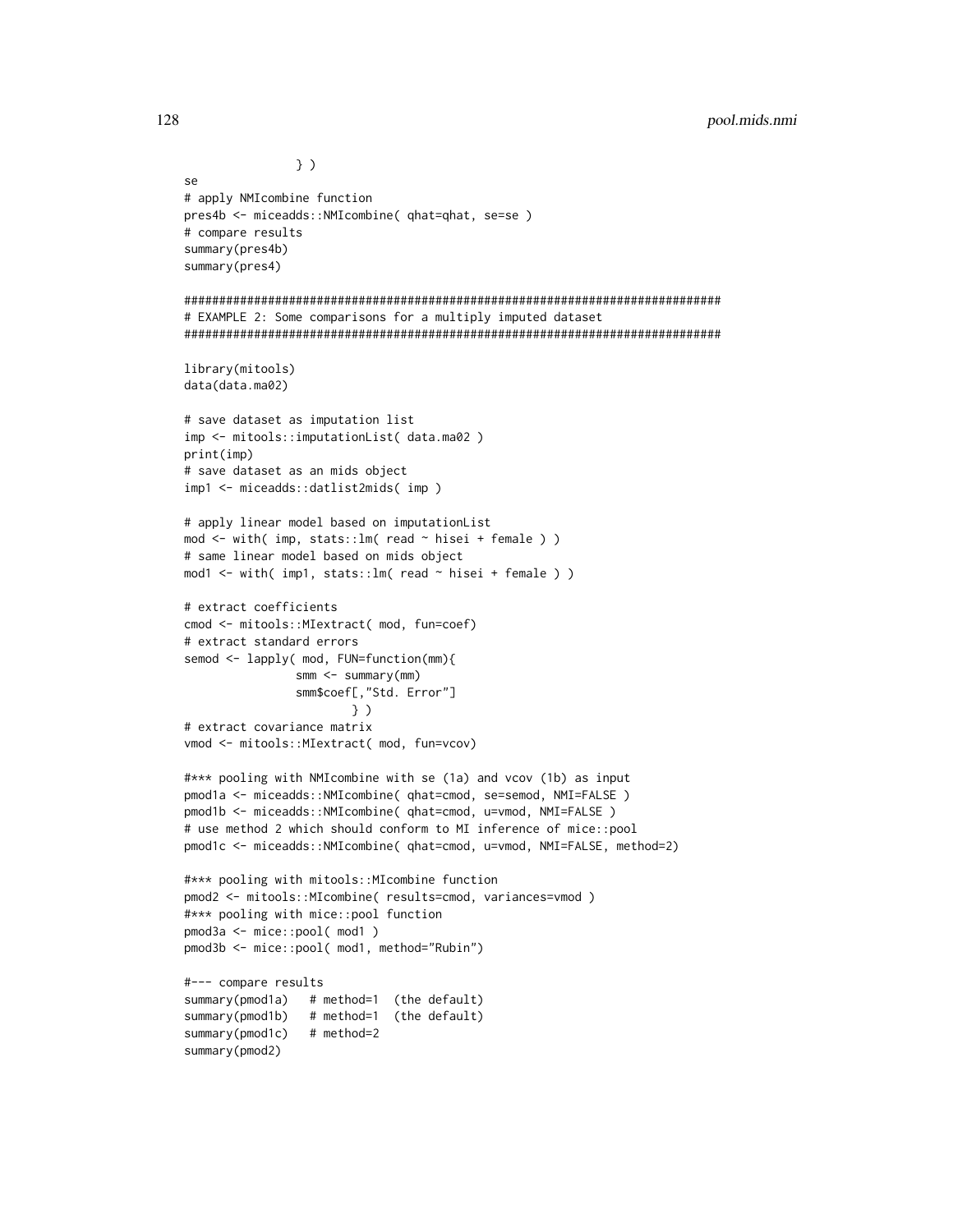```
} )
se
# apply NMIcombine function
pres4b <- miceadds::NMIcombine( qhat=qhat, se=se )
# compare results
summary(pres4b)
summary(pres4)
#############################################################################
# EXAMPLE 2: Some comparisons for a multiply imputed dataset
#############################################################################
library(mitools)
data(data.ma02)
# save dataset as imputation list
imp <- mitools::imputationList( data.ma02 )
print(imp)
# save dataset as an mids object
imp1 <- miceadds::datlist2mids( imp )
# apply linear model based on imputationList
mod <- with( imp, stats::lm( read ~ hisei + female ) )
# same linear model based on mids object
mod1 <- with( imp1, stats::lm( read ~ hisei + female ) )
# extract coefficients
cmod <- mitools::MIextract( mod, fun=coef)
# extract standard errors
semod <- lapply( mod, FUN=function(mm){
                smm <- summary(mm)
                smm$coef[,"Std. Error"]
                        } )
# extract covariance matrix
vmod <- mitools::MIextract( mod, fun=vcov)
#*** pooling with NMIcombine with se (1a) and vcov (1b) as input
pmod1a <- miceadds::NMIcombine( qhat=cmod, se=semod, NMI=FALSE )
pmod1b <- miceadds::NMIcombine( qhat=cmod, u=vmod, NMI=FALSE )
# use method 2 which should conform to MI inference of mice::pool
pmod1c <- miceadds::NMIcombine( qhat=cmod, u=vmod, NMI=FALSE, method=2)
#*** pooling with mitools::MIcombine function
pmod2 <- mitools::MIcombine( results=cmod, variances=vmod )
#*** pooling with mice::pool function
pmod3a <- mice::pool( mod1 )
pmod3b <- mice::pool( mod1, method="Rubin")
#--- compare results
summary(pmod1a) # method=1 (the default)
summary(pmod1b) # method=1 (the default)
summary(pmod1c) # method=2
summary(pmod2)
```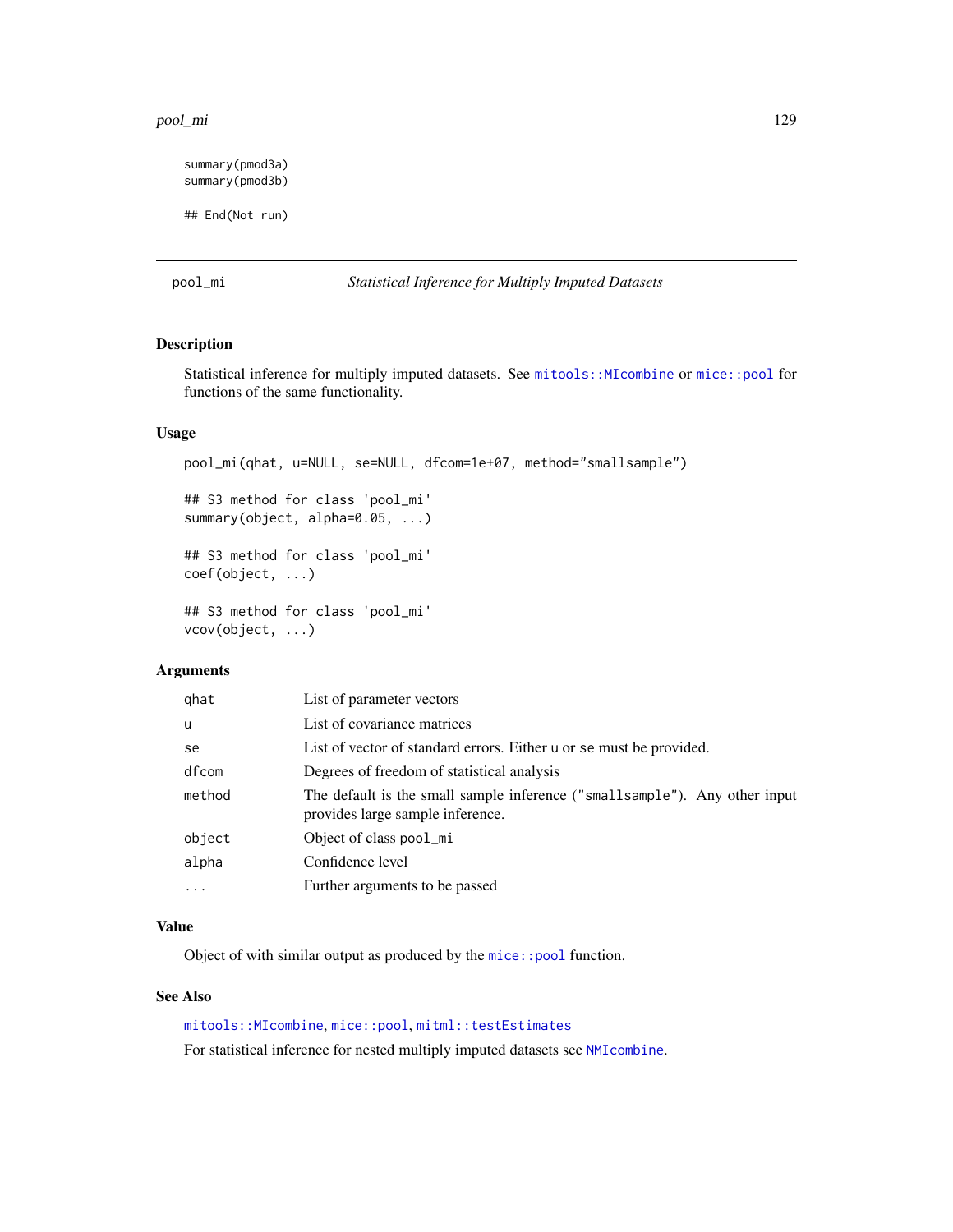#### pool\_mi 129

summary(pmod3a) summary(pmod3b) ## End(Not run)

pool\_mi *Statistical Inference for Multiply Imputed Datasets*

## Description

Statistical inference for multiply imputed datasets. See [mitools::MIcombine](#page-0-0) or [mice::pool](#page-0-0) for functions of the same functionality.

### Usage

pool\_mi(qhat, u=NULL, se=NULL, dfcom=1e+07, method="smallsample")

```
## S3 method for class 'pool_mi'
summary(object, alpha=0.05, ...)
```
## S3 method for class 'pool\_mi' coef(object, ...)

## S3 method for class 'pool\_mi' vcov(object, ...)

## Arguments

| qhat     | List of parameter vectors                                                                                       |
|----------|-----------------------------------------------------------------------------------------------------------------|
| u        | List of covariance matrices                                                                                     |
| se       | List of vector of standard errors. Either u or se must be provided.                                             |
| dfcom    | Degrees of freedom of statistical analysis                                                                      |
| method   | The default is the small sample inference ("small sample"). Any other input<br>provides large sample inference. |
| object   | Object of class pool_mi                                                                                         |
| alpha    | Confidence level                                                                                                |
| $\cdots$ | Further arguments to be passed                                                                                  |
|          |                                                                                                                 |

## Value

Object of with similar output as produced by the [mice::pool](#page-0-0) function.

## See Also

[mitools::MIcombine](#page-0-0), [mice::pool](#page-0-0), [mitml::testEstimates](#page-0-0)

For statistical inference for nested multiply imputed datasets see [NMIcombine](#page-123-1).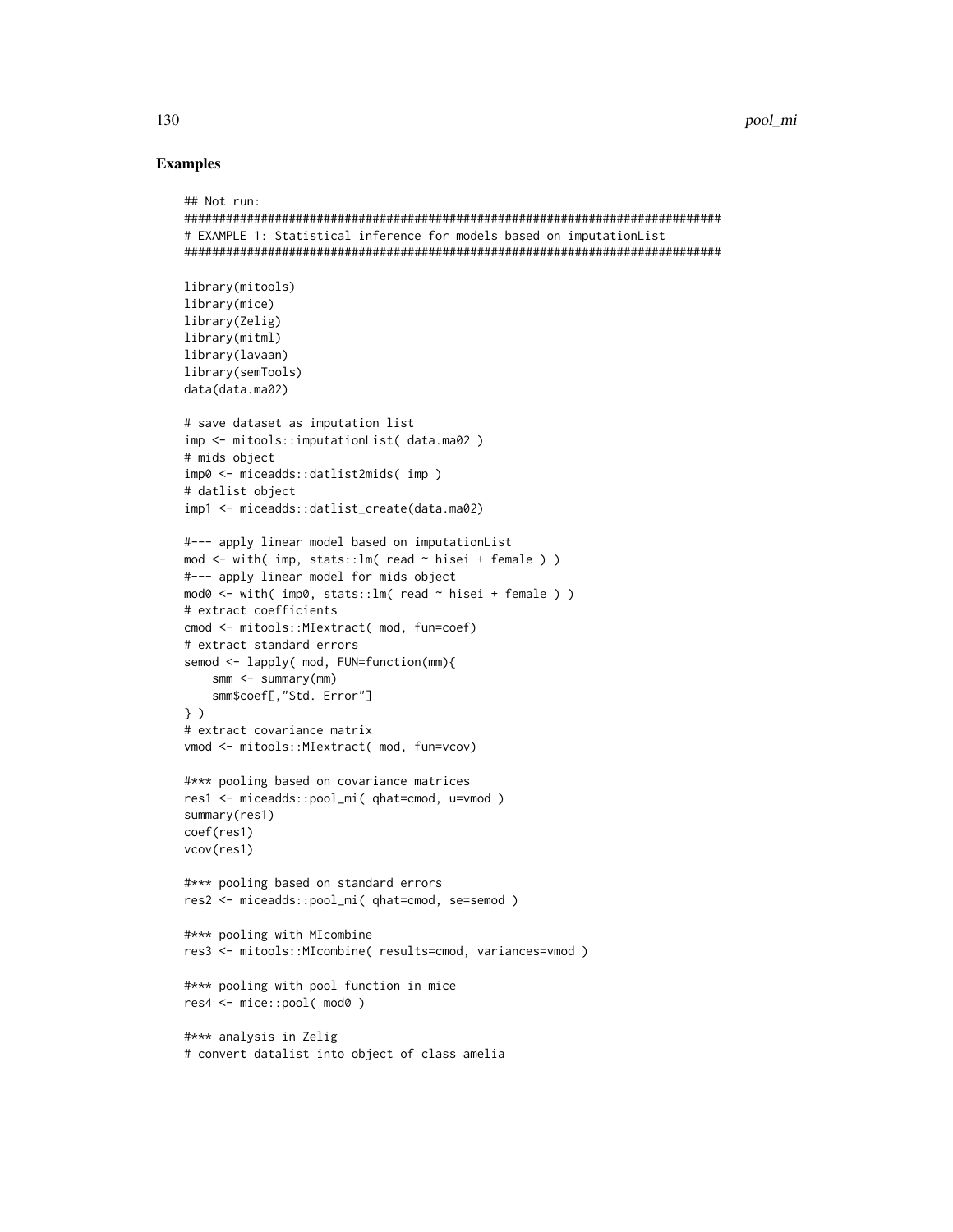```
## Not run:
#############################################################################
# EXAMPLE 1: Statistical inference for models based on imputationList
#############################################################################
library(mitools)
library(mice)
library(Zelig)
library(mitml)
library(lavaan)
library(semTools)
data(data.ma02)
# save dataset as imputation list
imp <- mitools::imputationList( data.ma02 )
# mids object
imp0 <- miceadds::datlist2mids( imp )
# datlist object
imp1 <- miceadds::datlist_create(data.ma02)
#--- apply linear model based on imputationList
mod \le with( imp, stats:: lm( read \sim hisei + female ) )
#--- apply linear model for mids object
mod0 <- with( imp0, stats::lm( read ~ hisei + female ) )
# extract coefficients
cmod <- mitools::MIextract( mod, fun=coef)
# extract standard errors
semod <- lapply( mod, FUN=function(mm){
    smm <- summary(mm)
    smm$coef[,"Std. Error"]
} )
# extract covariance matrix
vmod <- mitools::MIextract( mod, fun=vcov)
#*** pooling based on covariance matrices
res1 <- miceadds::pool_mi( qhat=cmod, u=vmod )
summary(res1)
coef(res1)
vcov(res1)
#*** pooling based on standard errors
res2 <- miceadds::pool_mi( qhat=cmod, se=semod )
#*** pooling with MIcombine
res3 <- mitools::MIcombine( results=cmod, variances=vmod )
#*** pooling with pool function in mice
res4 <- mice::pool( mod0 )
#*** analysis in Zelig
# convert datalist into object of class amelia
```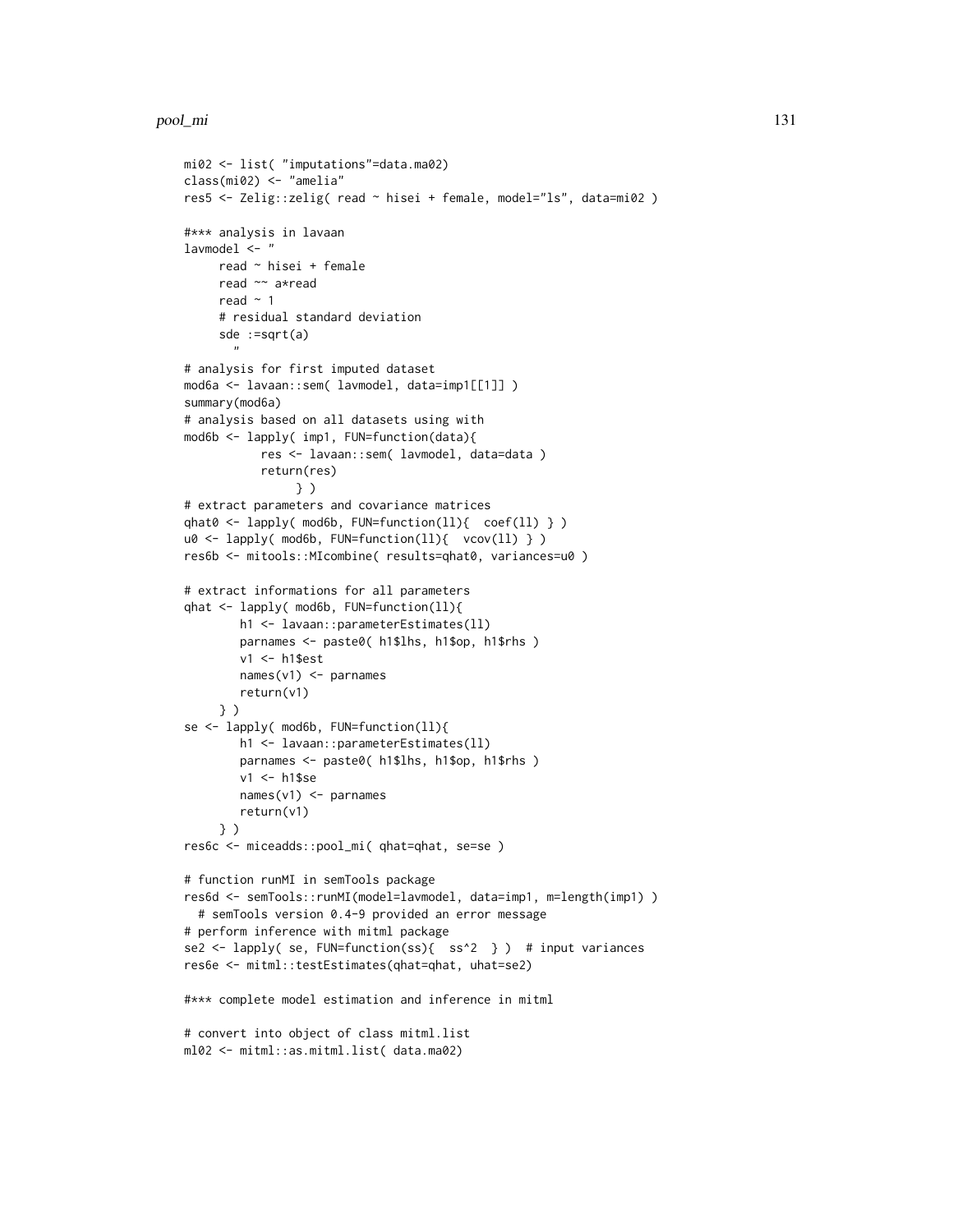#### pool\_mi 131

```
mi02 <- list( "imputations"=data.ma02)
class(mi02) <- "amelia"
res5 <- Zelig::zelig( read ~ hisei + female, model="ls", data=mi02 )
#*** analysis in lavaan
lavmodel <- "
     read ~ hisei + female
     read ~~ a*read
     read \sim 1
     # residual standard deviation
     sde :=sqrt(a)
       "
# analysis for first imputed dataset
mod6a <- lavaan::sem( lavmodel, data=imp1[[1]] )
summary(mod6a)
# analysis based on all datasets using with
mod6b <- lapply( imp1, FUN=function(data){
           res <- lavaan::sem( lavmodel, data=data )
           return(res)
                } )
# extract parameters and covariance matrices
qhat0 <- lapply( mod6b, FUN=function(ll){ coef(ll) } )
u0 <- lapply( mod6b, FUN=function(ll){ vcov(ll) } )
res6b <- mitools::MIcombine( results=qhat0, variances=u0 )
# extract informations for all parameters
qhat <- lapply( mod6b, FUN=function(ll){
        h1 <- lavaan::parameterEstimates(ll)
        parnames <- paste0( h1$lhs, h1$op, h1$rhs )
        v1 <- h1$est
        names(v1) <- parnames
        return(v1)
     } )
se <- lapply( mod6b, FUN=function(ll){
       h1 <- lavaan::parameterEstimates(ll)
        parnames <- paste0( h1$lhs, h1$op, h1$rhs )
        v1 <- h1$se
       names(v1) <- parnames
        return(v1)
     } )
res6c <- miceadds::pool_mi( qhat=qhat, se=se )
# function runMI in semTools package
res6d <- semTools::runMI(model=lavmodel, data=imp1, m=length(imp1) )
  # semTools version 0.4-9 provided an error message
# perform inference with mitml package
se2 <- lapply( se, FUN=function(ss){ ss^2 } ) # input variances
res6e <- mitml::testEstimates(qhat=qhat, uhat=se2)
#*** complete model estimation and inference in mitml
# convert into object of class mitml.list
ml02 <- mitml::as.mitml.list( data.ma02)
```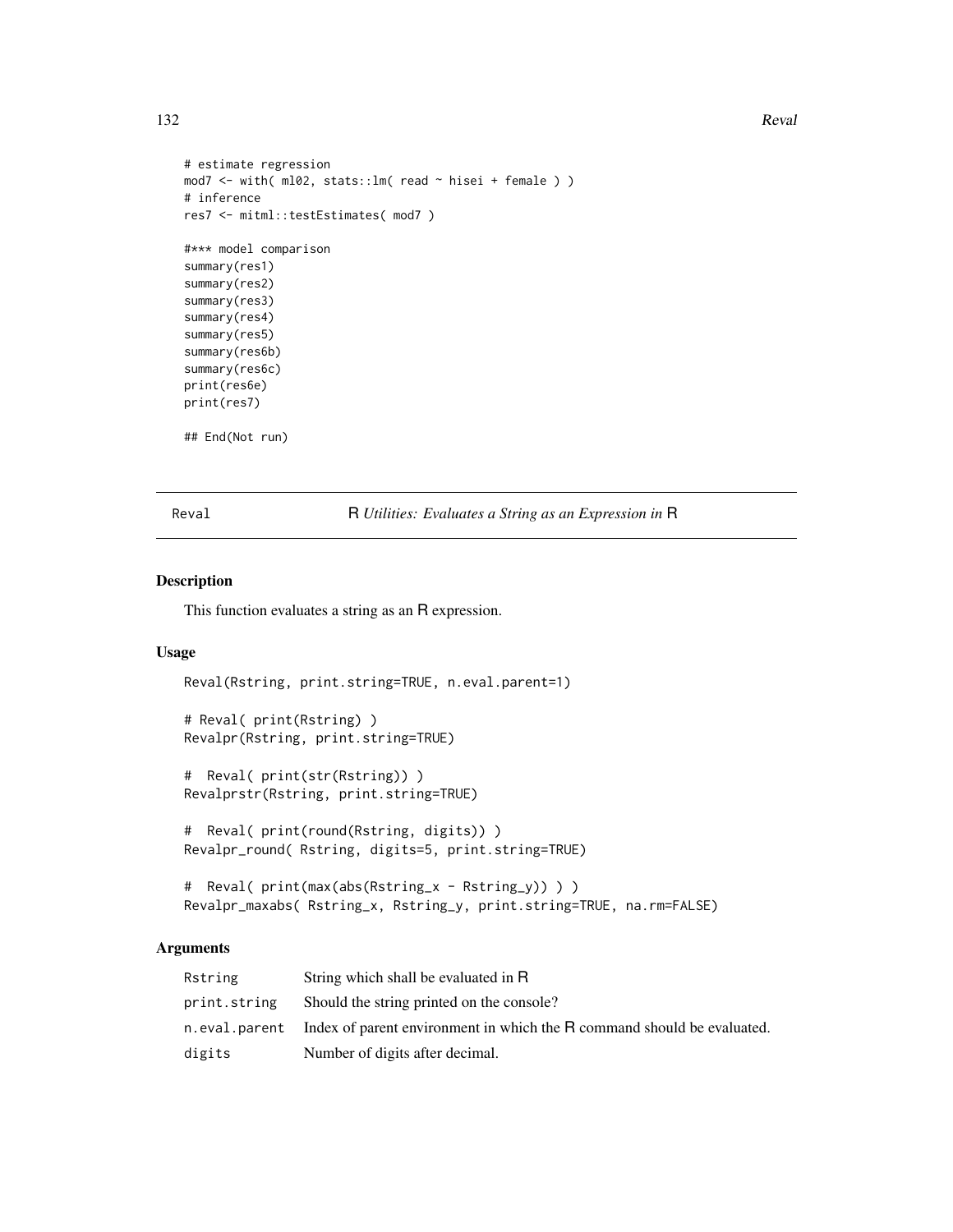#### 132 Reval

```
# estimate regression
mod7 <- with( ml02, stats::lm( read ~ hisei + female ) )
# inference
res7 <- mitml::testEstimates( mod7 )
#*** model comparison
summary(res1)
summary(res2)
summary(res3)
summary(res4)
summary(res5)
summary(res6b)
summary(res6c)
print(res6e)
print(res7)
## End(Not run)
```
Reval R *Utilities: Evaluates a String as an Expression in* R

## Description

This function evaluates a string as an R expression.

#### Usage

```
Reval(Rstring, print.string=TRUE, n.eval.parent=1)
```

```
# Reval( print(Rstring) )
Revalpr(Rstring, print.string=TRUE)
```

```
# Reval( print(str(Rstring)) )
Revalprstr(Rstring, print.string=TRUE)
```

```
# Reval( print(round(Rstring, digits)) )
Revalpr_round( Rstring, digits=5, print.string=TRUE)
```

```
# Reval( print(max(abs(Rstring_x - Rstring_y)) ) )
Revalpr_maxabs( Rstring_x, Rstring_y, print.string=TRUE, na.rm=FALSE)
```
## Arguments

| Rstring      | String which shall be evaluated in R                                                    |
|--------------|-----------------------------------------------------------------------------------------|
| print.string | Should the string printed on the console?                                               |
|              | n, eval, parent Index of parent environment in which the R command should be evaluated. |
| digits       | Number of digits after decimal.                                                         |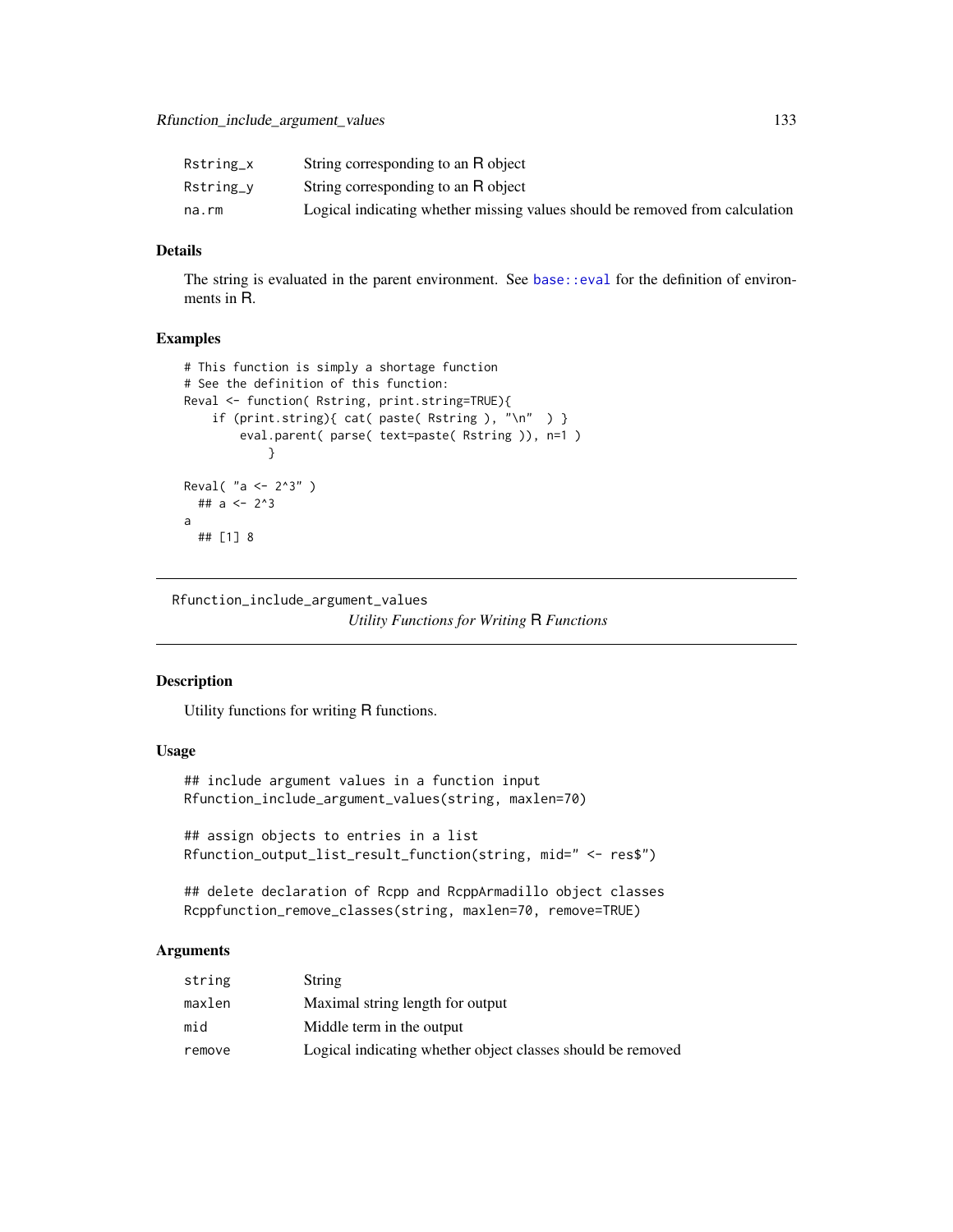| Rstring_x | String corresponding to an R object                                          |
|-----------|------------------------------------------------------------------------------|
| Rstring_v | String corresponding to an R object                                          |
| na.rm     | Logical indicating whether missing values should be removed from calculation |

#### Details

The string is evaluated in the parent environment. See [base::eval](#page-0-0) for the definition of environments in R.

## Examples

```
# This function is simply a shortage function
# See the definition of this function:
Reval <- function( Rstring, print.string=TRUE){
    if (print.string){ cat( paste( Rstring ), "\n" ) }
        eval.parent( parse( text=paste( Rstring )), n=1 )
            }
Reval( "a <- 2^3" )
  ## a <- 2^3
a
  ## [1] 8
```
Rfunction\_include\_argument\_values *Utility Functions for Writing* R *Functions*

#### Description

Utility functions for writing R functions.

## Usage

```
## include argument values in a function input
Rfunction_include_argument_values(string, maxlen=70)
```
## assign objects to entries in a list Rfunction\_output\_list\_result\_function(string, mid=" <- res\$")

## delete declaration of Rcpp and RcppArmadillo object classes Rcppfunction\_remove\_classes(string, maxlen=70, remove=TRUE)

## Arguments

| string | <b>String</b>                                               |
|--------|-------------------------------------------------------------|
| maxlen | Maximal string length for output                            |
| mid    | Middle term in the output                                   |
| remove | Logical indicating whether object classes should be removed |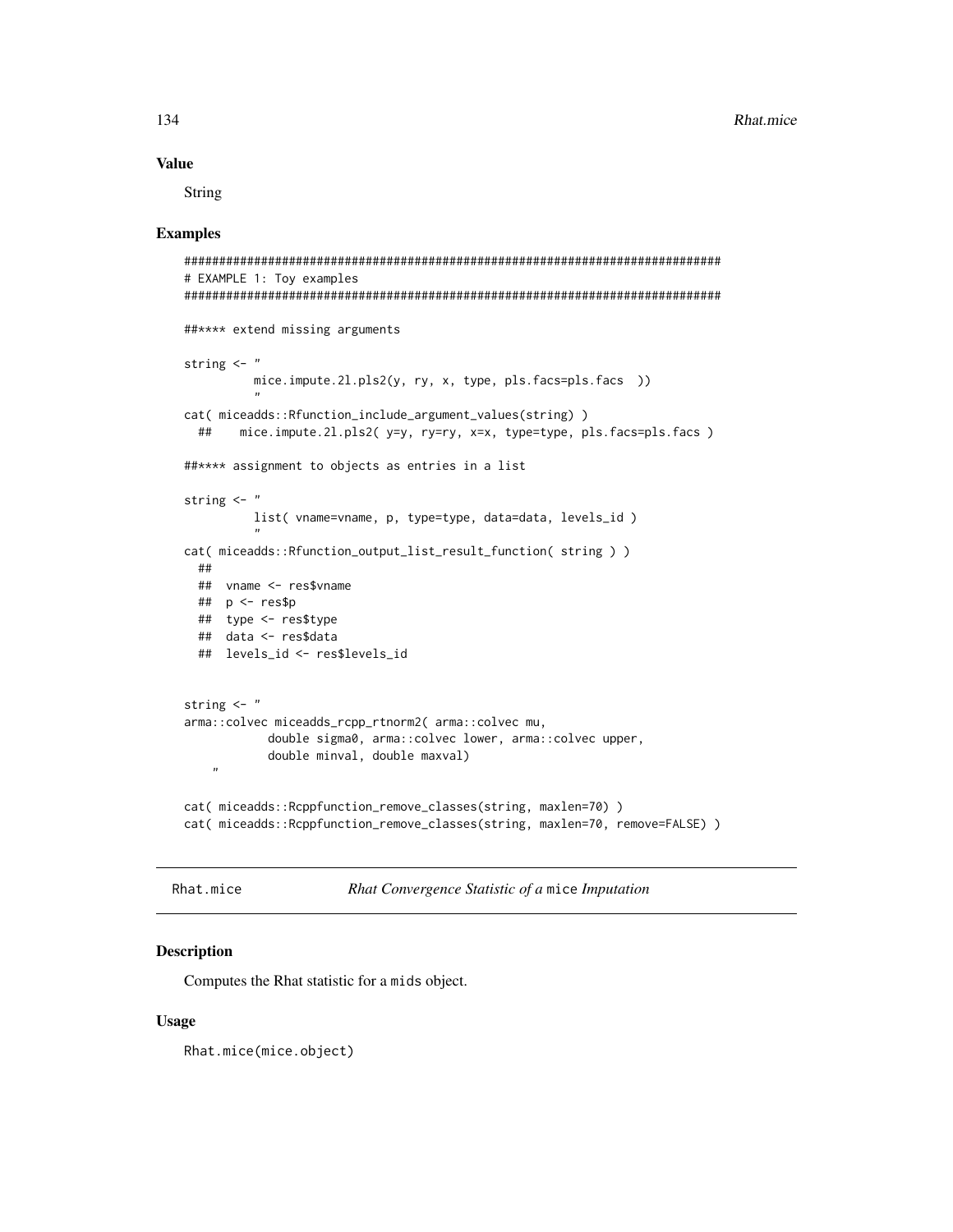## **Value**

String

## **Examples**

```
# EXAMPLE 1: Toy examples
##**** extend missing arguments
string \leftarrow "
        mice.impute.21.pls2(y, ry, x, type, pls.facs=pls.facs ))
cat( miceadds::Rfunction_include_argument_values(string))
 ##mice.impute.2l.pls2( y=y, ry=ry, x=x, type=type, pls.facs=pls.facs )
##**** assignment to objects as entries in a list
string \leq "
        list(vname=vname, p, type=type, data=data, levels_id)
cat(miceadds::Rfunction_output_list_result_function(string))
 #### vname <- res$vname
 ## p \leq -res$p
 ## type <- res$type
 ## data <- res$data
 ## levels id <- res$levels id
string \leftarrow "
arma::colvec miceadds_rcpp_rtnorm2( arma::colvec mu,
          double sigma0, arma::colvec lower, arma::colvec upper,
          double minval, double maxval)
cat( miceadds::Rcppfunction_remove_classes(string, maxlen=70) )
cat( miceadds::Rcppfunction_remove_classes(string, maxlen=70, remove=FALSE) )
```
Rhat.mice

```
Rhat Convergence Statistic of a mice Imputation
```
## **Description**

Computes the Rhat statistic for a mids object.

#### **Usage**

Rhat.mice(mice.object)

134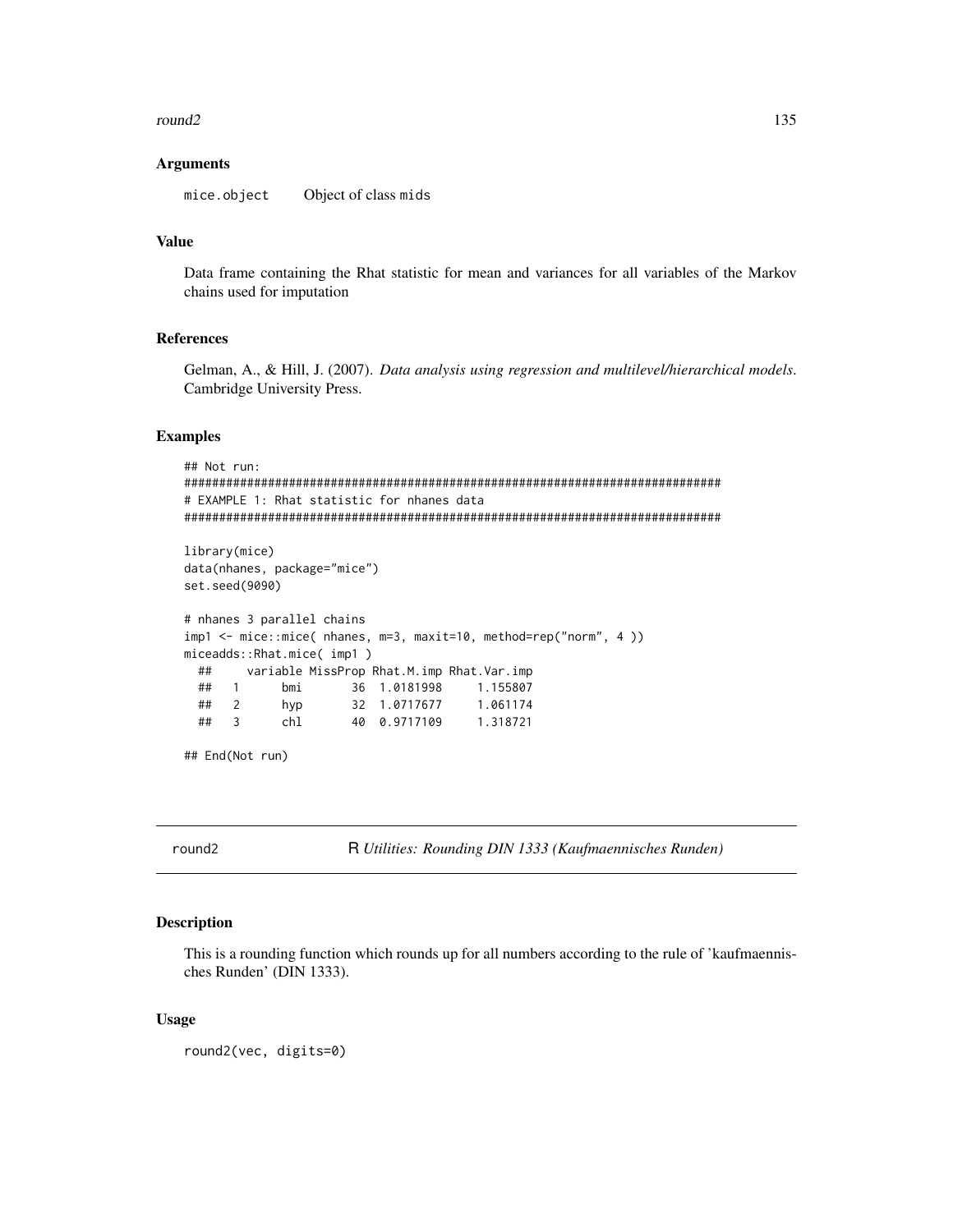## round2

#### **Arguments**

mice.object Object of class mids

## **Value**

Data frame containing the Rhat statistic for mean and variances for all variables of the Markov chains used for imputation

### **References**

Gelman, A., & Hill, J. (2007). Data analysis using regression and multilevel/hierarchical models. Cambridge University Press.

## **Examples**

```
## Not run:
# EXAMPLE 1: Rhat statistic for nhanes data
library(mice)
data(nhanes, package="mice")
set.seed(9090)
# nhanes 3 parallel chains
imp1 <- mice::mice( nhanes, m=3, maxit=10, method=rep("norm", 4 ))
miceadds::Rhat.mice( imp1)
 ##variable MissProp Rhat.M.imp Rhat.Var.imp
 \# \#bmi
                36 1.0181998
                               1.155807
    \overline{1}##\overline{2}hyp
                  32 1.0717677
                               1.061174
                  40 0.9717109
 ##\overline{3}chl
                               1.318721
## End(Not run)
```
round2

R Utilities: Rounding DIN 1333 (Kaufmaennisches Runden)

## Description

This is a rounding function which rounds up for all numbers according to the rule of 'kaufmaennisches Runden' (DIN 1333).

#### **Usage**

round2(vec, digits=0)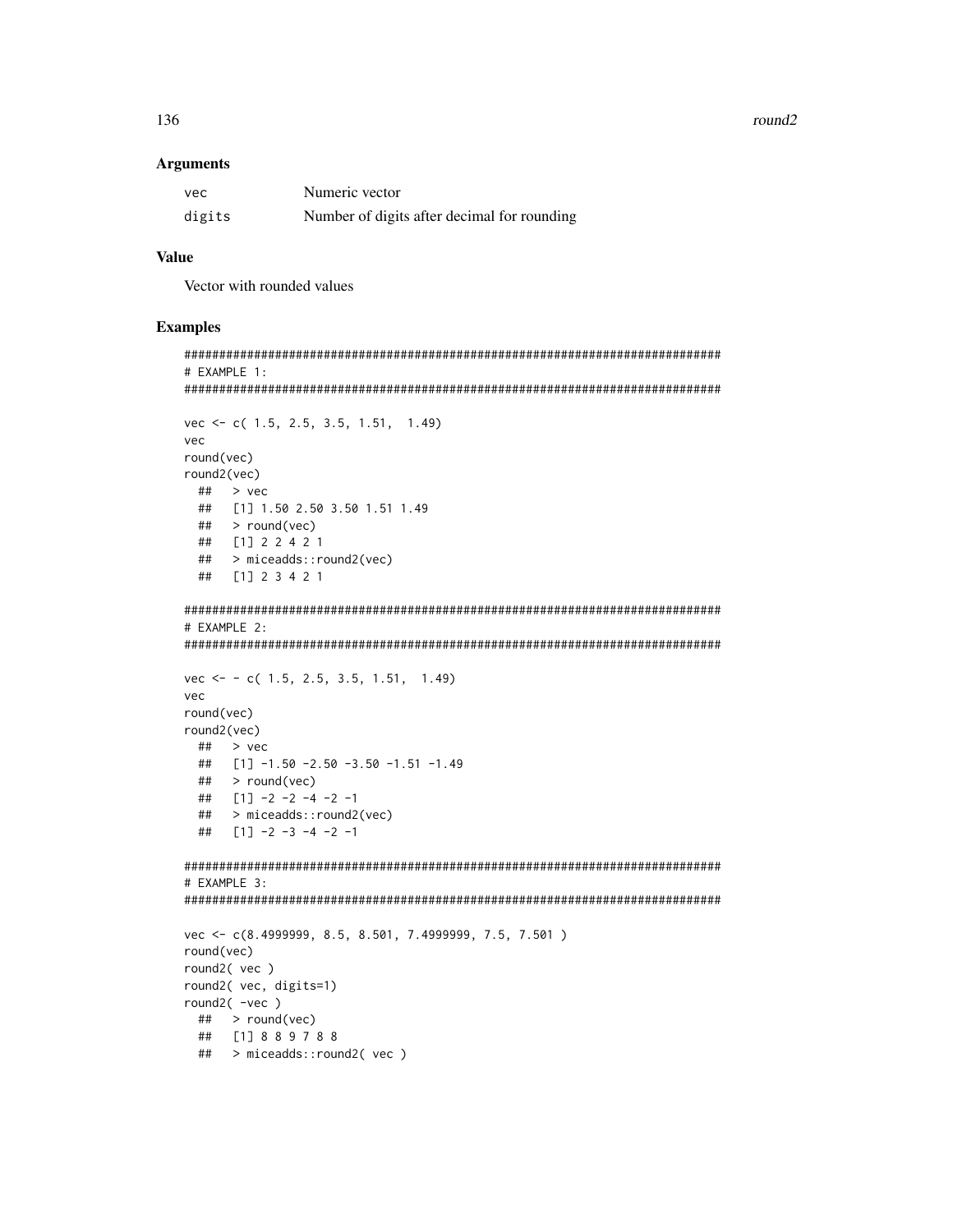### round2

#### **Arguments**

| vec    | Numeric vector                              |
|--------|---------------------------------------------|
| digits | Number of digits after decimal for rounding |

## **Value**

Vector with rounded values

```
# EXAMPLE 1:
vec \leftarrow c (1.5, 2.5, 3.5, 1.51, 1.49)
vec
round(vec)
round2(vec)
 \## > vec
 ## [1] 1.50 2.50 3.50 1.51 1.49
 \# > round(vec)
 ## [1] 2 2 4 2 1
 ##> miceadds::round2(vec)
 ## [1] 2 3 4 2 1
# EXAMPLE 2:
vec \leftarrow -c(1.5, 2.5, 3.5, 1.51, 1.49)vec
round(vec)
round2(vec)
 \## > vec
 ## [1] -1.50 -2.50 -3.50 -1.51 -1.49
 ##> round(vec)
 ## [1] -2 -2 -4 -2 -1## > miceadds::round2(vec)
 ## [1] -2 -3 -4 -2 -1# EXAMPLE 3:
vec <- c(8.4999999, 8.5, 8.501, 7.4999999, 7.5, 7.501)
round(vec)
round2(vec)
round2( vec, digits=1)
round2(-vec)\# > round(vec)
 ## [1] 8 8 9 7 8 8
 ## > miceadds::round2(vec)
```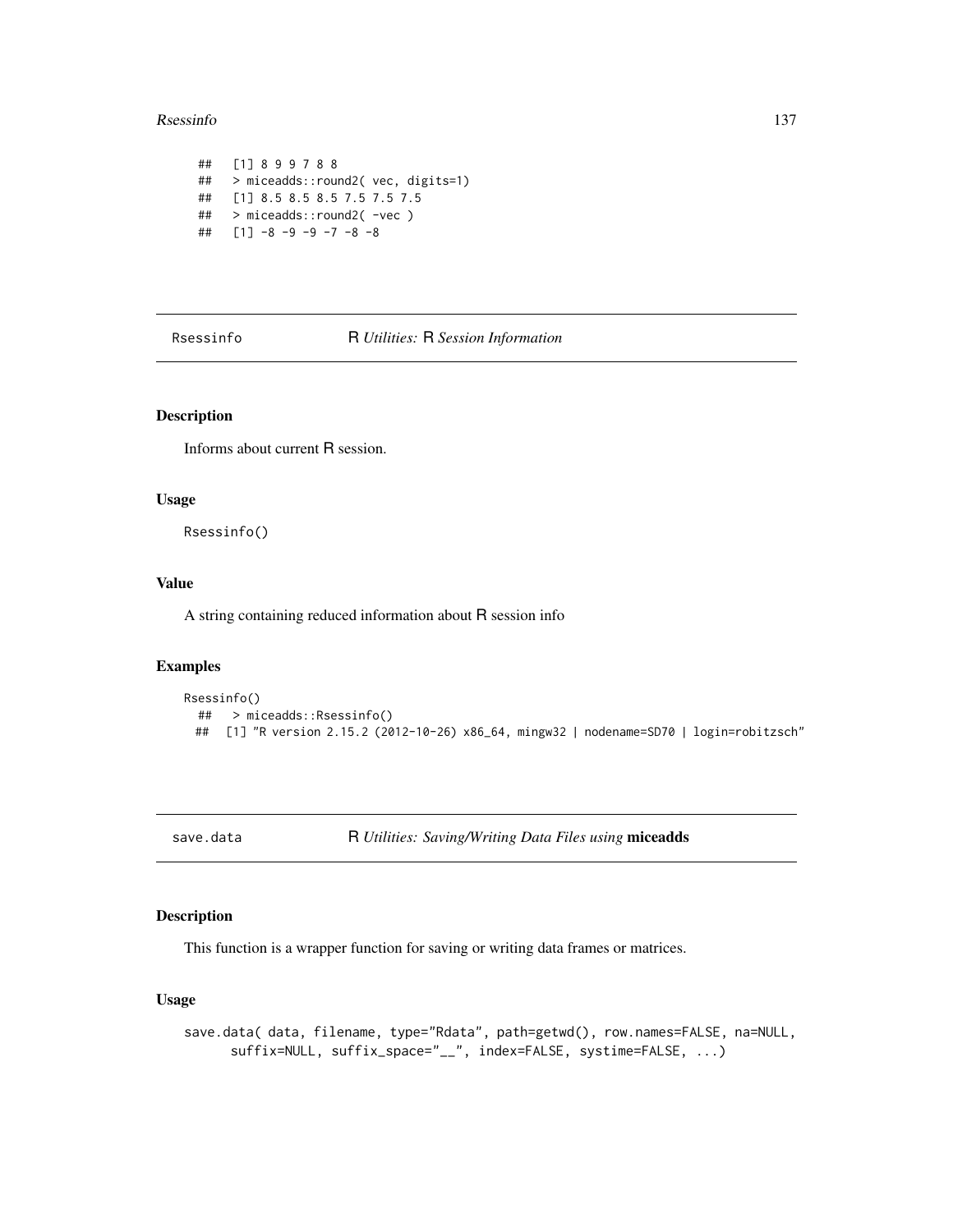#### Rsessinfo 137

```
## [1] 8 9 9 7 8 8
## > miceadds::round2( vec, digits=1)
## [1] 8.5 8.5 8.5 7.5 7.5 7.5
## > miceadds::round2( -vec )
## [1] -8 -9 -9 -7 -8 -8
```
Rsessinfo R *Utilities:* R *Session Information*

## Description

Informs about current R session.

### Usage

Rsessinfo()

## Value

A string containing reduced information about R session info

## Examples

```
Rsessinfo()
 ## > miceadds::Rsessinfo()
 ## [1] "R version 2.15.2 (2012-10-26) x86_64, mingw32 | nodename=SD70 | login=robitzsch"
```
save.data R *Utilities: Saving/Writing Data Files using* miceadds

## Description

This function is a wrapper function for saving or writing data frames or matrices.

## Usage

save.data( data, filename, type="Rdata", path=getwd(), row.names=FALSE, na=NULL, suffix=NULL, suffix\_space="\_\_", index=FALSE, systime=FALSE, ...)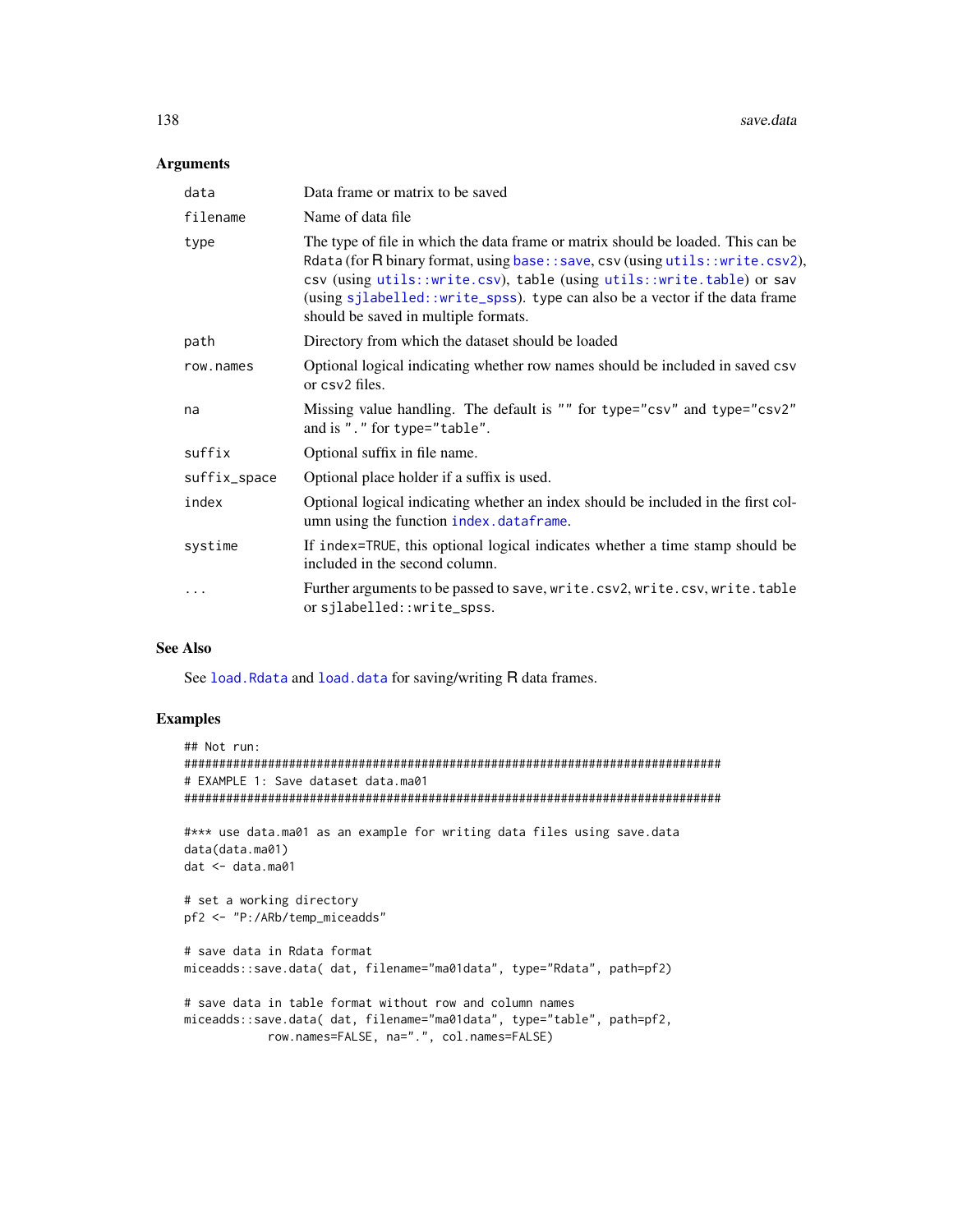138 save.data

## Arguments

| data         | Data frame or matrix to be saved                                                                                                                                                                                                                                                                                                                                   |
|--------------|--------------------------------------------------------------------------------------------------------------------------------------------------------------------------------------------------------------------------------------------------------------------------------------------------------------------------------------------------------------------|
| filename     | Name of data file                                                                                                                                                                                                                                                                                                                                                  |
| type         | The type of file in which the data frame or matrix should be loaded. This can be<br>Rdata (for R binary format, using base:: save, csv (using utils:: write.csv2),<br>csv (using utils::write.csv), table (using utils::write.table) or sav<br>(using sjlabelled::write_spss). type can also be a vector if the data frame<br>should be saved in multiple formats. |
| path         | Directory from which the dataset should be loaded                                                                                                                                                                                                                                                                                                                  |
| row.names    | Optional logical indicating whether row names should be included in saved csv<br>or csv2 files.                                                                                                                                                                                                                                                                    |
| na           | Missing value handling. The default is "" for type="csv" and type="csv2"<br>and is "." for type="table".                                                                                                                                                                                                                                                           |
| suffix       | Optional suffix in file name.                                                                                                                                                                                                                                                                                                                                      |
| suffix_space | Optional place holder if a suffix is used.                                                                                                                                                                                                                                                                                                                         |
| index        | Optional logical indicating whether an index should be included in the first col-<br>umn using the function index.dataframe.                                                                                                                                                                                                                                       |
| systime      | If index=TRUE, this optional logical indicates whether a time stamp should be<br>included in the second column.                                                                                                                                                                                                                                                    |
| .            | Further arguments to be passed to save, write.csv2, write.csv, write.table<br>orsjlabelled::write_spss.                                                                                                                                                                                                                                                            |

#### See Also

See [load.Rdata](#page-47-0) and [load.data](#page-46-0) for saving/writing R data frames.

```
## Not run:
#############################################################################
# EXAMPLE 1: Save dataset data.ma01
#############################################################################
#*** use data.ma01 as an example for writing data files using save.data
data(data.ma01)
dat <- data.ma01
# set a working directory
pf2 <- "P:/ARb/temp_miceadds"
# save data in Rdata format
miceadds::save.data( dat, filename="ma01data", type="Rdata", path=pf2)
# save data in table format without row and column names
miceadds::save.data( dat, filename="ma01data", type="table", path=pf2,
            row.names=FALSE, na=".", col.names=FALSE)
```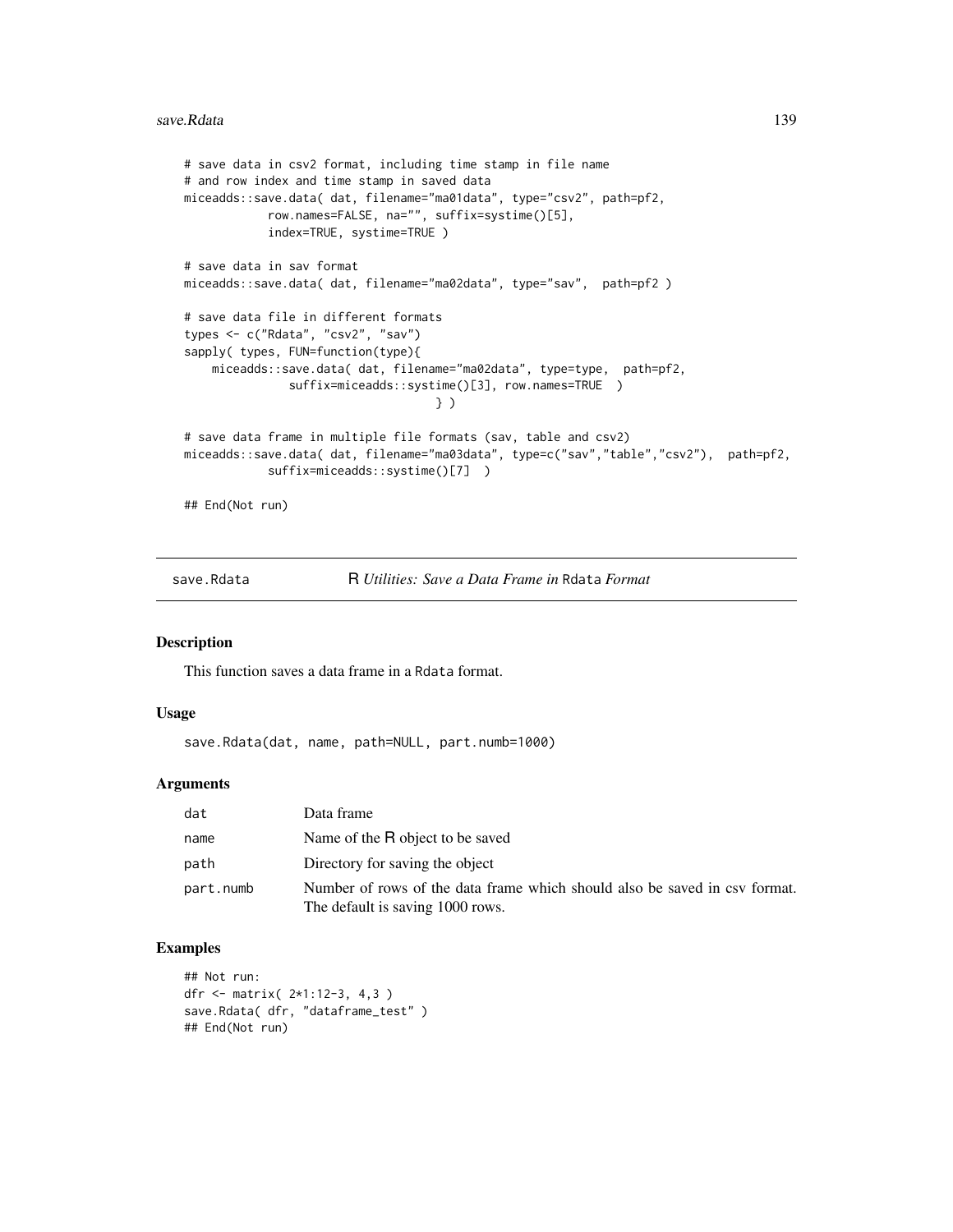#### save.Rdata 139

```
# save data in csv2 format, including time stamp in file name
# and row index and time stamp in saved data
miceadds::save.data( dat, filename="ma01data", type="csv2", path=pf2,
            row.names=FALSE, na="", suffix=systime()[5],
            index=TRUE, systime=TRUE )
# save data in sav format
miceadds::save.data( dat, filename="ma02data", type="sav", path=pf2 )
# save data file in different formats
types <- c("Rdata", "csv2", "sav")
sapply( types, FUN=function(type){
    miceadds::save.data( dat, filename="ma02data", type=type, path=pf2,
               suffix=miceadds::systime()[3], row.names=TRUE )
                                    } )
# save data frame in multiple file formats (sav, table and csv2)
miceadds::save.data( dat, filename="ma03data", type=c("sav","table","csv2"), path=pf2,
            suffix=miceadds::systime()[7] )
## End(Not run)
```
save.Rdata R *Utilities: Save a Data Frame in* Rdata *Format*

## Description

This function saves a data frame in a Rdata format.

#### Usage

save.Rdata(dat, name, path=NULL, part.numb=1000)

#### **Arguments**

| dat       | Data frame                                                                                                     |
|-----------|----------------------------------------------------------------------------------------------------------------|
| name      | Name of the R object to be saved                                                                               |
| path      | Directory for saving the object                                                                                |
| part.numb | Number of rows of the data frame which should also be saved in csv format.<br>The default is saving 1000 rows. |

```
## Not run:
dfr <- matrix( 2*1:12-3, 4,3 )
save.Rdata( dfr, "dataframe_test" )
## End(Not run)
```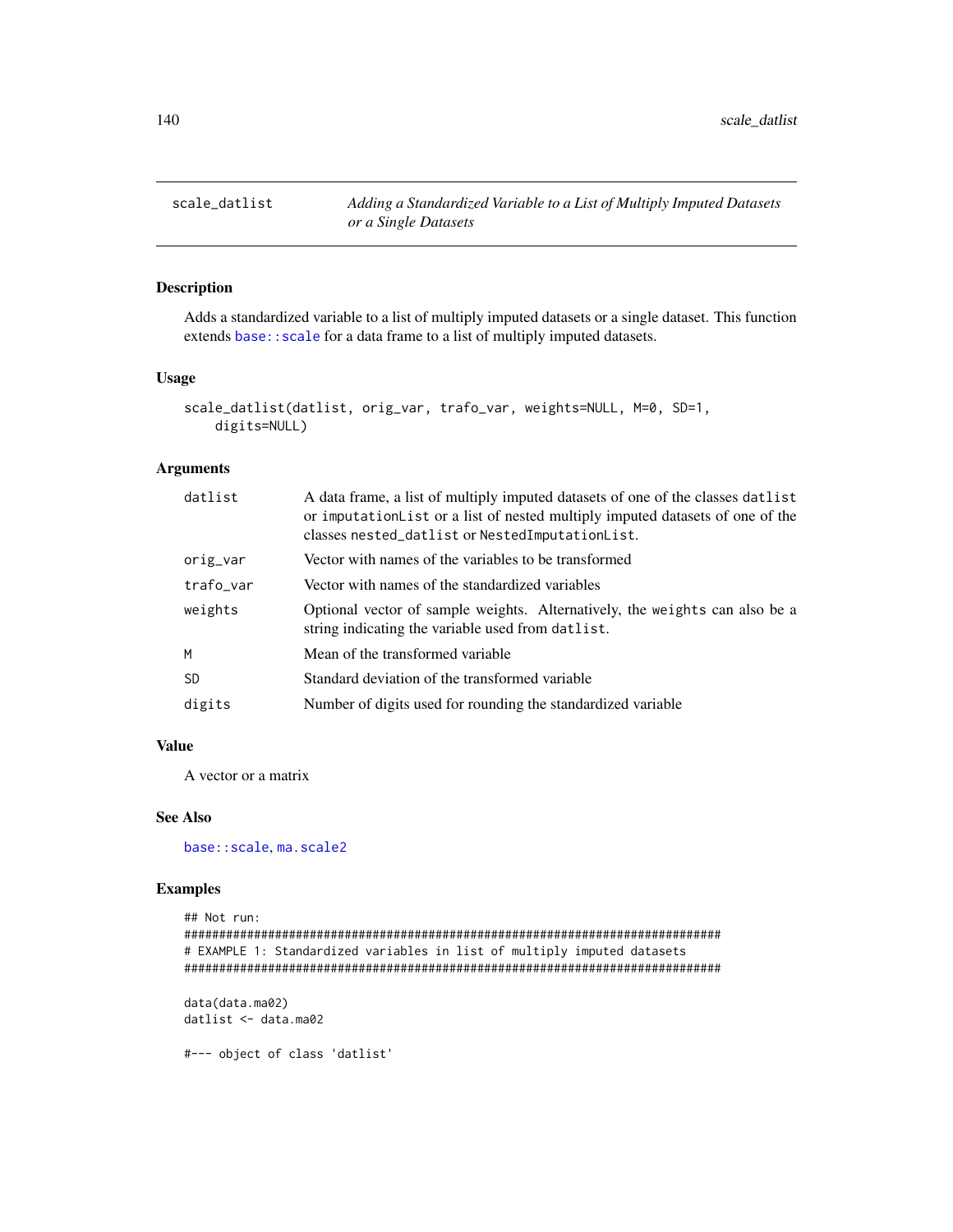## Description

Adds a standardized variable to a list of multiply imputed datasets or a single dataset. This function extends base:: scale for a data frame to a list of multiply imputed datasets.

## Usage

```
scale_datlist(datlist, orig_var, trafo_var, weights=NULL, M=0, SD=1,
   digits=NULL)
```
### Arguments

| datlist   | A data frame, a list of multiply imputed datasets of one of the classes datlist<br>or imputation List or a list of nested multiply imputed datasets of one of the<br>classes nested_datlist or NestedImputationList. |
|-----------|----------------------------------------------------------------------------------------------------------------------------------------------------------------------------------------------------------------------|
| orig_var  | Vector with names of the variables to be transformed                                                                                                                                                                 |
| trafo_var | Vector with names of the standardized variables                                                                                                                                                                      |
| weights   | Optional vector of sample weights. Alternatively, the weights can also be a<br>string indicating the variable used from datlist.                                                                                     |
| M         | Mean of the transformed variable                                                                                                                                                                                     |
| <b>SD</b> | Standard deviation of the transformed variable                                                                                                                                                                       |
| digits    | Number of digits used for rounding the standardized variable                                                                                                                                                         |

## Value

A vector or a matrix

## See Also

[base::scale](#page-0-0), [ma.scale2](#page-48-0)

```
## Not run:
#############################################################################
# EXAMPLE 1: Standardized variables in list of multiply imputed datasets
#############################################################################
data(data.ma02)
datlist <- data.ma02
#--- object of class 'datlist'
```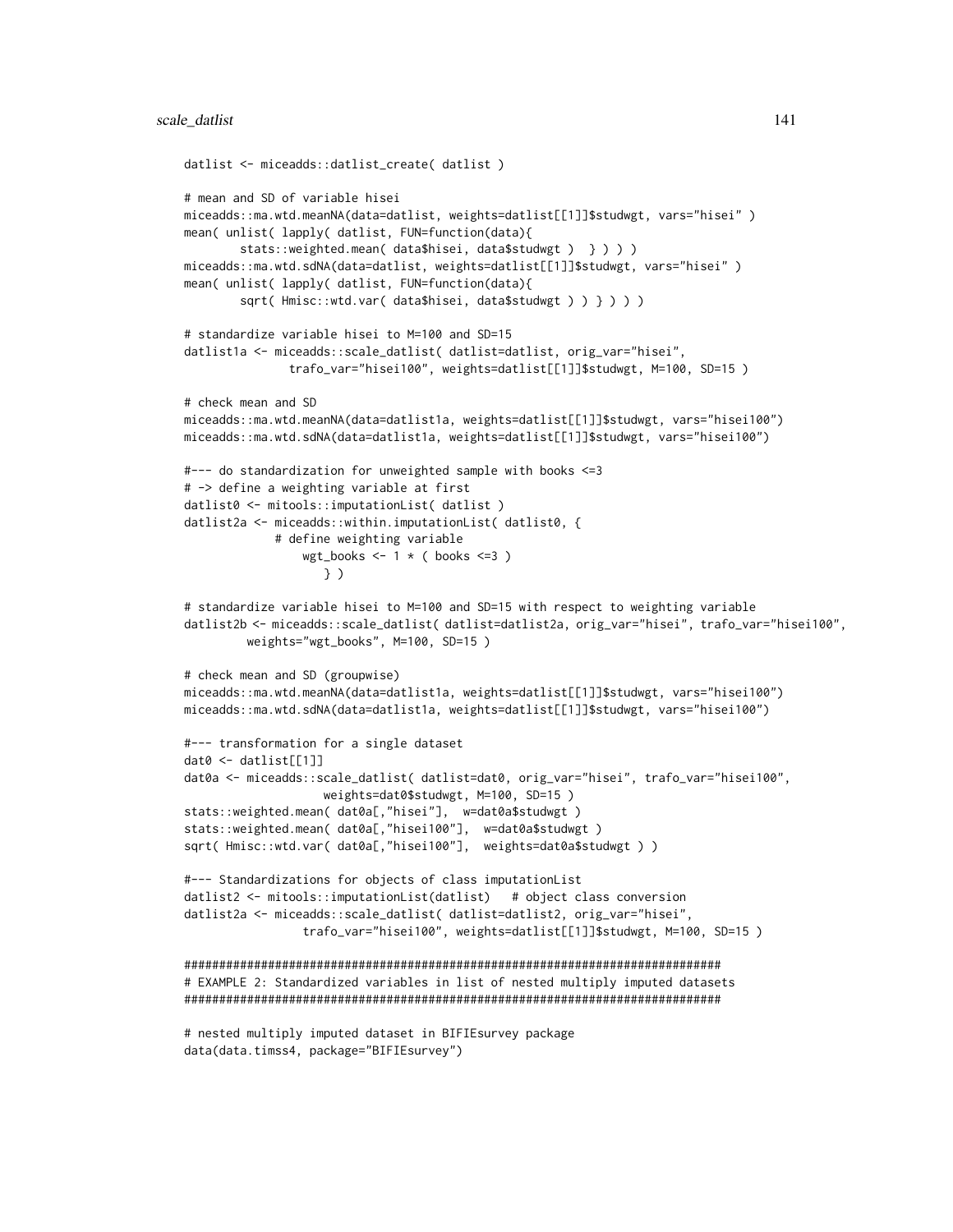```
datlist <- miceadds::datlist_create( datlist )
# mean and SD of variable hisei
miceadds::ma.wtd.meanNA(data=datlist, weights=datlist[[1]]$studwgt, vars="hisei" )
mean( unlist( lapply( datlist, FUN=function(data){
        stats::weighted.mean( data$hisei, data$studwgt ) } ) ) )
miceadds::ma.wtd.sdNA(data=datlist, weights=datlist[[1]]$studwgt, vars="hisei" )
mean( unlist( lapply( datlist, FUN=function(data){
       sqrt( Hmisc::wtd.var( data$hisei, data$studwgt ) ) } ) ) )
# standardize variable hisei to M=100 and SD=15
datlist1a <- miceadds::scale_datlist( datlist=datlist, orig_var="hisei",
               trafo_var="hisei100", weights=datlist[[1]]$studwgt, M=100, SD=15 )
# check mean and SD
miceadds::ma.wtd.meanNA(data=datlist1a, weights=datlist[[1]]$studwgt, vars="hisei100")
miceadds::ma.wtd.sdNA(data=datlist1a, weights=datlist[[1]]$studwgt, vars="hisei100")
#--- do standardization for unweighted sample with books <=3
# -> define a weighting variable at first
datlist0 <- mitools::imputationList( datlist )
datlist2a <- miceadds::within.imputationList( datlist0, {
             # define weighting variable
                 wgt\_books \leftarrow 1 * (books \leftarrow 3)} )
# standardize variable hisei to M=100 and SD=15 with respect to weighting variable
datlist2b <- miceadds::scale_datlist( datlist=datlist2a, orig_var="hisei", trafo_var="hisei100",
        weights="wgt_books", M=100, SD=15 )
# check mean and SD (groupwise)
miceadds::ma.wtd.meanNA(data=datlist1a, weights=datlist[[1]]$studwgt, vars="hisei100")
miceadds::ma.wtd.sdNA(data=datlist1a, weights=datlist[[1]]$studwgt, vars="hisei100")
#--- transformation for a single dataset
dat0 <- datlist[[1]]
dat0a <- miceadds::scale_datlist( datlist=dat0, orig_var="hisei", trafo_var="hisei100",
                    weights=dat0$studwgt, M=100, SD=15 )
stats::weighted.mean( dat0a[,"hisei"], w=dat0a$studwgt )
stats::weighted.mean( dat0a[,"hisei100"], w=dat0a$studwgt )
sqrt( Hmisc::wtd.var( dat0a[,"hisei100"], weights=dat0a$studwgt ) )
#--- Standardizations for objects of class imputationList
datlist2 <- mitools::imputationList(datlist) # object class conversion
datlist2a <- miceadds::scale_datlist( datlist=datlist2, orig_var="hisei",
                 trafo_var="hisei100", weights=datlist[[1]]$studwgt, M=100, SD=15 )
#############################################################################
# EXAMPLE 2: Standardized variables in list of nested multiply imputed datasets
#############################################################################
# nested multiply imputed dataset in BIFIEsurvey package
```
data(data.timss4, package="BIFIEsurvey")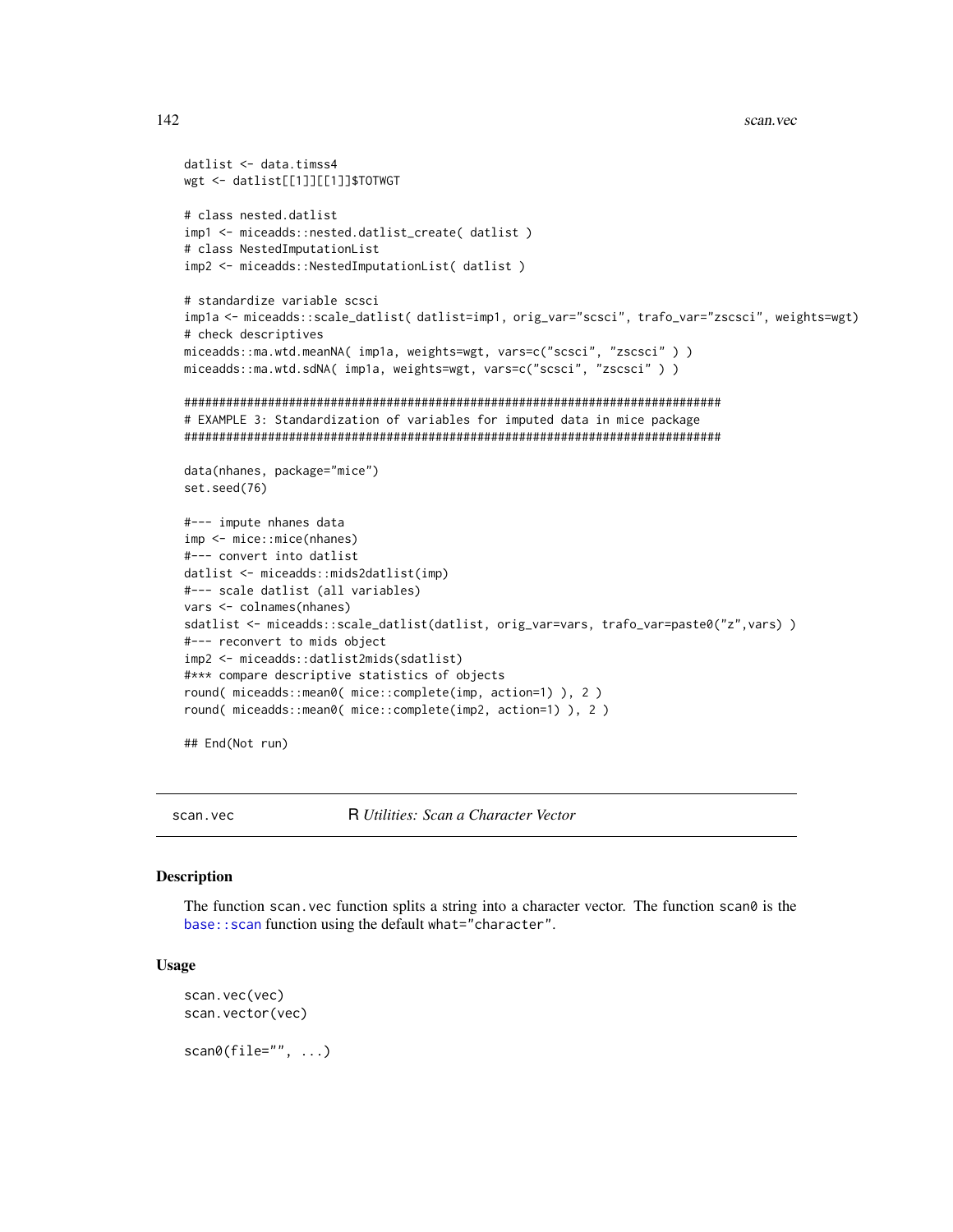```
datlist <- data.timss4
wgt <- datlist[[1]][[1]]$TOTWGT
# class nested.datlist
imp1 <- miceadds::nested.datlist_create( datlist )
# class NestedImputationList
imp2 <- miceadds::NestedImputationList( datlist)
# standardize variable scsci
impla <- miceadds::scale_datlist(datlist=imp1, orig_var="scsci", trafo_var="zscsci", weights=wgt)
# check descriptives
miceadds::ma.wtd.meanNA( imp1a, weights=wgt, vars=c("scsci", "zscsci" ) )
miceadds::ma.wtd.sdNA( imp1a, weights=wgt, vars=c("scsci", "zscsci" ) )
# EXAMPLE 3: Standardization of variables for imputed data in mice package
data(nhanes, package="mice")
set.seed(76)
#--- impute nhanes data
imp <- mice::mice(nhanes)
#--- convert into datlist
datlist <- miceadds::mids2datlist(imp)
#--- scale datlist (all variables)
vars <- colnames(nhanes)
sdatlist <- miceadds::scale_datlist(datlist, orig_var=vars, trafo_var=paste0("z",vars))
#--- reconvert to mids object
imp2 <- miceadds::datlist2mids(sdatlist)
#*** compare descriptive statistics of objects
round( miceadds::mean0( mice::complete(imp, action=1) ), 2 )
round( miceadds::mean0( mice::complete(imp2, action=1) ), 2 )
## End(Not run)
```
scan.vec

R Utilities: Scan a Character Vector

#### **Description**

The function scan. vec function splits a string into a character vector. The function scan $\theta$  is the base: : scan function using the default what="character".

## **Usage**

```
scan.vec(vec)
scan.vector(vec)
scan@(file="", ...)
```
142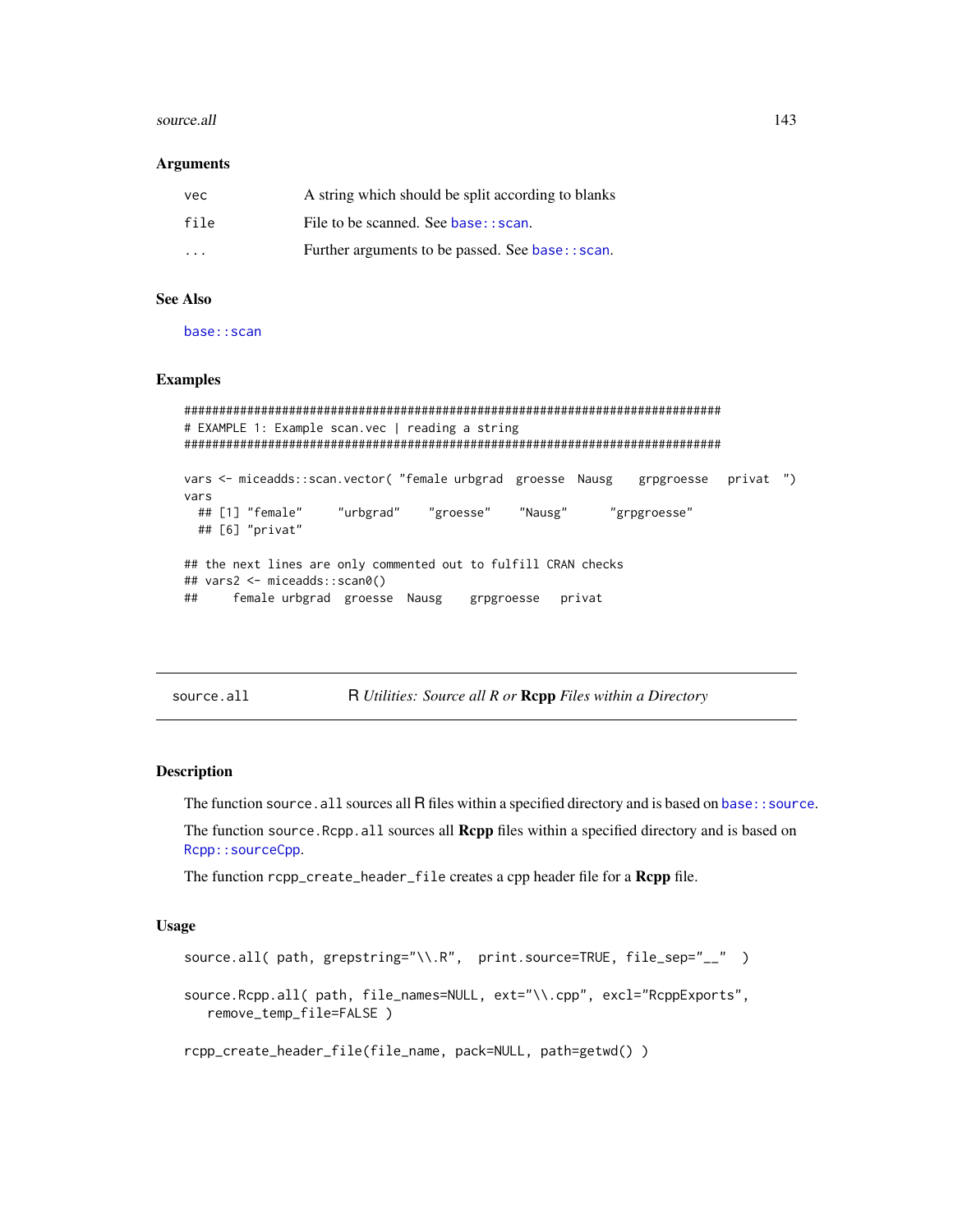#### source.all and the source of the source of the source of the source of the source all and the source of the source of the source of the source of the source of the source of the source of the source of the source of the so

#### **Arguments**

| vec                     | A string which should be split according to blanks |
|-------------------------|----------------------------------------------------|
| file                    | File to be scanned. See base: : scan.              |
| $\cdot$ $\cdot$ $\cdot$ | Further arguments to be passed. See base:: scan.   |

## See Also

[base::scan](#page-0-0)

#### Examples

```
#############################################################################
# EXAMPLE 1: Example scan.vec | reading a string
#############################################################################
vars <- miceadds::scan.vector( "female urbgrad groesse Nausg grpgroesse privat ")
vars
 ## [1] "female" "urbgrad" "groesse" "Nausg" "grpgroesse"
 ## [6] "privat"
## the next lines are only commented out to fulfill CRAN checks
## vars2 <- miceadds::scan0()
## female urbgrad groesse Nausg grpgroesse privat
```
source.all **R** *Utilities: Source all R or* **Rcpp** *Files within a Directory* 

#### Description

The function source. all sources all R files within a specified directory and is based on base: : source.

The function source.Rcpp.all sources all **Repp** files within a specified directory and is based on [Rcpp::sourceCpp](#page-0-0).

The function rcpp\_create\_header\_file creates a cpp header file for a Rcpp file.

## Usage

```
source.all( path, grepstring="\\.R", print.source=TRUE, file_sep="__" )
source.Rcpp.all( path, file_names=NULL, ext="\\.cpp", excl="RcppExports",
   remove_temp_file=FALSE )
rcpp_create_header_file(file_name, pack=NULL, path=getwd() )
```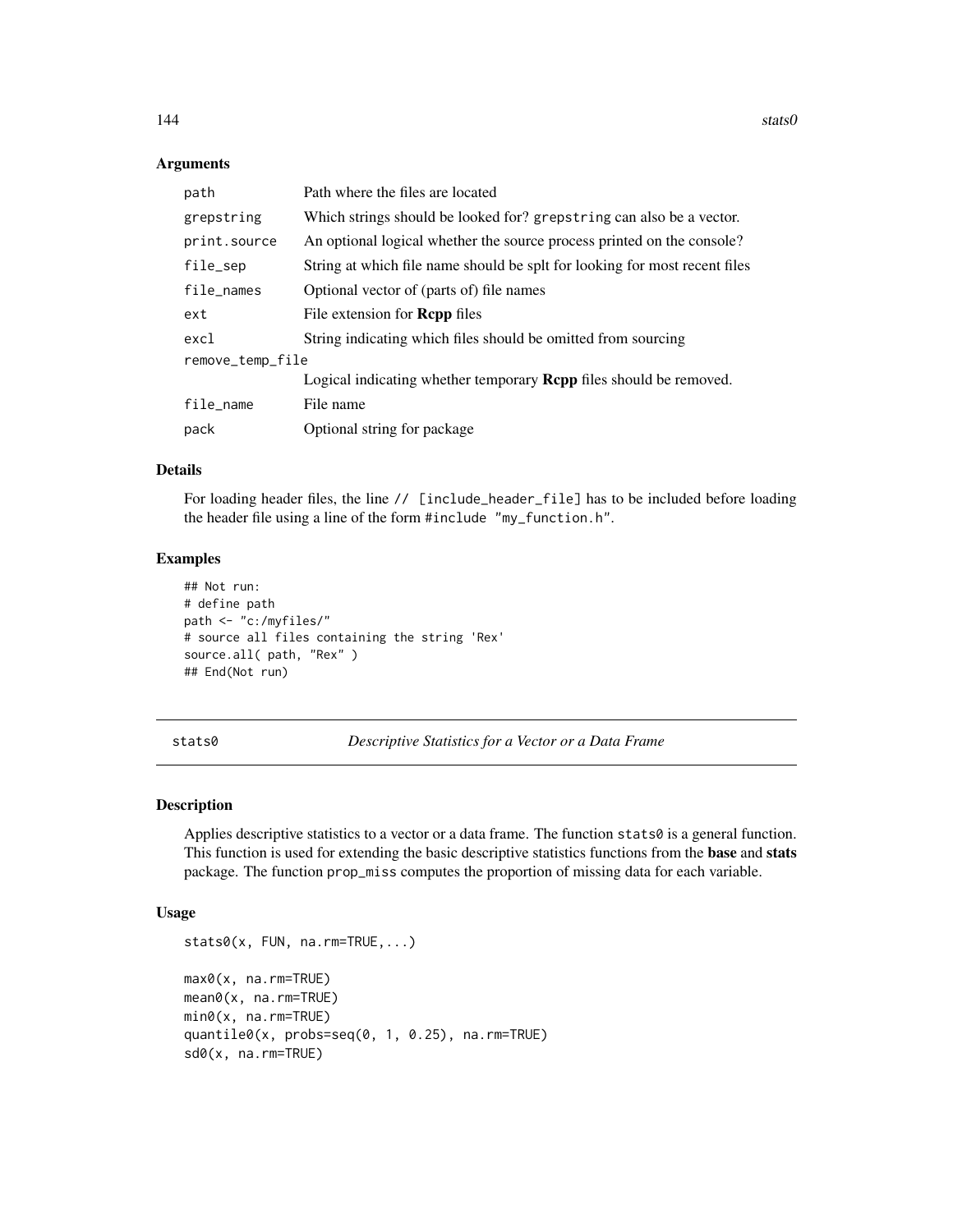#### Arguments

| path             | Path where the files are located                                           |  |
|------------------|----------------------------------------------------------------------------|--|
| grepstring       | Which strings should be looked for? grepstring can also be a vector.       |  |
| print.source     | An optional logical whether the source process printed on the console?     |  |
| file_sep         | String at which file name should be splt for looking for most recent files |  |
| file_names       | Optional vector of (parts of) file names                                   |  |
| ext              | File extension for <b>Repp</b> files                                       |  |
| excl             | String indicating which files should be omitted from sourcing              |  |
| remove_temp_file |                                                                            |  |
|                  | Logical indicating whether temporary <b>Repp</b> files should be removed.  |  |
| file_name        | File name                                                                  |  |
| pack             | Optional string for package                                                |  |

## Details

For loading header files, the line // [include\_header\_file] has to be included before loading the header file using a line of the form #include "my\_function.h".

#### Examples

```
## Not run:
# define path
path <- "c:/myfiles/"
# source all files containing the string 'Rex'
source.all( path, "Rex" )
## End(Not run)
```
stats0 *Descriptive Statistics for a Vector or a Data Frame*

## Description

Applies descriptive statistics to a vector or a data frame. The function  $\text{stats0}$  is a general function. This function is used for extending the basic descriptive statistics functions from the **base** and **stats** package. The function prop\_miss computes the proportion of missing data for each variable.

#### Usage

```
stats0(x, FUN, na.rm=TRUE,...)
max0(x, na.rm=TRUE)
mean0(x, na.rm=TRUE)
min0(x, na.rm=TRUE)
quantile0(x, probs=seq(0, 1, 0.25), na.rm=TRUE)
sd0(x, na.rm=TRUE)
```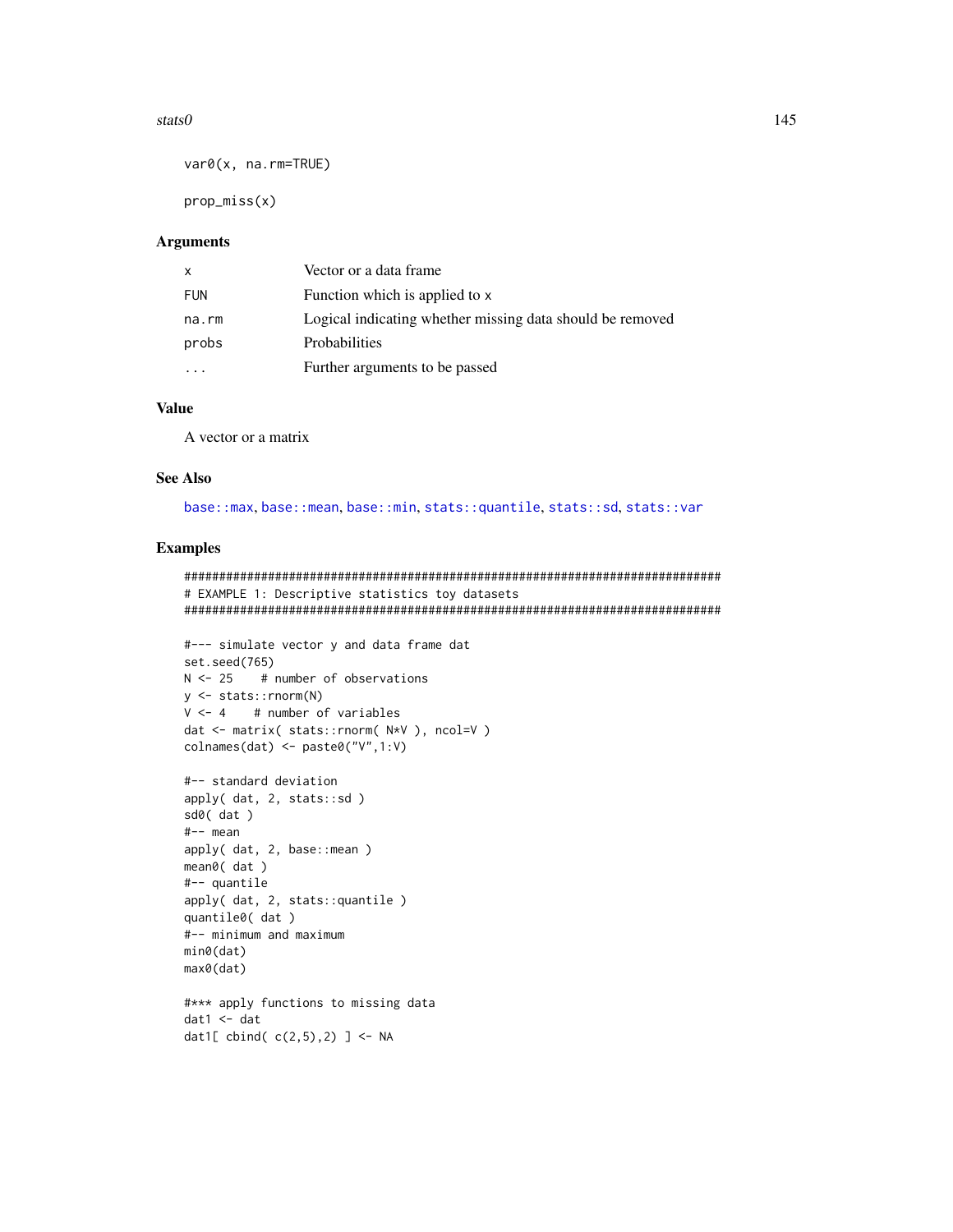# <span id="page-144-0"></span>stats0

 $var@(x, na.rm=TRUE)$ 

 $prop\_miss(x)$ 

# **Arguments**

| $\mathsf{x}$ | Vector or a data frame                                    |
|--------------|-----------------------------------------------------------|
| <b>FUN</b>   | Function which is applied to x                            |
| na.rm        | Logical indicating whether missing data should be removed |
| probs        | <b>Probabilities</b>                                      |
|              | Further arguments to be passed                            |

# **Value**

A vector or a matrix

# **See Also**

base::max, base::mean, base::min, stats::quantile, stats::sd, stats::var

# **Examples**

```
# EXAMPLE 1: Descriptive statistics toy datasets
#--- simulate vector y and data frame dat
set.seed(765)
       # number of observations
N < -25y \leftarrow stats:: rnorm(N)
V \le -4 # number of variables
dat <- matrix( stats::rnorm( N*V ), ncol=V )
collnames(data) \leq-paste\theta("V", 1:V)#-- standard deviation
apply(dat, 2, stats::sd)
sd0(dat)
#-- mean
apply( dat, 2, base::mean )
mean@ (dat)
#-- quantile
apply(dat, 2, stats::quantile)
quantile0( dat )
#-- minimum and maximum
min@(data)max0(dat)
#*** apply functions to missing data
dat1 < - datdat1[ cbind( c(2,5), 2) ] <- NA
```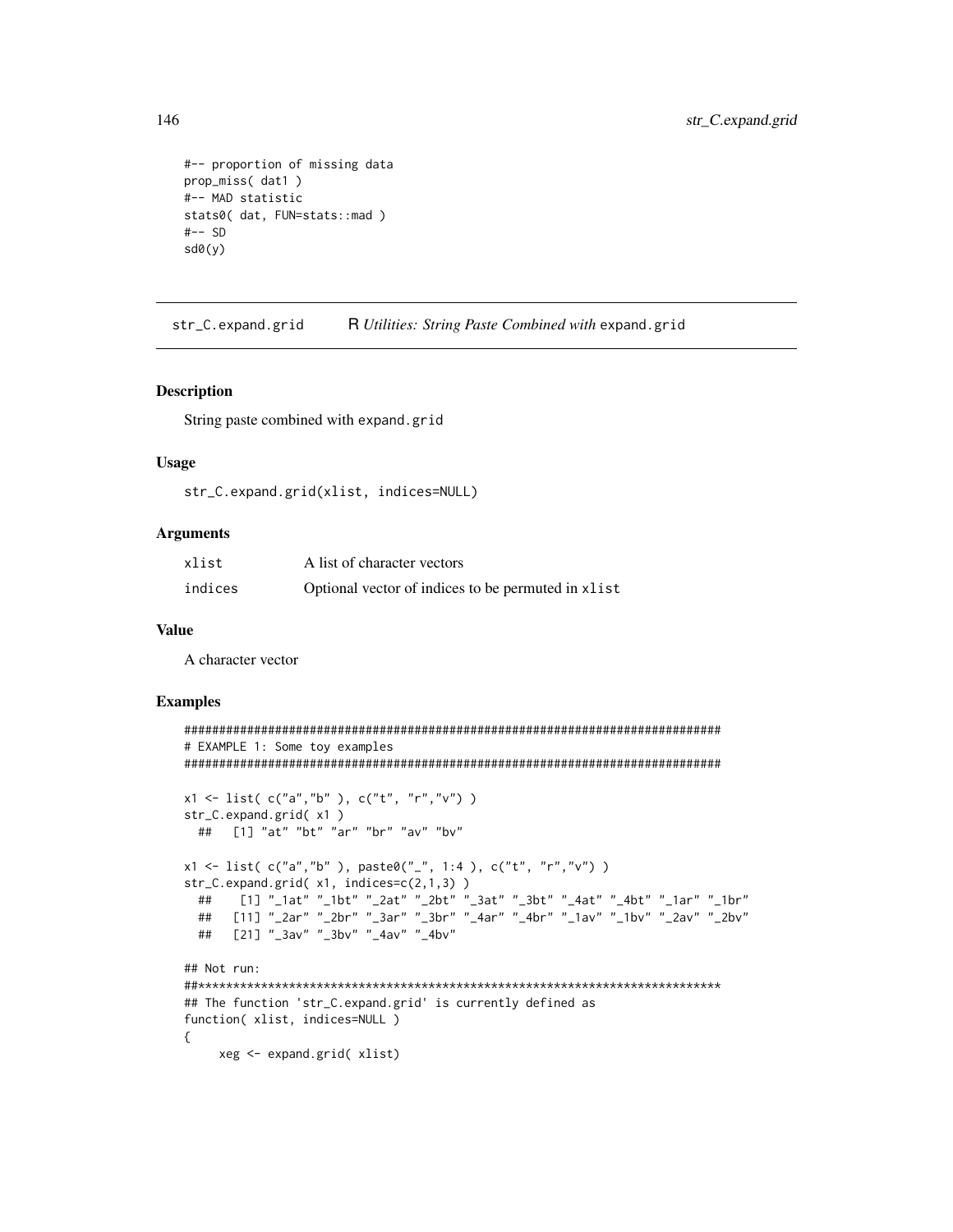```
#-- proportion of missing data
prop_miss( dat1)
#-- MAD statistic
stats0( dat, FUN=stats::mad )
#--SDsd\theta(y)
```
R Utilities: String Paste Combined with expand.grid str\_C.expand.grid

#### **Description**

String paste combined with expand.grid

#### **Usage**

str\_C.expand.grid(xlist, indices=NULL)

# **Arguments**

| xlist   | A list of character vectors                        |
|---------|----------------------------------------------------|
| indices | Optional vector of indices to be permuted in xlist |

#### **Value**

A character vector

### **Examples**

```
# EXAMPLE 1: Some toy examples
x1 \leftarrow list( c("a","b" ), c("t", "r","v") )
str_C.expand.grid(x1)
 ## [1] "at" "bt" "ar" "br" "av" "bv"
x1 <- list( c("a","b"), paste0("_", 1:4), c("t", "r","v"))
str_C. expand.grid( x1, indices=c(2,1,3) )[1] "_1at" "_1bt" "_2at" "_2bt" "_3at" "_3bt" "_4at" "_4bt" "_1ar" "_1br"
 \# \#\frac{1}{2} \frac{1}{2} \frac{1}{2} \frac{1}{2} \frac{1}{2} \frac{1}{2} \frac{1}{2} \frac{1}{2} \frac{1}{2} \frac{1}{2} \frac{1}{2} \frac{1}{2} \frac{1}{2} \frac{1}{2} \frac{1}{2} \frac{1}{2} \frac{1}{2} \frac{1}{2} \frac{1}{2} \frac{1}{2} \frac{1}{2} \frac{1}{2} ##
     [21] "_3av" "_3bv" "_4av" "_4bv"
 \# \### Not run:
## The function 'str_C.expand.grid' is currently defined as
function(xlist, indices=NULL)
€
    xeg <- expand.grid( xlist)
```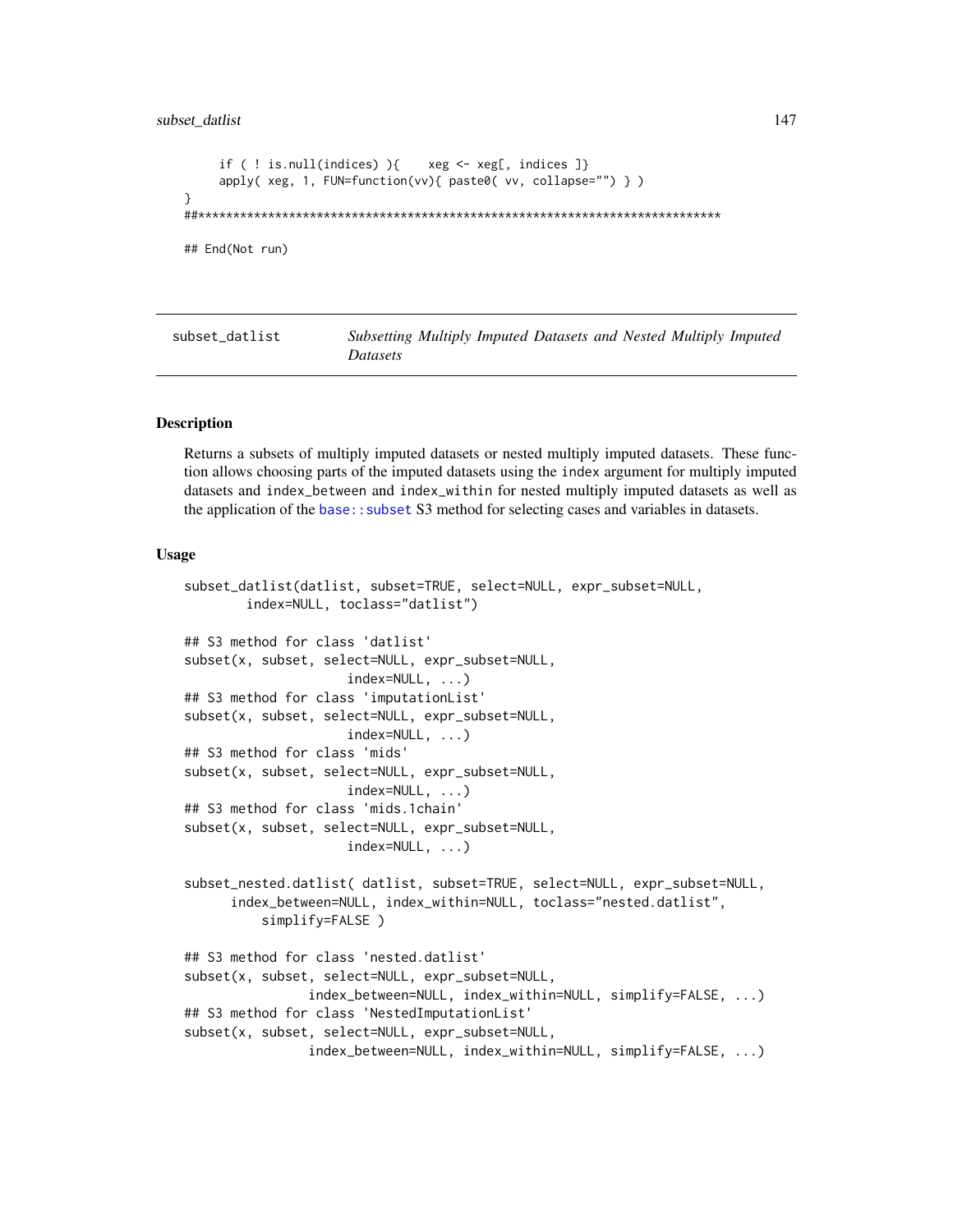```
if ( ! is.null(indices) ){ xeg <- xeg[, indices ]}
     apply( xeg, 1, FUN=function(vv){ paste0( vv, collapse="") } )
}
##***************************************************************************
## End(Not run)
```
subset\_datlist *Subsetting Multiply Imputed Datasets and Nested Multiply Imputed Datasets*

#### **Description**

Returns a subsets of multiply imputed datasets or nested multiply imputed datasets. These function allows choosing parts of the imputed datasets using the index argument for multiply imputed datasets and index\_between and index\_within for nested multiply imputed datasets as well as the application of the [base::subset](#page-0-0) S3 method for selecting cases and variables in datasets.

#### Usage

```
subset_datlist(datlist, subset=TRUE, select=NULL, expr_subset=NULL,
        index=NULL, toclass="datlist")
## S3 method for class 'datlist'
subset(x, subset, select=NULL, expr_subset=NULL,
                     index=NULL, ...)
## S3 method for class 'imputationList'
subset(x, subset, select=NULL, expr_subset=NULL,
                     index=NULL, ...)
## S3 method for class 'mids'
subset(x, subset, select=NULL, expr_subset=NULL,
                     index=NULL, ...)
## S3 method for class 'mids.1chain'
subset(x, subset, select=NULL, expr_subset=NULL,
                     index=NULL, ...)
subset_nested.datlist( datlist, subset=TRUE, select=NULL, expr_subset=NULL,
     index_between=NULL, index_within=NULL, toclass="nested.datlist",
         simplify=FALSE )
## S3 method for class 'nested.datlist'
subset(x, subset, select=NULL, expr_subset=NULL,
                index_between=NULL, index_within=NULL, simplify=FALSE, ...)
## S3 method for class 'NestedImputationList'
subset(x, subset, select=NULL, expr_subset=NULL,
                index_between=NULL, index_within=NULL, simplify=FALSE, ...)
```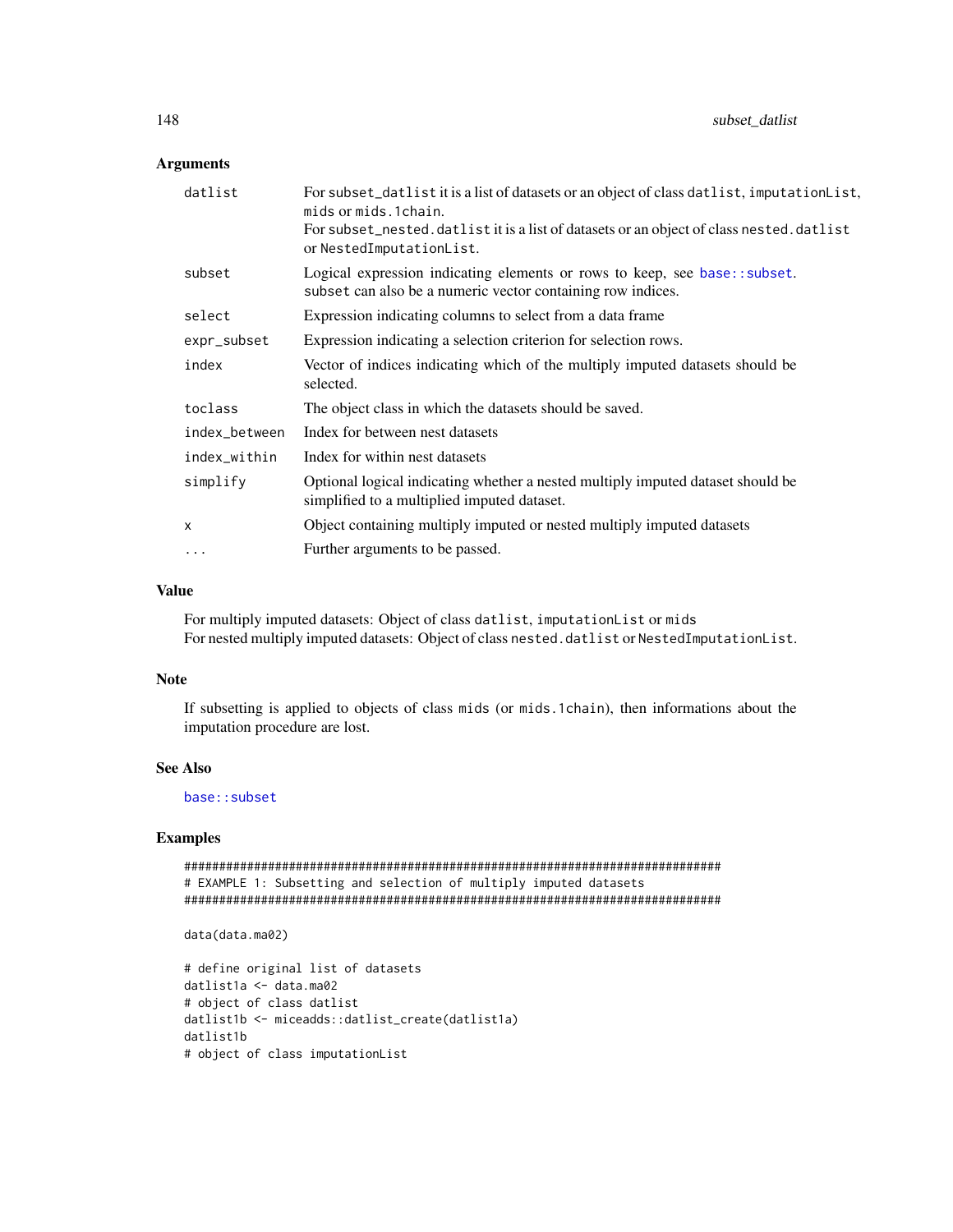# <span id="page-147-0"></span>Arguments

| For subset_datlist it is a list of datasets or an object of class datlist, imputation List,<br>mids or mids. 1 chain.<br>For subset_nested.datlist it is a list of datasets or an object of class nested.datlist<br>or NestedImputationList. |
|----------------------------------------------------------------------------------------------------------------------------------------------------------------------------------------------------------------------------------------------|
| Logical expression indicating elements or rows to keep, see base: : subset.<br>subset can also be a numeric vector containing row indices.                                                                                                   |
| Expression indicating columns to select from a data frame                                                                                                                                                                                    |
| Expression indicating a selection criterion for selection rows.                                                                                                                                                                              |
| Vector of indices indicating which of the multiply imputed datasets should be<br>selected.                                                                                                                                                   |
| The object class in which the datasets should be saved.                                                                                                                                                                                      |
| Index for between nest datasets                                                                                                                                                                                                              |
| Index for within nest datasets                                                                                                                                                                                                               |
| Optional logical indicating whether a nested multiply imputed dataset should be<br>simplified to a multiplied imputed dataset.                                                                                                               |
| Object containing multiply imputed or nested multiply imputed datasets                                                                                                                                                                       |
| Further arguments to be passed.                                                                                                                                                                                                              |
|                                                                                                                                                                                                                                              |

# Value

For multiply imputed datasets: Object of class datlist, imputationList or mids For nested multiply imputed datasets: Object of class nested.datlist or NestedImputationList.

# Note

If subsetting is applied to objects of class mids (or mids.1chain), then informations about the imputation procedure are lost.

# See Also

[base::subset](#page-0-0)

# Examples

```
#############################################################################
# EXAMPLE 1: Subsetting and selection of multiply imputed datasets
#############################################################################
```
data(data.ma02)

```
# define original list of datasets
datlist1a <- data.ma02
# object of class datlist
datlist1b <- miceadds::datlist_create(datlist1a)
datlist1b
# object of class imputationList
```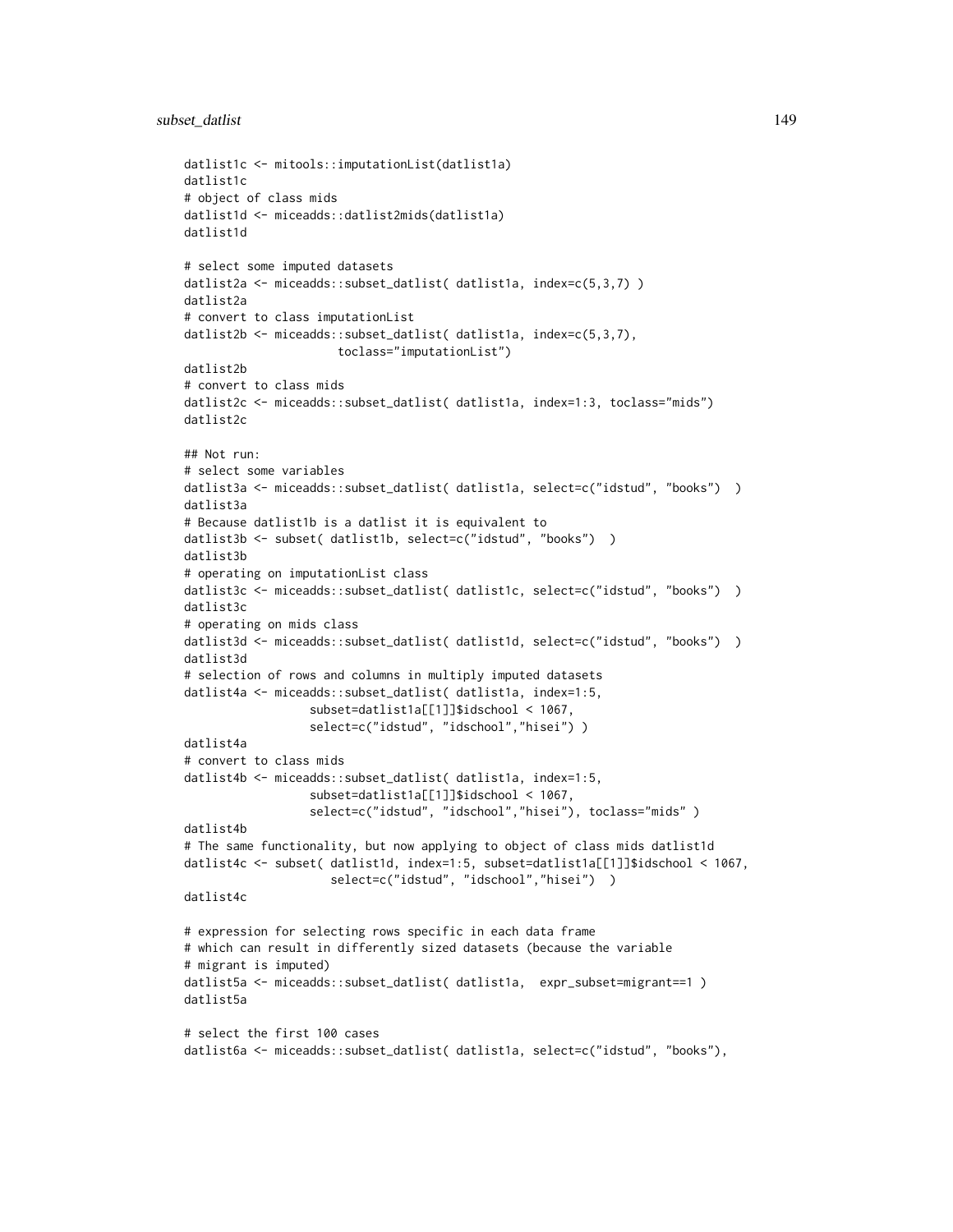# subset\_datlist 149

```
datlist1c <- mitools::imputationList(datlist1a)
datlist1c
# object of class mids
datlist1d <- miceadds::datlist2mids(datlist1a)
datlist1d
# select some imputed datasets
datlist2a <- miceadds::subset_datlist( datlist1a, index=c(5,3,7) )
datlist2a
# convert to class imputationList
datlist2b <- miceadds::subset_datlist( datlist1a, index=c(5,3,7),
                      toclass="imputationList")
datlist2b
# convert to class mids
datlist2c <- miceadds::subset_datlist( datlist1a, index=1:3, toclass="mids")
datlist2c
## Not run:
# select some variables
datlist3a <- miceadds::subset_datlist( datlist1a, select=c("idstud", "books") )
datlist3a
# Because datlist1b is a datlist it is equivalent to
datlist3b <- subset( datlist1b, select=c("idstud", "books") )
datlist3b
# operating on imputationList class
datlist3c <- miceadds::subset_datlist( datlist1c, select=c("idstud", "books") )
datlist3c
# operating on mids class
datlist3d <- miceadds::subset_datlist( datlist1d, select=c("idstud", "books") )
datlist3d
# selection of rows and columns in multiply imputed datasets
datlist4a <- miceadds::subset_datlist( datlist1a, index=1:5,
                  subset=datlist1a[[1]]$idschool < 1067,
                  select=c("idstud", "idschool","hisei") )
datlist4a
# convert to class mids
datlist4b <- miceadds::subset_datlist( datlist1a, index=1:5,
                  subset=datlist1a[[1]]$idschool < 1067,
                  select=c("idstud", "idschool","hisei"), toclass="mids" )
datlist4b
# The same functionality, but now applying to object of class mids datlist1d
datlist4c <- subset( datlist1d, index=1:5, subset=datlist1a[[1]]$idschool < 1067,
                     select=c("idstud", "idschool","hisei") )
datlist4c
# expression for selecting rows specific in each data frame
# which can result in differently sized datasets (because the variable
# migrant is imputed)
datlist5a <- miceadds::subset_datlist( datlist1a, expr_subset=migrant==1 )
datlist5a
# select the first 100 cases
datlist6a <- miceadds::subset_datlist( datlist1a, select=c("idstud", "books"),
```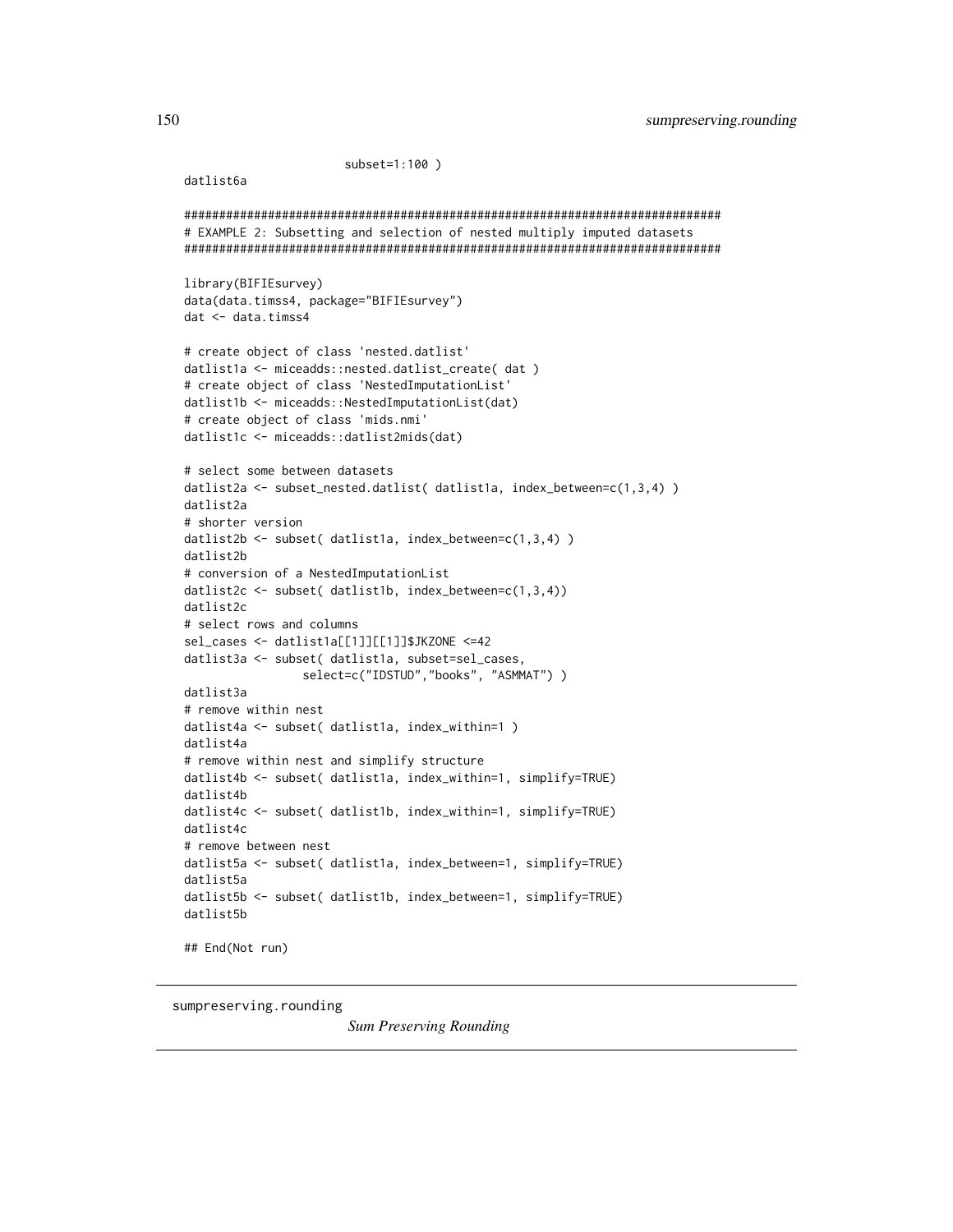```
subset=1:100)
```

```
datlist6a
```

```
# EXAMPLE 2: Subsetting and selection of nested multiply imputed datasets
library(BIFIEsurvey)
data(data.timss4, package="BIFIEsurvey")
dat < - data.time4# create object of class 'nested.datlist'
datlist1a <- miceadds::nested.datlist_create( dat )
# create object of class 'NestedImputationList'
datlist1b <- miceadds::NestedImputationList(dat)
# create object of class 'mids.nmi'
datlist1c <- miceadds::datlist2mids(dat)
# select some between datasets
datlist2a <- subset_nested.datlist( datlist1a, index_between=c(1,3,4) )
datlist2a
# shorter version
datlist2b <- subset( datlist1a, index_between=c(1,3,4))
datlist2b
# conversion of a NestedImputationList
datlist2c <- subset( datlist1b, index_between=c(1,3,4))
datlist2c
# select rows and columns
sel_cases <- datlist1a[[1]][[1]]$JKZONE <=42
datlist3a <- subset( datlist1a, subset=sel_cases,
               select=c("IDSTUD","books", "ASMMAT"))
datatilist3a# remove within nest
datlist4a <- subset( datlist1a, index_within=1)
datlist4a
# remove within nest and simplify structure
datlist4b <- subset( datlist1a, index_within=1, simplify=TRUE)
datlist4b
datlist4c <- subset( datlist1b, index_within=1, simplify=TRUE)
datlist4c
# remove between nest
datlist5a <- subset( datlist1a, index_between=1, simplify=TRUE)
datlist5a
datlist5b <- subset( datlist1b, index_between=1, simplify=TRUE)
datlist5b
## End(Not run)
```
sumpreserving.rounding

**Sum Preserving Rounding**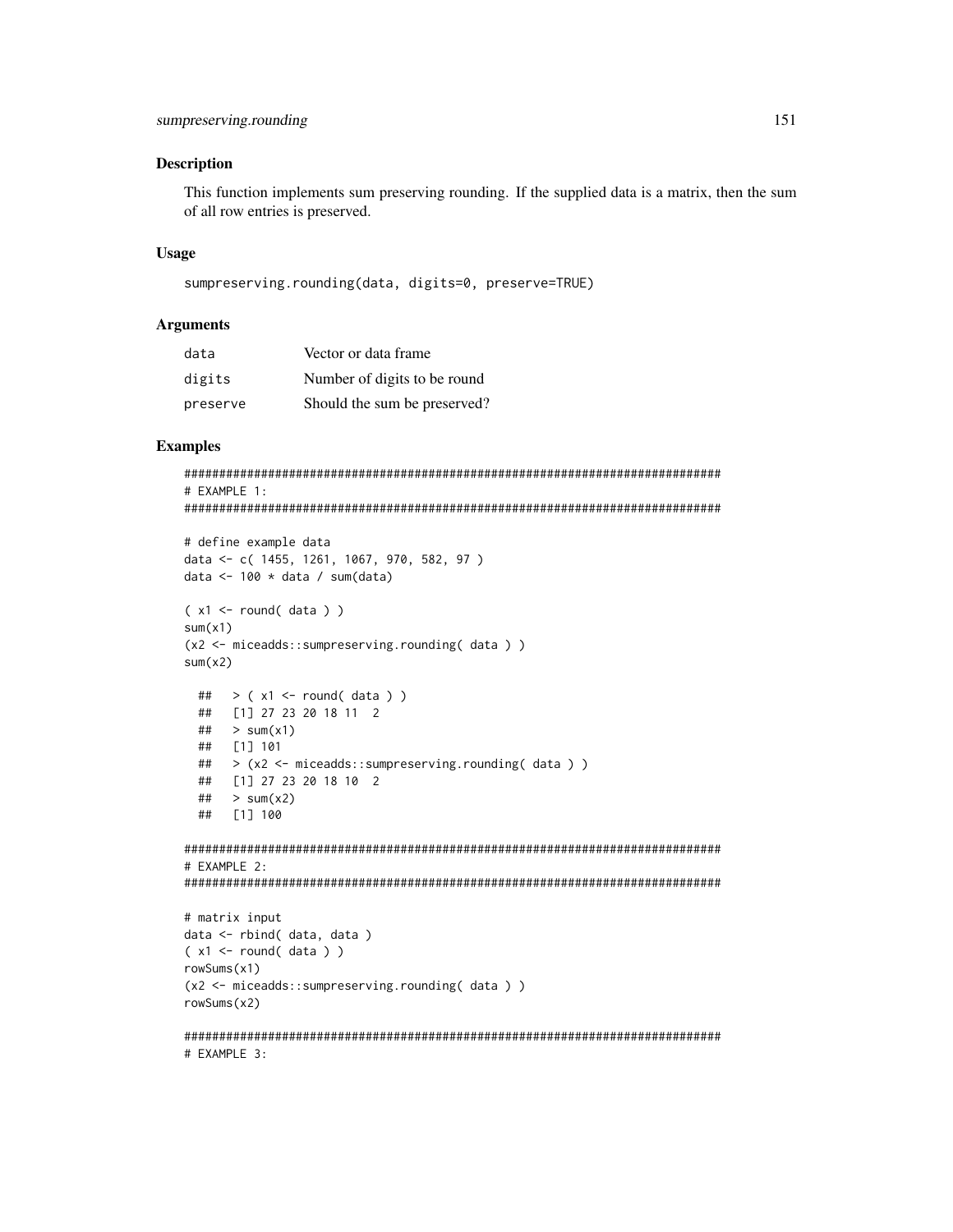#### **Description**

This function implements sum preserving rounding. If the supplied data is a matrix, then the sum of all row entries is preserved.

#### **Usage**

```
sumpreserving.rounding(data, digits=0, preserve=TRUE)
```
# **Arguments**

| data     | Vector or data frame         |
|----------|------------------------------|
| digits   | Number of digits to be round |
| preserve | Should the sum be preserved? |

# **Examples**

```
# EXAMPLE 1:
# define example data
data <- c( 1455, 1261, 1067, 970, 582, 97)
data <- 100 * data / sum(data)
(x1 \leftarrow \text{round}(data))sum(x1)(x2 \leq - miceadds::sumpreserving.rounding(data))
sum(x2)## > (x1 \le r round(data))
 ## [1] 27 23 20 18 11 2
 \## > sum(x1)
 ##[1] 101
   > (x2 <- miceadds::sumpreserving.rounding( data ) )
 #### [1] 27 23 20 18 10 2
 \## > sum(x2)
 ## [1] 100
# EXAMPLE 2:
# matrix input
data <- rbind( data, data )
(x1 \leftarrow \text{round}(data))rowsums(x1)(x2 <- miceadds::sumpreserving.rounding(data))
rowsums(x2)# EXAMPLE 3:
```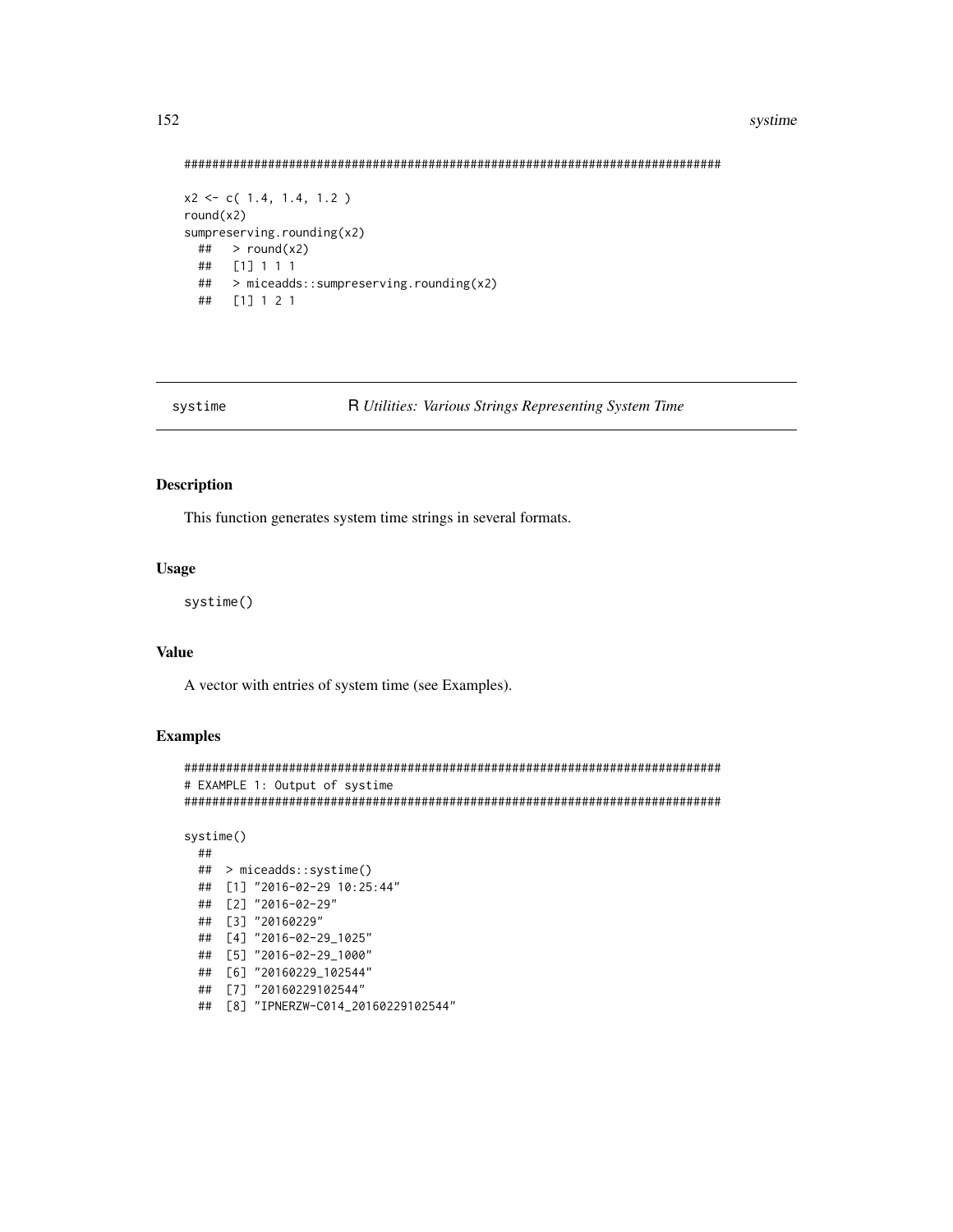### systime

<span id="page-151-0"></span>

```
x2 \leftarrow c(1.4, 1.4, 1.2)round(x2)sumpreserving.rounding(x2)
 ## > round(x2)## [1] 1 1 1
 ## > miceadds::sumpreserving.rounding(x2)
 ## [1] 1 2 1
```
systime

```
R Utilities: Various Strings Representing System Time
```
#### **Description**

This function generates system time strings in several formats.

# **Usage**

systime()

# **Value**

A vector with entries of system time (see Examples).

# **Examples**

```
# EXAMPLE 1: Output of systime
```

```
systime()
 \# \### > miceadds::systime()
 ## [1] "2016-02-29 10:25:44"
 ## [2] "2016-02-29"
 ## [3] "20160229"
 ## [4] "2016-02-29_1025"
 ## [5] "2016-02-29_1000"
 ## [6] "20160229_102544"
 ## [7] "20160229102544"
```
## [8] "IPNERZW-C014\_20160229102544"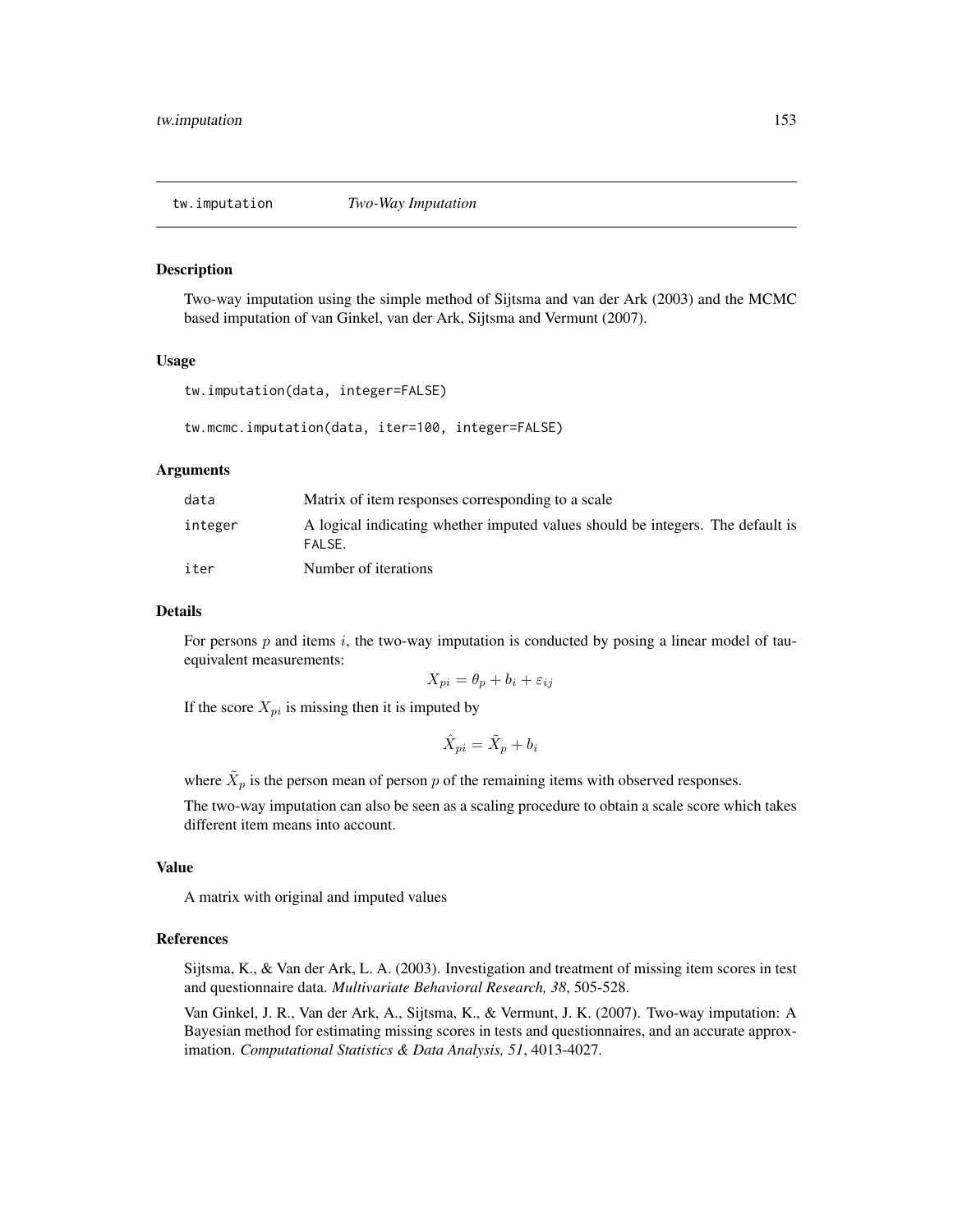<span id="page-152-0"></span>tw.imputation *Two-Way Imputation*

#### Description

Two-way imputation using the simple method of Sijtsma and van der Ark (2003) and the MCMC based imputation of van Ginkel, van der Ark, Sijtsma and Vermunt (2007).

#### Usage

```
tw.imputation(data, integer=FALSE)
```

```
tw.mcmc.imputation(data, iter=100, integer=FALSE)
```
#### Arguments

| data    | Matrix of item responses corresponding to a scale                                        |
|---------|------------------------------------------------------------------------------------------|
| integer | A logical indicating whether imputed values should be integers. The default is<br>FALSE. |
| iter    | Number of iterations                                                                     |

#### Details

For persons  $p$  and items  $i$ , the two-way imputation is conducted by posing a linear model of tauequivalent measurements:

$$
X_{pi} = \theta_p + b_i + \varepsilon_{ij}
$$

If the score  $X_{pi}$  is missing then it is imputed by

$$
\hat{X}_{pi} = \tilde{X}_p + b_i
$$

where  $\tilde{X}_p$  is the person mean of person p of the remaining items with observed responses.

The two-way imputation can also be seen as a scaling procedure to obtain a scale score which takes different item means into account.

# Value

A matrix with original and imputed values

#### References

Sijtsma, K., & Van der Ark, L. A. (2003). Investigation and treatment of missing item scores in test and questionnaire data. *Multivariate Behavioral Research, 38*, 505-528.

Van Ginkel, J. R., Van der Ark, A., Sijtsma, K., & Vermunt, J. K. (2007). Two-way imputation: A Bayesian method for estimating missing scores in tests and questionnaires, and an accurate approximation. *Computational Statistics & Data Analysis, 51*, 4013-4027.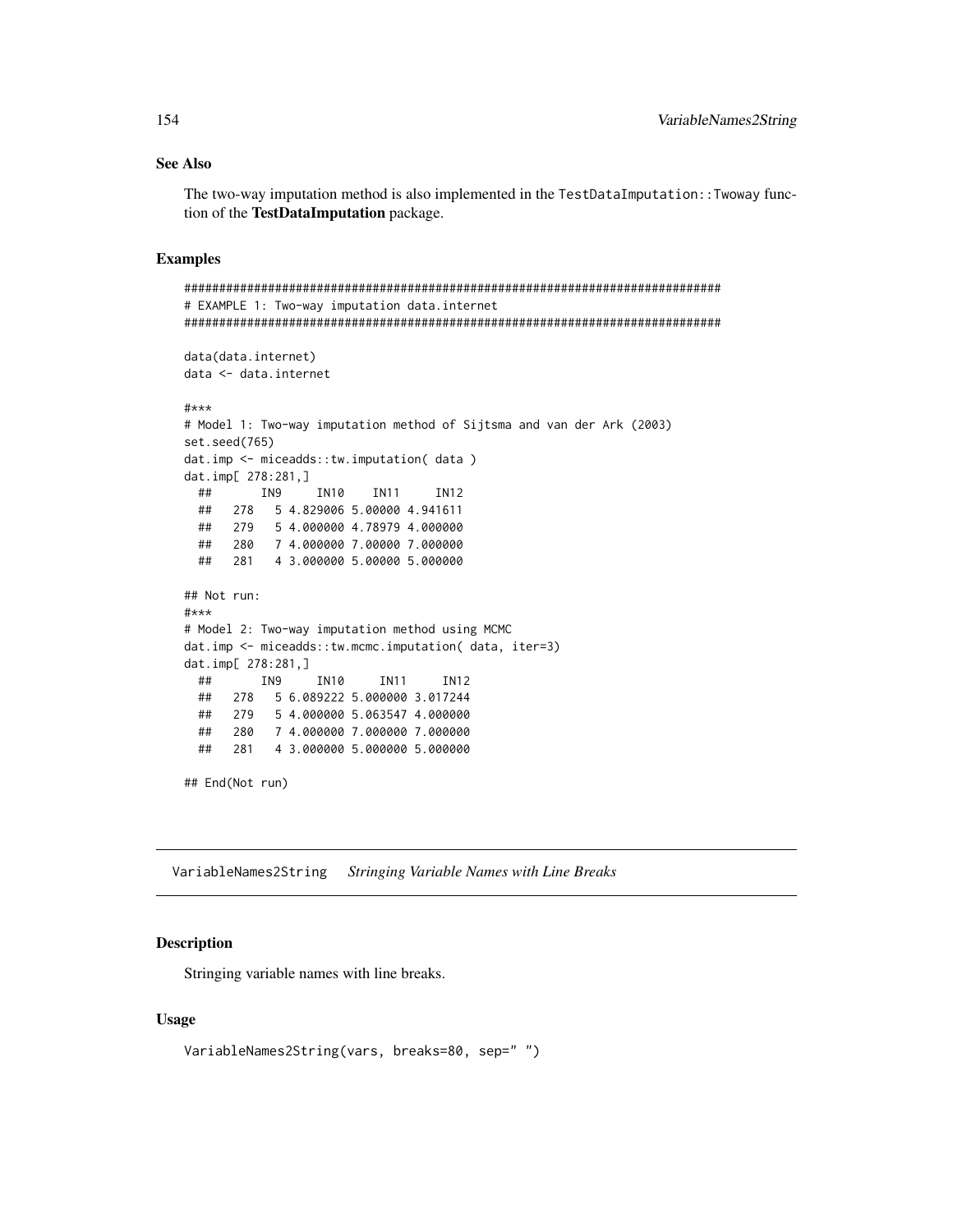# See Also

The two-way imputation method is also implemented in the TestDataImputation::Twoway function of the TestDataImputation package.

#### Examples

```
#############################################################################
# EXAMPLE 1: Two-way imputation data.internet
#############################################################################
data(data.internet)
data <- data.internet
#***
# Model 1: Two-way imputation method of Sijtsma and van der Ark (2003)
set.seed(765)
dat.imp <- miceadds::tw.imputation( data )
dat.imp[ 278:281,]
 ## IN9 IN10 IN11 IN12
 ## 278 5 4.829006 5.00000 4.941611
 ## 279 5 4.000000 4.78979 4.000000
 ## 280 7 4.000000 7.00000 7.000000
 ## 281 4 3.000000 5.00000 5.000000
## Not run:
#***
# Model 2: Two-way imputation method using MCMC
dat.imp <- miceadds::tw.mcmc.imputation( data, iter=3)
dat.imp[ 278:281,]
 ## IN9 IN10 IN11 IN12
 ## 278 5 6.089222 5.000000 3.017244
 ## 279 5 4.000000 5.063547 4.000000
 ## 280 7 4.000000 7.000000 7.000000
 ## 281 4 3.000000 5.000000 5.000000
## End(Not run)
```
VariableNames2String *Stringing Variable Names with Line Breaks*

#### Description

Stringing variable names with line breaks.

#### Usage

```
VariableNames2String(vars, breaks=80, sep=" ")
```
<span id="page-153-0"></span>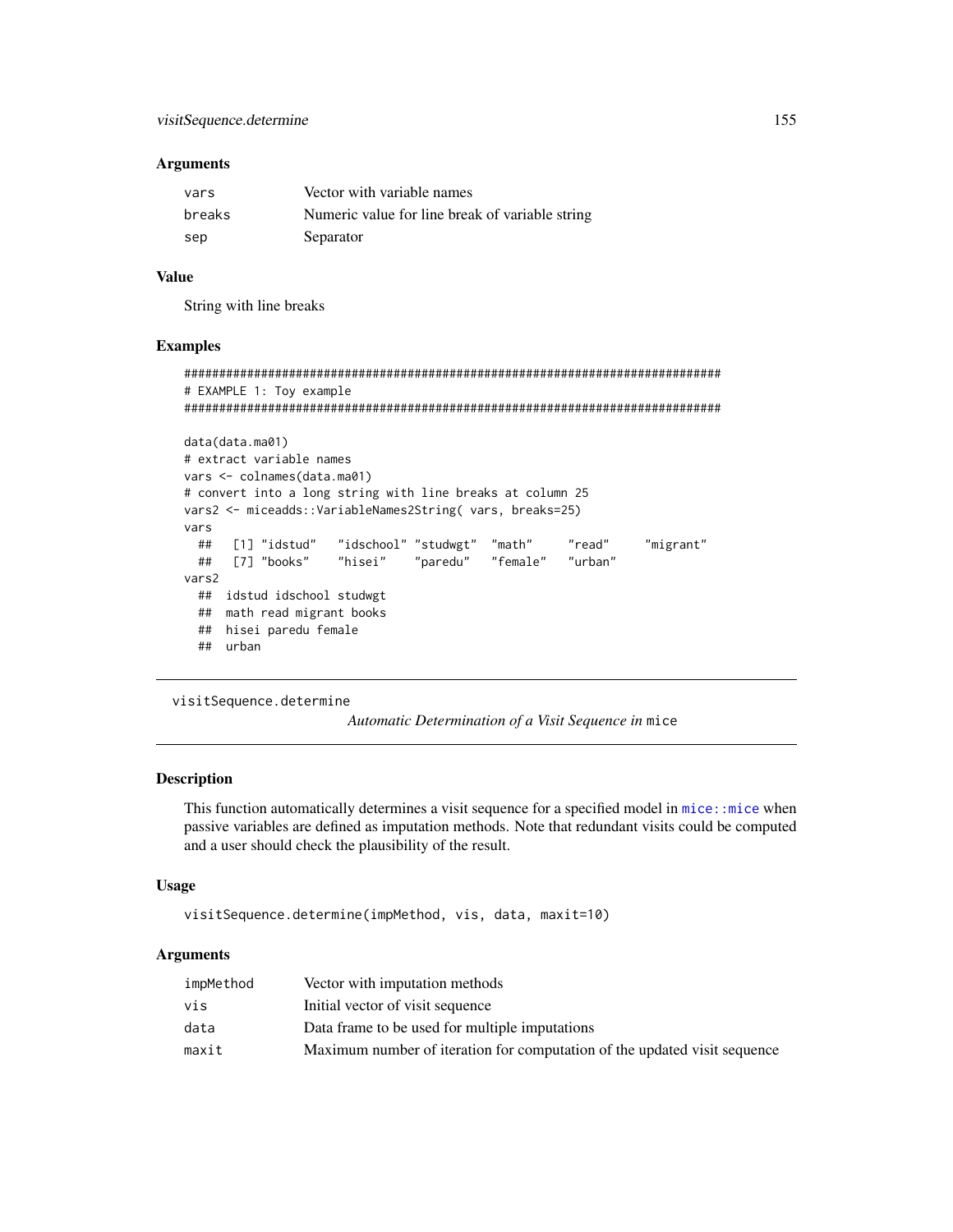#### <span id="page-154-0"></span>**Arguments**

| vars   | Vector with variable names                      |
|--------|-------------------------------------------------|
| breaks | Numeric value for line break of variable string |
| sep    | Separator                                       |

# Value

String with line breaks

#### Examples

```
#############################################################################
# EXAMPLE 1: Toy example
#############################################################################
data(data.ma01)
# extract variable names
vars <- colnames(data.ma01)
# convert into a long string with line breaks at column 25
vars2 <- miceadds::VariableNames2String( vars, breaks=25)
vars
 ## [1] "idstud" "idschool" "studwgt" "math" "read" "migrant"
 ## [7] "books" "hisei" "paredu" "female" "urban"
vars2
 ## idstud idschool studwgt
 ## math read migrant books
 ## hisei paredu female
 ## urban
```
visitSequence.determine

*Automatic Determination of a Visit Sequence in* mice

# **Description**

This function automatically determines a visit sequence for a specified model in [mice::mice](#page-0-0) when passive variables are defined as imputation methods. Note that redundant visits could be computed and a user should check the plausibility of the result.

#### Usage

```
visitSequence.determine(impMethod, vis, data, maxit=10)
```
## Arguments

| impMethod | Vector with imputation methods                                            |
|-----------|---------------------------------------------------------------------------|
| vis       | Initial vector of visit sequence                                          |
| data      | Data frame to be used for multiple imputations                            |
| maxit     | Maximum number of iteration for computation of the updated visit sequence |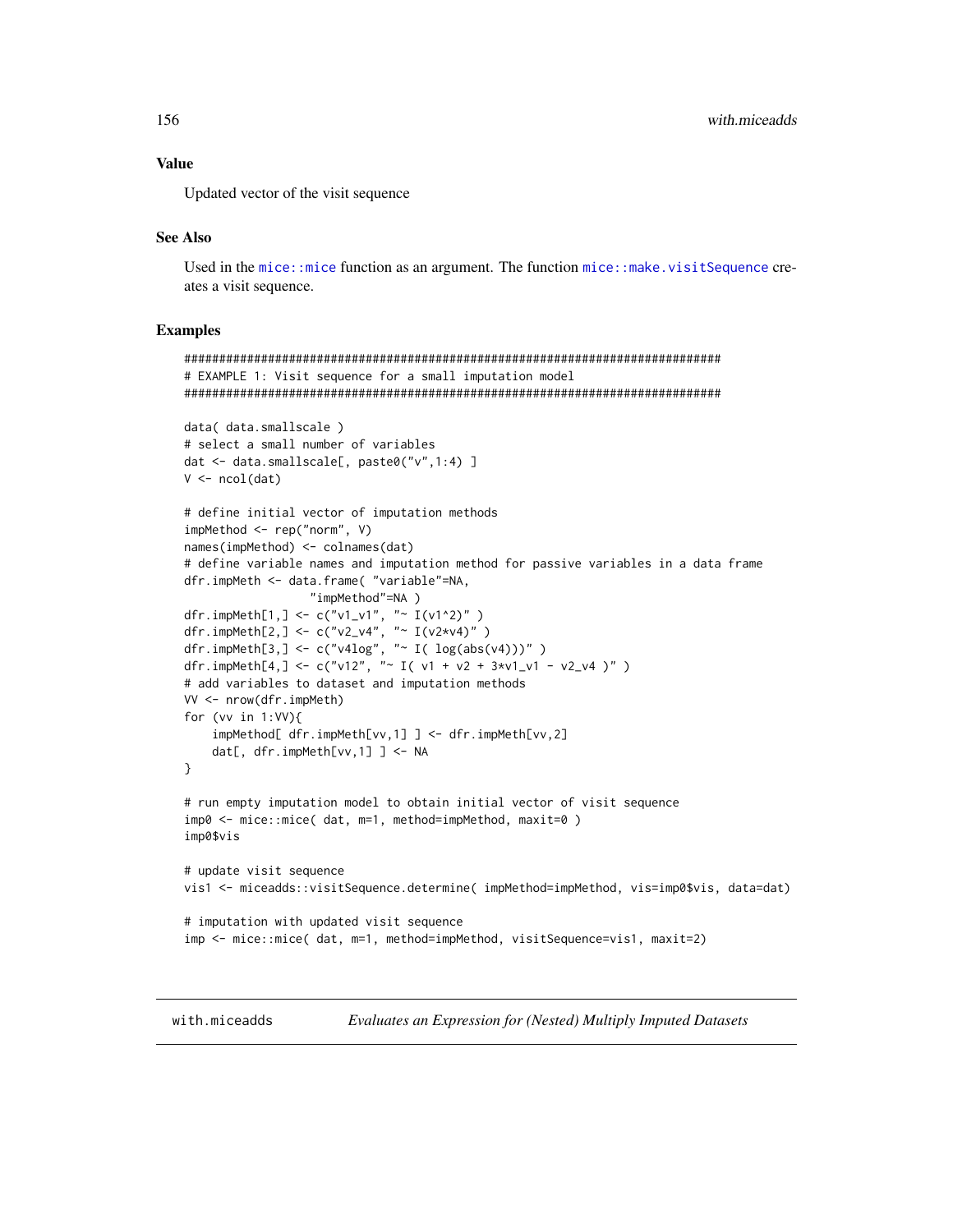# <span id="page-155-0"></span>**Value**

Updated vector of the visit sequence

## **See Also**

Used in the mice::mice function as an argument. The function mice::make.visitSequence creates a visit sequence.

#### **Examples**

```
# EXAMPLE 1: Visit sequence for a small imputation model
data( data.smallscale )
# select a small number of variables
dat <- data.smallscale[, paste0("v",1:4) ]
V \leftarrow \text{ncol}(\text{dat})# define initial vector of imputation methods
impMethod \leftarrow rep('norm', V)names(impMethod) <- colnames(dat)
# define variable names and imputation method for passive variables in a data frame
dfr.impMeth <- data.frame( "variable"=NA,
                 "impMethod"=NA)
dfr.impMeth[1,] <- c("v1_v1", "~ I(v1^2)")<br>dfr.impMeth[2,] <- c("v2_v4", "~ I(v2*v4)")<br>dfr.impMeth[3,] <- c("v2_v4", "~ I( log(abs(v4)))")
dfr.impMeth[4,] <- c("v12", "~ I( v1 + v2 + 3*v1_v1 - v2_v4 )")
# add variables to dataset and imputation methods
VV <- nrow(dfr.impMeth)
for (vv in 1:VV)\{impMethod[ dfr.impMeth[vv,1] ] <- dfr.impMeth[vv,2]
    dat[, dfr.impMeth[vv,1] ] <- NA
\mathcal{E}# run empty imputation model to obtain initial vector of visit sequence
imp0 <- mice::mice( dat, m=1, method=impMethod, maxit=0)
imp0$vis
# update visit sequence
vis1 <- miceadds::visitSequence.determine( impMethod=impMethod, vis=imp0$vis, data=dat)
# imputation with updated visit sequence
imp <- mice::mice( dat, m=1, method=impMethod, visitSequence=vis1, maxit=2)
```
with.miceadds

Evaluates an Expression for (Nested) Multiply Imputed Datasets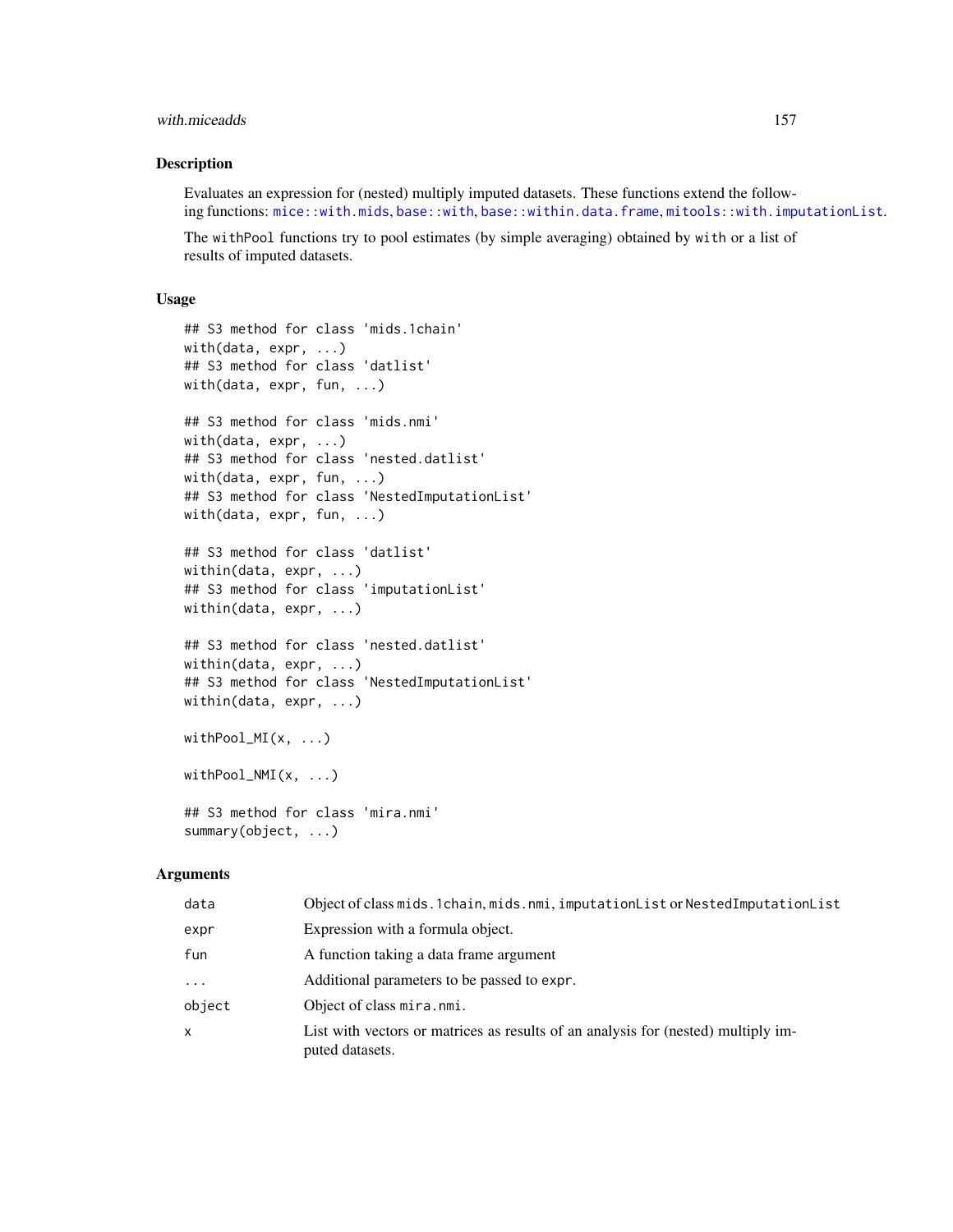## <span id="page-156-0"></span>with.miceadds 157

# Description

Evaluates an expression for (nested) multiply imputed datasets. These functions extend the following functions: [mice::with.mids](#page-0-0), [base::with](#page-0-0), [base::within.data.frame](#page-0-0), [mitools::with.imputationList](#page-0-0).

The withPool functions try to pool estimates (by simple averaging) obtained by with or a list of results of imputed datasets.

#### Usage

```
## S3 method for class 'mids.1chain'
with(data, expr, ...)
## S3 method for class 'datlist'
with(data, expr, fun, ...)
## S3 method for class 'mids.nmi'
with(data, expr, ...)
## S3 method for class 'nested.datlist'
with(data, expr, fun, ...)
## S3 method for class 'NestedImputationList'
with(data, expr, fun, ...)
## S3 method for class 'datlist'
within(data, expr, ...)
## S3 method for class 'imputationList'
within(data, expr, ...)
## S3 method for class 'nested.datlist'
within(data, expr, ...)
## S3 method for class 'NestedImputationList'
within(data, expr, ...)
withPool_MI(x, ...)
withPool_NMI(x, ...)
## S3 method for class 'mira.nmi'
summary(object, ...)
```
#### Arguments

| data     | Object of class mids. 1chain, mids. nmi, imputationList or NestedImputationList                      |
|----------|------------------------------------------------------------------------------------------------------|
| expr     | Expression with a formula object.                                                                    |
| fun      | A function taking a data frame argument                                                              |
| $\cdots$ | Additional parameters to be passed to expr.                                                          |
| object   | Object of class mira.nmi.                                                                            |
| x        | List with vectors or matrices as results of an analysis for (nested) multiply im-<br>puted datasets. |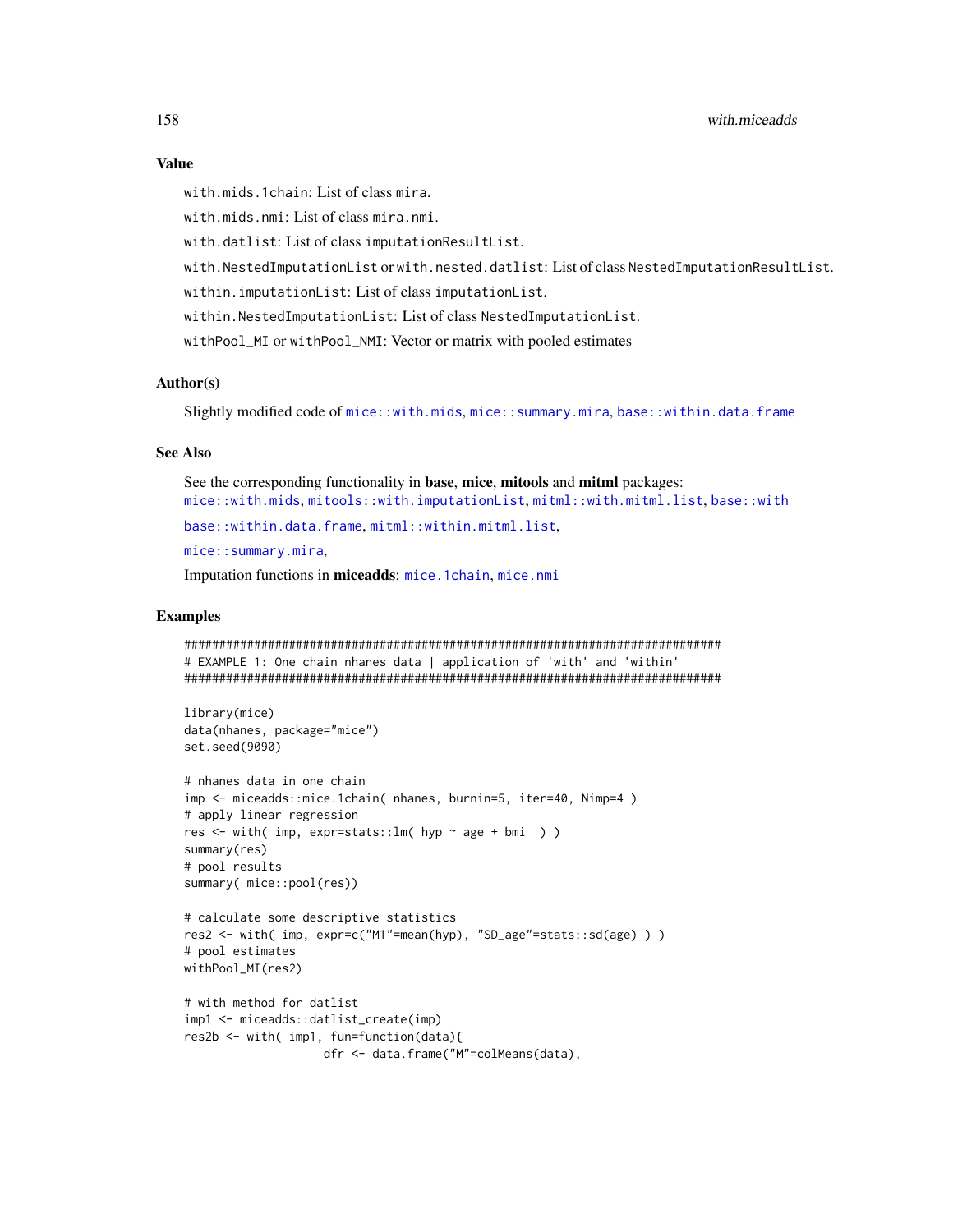#### <span id="page-157-0"></span>**Value**

with mids. 1 chain: List of class mira.

with.mids.nmi: List of class mira.nmi.

with.datlist: List of class imputationResultList.

with.NestedImputationListorwith.nested.datlist:ListofclassNestedImputationResultList.

within.imputationList: List of class imputationList.

within.NestedImputationList: List of class NestedImputationList.

withPool\_MI or withPool\_NMI: Vector or matrix with pooled estimates

# Author(s)

Slightly modified code of mice::with.mids, mice::summary.mira, base::within.data.frame

# **See Also**

See the corresponding functionality in base, mice, mitools and mitml packages: mice::with.mids,mitools::with.imputationList,mitml::with.mitml.list,base::with base::within.data.frame.mitml::within.mitml.list,

mice::summary.mira.

Imputation functions in miceadds: mice. 1 chain, mice. nmi

# **Examples**

```
# EXAMPLE 1: One chain nhanes data | application of 'with' and 'within'
library(mice)
data(nhanes, package="mice")
set.seed(9090)
# nhanes data in one chain
imp <- miceadds::mice.1chain( nhanes, burnin=5, iter=40, Nimp=4)
# apply linear regression
res <- with( imp, expr=stats::lm( hyp \sim age + bmi ) )
summary(res)
# pool results
summary( mice::pool(res))
# calculate some descriptive statistics
res2 <- with( imp, expr=c("M1"=mean(hyp), "SD_age"=stats::sd(age) ) )
# pool estimates
withPool_MI(res2)
# with method for datlist
imp1 <- miceadds::datlist_create(imp)
res2b <- with( imp1, fun=function(data){
```

```
dfr <- data.frame("M"=colMeans(data),
```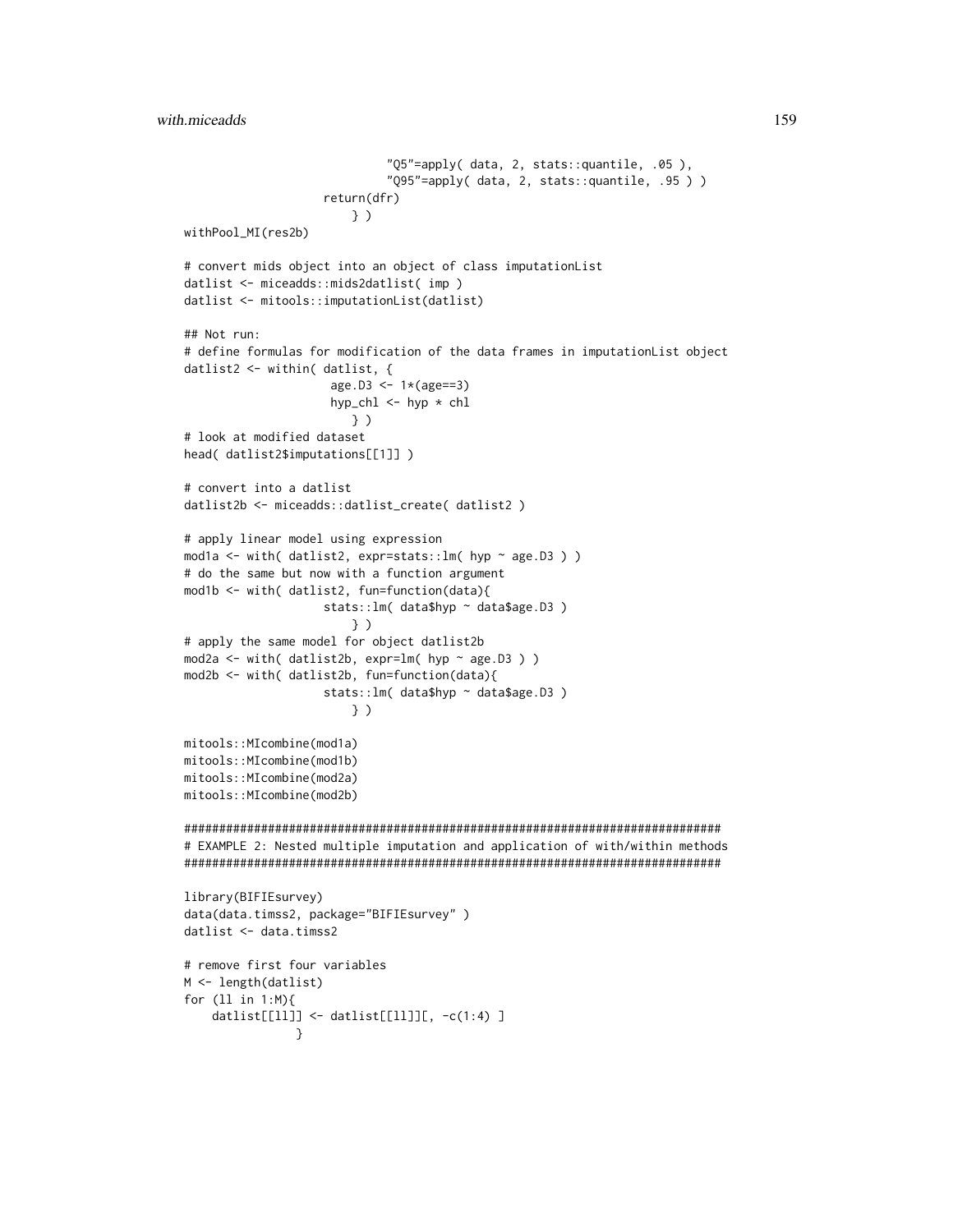```
"Q5"=apply( data, 2, stats::quantile, .05 ),
                              "Q95"=apply( data, 2, stats::quantile, .95 ) )
                    return(dfr)
                        } )
withPool_MI(res2b)
# convert mids object into an object of class imputationList
datlist <- miceadds::mids2datlist( imp )
datlist <- mitools::imputationList(datlist)
## Not run:
# define formulas for modification of the data frames in imputationList object
datlist2 <- within( datlist, {
                     age.D3 <- 1*(age==3)
                     hyp_chl \leq hyp \star chl
                        } )
# look at modified dataset
head( datlist2$imputations[[1]] )
# convert into a datlist
datlist2b <- miceadds::datlist_create( datlist2 )
# apply linear model using expression
mod1a <- with( datlist2, expr=stats::lm( hyp ~ age.D3 ) )
# do the same but now with a function argument
mod1b <- with( datlist2, fun=function(data){
                    stats::lm( data$hyp ~ data$age.D3 )
                        } )
# apply the same model for object datlist2b
mod2a <- with( datlist2b, expr=lm( hyp \sim age.D3 ) )
mod2b <- with( datlist2b, fun=function(data){
                    stats:: lm( data$hyp ~ data$age.D3 )
                        } )
mitools::MIcombine(mod1a)
mitools::MIcombine(mod1b)
mitools::MIcombine(mod2a)
mitools::MIcombine(mod2b)
#############################################################################
# EXAMPLE 2: Nested multiple imputation and application of with/within methods
#############################################################################
library(BIFIEsurvey)
data(data.timss2, package="BIFIEsurvey" )
datlist <- data.timss2
# remove first four variables
M <- length(datlist)
for (ll in 1:M){
    datlist[[ll]] <- datlist[[ll]][, -c(1:4) ]
                }
```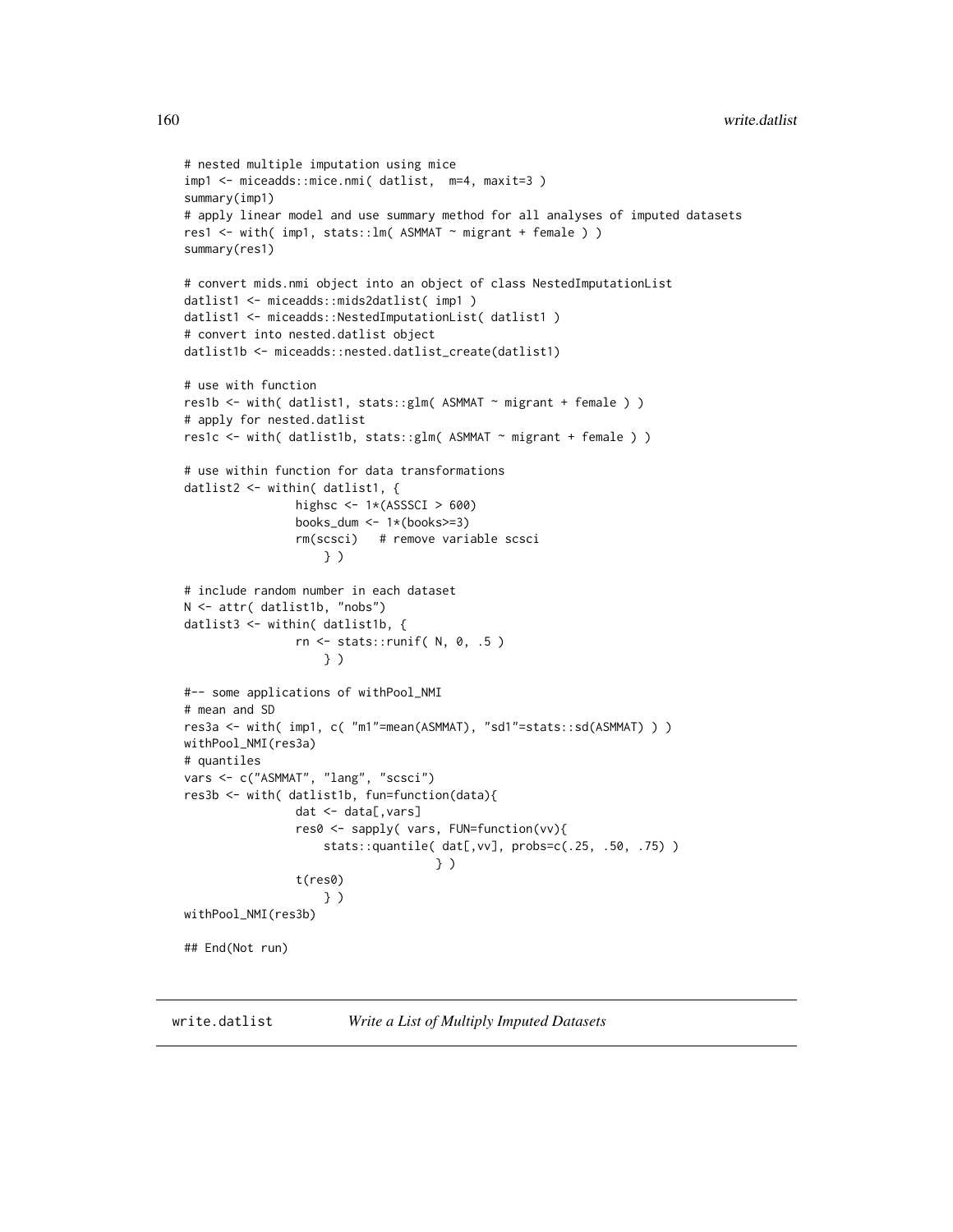```
# nested multiple imputation using mice
imp1 <- miceadds::mice.nmi( datlist, m=4, maxit=3 )
summary(imp1)
# apply linear model and use summary method for all analyses of imputed datasets
res1 <- with( imp1, stats::lm( ASMMAT ~ migrant + female ) )
summary(res1)
# convert mids.nmi object into an object of class NestedImputationList
datlist1 <- miceadds::mids2datlist( imp1 )
datlist1 <- miceadds::NestedImputationList( datlist1 )
# convert into nested.datlist object
datlist1b <- miceadds::nested.datlist_create(datlist1)
# use with function
res1b <- with( datlist1, stats::glm( ASMMAT ~ migrant + female ) )
# apply for nested.datlist
res1c <- with( datlist1b, stats::glm( ASMMAT ~ migrant + female ) )
# use within function for data transformations
datlist2 <- within( datlist1, {
                highsc \leftarrow 1*(ASSSCI > 600)
                books_dum <- 1*(books>=3)rm(scsci) # remove variable scsci
                    } )
# include random number in each dataset
N <- attr( datlist1b, "nobs")
datlist3 <- within( datlist1b, {
                rn <- stats::runif( N, 0, .5 )
                    } )
#-- some applications of withPool_NMI
# mean and SD
res3a <- with( imp1, c( "m1"=mean(ASMMAT), "sd1"=stats::sd(ASMMAT) ) )
withPool_NMI(res3a)
# quantiles
vars <- c("ASMMAT", "lang", "scsci")
res3b <- with( datlist1b, fun=function(data){
                dat <- data[,vars]
                res0 <- sapply( vars, FUN=function(vv){
                    stats::quantile( dat[,vv], probs=c(.25, .50, .75) )
                                    } )
                t(res0)
                    } )
withPool_NMI(res3b)
## End(Not run)
```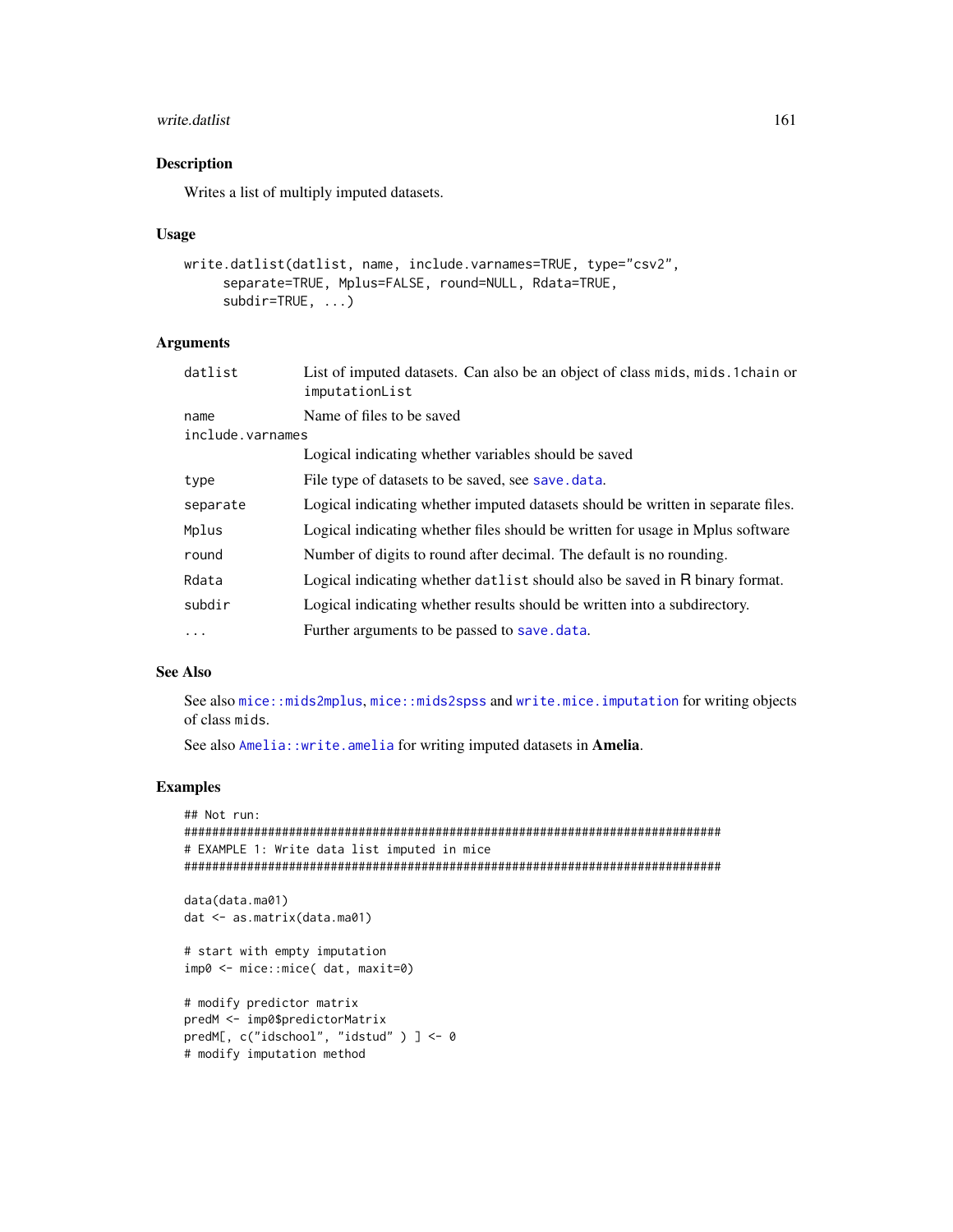#### <span id="page-160-0"></span>write.datlist 161

# Description

Writes a list of multiply imputed datasets.

#### Usage

```
write.datlist(datlist, name, include.varnames=TRUE, type="csv2",
     separate=TRUE, Mplus=FALSE, round=NULL, Rdata=TRUE,
     subdir=TRUE, ...)
```
# Arguments

| datlist          | List of imputed datasets. Can also be an object of class mids, mids. 1 chain or<br>imputationList |
|------------------|---------------------------------------------------------------------------------------------------|
| name             | Name of files to be saved                                                                         |
| include.varnames |                                                                                                   |
|                  | Logical indicating whether variables should be saved                                              |
| type             | File type of datasets to be saved, see save, data.                                                |
| separate         | Logical indicating whether imputed datasets should be written in separate files.                  |
| Mplus            | Logical indicating whether files should be written for usage in Mplus software                    |
| round            | Number of digits to round after decimal. The default is no rounding.                              |
| Rdata            | Logical indicating whether datlist should also be saved in R binary format.                       |
| subdir           | Logical indicating whether results should be written into a subdirectory.                         |
| $\ddots$         | Further arguments to be passed to save. data.                                                     |

# See Also

See also [mice::mids2mplus](#page-0-0), [mice::mids2spss](#page-0-0) and [write.mice.imputation](#page-162-0) for writing objects of class mids.

See also [Amelia::write.amelia](#page-0-0) for writing imputed datasets in Amelia.

# Examples

```
## Not run:
#############################################################################
# EXAMPLE 1: Write data list imputed in mice
#############################################################################
data(data.ma01)
dat <- as.matrix(data.ma01)
# start with empty imputation
imp0 <- mice::mice( dat, maxit=0)
# modify predictor matrix
predM <- imp0$predictorMatrix
predM[, c("idschool", "idstud" ) ] <- 0
# modify imputation method
```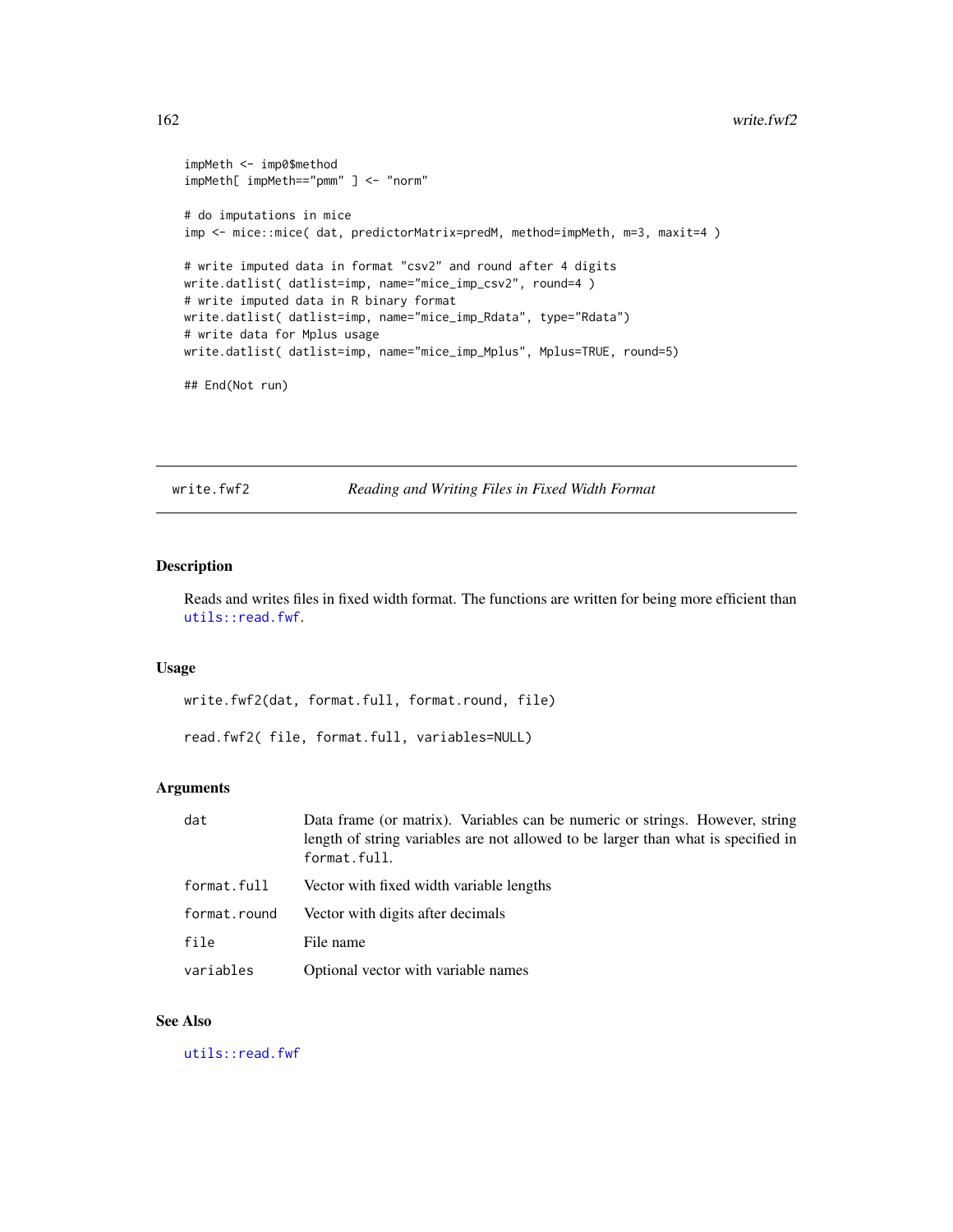#### <span id="page-161-0"></span>162 write.fwf2

```
impMeth <- imp0$method
impMeth[ impMeth=="pmm" ] <- "norm"
# do imputations in mice
imp <- mice::mice( dat, predictorMatrix=predM, method=impMeth, m=3, maxit=4 )
# write imputed data in format "csv2" and round after 4 digits
write.datlist( datlist=imp, name="mice_imp_csv2", round=4 )
# write imputed data in R binary format
write.datlist( datlist=imp, name="mice_imp_Rdata", type="Rdata")
# write data for Mplus usage
write.datlist( datlist=imp, name="mice_imp_Mplus", Mplus=TRUE, round=5)
## End(Not run)
```
write.fwf2 *Reading and Writing Files in Fixed Width Format*

# Description

Reads and writes files in fixed width format. The functions are written for being more efficient than [utils::read.fwf](#page-0-0).

## Usage

write.fwf2(dat, format.full, format.round, file)

read.fwf2( file, format.full, variables=NULL)

# Arguments

| dat          | Data frame (or matrix). Variables can be numeric or strings. However, string<br>length of string variables are not allowed to be larger than what is specified in<br>format.full. |
|--------------|-----------------------------------------------------------------------------------------------------------------------------------------------------------------------------------|
| format.full  | Vector with fixed width variable lengths                                                                                                                                          |
| format.round | Vector with digits after decimals                                                                                                                                                 |
| file         | File name                                                                                                                                                                         |
| variables    | Optional vector with variable names                                                                                                                                               |

# See Also

[utils::read.fwf](#page-0-0)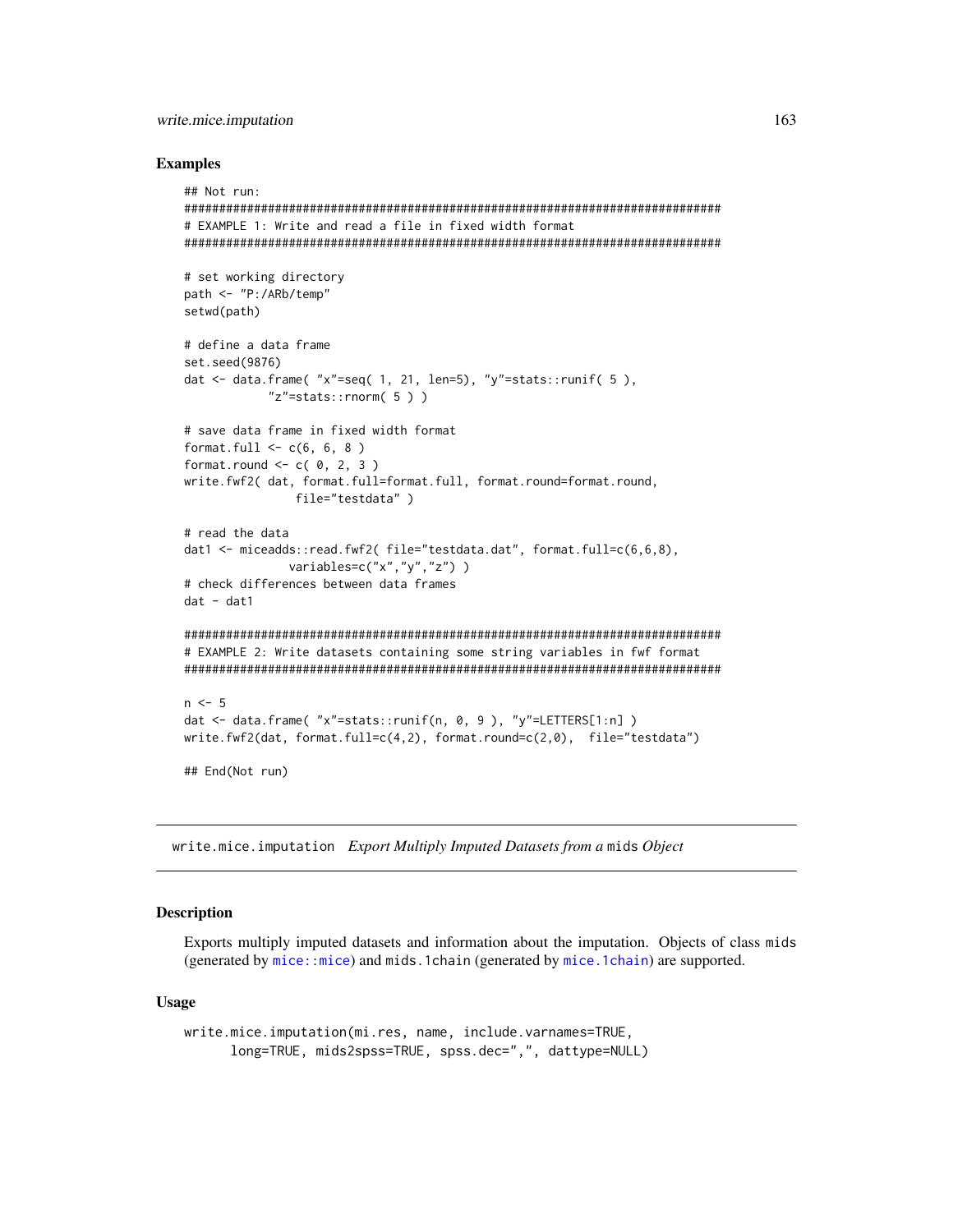#### <span id="page-162-1"></span>write.mice.imputation

#### **Examples**

```
## Not run:
# EXAMPLE 1: Write and read a file in fixed width format
# set working directory
path <- "P:/ARb/temp"
setwd(path)
# define a data frame
set.seed(9876)
dat <- data.frame( "x"=seq( 1, 21, len=5), "y"=stats::runif( 5),
        "z"=stats::rnorm( 5 ) )
# save data frame in fixed width format
format.full \leq -c(6, 6, 8)format.round \leq c( 0, 2, 3)
write.fwf2( dat, format.full=format.full, format.round=format.round,
           file="testdata")
# read the data
dat1 <- miceadds::read.fwf2(file="testdata.dat", format.full=c(6,6,8),
           variables=c("x","y","z"))
# check differences between data frames
dat - dat1# EXAMPLE 2: Write datasets containing some string variables in fwf format
n \le -5dat <- data.frame( "x"=stats::runif(n, 0, 9), "y"=LETTERS[1:n])
write.fwf2(dat, format.full=c(4,2), format.round=c(2,0), file="testdata")
## End(Not run)
```
<span id="page-162-0"></span>write.mice.imputation Export Multiply Imputed Datasets from a mids Object

### Description

Exports multiply imputed datasets and information about the imputation. Objects of class mids (generated by mice::mice) and mids.1chain (generated by mice.1chain) are supported.

#### **Usage**

```
write.mice.imputation(mi.res, name, include.varnames=TRUE,
     long=TRUE, mids2spss=TRUE, spss.dec=",", dattype=NULL)
```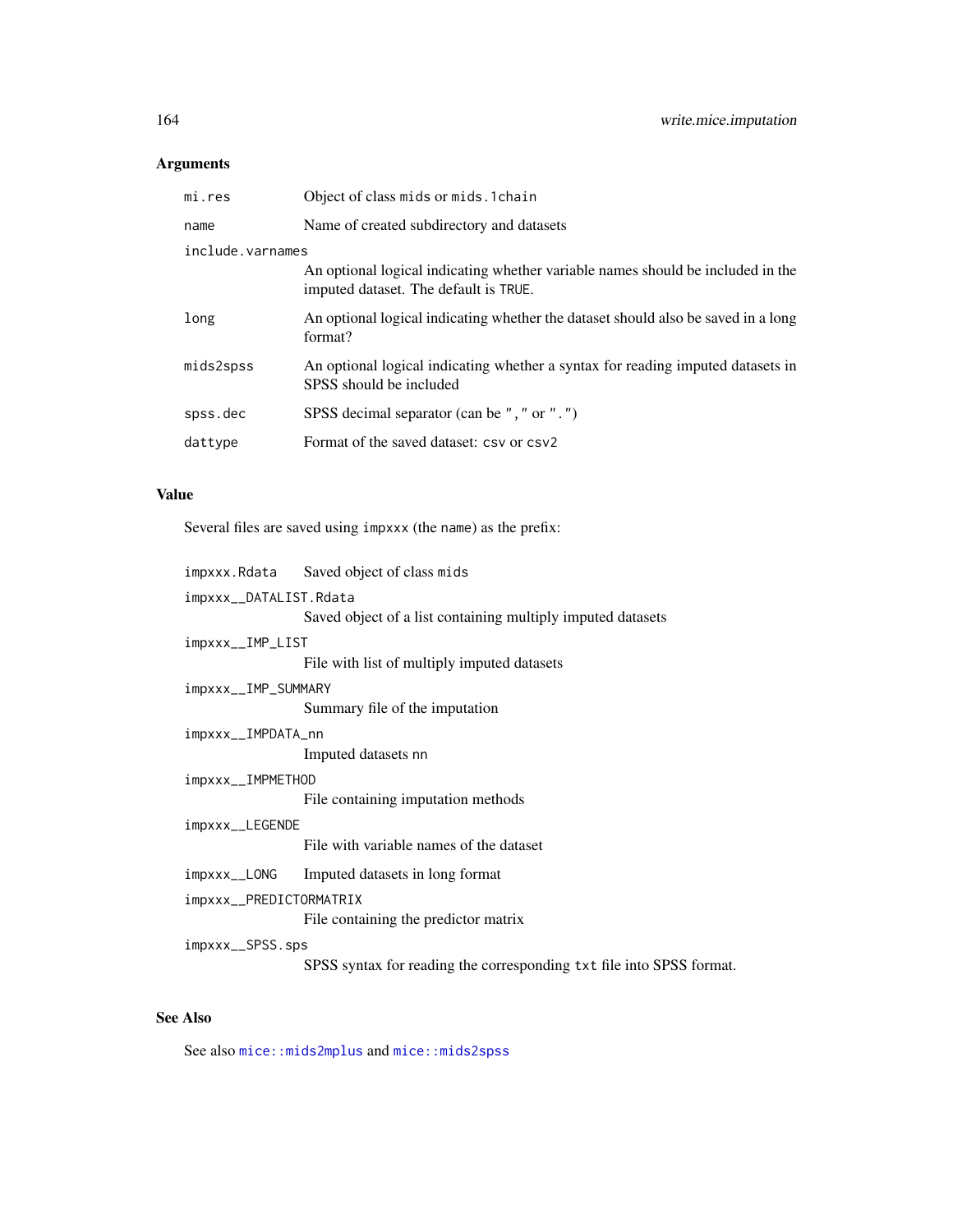# <span id="page-163-0"></span>Arguments

| mi.res           | Object of class mids or mids. 1 chain                                                                                    |
|------------------|--------------------------------------------------------------------------------------------------------------------------|
| name             | Name of created subdirectory and datasets                                                                                |
| include.varnames |                                                                                                                          |
|                  | An optional logical indicating whether variable names should be included in the<br>imputed dataset. The default is TRUE. |
| long             | An optional logical indicating whether the dataset should also be saved in a long<br>format?                             |
| mids2spss        | An optional logical indicating whether a syntax for reading imputed datasets in<br>SPSS should be included               |
| spss.dec         | SPSS decimal separator (can be ", " or ".")                                                                              |
| dattype          | Format of the saved dataset: csv or csv2                                                                                 |
|                  |                                                                                                                          |

# Value

Several files are saved using impxxx (the name) as the prefix:

|                         | impxxx.Rdata Saved object of class mids                              |  |
|-------------------------|----------------------------------------------------------------------|--|
| impxxx__DATALIST.Rdata  |                                                                      |  |
|                         | Saved object of a list containing multiply imputed datasets          |  |
| impxxx__IMP_LIST        |                                                                      |  |
|                         | File with list of multiply imputed datasets                          |  |
| impxxx__IMP_SUMMARY     |                                                                      |  |
|                         | Summary file of the imputation                                       |  |
| impxxx__IMPDATA_nn      |                                                                      |  |
|                         | Imputed datasets nn                                                  |  |
| impxxx__IMPMETHOD       |                                                                      |  |
|                         | File containing imputation methods                                   |  |
| impxxx__LEGENDE         |                                                                      |  |
|                         | File with variable names of the dataset                              |  |
|                         | impxxx__LONG Imputed datasets in long format                         |  |
| impxxx__PREDICTORMATRIX |                                                                      |  |
|                         | File containing the predictor matrix                                 |  |
| impxxx__SPSS.sps        |                                                                      |  |
|                         | SPSS syntax for reading the corresponding txt file into SPSS format. |  |
|                         |                                                                      |  |

# See Also

See also [mice::mids2mplus](#page-0-0) and [mice::mids2spss](#page-0-0)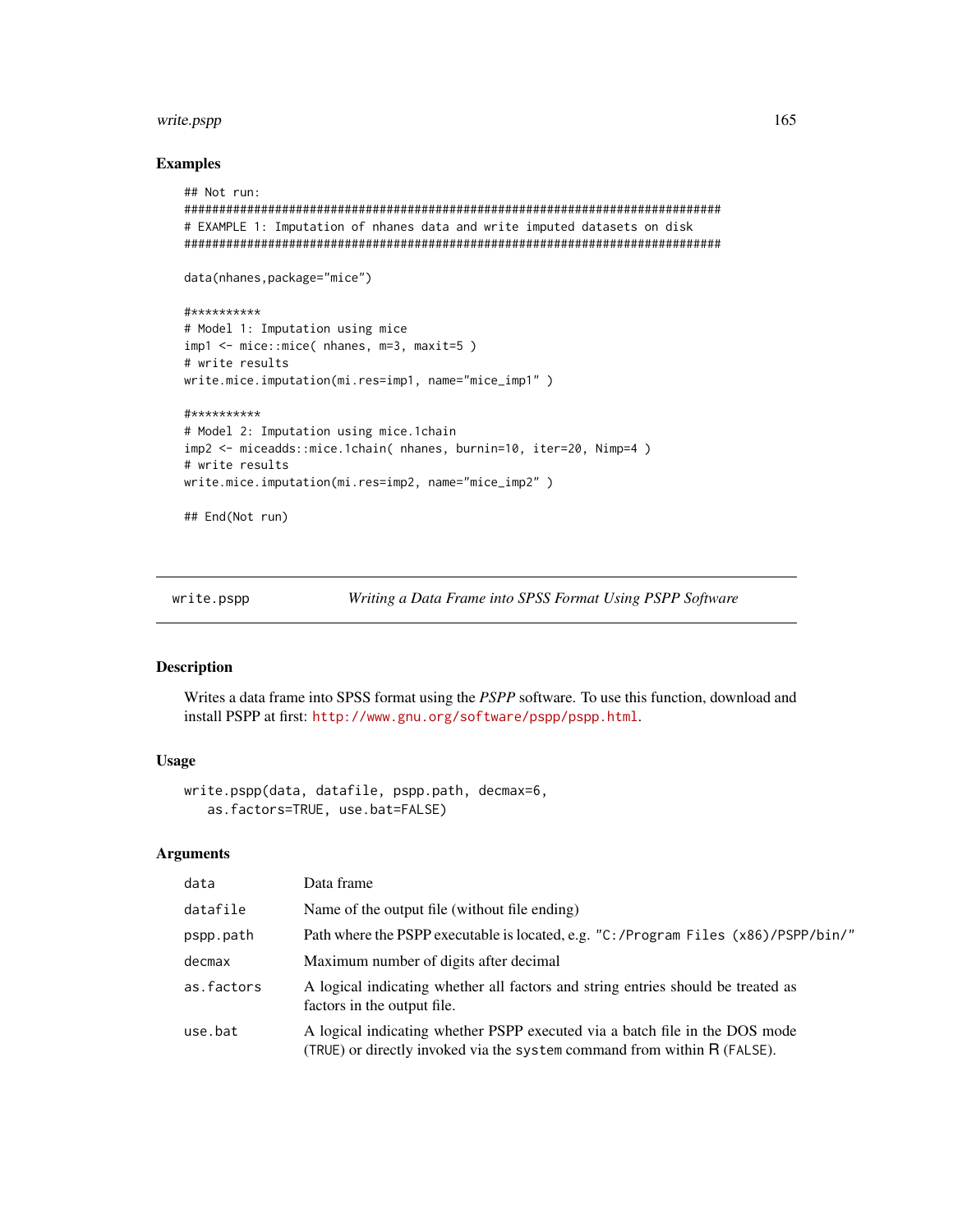## <span id="page-164-0"></span>write.pspp

#### **Examples**

```
## Not run:
# EXAMPLE 1: Imputation of nhanes data and write imputed datasets on disk
data(nhanes, package="mice")
#**********
# Model 1: Imputation using mice
imp1 <- mice::mice( nhanes, m=3, maxit=5)
# write results
write.mice.imputation(mi.res=imp1, name="mice_imp1")
#**********
# Model 2: Imputation using mice.1chain
imp2 <- miceadds::mice.1chain( nhanes, burnin=10, iter=20, Nimp=4 )
# write results
write.mice.imputation(mi.res=imp2, name="mice_imp2")
```
## End(Not run)

write.pspp

Writing a Data Frame into SPSS Format Using PSPP Software

# **Description**

Writes a data frame into SPSS format using the PSPP software. To use this function, download and install PSPP at first: http://www.gnu.org/software/pspp/pspp.html.

# **Usage**

```
write.pspp(data, datafile, pspp.path, decmax=6,
   as.factors=TRUE, use.bat=FALSE)
```
#### **Arguments**

| data       | Data frame                                                                                                                                              |
|------------|---------------------------------------------------------------------------------------------------------------------------------------------------------|
| datafile   | Name of the output file (without file ending)                                                                                                           |
| pspp.path  | Path where the PSPP executable is located, e.g. "C:/Program Files (x86)/PSPP/bin/"                                                                      |
| decmax     | Maximum number of digits after decimal                                                                                                                  |
| as.factors | A logical indicating whether all factors and string entries should be treated as<br>factors in the output file.                                         |
| use.bat    | A logical indicating whether PSPP executed via a batch file in the DOS mode<br>(TRUE) or directly invoked via the system command from within R (FALSE). |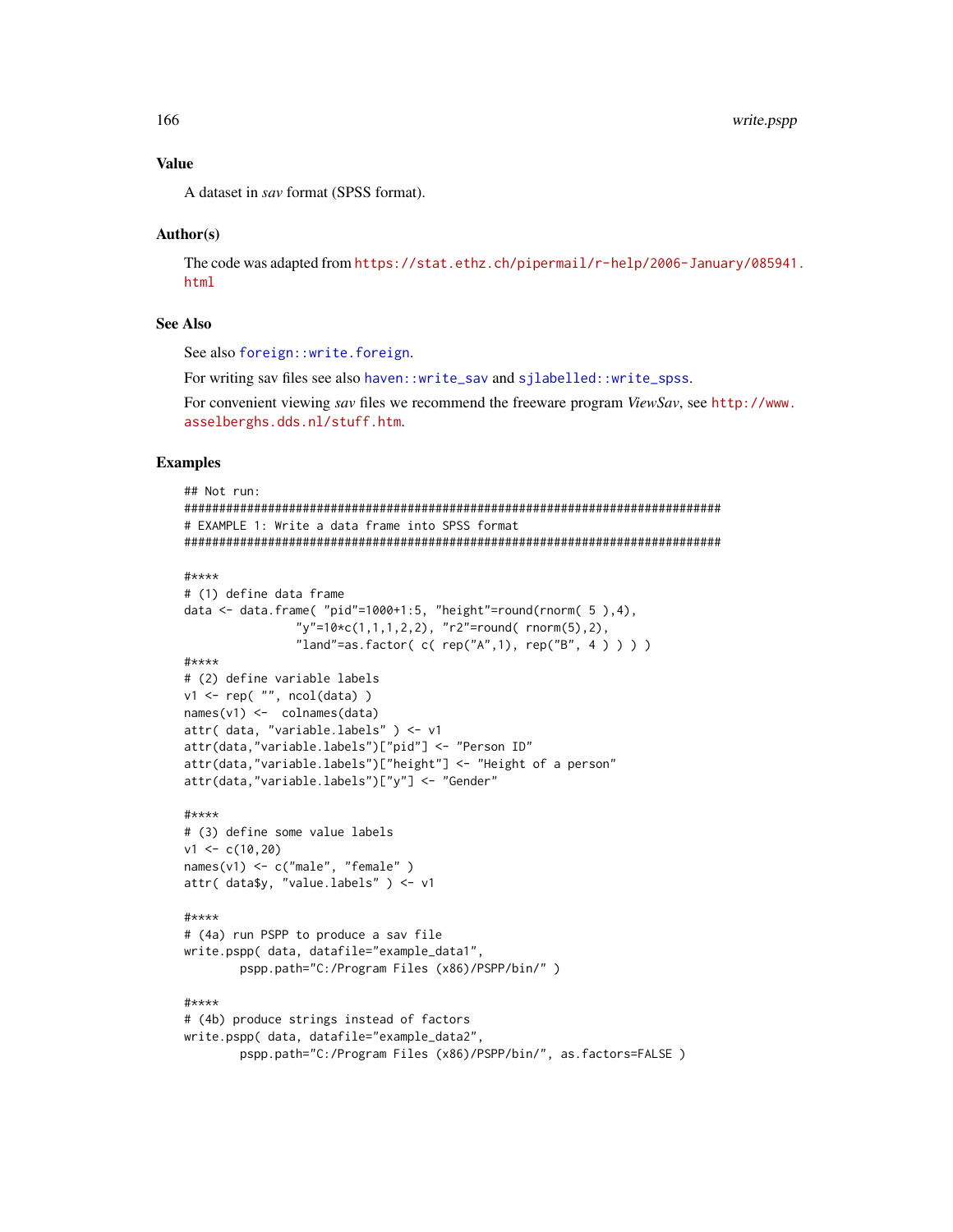# <span id="page-165-0"></span>**Value**

A dataset in say format (SPSS format).

#### Author(s)

The code was adapted from https://stat.ethz.ch/pipermail/r-help/2006-January/085941. html

# **See Also**

See also foreign::write.foreign.

For writing sav files see also haven::write\_sav and sjlabelled::write\_spss.

For convenient viewing sav files we recommend the freeware program ViewSav, see http://www. asselberghs.dds.nl/stuff.htm.

#### **Examples**

```
## Not run:
# EXAMPLE 1: Write a data frame into SPSS format
#****
# (1) define data frame
data <- data.frame( "pid"=1000+1:5, "height"=round(rnorm( 5 ), 4),
              "y" = 10 \star c(1,1,1,2,2), "r2" = round(rnorm(5),2),
              "land"=as.factor( c( rep("A",1), rep("B", 4 ) ) ) )
#****
# (2) define variable labels
v1 \leftarrow rep("", ncol(data) )names(v1) <- colnames(data)
attr( data, "variable.labels" ) <- v1
attr(data,"variable.labels")["pid"] <- "Person ID"
attr(data,"variable.labels")["height"] <- "Height of a person"
attr(data,"variable.labels")["y"] <- "Gender"
#****
# (3) define some value labels
v1 \leftarrow c(10, 20)names(v1) <- c("male", "female")
attr( data\, "value.labels") < - v1
#****
# (4a) run PSPP to produce a sav file
write.pspp( data, datafile="example_data1",
       pspp.path="C:/Program Files (x86)/PSPP/bin/")
#****
# (4b) produce strings instead of factors
write.pspp( data, datafile="example_data2",
       pspp.path="C:/Program Files (x86)/PSPP/bin/", as.factors=FALSE )
```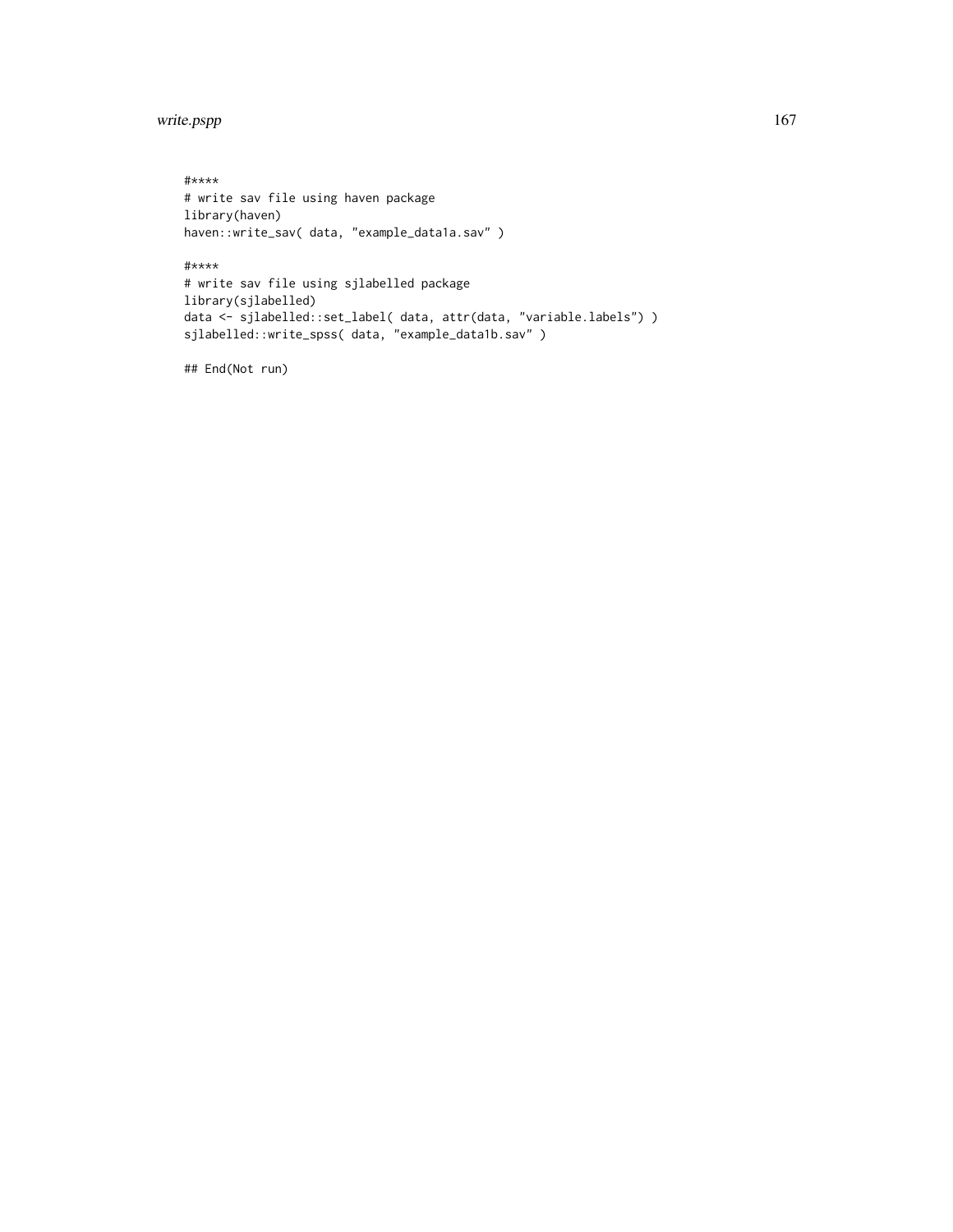write.pspp 167

#\*\*\*\* # write sav file using haven package library(haven) haven::write\_sav( data, "example\_data1a.sav" ) #\*\*\*\*

# write sav file using sjlabelled package library(sjlabelled) data <- sjlabelled::set\_label( data, attr(data, "variable.labels") ) sjlabelled::write\_spss( data, "example\_data1b.sav" )

## End(Not run)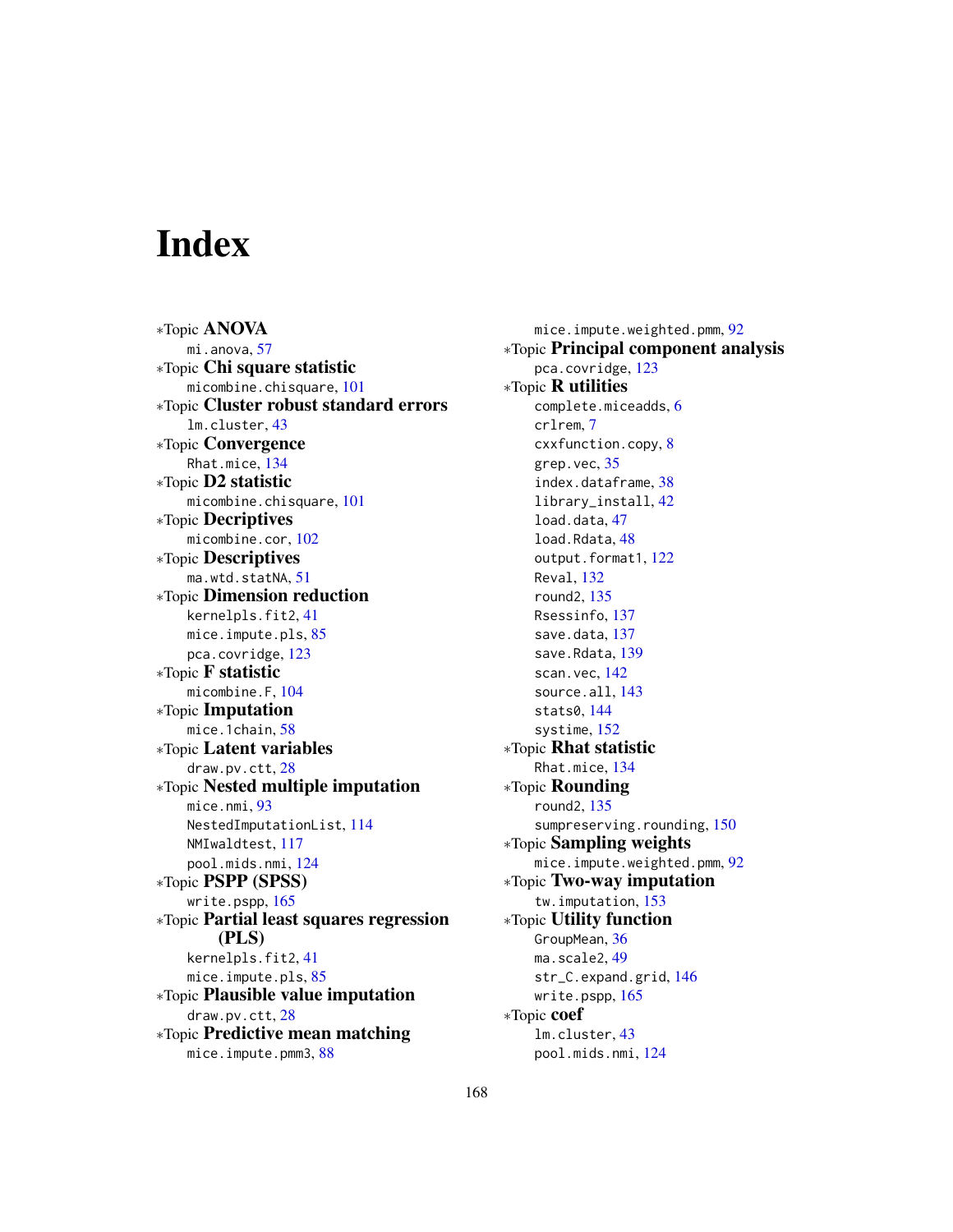# Index

∗Topic ANOVA mi.anova, [57](#page-56-0) ∗Topic Chi square statistic micombine.chisquare, [101](#page-100-0) ∗Topic Cluster robust standard errors lm.cluster, [43](#page-42-0) ∗Topic Convergence Rhat.mice, [134](#page-133-0) ∗Topic D2 statistic micombine.chisquare, [101](#page-100-0) ∗Topic Decriptives micombine.cor, [102](#page-101-0) ∗Topic Descriptives ma.wtd.statNA, [51](#page-50-0) ∗Topic Dimension reduction kernelpls.fit2, [41](#page-40-0) mice.impute.pls, [85](#page-84-0) pca.covridge, [123](#page-122-0) ∗Topic F statistic micombine.F, [104](#page-103-0) ∗Topic Imputation mice.1chain, [58](#page-57-1) ∗Topic Latent variables draw.pv.ctt, [28](#page-27-0) ∗Topic Nested multiple imputation mice.nmi, [93](#page-92-1) NestedImputationList, [114](#page-113-0) NMIwaldtest, [117](#page-116-0) pool.mids.nmi, [124](#page-123-0) ∗Topic PSPP (SPSS) write.pspp, [165](#page-164-0) ∗Topic Partial least squares regression (PLS) kernelpls.fit2, [41](#page-40-0) mice.impute.pls, [85](#page-84-0) ∗Topic Plausible value imputation draw.pv.ctt, [28](#page-27-0) ∗Topic Predictive mean matching mice.impute.pmm3, [88](#page-87-0)

mice.impute.weighted.pmm, [92](#page-91-0) ∗Topic Principal component analysis pca.covridge, [123](#page-122-0) ∗Topic R utilities complete.miceadds, [6](#page-5-0) crlrem, [7](#page-6-0) cxxfunction.copy, [8](#page-7-0) grep.vec, [35](#page-34-0) index.dataframe, [38](#page-37-0) library\_install, [42](#page-41-0) load.data, [47](#page-46-0) load.Rdata, [48](#page-47-0) output.format1, [122](#page-121-0) Reval, [132](#page-131-0) round2, [135](#page-134-0) Rsessinfo, [137](#page-136-1) save.data, [137](#page-136-1) save.Rdata, [139](#page-138-0) scan.vec, [142](#page-141-0) source.all, [143](#page-142-0) stats0, [144](#page-143-0) systime, [152](#page-151-0) ∗Topic Rhat statistic Rhat.mice, [134](#page-133-0) ∗Topic Rounding round2, [135](#page-134-0) sumpreserving.rounding, [150](#page-149-0) ∗Topic Sampling weights mice.impute.weighted.pmm, [92](#page-91-0) ∗Topic Two-way imputation tw.imputation, [153](#page-152-0) ∗Topic Utility function GroupMean, [36](#page-35-0) ma.scale2, [49](#page-48-0) str\_C.expand.grid, [146](#page-145-0) write.pspp, [165](#page-164-0) ∗Topic coef lm.cluster, [43](#page-42-0) pool.mids.nmi, [124](#page-123-0)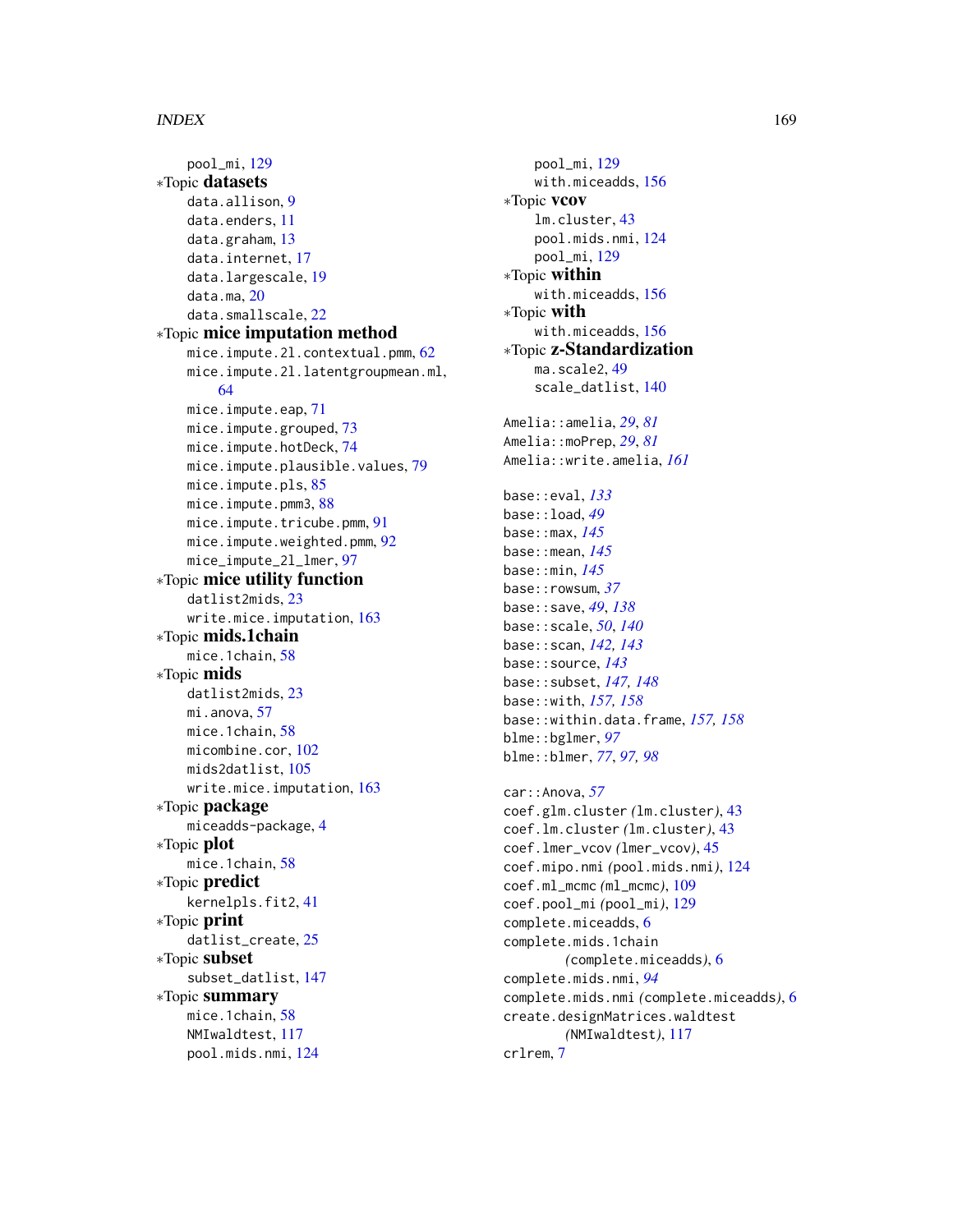pool\_mi, [129](#page-128-0) ∗Topic datasets data.allison, [9](#page-8-0) data.enders, [11](#page-10-0) data.graham, [13](#page-12-0) data.internet, [17](#page-16-0) data.largescale, [19](#page-18-0) data.ma, [20](#page-19-0) data.smallscale, [22](#page-21-0) ∗Topic mice imputation method mice.impute.2l.contextual.pmm, [62](#page-61-0) mice.impute.2l.latentgroupmean.ml, [64](#page-63-0) mice.impute.eap, [71](#page-70-0) mice.impute.grouped, [73](#page-72-0) mice.impute.hotDeck, [74](#page-73-0) mice.impute.plausible.values, [79](#page-78-0) mice.impute.pls, [85](#page-84-0) mice.impute.pmm3, [88](#page-87-0) mice.impute.tricube.pmm, [91](#page-90-0) mice.impute.weighted.pmm, [92](#page-91-0) mice\_impute\_2l\_lmer, [97](#page-96-0) ∗Topic mice utility function datlist2mids, [23](#page-22-0) write.mice.imputation, [163](#page-162-1) ∗Topic mids.1chain mice.1chain, [58](#page-57-1) ∗Topic mids datlist2mids, [23](#page-22-0) mi.anova, [57](#page-56-0) mice.1chain, [58](#page-57-1) micombine.cor, [102](#page-101-0) mids2datlist, [105](#page-104-0) write.mice.imputation, [163](#page-162-1) ∗Topic package miceadds-package, [4](#page-3-0) ∗Topic plot mice.1chain, [58](#page-57-1) ∗Topic predict kernelpls.fit2, [41](#page-40-0) ∗Topic print datlist\_create, [25](#page-24-0) ∗Topic subset subset\_datlist, [147](#page-146-0) ∗Topic summary mice.1chain, [58](#page-57-1) NMIwaldtest, [117](#page-116-0) pool.mids.nmi, [124](#page-123-0)

pool\_mi, [129](#page-128-0) with.miceadds, [156](#page-155-0) ∗Topic vcov lm.cluster, [43](#page-42-0) pool.mids.nmi, [124](#page-123-0) pool\_mi, [129](#page-128-0) ∗Topic within with.miceadds, [156](#page-155-0) ∗Topic with with.miceadds, [156](#page-155-0) ∗Topic z-Standardization ma.scale2, [49](#page-48-0) scale\_datlist, [140](#page-139-0) Amelia::amelia, *[29](#page-28-0)*, *[81](#page-80-0)* Amelia::moPrep, *[29](#page-28-0)*, *[81](#page-80-0)* Amelia::write.amelia, *[161](#page-160-0)* base::eval, *[133](#page-132-0)* base::load, *[49](#page-48-0)* base::max, *[145](#page-144-0)* base::mean, *[145](#page-144-0)* base::min, *[145](#page-144-0)* base::rowsum, *[37](#page-36-0)* base::save, *[49](#page-48-0)*, *[138](#page-137-0)* base::scale, *[50](#page-49-0)*, *[140](#page-139-0)* base::scan, *[142,](#page-141-0) [143](#page-142-0)* base::source, *[143](#page-142-0)* base::subset, *[147,](#page-146-0) [148](#page-147-0)* base::with, *[157,](#page-156-0) [158](#page-157-0)* base::within.data.frame, *[157,](#page-156-0) [158](#page-157-0)* blme::bglmer, *[97](#page-96-0)* blme::blmer, *[77](#page-76-0)*, *[97,](#page-96-0) [98](#page-97-0)* car::Anova, *[57](#page-56-0)* coef.glm.cluster *(*lm.cluster*)*, [43](#page-42-0) coef.lm.cluster *(*lm.cluster*)*, [43](#page-42-0) coef.lmer\_vcov *(*lmer\_vcov*)*, [45](#page-44-0) coef.mipo.nmi *(*pool.mids.nmi*)*, [124](#page-123-0) coef.ml\_mcmc *(*ml\_mcmc*)*, [109](#page-108-0) coef.pool\_mi *(*pool\_mi*)*, [129](#page-128-0) complete.miceadds, [6](#page-5-0) complete.mids.1chain *(*complete.miceadds*)*, [6](#page-5-0) complete.mids.nmi, *[94](#page-93-0)* complete.mids.nmi *(*complete.miceadds*)*, [6](#page-5-0) create.designMatrices.waldtest *(*NMIwaldtest*)*, [117](#page-116-0) crlrem, [7](#page-6-0)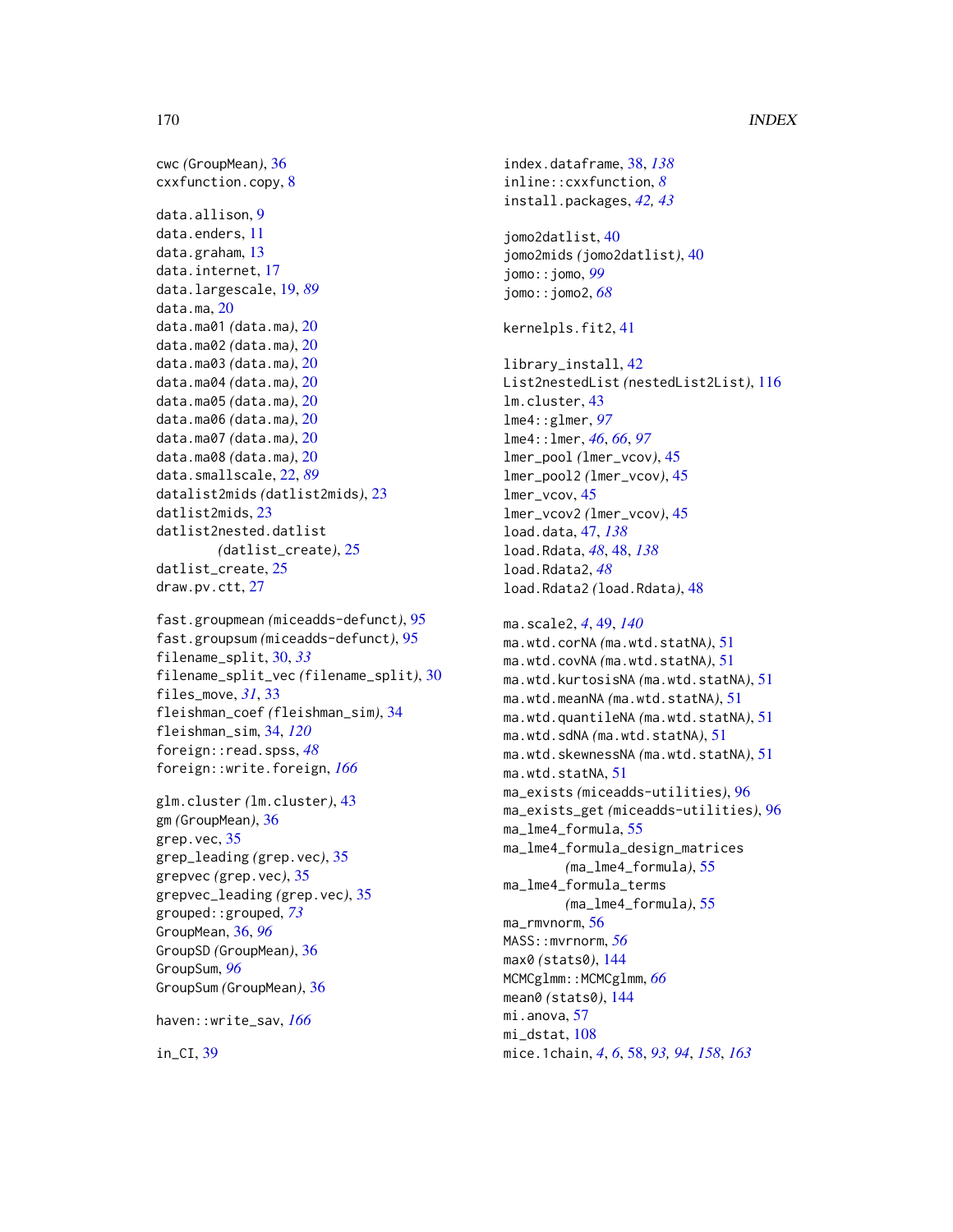```
cwc (GroupMean), 36
cxxfunction.copy, 8
data.allison, 9
data.enders, 11
data.graham, 13
data.internet, 17
data.largescale, 19, 89
data.ma, 20
data.ma01 (data.ma), 20
data.ma02 (data.ma), 20
data.ma03 (data.ma), 20
data.ma04 (data.ma), 20
data.ma05 (data.ma), 20
data.ma06 (data.ma), 20
data.ma07 (data.ma), 20
data.ma08 (data.ma), 20
data.smallscale, 22, 89
datalist2mids (datlist2mids), 23
datlist2mids, 23
datlist2nested.datlist
        (datlist_create), 25
datlist_create, 25
draw.pv.ctt, 27
fast.groupmean (miceadds-defunct), 95
fast.groupsum (miceadds-defunct), 95
filename_split, 30, 33
filename_split_vec (filename_split), 30
files_move, 31, 33
fleishman_coef (fleishman_sim), 34
fleishman_sim, 34, 120
foreign::read.spss, 48
foreign::write.foreign, 166
glm.cluster (lm.cluster), 43
```
gm *(*GroupMean*)*, [36](#page-35-0) grep.vec, [35](#page-34-0) grep\_leading *(*grep.vec*)*, [35](#page-34-0) grepvec *(*grep.vec*)*, [35](#page-34-0) grepvec\_leading *(*grep.vec*)*, [35](#page-34-0) grouped::grouped, *[73](#page-72-0)* GroupMean, [36,](#page-35-0) *[96](#page-95-0)* GroupSD *(*GroupMean*)*, [36](#page-35-0) GroupSum, *[96](#page-95-0)* GroupSum *(*GroupMean*)*, [36](#page-35-0)

haven::write\_sav, *[166](#page-165-0)*

in\_CI, [39](#page-38-0)

index.dataframe, [38,](#page-37-0) *[138](#page-137-0)* inline::cxxfunction, *[8](#page-7-0)* install.packages, *[42,](#page-41-0) [43](#page-42-0)* jomo2datlist, [40](#page-39-0) jomo2mids *(*jomo2datlist*)*, [40](#page-39-0) jomo::jomo, *[99](#page-98-0)* jomo::jomo2, *[68](#page-67-0)* kernelpls.fit2, [41](#page-40-0) library\_install, [42](#page-41-0) List2nestedList *(*nestedList2List*)*, [116](#page-115-0) lm.cluster, [43](#page-42-0) lme4::glmer, *[97](#page-96-0)* lme4::lmer, *[46](#page-45-0)*, *[66](#page-65-0)*, *[97](#page-96-0)* lmer\_pool *(*lmer\_vcov*)*, [45](#page-44-0) lmer\_pool2 *(*lmer\_vcov*)*, [45](#page-44-0) lmer\_vcov, [45](#page-44-0) lmer\_vcov2 *(*lmer\_vcov*)*, [45](#page-44-0) load.data, [47,](#page-46-0) *[138](#page-137-0)* load.Rdata, *[48](#page-47-0)*, [48,](#page-47-0) *[138](#page-137-0)* load.Rdata2, *[48](#page-47-0)* load.Rdata2 *(*load.Rdata*)*, [48](#page-47-0) ma.scale2, *[4](#page-3-0)*, [49,](#page-48-0) *[140](#page-139-0)* ma.wtd.corNA *(*ma.wtd.statNA*)*, [51](#page-50-0) ma.wtd.covNA *(*ma.wtd.statNA*)*, [51](#page-50-0) ma.wtd.kurtosisNA *(*ma.wtd.statNA*)*, [51](#page-50-0) ma.wtd.meanNA *(*ma.wtd.statNA*)*, [51](#page-50-0) ma.wtd.quantileNA *(*ma.wtd.statNA*)*, [51](#page-50-0) ma.wtd.sdNA *(*ma.wtd.statNA*)*, [51](#page-50-0) ma.wtd.skewnessNA *(*ma.wtd.statNA*)*, [51](#page-50-0) ma.wtd.statNA, [51](#page-50-0) ma\_exists *(*miceadds-utilities*)*, [96](#page-95-0) ma\_exists\_get *(*miceadds-utilities*)*, [96](#page-95-0) ma\_lme4\_formula, [55](#page-54-0) ma\_lme4\_formula\_design\_matrices *(*ma\_lme4\_formula*)*, [55](#page-54-0) ma\_lme4\_formula\_terms *(*ma\_lme4\_formula*)*, [55](#page-54-0) ma\_rmvnorm, [56](#page-55-0) MASS::mvrnorm, *[56](#page-55-0)* max0 *(*stats0*)*, [144](#page-143-0) MCMCglmm::MCMCglmm, [66](#page-65-0) mean0 *(*stats0*)*, [144](#page-143-0) mi.anova, [57](#page-56-0) mi\_dstat, [108](#page-107-0) mice.1chain, *[4](#page-3-0)*, *[6](#page-5-0)*, [58,](#page-57-1) *[93,](#page-92-1) [94](#page-93-0)*, *[158](#page-157-0)*, *[163](#page-162-1)*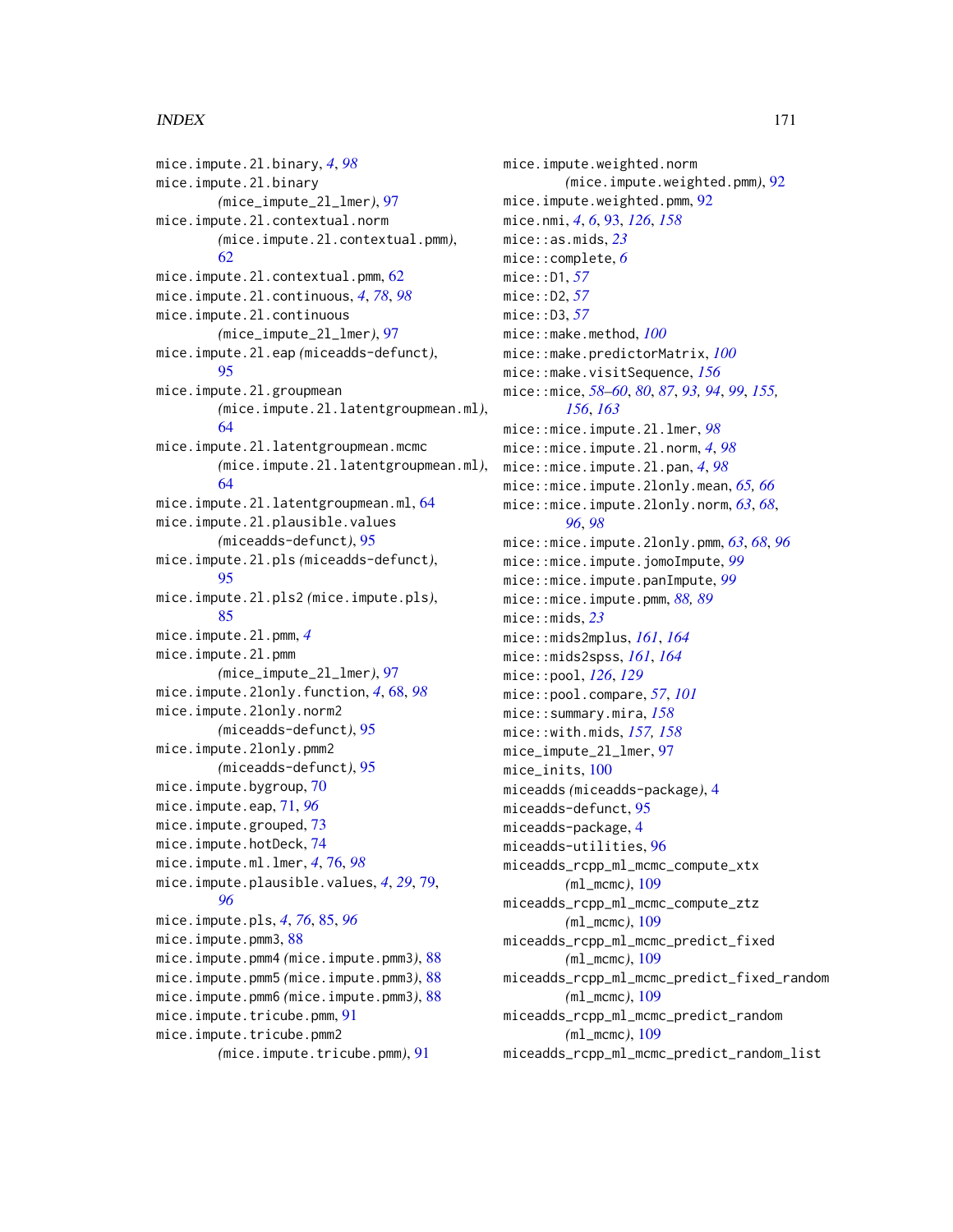mice.impute.2l.binary, *[4](#page-3-0)*, *[98](#page-97-0)* mice.impute.2l.binary *(*mice\_impute\_2l\_lmer*)*, [97](#page-96-0) mice.impute.2l.contextual.norm *(*mice.impute.2l.contextual.pmm*)*, [62](#page-61-0) mice.impute.2l.contextual.pmm, [62](#page-61-0) mice.impute.2l.continuous, *[4](#page-3-0)*, *[78](#page-77-0)*, *[98](#page-97-0)* mice.impute.2l.continuous *(*mice\_impute\_2l\_lmer*)*, [97](#page-96-0) mice.impute.2l.eap *(*miceadds-defunct*)*, [95](#page-94-0) mice.impute.2l.groupmean *(*mice.impute.2l.latentgroupmean.ml*)*, [64](#page-63-0) mice.impute.2l.latentgroupmean.mcmc *(*mice.impute.2l.latentgroupmean.ml*)*, [64](#page-63-0) mice.impute.2l.latentgroupmean.ml, [64](#page-63-0) mice.impute.2l.plausible.values *(*miceadds-defunct*)*, [95](#page-94-0) mice.impute.2l.pls *(*miceadds-defunct*)*, [95](#page-94-0) mice.impute.2l.pls2 *(*mice.impute.pls*)*, [85](#page-84-0) mice.impute.2l.pmm, *[4](#page-3-0)* mice.impute.2l.pmm *(*mice\_impute\_2l\_lmer*)*, [97](#page-96-0) mice.impute.2lonly.function, *[4](#page-3-0)*, [68,](#page-67-0) *[98](#page-97-0)* mice.impute.2lonly.norm2 *(*miceadds-defunct*)*, [95](#page-94-0) mice.impute.2lonly.pmm2 *(*miceadds-defunct*)*, [95](#page-94-0) mice.impute.bygroup, [70](#page-69-0) mice.impute.eap, [71,](#page-70-0) *[96](#page-95-0)* mice.impute.grouped, [73](#page-72-0) mice.impute.hotDeck, [74](#page-73-0) mice.impute.ml.lmer, *[4](#page-3-0)*, [76,](#page-75-0) *[98](#page-97-0)* mice.impute.plausible.values, *[4](#page-3-0)*, *[29](#page-28-0)*, [79,](#page-78-0) *[96](#page-95-0)* mice.impute.pls, *[4](#page-3-0)*, *[76](#page-75-0)*, [85,](#page-84-0) *[96](#page-95-0)* mice.impute.pmm3, [88](#page-87-0) mice.impute.pmm4 *(*mice.impute.pmm3*)*, [88](#page-87-0) mice.impute.pmm5 *(*mice.impute.pmm3*)*, [88](#page-87-0) mice.impute.pmm6 *(*mice.impute.pmm3*)*, [88](#page-87-0) mice.impute.tricube.pmm, [91](#page-90-0) mice.impute.tricube.pmm2 *(*mice.impute.tricube.pmm*)*, [91](#page-90-0)

mice.impute.weighted.norm *(*mice.impute.weighted.pmm*)*, [92](#page-91-0) mice.impute.weighted.pmm, [92](#page-91-0) mice.nmi, *[4](#page-3-0)*, *[6](#page-5-0)*, [93,](#page-92-1) *[126](#page-125-0)*, *[158](#page-157-0)* mice::as.mids, *[23](#page-22-0)* mice::complete, *[6](#page-5-0)* mice::D1, *[57](#page-56-0)* mice::D2, *[57](#page-56-0)* mice::D3, *[57](#page-56-0)* mice::make.method, *[100](#page-99-0)* mice::make.predictorMatrix, *[100](#page-99-0)* mice::make.visitSequence, *[156](#page-155-0)* mice::mice, *[58](#page-57-1)[–60](#page-59-0)*, *[80](#page-79-0)*, *[87](#page-86-0)*, *[93,](#page-92-1) [94](#page-93-0)*, *[99](#page-98-0)*, *[155,](#page-154-0) [156](#page-155-0)*, *[163](#page-162-1)* mice::mice.impute.2l.lmer, *[98](#page-97-0)* mice::mice.impute.2l.norm, *[4](#page-3-0)*, *[98](#page-97-0)* mice::mice.impute.2l.pan, *[4](#page-3-0)*, *[98](#page-97-0)* mice::mice.impute.2lonly.mean, *[65,](#page-64-0) [66](#page-65-0)* mice::mice.impute.2lonly.norm, *[63](#page-62-0)*, *[68](#page-67-0)*, *[96](#page-95-0)*, *[98](#page-97-0)* mice::mice.impute.2lonly.pmm, *[63](#page-62-0)*, *[68](#page-67-0)*, *[96](#page-95-0)* mice::mice.impute.jomoImpute, *[99](#page-98-0)* mice::mice.impute.panImpute, *[99](#page-98-0)* mice::mice.impute.pmm, *[88,](#page-87-0) [89](#page-88-0)* mice::mids, *[23](#page-22-0)* mice::mids2mplus, *[161](#page-160-0)*, *[164](#page-163-0)* mice::mids2spss, *[161](#page-160-0)*, *[164](#page-163-0)* mice::pool, *[126](#page-125-0)*, *[129](#page-128-0)* mice::pool.compare, *[57](#page-56-0)*, *[101](#page-100-0)* mice::summary.mira, *[158](#page-157-0)* mice::with.mids, *[157,](#page-156-0) [158](#page-157-0)* mice\_impute\_2l\_lmer, [97](#page-96-0) mice\_inits, [100](#page-99-0) miceadds *(*miceadds-package*)*, [4](#page-3-0) miceadds-defunct, [95](#page-94-0) miceadds-package, [4](#page-3-0) miceadds-utilities, [96](#page-95-0) miceadds\_rcpp\_ml\_mcmc\_compute\_xtx *(*ml\_mcmc*)*, [109](#page-108-0) miceadds\_rcpp\_ml\_mcmc\_compute\_ztz *(*ml\_mcmc*)*, [109](#page-108-0) miceadds\_rcpp\_ml\_mcmc\_predict\_fixed *(*ml\_mcmc*)*, [109](#page-108-0) miceadds\_rcpp\_ml\_mcmc\_predict\_fixed\_random *(*ml\_mcmc*)*, [109](#page-108-0) miceadds\_rcpp\_ml\_mcmc\_predict\_random *(*ml\_mcmc*)*, [109](#page-108-0) miceadds\_rcpp\_ml\_mcmc\_predict\_random\_list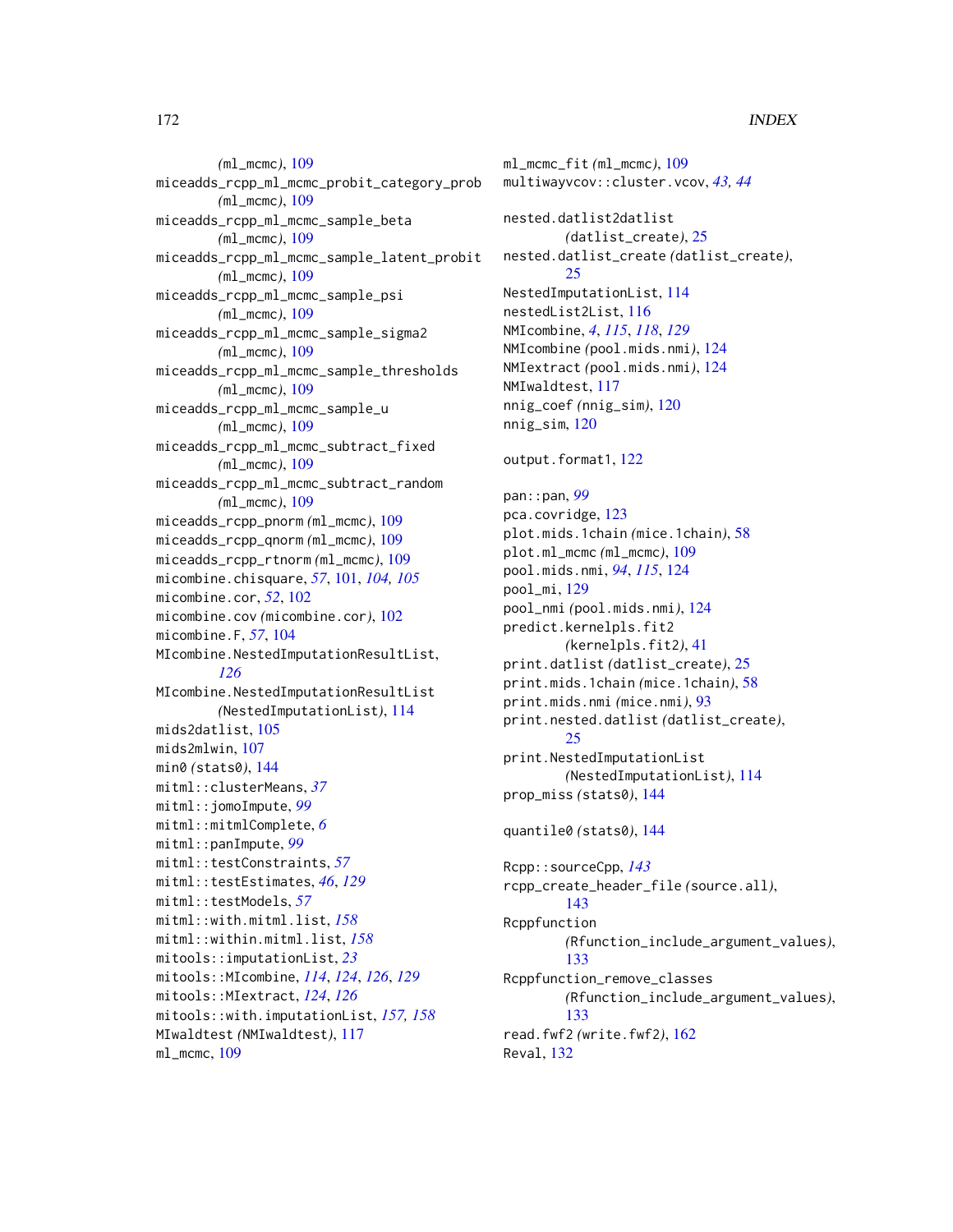*(*ml\_mcmc*)*, [109](#page-108-0) miceadds\_rcpp\_ml\_mcmc\_probit\_category\_prob *(*ml\_mcmc*)*, [109](#page-108-0) miceadds\_rcpp\_ml\_mcmc\_sample\_beta *(*ml\_mcmc*)*, [109](#page-108-0) miceadds\_rcpp\_ml\_mcmc\_sample\_latent\_probit *(*ml\_mcmc*)*, [109](#page-108-0) miceadds\_rcpp\_ml\_mcmc\_sample\_psi *(*ml\_mcmc*)*, [109](#page-108-0) miceadds\_rcpp\_ml\_mcmc\_sample\_sigma2 *(*ml\_mcmc*)*, [109](#page-108-0) miceadds\_rcpp\_ml\_mcmc\_sample\_thresholds *(*ml\_mcmc*)*, [109](#page-108-0) miceadds\_rcpp\_ml\_mcmc\_sample\_u *(*ml\_mcmc*)*, [109](#page-108-0) miceadds\_rcpp\_ml\_mcmc\_subtract\_fixed *(*ml\_mcmc*)*, [109](#page-108-0) miceadds\_rcpp\_ml\_mcmc\_subtract\_random *(*ml\_mcmc*)*, [109](#page-108-0) miceadds\_rcpp\_pnorm *(*ml\_mcmc*)*, [109](#page-108-0) miceadds\_rcpp\_qnorm *(*ml\_mcmc*)*, [109](#page-108-0) miceadds\_rcpp\_rtnorm *(*ml\_mcmc*)*, [109](#page-108-0) micombine.chisquare, *[57](#page-56-0)*, [101,](#page-100-0) *[104,](#page-103-0) [105](#page-104-0)* micombine.cor, *[52](#page-51-0)*, [102](#page-101-0) micombine.cov *(*micombine.cor*)*, [102](#page-101-0) micombine.F, *[57](#page-56-0)*, [104](#page-103-0) MIcombine.NestedImputationResultList, *[126](#page-125-0)* MIcombine.NestedImputationResultList *(*NestedImputationList*)*, [114](#page-113-0) mids2datlist, [105](#page-104-0) mids2mlwin, [107](#page-106-0) min0 *(*stats0*)*, [144](#page-143-0) mitml::clusterMeans, *[37](#page-36-0)* mitml::jomoImpute, *[99](#page-98-0)* mitml::mitmlComplete, *[6](#page-5-0)* mitml::panImpute, *[99](#page-98-0)* mitml::testConstraints, *[57](#page-56-0)* mitml::testEstimates, *[46](#page-45-0)*, *[129](#page-128-0)* mitml::testModels, *[57](#page-56-0)* mitml::with.mitml.list, *[158](#page-157-0)* mitml::within.mitml.list, *[158](#page-157-0)* mitools::imputationList, *[23](#page-22-0)* mitools::MIcombine, *[114](#page-113-0)*, *[124](#page-123-0)*, *[126](#page-125-0)*, *[129](#page-128-0)* mitools::MIextract, *[124](#page-123-0)*, *[126](#page-125-0)* mitools::with.imputationList, *[157,](#page-156-0) [158](#page-157-0)* MIwaldtest *(*NMIwaldtest*)*, [117](#page-116-0) ml\_mcmc, [109](#page-108-0)

```
ml_mcmc_fit (ml_mcmc), 109
multiwayvcov::cluster.vcov, 43, 44
nested.datlist2datlist
        (datlist_create), 25
nested.datlist_create (datlist_create),
        25
NestedImputationList, 114
nestedList2List, 116
NMIcombine, 4, 115, 118, 129
NMIcombine (pool.mids.nmi), 124
NMIextract (pool.mids.nmi), 124
NMIwaldtest, 117
nnig_coef (nnig_sim), 120
nnig_sim, 120
output.format1, 122
pan::pan, 99
pca.covridge, 123
plot.mids.1chain (mice.1chain), 58
plot.ml_mcmc (ml_mcmc), 109
pool.mids.nmi, 94, 115, 124
pool_mi, 129
pool_nmi (pool.mids.nmi), 124
predict.kernelpls.fit2
        (kernelpls.fit2), 41
print.datlist (datlist_create), 25
print.mids.1chain (mice.1chain), 58
print.mids.nmi (mice.nmi), 93
print.nested.datlist (datlist_create),
        25
print.NestedImputationList
        (NestedImputationList), 114
prop_miss (stats0), 144
quantile0 (stats0), 144
Rcpp::sourceCpp, 143
rcpp_create_header_file (source.all),
        143
Rcppfunction
        (Rfunction_include_argument_values),
        133
Rcppfunction_remove_classes
        (Rfunction_include_argument_values),
        133
read.fwf2 (write.fwf2), 162
Reval, 132
```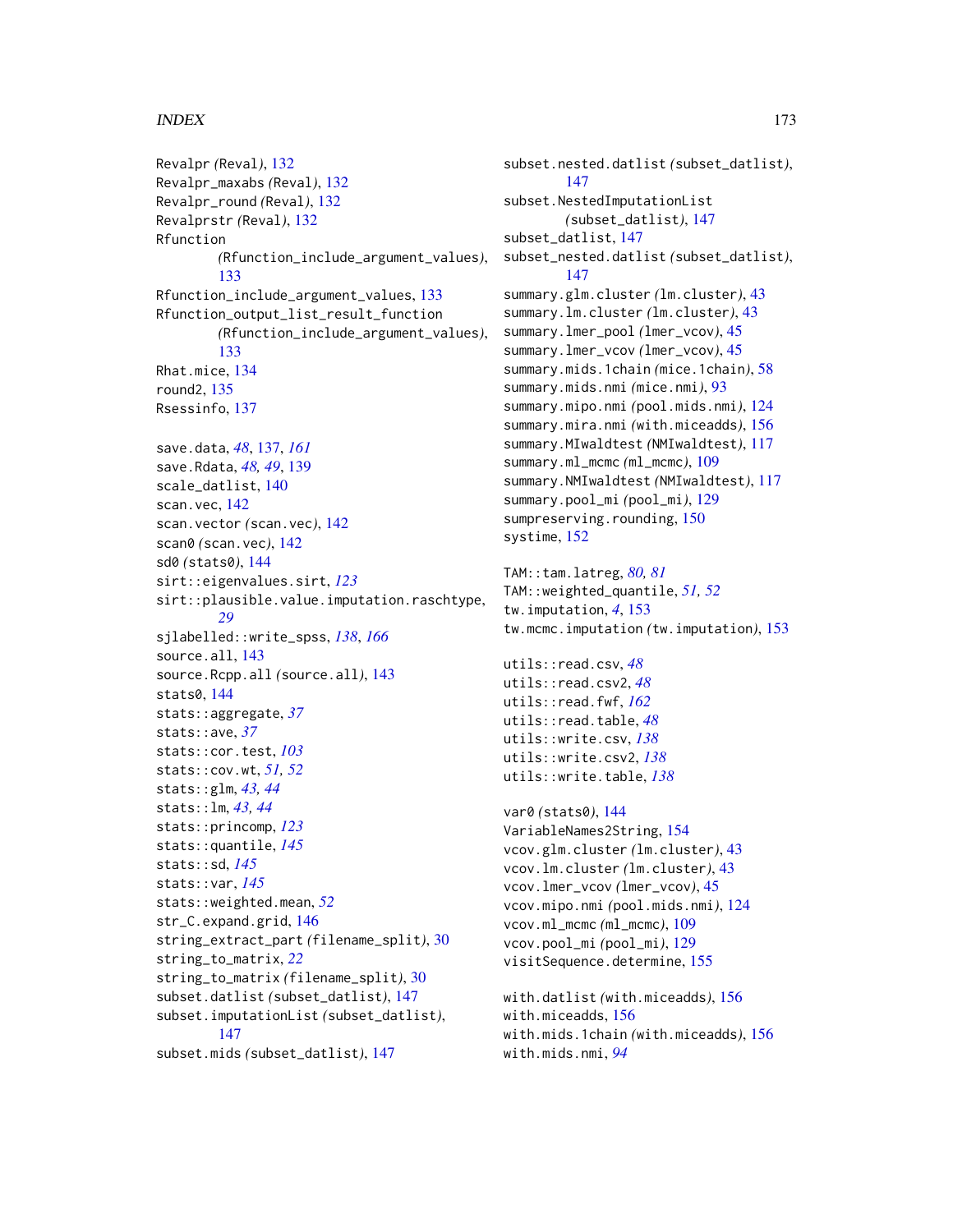Revalpr *(*Reval*)*, [132](#page-131-0) Revalpr\_maxabs *(*Reval*)*, [132](#page-131-0) Revalpr\_round *(*Reval*)*, [132](#page-131-0) Revalprstr *(*Reval*)*, [132](#page-131-0) Rfunction *(*Rfunction\_include\_argument\_values*)*, [133](#page-132-0) Rfunction\_include\_argument\_values, [133](#page-132-0) Rfunction\_output\_list\_result\_function *(*Rfunction\_include\_argument\_values*)*, [133](#page-132-0) Rhat.mice, [134](#page-133-0) round2, [135](#page-134-0) Rsessinfo, [137](#page-136-1) save.data, *[48](#page-47-0)*, [137,](#page-136-1) *[161](#page-160-0)* save.Rdata, *[48,](#page-47-0) [49](#page-48-0)*, [139](#page-138-0) scale\_datlist, [140](#page-139-0) scan.vec, [142](#page-141-0) scan.vector *(*scan.vec*)*, [142](#page-141-0) scan0 *(*scan.vec*)*, [142](#page-141-0) sd0 *(*stats0*)*, [144](#page-143-0) sirt::eigenvalues.sirt, *[123](#page-122-0)* sirt::plausible.value.imputation.raschtype, *[29](#page-28-0)* sjlabelled::write\_spss, *[138](#page-137-0)*, *[166](#page-165-0)* source.all, [143](#page-142-0) source.Rcpp.all *(*source.all*)*, [143](#page-142-0) stats0, [144](#page-143-0) stats::aggregate, *[37](#page-36-0)* stats::ave, *[37](#page-36-0)* stats::cor.test, *[103](#page-102-0)* stats::cov.wt, *[51,](#page-50-0) [52](#page-51-0)* stats::glm, *[43,](#page-42-0) [44](#page-43-0)* stats::lm, *[43,](#page-42-0) [44](#page-43-0)* stats::princomp, *[123](#page-122-0)* stats::quantile, *[145](#page-144-0)* stats::sd, *[145](#page-144-0)* stats::var, *[145](#page-144-0)* stats::weighted.mean, *[52](#page-51-0)* str\_C.expand.grid, [146](#page-145-0) string\_extract\_part *(*filename\_split*)*, [30](#page-29-0) string\_to\_matrix, *[22](#page-21-0)* string\_to\_matrix *(*filename\_split*)*, [30](#page-29-0) subset.datlist *(*subset\_datlist*)*, [147](#page-146-0) subset.imputationList *(*subset\_datlist*)*, [147](#page-146-0) subset.mids *(*subset\_datlist*)*, [147](#page-146-0)

subset.nested.datlist *(*subset\_datlist*)*, [147](#page-146-0) subset.NestedImputationList *(*subset\_datlist*)*, [147](#page-146-0) subset\_datlist, [147](#page-146-0) subset\_nested.datlist *(*subset\_datlist*)*, [147](#page-146-0) summary.glm.cluster *(*lm.cluster*)*, [43](#page-42-0) summary.lm.cluster *(*lm.cluster*)*, [43](#page-42-0) summary.lmer\_pool *(*lmer\_vcov*)*, [45](#page-44-0) summary.lmer\_vcov *(*lmer\_vcov*)*, [45](#page-44-0) summary.mids.1chain *(*mice.1chain*)*, [58](#page-57-1) summary.mids.nmi *(*mice.nmi*)*, [93](#page-92-1) summary.mipo.nmi *(*pool.mids.nmi*)*, [124](#page-123-0) summary.mira.nmi *(*with.miceadds*)*, [156](#page-155-0) summary.MIwaldtest *(*NMIwaldtest*)*, [117](#page-116-0) summary.ml\_mcmc *(*ml\_mcmc*)*, [109](#page-108-0) summary.NMIwaldtest *(*NMIwaldtest*)*, [117](#page-116-0) summary.pool\_mi *(*pool\_mi*)*, [129](#page-128-0) sumpreserving.rounding, [150](#page-149-0) systime, [152](#page-151-0) TAM::tam.latreg, *[80,](#page-79-0) [81](#page-80-0)* TAM::weighted\_quantile, *[51,](#page-50-0) [52](#page-51-0)* tw.imputation, *[4](#page-3-0)*, [153](#page-152-0) tw.mcmc.imputation *(*tw.imputation*)*, [153](#page-152-0) utils::read.csv, *[48](#page-47-0)* utils::read.csv2, *[48](#page-47-0)* utils::read.fwf, *[162](#page-161-0)* utils::read.table, *[48](#page-47-0)* utils::write.csv, *[138](#page-137-0)* utils::write.csv2, *[138](#page-137-0)* utils::write.table, *[138](#page-137-0)* var0 *(*stats0*)*, [144](#page-143-0) VariableNames2String, [154](#page-153-0) vcov.glm.cluster *(*lm.cluster*)*, [43](#page-42-0) vcov.lm.cluster *(*lm.cluster*)*, [43](#page-42-0) vcov.lmer\_vcov *(*lmer\_vcov*)*, [45](#page-44-0) vcov.mipo.nmi *(*pool.mids.nmi*)*, [124](#page-123-0) vcov.ml\_mcmc *(*ml\_mcmc*)*, [109](#page-108-0)

```
with.datlist (with.miceadds), 156
with.miceadds, 156
with.mids.1chain (with.miceadds), 156
with.mids.nmi, 94
```
vcov.pool\_mi *(*pool\_mi*)*, [129](#page-128-0) visitSequence.determine, [155](#page-154-0)